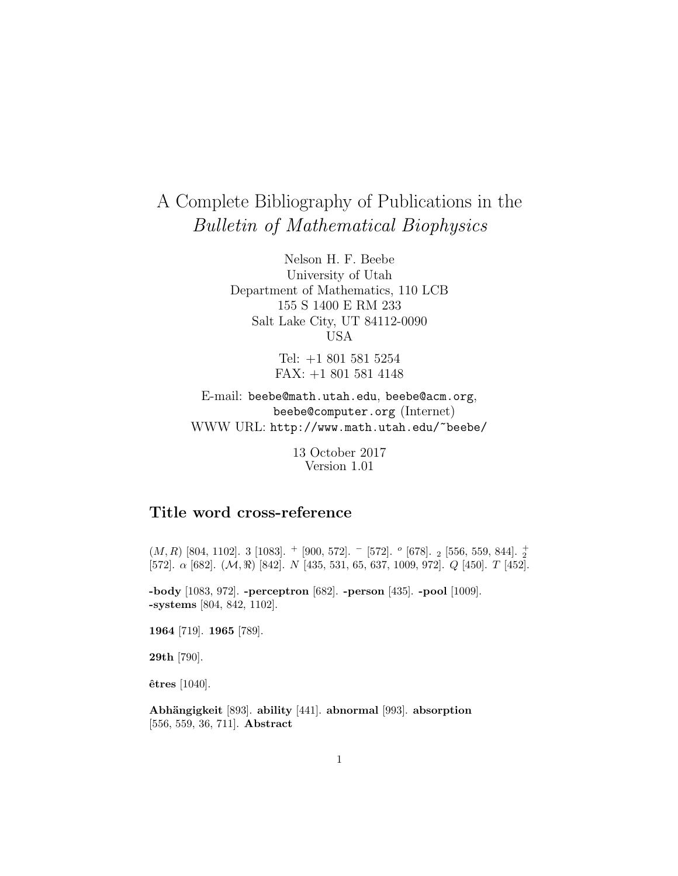# A Complete Bibliography of Publications in the Bulletin of Mathematical Biophysics

Nelson H. F. Beebe University of Utah Department of Mathematics, 110 LCB 155 S 1400 E RM 233 Salt Lake City, UT 84112-0090 USA

> Tel: +1 801 581 5254 FAX: +1 801 581 4148

E-mail: beebe@math.utah.edu, beebe@acm.org, beebe@computer.org (Internet) WWW URL: http://www.math.utah.edu/~beebe/

> 13 October 2017 Version 1.01

# **Title word cross-reference**

 $(M,R)$  [804, 1102]. 3 [1083].  $^+$  [900, 572].  $^-$  [572].  $^o$  [678].  $_2$  [556, 559, 844].  $_2^+$ [572].  $\alpha$  [682].  $(\mathcal{M}, \Re)$  [842].  $N$  [435, 531, 65, 637, 1009, 972].  $Q$  [450].  $T$  [452].

**-body** [1083, 972]. **-perceptron** [682]. **-person** [435]. **-pool** [1009]. **-systems** [804, 842, 1102].

**1964** [719]. **1965** [789].

**29th** [790].

**ˆetres** [1040].

**Abh¨angigkeit** [893]. **ability** [441]. **abnormal** [993]. **absorption** [556, 559, 36, 711]. **Abstract**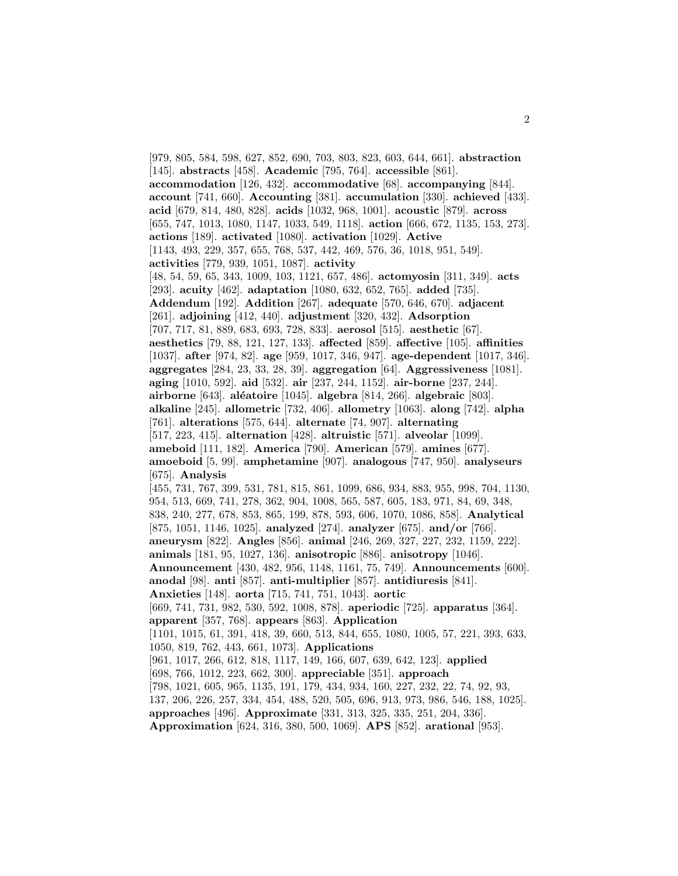[979, 805, 584, 598, 627, 852, 690, 703, 803, 823, 603, 644, 661]. **abstraction** [145]. **abstracts** [458]. **Academic** [795, 764]. **accessible** [861]. **accommodation** [126, 432]. **accommodative** [68]. **accompanying** [844]. **account** [741, 660]. **Accounting** [381]. **accumulation** [330]. **achieved** [433]. **acid** [679, 814, 480, 828]. **acids** [1032, 968, 1001]. **acoustic** [879]. **across** [655, 747, 1013, 1080, 1147, 1033, 549, 1118]. **action** [666, 672, 1135, 153, 273]. **actions** [189]. **activated** [1080]. **activation** [1029]. **Active** [1143, 493, 229, 357, 655, 768, 537, 442, 469, 576, 36, 1018, 951, 549]. **activities** [779, 939, 1051, 1087]. **activity** [48, 54, 59, 65, 343, 1009, 103, 1121, 657, 486]. **actomyosin** [311, 349]. **acts** [293]. **acuity** [462]. **adaptation** [1080, 632, 652, 765]. **added** [735]. **Addendum** [192]. **Addition** [267]. **adequate** [570, 646, 670]. **adjacent** [261]. **adjoining** [412, 440]. **adjustment** [320, 432]. **Adsorption** [707, 717, 81, 889, 683, 693, 728, 833]. **aerosol** [515]. **aesthetic** [67]. **aesthetics** [79, 88, 121, 127, 133]. **affected** [859]. **affective** [105]. **affinities** [1037]. **after** [974, 82]. **age** [959, 1017, 346, 947]. **age-dependent** [1017, 346]. **aggregates** [284, 23, 33, 28, 39]. **aggregation** [64]. **Aggressiveness** [1081]. **aging** [1010, 592]. **aid** [532]. **air** [237, 244, 1152]. **air-borne** [237, 244]. **airborne** [643]. **al´eatoire** [1045]. **algebra** [814, 266]. **algebraic** [803]. **alkaline** [245]. **allometric** [732, 406]. **allometry** [1063]. **along** [742]. **alpha** [761]. **alterations** [575, 644]. **alternate** [74, 907]. **alternating** [517, 223, 415]. **alternation** [428]. **altruistic** [571]. **alveolar** [1099]. **ameboid** [111, 182]. **America** [790]. **American** [579]. **amines** [677]. **amoeboid** [5, 99]. **amphetamine** [907]. **analogous** [747, 950]. **analyseurs** [675]. **Analysis** [455, 731, 767, 399, 531, 781, 815, 861, 1099, 686, 934, 883, 955, 998, 704, 1130, 954, 513, 669, 741, 278, 362, 904, 1008, 565, 587, 605, 183, 971, 84, 69, 348, 838, 240, 277, 678, 853, 865, 199, 878, 593, 606, 1070, 1086, 858]. **Analytical** [875, 1051, 1146, 1025]. **analyzed** [274]. **analyzer** [675]. **and/or** [766]. **aneurysm** [822]. **Angles** [856]. **animal** [246, 269, 327, 227, 232, 1159, 222]. **animals** [181, 95, 1027, 136]. **anisotropic** [886]. **anisotropy** [1046]. **Announcement** [430, 482, 956, 1148, 1161, 75, 749]. **Announcements** [600]. **anodal** [98]. **anti** [857]. **anti-multiplier** [857]. **antidiuresis** [841]. **Anxieties** [148]. **aorta** [715, 741, 751, 1043]. **aortic** [669, 741, 731, 982, 530, 592, 1008, 878]. **aperiodic** [725]. **apparatus** [364]. **apparent** [357, 768]. **appears** [863]. **Application** [1101, 1015, 61, 391, 418, 39, 660, 513, 844, 655, 1080, 1005, 57, 221, 393, 633, 1050, 819, 762, 443, 661, 1073]. **Applications** [961, 1017, 266, 612, 818, 1117, 149, 166, 607, 639, 642, 123]. **applied** [698, 766, 1012, 223, 662, 300]. **appreciable** [351]. **approach** [798, 1021, 605, 965, 1135, 191, 179, 434, 934, 160, 227, 232, 22, 74, 92, 93, 137, 206, 226, 257, 334, 454, 488, 520, 505, 696, 913, 973, 986, 546, 188, 1025]. **approaches** [496]. **Approximate** [331, 313, 325, 335, 251, 204, 336]. **Approximation** [624, 316, 380, 500, 1069]. **APS** [852]. **arational** [953].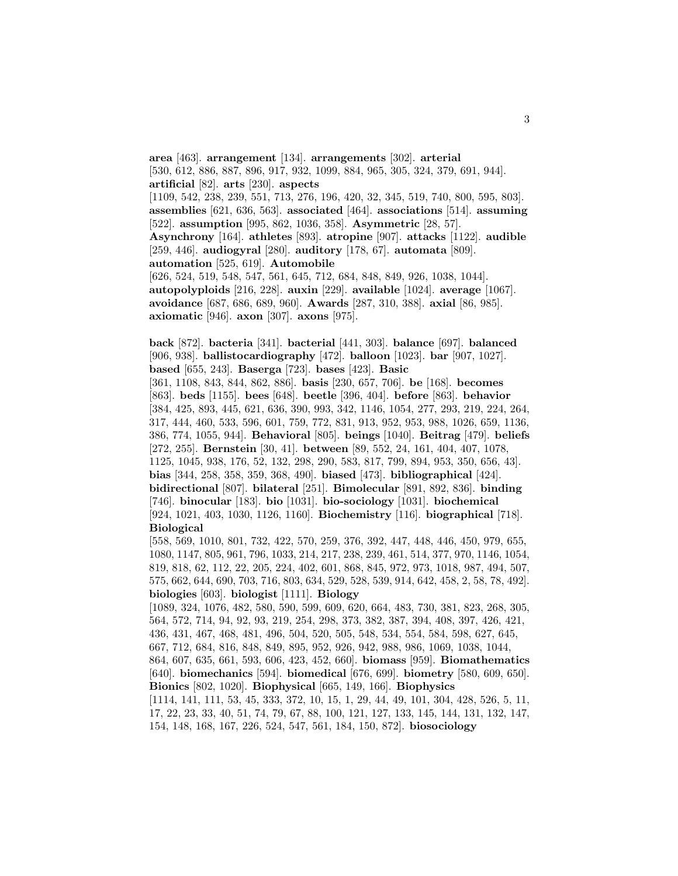**area** [463]. **arrangement** [134]. **arrangements** [302]. **arterial** [530, 612, 886, 887, 896, 917, 932, 1099, 884, 965, 305, 324, 379, 691, 944]. **artificial** [82]. **arts** [230]. **aspects** [1109, 542, 238, 239, 551, 713, 276, 196, 420, 32, 345, 519, 740, 800, 595, 803]. **assemblies** [621, 636, 563]. **associated** [464]. **associations** [514]. **assuming** [522]. **assumption** [995, 862, 1036, 358]. **Asymmetric** [28, 57]. **Asynchrony** [164]. **athletes** [893]. **atropine** [907]. **attacks** [1122]. **audible** [259, 446]. **audiogyral** [280]. **auditory** [178, 67]. **automata** [809]. **automation** [525, 619]. **Automobile** [626, 524, 519, 548, 547, 561, 645, 712, 684, 848, 849, 926, 1038, 1044]. **autopolyploids** [216, 228]. **auxin** [229]. **available** [1024]. **average** [1067]. **avoidance** [687, 686, 689, 960]. **Awards** [287, 310, 388]. **axial** [86, 985].

**axiomatic** [946]. **axon** [307]. **axons** [975].

**back** [872]. **bacteria** [341]. **bacterial** [441, 303]. **balance** [697]. **balanced** [906, 938]. **ballistocardiography** [472]. **balloon** [1023]. **bar** [907, 1027]. **based** [655, 243]. **Baserga** [723]. **bases** [423]. **Basic**

[361, 1108, 843, 844, 862, 886]. **basis** [230, 657, 706]. **be** [168]. **becomes** [863]. **beds** [1155]. **bees** [648]. **beetle** [396, 404]. **before** [863]. **behavior** [384, 425, 893, 445, 621, 636, 390, 993, 342, 1146, 1054, 277, 293, 219, 224, 264, 317, 444, 460, 533, 596, 601, 759, 772, 831, 913, 952, 953, 988, 1026, 659, 1136, 386, 774, 1055, 944]. **Behavioral** [805]. **beings** [1040]. **Beitrag** [479]. **beliefs** [272, 255]. **Bernstein** [30, 41]. **between** [89, 552, 24, 161, 404, 407, 1078, 1125, 1045, 938, 176, 52, 132, 298, 290, 583, 817, 799, 894, 953, 350, 656, 43]. **bias** [344, 258, 358, 359, 368, 490]. **biased** [473]. **bibliographical** [424]. **bidirectional** [807]. **bilateral** [251]. **Bimolecular** [891, 892, 836]. **binding** [746]. **binocular** [183]. **bio** [1031]. **bio-sociology** [1031]. **biochemical** [924, 1021, 403, 1030, 1126, 1160]. **Biochemistry** [116]. **biographical** [718]. **Biological**

[558, 569, 1010, 801, 732, 422, 570, 259, 376, 392, 447, 448, 446, 450, 979, 655, 1080, 1147, 805, 961, 796, 1033, 214, 217, 238, 239, 461, 514, 377, 970, 1146, 1054, 819, 818, 62, 112, 22, 205, 224, 402, 601, 868, 845, 972, 973, 1018, 987, 494, 507, 575, 662, 644, 690, 703, 716, 803, 634, 529, 528, 539, 914, 642, 458, 2, 58, 78, 492]. **biologies** [603]. **biologist** [1111]. **Biology**

[1089, 324, 1076, 482, 580, 590, 599, 609, 620, 664, 483, 730, 381, 823, 268, 305, 564, 572, 714, 94, 92, 93, 219, 254, 298, 373, 382, 387, 394, 408, 397, 426, 421, 436, 431, 467, 468, 481, 496, 504, 520, 505, 548, 534, 554, 584, 598, 627, 645, 667, 712, 684, 816, 848, 849, 895, 952, 926, 942, 988, 986, 1069, 1038, 1044, 864, 607, 635, 661, 593, 606, 423, 452, 660]. **biomass** [959]. **Biomathematics** [640]. **biomechanics** [594]. **biomedical** [676, 699]. **biometry** [580, 609, 650]. **Bionics** [802, 1020]. **Biophysical** [665, 149, 166]. **Biophysics**

[1114, 141, 111, 53, 45, 333, 372, 10, 15, 1, 29, 44, 49, 101, 304, 428, 526, 5, 11, 17, 22, 23, 33, 40, 51, 74, 79, 67, 88, 100, 121, 127, 133, 145, 144, 131, 132, 147, 154, 148, 168, 167, 226, 524, 547, 561, 184, 150, 872]. **biosociology**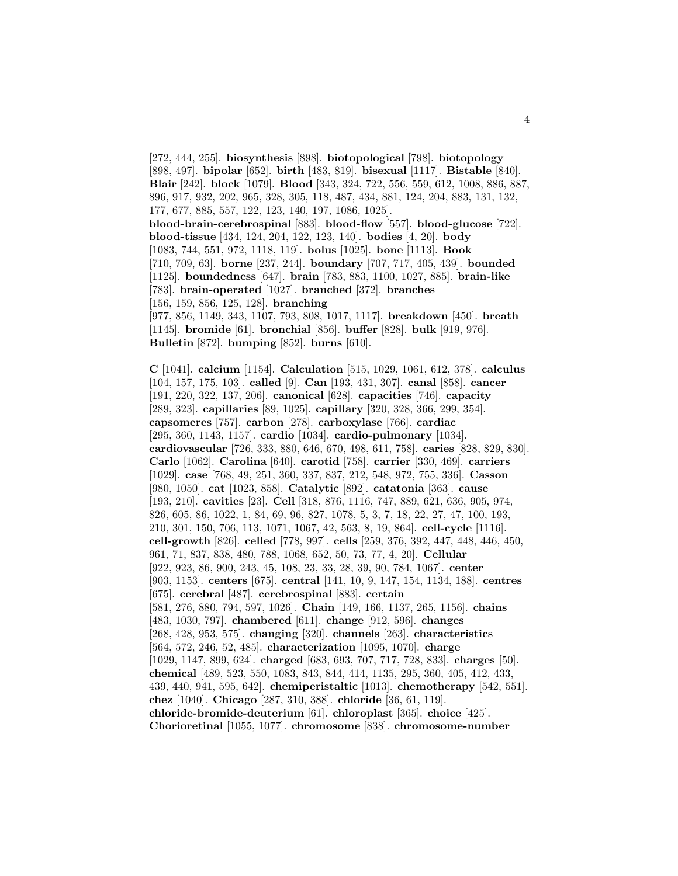[272, 444, 255]. **biosynthesis** [898]. **biotopological** [798]. **biotopology** [898, 497]. **bipolar** [652]. **birth** [483, 819]. **bisexual** [1117]. **Bistable** [840]. **Blair** [242]. **block** [1079]. **Blood** [343, 324, 722, 556, 559, 612, 1008, 886, 887, 896, 917, 932, 202, 965, 328, 305, 118, 487, 434, 881, 124, 204, 883, 131, 132, 177, 677, 885, 557, 122, 123, 140, 197, 1086, 1025]. **blood-brain-cerebrospinal** [883]. **blood-flow** [557]. **blood-glucose** [722]. **blood-tissue** [434, 124, 204, 122, 123, 140]. **bodies** [4, 20]. **body** [1083, 744, 551, 972, 1118, 119]. **bolus** [1025]. **bone** [1113]. **Book** [710, 709, 63]. **borne** [237, 244]. **boundary** [707, 717, 405, 439]. **bounded** [1125]. **boundedness** [647]. **brain** [783, 883, 1100, 1027, 885]. **brain-like** [783]. **brain-operated** [1027]. **branched** [372]. **branches** [156, 159, 856, 125, 128]. **branching** [977, 856, 1149, 343, 1107, 793, 808, 1017, 1117]. **breakdown** [450]. **breath** [1145]. **bromide** [61]. **bronchial** [856]. **buffer** [828]. **bulk** [919, 976].

```
Bulletin [872]. bumping [852]. burns [610].
```
**C** [1041]. **calcium** [1154]. **Calculation** [515, 1029, 1061, 612, 378]. **calculus** [104, 157, 175, 103]. **called** [9]. **Can** [193, 431, 307]. **canal** [858]. **cancer** [191, 220, 322, 137, 206]. **canonical** [628]. **capacities** [746]. **capacity** [289, 323]. **capillaries** [89, 1025]. **capillary** [320, 328, 366, 299, 354]. **capsomeres** [757]. **carbon** [278]. **carboxylase** [766]. **cardiac** [295, 360, 1143, 1157]. **cardio** [1034]. **cardio-pulmonary** [1034]. **cardiovascular** [726, 333, 880, 646, 670, 498, 611, 758]. **caries** [828, 829, 830]. **Carlo** [1062]. **Carolina** [640]. **carotid** [758]. **carrier** [330, 469]. **carriers** [1029]. **case** [768, 49, 251, 360, 337, 837, 212, 548, 972, 755, 336]. **Casson** [980, 1050]. **cat** [1023, 858]. **Catalytic** [892]. **catatonia** [363]. **cause** [193, 210]. **cavities** [23]. **Cell** [318, 876, 1116, 747, 889, 621, 636, 905, 974, 826, 605, 86, 1022, 1, 84, 69, 96, 827, 1078, 5, 3, 7, 18, 22, 27, 47, 100, 193, 210, 301, 150, 706, 113, 1071, 1067, 42, 563, 8, 19, 864]. **cell-cycle** [1116]. **cell-growth** [826]. **celled** [778, 997]. **cells** [259, 376, 392, 447, 448, 446, 450, 961, 71, 837, 838, 480, 788, 1068, 652, 50, 73, 77, 4, 20]. **Cellular** [922, 923, 86, 900, 243, 45, 108, 23, 33, 28, 39, 90, 784, 1067]. **center** [903, 1153]. **centers** [675]. **central** [141, 10, 9, 147, 154, 1134, 188]. **centres** [675]. **cerebral** [487]. **cerebrospinal** [883]. **certain** [581, 276, 880, 794, 597, 1026]. **Chain** [149, 166, 1137, 265, 1156]. **chains** [483, 1030, 797]. **chambered** [611]. **change** [912, 596]. **changes** [268, 428, 953, 575]. **changing** [320]. **channels** [263]. **characteristics** [564, 572, 246, 52, 485]. **characterization** [1095, 1070]. **charge** [1029, 1147, 899, 624]. **charged** [683, 693, 707, 717, 728, 833]. **charges** [50]. **chemical** [489, 523, 550, 1083, 843, 844, 414, 1135, 295, 360, 405, 412, 433, 439, 440, 941, 595, 642]. **chemiperistaltic** [1013]. **chemotherapy** [542, 551]. **chez** [1040]. **Chicago** [287, 310, 388]. **chloride** [36, 61, 119]. **chloride-bromide-deuterium** [61]. **chloroplast** [365]. **choice** [425]. **Chorioretinal** [1055, 1077]. **chromosome** [838]. **chromosome-number**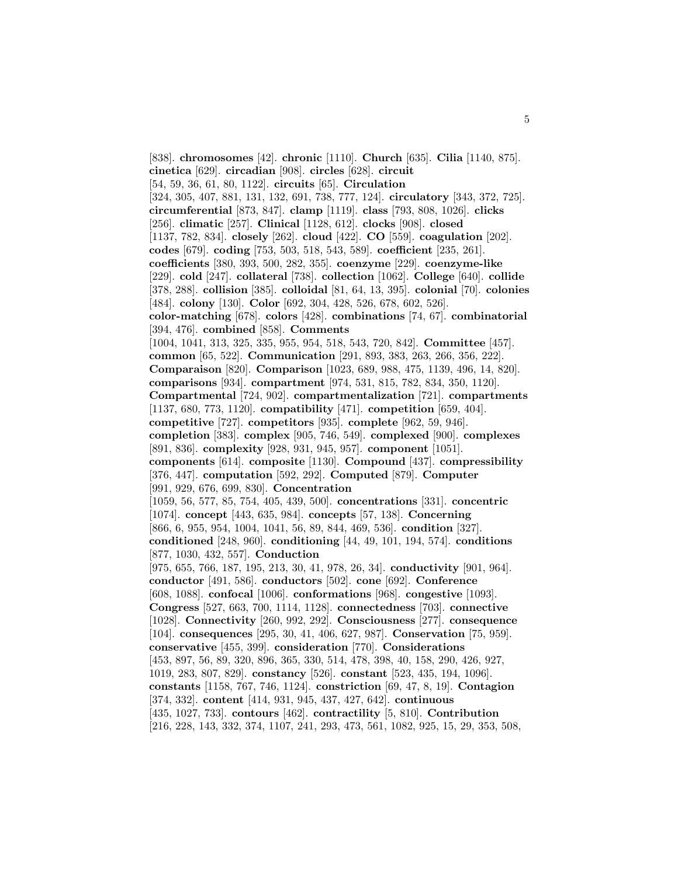[838]. **chromosomes** [42]. **chronic** [1110]. **Church** [635]. **Cilia** [1140, 875]. **cinetica** [629]. **circadian** [908]. **circles** [628]. **circuit** [54, 59, 36, 61, 80, 1122]. **circuits** [65]. **Circulation** [324, 305, 407, 881, 131, 132, 691, 738, 777, 124]. **circulatory** [343, 372, 725]. **circumferential** [873, 847]. **clamp** [1119]. **class** [793, 808, 1026]. **clicks** [256]. **climatic** [257]. **Clinical** [1128, 612]. **clocks** [908]. **closed** [1137, 782, 834]. **closely** [262]. **cloud** [422]. **CO** [559]. **coagulation** [202]. **codes** [679]. **coding** [753, 503, 518, 543, 589]. **coefficient** [235, 261]. **coefficients** [380, 393, 500, 282, 355]. **coenzyme** [229]. **coenzyme-like** [229]. **cold** [247]. **collateral** [738]. **collection** [1062]. **College** [640]. **collide** [378, 288]. **collision** [385]. **colloidal** [81, 64, 13, 395]. **colonial** [70]. **colonies** [484]. **colony** [130]. **Color** [692, 304, 428, 526, 678, 602, 526]. **color-matching** [678]. **colors** [428]. **combinations** [74, 67]. **combinatorial** [394, 476]. **combined** [858]. **Comments** [1004, 1041, 313, 325, 335, 955, 954, 518, 543, 720, 842]. **Committee** [457]. **common** [65, 522]. **Communication** [291, 893, 383, 263, 266, 356, 222]. **Comparaison** [820]. **Comparison** [1023, 689, 988, 475, 1139, 496, 14, 820]. **comparisons** [934]. **compartment** [974, 531, 815, 782, 834, 350, 1120]. **Compartmental** [724, 902]. **compartmentalization** [721]. **compartments** [1137, 680, 773, 1120]. **compatibility** [471]. **competition** [659, 404]. **competitive** [727]. **competitors** [935]. **complete** [962, 59, 946]. **completion** [383]. **complex** [905, 746, 549]. **complexed** [900]. **complexes** [891, 836]. **complexity** [928, 931, 945, 957]. **component** [1051]. **components** [614]. **composite** [1130]. **Compound** [437]. **compressibility** [376, 447]. **computation** [592, 292]. **Computed** [879]. **Computer** [991, 929, 676, 699, 830]. **Concentration** [1059, 56, 577, 85, 754, 405, 439, 500]. **concentrations** [331]. **concentric** [1074]. **concept** [443, 635, 984]. **concepts** [57, 138]. **Concerning** [866, 6, 955, 954, 1004, 1041, 56, 89, 844, 469, 536]. **condition** [327]. **conditioned** [248, 960]. **conditioning** [44, 49, 101, 194, 574]. **conditions** [877, 1030, 432, 557]. **Conduction** [975, 655, 766, 187, 195, 213, 30, 41, 978, 26, 34]. **conductivity** [901, 964]. **conductor** [491, 586]. **conductors** [502]. **cone** [692]. **Conference** [608, 1088]. **confocal** [1006]. **conformations** [968]. **congestive** [1093]. **Congress** [527, 663, 700, 1114, 1128]. **connectedness** [703]. **connective** [1028]. **Connectivity** [260, 992, 292]. **Consciousness** [277]. **consequence** [104]. **consequences** [295, 30, 41, 406, 627, 987]. **Conservation** [75, 959]. **conservative** [455, 399]. **consideration** [770]. **Considerations** [453, 897, 56, 89, 320, 896, 365, 330, 514, 478, 398, 40, 158, 290, 426, 927, 1019, 283, 807, 829]. **constancy** [526]. **constant** [523, 435, 194, 1096]. **constants** [1158, 767, 746, 1124]. **constriction** [69, 47, 8, 19]. **Contagion** [374, 332]. **content** [414, 931, 945, 437, 427, 642]. **continuous** [435, 1027, 733]. **contours** [462]. **contractility** [5, 810]. **Contribution** [216, 228, 143, 332, 374, 1107, 241, 293, 473, 561, 1082, 925, 15, 29, 353, 508,

5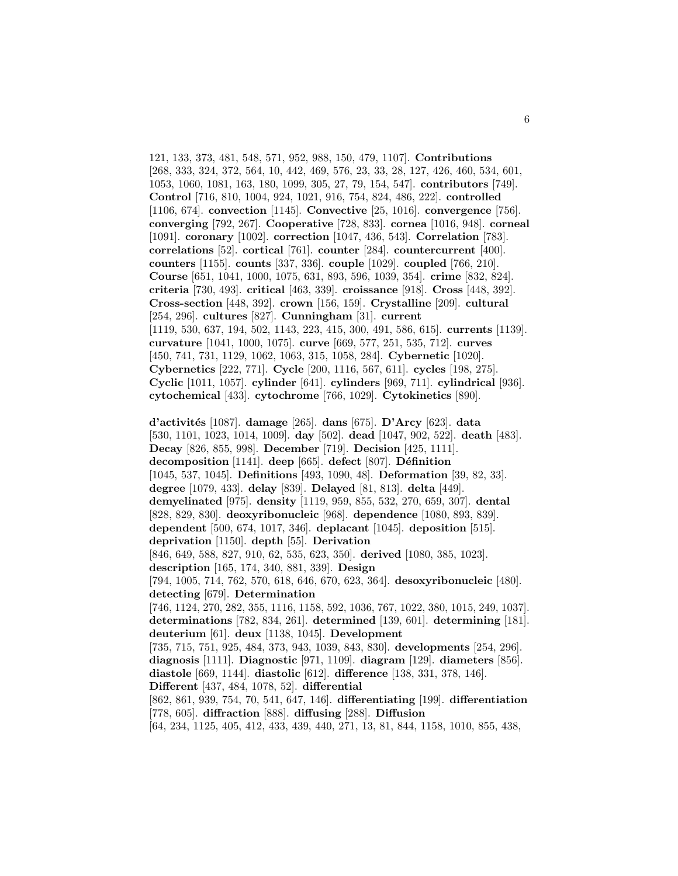121, 133, 373, 481, 548, 571, 952, 988, 150, 479, 1107]. **Contributions** [268, 333, 324, 372, 564, 10, 442, 469, 576, 23, 33, 28, 127, 426, 460, 534, 601, 1053, 1060, 1081, 163, 180, 1099, 305, 27, 79, 154, 547]. **contributors** [749]. **Control** [716, 810, 1004, 924, 1021, 916, 754, 824, 486, 222]. **controlled** [1106, 674]. **convection** [1145]. **Convective** [25, 1016]. **convergence** [756]. **converging** [792, 267]. **Cooperative** [728, 833]. **cornea** [1016, 948]. **corneal** [1091]. **coronary** [1002]. **correction** [1047, 436, 543]. **Correlation** [783]. **correlations** [52]. **cortical** [761]. **counter** [284]. **countercurrent** [400]. **counters** [1155]. **counts** [337, 336]. **couple** [1029]. **coupled** [766, 210]. **Course** [651, 1041, 1000, 1075, 631, 893, 596, 1039, 354]. **crime** [832, 824]. **criteria** [730, 493]. **critical** [463, 339]. **croissance** [918]. **Cross** [448, 392]. **Cross-section** [448, 392]. **crown** [156, 159]. **Crystalline** [209]. **cultural** [254, 296]. **cultures** [827]. **Cunningham** [31]. **current** [1119, 530, 637, 194, 502, 1143, 223, 415, 300, 491, 586, 615]. **currents** [1139]. **curvature** [1041, 1000, 1075]. **curve** [669, 577, 251, 535, 712]. **curves** [450, 741, 731, 1129, 1062, 1063, 315, 1058, 284]. **Cybernetic** [1020]. **Cybernetics** [222, 771]. **Cycle** [200, 1116, 567, 611]. **cycles** [198, 275]. **Cyclic** [1011, 1057]. **cylinder** [641]. **cylinders** [969, 711]. **cylindrical** [936]. **cytochemical** [433]. **cytochrome** [766, 1029]. **Cytokinetics** [890].

**d'activit´es** [1087]. **damage** [265]. **dans** [675]. **D'Arcy** [623]. **data** [530, 1101, 1023, 1014, 1009]. **day** [502]. **dead** [1047, 902, 522]. **death** [483]. **Decay** [826, 855, 998]. **December** [719]. **Decision** [425, 1111]. **decomposition** [1141]. **deep** [665]. **defect** [807]. **D´efinition** [1045, 537, 1045]. **Definitions** [493, 1090, 48]. **Deformation** [39, 82, 33]. **degree** [1079, 433]. **delay** [839]. **Delayed** [81, 813]. **delta** [449]. **demyelinated** [975]. **density** [1119, 959, 855, 532, 270, 659, 307]. **dental** [828, 829, 830]. **deoxyribonucleic** [968]. **dependence** [1080, 893, 839]. **dependent** [500, 674, 1017, 346]. **deplacant** [1045]. **deposition** [515]. **deprivation** [1150]. **depth** [55]. **Derivation** [846, 649, 588, 827, 910, 62, 535, 623, 350]. **derived** [1080, 385, 1023]. **description** [165, 174, 340, 881, 339]. **Design** [794, 1005, 714, 762, 570, 618, 646, 670, 623, 364]. **desoxyribonucleic** [480]. **detecting** [679]. **Determination** [746, 1124, 270, 282, 355, 1116, 1158, 592, 1036, 767, 1022, 380, 1015, 249, 1037]. **determinations** [782, 834, 261]. **determined** [139, 601]. **determining** [181]. **deuterium** [61]. **deux** [1138, 1045]. **Development** [735, 715, 751, 925, 484, 373, 943, 1039, 843, 830]. **developments** [254, 296]. **diagnosis** [1111]. **Diagnostic** [971, 1109]. **diagram** [129]. **diameters** [856]. **diastole** [669, 1144]. **diastolic** [612]. **difference** [138, 331, 378, 146]. **Different** [437, 484, 1078, 52]. **differential** [862, 861, 939, 754, 70, 541, 647, 146]. **differentiating** [199]. **differentiation** [778, 605]. **diffraction** [888]. **diffusing** [288]. **Diffusion**

[64, 234, 1125, 405, 412, 433, 439, 440, 271, 13, 81, 844, 1158, 1010, 855, 438,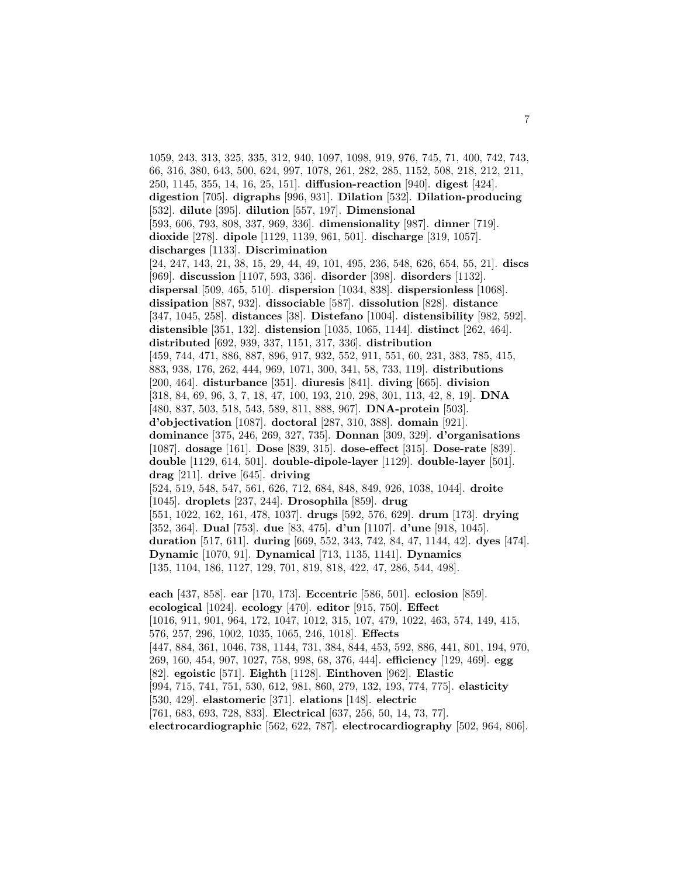1059, 243, 313, 325, 335, 312, 940, 1097, 1098, 919, 976, 745, 71, 400, 742, 743, 66, 316, 380, 643, 500, 624, 997, 1078, 261, 282, 285, 1152, 508, 218, 212, 211, 250, 1145, 355, 14, 16, 25, 151]. **diffusion-reaction** [940]. **digest** [424]. **digestion** [705]. **digraphs** [996, 931]. **Dilation** [532]. **Dilation-producing** [532]. **dilute** [395]. **dilution** [557, 197]. **Dimensional** [593, 606, 793, 808, 337, 969, 336]. **dimensionality** [987]. **dinner** [719]. **dioxide** [278]. **dipole** [1129, 1139, 961, 501]. **discharge** [319, 1057]. **discharges** [1133]. **Discrimination** [24, 247, 143, 21, 38, 15, 29, 44, 49, 101, 495, 236, 548, 626, 654, 55, 21]. **discs** [969]. **discussion** [1107, 593, 336]. **disorder** [398]. **disorders** [1132]. **dispersal** [509, 465, 510]. **dispersion** [1034, 838]. **dispersionless** [1068]. **dissipation** [887, 932]. **dissociable** [587]. **dissolution** [828]. **distance** [347, 1045, 258]. **distances** [38]. **Distefano** [1004]. **distensibility** [982, 592]. **distensible** [351, 132]. **distension** [1035, 1065, 1144]. **distinct** [262, 464]. **distributed** [692, 939, 337, 1151, 317, 336]. **distribution** [459, 744, 471, 886, 887, 896, 917, 932, 552, 911, 551, 60, 231, 383, 785, 415, 883, 938, 176, 262, 444, 969, 1071, 300, 341, 58, 733, 119]. **distributions** [200, 464]. **disturbance** [351]. **diuresis** [841]. **diving** [665]. **division** [318, 84, 69, 96, 3, 7, 18, 47, 100, 193, 210, 298, 301, 113, 42, 8, 19]. **DNA** [480, 837, 503, 518, 543, 589, 811, 888, 967]. **DNA-protein** [503]. **d'objectivation** [1087]. **doctoral** [287, 310, 388]. **domain** [921]. **dominance** [375, 246, 269, 327, 735]. **Donnan** [309, 329]. **d'organisations** [1087]. **dosage** [161]. **Dose** [839, 315]. **dose-effect** [315]. **Dose-rate** [839]. **double** [1129, 614, 501]. **double-dipole-layer** [1129]. **double-layer** [501]. **drag** [211]. **drive** [645]. **driving** [524, 519, 548, 547, 561, 626, 712, 684, 848, 849, 926, 1038, 1044]. **droite** [1045]. **droplets** [237, 244]. **Drosophila** [859]. **drug** [551, 1022, 162, 161, 478, 1037]. **drugs** [592, 576, 629]. **drum** [173]. **drying** [352, 364]. **Dual** [753]. **due** [83, 475]. **d'un** [1107]. **d'une** [918, 1045]. **duration** [517, 611]. **during** [669, 552, 343, 742, 84, 47, 1144, 42]. **dyes** [474]. **Dynamic** [1070, 91]. **Dynamical** [713, 1135, 1141]. **Dynamics** [135, 1104, 186, 1127, 129, 701, 819, 818, 422, 47, 286, 544, 498]. **each** [437, 858]. **ear** [170, 173]. **Eccentric** [586, 501]. **eclosion** [859]. **ecological** [1024]. **ecology** [470]. **editor** [915, 750]. **Effect** [1016, 911, 901, 964, 172, 1047, 1012, 315, 107, 479, 1022, 463, 574, 149, 415, 576, 257, 296, 1002, 1035, 1065, 246, 1018]. **Effects** [447, 884, 361, 1046, 738, 1144, 731, 384, 844, 453, 592, 886, 441, 801, 194, 970, 269, 160, 454, 907, 1027, 758, 998, 68, 376, 444]. **efficiency** [129, 469]. **egg** [82]. **egoistic** [571]. **Eighth** [1128]. **Einthoven** [962]. **Elastic** [994, 715, 741, 751, 530, 612, 981, 860, 279, 132, 193, 774, 775]. **elasticity** [530, 429]. **elastomeric** [371]. **elations** [148]. **electric** [761, 683, 693, 728, 833]. **Electrical** [637, 256, 50, 14, 73, 77].

**electrocardiographic** [562, 622, 787]. **electrocardiography** [502, 964, 806].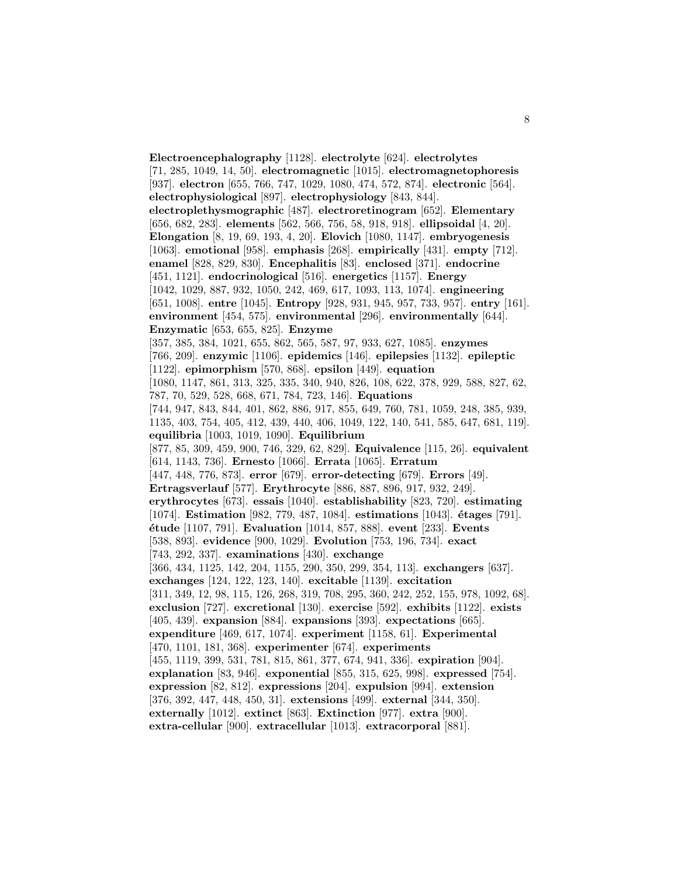**Electroencephalography** [1128]. **electrolyte** [624]. **electrolytes** [71, 285, 1049, 14, 50]. **electromagnetic** [1015]. **electromagnetophoresis** [937]. **electron** [655, 766, 747, 1029, 1080, 474, 572, 874]. **electronic** [564]. **electrophysiological** [897]. **electrophysiology** [843, 844]. **electroplethysmographic** [487]. **electroretinogram** [652]. **Elementary** [656, 682, 283]. **elements** [562, 566, 756, 58, 918, 918]. **ellipsoidal** [4, 20]. **Elongation** [8, 19, 69, 193, 4, 20]. **Elovich** [1080, 1147]. **embryogenesis** [1063]. **emotional** [958]. **emphasis** [268]. **empirically** [431]. **empty** [712]. **enamel** [828, 829, 830]. **Encephalitis** [83]. **enclosed** [371]. **endocrine** [451, 1121]. **endocrinological** [516]. **energetics** [1157]. **Energy** [1042, 1029, 887, 932, 1050, 242, 469, 617, 1093, 113, 1074]. **engineering** [651, 1008]. **entre** [1045]. **Entropy** [928, 931, 945, 957, 733, 957]. **entry** [161]. **environment** [454, 575]. **environmental** [296]. **environmentally** [644]. **Enzymatic** [653, 655, 825]. **Enzyme** [357, 385, 384, 1021, 655, 862, 565, 587, 97, 933, 627, 1085]. **enzymes** [766, 209]. **enzymic** [1106]. **epidemics** [146]. **epilepsies** [1132]. **epileptic** [1122]. **epimorphism** [570, 868]. **epsilon** [449]. **equation** [1080, 1147, 861, 313, 325, 335, 340, 940, 826, 108, 622, 378, 929, 588, 827, 62, 787, 70, 529, 528, 668, 671, 784, 723, 146]. **Equations** [744, 947, 843, 844, 401, 862, 886, 917, 855, 649, 760, 781, 1059, 248, 385, 939, 1135, 403, 754, 405, 412, 439, 440, 406, 1049, 122, 140, 541, 585, 647, 681, 119]. **equilibria** [1003, 1019, 1090]. **Equilibrium** [877, 85, 309, 459, 900, 746, 329, 62, 829]. **Equivalence** [115, 26]. **equivalent** [614, 1143, 736]. **Ernesto** [1066]. **Errata** [1065]. **Erratum** [447, 448, 776, 873]. **error** [679]. **error-detecting** [679]. **Errors** [49]. **Ertragsverlauf** [577]. **Erythrocyte** [886, 887, 896, 917, 932, 249]. **erythrocytes** [673]. **essais** [1040]. **establishability** [823, 720]. **estimating** [1074]. **Estimation** [982, 779, 487, 1084]. **estimations** [1043]. **´etages** [791]. **´etude** [1107, 791]. **Evaluation** [1014, 857, 888]. **event** [233]. **Events** [538, 893]. **evidence** [900, 1029]. **Evolution** [753, 196, 734]. **exact** [743, 292, 337]. **examinations** [430]. **exchange** [366, 434, 1125, 142, 204, 1155, 290, 350, 299, 354, 113]. **exchangers** [637]. **exchanges** [124, 122, 123, 140]. **excitable** [1139]. **excitation** [311, 349, 12, 98, 115, 126, 268, 319, 708, 295, 360, 242, 252, 155, 978, 1092, 68]. **exclusion** [727]. **excretional** [130]. **exercise** [592]. **exhibits** [1122]. **exists** [405, 439]. **expansion** [884]. **expansions** [393]. **expectations** [665]. **expenditure** [469, 617, 1074]. **experiment** [1158, 61]. **Experimental** [470, 1101, 181, 368]. **experimenter** [674]. **experiments** [455, 1119, 399, 531, 781, 815, 861, 377, 674, 941, 336]. **expiration** [904]. **explanation** [83, 946]. **exponential** [855, 315, 625, 998]. **expressed** [754]. **expression** [82, 812]. **expressions** [204]. **expulsion** [994]. **extension** [376, 392, 447, 448, 450, 31]. **extensions** [499]. **external** [344, 350]. **externally** [1012]. **extinct** [863]. **Extinction** [977]. **extra** [900]. **extra-cellular** [900]. **extracellular** [1013]. **extracorporal** [881].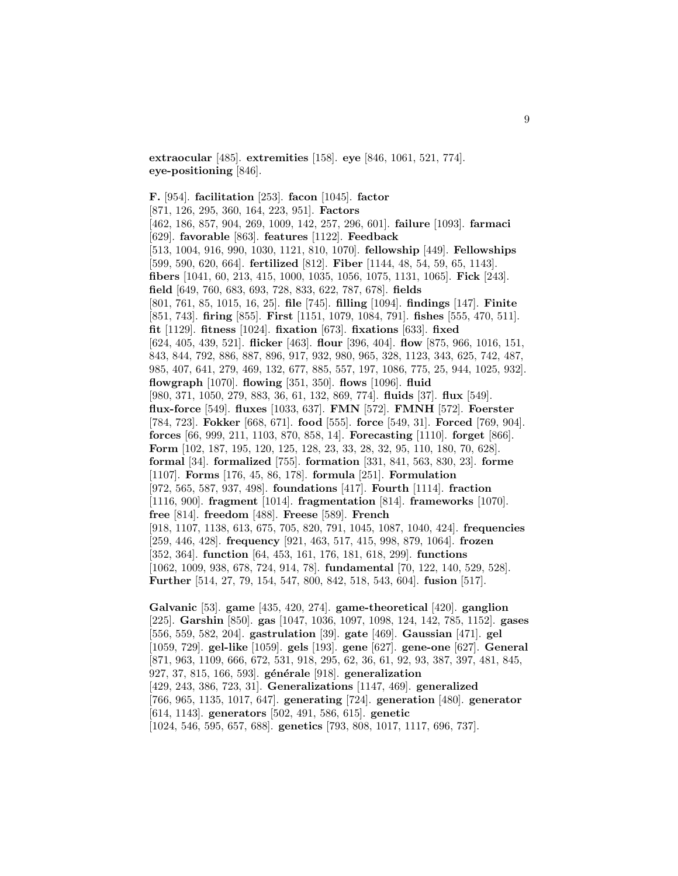**extraocular** [485]. **extremities** [158]. **eye** [846, 1061, 521, 774]. **eye-positioning** [846].

**F.** [954]. **facilitation** [253]. **facon** [1045]. **factor** [871, 126, 295, 360, 164, 223, 951]. **Factors** [462, 186, 857, 904, 269, 1009, 142, 257, 296, 601]. **failure** [1093]. **farmaci** [629]. **favorable** [863]. **features** [1122]. **Feedback** [513, 1004, 916, 990, 1030, 1121, 810, 1070]. **fellowship** [449]. **Fellowships** [599, 590, 620, 664]. **fertilized** [812]. **Fiber** [1144, 48, 54, 59, 65, 1143]. **fibers** [1041, 60, 213, 415, 1000, 1035, 1056, 1075, 1131, 1065]. **Fick** [243]. **field** [649, 760, 683, 693, 728, 833, 622, 787, 678]. **fields** [801, 761, 85, 1015, 16, 25]. **file** [745]. **filling** [1094]. **findings** [147]. **Finite** [851, 743]. **firing** [855]. **First** [1151, 1079, 1084, 791]. **fishes** [555, 470, 511]. **fit** [1129]. **fitness** [1024]. **fixation** [673]. **fixations** [633]. **fixed** [624, 405, 439, 521]. **flicker** [463]. **flour** [396, 404]. **flow** [875, 966, 1016, 151, 843, 844, 792, 886, 887, 896, 917, 932, 980, 965, 328, 1123, 343, 625, 742, 487, 985, 407, 641, 279, 469, 132, 677, 885, 557, 197, 1086, 775, 25, 944, 1025, 932]. **flowgraph** [1070]. **flowing** [351, 350]. **flows** [1096]. **fluid** [980, 371, 1050, 279, 883, 36, 61, 132, 869, 774]. **fluids** [37]. **flux** [549]. **flux-force** [549]. **fluxes** [1033, 637]. **FMN** [572]. **FMNH** [572]. **Foerster** [784, 723]. **Fokker** [668, 671]. **food** [555]. **force** [549, 31]. **Forced** [769, 904]. **forces** [66, 999, 211, 1103, 870, 858, 14]. **Forecasting** [1110]. **forget** [866]. **Form** [102, 187, 195, 120, 125, 128, 23, 33, 28, 32, 95, 110, 180, 70, 628]. **formal** [34]. **formalized** [755]. **formation** [331, 841, 563, 830, 23]. **forme** [1107]. **Forms** [176, 45, 86, 178]. **formula** [251]. **Formulation** [972, 565, 587, 937, 498]. **foundations** [417]. **Fourth** [1114]. **fraction** [1116, 900]. **fragment** [1014]. **fragmentation** [814]. **frameworks** [1070]. **free** [814]. **freedom** [488]. **Freese** [589]. **French** [918, 1107, 1138, 613, 675, 705, 820, 791, 1045, 1087, 1040, 424]. **frequencies** [259, 446, 428]. **frequency** [921, 463, 517, 415, 998, 879, 1064]. **frozen** [352, 364]. **function** [64, 453, 161, 176, 181, 618, 299]. **functions** [1062, 1009, 938, 678, 724, 914, 78]. **fundamental** [70, 122, 140, 529, 528]. **Further** [514, 27, 79, 154, 547, 800, 842, 518, 543, 604]. **fusion** [517].

**Galvanic** [53]. **game** [435, 420, 274]. **game-theoretical** [420]. **ganglion** [225]. **Garshin** [850]. **gas** [1047, 1036, 1097, 1098, 124, 142, 785, 1152]. **gases** [556, 559, 582, 204]. **gastrulation** [39]. **gate** [469]. **Gaussian** [471]. **gel** [1059, 729]. **gel-like** [1059]. **gels** [193]. **gene** [627]. **gene-one** [627]. **General** [871, 963, 1109, 666, 672, 531, 918, 295, 62, 36, 61, 92, 93, 387, 397, 481, 845, 927, 37, 815, 166, 593]. **g´en´erale** [918]. **generalization** [429, 243, 386, 723, 31]. **Generalizations** [1147, 469]. **generalized** [766, 965, 1135, 1017, 647]. **generating** [724]. **generation** [480]. **generator** [614, 1143]. **generators** [502, 491, 586, 615]. **genetic** [1024, 546, 595, 657, 688]. **genetics** [793, 808, 1017, 1117, 696, 737].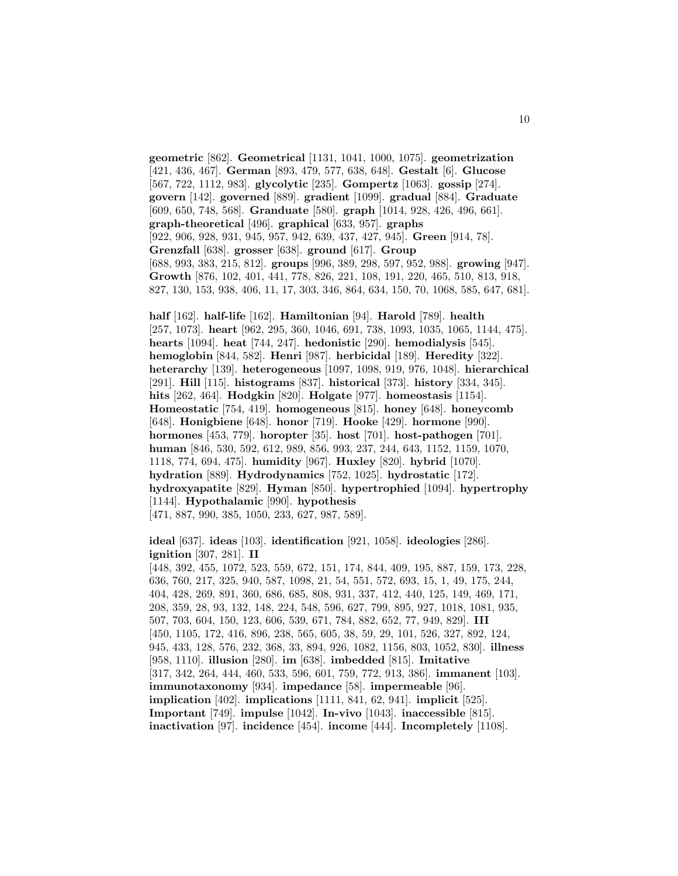**geometric** [862]. **Geometrical** [1131, 1041, 1000, 1075]. **geometrization** [421, 436, 467]. **German** [893, 479, 577, 638, 648]. **Gestalt** [6]. **Glucose** [567, 722, 1112, 983]. **glycolytic** [235]. **Gompertz** [1063]. **gossip** [274]. **govern** [142]. **governed** [889]. **gradient** [1099]. **gradual** [884]. **Graduate** [609, 650, 748, 568]. **Granduate** [580]. **graph** [1014, 928, 426, 496, 661]. **graph-theoretical** [496]. **graphical** [633, 957]. **graphs** [922, 906, 928, 931, 945, 957, 942, 639, 437, 427, 945]. **Green** [914, 78]. **Grenzfall** [638]. **grosser** [638]. **ground** [617]. **Group** [688, 993, 383, 215, 812]. **groups** [996, 389, 298, 597, 952, 988]. **growing** [947]. **Growth** [876, 102, 401, 441, 778, 826, 221, 108, 191, 220, 465, 510, 813, 918, 827, 130, 153, 938, 406, 11, 17, 303, 346, 864, 634, 150, 70, 1068, 585, 647, 681].

**half** [162]. **half-life** [162]. **Hamiltonian** [94]. **Harold** [789]. **health** [257, 1073]. **heart** [962, 295, 360, 1046, 691, 738, 1093, 1035, 1065, 1144, 475]. **hearts** [1094]. **heat** [744, 247]. **hedonistic** [290]. **hemodialysis** [545]. **hemoglobin** [844, 582]. **Henri** [987]. **herbicidal** [189]. **Heredity** [322]. **heterarchy** [139]. **heterogeneous** [1097, 1098, 919, 976, 1048]. **hierarchical** [291]. **Hill** [115]. **histograms** [837]. **historical** [373]. **history** [334, 345]. **hits** [262, 464]. **Hodgkin** [820]. **Holgate** [977]. **homeostasis** [1154]. **Homeostatic** [754, 419]. **homogeneous** [815]. **honey** [648]. **honeycomb** [648]. **Honigbiene** [648]. **honor** [719]. **Hooke** [429]. **hormone** [990]. **hormones** [453, 779]. **horopter** [35]. **host** [701]. **host-pathogen** [701]. **human** [846, 530, 592, 612, 989, 856, 993, 237, 244, 643, 1152, 1159, 1070, 1118, 774, 694, 475]. **humidity** [967]. **Huxley** [820]. **hybrid** [1070]. **hydration** [889]. **Hydrodynamics** [752, 1025]. **hydrostatic** [172]. **hydroxyapatite** [829]. **Hyman** [850]. **hypertrophied** [1094]. **hypertrophy** [1144]. **Hypothalamic** [990]. **hypothesis** [471, 887, 990, 385, 1050, 233, 627, 987, 589].

**ideal** [637]. **ideas** [103]. **identification** [921, 1058]. **ideologies** [286]. **ignition** [307, 281]. **II** [448, 392, 455, 1072, 523, 559, 672, 151, 174, 844, 409, 195, 887, 159, 173, 228, 636, 760, 217, 325, 940, 587, 1098, 21, 54, 551, 572, 693, 15, 1, 49, 175, 244, 404, 428, 269, 891, 360, 686, 685, 808, 931, 337, 412, 440, 125, 149, 469, 171, 208, 359, 28, 93, 132, 148, 224, 548, 596, 627, 799, 895, 927, 1018, 1081, 935, 507, 703, 604, 150, 123, 606, 539, 671, 784, 882, 652, 77, 949, 829]. **III** [450, 1105, 172, 416, 896, 238, 565, 605, 38, 59, 29, 101, 526, 327, 892, 124, 945, 433, 128, 576, 232, 368, 33, 894, 926, 1082, 1156, 803, 1052, 830]. **illness** [958, 1110]. **illusion** [280]. **im** [638]. **imbedded** [815]. **Imitative** [317, 342, 264, 444, 460, 533, 596, 601, 759, 772, 913, 386]. **immanent** [103]. **immunotaxonomy** [934]. **impedance** [58]. **impermeable** [96]. **implication** [402]. **implications** [1111, 841, 62, 941]. **implicit** [525]. **Important** [749]. **impulse** [1042]. **In-vivo** [1043]. **inaccessible** [815]. **inactivation** [97]. **incidence** [454]. **income** [444]. **Incompletely** [1108].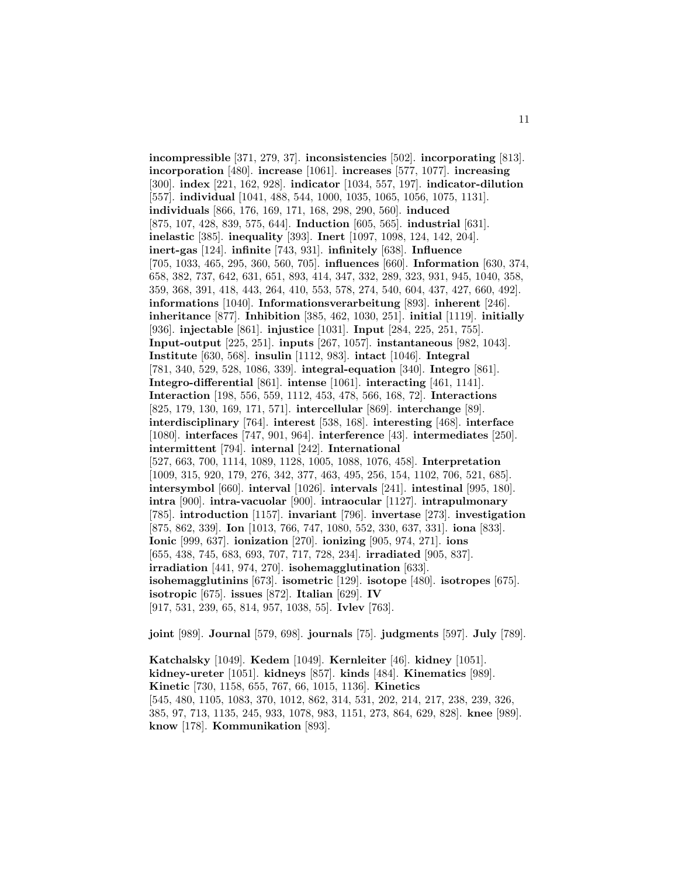**incompressible** [371, 279, 37]. **inconsistencies** [502]. **incorporating** [813]. **incorporation** [480]. **increase** [1061]. **increases** [577, 1077]. **increasing** [300]. **index** [221, 162, 928]. **indicator** [1034, 557, 197]. **indicator-dilution** [557]. **individual** [1041, 488, 544, 1000, 1035, 1065, 1056, 1075, 1131]. **individuals** [866, 176, 169, 171, 168, 298, 290, 560]. **induced** [875, 107, 428, 839, 575, 644]. **Induction** [605, 565]. **industrial** [631]. **inelastic** [385]. **inequality** [393]. **Inert** [1097, 1098, 124, 142, 204]. **inert-gas** [124]. **infinite** [743, 931]. **infinitely** [638]. **Influence** [705, 1033, 465, 295, 360, 560, 705]. **influences** [660]. **Information** [630, 374, 658, 382, 737, 642, 631, 651, 893, 414, 347, 332, 289, 323, 931, 945, 1040, 358, 359, 368, 391, 418, 443, 264, 410, 553, 578, 274, 540, 604, 437, 427, 660, 492]. **informations** [1040]. **Informationsverarbeitung** [893]. **inherent** [246]. **inheritance** [877]. **Inhibition** [385, 462, 1030, 251]. **initial** [1119]. **initially** [936]. **injectable** [861]. **injustice** [1031]. **Input** [284, 225, 251, 755]. **Input-output** [225, 251]. **inputs** [267, 1057]. **instantaneous** [982, 1043]. **Institute** [630, 568]. **insulin** [1112, 983]. **intact** [1046]. **Integral** [781, 340, 529, 528, 1086, 339]. **integral-equation** [340]. **Integro** [861]. **Integro-differential** [861]. **intense** [1061]. **interacting** [461, 1141]. **Interaction** [198, 556, 559, 1112, 453, 478, 566, 168, 72]. **Interactions** [825, 179, 130, 169, 171, 571]. **intercellular** [869]. **interchange** [89]. **interdisciplinary** [764]. **interest** [538, 168]. **interesting** [468]. **interface** [1080]. **interfaces** [747, 901, 964]. **interference** [43]. **intermediates** [250]. **intermittent** [794]. **internal** [242]. **International** [527, 663, 700, 1114, 1089, 1128, 1005, 1088, 1076, 458]. **Interpretation** [1009, 315, 920, 179, 276, 342, 377, 463, 495, 256, 154, 1102, 706, 521, 685]. **intersymbol** [660]. **interval** [1026]. **intervals** [241]. **intestinal** [995, 180]. **intra** [900]. **intra-vacuolar** [900]. **intraocular** [1127]. **intrapulmonary** [785]. **introduction** [1157]. **invariant** [796]. **invertase** [273]. **investigation** [875, 862, 339]. **Ion** [1013, 766, 747, 1080, 552, 330, 637, 331]. **iona** [833]. **Ionic** [999, 637]. **ionization** [270]. **ionizing** [905, 974, 271]. **ions** [655, 438, 745, 683, 693, 707, 717, 728, 234]. **irradiated** [905, 837]. **irradiation** [441, 974, 270]. **isohemagglutination** [633]. **isohemagglutinins** [673]. **isometric** [129]. **isotope** [480]. **isotropes** [675]. **isotropic** [675]. **issues** [872]. **Italian** [629]. **IV** [917, 531, 239, 65, 814, 957, 1038, 55]. **Ivlev** [763].

**joint** [989]. **Journal** [579, 698]. **journals** [75]. **judgments** [597]. **July** [789].

**Katchalsky** [1049]. **Kedem** [1049]. **Kernleiter** [46]. **kidney** [1051]. **kidney-ureter** [1051]. **kidneys** [857]. **kinds** [484]. **Kinematics** [989]. **Kinetic** [730, 1158, 655, 767, 66, 1015, 1136]. **Kinetics** [545, 480, 1105, 1083, 370, 1012, 862, 314, 531, 202, 214, 217, 238, 239, 326, 385, 97, 713, 1135, 245, 933, 1078, 983, 1151, 273, 864, 629, 828]. **knee** [989]. **know** [178]. **Kommunikation** [893].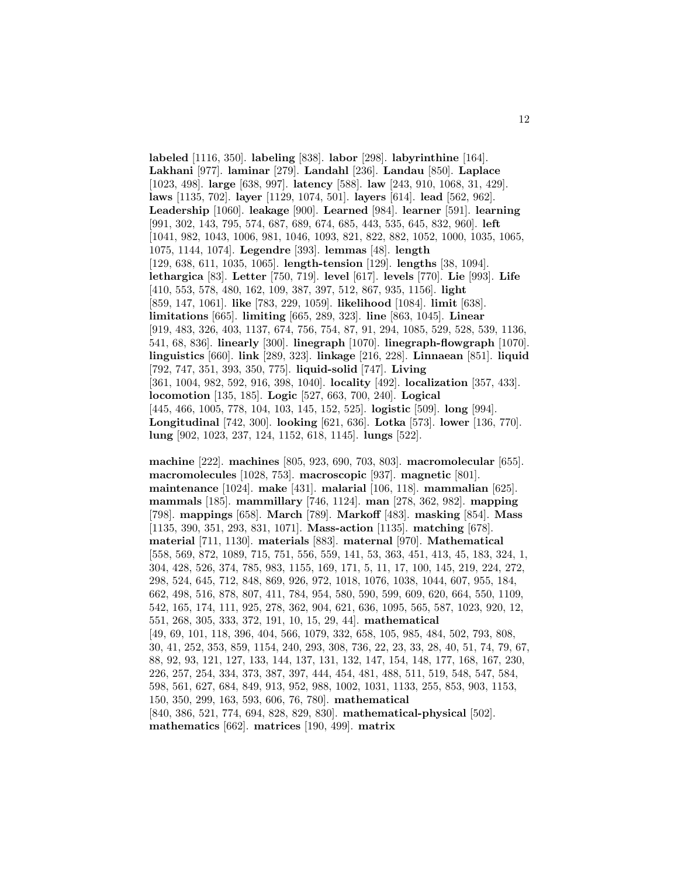**labeled** [1116, 350]. **labeling** [838]. **labor** [298]. **labyrinthine** [164]. **Lakhani** [977]. **laminar** [279]. **Landahl** [236]. **Landau** [850]. **Laplace** [1023, 498]. **large** [638, 997]. **latency** [588]. **law** [243, 910, 1068, 31, 429]. **laws** [1135, 702]. **layer** [1129, 1074, 501]. **layers** [614]. **lead** [562, 962]. **Leadership** [1060]. **leakage** [900]. **Learned** [984]. **learner** [591]. **learning** [991, 302, 143, 795, 574, 687, 689, 674, 685, 443, 535, 645, 832, 960]. **left** [1041, 982, 1043, 1006, 981, 1046, 1093, 821, 822, 882, 1052, 1000, 1035, 1065, 1075, 1144, 1074]. **Legendre** [393]. **lemmas** [48]. **length** [129, 638, 611, 1035, 1065]. **length-tension** [129]. **lengths** [38, 1094]. **lethargica** [83]. **Letter** [750, 719]. **level** [617]. **levels** [770]. **Lie** [993]. **Life** [410, 553, 578, 480, 162, 109, 387, 397, 512, 867, 935, 1156]. **light** [859, 147, 1061]. **like** [783, 229, 1059]. **likelihood** [1084]. **limit** [638]. **limitations** [665]. **limiting** [665, 289, 323]. **line** [863, 1045]. **Linear** [919, 483, 326, 403, 1137, 674, 756, 754, 87, 91, 294, 1085, 529, 528, 539, 1136, 541, 68, 836]. **linearly** [300]. **linegraph** [1070]. **linegraph-flowgraph** [1070]. **linguistics** [660]. **link** [289, 323]. **linkage** [216, 228]. **Linnaean** [851]. **liquid** [792, 747, 351, 393, 350, 775]. **liquid-solid** [747]. **Living** [361, 1004, 982, 592, 916, 398, 1040]. **locality** [492]. **localization** [357, 433]. **locomotion** [135, 185]. **Logic** [527, 663, 700, 240]. **Logical** [445, 466, 1005, 778, 104, 103, 145, 152, 525]. **logistic** [509]. **long** [994]. **Longitudinal** [742, 300]. **looking** [621, 636]. **Lotka** [573]. **lower** [136, 770]. **lung** [902, 1023, 237, 124, 1152, 618, 1145]. **lungs** [522].

**machine** [222]. **machines** [805, 923, 690, 703, 803]. **macromolecular** [655]. **macromolecules** [1028, 753]. **macroscopic** [937]. **magnetic** [801]. **maintenance** [1024]. **make** [431]. **malarial** [106, 118]. **mammalian** [625]. **mammals** [185]. **mammillary** [746, 1124]. **man** [278, 362, 982]. **mapping** [798]. **mappings** [658]. **March** [789]. **Markoff** [483]. **masking** [854]. **Mass** [1135, 390, 351, 293, 831, 1071]. **Mass-action** [1135]. **matching** [678]. **material** [711, 1130]. **materials** [883]. **maternal** [970]. **Mathematical** [558, 569, 872, 1089, 715, 751, 556, 559, 141, 53, 363, 451, 413, 45, 183, 324, 1, 304, 428, 526, 374, 785, 983, 1155, 169, 171, 5, 11, 17, 100, 145, 219, 224, 272, 298, 524, 645, 712, 848, 869, 926, 972, 1018, 1076, 1038, 1044, 607, 955, 184, 662, 498, 516, 878, 807, 411, 784, 954, 580, 590, 599, 609, 620, 664, 550, 1109, 542, 165, 174, 111, 925, 278, 362, 904, 621, 636, 1095, 565, 587, 1023, 920, 12, 551, 268, 305, 333, 372, 191, 10, 15, 29, 44]. **mathematical** [49, 69, 101, 118, 396, 404, 566, 1079, 332, 658, 105, 985, 484, 502, 793, 808, 30, 41, 252, 353, 859, 1154, 240, 293, 308, 736, 22, 23, 33, 28, 40, 51, 74, 79, 67, 88, 92, 93, 121, 127, 133, 144, 137, 131, 132, 147, 154, 148, 177, 168, 167, 230, 226, 257, 254, 334, 373, 387, 397, 444, 454, 481, 488, 511, 519, 548, 547, 584, 598, 561, 627, 684, 849, 913, 952, 988, 1002, 1031, 1133, 255, 853, 903, 1153, 150, 350, 299, 163, 593, 606, 76, 780]. **mathematical** [840, 386, 521, 774, 694, 828, 829, 830]. **mathematical-physical** [502]. **mathematics** [662]. **matrices** [190, 499]. **matrix**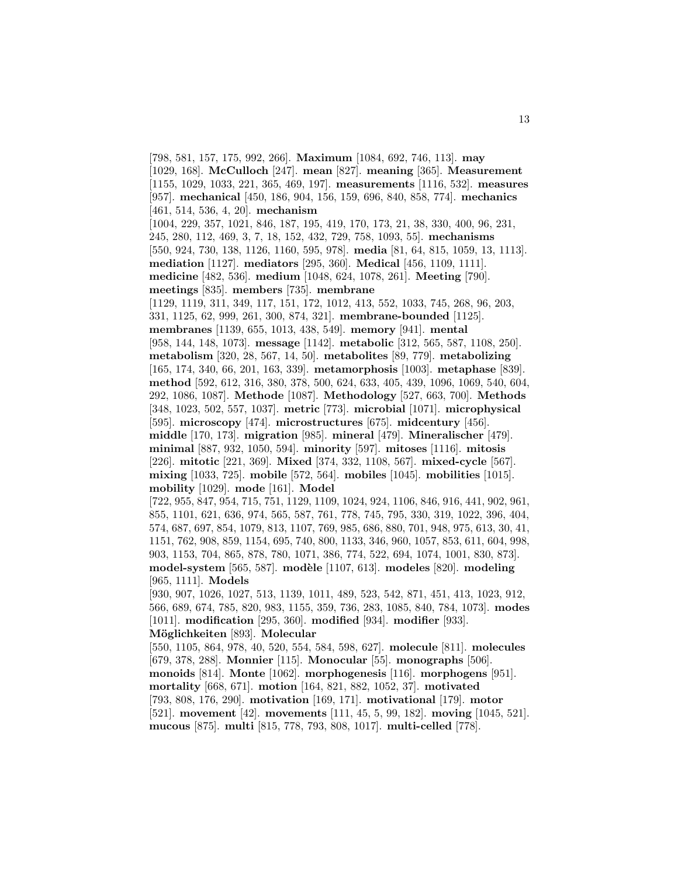[798, 581, 157, 175, 992, 266]. **Maximum** [1084, 692, 746, 113]. **may** [1029, 168]. **McCulloch** [247]. **mean** [827]. **meaning** [365]. **Measurement** [1155, 1029, 1033, 221, 365, 469, 197]. **measurements** [1116, 532]. **measures** [957]. **mechanical** [450, 186, 904, 156, 159, 696, 840, 858, 774]. **mechanics** [461, 514, 536, 4, 20]. **mechanism** [1004, 229, 357, 1021, 846, 187, 195, 419, 170, 173, 21, 38, 330, 400, 96, 231, 245, 280, 112, 469, 3, 7, 18, 152, 432, 729, 758, 1093, 55]. **mechanisms** [550, 924, 730, 138, 1126, 1160, 595, 978]. **media** [81, 64, 815, 1059, 13, 1113]. **mediation** [1127]. **mediators** [295, 360]. **Medical** [456, 1109, 1111]. **medicine** [482, 536]. **medium** [1048, 624, 1078, 261]. **Meeting** [790]. **meetings** [835]. **members** [735]. **membrane** [1129, 1119, 311, 349, 117, 151, 172, 1012, 413, 552, 1033, 745, 268, 96, 203, 331, 1125, 62, 999, 261, 300, 874, 321]. **membrane-bounded** [1125]. **membranes** [1139, 655, 1013, 438, 549]. **memory** [941]. **mental** [958, 144, 148, 1073]. **message** [1142]. **metabolic** [312, 565, 587, 1108, 250]. **metabolism** [320, 28, 567, 14, 50]. **metabolites** [89, 779]. **metabolizing** [165, 174, 340, 66, 201, 163, 339]. **metamorphosis** [1003]. **metaphase** [839]. **method** [592, 612, 316, 380, 378, 500, 624, 633, 405, 439, 1096, 1069, 540, 604, 292, 1086, 1087]. **Methode** [1087]. **Methodology** [527, 663, 700]. **Methods** [348, 1023, 502, 557, 1037]. **metric** [773]. **microbial** [1071]. **microphysical** [595]. **microscopy** [474]. **microstructures** [675]. **midcentury** [456]. **middle** [170, 173]. **migration** [985]. **mineral** [479]. **Mineralischer** [479]. **minimal** [887, 932, 1050, 594]. **minority** [597]. **mitoses** [1116]. **mitosis** [226]. **mitotic** [221, 369]. **Mixed** [374, 332, 1108, 567]. **mixed-cycle** [567]. **mixing** [1033, 725]. **mobile** [572, 564]. **mobiles** [1045]. **mobilities** [1015]. **mobility** [1029]. **mode** [161]. **Model** [722, 955, 847, 954, 715, 751, 1129, 1109, 1024, 924, 1106, 846, 916, 441, 902, 961, 855, 1101, 621, 636, 974, 565, 587, 761, 778, 745, 795, 330, 319, 1022, 396, 404, 574, 687, 697, 854, 1079, 813, 1107, 769, 985, 686, 880, 701, 948, 975, 613, 30, 41, 1151, 762, 908, 859, 1154, 695, 740, 800, 1133, 346, 960, 1057, 853, 611, 604, 998, 903, 1153, 704, 865, 878, 780, 1071, 386, 774, 522, 694, 1074, 1001, 830, 873]. **model-system** [565, 587]. **modèle** [1107, 613]. **modeles** [820]. **modeling** [965, 1111]. **Models** [930, 907, 1026, 1027, 513, 1139, 1011, 489, 523, 542, 871, 451, 413, 1023, 912, 566, 689, 674, 785, 820, 983, 1155, 359, 736, 283, 1085, 840, 784, 1073]. **modes** [1011]. **modification** [295, 360]. **modified** [934]. **modifier** [933]. **M¨oglichkeiten** [893]. **Molecular** [550, 1105, 864, 978, 40, 520, 554, 584, 598, 627]. **molecule** [811]. **molecules** [679, 378, 288]. **Monnier** [115]. **Monocular** [55]. **monographs** [506]. **monoids** [814]. **Monte** [1062]. **morphogenesis** [116]. **morphogens** [951]. **mortality** [668, 671]. **motion** [164, 821, 882, 1052, 37]. **motivated** [793, 808, 176, 290]. **motivation** [169, 171]. **motivational** [179]. **motor** [521]. **movement** [42]. **movements** [111, 45, 5, 99, 182]. **moving** [1045, 521]. **mucous** [875]. **multi** [815, 778, 793, 808, 1017]. **multi-celled** [778].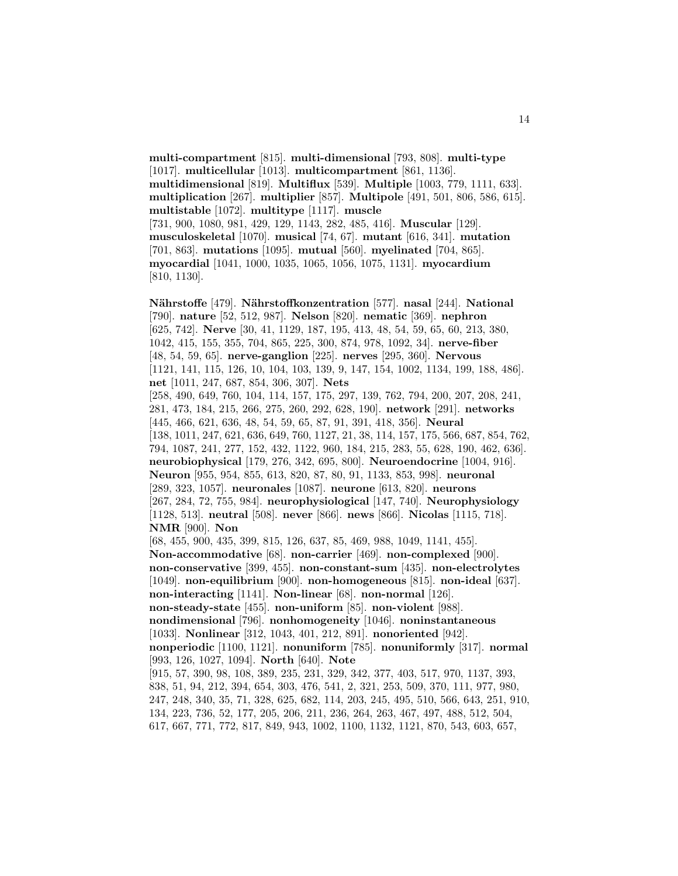**multi-compartment** [815]. **multi-dimensional** [793, 808]. **multi-type** [1017]. **multicellular** [1013]. **multicompartment** [861, 1136]. **multidimensional** [819]. **Multiflux** [539]. **Multiple** [1003, 779, 1111, 633]. **multiplication** [267]. **multiplier** [857]. **Multipole** [491, 501, 806, 586, 615]. **multistable** [1072]. **multitype** [1117]. **muscle** [731, 900, 1080, 981, 429, 129, 1143, 282, 485, 416]. **Muscular** [129]. **musculoskeletal** [1070]. **musical** [74, 67]. **mutant** [616, 341]. **mutation** [701, 863]. **mutations** [1095]. **mutual** [560]. **myelinated** [704, 865]. **myocardial** [1041, 1000, 1035, 1065, 1056, 1075, 1131]. **myocardium** [810, 1130].

14

**N¨ahrstoffe** [479]. **N¨ahrstoffkonzentration** [577]. **nasal** [244]. **National** [790]. **nature** [52, 512, 987]. **Nelson** [820]. **nematic** [369]. **nephron** [625, 742]. **Nerve** [30, 41, 1129, 187, 195, 413, 48, 54, 59, 65, 60, 213, 380, 1042, 415, 155, 355, 704, 865, 225, 300, 874, 978, 1092, 34]. **nerve-fiber** [48, 54, 59, 65]. **nerve-ganglion** [225]. **nerves** [295, 360]. **Nervous** [1121, 141, 115, 126, 10, 104, 103, 139, 9, 147, 154, 1002, 1134, 199, 188, 486]. **net** [1011, 247, 687, 854, 306, 307]. **Nets** [258, 490, 649, 760, 104, 114, 157, 175, 297, 139, 762, 794, 200, 207, 208, 241, 281, 473, 184, 215, 266, 275, 260, 292, 628, 190]. **network** [291]. **networks** [445, 466, 621, 636, 48, 54, 59, 65, 87, 91, 391, 418, 356]. **Neural** [138, 1011, 247, 621, 636, 649, 760, 1127, 21, 38, 114, 157, 175, 566, 687, 854, 762, 794, 1087, 241, 277, 152, 432, 1122, 960, 184, 215, 283, 55, 628, 190, 462, 636]. **neurobiophysical** [179, 276, 342, 695, 800]. **Neuroendocrine** [1004, 916]. **Neuron** [955, 954, 855, 613, 820, 87, 80, 91, 1133, 853, 998]. **neuronal** [289, 323, 1057]. **neuronales** [1087]. **neurone** [613, 820]. **neurons** [267, 284, 72, 755, 984]. **neurophysiological** [147, 740]. **Neurophysiology** [1128, 513]. **neutral** [508]. **never** [866]. **news** [866]. **Nicolas** [1115, 718]. **NMR** [900]. **Non** [68, 455, 900, 435, 399, 815, 126, 637, 85, 469, 988, 1049, 1141, 455]. **Non-accommodative** [68]. **non-carrier** [469]. **non-complexed** [900]. **non-conservative** [399, 455]. **non-constant-sum** [435]. **non-electrolytes** [1049]. **non-equilibrium** [900]. **non-homogeneous** [815]. **non-ideal** [637]. **non-interacting** [1141]. **Non-linear** [68]. **non-normal** [126]. **non-steady-state** [455]. **non-uniform** [85]. **non-violent** [988]. **nondimensional** [796]. **nonhomogeneity** [1046]. **noninstantaneous** [1033]. **Nonlinear** [312, 1043, 401, 212, 891]. **nonoriented** [942]. **nonperiodic** [1100, 1121]. **nonuniform** [785]. **nonuniformly** [317]. **normal** [993, 126, 1027, 1094]. **North** [640]. **Note** [915, 57, 390, 98, 108, 389, 235, 231, 329, 342, 377, 403, 517, 970, 1137, 393, 838, 51, 94, 212, 394, 654, 303, 476, 541, 2, 321, 253, 509, 370, 111, 977, 980, 247, 248, 340, 35, 71, 328, 625, 682, 114, 203, 245, 495, 510, 566, 643, 251, 910, 134, 223, 736, 52, 177, 205, 206, 211, 236, 264, 263, 467, 497, 488, 512, 504,

617, 667, 771, 772, 817, 849, 943, 1002, 1100, 1132, 1121, 870, 543, 603, 657,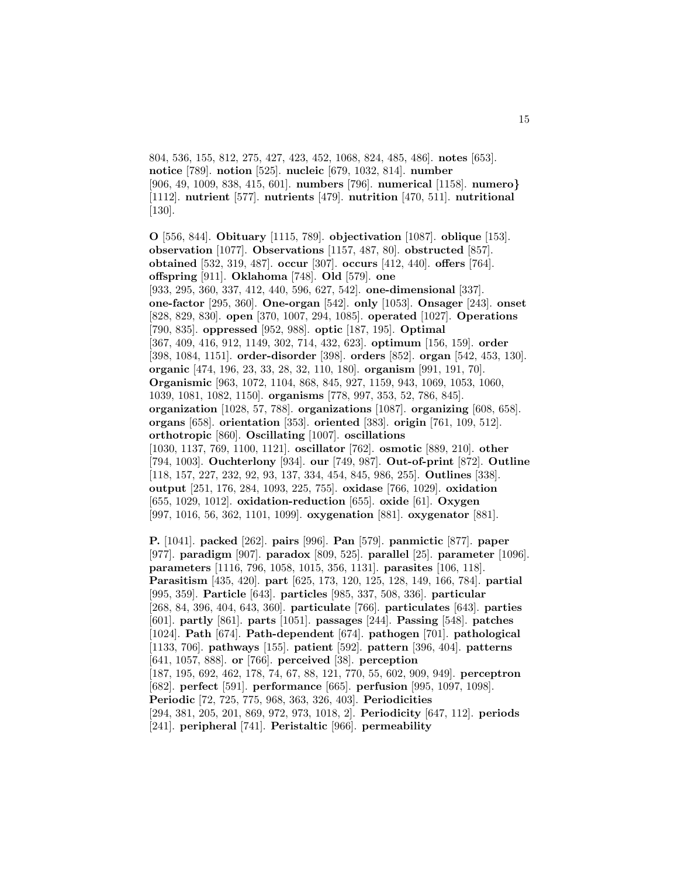804, 536, 155, 812, 275, 427, 423, 452, 1068, 824, 485, 486]. **notes** [653]. **notice** [789]. **notion** [525]. **nucleic** [679, 1032, 814]. **number** [906, 49, 1009, 838, 415, 601]. **numbers** [796]. **numerical** [1158]. **numero***}* [1112]. **nutrient** [577]. **nutrients** [479]. **nutrition** [470, 511]. **nutritional** [130].

**O** [556, 844]. **Obituary** [1115, 789]. **objectivation** [1087]. **oblique** [153]. **observation** [1077]. **Observations** [1157, 487, 80]. **obstructed** [857]. **obtained** [532, 319, 487]. **occur** [307]. **occurs** [412, 440]. **offers** [764]. **offspring** [911]. **Oklahoma** [748]. **Old** [579]. **one** [933, 295, 360, 337, 412, 440, 596, 627, 542]. **one-dimensional** [337]. **one-factor** [295, 360]. **One-organ** [542]. **only** [1053]. **Onsager** [243]. **onset** [828, 829, 830]. **open** [370, 1007, 294, 1085]. **operated** [1027]. **Operations** [790, 835]. **oppressed** [952, 988]. **optic** [187, 195]. **Optimal** [367, 409, 416, 912, 1149, 302, 714, 432, 623]. **optimum** [156, 159]. **order** [398, 1084, 1151]. **order-disorder** [398]. **orders** [852]. **organ** [542, 453, 130]. **organic** [474, 196, 23, 33, 28, 32, 110, 180]. **organism** [991, 191, 70]. **Organismic** [963, 1072, 1104, 868, 845, 927, 1159, 943, 1069, 1053, 1060, 1039, 1081, 1082, 1150]. **organisms** [778, 997, 353, 52, 786, 845]. **organization** [1028, 57, 788]. **organizations** [1087]. **organizing** [608, 658]. **organs** [658]. **orientation** [353]. **oriented** [383]. **origin** [761, 109, 512]. **orthotropic** [860]. **Oscillating** [1007]. **oscillations** [1030, 1137, 769, 1100, 1121]. **oscillator** [762]. **osmotic** [889, 210]. **other** [794, 1003]. **Ouchterlony** [934]. **our** [749, 987]. **Out-of-print** [872]. **Outline** [118, 157, 227, 232, 92, 93, 137, 334, 454, 845, 986, 255]. **Outlines** [338]. **output** [251, 176, 284, 1093, 225, 755]. **oxidase** [766, 1029]. **oxidation** [655, 1029, 1012]. **oxidation-reduction** [655]. **oxide** [61]. **Oxygen** [997, 1016, 56, 362, 1101, 1099]. **oxygenation** [881]. **oxygenator** [881].

**P.** [1041]. **packed** [262]. **pairs** [996]. **Pan** [579]. **panmictic** [877]. **paper** [977]. **paradigm** [907]. **paradox** [809, 525]. **parallel** [25]. **parameter** [1096]. **parameters** [1116, 796, 1058, 1015, 356, 1131]. **parasites** [106, 118]. **Parasitism** [435, 420]. **part** [625, 173, 120, 125, 128, 149, 166, 784]. **partial** [995, 359]. **Particle** [643]. **particles** [985, 337, 508, 336]. **particular** [268, 84, 396, 404, 643, 360]. **particulate** [766]. **particulates** [643]. **parties** [601]. **partly** [861]. **parts** [1051]. **passages** [244]. **Passing** [548]. **patches** [1024]. **Path** [674]. **Path-dependent** [674]. **pathogen** [701]. **pathological** [1133, 706]. **pathways** [155]. **patient** [592]. **pattern** [396, 404]. **patterns** [641, 1057, 888]. **or** [766]. **perceived** [38]. **perception** [187, 195, 692, 462, 178, 74, 67, 88, 121, 770, 55, 602, 909, 949]. **perceptron** [682]. **perfect** [591]. **performance** [665]. **perfusion** [995, 1097, 1098]. **Periodic** [72, 725, 775, 968, 363, 326, 403]. **Periodicities** [294, 381, 205, 201, 869, 972, 973, 1018, 2]. **Periodicity** [647, 112]. **periods** [241]. **peripheral** [741]. **Peristaltic** [966]. **permeability**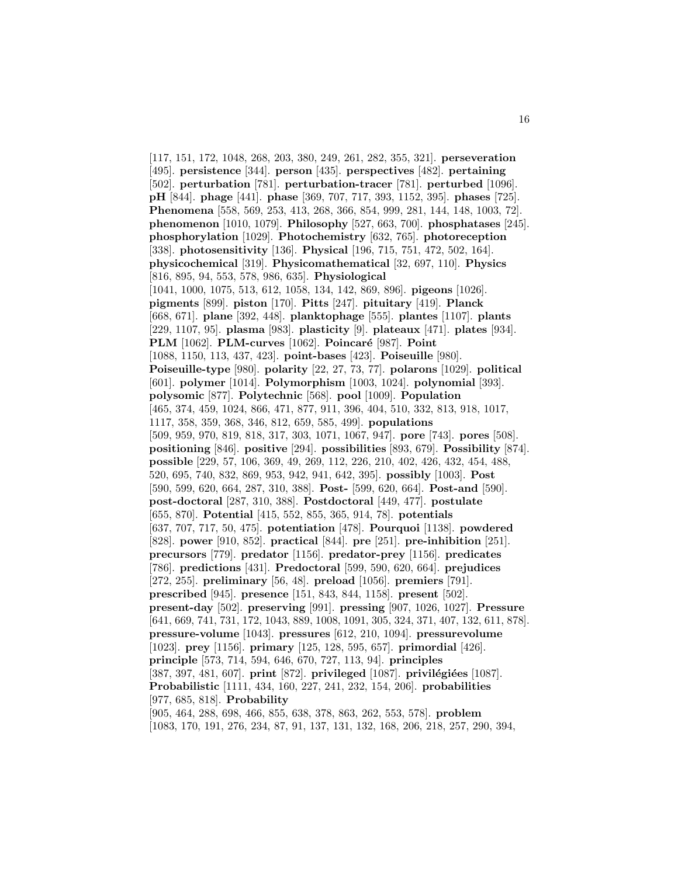[117, 151, 172, 1048, 268, 203, 380, 249, 261, 282, 355, 321]. **perseveration** [495]. **persistence** [344]. **person** [435]. **perspectives** [482]. **pertaining** [502]. **perturbation** [781]. **perturbation-tracer** [781]. **perturbed** [1096]. **pH** [844]. **phage** [441]. **phase** [369, 707, 717, 393, 1152, 395]. **phases** [725]. **Phenomena** [558, 569, 253, 413, 268, 366, 854, 999, 281, 144, 148, 1003, 72]. **phenomenon** [1010, 1079]. **Philosophy** [527, 663, 700]. **phosphatases** [245]. **phosphorylation** [1029]. **Photochemistry** [632, 765]. **photoreception** [338]. **photosensitivity** [136]. **Physical** [196, 715, 751, 472, 502, 164]. **physicochemical** [319]. **Physicomathematical** [32, 697, 110]. **Physics** [816, 895, 94, 553, 578, 986, 635]. **Physiological** [1041, 1000, 1075, 513, 612, 1058, 134, 142, 869, 896]. **pigeons** [1026]. **pigments** [899]. **piston** [170]. **Pitts** [247]. **pituitary** [419]. **Planck** [668, 671]. **plane** [392, 448]. **planktophage** [555]. **plantes** [1107]. **plants** [229, 1107, 95]. **plasma** [983]. **plasticity** [9]. **plateaux** [471]. **plates** [934]. **PLM** [1062]. **PLM-curves** [1062]. **Poincar´e** [987]. **Point** [1088, 1150, 113, 437, 423]. **point-bases** [423]. **Poiseuille** [980]. **Poiseuille-type** [980]. **polarity** [22, 27, 73, 77]. **polarons** [1029]. **political** [601]. **polymer** [1014]. **Polymorphism** [1003, 1024]. **polynomial** [393]. **polysomic** [877]. **Polytechnic** [568]. **pool** [1009]. **Population** [465, 374, 459, 1024, 866, 471, 877, 911, 396, 404, 510, 332, 813, 918, 1017, 1117, 358, 359, 368, 346, 812, 659, 585, 499]. **populations** [509, 959, 970, 819, 818, 317, 303, 1071, 1067, 947]. **pore** [743]. **pores** [508]. **positioning** [846]. **positive** [294]. **possibilities** [893, 679]. **Possibility** [874]. **possible** [229, 57, 106, 369, 49, 269, 112, 226, 210, 402, 426, 432, 454, 488, 520, 695, 740, 832, 869, 953, 942, 941, 642, 395]. **possibly** [1003]. **Post** [590, 599, 620, 664, 287, 310, 388]. **Post-** [599, 620, 664]. **Post-and** [590]. **post-doctoral** [287, 310, 388]. **Postdoctoral** [449, 477]. **postulate** [655, 870]. **Potential** [415, 552, 855, 365, 914, 78]. **potentials** [637, 707, 717, 50, 475]. **potentiation** [478]. **Pourquoi** [1138]. **powdered** [828]. **power** [910, 852]. **practical** [844]. **pre** [251]. **pre-inhibition** [251]. **precursors** [779]. **predator** [1156]. **predator-prey** [1156]. **predicates** [786]. **predictions** [431]. **Predoctoral** [599, 590, 620, 664]. **prejudices** [272, 255]. **preliminary** [56, 48]. **preload** [1056]. **premiers** [791]. **prescribed** [945]. **presence** [151, 843, 844, 1158]. **present** [502]. **present-day** [502]. **preserving** [991]. **pressing** [907, 1026, 1027]. **Pressure** [641, 669, 741, 731, 172, 1043, 889, 1008, 1091, 305, 324, 371, 407, 132, 611, 878]. **pressure-volume** [1043]. **pressures** [612, 210, 1094]. **pressurevolume** [1023]. **prey** [1156]. **primary** [125, 128, 595, 657]. **primordial** [426]. **principle** [573, 714, 594, 646, 670, 727, 113, 94]. **principles** [387, 397, 481, 607]. **print** [872]. **privileged** [1087]. **privilégiées** [1087]. **Probabilistic** [1111, 434, 160, 227, 241, 232, 154, 206]. **probabilities** [977, 685, 818]. **Probability** [905, 464, 288, 698, 466, 855, 638, 378, 863, 262, 553, 578]. **problem**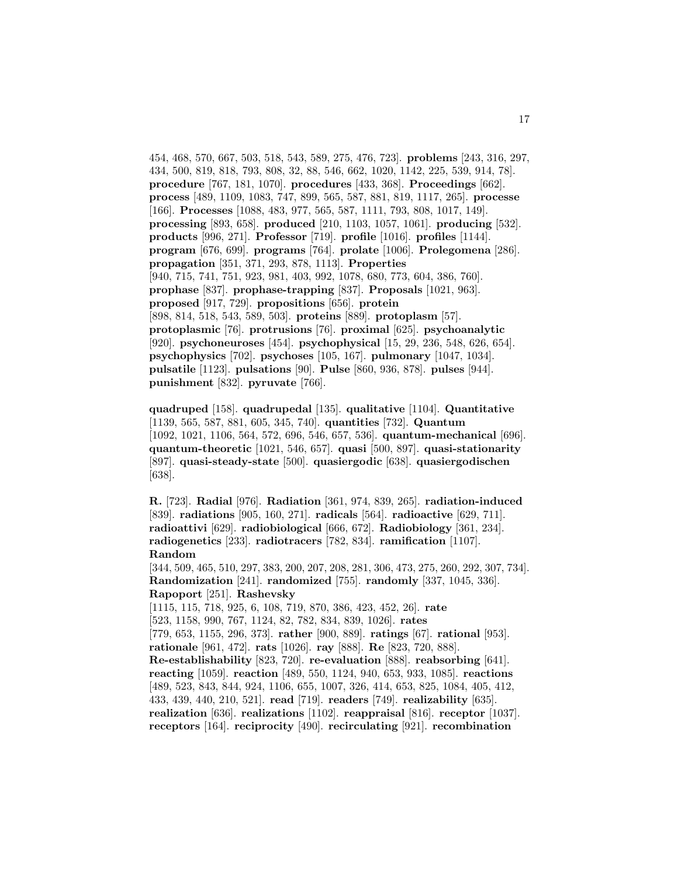454, 468, 570, 667, 503, 518, 543, 589, 275, 476, 723]. **problems** [243, 316, 297, 434, 500, 819, 818, 793, 808, 32, 88, 546, 662, 1020, 1142, 225, 539, 914, 78]. **procedure** [767, 181, 1070]. **procedures** [433, 368]. **Proceedings** [662]. **process** [489, 1109, 1083, 747, 899, 565, 587, 881, 819, 1117, 265]. **processe** [166]. **Processes** [1088, 483, 977, 565, 587, 1111, 793, 808, 1017, 149]. **processing** [893, 658]. **produced** [210, 1103, 1057, 1061]. **producing** [532]. **products** [996, 271]. **Professor** [719]. **profile** [1016]. **profiles** [1144]. **program** [676, 699]. **programs** [764]. **prolate** [1006]. **Prolegomena** [286]. **propagation** [351, 371, 293, 878, 1113]. **Properties** [940, 715, 741, 751, 923, 981, 403, 992, 1078, 680, 773, 604, 386, 760]. **prophase** [837]. **prophase-trapping** [837]. **Proposals** [1021, 963]. **proposed** [917, 729]. **propositions** [656]. **protein** [898, 814, 518, 543, 589, 503]. **proteins** [889]. **protoplasm** [57]. **protoplasmic** [76]. **protrusions** [76]. **proximal** [625]. **psychoanalytic** [920]. **psychoneuroses** [454]. **psychophysical** [15, 29, 236, 548, 626, 654]. **psychophysics** [702]. **psychoses** [105, 167]. **pulmonary** [1047, 1034]. **pulsatile** [1123]. **pulsations** [90]. **Pulse** [860, 936, 878]. **pulses** [944]. **punishment** [832]. **pyruvate** [766].

**quadruped** [158]. **quadrupedal** [135]. **qualitative** [1104]. **Quantitative** [1139, 565, 587, 881, 605, 345, 740]. **quantities** [732]. **Quantum** [1092, 1021, 1106, 564, 572, 696, 546, 657, 536]. **quantum-mechanical** [696]. **quantum-theoretic** [1021, 546, 657]. **quasi** [500, 897]. **quasi-stationarity** [897]. **quasi-steady-state** [500]. **quasiergodic** [638]. **quasiergodischen** [638].

**R.** [723]. **Radial** [976]. **Radiation** [361, 974, 839, 265]. **radiation-induced** [839]. **radiations** [905, 160, 271]. **radicals** [564]. **radioactive** [629, 711]. **radioattivi** [629]. **radiobiological** [666, 672]. **Radiobiology** [361, 234]. **radiogenetics** [233]. **radiotracers** [782, 834]. **ramification** [1107]. **Random**

[344, 509, 465, 510, 297, 383, 200, 207, 208, 281, 306, 473, 275, 260, 292, 307, 734]. **Randomization** [241]. **randomized** [755]. **randomly** [337, 1045, 336]. **Rapoport** [251]. **Rashevsky**

[1115, 115, 718, 925, 6, 108, 719, 870, 386, 423, 452, 26]. **rate** [523, 1158, 990, 767, 1124, 82, 782, 834, 839, 1026]. **rates** [779, 653, 1155, 296, 373]. **rather** [900, 889]. **ratings** [67]. **rational** [953]. **rationale** [961, 472]. **rats** [1026]. **ray** [888]. **Re** [823, 720, 888]. **Re-establishability** [823, 720]. **re-evaluation** [888]. **reabsorbing** [641]. **reacting** [1059]. **reaction** [489, 550, 1124, 940, 653, 933, 1085]. **reactions** [489, 523, 843, 844, 924, 1106, 655, 1007, 326, 414, 653, 825, 1084, 405, 412, 433, 439, 440, 210, 521]. **read** [719]. **readers** [749]. **realizability** [635]. **realization** [636]. **realizations** [1102]. **reappraisal** [816]. **receptor** [1037]. **receptors** [164]. **reciprocity** [490]. **recirculating** [921]. **recombination**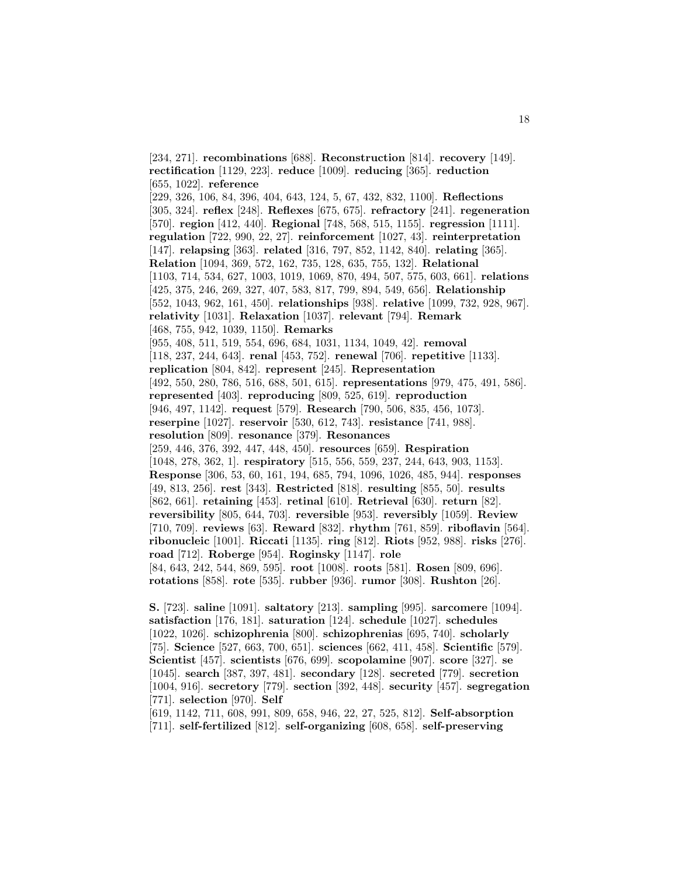[234, 271]. **recombinations** [688]. **Reconstruction** [814]. **recovery** [149]. **rectification** [1129, 223]. **reduce** [1009]. **reducing** [365]. **reduction** [655, 1022]. **reference** [229, 326, 106, 84, 396, 404, 643, 124, 5, 67, 432, 832, 1100]. **Reflections** [305, 324]. **reflex** [248]. **Reflexes** [675, 675]. **refractory** [241]. **regeneration** [570]. **region** [412, 440]. **Regional** [748, 568, 515, 1155]. **regression** [1111]. **regulation** [722, 990, 22, 27]. **reinforcement** [1027, 43]. **reinterpretation** [147]. **relapsing** [363]. **related** [316, 797, 852, 1142, 840]. **relating** [365]. **Relation** [1094, 369, 572, 162, 735, 128, 635, 755, 132]. **Relational** [1103, 714, 534, 627, 1003, 1019, 1069, 870, 494, 507, 575, 603, 661]. **relations** [425, 375, 246, 269, 327, 407, 583, 817, 799, 894, 549, 656]. **Relationship** [552, 1043, 962, 161, 450]. **relationships** [938]. **relative** [1099, 732, 928, 967]. **relativity** [1031]. **Relaxation** [1037]. **relevant** [794]. **Remark** [468, 755, 942, 1039, 1150]. **Remarks** [955, 408, 511, 519, 554, 696, 684, 1031, 1134, 1049, 42]. **removal** [118, 237, 244, 643]. **renal** [453, 752]. **renewal** [706]. **repetitive** [1133]. **replication** [804, 842]. **represent** [245]. **Representation** [492, 550, 280, 786, 516, 688, 501, 615]. **representations** [979, 475, 491, 586]. **represented** [403]. **reproducing** [809, 525, 619]. **reproduction** [946, 497, 1142]. **request** [579]. **Research** [790, 506, 835, 456, 1073]. **reserpine** [1027]. **reservoir** [530, 612, 743]. **resistance** [741, 988]. **resolution** [809]. **resonance** [379]. **Resonances** [259, 446, 376, 392, 447, 448, 450]. **resources** [659]. **Respiration** [1048, 278, 362, 1]. **respiratory** [515, 556, 559, 237, 244, 643, 903, 1153]. **Response** [306, 53, 60, 161, 194, 685, 794, 1096, 1026, 485, 944]. **responses** [49, 813, 256]. **rest** [343]. **Restricted** [818]. **resulting** [855, 50]. **results** [862, 661]. **retaining** [453]. **retinal** [610]. **Retrieval** [630]. **return** [82]. **reversibility** [805, 644, 703]. **reversible** [953]. **reversibly** [1059]. **Review** [710, 709]. **reviews** [63]. **Reward** [832]. **rhythm** [761, 859]. **riboflavin** [564]. **ribonucleic** [1001]. **Riccati** [1135]. **ring** [812]. **Riots** [952, 988]. **risks** [276]. **road** [712]. **Roberge** [954]. **Roginsky** [1147]. **role** [84, 643, 242, 544, 869, 595]. **root** [1008]. **roots** [581]. **Rosen** [809, 696]. **rotations** [858]. **rote** [535]. **rubber** [936]. **rumor** [308]. **Rushton** [26].

**S.** [723]. **saline** [1091]. **saltatory** [213]. **sampling** [995]. **sarcomere** [1094]. **satisfaction** [176, 181]. **saturation** [124]. **schedule** [1027]. **schedules** [1022, 1026]. **schizophrenia** [800]. **schizophrenias** [695, 740]. **scholarly** [75]. **Science** [527, 663, 700, 651]. **sciences** [662, 411, 458]. **Scientific** [579]. **Scientist** [457]. **scientists** [676, 699]. **scopolamine** [907]. **score** [327]. **se** [1045]. **search** [387, 397, 481]. **secondary** [128]. **secreted** [779]. **secretion** [1004, 916]. **secretory** [779]. **section** [392, 448]. **security** [457]. **segregation** [771]. **selection** [970]. **Self**

[619, 1142, 711, 608, 991, 809, 658, 946, 22, 27, 525, 812]. **Self-absorption** [711]. **self-fertilized** [812]. **self-organizing** [608, 658]. **self-preserving**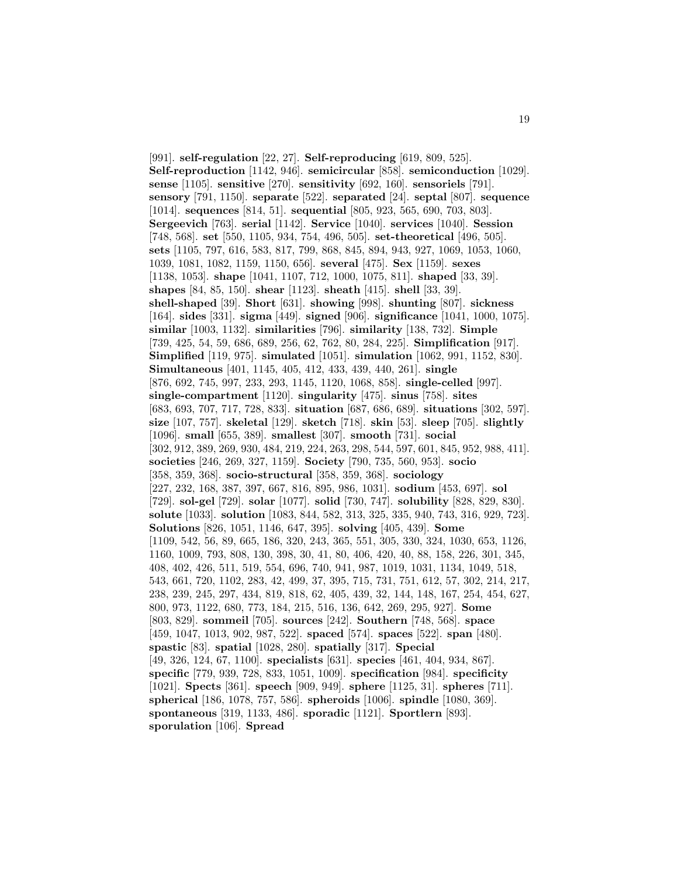[991]. **self-regulation** [22, 27]. **Self-reproducing** [619, 809, 525]. **Self-reproduction** [1142, 946]. **semicircular** [858]. **semiconduction** [1029]. **sense** [1105]. **sensitive** [270]. **sensitivity** [692, 160]. **sensoriels** [791]. **sensory** [791, 1150]. **separate** [522]. **separated** [24]. **septal** [807]. **sequence** [1014]. **sequences** [814, 51]. **sequential** [805, 923, 565, 690, 703, 803]. **Sergeevich** [763]. **serial** [1142]. **Service** [1040]. **services** [1040]. **Session** [748, 568]. **set** [550, 1105, 934, 754, 496, 505]. **set-theoretical** [496, 505]. **sets** [1105, 797, 616, 583, 817, 799, 868, 845, 894, 943, 927, 1069, 1053, 1060, 1039, 1081, 1082, 1159, 1150, 656]. **several** [475]. **Sex** [1159]. **sexes** [1138, 1053]. **shape** [1041, 1107, 712, 1000, 1075, 811]. **shaped** [33, 39]. **shapes** [84, 85, 150]. **shear** [1123]. **sheath** [415]. **shell** [33, 39]. **shell-shaped** [39]. **Short** [631]. **showing** [998]. **shunting** [807]. **sickness** [164]. **sides** [331]. **sigma** [449]. **signed** [906]. **significance** [1041, 1000, 1075]. **similar** [1003, 1132]. **similarities** [796]. **similarity** [138, 732]. **Simple** [739, 425, 54, 59, 686, 689, 256, 62, 762, 80, 284, 225]. **Simplification** [917]. **Simplified** [119, 975]. **simulated** [1051]. **simulation** [1062, 991, 1152, 830]. **Simultaneous** [401, 1145, 405, 412, 433, 439, 440, 261]. **single** [876, 692, 745, 997, 233, 293, 1145, 1120, 1068, 858]. **single-celled** [997]. **single-compartment** [1120]. **singularity** [475]. **sinus** [758]. **sites** [683, 693, 707, 717, 728, 833]. **situation** [687, 686, 689]. **situations** [302, 597]. **size** [107, 757]. **skeletal** [129]. **sketch** [718]. **skin** [53]. **sleep** [705]. **slightly** [1096]. **small** [655, 389]. **smallest** [307]. **smooth** [731]. **social** [302, 912, 389, 269, 930, 484, 219, 224, 263, 298, 544, 597, 601, 845, 952, 988, 411]. **societies** [246, 269, 327, 1159]. **Society** [790, 735, 560, 953]. **socio** [358, 359, 368]. **socio-structural** [358, 359, 368]. **sociology** [227, 232, 168, 387, 397, 667, 816, 895, 986, 1031]. **sodium** [453, 697]. **sol** [729]. **sol-gel** [729]. **solar** [1077]. **solid** [730, 747]. **solubility** [828, 829, 830]. **solute** [1033]. **solution** [1083, 844, 582, 313, 325, 335, 940, 743, 316, 929, 723]. **Solutions** [826, 1051, 1146, 647, 395]. **solving** [405, 439]. **Some** [1109, 542, 56, 89, 665, 186, 320, 243, 365, 551, 305, 330, 324, 1030, 653, 1126, 1160, 1009, 793, 808, 130, 398, 30, 41, 80, 406, 420, 40, 88, 158, 226, 301, 345, 408, 402, 426, 511, 519, 554, 696, 740, 941, 987, 1019, 1031, 1134, 1049, 518, 543, 661, 720, 1102, 283, 42, 499, 37, 395, 715, 731, 751, 612, 57, 302, 214, 217, 238, 239, 245, 297, 434, 819, 818, 62, 405, 439, 32, 144, 148, 167, 254, 454, 627, 800, 973, 1122, 680, 773, 184, 215, 516, 136, 642, 269, 295, 927]. **Some** [803, 829]. **sommeil** [705]. **sources** [242]. **Southern** [748, 568]. **space** [459, 1047, 1013, 902, 987, 522]. **spaced** [574]. **spaces** [522]. **span** [480]. **spastic** [83]. **spatial** [1028, 280]. **spatially** [317]. **Special** [49, 326, 124, 67, 1100]. **specialists** [631]. **species** [461, 404, 934, 867]. **specific** [779, 939, 728, 833, 1051, 1009]. **specification** [984]. **specificity** [1021]. **Spects** [361]. **speech** [909, 949]. **sphere** [1125, 31]. **spheres** [711]. **spherical** [186, 1078, 757, 586]. **spheroids** [1006]. **spindle** [1080, 369]. **spontaneous** [319, 1133, 486]. **sporadic** [1121]. **Sportlern** [893]. **sporulation** [106]. **Spread**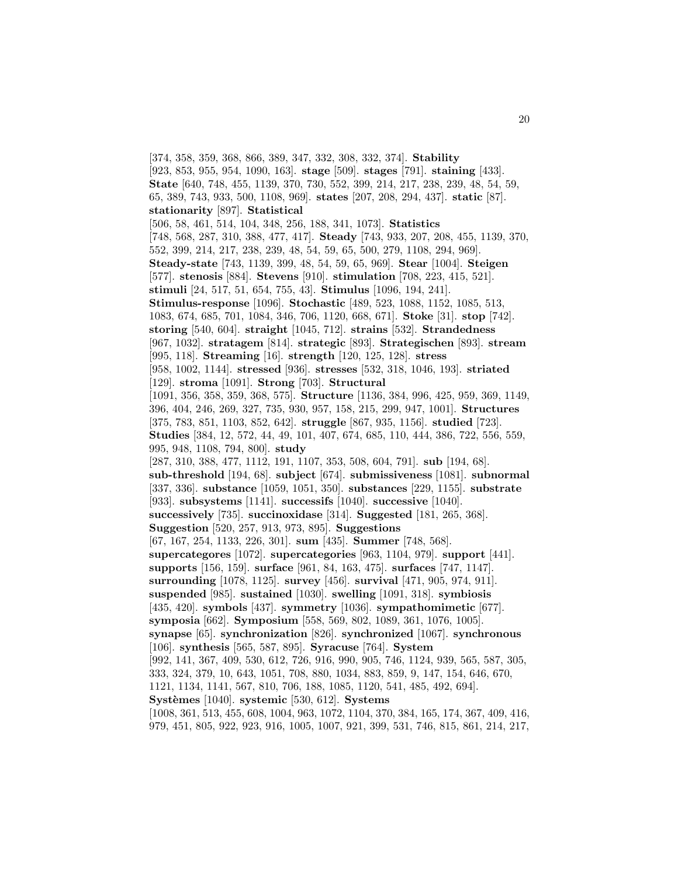[374, 358, 359, 368, 866, 389, 347, 332, 308, 332, 374]. **Stability** [923, 853, 955, 954, 1090, 163]. **stage** [509]. **stages** [791]. **staining** [433]. **State** [640, 748, 455, 1139, 370, 730, 552, 399, 214, 217, 238, 239, 48, 54, 59, 65, 389, 743, 933, 500, 1108, 969]. **states** [207, 208, 294, 437]. **static** [87]. **stationarity** [897]. **Statistical** [506, 58, 461, 514, 104, 348, 256, 188, 341, 1073]. **Statistics** [748, 568, 287, 310, 388, 477, 417]. **Steady** [743, 933, 207, 208, 455, 1139, 370, 552, 399, 214, 217, 238, 239, 48, 54, 59, 65, 500, 279, 1108, 294, 969]. **Steady-state** [743, 1139, 399, 48, 54, 59, 65, 969]. **Stear** [1004]. **Steigen** [577]. **stenosis** [884]. **Stevens** [910]. **stimulation** [708, 223, 415, 521]. **stimuli** [24, 517, 51, 654, 755, 43]. **Stimulus** [1096, 194, 241]. **Stimulus-response** [1096]. **Stochastic** [489, 523, 1088, 1152, 1085, 513, 1083, 674, 685, 701, 1084, 346, 706, 1120, 668, 671]. **Stoke** [31]. **stop** [742]. **storing** [540, 604]. **straight** [1045, 712]. **strains** [532]. **Strandedness** [967, 1032]. **stratagem** [814]. **strategic** [893]. **Strategischen** [893]. **stream** [995, 118]. **Streaming** [16]. **strength** [120, 125, 128]. **stress** [958, 1002, 1144]. **stressed** [936]. **stresses** [532, 318, 1046, 193]. **striated** [129]. **stroma** [1091]. **Strong** [703]. **Structural** [1091, 356, 358, 359, 368, 575]. **Structure** [1136, 384, 996, 425, 959, 369, 1149, 396, 404, 246, 269, 327, 735, 930, 957, 158, 215, 299, 947, 1001]. **Structures** [375, 783, 851, 1103, 852, 642]. **struggle** [867, 935, 1156]. **studied** [723]. **Studies** [384, 12, 572, 44, 49, 101, 407, 674, 685, 110, 444, 386, 722, 556, 559, 995, 948, 1108, 794, 800]. **study** [287, 310, 388, 477, 1112, 191, 1107, 353, 508, 604, 791]. **sub** [194, 68]. **sub-threshold** [194, 68]. **subject** [674]. **submissiveness** [1081]. **subnormal** [337, 336]. **substance** [1059, 1051, 350]. **substances** [229, 1155]. **substrate** [933]. **subsystems** [1141]. **successifs** [1040]. **successive** [1040]. **successively** [735]. **succinoxidase** [314]. **Suggested** [181, 265, 368]. **Suggestion** [520, 257, 913, 973, 895]. **Suggestions** [67, 167, 254, 1133, 226, 301]. **sum** [435]. **Summer** [748, 568]. **supercategores** [1072]. **supercategories** [963, 1104, 979]. **support** [441]. **supports** [156, 159]. **surface** [961, 84, 163, 475]. **surfaces** [747, 1147]. **surrounding** [1078, 1125]. **survey** [456]. **survival** [471, 905, 974, 911]. **suspended** [985]. **sustained** [1030]. **swelling** [1091, 318]. **symbiosis** [435, 420]. **symbols** [437]. **symmetry** [1036]. **sympathomimetic** [677]. **symposia** [662]. **Symposium** [558, 569, 802, 1089, 361, 1076, 1005]. **synapse** [65]. **synchronization** [826]. **synchronized** [1067]. **synchronous** [106]. **synthesis** [565, 587, 895]. **Syracuse** [764]. **System** [992, 141, 367, 409, 530, 612, 726, 916, 990, 905, 746, 1124, 939, 565, 587, 305, 333, 324, 379, 10, 643, 1051, 708, 880, 1034, 883, 859, 9, 147, 154, 646, 670, 1121, 1134, 1141, 567, 810, 706, 188, 1085, 1120, 541, 485, 492, 694]. **Syst`emes** [1040]. **systemic** [530, 612]. **Systems** [1008, 361, 513, 455, 608, 1004, 963, 1072, 1104, 370, 384, 165, 174, 367, 409, 416, 979, 451, 805, 922, 923, 916, 1005, 1007, 921, 399, 531, 746, 815, 861, 214, 217,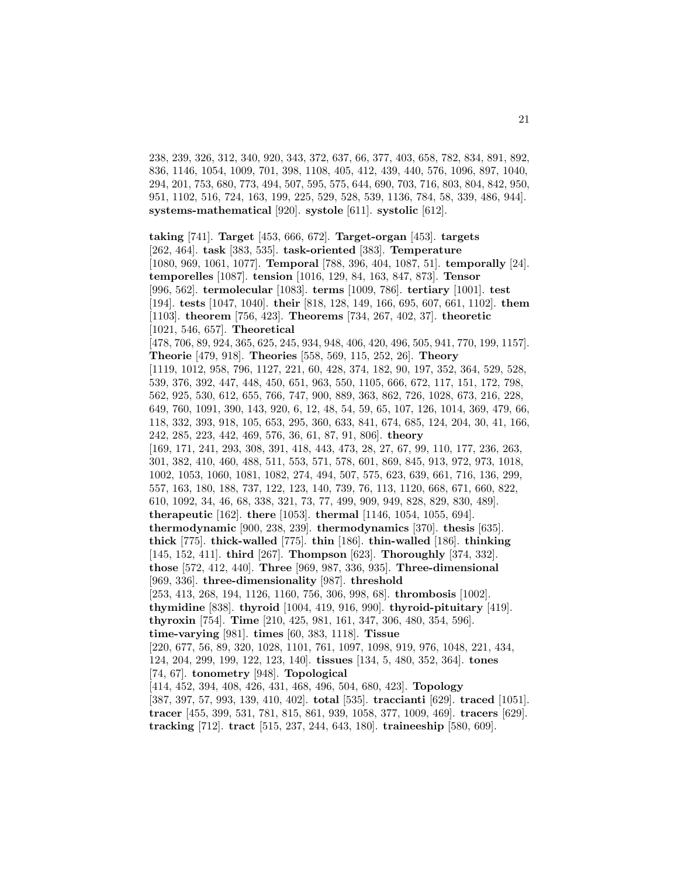238, 239, 326, 312, 340, 920, 343, 372, 637, 66, 377, 403, 658, 782, 834, 891, 892, 836, 1146, 1054, 1009, 701, 398, 1108, 405, 412, 439, 440, 576, 1096, 897, 1040, 294, 201, 753, 680, 773, 494, 507, 595, 575, 644, 690, 703, 716, 803, 804, 842, 950, 951, 1102, 516, 724, 163, 199, 225, 529, 528, 539, 1136, 784, 58, 339, 486, 944]. **systems-mathematical** [920]. **systole** [611]. **systolic** [612].

**taking** [741]. **Target** [453, 666, 672]. **Target-organ** [453]. **targets** [262, 464]. **task** [383, 535]. **task-oriented** [383]. **Temperature** [1080, 969, 1061, 1077]. **Temporal** [788, 396, 404, 1087, 51]. **temporally** [24]. **temporelles** [1087]. **tension** [1016, 129, 84, 163, 847, 873]. **Tensor** [996, 562]. **termolecular** [1083]. **terms** [1009, 786]. **tertiary** [1001]. **test** [194]. **tests** [1047, 1040]. **their** [818, 128, 149, 166, 695, 607, 661, 1102]. **them** [1103]. **theorem** [756, 423]. **Theorems** [734, 267, 402, 37]. **theoretic** [1021, 546, 657]. **Theoretical** [478, 706, 89, 924, 365, 625, 245, 934, 948, 406, 420, 496, 505, 941, 770, 199, 1157]. **Theorie** [479, 918]. **Theories** [558, 569, 115, 252, 26]. **Theory** [1119, 1012, 958, 796, 1127, 221, 60, 428, 374, 182, 90, 197, 352, 364, 529, 528, 539, 376, 392, 447, 448, 450, 651, 963, 550, 1105, 666, 672, 117, 151, 172, 798, 562, 925, 530, 612, 655, 766, 747, 900, 889, 363, 862, 726, 1028, 673, 216, 228, 649, 760, 1091, 390, 143, 920, 6, 12, 48, 54, 59, 65, 107, 126, 1014, 369, 479, 66, 118, 332, 393, 918, 105, 653, 295, 360, 633, 841, 674, 685, 124, 204, 30, 41, 166, 242, 285, 223, 442, 469, 576, 36, 61, 87, 91, 806]. **theory** [169, 171, 241, 293, 308, 391, 418, 443, 473, 28, 27, 67, 99, 110, 177, 236, 263, 301, 382, 410, 460, 488, 511, 553, 571, 578, 601, 869, 845, 913, 972, 973, 1018, 1002, 1053, 1060, 1081, 1082, 274, 494, 507, 575, 623, 639, 661, 716, 136, 299, 557, 163, 180, 188, 737, 122, 123, 140, 739, 76, 113, 1120, 668, 671, 660, 822, 610, 1092, 34, 46, 68, 338, 321, 73, 77, 499, 909, 949, 828, 829, 830, 489]. **therapeutic** [162]. **there** [1053]. **thermal** [1146, 1054, 1055, 694]. **thermodynamic** [900, 238, 239]. **thermodynamics** [370]. **thesis** [635]. **thick** [775]. **thick-walled** [775]. **thin** [186]. **thin-walled** [186]. **thinking** [145, 152, 411]. **third** [267]. **Thompson** [623]. **Thoroughly** [374, 332]. **those** [572, 412, 440]. **Three** [969, 987, 336, 935]. **Three-dimensional** [969, 336]. **three-dimensionality** [987]. **threshold** [253, 413, 268, 194, 1126, 1160, 756, 306, 998, 68]. **thrombosis** [1002]. **thymidine** [838]. **thyroid** [1004, 419, 916, 990]. **thyroid-pituitary** [419]. **thyroxin** [754]. **Time** [210, 425, 981, 161, 347, 306, 480, 354, 596]. **time-varying** [981]. **times** [60, 383, 1118]. **Tissue** [220, 677, 56, 89, 320, 1028, 1101, 761, 1097, 1098, 919, 976, 1048, 221, 434, 124, 204, 299, 199, 122, 123, 140]. **tissues** [134, 5, 480, 352, 364]. **tones** [74, 67]. **tonometry** [948]. **Topological** [414, 452, 394, 408, 426, 431, 468, 496, 504, 680, 423]. **Topology** [387, 397, 57, 993, 139, 410, 402]. **total** [535]. **traccianti** [629]. **traced** [1051]. **tracer** [455, 399, 531, 781, 815, 861, 939, 1058, 377, 1009, 469]. **tracers** [629]. **tracking** [712]. **tract** [515, 237, 244, 643, 180]. **traineeship** [580, 609].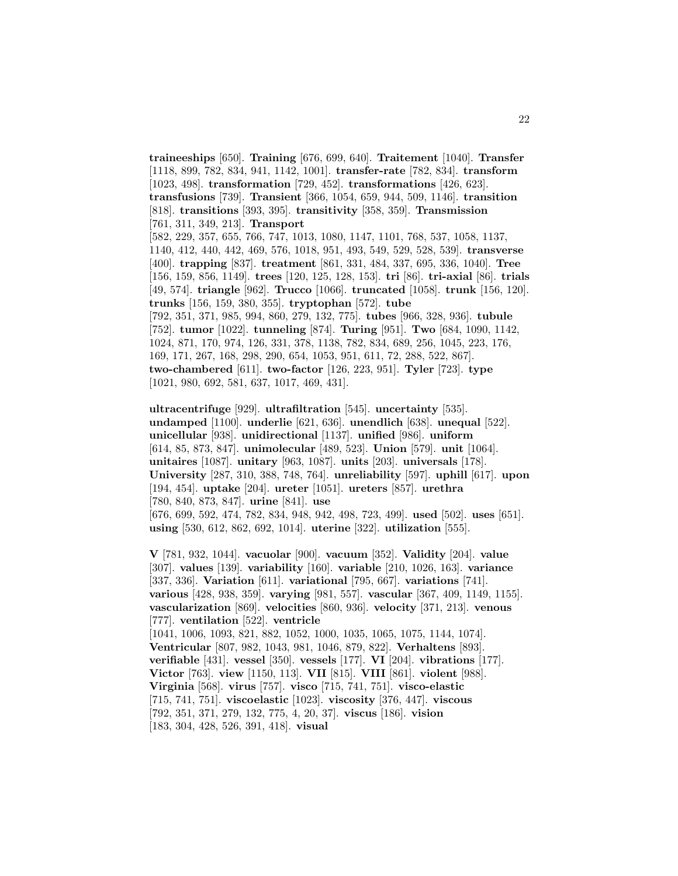**traineeships** [650]. **Training** [676, 699, 640]. **Traitement** [1040]. **Transfer** [1118, 899, 782, 834, 941, 1142, 1001]. **transfer-rate** [782, 834]. **transform** [1023, 498]. **transformation** [729, 452]. **transformations** [426, 623]. **transfusions** [739]. **Transient** [366, 1054, 659, 944, 509, 1146]. **transition** [818]. **transitions** [393, 395]. **transitivity** [358, 359]. **Transmission** [761, 311, 349, 213]. **Transport** [582, 229, 357, 655, 766, 747, 1013, 1080, 1147, 1101, 768, 537, 1058, 1137, 1140, 412, 440, 442, 469, 576, 1018, 951, 493, 549, 529, 528, 539]. **transverse** [400]. **trapping** [837]. **treatment** [861, 331, 484, 337, 695, 336, 1040]. **Tree** [156, 159, 856, 1149]. **trees** [120, 125, 128, 153]. **tri** [86]. **tri-axial** [86]. **trials** [49, 574]. **triangle** [962]. **Trucco** [1066]. **truncated** [1058]. **trunk** [156, 120]. **trunks** [156, 159, 380, 355]. **tryptophan** [572]. **tube** [792, 351, 371, 985, 994, 860, 279, 132, 775]. **tubes** [966, 328, 936]. **tubule** [752]. **tumor** [1022]. **tunneling** [874]. **Turing** [951]. **Two** [684, 1090, 1142, 1024, 871, 170, 974, 126, 331, 378, 1138, 782, 834, 689, 256, 1045, 223, 176, 169, 171, 267, 168, 298, 290, 654, 1053, 951, 611, 72, 288, 522, 867]. **two-chambered** [611]. **two-factor** [126, 223, 951]. **Tyler** [723]. **type** [1021, 980, 692, 581, 637, 1017, 469, 431].

**ultracentrifuge** [929]. **ultrafiltration** [545]. **uncertainty** [535]. **undamped** [1100]. **underlie** [621, 636]. **unendlich** [638]. **unequal** [522]. **unicellular** [938]. **unidirectional** [1137]. **unified** [986]. **uniform** [614, 85, 873, 847]. **unimolecular** [489, 523]. **Union** [579]. **unit** [1064]. **unitaires** [1087]. **unitary** [963, 1087]. **units** [203]. **universals** [178]. **University** [287, 310, 388, 748, 764]. **unreliability** [597]. **uphill** [617]. **upon** [194, 454]. **uptake** [204]. **ureter** [1051]. **ureters** [857]. **urethra** [780, 840, 873, 847]. **urine** [841]. **use** [676, 699, 592, 474, 782, 834, 948, 942, 498, 723, 499]. **used** [502]. **uses** [651]. **using** [530, 612, 862, 692, 1014]. **uterine** [322]. **utilization** [555].

**V** [781, 932, 1044]. **vacuolar** [900]. **vacuum** [352]. **Validity** [204]. **value** [307]. **values** [139]. **variability** [160]. **variable** [210, 1026, 163]. **variance** [337, 336]. **Variation** [611]. **variational** [795, 667]. **variations** [741]. **various** [428, 938, 359]. **varying** [981, 557]. **vascular** [367, 409, 1149, 1155]. **vascularization** [869]. **velocities** [860, 936]. **velocity** [371, 213]. **venous** [777]. **ventilation** [522]. **ventricle** [1041, 1006, 1093, 821, 882, 1052, 1000, 1035, 1065, 1075, 1144, 1074]. **Ventricular** [807, 982, 1043, 981, 1046, 879, 822]. **Verhaltens** [893]. **verifiable** [431]. **vessel** [350]. **vessels** [177]. **VI** [204]. **vibrations** [177]. **Victor** [763]. **view** [1150, 113]. **VII** [815]. **VIII** [861]. **violent** [988]. **Virginia** [568]. **virus** [757]. **visco** [715, 741, 751]. **visco-elastic** [715, 741, 751]. **viscoelastic** [1023]. **viscosity** [376, 447]. **viscous** [792, 351, 371, 279, 132, 775, 4, 20, 37]. **viscus** [186]. **vision** [183, 304, 428, 526, 391, 418]. **visual**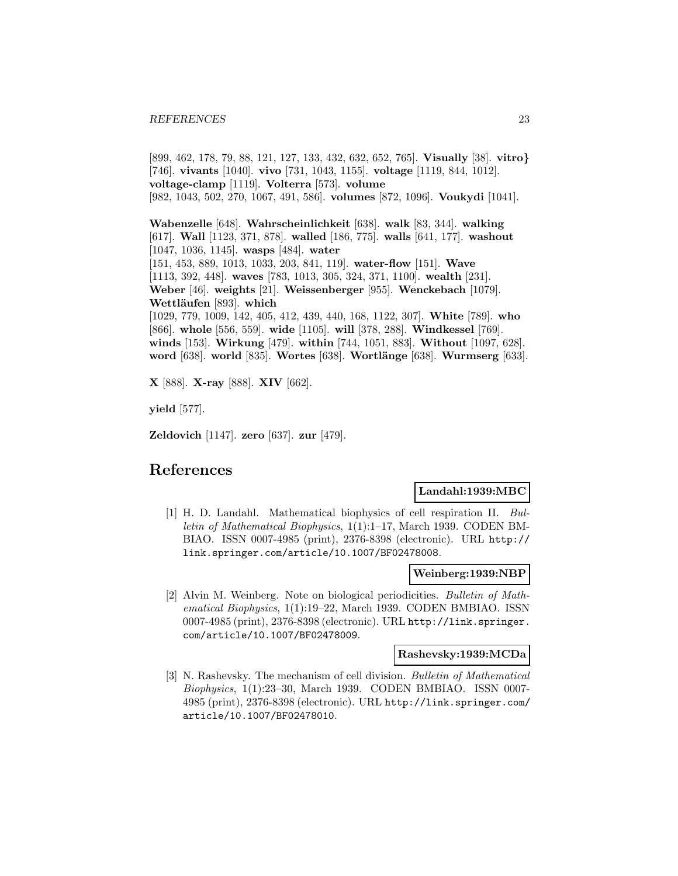[899, 462, 178, 79, 88, 121, 127, 133, 432, 632, 652, 765]. **Visually** [38]. **vitro***}* [746]. **vivants** [1040]. **vivo** [731, 1043, 1155]. **voltage** [1119, 844, 1012]. **voltage-clamp** [1119]. **Volterra** [573]. **volume** [982, 1043, 502, 270, 1067, 491, 586]. **volumes** [872, 1096]. **Voukydi** [1041].

**Wabenzelle** [648]. **Wahrscheinlichkeit** [638]. **walk** [83, 344]. **walking** [617]. **Wall** [1123, 371, 878]. **walled** [186, 775]. **walls** [641, 177]. **washout** [1047, 1036, 1145]. **wasps** [484]. **water** [151, 453, 889, 1013, 1033, 203, 841, 119]. **water-flow** [151]. **Wave** [1113, 392, 448]. **waves** [783, 1013, 305, 324, 371, 1100]. **wealth** [231]. **Weber** [46]. **weights** [21]. **Weissenberger** [955]. **Wenckebach** [1079]. **Wettl¨aufen** [893]. **which** [1029, 779, 1009, 142, 405, 412, 439, 440, 168, 1122, 307]. **White** [789]. **who** [866]. **whole** [556, 559]. **wide** [1105]. **will** [378, 288]. **Windkessel** [769]. **winds** [153]. **Wirkung** [479]. **within** [744, 1051, 883]. **Without** [1097, 628]. **word** [638]. **world** [835]. **Wortes** [638]. **Wortlänge** [638]. **Wurmserg** [633].

**X** [888]. **X-ray** [888]. **XIV** [662].

**yield** [577].

**Zeldovich** [1147]. **zero** [637]. **zur** [479].

# **References**

# **Landahl:1939:MBC**

[1] H. D. Landahl. Mathematical biophysics of cell respiration II. Bulletin of Mathematical Biophysics, 1(1):1–17, March 1939. CODEN BM-BIAO. ISSN 0007-4985 (print), 2376-8398 (electronic). URL http:// link.springer.com/article/10.1007/BF02478008.

# **Weinberg:1939:NBP**

[2] Alvin M. Weinberg. Note on biological periodicities. Bulletin of Mathematical Biophysics, 1(1):19–22, March 1939. CODEN BMBIAO. ISSN 0007-4985 (print), 2376-8398 (electronic). URL http://link.springer. com/article/10.1007/BF02478009.

#### **Rashevsky:1939:MCDa**

[3] N. Rashevsky. The mechanism of cell division. Bulletin of Mathematical Biophysics, 1(1):23–30, March 1939. CODEN BMBIAO. ISSN 0007- 4985 (print), 2376-8398 (electronic). URL http://link.springer.com/ article/10.1007/BF02478010.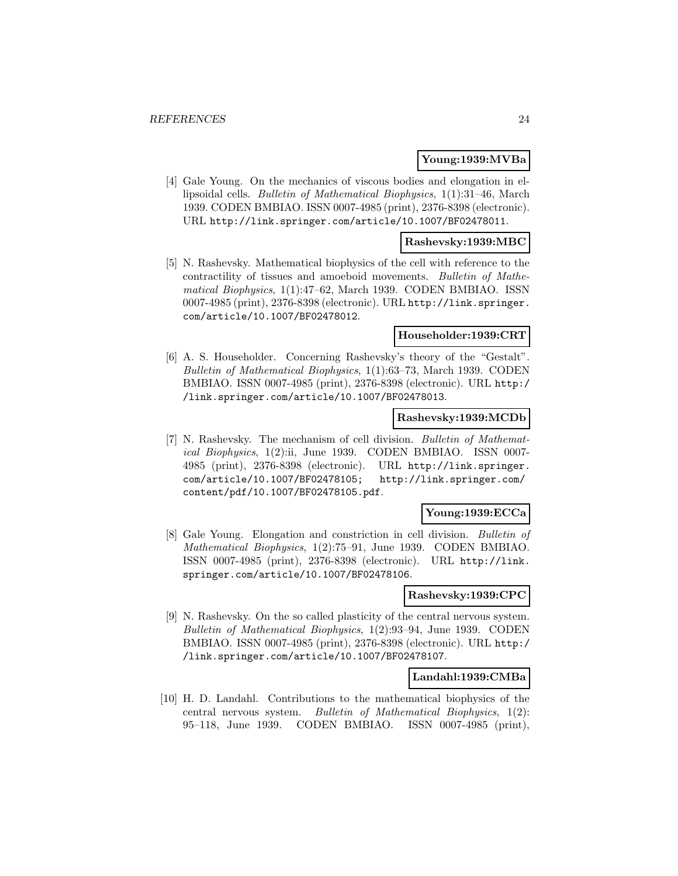# **Young:1939:MVBa**

[4] Gale Young. On the mechanics of viscous bodies and elongation in ellipsoidal cells. Bulletin of Mathematical Biophysics, 1(1):31–46, March 1939. CODEN BMBIAO. ISSN 0007-4985 (print), 2376-8398 (electronic). URL http://link.springer.com/article/10.1007/BF02478011.

# **Rashevsky:1939:MBC**

[5] N. Rashevsky. Mathematical biophysics of the cell with reference to the contractility of tissues and amoeboid movements. Bulletin of Mathematical Biophysics, 1(1):47–62, March 1939. CODEN BMBIAO. ISSN 0007-4985 (print), 2376-8398 (electronic). URL http://link.springer. com/article/10.1007/BF02478012.

# **Householder:1939:CRT**

[6] A. S. Householder. Concerning Rashevsky's theory of the "Gestalt". Bulletin of Mathematical Biophysics, 1(1):63–73, March 1939. CODEN BMBIAO. ISSN 0007-4985 (print), 2376-8398 (electronic). URL http:/ /link.springer.com/article/10.1007/BF02478013.

# **Rashevsky:1939:MCDb**

[7] N. Rashevsky. The mechanism of cell division. Bulletin of Mathematical Biophysics, 1(2):ii, June 1939. CODEN BMBIAO. ISSN 0007- 4985 (print), 2376-8398 (electronic). URL http://link.springer. com/article/10.1007/BF02478105; http://link.springer.com/ content/pdf/10.1007/BF02478105.pdf.

# **Young:1939:ECCa**

[8] Gale Young. Elongation and constriction in cell division. Bulletin of Mathematical Biophysics, 1(2):75–91, June 1939. CODEN BMBIAO. ISSN 0007-4985 (print), 2376-8398 (electronic). URL http://link. springer.com/article/10.1007/BF02478106.

#### **Rashevsky:1939:CPC**

[9] N. Rashevsky. On the so called plasticity of the central nervous system. Bulletin of Mathematical Biophysics, 1(2):93–94, June 1939. CODEN BMBIAO. ISSN 0007-4985 (print), 2376-8398 (electronic). URL http:/ /link.springer.com/article/10.1007/BF02478107.

# **Landahl:1939:CMBa**

[10] H. D. Landahl. Contributions to the mathematical biophysics of the central nervous system. Bulletin of Mathematical Biophysics, 1(2): 95–118, June 1939. CODEN BMBIAO. ISSN 0007-4985 (print),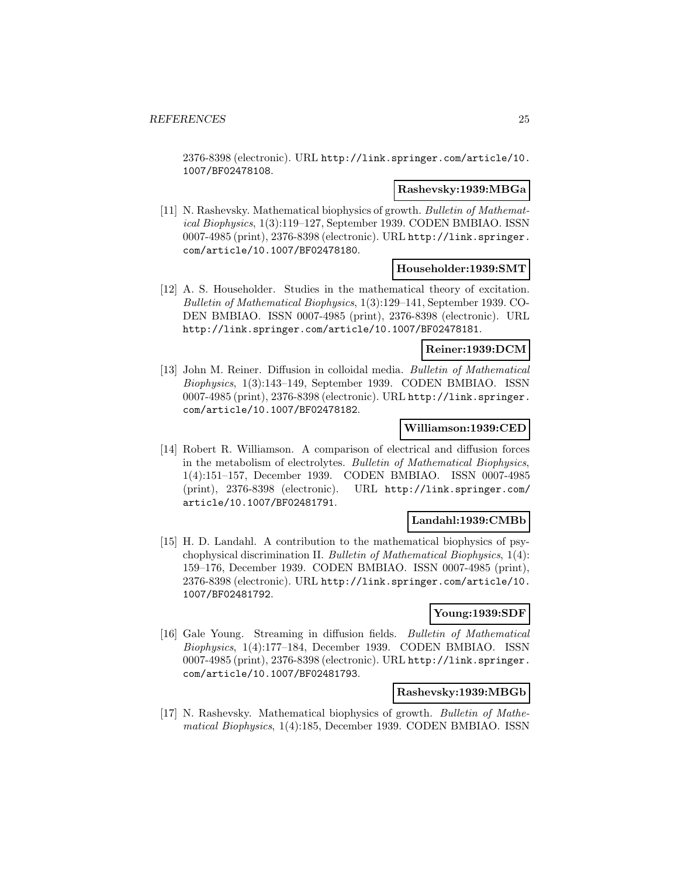2376-8398 (electronic). URL http://link.springer.com/article/10. 1007/BF02478108.

# **Rashevsky:1939:MBGa**

[11] N. Rashevsky. Mathematical biophysics of growth. Bulletin of Mathematical Biophysics, 1(3):119–127, September 1939. CODEN BMBIAO. ISSN 0007-4985 (print), 2376-8398 (electronic). URL http://link.springer. com/article/10.1007/BF02478180.

# **Householder:1939:SMT**

[12] A. S. Householder. Studies in the mathematical theory of excitation. Bulletin of Mathematical Biophysics, 1(3):129–141, September 1939. CO-DEN BMBIAO. ISSN 0007-4985 (print), 2376-8398 (electronic). URL http://link.springer.com/article/10.1007/BF02478181.

#### **Reiner:1939:DCM**

[13] John M. Reiner. Diffusion in colloidal media. Bulletin of Mathematical Biophysics, 1(3):143–149, September 1939. CODEN BMBIAO. ISSN 0007-4985 (print), 2376-8398 (electronic). URL http://link.springer. com/article/10.1007/BF02478182.

# **Williamson:1939:CED**

[14] Robert R. Williamson. A comparison of electrical and diffusion forces in the metabolism of electrolytes. Bulletin of Mathematical Biophysics, 1(4):151–157, December 1939. CODEN BMBIAO. ISSN 0007-4985 (print), 2376-8398 (electronic). URL http://link.springer.com/ article/10.1007/BF02481791.

# **Landahl:1939:CMBb**

[15] H. D. Landahl. A contribution to the mathematical biophysics of psychophysical discrimination II. Bulletin of Mathematical Biophysics, 1(4): 159–176, December 1939. CODEN BMBIAO. ISSN 0007-4985 (print), 2376-8398 (electronic). URL http://link.springer.com/article/10. 1007/BF02481792.

# **Young:1939:SDF**

[16] Gale Young. Streaming in diffusion fields. Bulletin of Mathematical Biophysics, 1(4):177–184, December 1939. CODEN BMBIAO. ISSN 0007-4985 (print), 2376-8398 (electronic). URL http://link.springer. com/article/10.1007/BF02481793.

# **Rashevsky:1939:MBGb**

[17] N. Rashevsky. Mathematical biophysics of growth. Bulletin of Mathematical Biophysics, 1(4):185, December 1939. CODEN BMBIAO. ISSN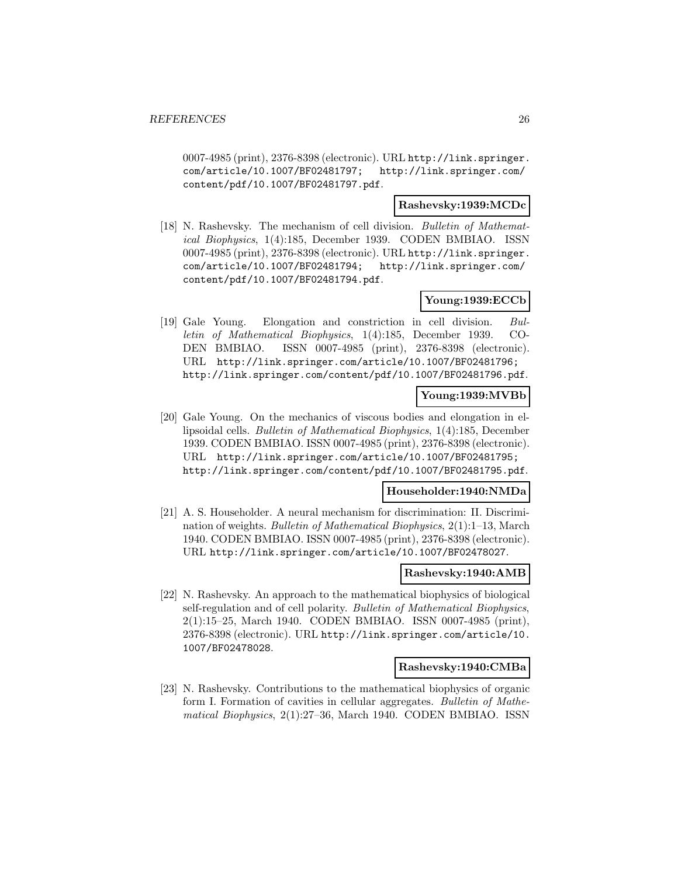0007-4985 (print), 2376-8398 (electronic). URL http://link.springer. com/article/10.1007/BF02481797; http://link.springer.com/ content/pdf/10.1007/BF02481797.pdf.

# **Rashevsky:1939:MCDc**

[18] N. Rashevsky. The mechanism of cell division. Bulletin of Mathematical Biophysics, 1(4):185, December 1939. CODEN BMBIAO. ISSN 0007-4985 (print), 2376-8398 (electronic). URL http://link.springer. com/article/10.1007/BF02481794; http://link.springer.com/ content/pdf/10.1007/BF02481794.pdf.

# **Young:1939:ECCb**

[19] Gale Young. Elongation and constriction in cell division. Bulletin of Mathematical Biophysics, 1(4):185, December 1939. CO-DEN BMBIAO. ISSN 0007-4985 (print), 2376-8398 (electronic). URL http://link.springer.com/article/10.1007/BF02481796; http://link.springer.com/content/pdf/10.1007/BF02481796.pdf.

# **Young:1939:MVBb**

[20] Gale Young. On the mechanics of viscous bodies and elongation in ellipsoidal cells. Bulletin of Mathematical Biophysics, 1(4):185, December 1939. CODEN BMBIAO. ISSN 0007-4985 (print), 2376-8398 (electronic). URL http://link.springer.com/article/10.1007/BF02481795; http://link.springer.com/content/pdf/10.1007/BF02481795.pdf.

# **Householder:1940:NMDa**

[21] A. S. Householder. A neural mechanism for discrimination: II. Discrimination of weights. Bulletin of Mathematical Biophysics, 2(1):1–13, March 1940. CODEN BMBIAO. ISSN 0007-4985 (print), 2376-8398 (electronic). URL http://link.springer.com/article/10.1007/BF02478027.

# **Rashevsky:1940:AMB**

[22] N. Rashevsky. An approach to the mathematical biophysics of biological self-regulation and of cell polarity. Bulletin of Mathematical Biophysics, 2(1):15–25, March 1940. CODEN BMBIAO. ISSN 0007-4985 (print), 2376-8398 (electronic). URL http://link.springer.com/article/10. 1007/BF02478028.

# **Rashevsky:1940:CMBa**

[23] N. Rashevsky. Contributions to the mathematical biophysics of organic form I. Formation of cavities in cellular aggregates. Bulletin of Mathematical Biophysics, 2(1):27–36, March 1940. CODEN BMBIAO. ISSN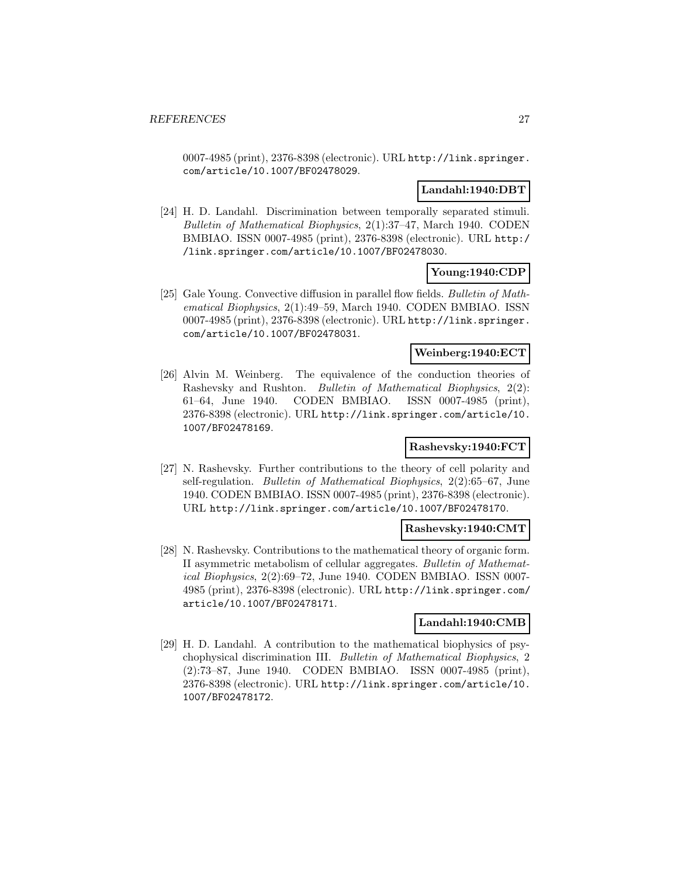0007-4985 (print), 2376-8398 (electronic). URL http://link.springer. com/article/10.1007/BF02478029.

# **Landahl:1940:DBT**

[24] H. D. Landahl. Discrimination between temporally separated stimuli. Bulletin of Mathematical Biophysics, 2(1):37–47, March 1940. CODEN BMBIAO. ISSN 0007-4985 (print), 2376-8398 (electronic). URL http:/ /link.springer.com/article/10.1007/BF02478030.

# **Young:1940:CDP**

[25] Gale Young. Convective diffusion in parallel flow fields. Bulletin of Mathematical Biophysics, 2(1):49–59, March 1940. CODEN BMBIAO. ISSN 0007-4985 (print), 2376-8398 (electronic). URL http://link.springer. com/article/10.1007/BF02478031.

# **Weinberg:1940:ECT**

[26] Alvin M. Weinberg. The equivalence of the conduction theories of Rashevsky and Rushton. Bulletin of Mathematical Biophysics, 2(2): 61–64, June 1940. CODEN BMBIAO. ISSN 0007-4985 (print), 2376-8398 (electronic). URL http://link.springer.com/article/10. 1007/BF02478169.

# **Rashevsky:1940:FCT**

[27] N. Rashevsky. Further contributions to the theory of cell polarity and self-regulation. Bulletin of Mathematical Biophysics, 2(2):65–67, June 1940. CODEN BMBIAO. ISSN 0007-4985 (print), 2376-8398 (electronic). URL http://link.springer.com/article/10.1007/BF02478170.

# **Rashevsky:1940:CMT**

[28] N. Rashevsky. Contributions to the mathematical theory of organic form. II asymmetric metabolism of cellular aggregates. Bulletin of Mathematical Biophysics, 2(2):69–72, June 1940. CODEN BMBIAO. ISSN 0007- 4985 (print), 2376-8398 (electronic). URL http://link.springer.com/ article/10.1007/BF02478171.

# **Landahl:1940:CMB**

[29] H. D. Landahl. A contribution to the mathematical biophysics of psychophysical discrimination III. Bulletin of Mathematical Biophysics, 2 (2):73–87, June 1940. CODEN BMBIAO. ISSN 0007-4985 (print), 2376-8398 (electronic). URL http://link.springer.com/article/10. 1007/BF02478172.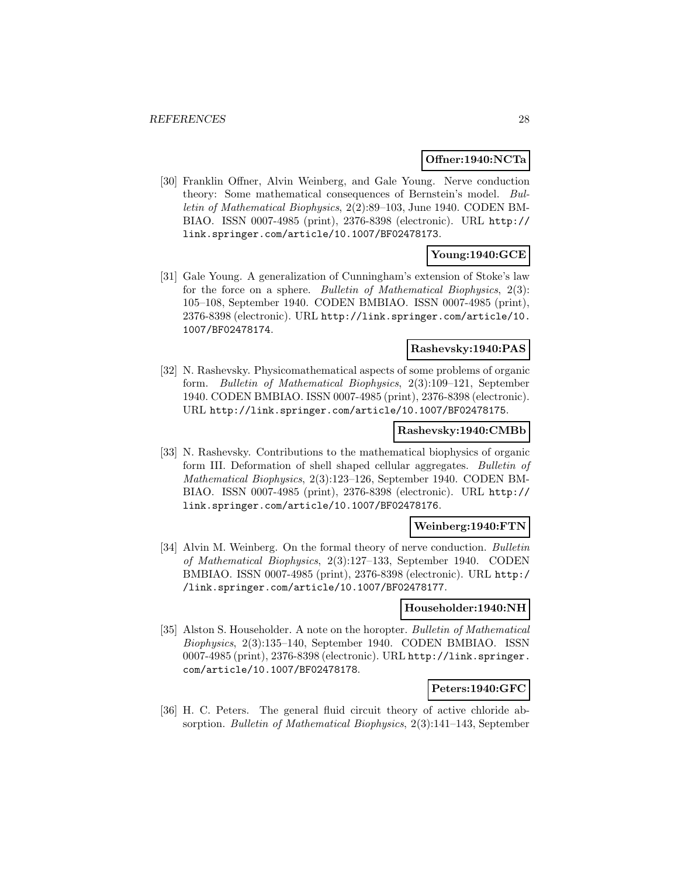#### **Offner:1940:NCTa**

[30] Franklin Offner, Alvin Weinberg, and Gale Young. Nerve conduction theory: Some mathematical consequences of Bernstein's model. Bulletin of Mathematical Biophysics, 2(2):89–103, June 1940. CODEN BM-BIAO. ISSN 0007-4985 (print), 2376-8398 (electronic). URL http:// link.springer.com/article/10.1007/BF02478173.

# **Young:1940:GCE**

[31] Gale Young. A generalization of Cunningham's extension of Stoke's law for the force on a sphere. Bulletin of Mathematical Biophysics, 2(3): 105–108, September 1940. CODEN BMBIAO. ISSN 0007-4985 (print), 2376-8398 (electronic). URL http://link.springer.com/article/10. 1007/BF02478174.

#### **Rashevsky:1940:PAS**

[32] N. Rashevsky. Physicomathematical aspects of some problems of organic form. Bulletin of Mathematical Biophysics, 2(3):109–121, September 1940. CODEN BMBIAO. ISSN 0007-4985 (print), 2376-8398 (electronic). URL http://link.springer.com/article/10.1007/BF02478175.

#### **Rashevsky:1940:CMBb**

[33] N. Rashevsky. Contributions to the mathematical biophysics of organic form III. Deformation of shell shaped cellular aggregates. Bulletin of Mathematical Biophysics, 2(3):123–126, September 1940. CODEN BM-BIAO. ISSN 0007-4985 (print), 2376-8398 (electronic). URL http:// link.springer.com/article/10.1007/BF02478176.

# **Weinberg:1940:FTN**

[34] Alvin M. Weinberg. On the formal theory of nerve conduction. Bulletin of Mathematical Biophysics, 2(3):127–133, September 1940. CODEN BMBIAO. ISSN 0007-4985 (print), 2376-8398 (electronic). URL http:/ /link.springer.com/article/10.1007/BF02478177.

#### **Householder:1940:NH**

[35] Alston S. Householder. A note on the horopter. Bulletin of Mathematical Biophysics, 2(3):135–140, September 1940. CODEN BMBIAO. ISSN 0007-4985 (print), 2376-8398 (electronic). URL http://link.springer. com/article/10.1007/BF02478178.

# **Peters:1940:GFC**

[36] H. C. Peters. The general fluid circuit theory of active chloride absorption. Bulletin of Mathematical Biophysics, 2(3):141–143, September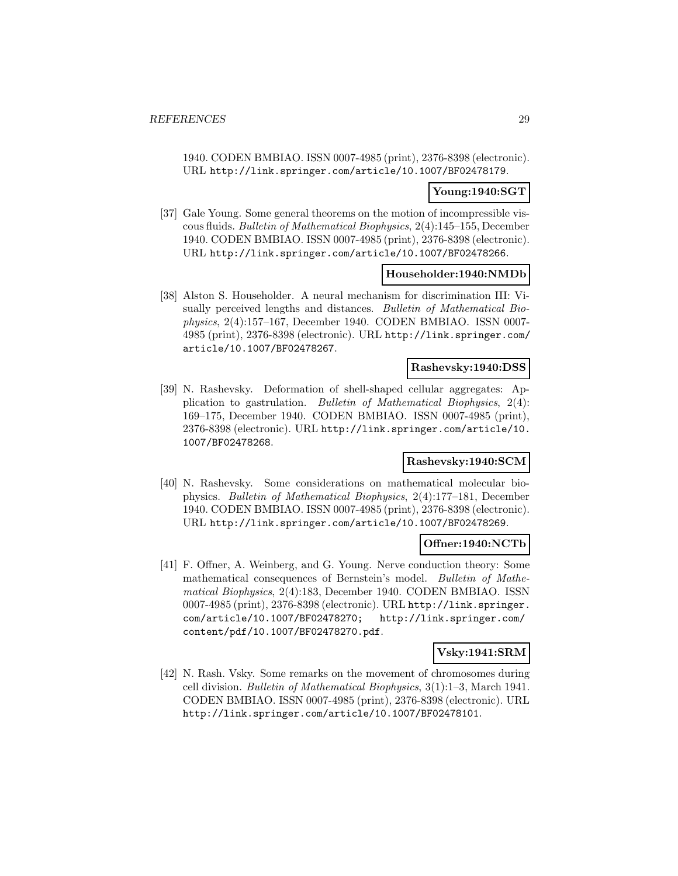1940. CODEN BMBIAO. ISSN 0007-4985 (print), 2376-8398 (electronic). URL http://link.springer.com/article/10.1007/BF02478179.

# **Young:1940:SGT**

[37] Gale Young. Some general theorems on the motion of incompressible viscous fluids. Bulletin of Mathematical Biophysics, 2(4):145–155, December 1940. CODEN BMBIAO. ISSN 0007-4985 (print), 2376-8398 (electronic). URL http://link.springer.com/article/10.1007/BF02478266.

# **Householder:1940:NMDb**

[38] Alston S. Householder. A neural mechanism for discrimination III: Visually perceived lengths and distances. Bulletin of Mathematical Biophysics, 2(4):157–167, December 1940. CODEN BMBIAO. ISSN 0007- 4985 (print), 2376-8398 (electronic). URL http://link.springer.com/ article/10.1007/BF02478267.

# **Rashevsky:1940:DSS**

[39] N. Rashevsky. Deformation of shell-shaped cellular aggregates: Application to gastrulation. Bulletin of Mathematical Biophysics, 2(4): 169–175, December 1940. CODEN BMBIAO. ISSN 0007-4985 (print), 2376-8398 (electronic). URL http://link.springer.com/article/10. 1007/BF02478268.

# **Rashevsky:1940:SCM**

[40] N. Rashevsky. Some considerations on mathematical molecular biophysics. Bulletin of Mathematical Biophysics, 2(4):177–181, December 1940. CODEN BMBIAO. ISSN 0007-4985 (print), 2376-8398 (electronic). URL http://link.springer.com/article/10.1007/BF02478269.

# **Offner:1940:NCTb**

[41] F. Offner, A. Weinberg, and G. Young. Nerve conduction theory: Some mathematical consequences of Bernstein's model. Bulletin of Mathematical Biophysics, 2(4):183, December 1940. CODEN BMBIAO. ISSN 0007-4985 (print), 2376-8398 (electronic). URL http://link.springer. com/article/10.1007/BF02478270; http://link.springer.com/ content/pdf/10.1007/BF02478270.pdf.

# **Vsky:1941:SRM**

[42] N. Rash. Vsky. Some remarks on the movement of chromosomes during cell division. Bulletin of Mathematical Biophysics, 3(1):1–3, March 1941. CODEN BMBIAO. ISSN 0007-4985 (print), 2376-8398 (electronic). URL http://link.springer.com/article/10.1007/BF02478101.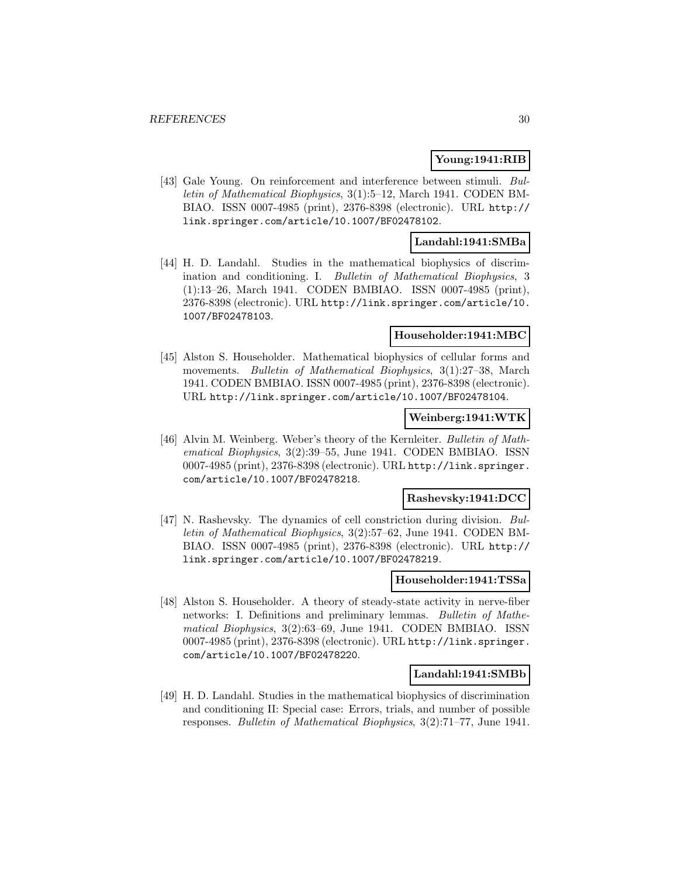# **Young:1941:RIB**

[43] Gale Young. On reinforcement and interference between stimuli. Bulletin of Mathematical Biophysics, 3(1):5–12, March 1941. CODEN BM-BIAO. ISSN 0007-4985 (print), 2376-8398 (electronic). URL http:// link.springer.com/article/10.1007/BF02478102.

# **Landahl:1941:SMBa**

[44] H. D. Landahl. Studies in the mathematical biophysics of discrimination and conditioning. I. Bulletin of Mathematical Biophysics, 3 (1):13–26, March 1941. CODEN BMBIAO. ISSN 0007-4985 (print), 2376-8398 (electronic). URL http://link.springer.com/article/10. 1007/BF02478103.

#### **Householder:1941:MBC**

[45] Alston S. Householder. Mathematical biophysics of cellular forms and movements. Bulletin of Mathematical Biophysics, 3(1):27–38, March 1941. CODEN BMBIAO. ISSN 0007-4985 (print), 2376-8398 (electronic). URL http://link.springer.com/article/10.1007/BF02478104.

# **Weinberg:1941:WTK**

[46] Alvin M. Weinberg. Weber's theory of the Kernleiter. Bulletin of Mathematical Biophysics, 3(2):39–55, June 1941. CODEN BMBIAO. ISSN 0007-4985 (print), 2376-8398 (electronic). URL http://link.springer. com/article/10.1007/BF02478218.

# **Rashevsky:1941:DCC**

[47] N. Rashevsky. The dynamics of cell constriction during division. Bulletin of Mathematical Biophysics, 3(2):57–62, June 1941. CODEN BM-BIAO. ISSN 0007-4985 (print), 2376-8398 (electronic). URL http:// link.springer.com/article/10.1007/BF02478219.

#### **Householder:1941:TSSa**

[48] Alston S. Householder. A theory of steady-state activity in nerve-fiber networks: I. Definitions and preliminary lemmas. Bulletin of Mathematical Biophysics, 3(2):63–69, June 1941. CODEN BMBIAO. ISSN 0007-4985 (print), 2376-8398 (electronic). URL http://link.springer. com/article/10.1007/BF02478220.

# **Landahl:1941:SMBb**

[49] H. D. Landahl. Studies in the mathematical biophysics of discrimination and conditioning II: Special case: Errors, trials, and number of possible responses. Bulletin of Mathematical Biophysics, 3(2):71–77, June 1941.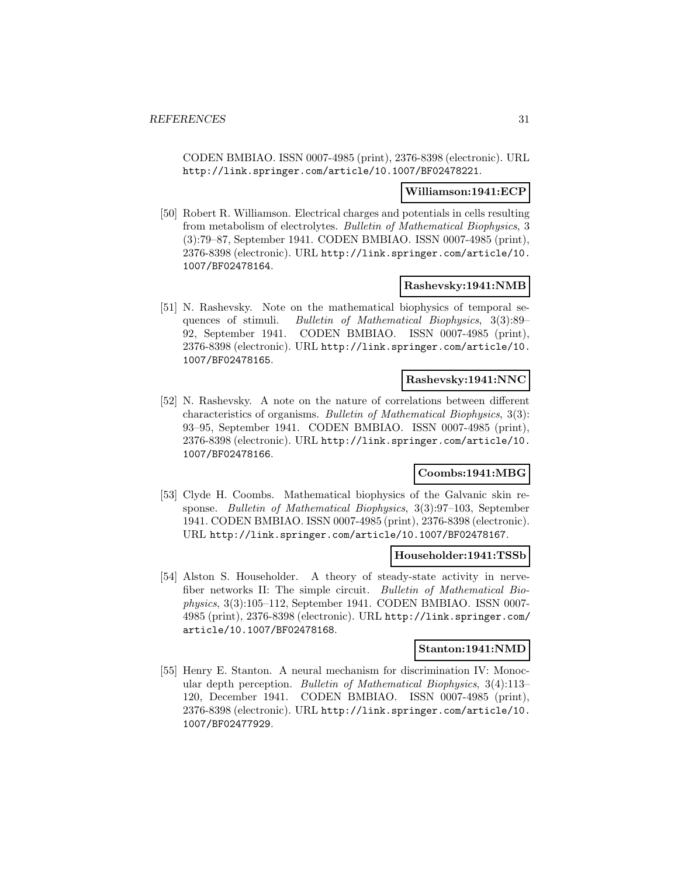CODEN BMBIAO. ISSN 0007-4985 (print), 2376-8398 (electronic). URL http://link.springer.com/article/10.1007/BF02478221.

#### **Williamson:1941:ECP**

[50] Robert R. Williamson. Electrical charges and potentials in cells resulting from metabolism of electrolytes. Bulletin of Mathematical Biophysics, 3 (3):79–87, September 1941. CODEN BMBIAO. ISSN 0007-4985 (print), 2376-8398 (electronic). URL http://link.springer.com/article/10. 1007/BF02478164.

#### **Rashevsky:1941:NMB**

[51] N. Rashevsky. Note on the mathematical biophysics of temporal sequences of stimuli. Bulletin of Mathematical Biophysics, 3(3):89– 92, September 1941. CODEN BMBIAO. ISSN 0007-4985 (print), 2376-8398 (electronic). URL http://link.springer.com/article/10. 1007/BF02478165.

# **Rashevsky:1941:NNC**

[52] N. Rashevsky. A note on the nature of correlations between different characteristics of organisms. Bulletin of Mathematical Biophysics, 3(3): 93–95, September 1941. CODEN BMBIAO. ISSN 0007-4985 (print), 2376-8398 (electronic). URL http://link.springer.com/article/10. 1007/BF02478166.

# **Coombs:1941:MBG**

[53] Clyde H. Coombs. Mathematical biophysics of the Galvanic skin response. Bulletin of Mathematical Biophysics, 3(3):97–103, September 1941. CODEN BMBIAO. ISSN 0007-4985 (print), 2376-8398 (electronic). URL http://link.springer.com/article/10.1007/BF02478167.

#### **Householder:1941:TSSb**

[54] Alston S. Householder. A theory of steady-state activity in nervefiber networks II: The simple circuit. Bulletin of Mathematical Biophysics, 3(3):105–112, September 1941. CODEN BMBIAO. ISSN 0007- 4985 (print), 2376-8398 (electronic). URL http://link.springer.com/ article/10.1007/BF02478168.

#### **Stanton:1941:NMD**

[55] Henry E. Stanton. A neural mechanism for discrimination IV: Monocular depth perception. Bulletin of Mathematical Biophysics, 3(4):113– 120, December 1941. CODEN BMBIAO. ISSN 0007-4985 (print), 2376-8398 (electronic). URL http://link.springer.com/article/10. 1007/BF02477929.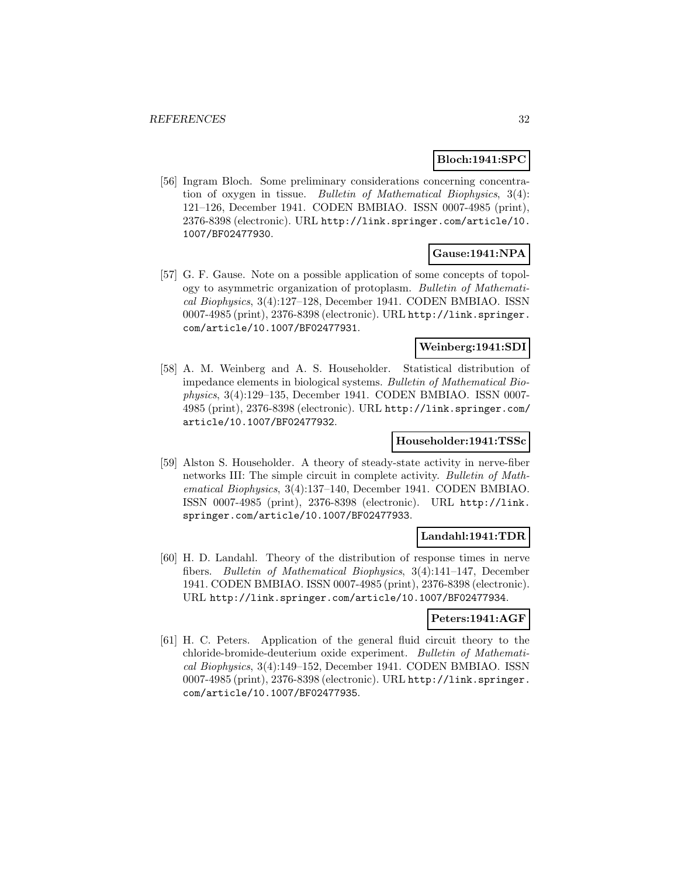# **Bloch:1941:SPC**

[56] Ingram Bloch. Some preliminary considerations concerning concentration of oxygen in tissue. Bulletin of Mathematical Biophysics, 3(4): 121–126, December 1941. CODEN BMBIAO. ISSN 0007-4985 (print), 2376-8398 (electronic). URL http://link.springer.com/article/10. 1007/BF02477930.

# **Gause:1941:NPA**

[57] G. F. Gause. Note on a possible application of some concepts of topology to asymmetric organization of protoplasm. Bulletin of Mathematical Biophysics, 3(4):127–128, December 1941. CODEN BMBIAO. ISSN 0007-4985 (print), 2376-8398 (electronic). URL http://link.springer. com/article/10.1007/BF02477931.

# **Weinberg:1941:SDI**

[58] A. M. Weinberg and A. S. Householder. Statistical distribution of impedance elements in biological systems. Bulletin of Mathematical Biophysics, 3(4):129–135, December 1941. CODEN BMBIAO. ISSN 0007- 4985 (print), 2376-8398 (electronic). URL http://link.springer.com/ article/10.1007/BF02477932.

# **Householder:1941:TSSc**

[59] Alston S. Householder. A theory of steady-state activity in nerve-fiber networks III: The simple circuit in complete activity. Bulletin of Mathematical Biophysics, 3(4):137–140, December 1941. CODEN BMBIAO. ISSN 0007-4985 (print), 2376-8398 (electronic). URL http://link. springer.com/article/10.1007/BF02477933.

# **Landahl:1941:TDR**

[60] H. D. Landahl. Theory of the distribution of response times in nerve fibers. Bulletin of Mathematical Biophysics, 3(4):141–147, December 1941. CODEN BMBIAO. ISSN 0007-4985 (print), 2376-8398 (electronic). URL http://link.springer.com/article/10.1007/BF02477934.

# **Peters:1941:AGF**

[61] H. C. Peters. Application of the general fluid circuit theory to the chloride-bromide-deuterium oxide experiment. Bulletin of Mathematical Biophysics, 3(4):149–152, December 1941. CODEN BMBIAO. ISSN 0007-4985 (print), 2376-8398 (electronic). URL http://link.springer. com/article/10.1007/BF02477935.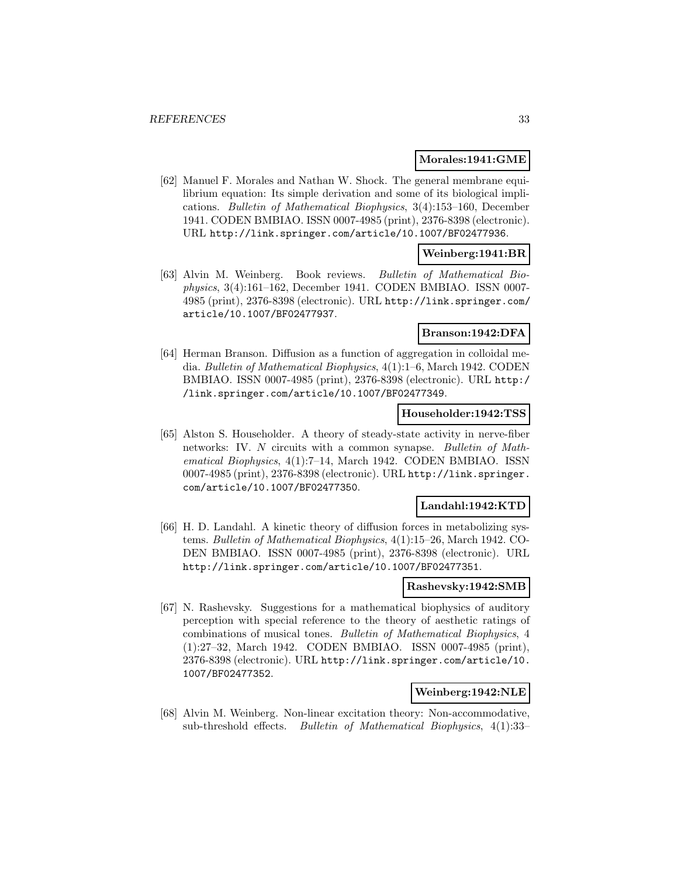#### **Morales:1941:GME**

[62] Manuel F. Morales and Nathan W. Shock. The general membrane equilibrium equation: Its simple derivation and some of its biological implications. Bulletin of Mathematical Biophysics, 3(4):153–160, December 1941. CODEN BMBIAO. ISSN 0007-4985 (print), 2376-8398 (electronic). URL http://link.springer.com/article/10.1007/BF02477936.

# **Weinberg:1941:BR**

[63] Alvin M. Weinberg. Book reviews. Bulletin of Mathematical Biophysics, 3(4):161–162, December 1941. CODEN BMBIAO. ISSN 0007- 4985 (print), 2376-8398 (electronic). URL http://link.springer.com/ article/10.1007/BF02477937.

# **Branson:1942:DFA**

[64] Herman Branson. Diffusion as a function of aggregation in colloidal media. Bulletin of Mathematical Biophysics, 4(1):1–6, March 1942. CODEN BMBIAO. ISSN 0007-4985 (print), 2376-8398 (electronic). URL http:/ /link.springer.com/article/10.1007/BF02477349.

# **Householder:1942:TSS**

[65] Alston S. Householder. A theory of steady-state activity in nerve-fiber networks: IV. N circuits with a common synapse. Bulletin of Mathematical Biophysics, 4(1):7–14, March 1942. CODEN BMBIAO. ISSN 0007-4985 (print), 2376-8398 (electronic). URL http://link.springer. com/article/10.1007/BF02477350.

# **Landahl:1942:KTD**

[66] H. D. Landahl. A kinetic theory of diffusion forces in metabolizing systems. Bulletin of Mathematical Biophysics, 4(1):15–26, March 1942. CO-DEN BMBIAO. ISSN 0007-4985 (print), 2376-8398 (electronic). URL http://link.springer.com/article/10.1007/BF02477351.

# **Rashevsky:1942:SMB**

[67] N. Rashevsky. Suggestions for a mathematical biophysics of auditory perception with special reference to the theory of aesthetic ratings of combinations of musical tones. Bulletin of Mathematical Biophysics, 4 (1):27–32, March 1942. CODEN BMBIAO. ISSN 0007-4985 (print), 2376-8398 (electronic). URL http://link.springer.com/article/10. 1007/BF02477352.

# **Weinberg:1942:NLE**

[68] Alvin M. Weinberg. Non-linear excitation theory: Non-accommodative, sub-threshold effects. Bulletin of Mathematical Biophysics, 4(1):33–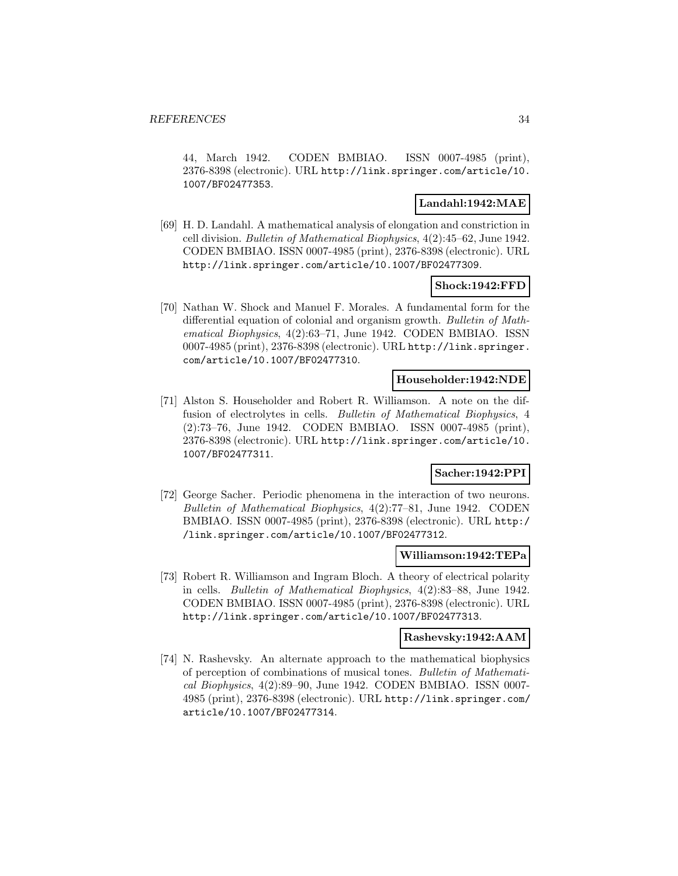44, March 1942. CODEN BMBIAO. ISSN 0007-4985 (print), 2376-8398 (electronic). URL http://link.springer.com/article/10. 1007/BF02477353.

# **Landahl:1942:MAE**

[69] H. D. Landahl. A mathematical analysis of elongation and constriction in cell division. Bulletin of Mathematical Biophysics, 4(2):45–62, June 1942. CODEN BMBIAO. ISSN 0007-4985 (print), 2376-8398 (electronic). URL http://link.springer.com/article/10.1007/BF02477309.

# **Shock:1942:FFD**

[70] Nathan W. Shock and Manuel F. Morales. A fundamental form for the differential equation of colonial and organism growth. Bulletin of Mathematical Biophysics, 4(2):63–71, June 1942. CODEN BMBIAO. ISSN 0007-4985 (print), 2376-8398 (electronic). URL http://link.springer. com/article/10.1007/BF02477310.

#### **Householder:1942:NDE**

[71] Alston S. Householder and Robert R. Williamson. A note on the diffusion of electrolytes in cells. Bulletin of Mathematical Biophysics, 4 (2):73–76, June 1942. CODEN BMBIAO. ISSN 0007-4985 (print), 2376-8398 (electronic). URL http://link.springer.com/article/10. 1007/BF02477311.

# **Sacher:1942:PPI**

[72] George Sacher. Periodic phenomena in the interaction of two neurons. Bulletin of Mathematical Biophysics, 4(2):77–81, June 1942. CODEN BMBIAO. ISSN 0007-4985 (print), 2376-8398 (electronic). URL http:/ /link.springer.com/article/10.1007/BF02477312.

# **Williamson:1942:TEPa**

[73] Robert R. Williamson and Ingram Bloch. A theory of electrical polarity in cells. Bulletin of Mathematical Biophysics, 4(2):83–88, June 1942. CODEN BMBIAO. ISSN 0007-4985 (print), 2376-8398 (electronic). URL http://link.springer.com/article/10.1007/BF02477313.

# **Rashevsky:1942:AAM**

[74] N. Rashevsky. An alternate approach to the mathematical biophysics of perception of combinations of musical tones. Bulletin of Mathematical Biophysics, 4(2):89–90, June 1942. CODEN BMBIAO. ISSN 0007- 4985 (print), 2376-8398 (electronic). URL http://link.springer.com/ article/10.1007/BF02477314.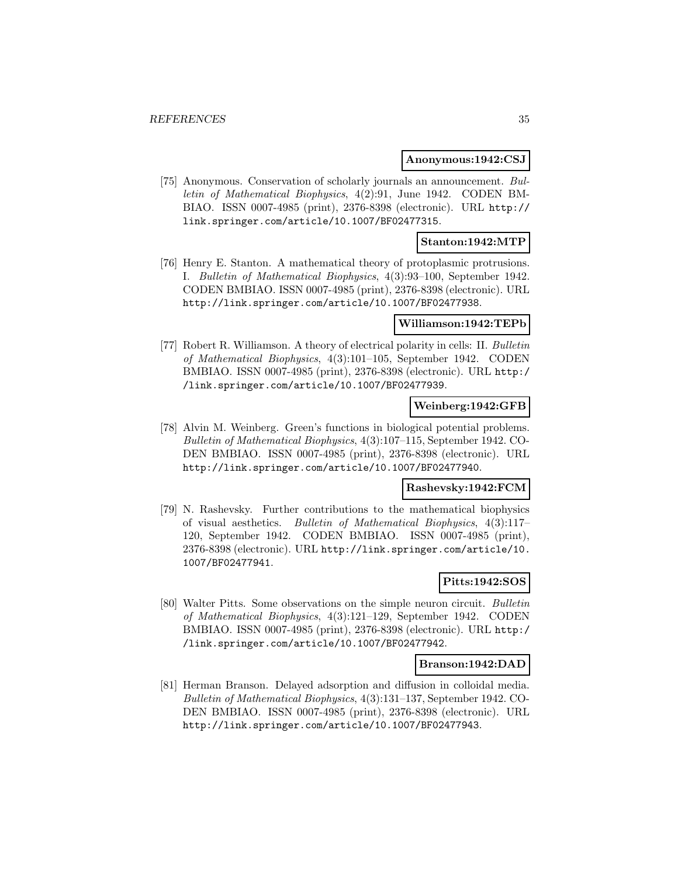#### **Anonymous:1942:CSJ**

[75] Anonymous. Conservation of scholarly journals an announcement. Bulletin of Mathematical Biophysics, 4(2):91, June 1942. CODEN BM-BIAO. ISSN 0007-4985 (print), 2376-8398 (electronic). URL http:// link.springer.com/article/10.1007/BF02477315.

# **Stanton:1942:MTP**

[76] Henry E. Stanton. A mathematical theory of protoplasmic protrusions. I. Bulletin of Mathematical Biophysics, 4(3):93–100, September 1942. CODEN BMBIAO. ISSN 0007-4985 (print), 2376-8398 (electronic). URL http://link.springer.com/article/10.1007/BF02477938.

#### **Williamson:1942:TEPb**

[77] Robert R. Williamson. A theory of electrical polarity in cells: II. Bulletin of Mathematical Biophysics, 4(3):101–105, September 1942. CODEN BMBIAO. ISSN 0007-4985 (print), 2376-8398 (electronic). URL http:/ /link.springer.com/article/10.1007/BF02477939.

# **Weinberg:1942:GFB**

[78] Alvin M. Weinberg. Green's functions in biological potential problems. Bulletin of Mathematical Biophysics, 4(3):107–115, September 1942. CO-DEN BMBIAO. ISSN 0007-4985 (print), 2376-8398 (electronic). URL http://link.springer.com/article/10.1007/BF02477940.

# **Rashevsky:1942:FCM**

[79] N. Rashevsky. Further contributions to the mathematical biophysics of visual aesthetics. Bulletin of Mathematical Biophysics, 4(3):117– 120, September 1942. CODEN BMBIAO. ISSN 0007-4985 (print), 2376-8398 (electronic). URL http://link.springer.com/article/10. 1007/BF02477941.

# **Pitts:1942:SOS**

[80] Walter Pitts. Some observations on the simple neuron circuit. Bulletin of Mathematical Biophysics, 4(3):121–129, September 1942. CODEN BMBIAO. ISSN 0007-4985 (print), 2376-8398 (electronic). URL http:/ /link.springer.com/article/10.1007/BF02477942.

#### **Branson:1942:DAD**

[81] Herman Branson. Delayed adsorption and diffusion in colloidal media. Bulletin of Mathematical Biophysics, 4(3):131–137, September 1942. CO-DEN BMBIAO. ISSN 0007-4985 (print), 2376-8398 (electronic). URL http://link.springer.com/article/10.1007/BF02477943.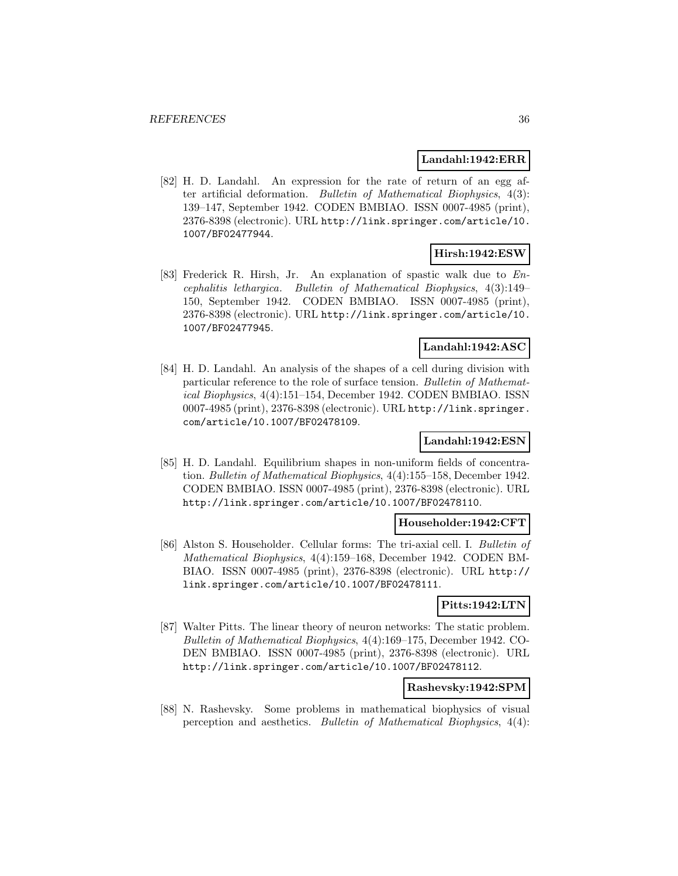#### **Landahl:1942:ERR**

[82] H. D. Landahl. An expression for the rate of return of an egg after artificial deformation. Bulletin of Mathematical Biophysics, 4(3): 139–147, September 1942. CODEN BMBIAO. ISSN 0007-4985 (print), 2376-8398 (electronic). URL http://link.springer.com/article/10. 1007/BF02477944.

# **Hirsh:1942:ESW**

[83] Frederick R. Hirsh, Jr. An explanation of spastic walk due to Encephalitis lethargica. Bulletin of Mathematical Biophysics, 4(3):149– 150, September 1942. CODEN BMBIAO. ISSN 0007-4985 (print), 2376-8398 (electronic). URL http://link.springer.com/article/10. 1007/BF02477945.

# **Landahl:1942:ASC**

[84] H. D. Landahl. An analysis of the shapes of a cell during division with particular reference to the role of surface tension. Bulletin of Mathematical Biophysics, 4(4):151–154, December 1942. CODEN BMBIAO. ISSN 0007-4985 (print), 2376-8398 (electronic). URL http://link.springer. com/article/10.1007/BF02478109.

# **Landahl:1942:ESN**

[85] H. D. Landahl. Equilibrium shapes in non-uniform fields of concentration. Bulletin of Mathematical Biophysics, 4(4):155–158, December 1942. CODEN BMBIAO. ISSN 0007-4985 (print), 2376-8398 (electronic). URL http://link.springer.com/article/10.1007/BF02478110.

# **Householder:1942:CFT**

[86] Alston S. Householder. Cellular forms: The tri-axial cell. I. Bulletin of Mathematical Biophysics, 4(4):159–168, December 1942. CODEN BM-BIAO. ISSN 0007-4985 (print), 2376-8398 (electronic). URL http:// link.springer.com/article/10.1007/BF02478111.

# **Pitts:1942:LTN**

[87] Walter Pitts. The linear theory of neuron networks: The static problem. Bulletin of Mathematical Biophysics, 4(4):169–175, December 1942. CO-DEN BMBIAO. ISSN 0007-4985 (print), 2376-8398 (electronic). URL http://link.springer.com/article/10.1007/BF02478112.

# **Rashevsky:1942:SPM**

[88] N. Rashevsky. Some problems in mathematical biophysics of visual perception and aesthetics. Bulletin of Mathematical Biophysics, 4(4):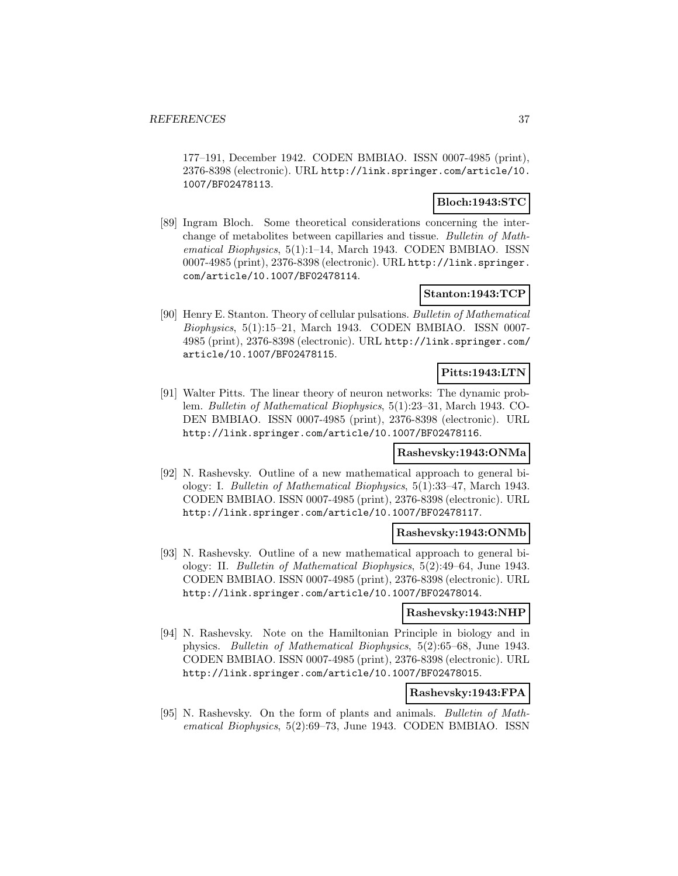177–191, December 1942. CODEN BMBIAO. ISSN 0007-4985 (print), 2376-8398 (electronic). URL http://link.springer.com/article/10. 1007/BF02478113.

## **Bloch:1943:STC**

[89] Ingram Bloch. Some theoretical considerations concerning the interchange of metabolites between capillaries and tissue. Bulletin of Mathematical Biophysics, 5(1):1–14, March 1943. CODEN BMBIAO. ISSN 0007-4985 (print), 2376-8398 (electronic). URL http://link.springer. com/article/10.1007/BF02478114.

## **Stanton:1943:TCP**

[90] Henry E. Stanton. Theory of cellular pulsations. Bulletin of Mathematical Biophysics, 5(1):15–21, March 1943. CODEN BMBIAO. ISSN 0007- 4985 (print), 2376-8398 (electronic). URL http://link.springer.com/ article/10.1007/BF02478115.

## **Pitts:1943:LTN**

[91] Walter Pitts. The linear theory of neuron networks: The dynamic problem. Bulletin of Mathematical Biophysics, 5(1):23–31, March 1943. CO-DEN BMBIAO. ISSN 0007-4985 (print), 2376-8398 (electronic). URL http://link.springer.com/article/10.1007/BF02478116.

### **Rashevsky:1943:ONMa**

[92] N. Rashevsky. Outline of a new mathematical approach to general biology: I. Bulletin of Mathematical Biophysics, 5(1):33–47, March 1943. CODEN BMBIAO. ISSN 0007-4985 (print), 2376-8398 (electronic). URL http://link.springer.com/article/10.1007/BF02478117.

#### **Rashevsky:1943:ONMb**

[93] N. Rashevsky. Outline of a new mathematical approach to general biology: II. Bulletin of Mathematical Biophysics, 5(2):49–64, June 1943. CODEN BMBIAO. ISSN 0007-4985 (print), 2376-8398 (electronic). URL http://link.springer.com/article/10.1007/BF02478014.

#### **Rashevsky:1943:NHP**

[94] N. Rashevsky. Note on the Hamiltonian Principle in biology and in physics. Bulletin of Mathematical Biophysics, 5(2):65–68, June 1943. CODEN BMBIAO. ISSN 0007-4985 (print), 2376-8398 (electronic). URL http://link.springer.com/article/10.1007/BF02478015.

### **Rashevsky:1943:FPA**

[95] N. Rashevsky. On the form of plants and animals. Bulletin of Mathematical Biophysics, 5(2):69–73, June 1943. CODEN BMBIAO. ISSN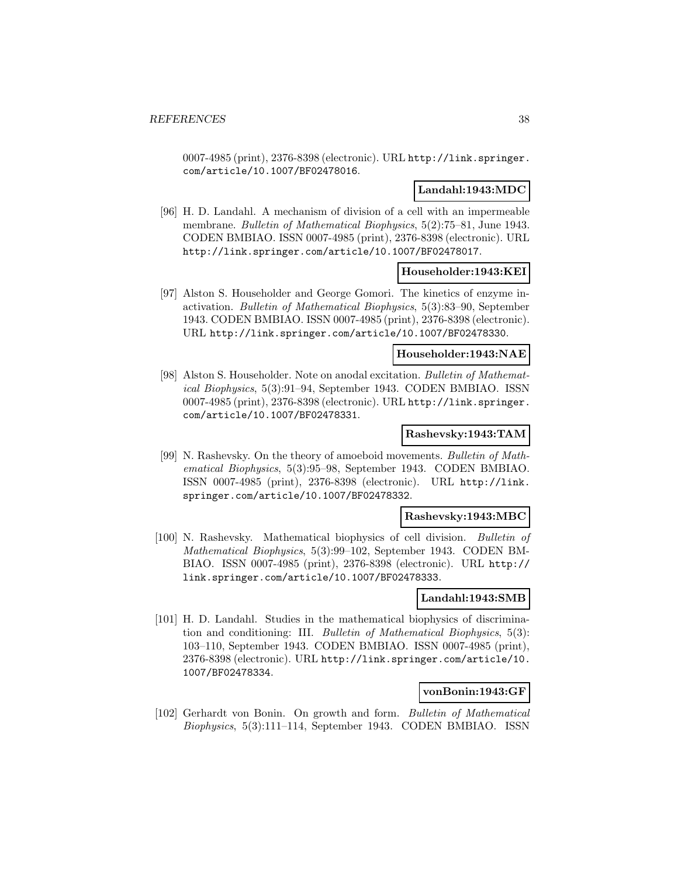0007-4985 (print), 2376-8398 (electronic). URL http://link.springer. com/article/10.1007/BF02478016.

## **Landahl:1943:MDC**

[96] H. D. Landahl. A mechanism of division of a cell with an impermeable membrane. Bulletin of Mathematical Biophysics, 5(2):75–81, June 1943. CODEN BMBIAO. ISSN 0007-4985 (print), 2376-8398 (electronic). URL http://link.springer.com/article/10.1007/BF02478017.

### **Householder:1943:KEI**

[97] Alston S. Householder and George Gomori. The kinetics of enzyme inactivation. Bulletin of Mathematical Biophysics, 5(3):83–90, September 1943. CODEN BMBIAO. ISSN 0007-4985 (print), 2376-8398 (electronic). URL http://link.springer.com/article/10.1007/BF02478330.

### **Householder:1943:NAE**

[98] Alston S. Householder. Note on anodal excitation. Bulletin of Mathematical Biophysics, 5(3):91–94, September 1943. CODEN BMBIAO. ISSN 0007-4985 (print), 2376-8398 (electronic). URL http://link.springer. com/article/10.1007/BF02478331.

#### **Rashevsky:1943:TAM**

[99] N. Rashevsky. On the theory of amoeboid movements. Bulletin of Mathematical Biophysics, 5(3):95–98, September 1943. CODEN BMBIAO. ISSN 0007-4985 (print), 2376-8398 (electronic). URL http://link. springer.com/article/10.1007/BF02478332.

#### **Rashevsky:1943:MBC**

[100] N. Rashevsky. Mathematical biophysics of cell division. Bulletin of Mathematical Biophysics, 5(3):99–102, September 1943. CODEN BM-BIAO. ISSN 0007-4985 (print), 2376-8398 (electronic). URL http:// link.springer.com/article/10.1007/BF02478333.

### **Landahl:1943:SMB**

[101] H. D. Landahl. Studies in the mathematical biophysics of discrimination and conditioning: III. Bulletin of Mathematical Biophysics, 5(3): 103–110, September 1943. CODEN BMBIAO. ISSN 0007-4985 (print), 2376-8398 (electronic). URL http://link.springer.com/article/10. 1007/BF02478334.

### **vonBonin:1943:GF**

[102] Gerhardt von Bonin. On growth and form. Bulletin of Mathematical Biophysics, 5(3):111–114, September 1943. CODEN BMBIAO. ISSN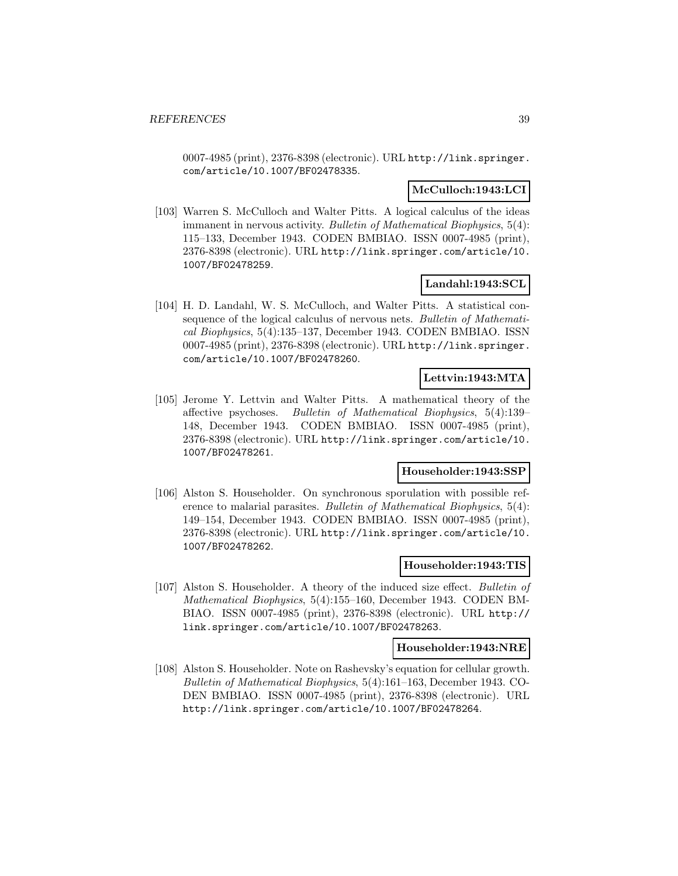0007-4985 (print), 2376-8398 (electronic). URL http://link.springer. com/article/10.1007/BF02478335.

### **McCulloch:1943:LCI**

[103] Warren S. McCulloch and Walter Pitts. A logical calculus of the ideas immanent in nervous activity. Bulletin of Mathematical Biophysics, 5(4): 115–133, December 1943. CODEN BMBIAO. ISSN 0007-4985 (print), 2376-8398 (electronic). URL http://link.springer.com/article/10. 1007/BF02478259.

### **Landahl:1943:SCL**

[104] H. D. Landahl, W. S. McCulloch, and Walter Pitts. A statistical consequence of the logical calculus of nervous nets. Bulletin of Mathematical Biophysics, 5(4):135–137, December 1943. CODEN BMBIAO. ISSN 0007-4985 (print), 2376-8398 (electronic). URL http://link.springer. com/article/10.1007/BF02478260.

### **Lettvin:1943:MTA**

[105] Jerome Y. Lettvin and Walter Pitts. A mathematical theory of the affective psychoses. Bulletin of Mathematical Biophysics, 5(4):139– 148, December 1943. CODEN BMBIAO. ISSN 0007-4985 (print), 2376-8398 (electronic). URL http://link.springer.com/article/10. 1007/BF02478261.

#### **Householder:1943:SSP**

[106] Alston S. Householder. On synchronous sporulation with possible reference to malarial parasites. Bulletin of Mathematical Biophysics, 5(4): 149–154, December 1943. CODEN BMBIAO. ISSN 0007-4985 (print), 2376-8398 (electronic). URL http://link.springer.com/article/10. 1007/BF02478262.

#### **Householder:1943:TIS**

[107] Alston S. Householder. A theory of the induced size effect. Bulletin of Mathematical Biophysics, 5(4):155–160, December 1943. CODEN BM-BIAO. ISSN 0007-4985 (print), 2376-8398 (electronic). URL http:// link.springer.com/article/10.1007/BF02478263.

#### **Householder:1943:NRE**

[108] Alston S. Householder. Note on Rashevsky's equation for cellular growth. Bulletin of Mathematical Biophysics, 5(4):161–163, December 1943. CO-DEN BMBIAO. ISSN 0007-4985 (print), 2376-8398 (electronic). URL http://link.springer.com/article/10.1007/BF02478264.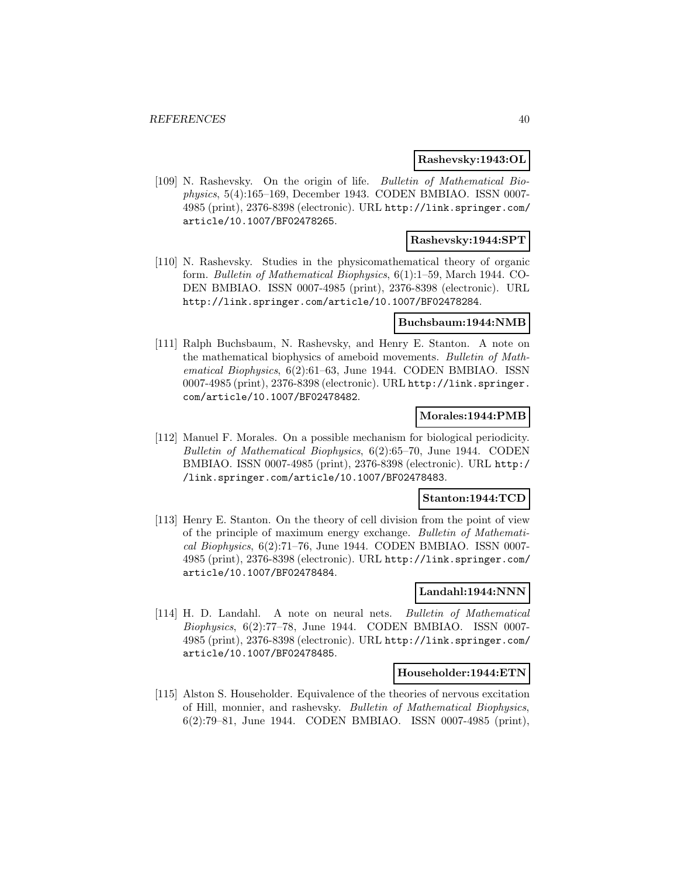### **Rashevsky:1943:OL**

[109] N. Rashevsky. On the origin of life. Bulletin of Mathematical Biophysics, 5(4):165–169, December 1943. CODEN BMBIAO. ISSN 0007- 4985 (print), 2376-8398 (electronic). URL http://link.springer.com/ article/10.1007/BF02478265.

## **Rashevsky:1944:SPT**

[110] N. Rashevsky. Studies in the physicomathematical theory of organic form. Bulletin of Mathematical Biophysics, 6(1):1–59, March 1944. CO-DEN BMBIAO. ISSN 0007-4985 (print), 2376-8398 (electronic). URL http://link.springer.com/article/10.1007/BF02478284.

#### **Buchsbaum:1944:NMB**

[111] Ralph Buchsbaum, N. Rashevsky, and Henry E. Stanton. A note on the mathematical biophysics of ameboid movements. Bulletin of Mathematical Biophysics, 6(2):61–63, June 1944. CODEN BMBIAO. ISSN 0007-4985 (print), 2376-8398 (electronic). URL http://link.springer. com/article/10.1007/BF02478482.

#### **Morales:1944:PMB**

[112] Manuel F. Morales. On a possible mechanism for biological periodicity. Bulletin of Mathematical Biophysics, 6(2):65–70, June 1944. CODEN BMBIAO. ISSN 0007-4985 (print), 2376-8398 (electronic). URL http:/ /link.springer.com/article/10.1007/BF02478483.

#### **Stanton:1944:TCD**

[113] Henry E. Stanton. On the theory of cell division from the point of view of the principle of maximum energy exchange. Bulletin of Mathematical Biophysics, 6(2):71–76, June 1944. CODEN BMBIAO. ISSN 0007- 4985 (print), 2376-8398 (electronic). URL http://link.springer.com/ article/10.1007/BF02478484.

#### **Landahl:1944:NNN**

[114] H. D. Landahl. A note on neural nets. Bulletin of Mathematical Biophysics, 6(2):77–78, June 1944. CODEN BMBIAO. ISSN 0007- 4985 (print), 2376-8398 (electronic). URL http://link.springer.com/ article/10.1007/BF02478485.

#### **Householder:1944:ETN**

[115] Alston S. Householder. Equivalence of the theories of nervous excitation of Hill, monnier, and rashevsky. Bulletin of Mathematical Biophysics, 6(2):79–81, June 1944. CODEN BMBIAO. ISSN 0007-4985 (print),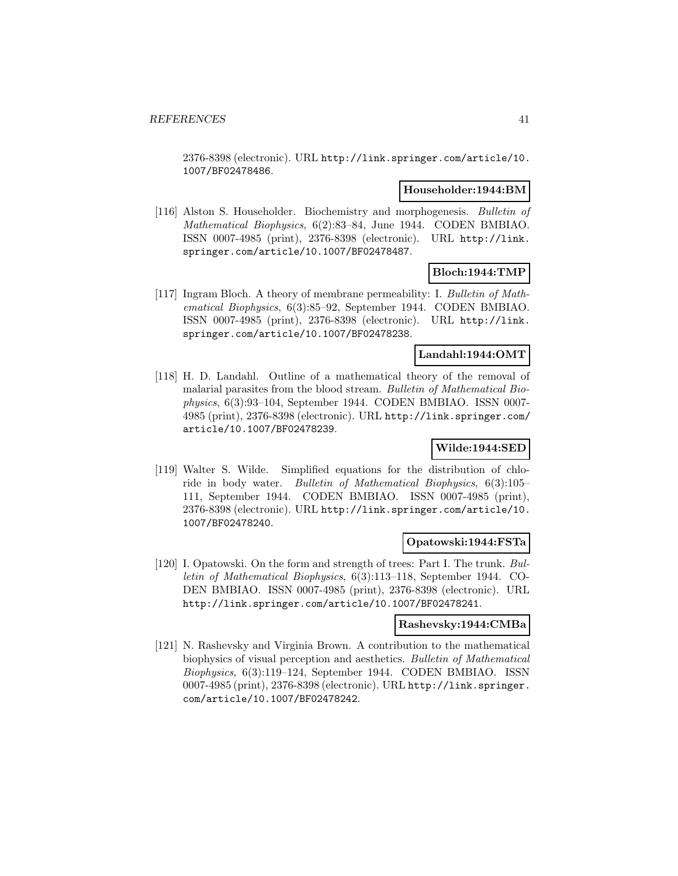2376-8398 (electronic). URL http://link.springer.com/article/10. 1007/BF02478486.

#### **Householder:1944:BM**

[116] Alston S. Householder. Biochemistry and morphogenesis. Bulletin of Mathematical Biophysics, 6(2):83–84, June 1944. CODEN BMBIAO. ISSN 0007-4985 (print), 2376-8398 (electronic). URL http://link. springer.com/article/10.1007/BF02478487.

## **Bloch:1944:TMP**

[117] Ingram Bloch. A theory of membrane permeability: I. Bulletin of Mathematical Biophysics, 6(3):85–92, September 1944. CODEN BMBIAO. ISSN 0007-4985 (print), 2376-8398 (electronic). URL http://link. springer.com/article/10.1007/BF02478238.

#### **Landahl:1944:OMT**

[118] H. D. Landahl. Outline of a mathematical theory of the removal of malarial parasites from the blood stream. Bulletin of Mathematical Biophysics, 6(3):93–104, September 1944. CODEN BMBIAO. ISSN 0007- 4985 (print), 2376-8398 (electronic). URL http://link.springer.com/ article/10.1007/BF02478239.

## **Wilde:1944:SED**

[119] Walter S. Wilde. Simplified equations for the distribution of chloride in body water. Bulletin of Mathematical Biophysics, 6(3):105– 111, September 1944. CODEN BMBIAO. ISSN 0007-4985 (print), 2376-8398 (electronic). URL http://link.springer.com/article/10. 1007/BF02478240.

#### **Opatowski:1944:FSTa**

[120] I. Opatowski. On the form and strength of trees: Part I. The trunk. Bulletin of Mathematical Biophysics, 6(3):113–118, September 1944. CO-DEN BMBIAO. ISSN 0007-4985 (print), 2376-8398 (electronic). URL http://link.springer.com/article/10.1007/BF02478241.

#### **Rashevsky:1944:CMBa**

[121] N. Rashevsky and Virginia Brown. A contribution to the mathematical biophysics of visual perception and aesthetics. Bulletin of Mathematical Biophysics, 6(3):119–124, September 1944. CODEN BMBIAO. ISSN 0007-4985 (print), 2376-8398 (electronic). URL http://link.springer. com/article/10.1007/BF02478242.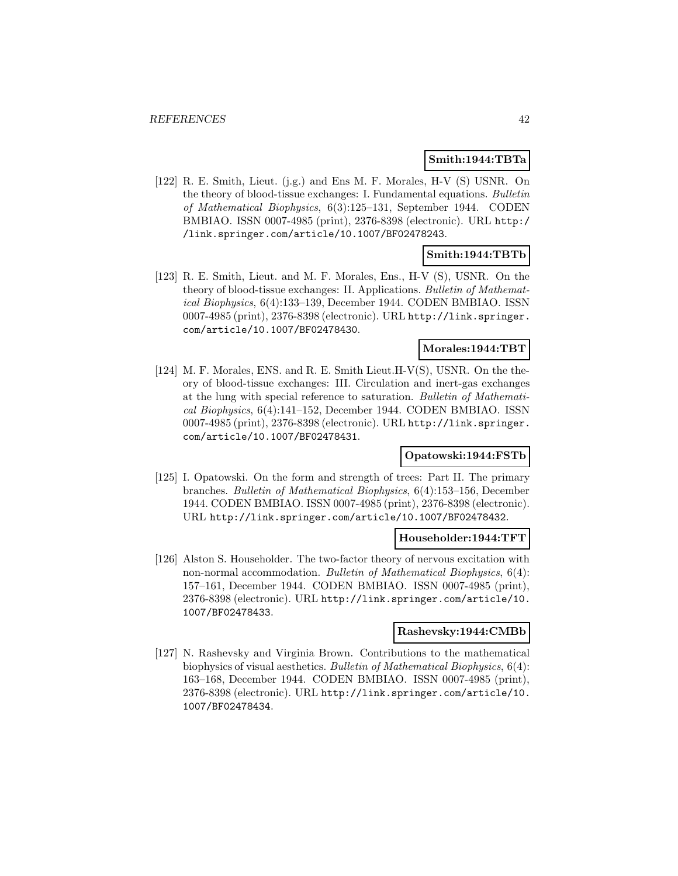### **Smith:1944:TBTa**

[122] R. E. Smith, Lieut. (j.g.) and Ens M. F. Morales, H-V (S) USNR. On the theory of blood-tissue exchanges: I. Fundamental equations. Bulletin of Mathematical Biophysics, 6(3):125–131, September 1944. CODEN BMBIAO. ISSN 0007-4985 (print), 2376-8398 (electronic). URL http:/ /link.springer.com/article/10.1007/BF02478243.

## **Smith:1944:TBTb**

[123] R. E. Smith, Lieut. and M. F. Morales, Ens., H-V (S), USNR. On the theory of blood-tissue exchanges: II. Applications. Bulletin of Mathematical Biophysics, 6(4):133–139, December 1944. CODEN BMBIAO. ISSN 0007-4985 (print), 2376-8398 (electronic). URL http://link.springer. com/article/10.1007/BF02478430.

#### **Morales:1944:TBT**

[124] M. F. Morales, ENS. and R. E. Smith Lieut.H-V(S), USNR. On the theory of blood-tissue exchanges: III. Circulation and inert-gas exchanges at the lung with special reference to saturation. Bulletin of Mathematical Biophysics, 6(4):141–152, December 1944. CODEN BMBIAO. ISSN 0007-4985 (print), 2376-8398 (electronic). URL http://link.springer. com/article/10.1007/BF02478431.

## **Opatowski:1944:FSTb**

[125] I. Opatowski. On the form and strength of trees: Part II. The primary branches. Bulletin of Mathematical Biophysics, 6(4):153–156, December 1944. CODEN BMBIAO. ISSN 0007-4985 (print), 2376-8398 (electronic). URL http://link.springer.com/article/10.1007/BF02478432.

#### **Householder:1944:TFT**

[126] Alston S. Householder. The two-factor theory of nervous excitation with non-normal accommodation. Bulletin of Mathematical Biophysics, 6(4): 157–161, December 1944. CODEN BMBIAO. ISSN 0007-4985 (print), 2376-8398 (electronic). URL http://link.springer.com/article/10. 1007/BF02478433.

#### **Rashevsky:1944:CMBb**

[127] N. Rashevsky and Virginia Brown. Contributions to the mathematical biophysics of visual aesthetics. Bulletin of Mathematical Biophysics, 6(4): 163–168, December 1944. CODEN BMBIAO. ISSN 0007-4985 (print), 2376-8398 (electronic). URL http://link.springer.com/article/10. 1007/BF02478434.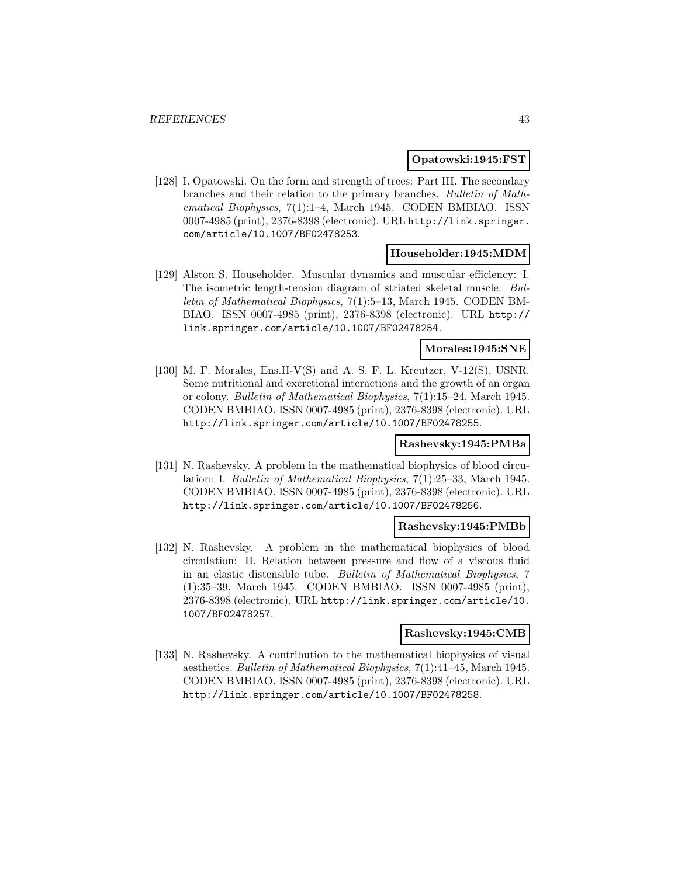#### **Opatowski:1945:FST**

[128] I. Opatowski. On the form and strength of trees: Part III. The secondary branches and their relation to the primary branches. Bulletin of Mathematical Biophysics, 7(1):1–4, March 1945. CODEN BMBIAO. ISSN 0007-4985 (print), 2376-8398 (electronic). URL http://link.springer. com/article/10.1007/BF02478253.

### **Householder:1945:MDM**

[129] Alston S. Householder. Muscular dynamics and muscular efficiency: I. The isometric length-tension diagram of striated skeletal muscle. Bulletin of Mathematical Biophysics, 7(1):5–13, March 1945. CODEN BM-BIAO. ISSN 0007-4985 (print), 2376-8398 (electronic). URL http:// link.springer.com/article/10.1007/BF02478254.

### **Morales:1945:SNE**

[130] M. F. Morales, Ens.H-V(S) and A. S. F. L. Kreutzer, V-12(S), USNR. Some nutritional and excretional interactions and the growth of an organ or colony. Bulletin of Mathematical Biophysics, 7(1):15–24, March 1945. CODEN BMBIAO. ISSN 0007-4985 (print), 2376-8398 (electronic). URL http://link.springer.com/article/10.1007/BF02478255.

#### **Rashevsky:1945:PMBa**

[131] N. Rashevsky. A problem in the mathematical biophysics of blood circulation: I. Bulletin of Mathematical Biophysics, 7(1):25–33, March 1945. CODEN BMBIAO. ISSN 0007-4985 (print), 2376-8398 (electronic). URL http://link.springer.com/article/10.1007/BF02478256.

#### **Rashevsky:1945:PMBb**

[132] N. Rashevsky. A problem in the mathematical biophysics of blood circulation: II. Relation between pressure and flow of a viscous fluid in an elastic distensible tube. Bulletin of Mathematical Biophysics, 7 (1):35–39, March 1945. CODEN BMBIAO. ISSN 0007-4985 (print), 2376-8398 (electronic). URL http://link.springer.com/article/10. 1007/BF02478257.

#### **Rashevsky:1945:CMB**

[133] N. Rashevsky. A contribution to the mathematical biophysics of visual aesthetics. Bulletin of Mathematical Biophysics, 7(1):41–45, March 1945. CODEN BMBIAO. ISSN 0007-4985 (print), 2376-8398 (electronic). URL http://link.springer.com/article/10.1007/BF02478258.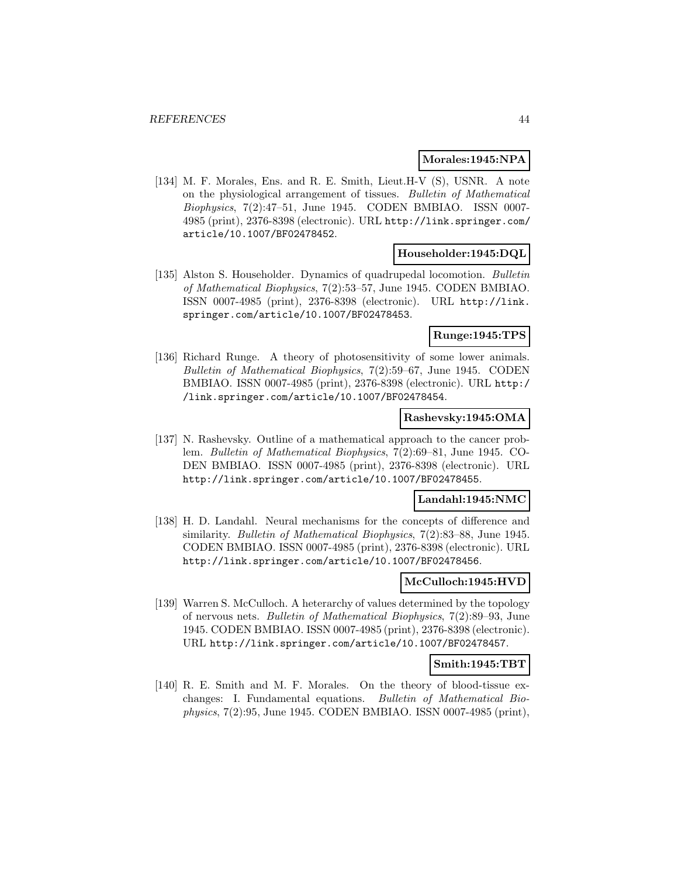#### **Morales:1945:NPA**

[134] M. F. Morales, Ens. and R. E. Smith, Lieut.H-V (S), USNR. A note on the physiological arrangement of tissues. Bulletin of Mathematical Biophysics, 7(2):47–51, June 1945. CODEN BMBIAO. ISSN 0007- 4985 (print), 2376-8398 (electronic). URL http://link.springer.com/ article/10.1007/BF02478452.

#### **Householder:1945:DQL**

[135] Alston S. Householder. Dynamics of quadrupedal locomotion. Bulletin of Mathematical Biophysics, 7(2):53–57, June 1945. CODEN BMBIAO. ISSN 0007-4985 (print), 2376-8398 (electronic). URL http://link. springer.com/article/10.1007/BF02478453.

## **Runge:1945:TPS**

[136] Richard Runge. A theory of photosensitivity of some lower animals. Bulletin of Mathematical Biophysics, 7(2):59–67, June 1945. CODEN BMBIAO. ISSN 0007-4985 (print), 2376-8398 (electronic). URL http:/ /link.springer.com/article/10.1007/BF02478454.

### **Rashevsky:1945:OMA**

[137] N. Rashevsky. Outline of a mathematical approach to the cancer problem. Bulletin of Mathematical Biophysics, 7(2):69–81, June 1945. CO-DEN BMBIAO. ISSN 0007-4985 (print), 2376-8398 (electronic). URL http://link.springer.com/article/10.1007/BF02478455.

#### **Landahl:1945:NMC**

[138] H. D. Landahl. Neural mechanisms for the concepts of difference and similarity. Bulletin of Mathematical Biophysics, 7(2):83–88, June 1945. CODEN BMBIAO. ISSN 0007-4985 (print), 2376-8398 (electronic). URL http://link.springer.com/article/10.1007/BF02478456.

## **McCulloch:1945:HVD**

[139] Warren S. McCulloch. A heterarchy of values determined by the topology of nervous nets. Bulletin of Mathematical Biophysics, 7(2):89–93, June 1945. CODEN BMBIAO. ISSN 0007-4985 (print), 2376-8398 (electronic). URL http://link.springer.com/article/10.1007/BF02478457.

### **Smith:1945:TBT**

[140] R. E. Smith and M. F. Morales. On the theory of blood-tissue exchanges: I. Fundamental equations. Bulletin of Mathematical Biophysics, 7(2):95, June 1945. CODEN BMBIAO. ISSN 0007-4985 (print),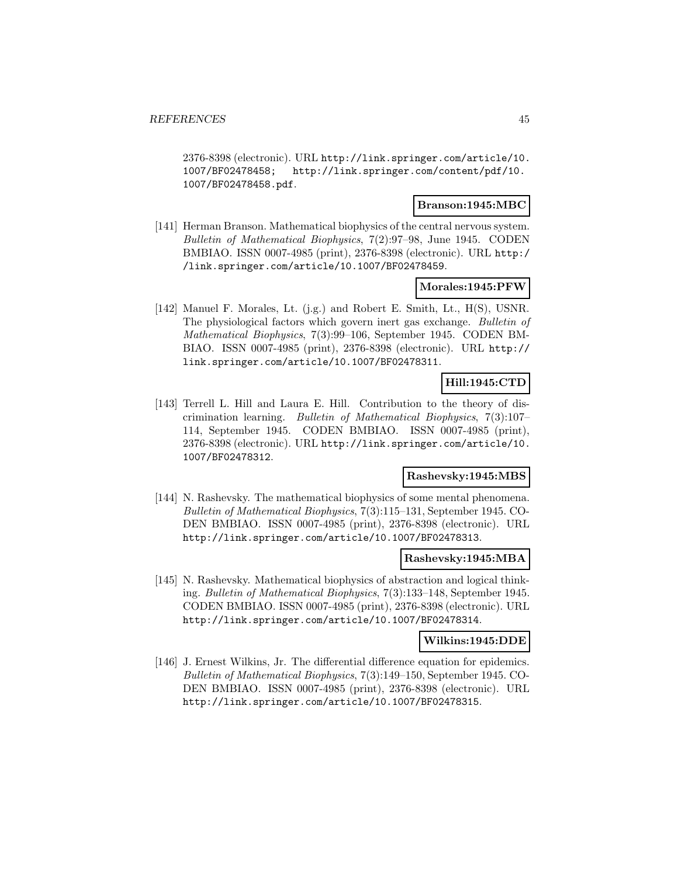2376-8398 (electronic). URL http://link.springer.com/article/10. 1007/BF02478458; http://link.springer.com/content/pdf/10. 1007/BF02478458.pdf.

### **Branson:1945:MBC**

[141] Herman Branson. Mathematical biophysics of the central nervous system. Bulletin of Mathematical Biophysics, 7(2):97–98, June 1945. CODEN BMBIAO. ISSN 0007-4985 (print), 2376-8398 (electronic). URL http:/ /link.springer.com/article/10.1007/BF02478459.

### **Morales:1945:PFW**

[142] Manuel F. Morales, Lt. (j.g.) and Robert E. Smith, Lt., H(S), USNR. The physiological factors which govern inert gas exchange. Bulletin of Mathematical Biophysics, 7(3):99–106, September 1945. CODEN BM-BIAO. ISSN 0007-4985 (print), 2376-8398 (electronic). URL http:// link.springer.com/article/10.1007/BF02478311.

# **Hill:1945:CTD**

[143] Terrell L. Hill and Laura E. Hill. Contribution to the theory of discrimination learning. Bulletin of Mathematical Biophysics, 7(3):107– 114, September 1945. CODEN BMBIAO. ISSN 0007-4985 (print), 2376-8398 (electronic). URL http://link.springer.com/article/10. 1007/BF02478312.

## **Rashevsky:1945:MBS**

[144] N. Rashevsky. The mathematical biophysics of some mental phenomena. Bulletin of Mathematical Biophysics, 7(3):115–131, September 1945. CO-DEN BMBIAO. ISSN 0007-4985 (print), 2376-8398 (electronic). URL http://link.springer.com/article/10.1007/BF02478313.

## **Rashevsky:1945:MBA**

[145] N. Rashevsky. Mathematical biophysics of abstraction and logical thinking. Bulletin of Mathematical Biophysics, 7(3):133–148, September 1945. CODEN BMBIAO. ISSN 0007-4985 (print), 2376-8398 (electronic). URL http://link.springer.com/article/10.1007/BF02478314.

## **Wilkins:1945:DDE**

[146] J. Ernest Wilkins, Jr. The differential difference equation for epidemics. Bulletin of Mathematical Biophysics, 7(3):149–150, September 1945. CO-DEN BMBIAO. ISSN 0007-4985 (print), 2376-8398 (electronic). URL http://link.springer.com/article/10.1007/BF02478315.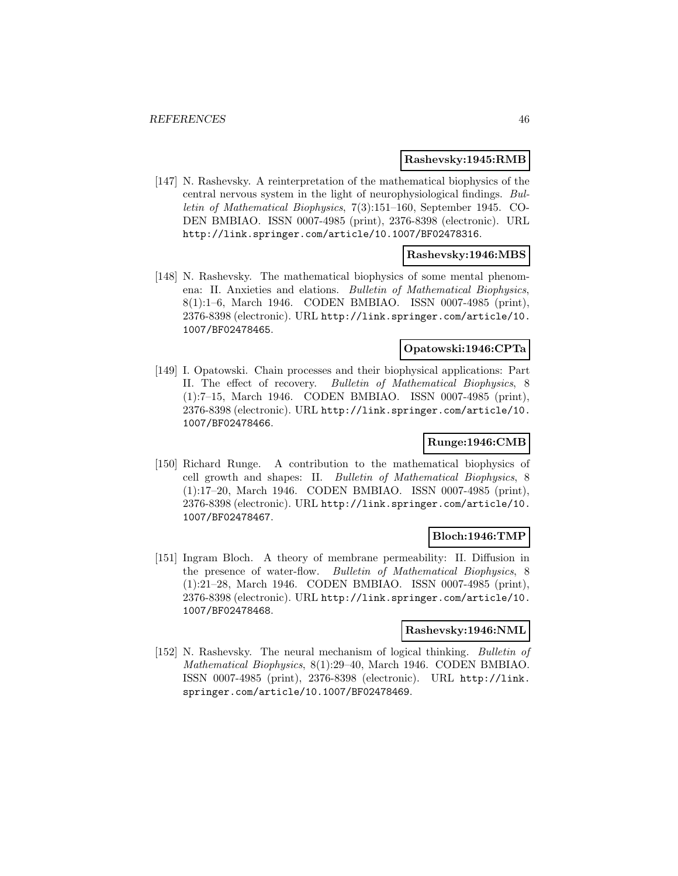#### **Rashevsky:1945:RMB**

[147] N. Rashevsky. A reinterpretation of the mathematical biophysics of the central nervous system in the light of neurophysiological findings. Bulletin of Mathematical Biophysics, 7(3):151–160, September 1945. CO-DEN BMBIAO. ISSN 0007-4985 (print), 2376-8398 (electronic). URL http://link.springer.com/article/10.1007/BF02478316.

### **Rashevsky:1946:MBS**

[148] N. Rashevsky. The mathematical biophysics of some mental phenomena: II. Anxieties and elations. Bulletin of Mathematical Biophysics, 8(1):1–6, March 1946. CODEN BMBIAO. ISSN 0007-4985 (print), 2376-8398 (electronic). URL http://link.springer.com/article/10. 1007/BF02478465.

## **Opatowski:1946:CPTa**

[149] I. Opatowski. Chain processes and their biophysical applications: Part II. The effect of recovery. Bulletin of Mathematical Biophysics, 8 (1):7–15, March 1946. CODEN BMBIAO. ISSN 0007-4985 (print), 2376-8398 (electronic). URL http://link.springer.com/article/10. 1007/BF02478466.

## **Runge:1946:CMB**

[150] Richard Runge. A contribution to the mathematical biophysics of cell growth and shapes: II. Bulletin of Mathematical Biophysics, 8 (1):17–20, March 1946. CODEN BMBIAO. ISSN 0007-4985 (print), 2376-8398 (electronic). URL http://link.springer.com/article/10. 1007/BF02478467.

#### **Bloch:1946:TMP**

[151] Ingram Bloch. A theory of membrane permeability: II. Diffusion in the presence of water-flow. Bulletin of Mathematical Biophysics, 8 (1):21–28, March 1946. CODEN BMBIAO. ISSN 0007-4985 (print), 2376-8398 (electronic). URL http://link.springer.com/article/10. 1007/BF02478468.

#### **Rashevsky:1946:NML**

[152] N. Rashevsky. The neural mechanism of logical thinking. Bulletin of Mathematical Biophysics, 8(1):29–40, March 1946. CODEN BMBIAO. ISSN 0007-4985 (print), 2376-8398 (electronic). URL http://link. springer.com/article/10.1007/BF02478469.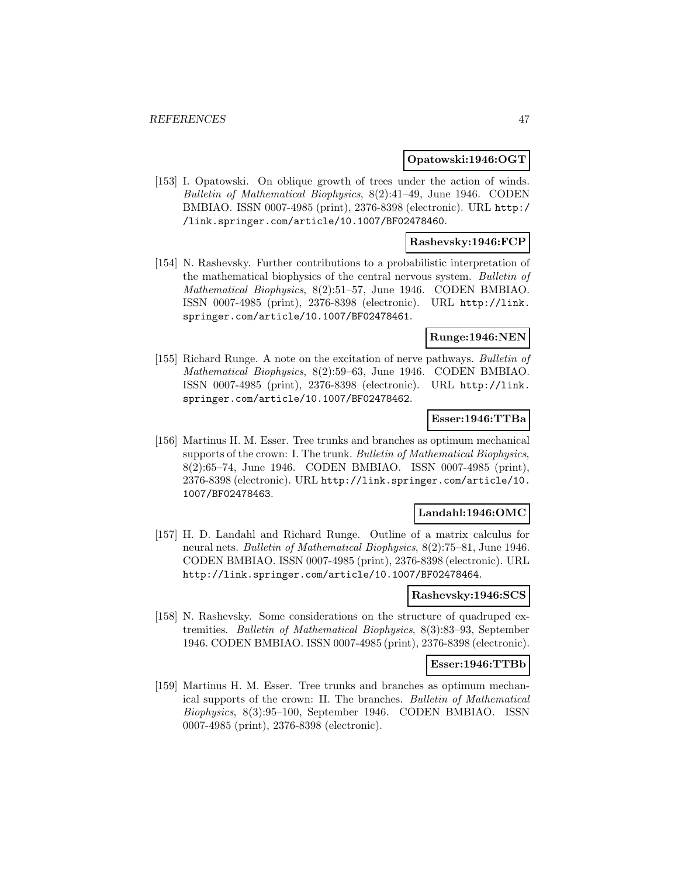### **Opatowski:1946:OGT**

[153] I. Opatowski. On oblique growth of trees under the action of winds. Bulletin of Mathematical Biophysics, 8(2):41–49, June 1946. CODEN BMBIAO. ISSN 0007-4985 (print), 2376-8398 (electronic). URL http:/ /link.springer.com/article/10.1007/BF02478460.

## **Rashevsky:1946:FCP**

[154] N. Rashevsky. Further contributions to a probabilistic interpretation of the mathematical biophysics of the central nervous system. Bulletin of Mathematical Biophysics, 8(2):51–57, June 1946. CODEN BMBIAO. ISSN 0007-4985 (print), 2376-8398 (electronic). URL http://link. springer.com/article/10.1007/BF02478461.

### **Runge:1946:NEN**

[155] Richard Runge. A note on the excitation of nerve pathways. Bulletin of Mathematical Biophysics, 8(2):59–63, June 1946. CODEN BMBIAO. ISSN 0007-4985 (print), 2376-8398 (electronic). URL http://link. springer.com/article/10.1007/BF02478462.

### **Esser:1946:TTBa**

[156] Martinus H. M. Esser. Tree trunks and branches as optimum mechanical supports of the crown: I. The trunk. Bulletin of Mathematical Biophysics, 8(2):65–74, June 1946. CODEN BMBIAO. ISSN 0007-4985 (print), 2376-8398 (electronic). URL http://link.springer.com/article/10. 1007/BF02478463.

#### **Landahl:1946:OMC**

[157] H. D. Landahl and Richard Runge. Outline of a matrix calculus for neural nets. Bulletin of Mathematical Biophysics, 8(2):75–81, June 1946. CODEN BMBIAO. ISSN 0007-4985 (print), 2376-8398 (electronic). URL http://link.springer.com/article/10.1007/BF02478464.

#### **Rashevsky:1946:SCS**

[158] N. Rashevsky. Some considerations on the structure of quadruped extremities. Bulletin of Mathematical Biophysics, 8(3):83–93, September 1946. CODEN BMBIAO. ISSN 0007-4985 (print), 2376-8398 (electronic).

## **Esser:1946:TTBb**

[159] Martinus H. M. Esser. Tree trunks and branches as optimum mechanical supports of the crown: II. The branches. Bulletin of Mathematical Biophysics, 8(3):95–100, September 1946. CODEN BMBIAO. ISSN 0007-4985 (print), 2376-8398 (electronic).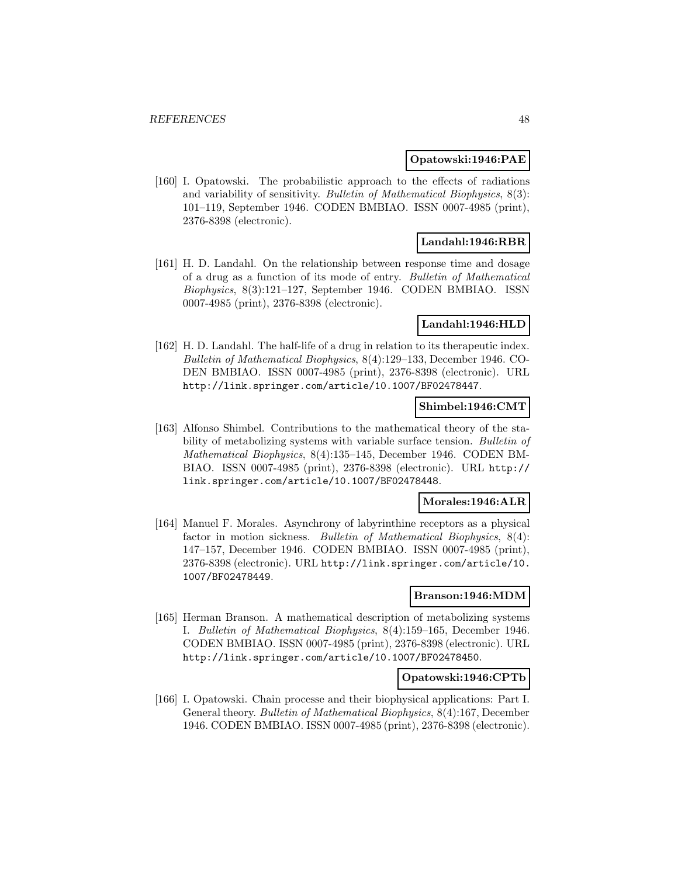#### **Opatowski:1946:PAE**

[160] I. Opatowski. The probabilistic approach to the effects of radiations and variability of sensitivity. Bulletin of Mathematical Biophysics, 8(3): 101–119, September 1946. CODEN BMBIAO. ISSN 0007-4985 (print), 2376-8398 (electronic).

### **Landahl:1946:RBR**

[161] H. D. Landahl. On the relationship between response time and dosage of a drug as a function of its mode of entry. Bulletin of Mathematical Biophysics, 8(3):121–127, September 1946. CODEN BMBIAO. ISSN 0007-4985 (print), 2376-8398 (electronic).

### **Landahl:1946:HLD**

[162] H. D. Landahl. The half-life of a drug in relation to its therapeutic index. Bulletin of Mathematical Biophysics, 8(4):129–133, December 1946. CO-DEN BMBIAO. ISSN 0007-4985 (print), 2376-8398 (electronic). URL http://link.springer.com/article/10.1007/BF02478447.

### **Shimbel:1946:CMT**

[163] Alfonso Shimbel. Contributions to the mathematical theory of the stability of metabolizing systems with variable surface tension. Bulletin of Mathematical Biophysics, 8(4):135–145, December 1946. CODEN BM-BIAO. ISSN 0007-4985 (print), 2376-8398 (electronic). URL http:// link.springer.com/article/10.1007/BF02478448.

#### **Morales:1946:ALR**

[164] Manuel F. Morales. Asynchrony of labyrinthine receptors as a physical factor in motion sickness. Bulletin of Mathematical Biophysics, 8(4): 147–157, December 1946. CODEN BMBIAO. ISSN 0007-4985 (print), 2376-8398 (electronic). URL http://link.springer.com/article/10. 1007/BF02478449.

### **Branson:1946:MDM**

[165] Herman Branson. A mathematical description of metabolizing systems I. Bulletin of Mathematical Biophysics, 8(4):159–165, December 1946. CODEN BMBIAO. ISSN 0007-4985 (print), 2376-8398 (electronic). URL http://link.springer.com/article/10.1007/BF02478450.

### **Opatowski:1946:CPTb**

[166] I. Opatowski. Chain processe and their biophysical applications: Part I. General theory. Bulletin of Mathematical Biophysics, 8(4):167, December 1946. CODEN BMBIAO. ISSN 0007-4985 (print), 2376-8398 (electronic).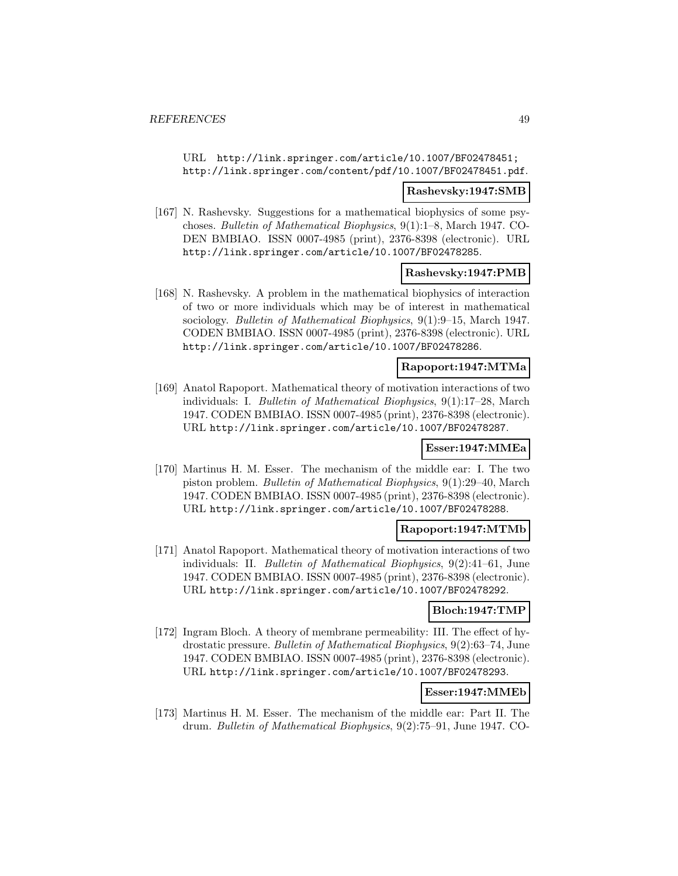URL http://link.springer.com/article/10.1007/BF02478451; http://link.springer.com/content/pdf/10.1007/BF02478451.pdf.

#### **Rashevsky:1947:SMB**

[167] N. Rashevsky. Suggestions for a mathematical biophysics of some psychoses. Bulletin of Mathematical Biophysics, 9(1):1–8, March 1947. CO-DEN BMBIAO. ISSN 0007-4985 (print), 2376-8398 (electronic). URL http://link.springer.com/article/10.1007/BF02478285.

### **Rashevsky:1947:PMB**

[168] N. Rashevsky. A problem in the mathematical biophysics of interaction of two or more individuals which may be of interest in mathematical sociology. Bulletin of Mathematical Biophysics, 9(1):9–15, March 1947. CODEN BMBIAO. ISSN 0007-4985 (print), 2376-8398 (electronic). URL http://link.springer.com/article/10.1007/BF02478286.

#### **Rapoport:1947:MTMa**

[169] Anatol Rapoport. Mathematical theory of motivation interactions of two individuals: I. Bulletin of Mathematical Biophysics, 9(1):17–28, March 1947. CODEN BMBIAO. ISSN 0007-4985 (print), 2376-8398 (electronic). URL http://link.springer.com/article/10.1007/BF02478287.

### **Esser:1947:MMEa**

[170] Martinus H. M. Esser. The mechanism of the middle ear: I. The two piston problem. Bulletin of Mathematical Biophysics, 9(1):29–40, March 1947. CODEN BMBIAO. ISSN 0007-4985 (print), 2376-8398 (electronic). URL http://link.springer.com/article/10.1007/BF02478288.

#### **Rapoport:1947:MTMb**

[171] Anatol Rapoport. Mathematical theory of motivation interactions of two individuals: II. Bulletin of Mathematical Biophysics, 9(2):41–61, June 1947. CODEN BMBIAO. ISSN 0007-4985 (print), 2376-8398 (electronic). URL http://link.springer.com/article/10.1007/BF02478292.

#### **Bloch:1947:TMP**

[172] Ingram Bloch. A theory of membrane permeability: III. The effect of hydrostatic pressure. Bulletin of Mathematical Biophysics, 9(2):63–74, June 1947. CODEN BMBIAO. ISSN 0007-4985 (print), 2376-8398 (electronic). URL http://link.springer.com/article/10.1007/BF02478293.

### **Esser:1947:MMEb**

[173] Martinus H. M. Esser. The mechanism of the middle ear: Part II. The drum. Bulletin of Mathematical Biophysics, 9(2):75–91, June 1947. CO-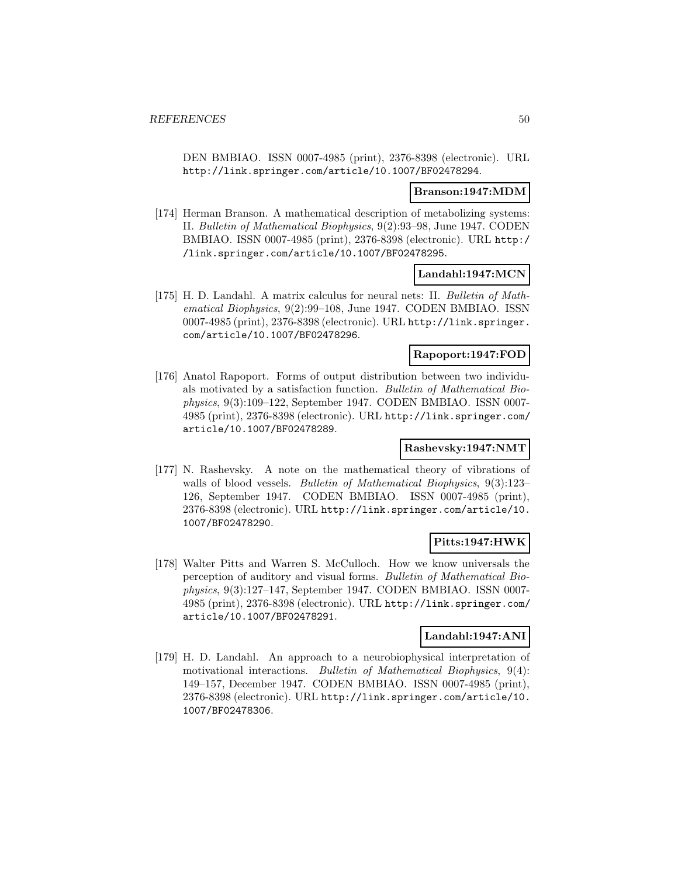DEN BMBIAO. ISSN 0007-4985 (print), 2376-8398 (electronic). URL http://link.springer.com/article/10.1007/BF02478294.

#### **Branson:1947:MDM**

[174] Herman Branson. A mathematical description of metabolizing systems: II. Bulletin of Mathematical Biophysics, 9(2):93–98, June 1947. CODEN BMBIAO. ISSN 0007-4985 (print), 2376-8398 (electronic). URL http:/ /link.springer.com/article/10.1007/BF02478295.

## **Landahl:1947:MCN**

[175] H. D. Landahl. A matrix calculus for neural nets: II. Bulletin of Mathematical Biophysics, 9(2):99–108, June 1947. CODEN BMBIAO. ISSN 0007-4985 (print), 2376-8398 (electronic). URL http://link.springer. com/article/10.1007/BF02478296.

## **Rapoport:1947:FOD**

[176] Anatol Rapoport. Forms of output distribution between two individuals motivated by a satisfaction function. Bulletin of Mathematical Biophysics, 9(3):109–122, September 1947. CODEN BMBIAO. ISSN 0007- 4985 (print), 2376-8398 (electronic). URL http://link.springer.com/ article/10.1007/BF02478289.

### **Rashevsky:1947:NMT**

[177] N. Rashevsky. A note on the mathematical theory of vibrations of walls of blood vessels. *Bulletin of Mathematical Biophysics*, 9(3):123– 126, September 1947. CODEN BMBIAO. ISSN 0007-4985 (print), 2376-8398 (electronic). URL http://link.springer.com/article/10. 1007/BF02478290.

## **Pitts:1947:HWK**

[178] Walter Pitts and Warren S. McCulloch. How we know universals the perception of auditory and visual forms. Bulletin of Mathematical Biophysics, 9(3):127–147, September 1947. CODEN BMBIAO. ISSN 0007- 4985 (print), 2376-8398 (electronic). URL http://link.springer.com/ article/10.1007/BF02478291.

#### **Landahl:1947:ANI**

[179] H. D. Landahl. An approach to a neurobiophysical interpretation of motivational interactions. Bulletin of Mathematical Biophysics, 9(4): 149–157, December 1947. CODEN BMBIAO. ISSN 0007-4985 (print), 2376-8398 (electronic). URL http://link.springer.com/article/10. 1007/BF02478306.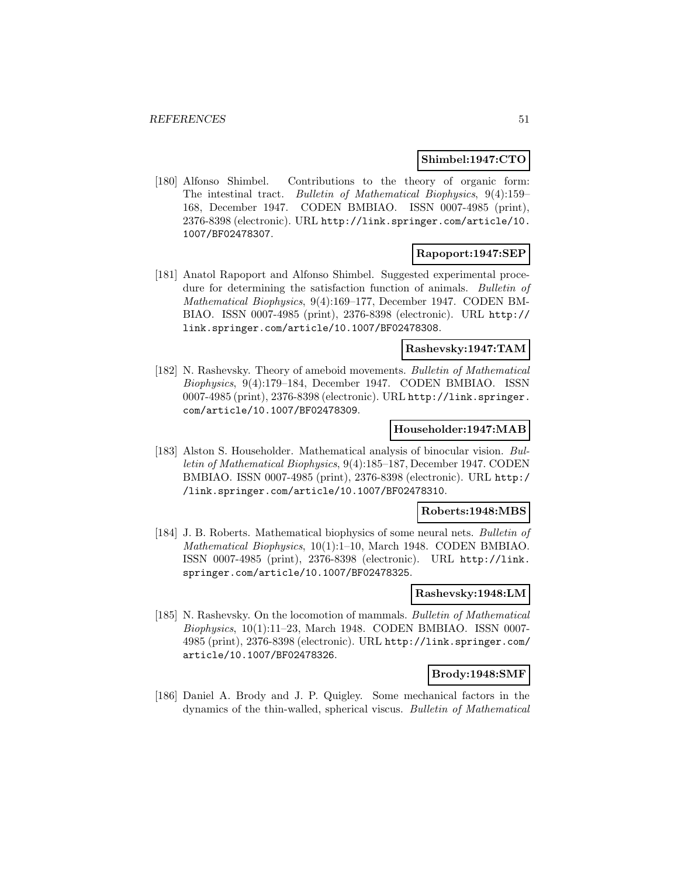### **Shimbel:1947:CTO**

[180] Alfonso Shimbel. Contributions to the theory of organic form: The intestinal tract. Bulletin of Mathematical Biophysics, 9(4):159– 168, December 1947. CODEN BMBIAO. ISSN 0007-4985 (print), 2376-8398 (electronic). URL http://link.springer.com/article/10. 1007/BF02478307.

## **Rapoport:1947:SEP**

[181] Anatol Rapoport and Alfonso Shimbel. Suggested experimental procedure for determining the satisfaction function of animals. Bulletin of Mathematical Biophysics, 9(4):169–177, December 1947. CODEN BM-BIAO. ISSN 0007-4985 (print), 2376-8398 (electronic). URL http:// link.springer.com/article/10.1007/BF02478308.

### **Rashevsky:1947:TAM**

[182] N. Rashevsky. Theory of ameboid movements. Bulletin of Mathematical Biophysics, 9(4):179–184, December 1947. CODEN BMBIAO. ISSN 0007-4985 (print), 2376-8398 (electronic). URL http://link.springer. com/article/10.1007/BF02478309.

#### **Householder:1947:MAB**

[183] Alston S. Householder. Mathematical analysis of binocular vision. Bulletin of Mathematical Biophysics, 9(4):185–187, December 1947. CODEN BMBIAO. ISSN 0007-4985 (print), 2376-8398 (electronic). URL http:/ /link.springer.com/article/10.1007/BF02478310.

#### **Roberts:1948:MBS**

[184] J. B. Roberts. Mathematical biophysics of some neural nets. Bulletin of Mathematical Biophysics, 10(1):1–10, March 1948. CODEN BMBIAO. ISSN 0007-4985 (print), 2376-8398 (electronic). URL http://link. springer.com/article/10.1007/BF02478325.

#### **Rashevsky:1948:LM**

[185] N. Rashevsky. On the locomotion of mammals. Bulletin of Mathematical Biophysics, 10(1):11–23, March 1948. CODEN BMBIAO. ISSN 0007- 4985 (print), 2376-8398 (electronic). URL http://link.springer.com/ article/10.1007/BF02478326.

#### **Brody:1948:SMF**

[186] Daniel A. Brody and J. P. Quigley. Some mechanical factors in the dynamics of the thin-walled, spherical viscus. Bulletin of Mathematical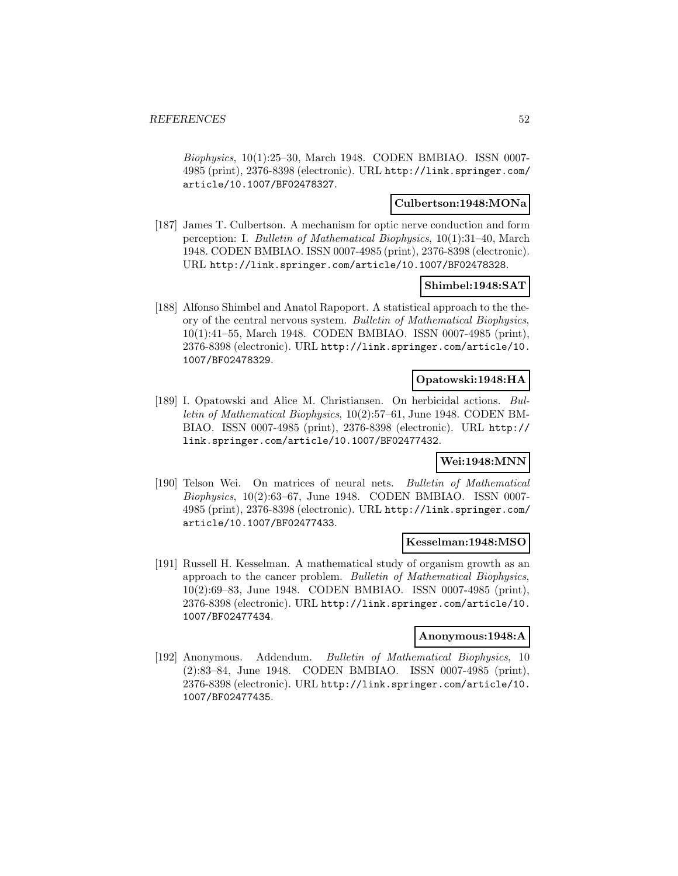Biophysics, 10(1):25–30, March 1948. CODEN BMBIAO. ISSN 0007- 4985 (print), 2376-8398 (electronic). URL http://link.springer.com/ article/10.1007/BF02478327.

### **Culbertson:1948:MONa**

[187] James T. Culbertson. A mechanism for optic nerve conduction and form perception: I. Bulletin of Mathematical Biophysics, 10(1):31–40, March 1948. CODEN BMBIAO. ISSN 0007-4985 (print), 2376-8398 (electronic). URL http://link.springer.com/article/10.1007/BF02478328.

### **Shimbel:1948:SAT**

[188] Alfonso Shimbel and Anatol Rapoport. A statistical approach to the theory of the central nervous system. Bulletin of Mathematical Biophysics, 10(1):41–55, March 1948. CODEN BMBIAO. ISSN 0007-4985 (print), 2376-8398 (electronic). URL http://link.springer.com/article/10. 1007/BF02478329.

### **Opatowski:1948:HA**

[189] I. Opatowski and Alice M. Christiansen. On herbicidal actions. Bulletin of Mathematical Biophysics, 10(2):57–61, June 1948. CODEN BM-BIAO. ISSN 0007-4985 (print), 2376-8398 (electronic). URL http:// link.springer.com/article/10.1007/BF02477432.

## **Wei:1948:MNN**

[190] Telson Wei. On matrices of neural nets. Bulletin of Mathematical Biophysics, 10(2):63–67, June 1948. CODEN BMBIAO. ISSN 0007- 4985 (print), 2376-8398 (electronic). URL http://link.springer.com/ article/10.1007/BF02477433.

#### **Kesselman:1948:MSO**

[191] Russell H. Kesselman. A mathematical study of organism growth as an approach to the cancer problem. Bulletin of Mathematical Biophysics, 10(2):69–83, June 1948. CODEN BMBIAO. ISSN 0007-4985 (print), 2376-8398 (electronic). URL http://link.springer.com/article/10. 1007/BF02477434.

#### **Anonymous:1948:A**

[192] Anonymous. Addendum. Bulletin of Mathematical Biophysics, 10 (2):83–84, June 1948. CODEN BMBIAO. ISSN 0007-4985 (print), 2376-8398 (electronic). URL http://link.springer.com/article/10. 1007/BF02477435.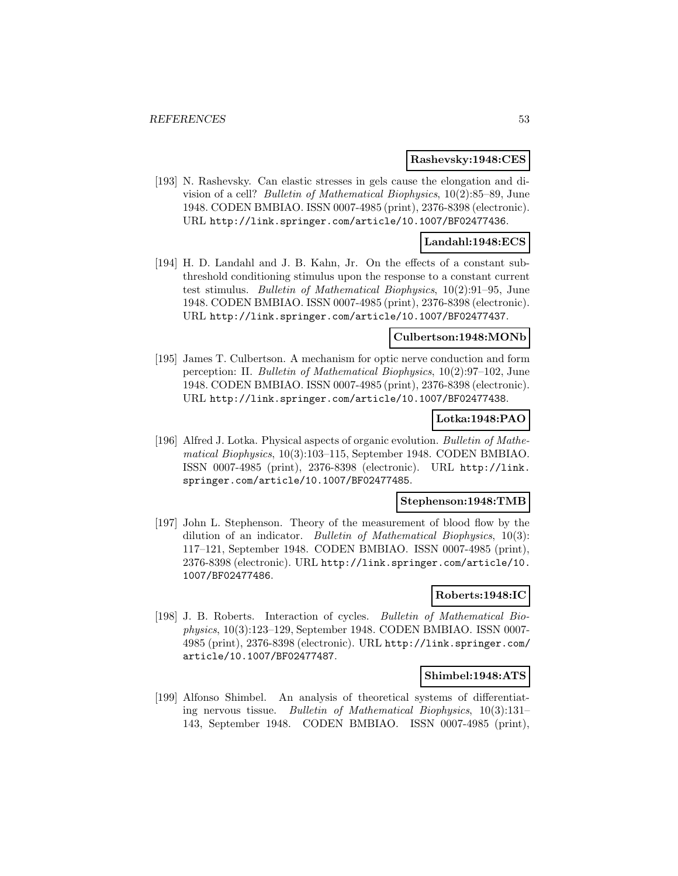#### **Rashevsky:1948:CES**

[193] N. Rashevsky. Can elastic stresses in gels cause the elongation and division of a cell? Bulletin of Mathematical Biophysics, 10(2):85–89, June 1948. CODEN BMBIAO. ISSN 0007-4985 (print), 2376-8398 (electronic). URL http://link.springer.com/article/10.1007/BF02477436.

### **Landahl:1948:ECS**

[194] H. D. Landahl and J. B. Kahn, Jr. On the effects of a constant subthreshold conditioning stimulus upon the response to a constant current test stimulus. Bulletin of Mathematical Biophysics, 10(2):91–95, June 1948. CODEN BMBIAO. ISSN 0007-4985 (print), 2376-8398 (electronic). URL http://link.springer.com/article/10.1007/BF02477437.

#### **Culbertson:1948:MONb**

[195] James T. Culbertson. A mechanism for optic nerve conduction and form perception: II. Bulletin of Mathematical Biophysics, 10(2):97–102, June 1948. CODEN BMBIAO. ISSN 0007-4985 (print), 2376-8398 (electronic). URL http://link.springer.com/article/10.1007/BF02477438.

## **Lotka:1948:PAO**

[196] Alfred J. Lotka. Physical aspects of organic evolution. Bulletin of Mathematical Biophysics, 10(3):103–115, September 1948. CODEN BMBIAO. ISSN 0007-4985 (print), 2376-8398 (electronic). URL http://link. springer.com/article/10.1007/BF02477485.

#### **Stephenson:1948:TMB**

[197] John L. Stephenson. Theory of the measurement of blood flow by the dilution of an indicator. Bulletin of Mathematical Biophysics, 10(3): 117–121, September 1948. CODEN BMBIAO. ISSN 0007-4985 (print), 2376-8398 (electronic). URL http://link.springer.com/article/10. 1007/BF02477486.

#### **Roberts:1948:IC**

[198] J. B. Roberts. Interaction of cycles. Bulletin of Mathematical Biophysics, 10(3):123–129, September 1948. CODEN BMBIAO. ISSN 0007- 4985 (print), 2376-8398 (electronic). URL http://link.springer.com/ article/10.1007/BF02477487.

#### **Shimbel:1948:ATS**

[199] Alfonso Shimbel. An analysis of theoretical systems of differentiating nervous tissue. Bulletin of Mathematical Biophysics, 10(3):131– 143, September 1948. CODEN BMBIAO. ISSN 0007-4985 (print),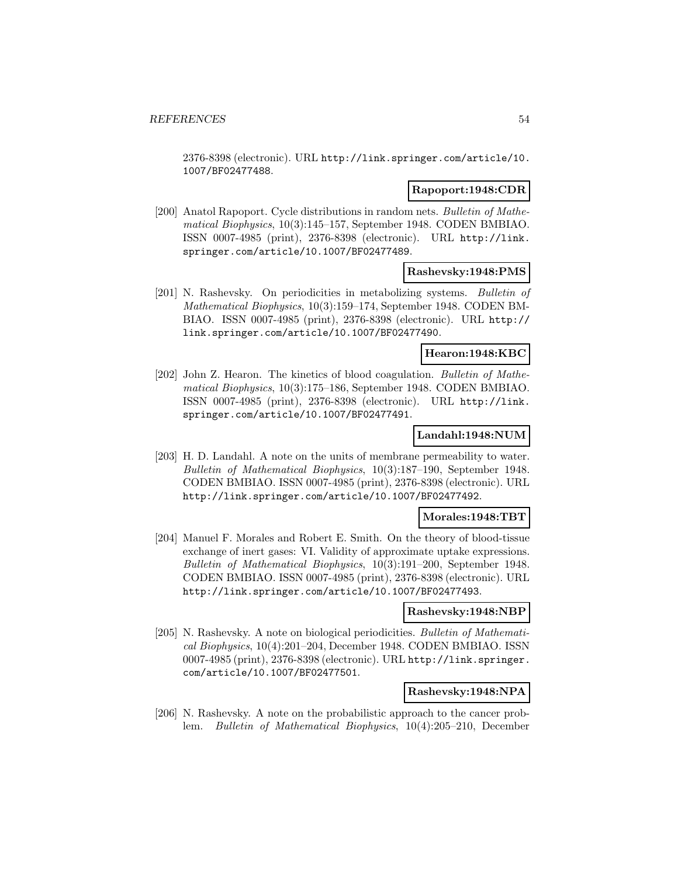2376-8398 (electronic). URL http://link.springer.com/article/10. 1007/BF02477488.

#### **Rapoport:1948:CDR**

[200] Anatol Rapoport. Cycle distributions in random nets. Bulletin of Mathematical Biophysics, 10(3):145–157, September 1948. CODEN BMBIAO. ISSN 0007-4985 (print), 2376-8398 (electronic). URL http://link. springer.com/article/10.1007/BF02477489.

## **Rashevsky:1948:PMS**

[201] N. Rashevsky. On periodicities in metabolizing systems. Bulletin of Mathematical Biophysics, 10(3):159–174, September 1948. CODEN BM-BIAO. ISSN 0007-4985 (print), 2376-8398 (electronic). URL http:// link.springer.com/article/10.1007/BF02477490.

### **Hearon:1948:KBC**

[202] John Z. Hearon. The kinetics of blood coagulation. Bulletin of Mathematical Biophysics, 10(3):175–186, September 1948. CODEN BMBIAO. ISSN 0007-4985 (print), 2376-8398 (electronic). URL http://link. springer.com/article/10.1007/BF02477491.

### **Landahl:1948:NUM**

[203] H. D. Landahl. A note on the units of membrane permeability to water. Bulletin of Mathematical Biophysics, 10(3):187–190, September 1948. CODEN BMBIAO. ISSN 0007-4985 (print), 2376-8398 (electronic). URL http://link.springer.com/article/10.1007/BF02477492.

#### **Morales:1948:TBT**

[204] Manuel F. Morales and Robert E. Smith. On the theory of blood-tissue exchange of inert gases: VI. Validity of approximate uptake expressions. Bulletin of Mathematical Biophysics, 10(3):191–200, September 1948. CODEN BMBIAO. ISSN 0007-4985 (print), 2376-8398 (electronic). URL http://link.springer.com/article/10.1007/BF02477493.

#### **Rashevsky:1948:NBP**

[205] N. Rashevsky. A note on biological periodicities. Bulletin of Mathematical Biophysics, 10(4):201–204, December 1948. CODEN BMBIAO. ISSN 0007-4985 (print), 2376-8398 (electronic). URL http://link.springer. com/article/10.1007/BF02477501.

### **Rashevsky:1948:NPA**

[206] N. Rashevsky. A note on the probabilistic approach to the cancer problem. Bulletin of Mathematical Biophysics, 10(4):205–210, December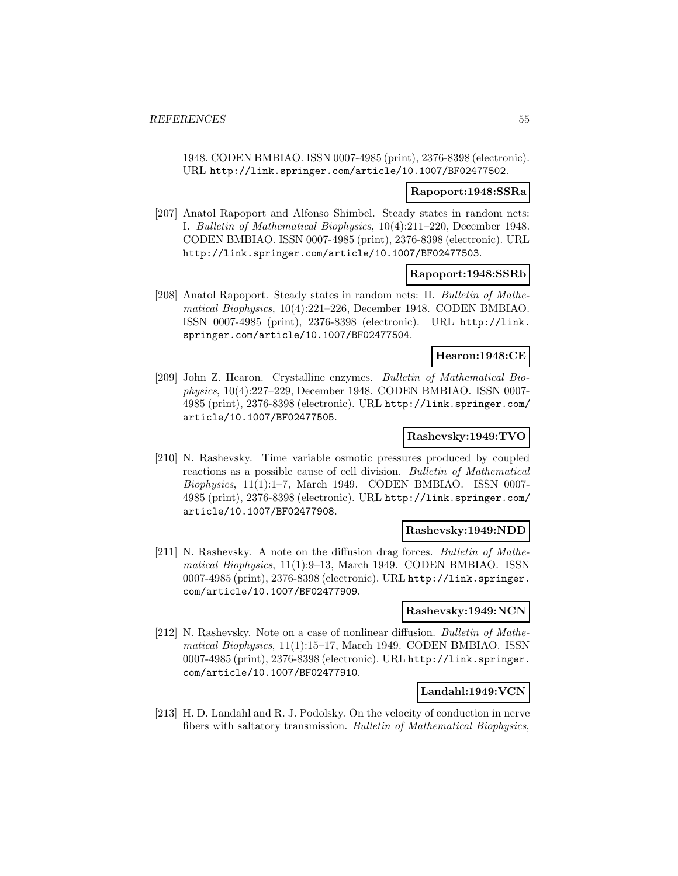1948. CODEN BMBIAO. ISSN 0007-4985 (print), 2376-8398 (electronic). URL http://link.springer.com/article/10.1007/BF02477502.

#### **Rapoport:1948:SSRa**

[207] Anatol Rapoport and Alfonso Shimbel. Steady states in random nets: I. Bulletin of Mathematical Biophysics, 10(4):211–220, December 1948. CODEN BMBIAO. ISSN 0007-4985 (print), 2376-8398 (electronic). URL http://link.springer.com/article/10.1007/BF02477503.

#### **Rapoport:1948:SSRb**

[208] Anatol Rapoport. Steady states in random nets: II. Bulletin of Mathematical Biophysics, 10(4):221–226, December 1948. CODEN BMBIAO. ISSN 0007-4985 (print), 2376-8398 (electronic). URL http://link. springer.com/article/10.1007/BF02477504.

### **Hearon:1948:CE**

[209] John Z. Hearon. Crystalline enzymes. Bulletin of Mathematical Biophysics, 10(4):227–229, December 1948. CODEN BMBIAO. ISSN 0007- 4985 (print), 2376-8398 (electronic). URL http://link.springer.com/ article/10.1007/BF02477505.

## **Rashevsky:1949:TVO**

[210] N. Rashevsky. Time variable osmotic pressures produced by coupled reactions as a possible cause of cell division. Bulletin of Mathematical Biophysics, 11(1):1–7, March 1949. CODEN BMBIAO. ISSN 0007- 4985 (print), 2376-8398 (electronic). URL http://link.springer.com/ article/10.1007/BF02477908.

### **Rashevsky:1949:NDD**

[211] N. Rashevsky. A note on the diffusion drag forces. Bulletin of Mathematical Biophysics, 11(1):9–13, March 1949. CODEN BMBIAO. ISSN 0007-4985 (print), 2376-8398 (electronic). URL http://link.springer. com/article/10.1007/BF02477909.

### **Rashevsky:1949:NCN**

[212] N. Rashevsky. Note on a case of nonlinear diffusion. Bulletin of Mathematical Biophysics, 11(1):15–17, March 1949. CODEN BMBIAO. ISSN 0007-4985 (print), 2376-8398 (electronic). URL http://link.springer. com/article/10.1007/BF02477910.

### **Landahl:1949:VCN**

[213] H. D. Landahl and R. J. Podolsky. On the velocity of conduction in nerve fibers with saltatory transmission. Bulletin of Mathematical Biophysics,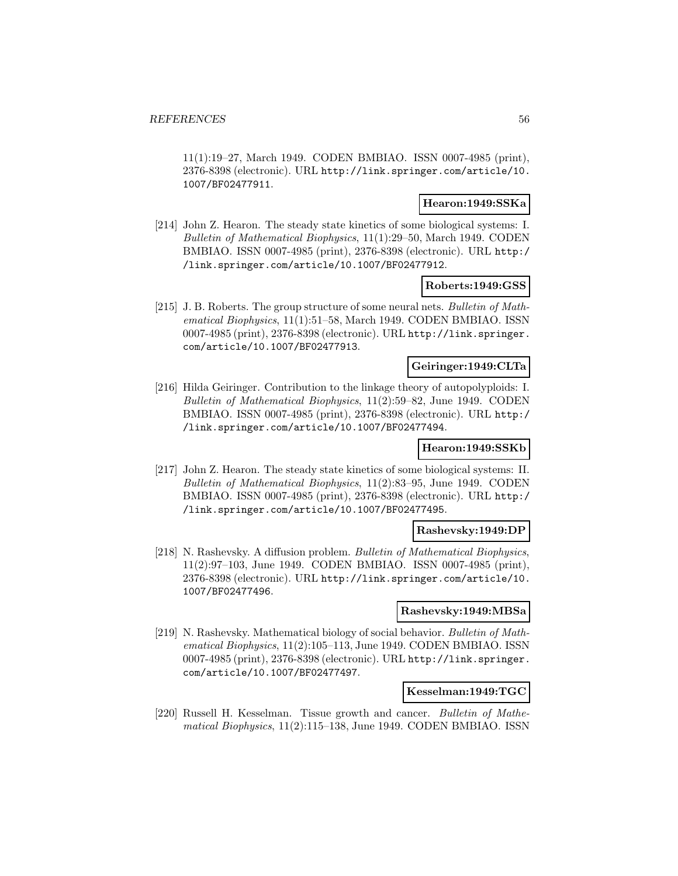11(1):19–27, March 1949. CODEN BMBIAO. ISSN 0007-4985 (print), 2376-8398 (electronic). URL http://link.springer.com/article/10. 1007/BF02477911.

#### **Hearon:1949:SSKa**

[214] John Z. Hearon. The steady state kinetics of some biological systems: I. Bulletin of Mathematical Biophysics, 11(1):29–50, March 1949. CODEN BMBIAO. ISSN 0007-4985 (print), 2376-8398 (electronic). URL http:/ /link.springer.com/article/10.1007/BF02477912.

#### **Roberts:1949:GSS**

[215] J. B. Roberts. The group structure of some neural nets. Bulletin of Mathematical Biophysics, 11(1):51–58, March 1949. CODEN BMBIAO. ISSN 0007-4985 (print), 2376-8398 (electronic). URL http://link.springer. com/article/10.1007/BF02477913.

## **Geiringer:1949:CLTa**

[216] Hilda Geiringer. Contribution to the linkage theory of autopolyploids: I. Bulletin of Mathematical Biophysics, 11(2):59–82, June 1949. CODEN BMBIAO. ISSN 0007-4985 (print), 2376-8398 (electronic). URL http:/ /link.springer.com/article/10.1007/BF02477494.

### **Hearon:1949:SSKb**

[217] John Z. Hearon. The steady state kinetics of some biological systems: II. Bulletin of Mathematical Biophysics, 11(2):83–95, June 1949. CODEN BMBIAO. ISSN 0007-4985 (print), 2376-8398 (electronic). URL http:/ /link.springer.com/article/10.1007/BF02477495.

#### **Rashevsky:1949:DP**

[218] N. Rashevsky. A diffusion problem. Bulletin of Mathematical Biophysics, 11(2):97–103, June 1949. CODEN BMBIAO. ISSN 0007-4985 (print), 2376-8398 (electronic). URL http://link.springer.com/article/10. 1007/BF02477496.

#### **Rashevsky:1949:MBSa**

[219] N. Rashevsky. Mathematical biology of social behavior. Bulletin of Mathematical Biophysics, 11(2):105–113, June 1949. CODEN BMBIAO. ISSN 0007-4985 (print), 2376-8398 (electronic). URL http://link.springer. com/article/10.1007/BF02477497.

#### **Kesselman:1949:TGC**

[220] Russell H. Kesselman. Tissue growth and cancer. Bulletin of Mathematical Biophysics, 11(2):115–138, June 1949. CODEN BMBIAO. ISSN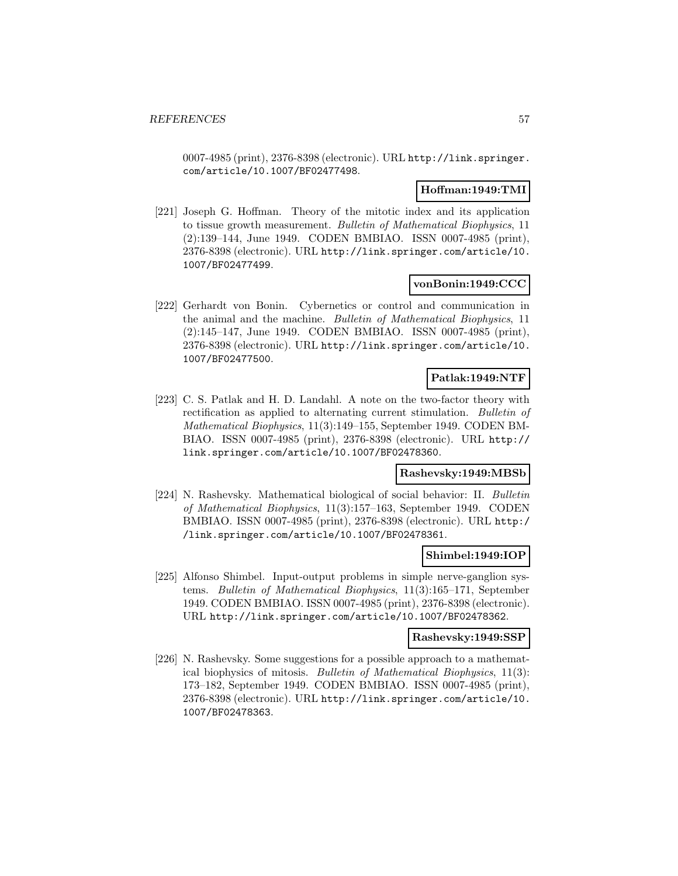0007-4985 (print), 2376-8398 (electronic). URL http://link.springer. com/article/10.1007/BF02477498.

### **Hoffman:1949:TMI**

[221] Joseph G. Hoffman. Theory of the mitotic index and its application to tissue growth measurement. Bulletin of Mathematical Biophysics, 11 (2):139–144, June 1949. CODEN BMBIAO. ISSN 0007-4985 (print), 2376-8398 (electronic). URL http://link.springer.com/article/10. 1007/BF02477499.

### **vonBonin:1949:CCC**

[222] Gerhardt von Bonin. Cybernetics or control and communication in the animal and the machine. Bulletin of Mathematical Biophysics, 11 (2):145–147, June 1949. CODEN BMBIAO. ISSN 0007-4985 (print), 2376-8398 (electronic). URL http://link.springer.com/article/10. 1007/BF02477500.

## **Patlak:1949:NTF**

[223] C. S. Patlak and H. D. Landahl. A note on the two-factor theory with rectification as applied to alternating current stimulation. Bulletin of Mathematical Biophysics, 11(3):149–155, September 1949. CODEN BM-BIAO. ISSN 0007-4985 (print), 2376-8398 (electronic). URL http:// link.springer.com/article/10.1007/BF02478360.

## **Rashevsky:1949:MBSb**

[224] N. Rashevsky. Mathematical biological of social behavior: II. Bulletin of Mathematical Biophysics, 11(3):157–163, September 1949. CODEN BMBIAO. ISSN 0007-4985 (print), 2376-8398 (electronic). URL http:/ /link.springer.com/article/10.1007/BF02478361.

#### **Shimbel:1949:IOP**

[225] Alfonso Shimbel. Input-output problems in simple nerve-ganglion systems. Bulletin of Mathematical Biophysics, 11(3):165–171, September 1949. CODEN BMBIAO. ISSN 0007-4985 (print), 2376-8398 (electronic). URL http://link.springer.com/article/10.1007/BF02478362.

### **Rashevsky:1949:SSP**

[226] N. Rashevsky. Some suggestions for a possible approach to a mathematical biophysics of mitosis. Bulletin of Mathematical Biophysics, 11(3): 173–182, September 1949. CODEN BMBIAO. ISSN 0007-4985 (print), 2376-8398 (electronic). URL http://link.springer.com/article/10. 1007/BF02478363.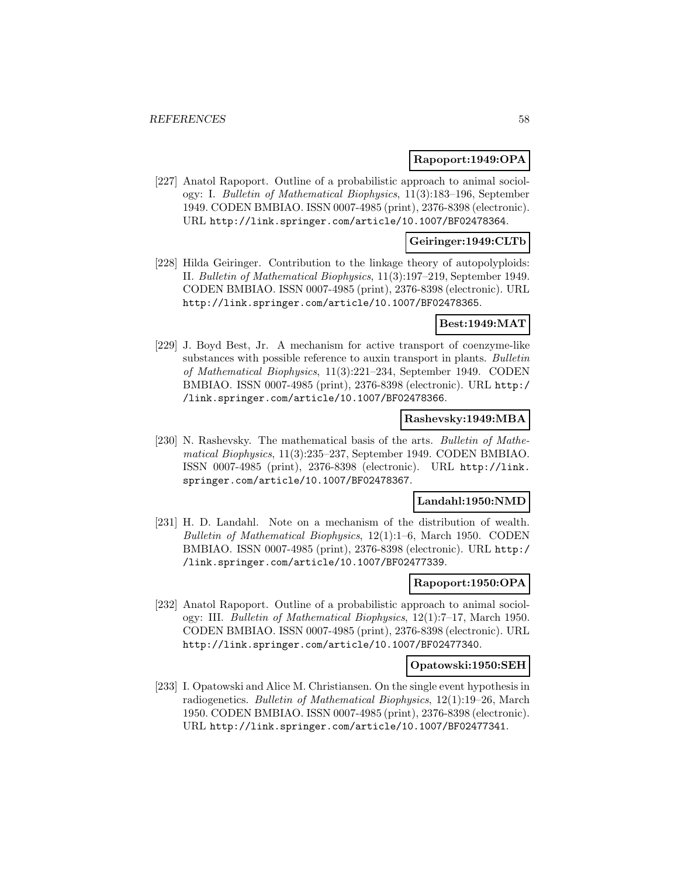#### **Rapoport:1949:OPA**

[227] Anatol Rapoport. Outline of a probabilistic approach to animal sociology: I. Bulletin of Mathematical Biophysics, 11(3):183–196, September 1949. CODEN BMBIAO. ISSN 0007-4985 (print), 2376-8398 (electronic). URL http://link.springer.com/article/10.1007/BF02478364.

### **Geiringer:1949:CLTb**

[228] Hilda Geiringer. Contribution to the linkage theory of autopolyploids: II. Bulletin of Mathematical Biophysics, 11(3):197–219, September 1949. CODEN BMBIAO. ISSN 0007-4985 (print), 2376-8398 (electronic). URL http://link.springer.com/article/10.1007/BF02478365.

#### **Best:1949:MAT**

[229] J. Boyd Best, Jr. A mechanism for active transport of coenzyme-like substances with possible reference to auxin transport in plants. Bulletin of Mathematical Biophysics, 11(3):221–234, September 1949. CODEN BMBIAO. ISSN 0007-4985 (print), 2376-8398 (electronic). URL http:/ /link.springer.com/article/10.1007/BF02478366.

### **Rashevsky:1949:MBA**

[230] N. Rashevsky. The mathematical basis of the arts. Bulletin of Mathematical Biophysics, 11(3):235–237, September 1949. CODEN BMBIAO. ISSN 0007-4985 (print), 2376-8398 (electronic). URL http://link. springer.com/article/10.1007/BF02478367.

#### **Landahl:1950:NMD**

[231] H. D. Landahl. Note on a mechanism of the distribution of wealth. Bulletin of Mathematical Biophysics, 12(1):1–6, March 1950. CODEN BMBIAO. ISSN 0007-4985 (print), 2376-8398 (electronic). URL http:/ /link.springer.com/article/10.1007/BF02477339.

#### **Rapoport:1950:OPA**

[232] Anatol Rapoport. Outline of a probabilistic approach to animal sociology: III. Bulletin of Mathematical Biophysics, 12(1):7–17, March 1950. CODEN BMBIAO. ISSN 0007-4985 (print), 2376-8398 (electronic). URL http://link.springer.com/article/10.1007/BF02477340.

#### **Opatowski:1950:SEH**

[233] I. Opatowski and Alice M. Christiansen. On the single event hypothesis in radiogenetics. Bulletin of Mathematical Biophysics, 12(1):19–26, March 1950. CODEN BMBIAO. ISSN 0007-4985 (print), 2376-8398 (electronic). URL http://link.springer.com/article/10.1007/BF02477341.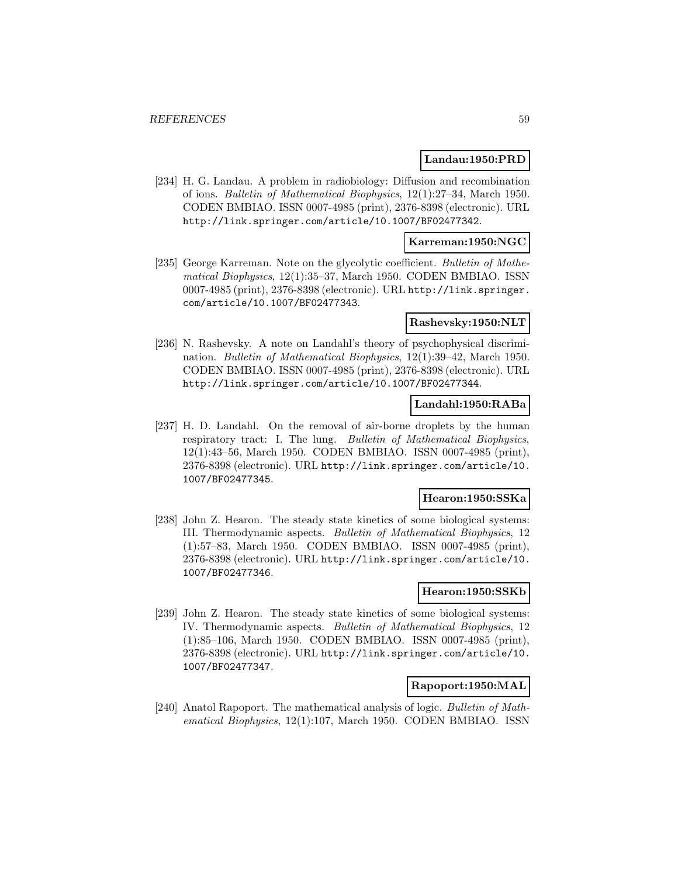#### **Landau:1950:PRD**

[234] H. G. Landau. A problem in radiobiology: Diffusion and recombination of ions. Bulletin of Mathematical Biophysics, 12(1):27–34, March 1950. CODEN BMBIAO. ISSN 0007-4985 (print), 2376-8398 (electronic). URL http://link.springer.com/article/10.1007/BF02477342.

### **Karreman:1950:NGC**

[235] George Karreman. Note on the glycolytic coefficient. Bulletin of Mathematical Biophysics, 12(1):35–37, March 1950. CODEN BMBIAO. ISSN 0007-4985 (print), 2376-8398 (electronic). URL http://link.springer. com/article/10.1007/BF02477343.

#### **Rashevsky:1950:NLT**

[236] N. Rashevsky. A note on Landahl's theory of psychophysical discrimination. Bulletin of Mathematical Biophysics, 12(1):39–42, March 1950. CODEN BMBIAO. ISSN 0007-4985 (print), 2376-8398 (electronic). URL http://link.springer.com/article/10.1007/BF02477344.

## **Landahl:1950:RABa**

[237] H. D. Landahl. On the removal of air-borne droplets by the human respiratory tract: I. The lung. Bulletin of Mathematical Biophysics, 12(1):43–56, March 1950. CODEN BMBIAO. ISSN 0007-4985 (print), 2376-8398 (electronic). URL http://link.springer.com/article/10. 1007/BF02477345.

### **Hearon:1950:SSKa**

[238] John Z. Hearon. The steady state kinetics of some biological systems: III. Thermodynamic aspects. Bulletin of Mathematical Biophysics, 12 (1):57–83, March 1950. CODEN BMBIAO. ISSN 0007-4985 (print), 2376-8398 (electronic). URL http://link.springer.com/article/10. 1007/BF02477346.

#### **Hearon:1950:SSKb**

[239] John Z. Hearon. The steady state kinetics of some biological systems: IV. Thermodynamic aspects. Bulletin of Mathematical Biophysics, 12 (1):85–106, March 1950. CODEN BMBIAO. ISSN 0007-4985 (print), 2376-8398 (electronic). URL http://link.springer.com/article/10. 1007/BF02477347.

#### **Rapoport:1950:MAL**

[240] Anatol Rapoport. The mathematical analysis of logic. Bulletin of Mathematical Biophysics, 12(1):107, March 1950. CODEN BMBIAO. ISSN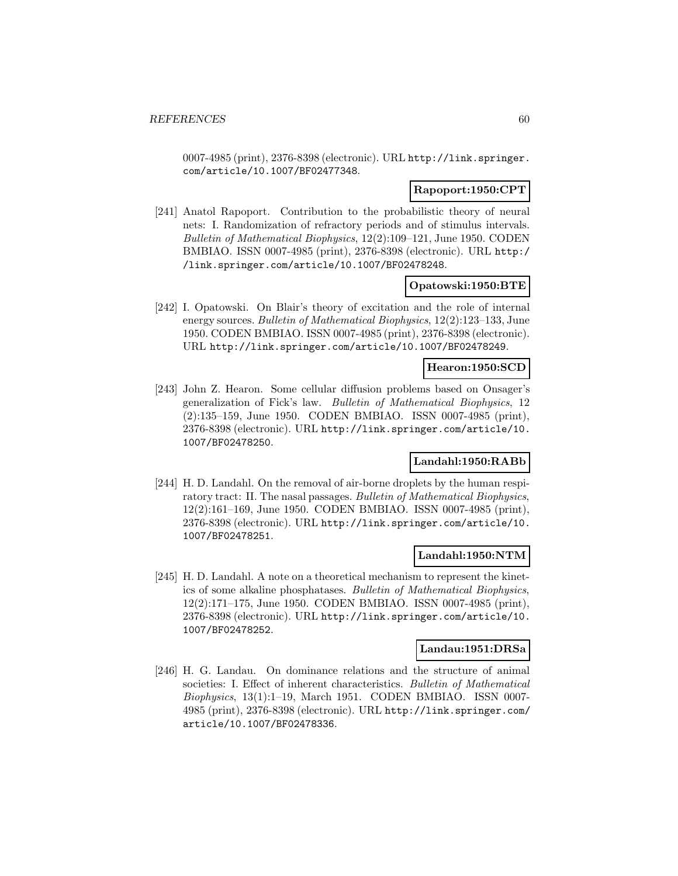0007-4985 (print), 2376-8398 (electronic). URL http://link.springer. com/article/10.1007/BF02477348.

## **Rapoport:1950:CPT**

[241] Anatol Rapoport. Contribution to the probabilistic theory of neural nets: I. Randomization of refractory periods and of stimulus intervals. Bulletin of Mathematical Biophysics, 12(2):109–121, June 1950. CODEN BMBIAO. ISSN 0007-4985 (print), 2376-8398 (electronic). URL http:/ /link.springer.com/article/10.1007/BF02478248.

#### **Opatowski:1950:BTE**

[242] I. Opatowski. On Blair's theory of excitation and the role of internal energy sources. Bulletin of Mathematical Biophysics, 12(2):123–133, June 1950. CODEN BMBIAO. ISSN 0007-4985 (print), 2376-8398 (electronic). URL http://link.springer.com/article/10.1007/BF02478249.

## **Hearon:1950:SCD**

[243] John Z. Hearon. Some cellular diffusion problems based on Onsager's generalization of Fick's law. Bulletin of Mathematical Biophysics, 12 (2):135–159, June 1950. CODEN BMBIAO. ISSN 0007-4985 (print), 2376-8398 (electronic). URL http://link.springer.com/article/10. 1007/BF02478250.

### **Landahl:1950:RABb**

[244] H. D. Landahl. On the removal of air-borne droplets by the human respiratory tract: II. The nasal passages. Bulletin of Mathematical Biophysics, 12(2):161–169, June 1950. CODEN BMBIAO. ISSN 0007-4985 (print), 2376-8398 (electronic). URL http://link.springer.com/article/10. 1007/BF02478251.

#### **Landahl:1950:NTM**

[245] H. D. Landahl. A note on a theoretical mechanism to represent the kinetics of some alkaline phosphatases. Bulletin of Mathematical Biophysics, 12(2):171–175, June 1950. CODEN BMBIAO. ISSN 0007-4985 (print), 2376-8398 (electronic). URL http://link.springer.com/article/10. 1007/BF02478252.

#### **Landau:1951:DRSa**

[246] H. G. Landau. On dominance relations and the structure of animal societies: I. Effect of inherent characteristics. Bulletin of Mathematical Biophysics, 13(1):1–19, March 1951. CODEN BMBIAO. ISSN 0007- 4985 (print), 2376-8398 (electronic). URL http://link.springer.com/ article/10.1007/BF02478336.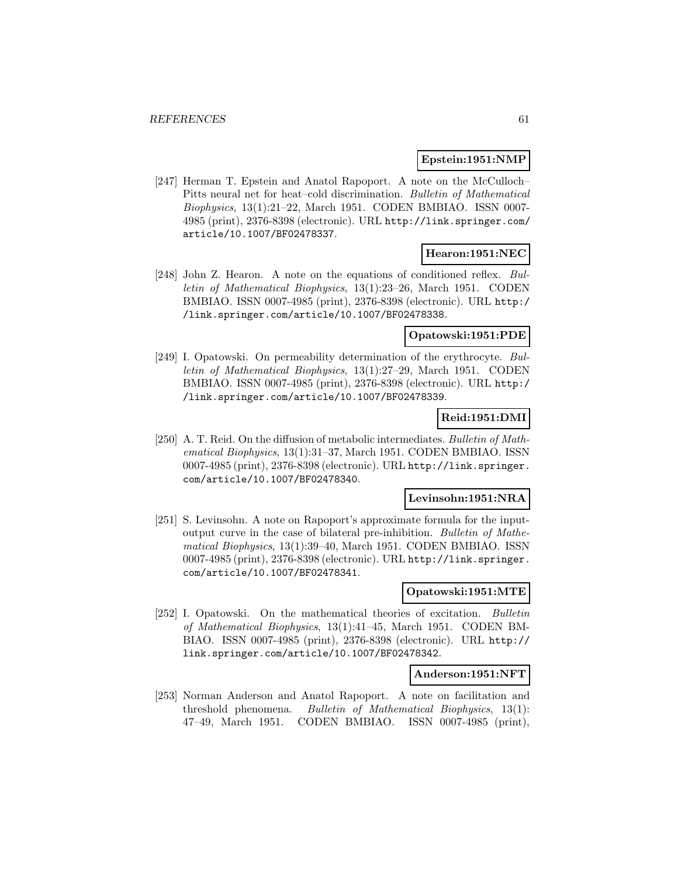### **Epstein:1951:NMP**

[247] Herman T. Epstein and Anatol Rapoport. A note on the McCulloch– Pitts neural net for heat–cold discrimination. Bulletin of Mathematical Biophysics, 13(1):21–22, March 1951. CODEN BMBIAO. ISSN 0007- 4985 (print), 2376-8398 (electronic). URL http://link.springer.com/ article/10.1007/BF02478337.

## **Hearon:1951:NEC**

[248] John Z. Hearon. A note on the equations of conditioned reflex. Bulletin of Mathematical Biophysics, 13(1):23–26, March 1951. CODEN BMBIAO. ISSN 0007-4985 (print), 2376-8398 (electronic). URL http:/ /link.springer.com/article/10.1007/BF02478338.

## **Opatowski:1951:PDE**

[249] I. Opatowski. On permeability determination of the erythrocyte. Bulletin of Mathematical Biophysics, 13(1):27–29, March 1951. CODEN BMBIAO. ISSN 0007-4985 (print), 2376-8398 (electronic). URL http:/ /link.springer.com/article/10.1007/BF02478339.

# **Reid:1951:DMI**

[250] A. T. Reid. On the diffusion of metabolic intermediates. Bulletin of Mathematical Biophysics, 13(1):31–37, March 1951. CODEN BMBIAO. ISSN 0007-4985 (print), 2376-8398 (electronic). URL http://link.springer. com/article/10.1007/BF02478340.

#### **Levinsohn:1951:NRA**

[251] S. Levinsohn. A note on Rapoport's approximate formula for the inputoutput curve in the case of bilateral pre-inhibition. Bulletin of Mathematical Biophysics, 13(1):39–40, March 1951. CODEN BMBIAO. ISSN 0007-4985 (print), 2376-8398 (electronic). URL http://link.springer. com/article/10.1007/BF02478341.

#### **Opatowski:1951:MTE**

[252] I. Opatowski. On the mathematical theories of excitation. Bulletin of Mathematical Biophysics, 13(1):41–45, March 1951. CODEN BM-BIAO. ISSN 0007-4985 (print), 2376-8398 (electronic). URL http:// link.springer.com/article/10.1007/BF02478342.

#### **Anderson:1951:NFT**

[253] Norman Anderson and Anatol Rapoport. A note on facilitation and threshold phenomena. Bulletin of Mathematical Biophysics, 13(1): 47–49, March 1951. CODEN BMBIAO. ISSN 0007-4985 (print),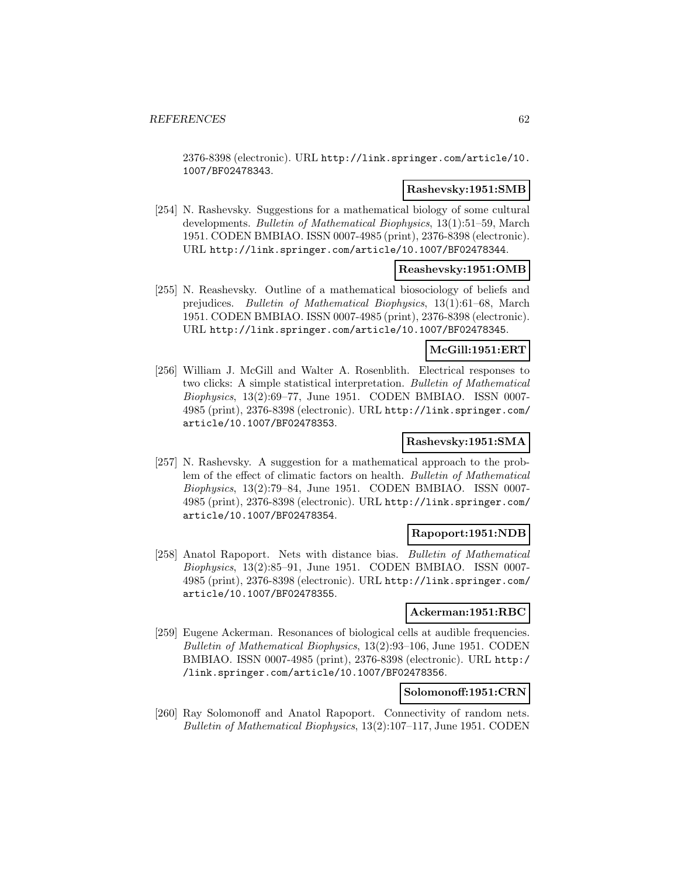2376-8398 (electronic). URL http://link.springer.com/article/10. 1007/BF02478343.

#### **Rashevsky:1951:SMB**

[254] N. Rashevsky. Suggestions for a mathematical biology of some cultural developments. Bulletin of Mathematical Biophysics, 13(1):51–59, March 1951. CODEN BMBIAO. ISSN 0007-4985 (print), 2376-8398 (electronic). URL http://link.springer.com/article/10.1007/BF02478344.

#### **Reashevsky:1951:OMB**

[255] N. Reashevsky. Outline of a mathematical biosociology of beliefs and prejudices. Bulletin of Mathematical Biophysics, 13(1):61–68, March 1951. CODEN BMBIAO. ISSN 0007-4985 (print), 2376-8398 (electronic). URL http://link.springer.com/article/10.1007/BF02478345.

### **McGill:1951:ERT**

[256] William J. McGill and Walter A. Rosenblith. Electrical responses to two clicks: A simple statistical interpretation. Bulletin of Mathematical Biophysics, 13(2):69–77, June 1951. CODEN BMBIAO. ISSN 0007- 4985 (print), 2376-8398 (electronic). URL http://link.springer.com/ article/10.1007/BF02478353.

## **Rashevsky:1951:SMA**

[257] N. Rashevsky. A suggestion for a mathematical approach to the problem of the effect of climatic factors on health. Bulletin of Mathematical Biophysics, 13(2):79–84, June 1951. CODEN BMBIAO. ISSN 0007- 4985 (print), 2376-8398 (electronic). URL http://link.springer.com/ article/10.1007/BF02478354.

### **Rapoport:1951:NDB**

[258] Anatol Rapoport. Nets with distance bias. Bulletin of Mathematical Biophysics, 13(2):85–91, June 1951. CODEN BMBIAO. ISSN 0007- 4985 (print), 2376-8398 (electronic). URL http://link.springer.com/ article/10.1007/BF02478355.

#### **Ackerman:1951:RBC**

[259] Eugene Ackerman. Resonances of biological cells at audible frequencies. Bulletin of Mathematical Biophysics, 13(2):93–106, June 1951. CODEN BMBIAO. ISSN 0007-4985 (print), 2376-8398 (electronic). URL http:/ /link.springer.com/article/10.1007/BF02478356.

## **Solomonoff:1951:CRN**

[260] Ray Solomonoff and Anatol Rapoport. Connectivity of random nets. Bulletin of Mathematical Biophysics, 13(2):107–117, June 1951. CODEN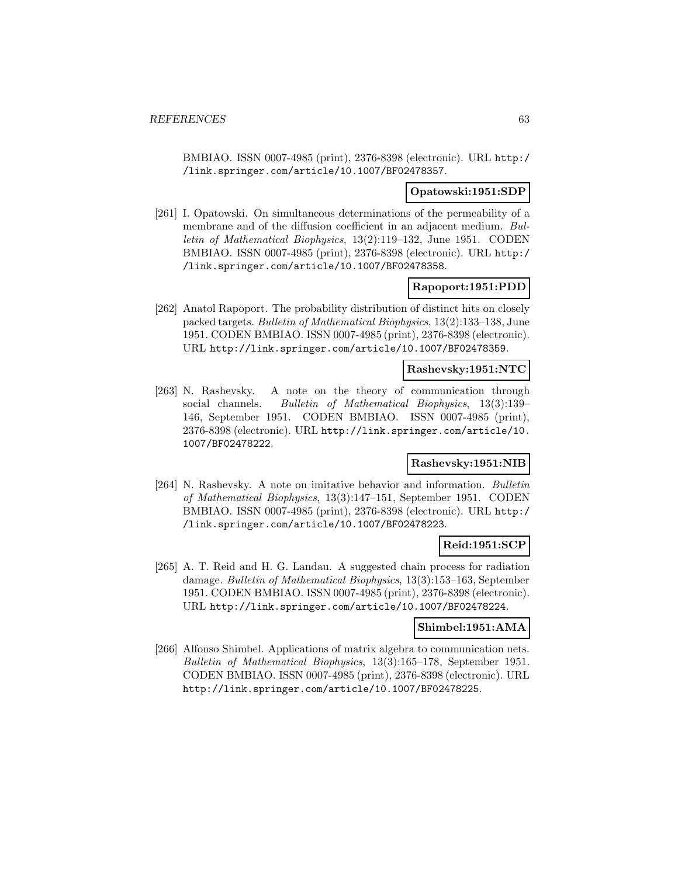BMBIAO. ISSN 0007-4985 (print), 2376-8398 (electronic). URL http:/ /link.springer.com/article/10.1007/BF02478357.

#### **Opatowski:1951:SDP**

[261] I. Opatowski. On simultaneous determinations of the permeability of a membrane and of the diffusion coefficient in an adjacent medium. Bulletin of Mathematical Biophysics, 13(2):119–132, June 1951. CODEN BMBIAO. ISSN 0007-4985 (print), 2376-8398 (electronic). URL http:/ /link.springer.com/article/10.1007/BF02478358.

### **Rapoport:1951:PDD**

[262] Anatol Rapoport. The probability distribution of distinct hits on closely packed targets. Bulletin of Mathematical Biophysics, 13(2):133–138, June 1951. CODEN BMBIAO. ISSN 0007-4985 (print), 2376-8398 (electronic). URL http://link.springer.com/article/10.1007/BF02478359.

#### **Rashevsky:1951:NTC**

[263] N. Rashevsky. A note on the theory of communication through social channels. Bulletin of Mathematical Biophysics, 13(3):139– 146, September 1951. CODEN BMBIAO. ISSN 0007-4985 (print), 2376-8398 (electronic). URL http://link.springer.com/article/10. 1007/BF02478222.

#### **Rashevsky:1951:NIB**

[264] N. Rashevsky. A note on imitative behavior and information. Bulletin of Mathematical Biophysics, 13(3):147–151, September 1951. CODEN BMBIAO. ISSN 0007-4985 (print), 2376-8398 (electronic). URL http:/ /link.springer.com/article/10.1007/BF02478223.

## **Reid:1951:SCP**

[265] A. T. Reid and H. G. Landau. A suggested chain process for radiation damage. Bulletin of Mathematical Biophysics, 13(3):153–163, September 1951. CODEN BMBIAO. ISSN 0007-4985 (print), 2376-8398 (electronic). URL http://link.springer.com/article/10.1007/BF02478224.

#### **Shimbel:1951:AMA**

[266] Alfonso Shimbel. Applications of matrix algebra to communication nets. Bulletin of Mathematical Biophysics, 13(3):165–178, September 1951. CODEN BMBIAO. ISSN 0007-4985 (print), 2376-8398 (electronic). URL http://link.springer.com/article/10.1007/BF02478225.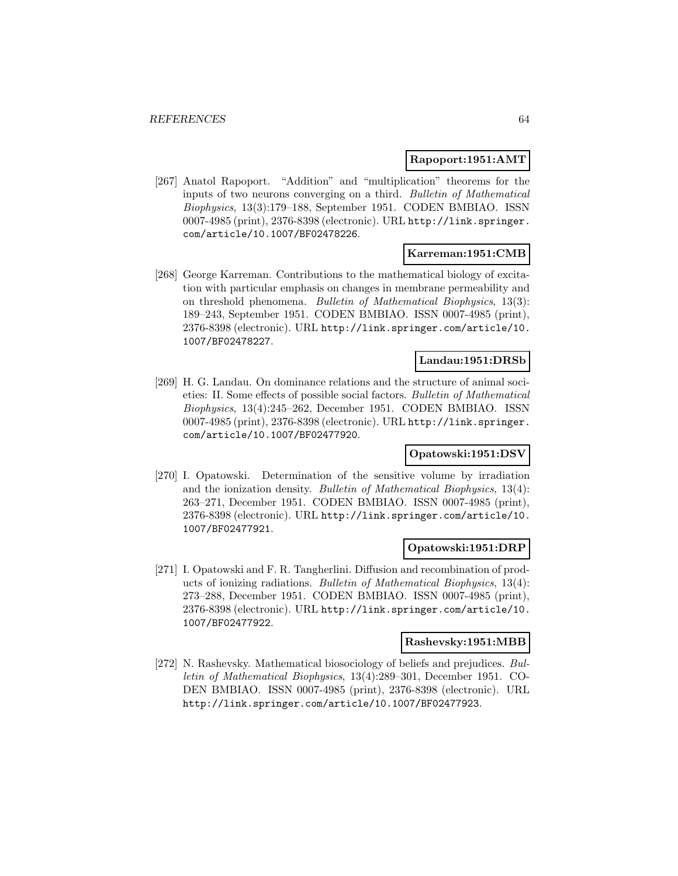### **Rapoport:1951:AMT**

[267] Anatol Rapoport. "Addition" and "multiplication" theorems for the inputs of two neurons converging on a third. Bulletin of Mathematical Biophysics, 13(3):179–188, September 1951. CODEN BMBIAO. ISSN 0007-4985 (print), 2376-8398 (electronic). URL http://link.springer. com/article/10.1007/BF02478226.

### **Karreman:1951:CMB**

[268] George Karreman. Contributions to the mathematical biology of excitation with particular emphasis on changes in membrane permeability and on threshold phenomena. Bulletin of Mathematical Biophysics, 13(3): 189–243, September 1951. CODEN BMBIAO. ISSN 0007-4985 (print), 2376-8398 (electronic). URL http://link.springer.com/article/10. 1007/BF02478227.

## **Landau:1951:DRSb**

[269] H. G. Landau. On dominance relations and the structure of animal societies: II. Some effects of possible social factors. Bulletin of Mathematical Biophysics, 13(4):245–262, December 1951. CODEN BMBIAO. ISSN 0007-4985 (print), 2376-8398 (electronic). URL http://link.springer. com/article/10.1007/BF02477920.

### **Opatowski:1951:DSV**

[270] I. Opatowski. Determination of the sensitive volume by irradiation and the ionization density. Bulletin of Mathematical Biophysics, 13(4): 263–271, December 1951. CODEN BMBIAO. ISSN 0007-4985 (print), 2376-8398 (electronic). URL http://link.springer.com/article/10. 1007/BF02477921.

### **Opatowski:1951:DRP**

[271] I. Opatowski and F. R. Tangherlini. Diffusion and recombination of products of ionizing radiations. Bulletin of Mathematical Biophysics, 13(4): 273–288, December 1951. CODEN BMBIAO. ISSN 0007-4985 (print), 2376-8398 (electronic). URL http://link.springer.com/article/10. 1007/BF02477922.

#### **Rashevsky:1951:MBB**

[272] N. Rashevsky. Mathematical biosociology of beliefs and prejudices. Bulletin of Mathematical Biophysics, 13(4):289–301, December 1951. CO-DEN BMBIAO. ISSN 0007-4985 (print), 2376-8398 (electronic). URL http://link.springer.com/article/10.1007/BF02477923.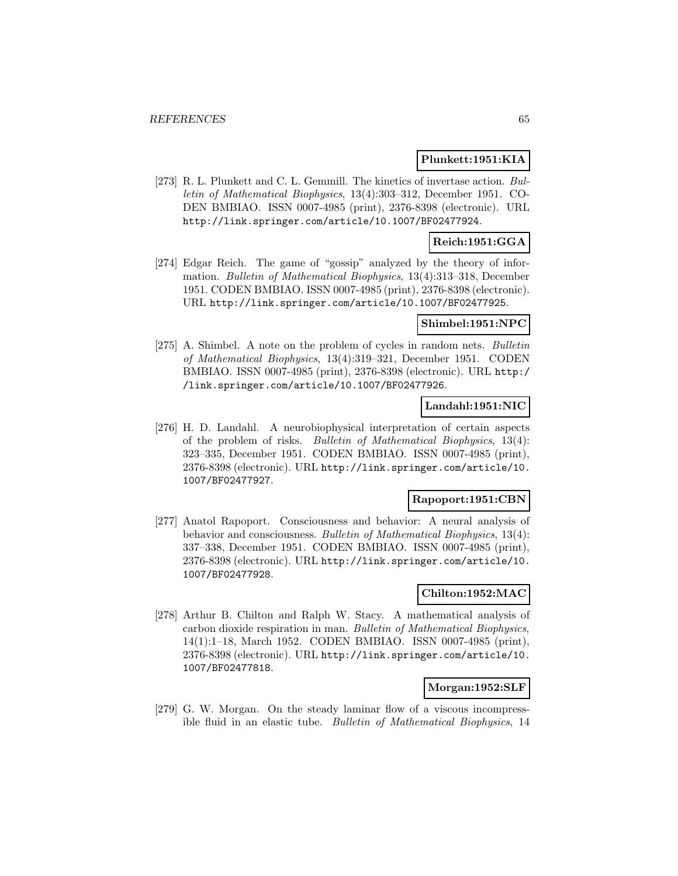#### **Plunkett:1951:KIA**

[273] R. L. Plunkett and C. L. Gemmill. The kinetics of invertase action. Bulletin of Mathematical Biophysics, 13(4):303–312, December 1951. CO-DEN BMBIAO. ISSN 0007-4985 (print), 2376-8398 (electronic). URL http://link.springer.com/article/10.1007/BF02477924.

### **Reich:1951:GGA**

[274] Edgar Reich. The game of "gossip" analyzed by the theory of information. Bulletin of Mathematical Biophysics, 13(4):313–318, December 1951. CODEN BMBIAO. ISSN 0007-4985 (print), 2376-8398 (electronic). URL http://link.springer.com/article/10.1007/BF02477925.

#### **Shimbel:1951:NPC**

[275] A. Shimbel. A note on the problem of cycles in random nets. Bulletin of Mathematical Biophysics, 13(4):319–321, December 1951. CODEN BMBIAO. ISSN 0007-4985 (print), 2376-8398 (electronic). URL http:/ /link.springer.com/article/10.1007/BF02477926.

#### **Landahl:1951:NIC**

[276] H. D. Landahl. A neurobiophysical interpretation of certain aspects of the problem of risks. Bulletin of Mathematical Biophysics, 13(4): 323–335, December 1951. CODEN BMBIAO. ISSN 0007-4985 (print), 2376-8398 (electronic). URL http://link.springer.com/article/10. 1007/BF02477927.

### **Rapoport:1951:CBN**

[277] Anatol Rapoport. Consciousness and behavior: A neural analysis of behavior and consciousness. Bulletin of Mathematical Biophysics, 13(4): 337–338, December 1951. CODEN BMBIAO. ISSN 0007-4985 (print), 2376-8398 (electronic). URL http://link.springer.com/article/10. 1007/BF02477928.

## **Chilton:1952:MAC**

[278] Arthur B. Chilton and Ralph W. Stacy. A mathematical analysis of carbon dioxide respiration in man. Bulletin of Mathematical Biophysics, 14(1):1–18, March 1952. CODEN BMBIAO. ISSN 0007-4985 (print), 2376-8398 (electronic). URL http://link.springer.com/article/10. 1007/BF02477818.

#### **Morgan:1952:SLF**

[279] G. W. Morgan. On the steady laminar flow of a viscous incompressible fluid in an elastic tube. Bulletin of Mathematical Biophysics, 14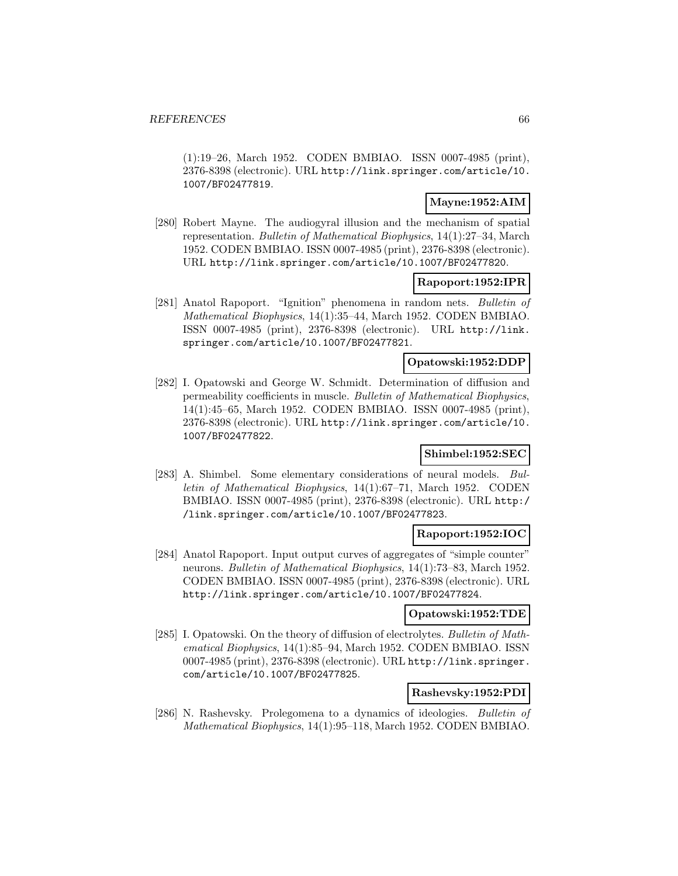(1):19–26, March 1952. CODEN BMBIAO. ISSN 0007-4985 (print), 2376-8398 (electronic). URL http://link.springer.com/article/10. 1007/BF02477819.

## **Mayne:1952:AIM**

[280] Robert Mayne. The audiogyral illusion and the mechanism of spatial representation. Bulletin of Mathematical Biophysics, 14(1):27–34, March 1952. CODEN BMBIAO. ISSN 0007-4985 (print), 2376-8398 (electronic). URL http://link.springer.com/article/10.1007/BF02477820.

### **Rapoport:1952:IPR**

[281] Anatol Rapoport. "Ignition" phenomena in random nets. Bulletin of Mathematical Biophysics, 14(1):35–44, March 1952. CODEN BMBIAO. ISSN 0007-4985 (print), 2376-8398 (electronic). URL http://link. springer.com/article/10.1007/BF02477821.

### **Opatowski:1952:DDP**

[282] I. Opatowski and George W. Schmidt. Determination of diffusion and permeability coefficients in muscle. Bulletin of Mathematical Biophysics, 14(1):45–65, March 1952. CODEN BMBIAO. ISSN 0007-4985 (print), 2376-8398 (electronic). URL http://link.springer.com/article/10. 1007/BF02477822.

## **Shimbel:1952:SEC**

[283] A. Shimbel. Some elementary considerations of neural models. Bulletin of Mathematical Biophysics, 14(1):67–71, March 1952. CODEN BMBIAO. ISSN 0007-4985 (print), 2376-8398 (electronic). URL http:/ /link.springer.com/article/10.1007/BF02477823.

## **Rapoport:1952:IOC**

[284] Anatol Rapoport. Input output curves of aggregates of "simple counter" neurons. Bulletin of Mathematical Biophysics, 14(1):73–83, March 1952. CODEN BMBIAO. ISSN 0007-4985 (print), 2376-8398 (electronic). URL http://link.springer.com/article/10.1007/BF02477824.

#### **Opatowski:1952:TDE**

[285] I. Opatowski. On the theory of diffusion of electrolytes. Bulletin of Mathematical Biophysics, 14(1):85–94, March 1952. CODEN BMBIAO. ISSN 0007-4985 (print), 2376-8398 (electronic). URL http://link.springer. com/article/10.1007/BF02477825.

### **Rashevsky:1952:PDI**

[286] N. Rashevsky. Prolegomena to a dynamics of ideologies. Bulletin of Mathematical Biophysics, 14(1):95–118, March 1952. CODEN BMBIAO.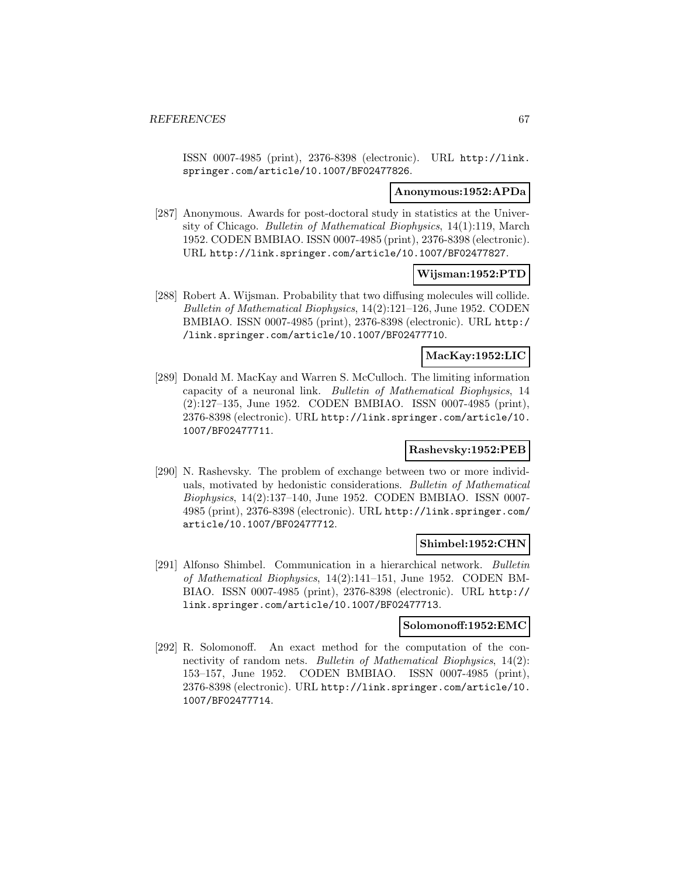ISSN 0007-4985 (print), 2376-8398 (electronic). URL http://link. springer.com/article/10.1007/BF02477826.

#### **Anonymous:1952:APDa**

[287] Anonymous. Awards for post-doctoral study in statistics at the University of Chicago. Bulletin of Mathematical Biophysics, 14(1):119, March 1952. CODEN BMBIAO. ISSN 0007-4985 (print), 2376-8398 (electronic). URL http://link.springer.com/article/10.1007/BF02477827.

#### **Wijsman:1952:PTD**

[288] Robert A. Wijsman. Probability that two diffusing molecules will collide. Bulletin of Mathematical Biophysics, 14(2):121–126, June 1952. CODEN BMBIAO. ISSN 0007-4985 (print), 2376-8398 (electronic). URL http:/ /link.springer.com/article/10.1007/BF02477710.

### **MacKay:1952:LIC**

[289] Donald M. MacKay and Warren S. McCulloch. The limiting information capacity of a neuronal link. Bulletin of Mathematical Biophysics, 14 (2):127–135, June 1952. CODEN BMBIAO. ISSN 0007-4985 (print), 2376-8398 (electronic). URL http://link.springer.com/article/10. 1007/BF02477711.

### **Rashevsky:1952:PEB**

[290] N. Rashevsky. The problem of exchange between two or more individuals, motivated by hedonistic considerations. Bulletin of Mathematical Biophysics, 14(2):137–140, June 1952. CODEN BMBIAO. ISSN 0007- 4985 (print), 2376-8398 (electronic). URL http://link.springer.com/ article/10.1007/BF02477712.

#### **Shimbel:1952:CHN**

[291] Alfonso Shimbel. Communication in a hierarchical network. Bulletin of Mathematical Biophysics, 14(2):141–151, June 1952. CODEN BM-BIAO. ISSN 0007-4985 (print), 2376-8398 (electronic). URL http:// link.springer.com/article/10.1007/BF02477713.

#### **Solomonoff:1952:EMC**

[292] R. Solomonoff. An exact method for the computation of the connectivity of random nets. *Bulletin of Mathematical Biophysics*, 14(2): 153–157, June 1952. CODEN BMBIAO. ISSN 0007-4985 (print), 2376-8398 (electronic). URL http://link.springer.com/article/10. 1007/BF02477714.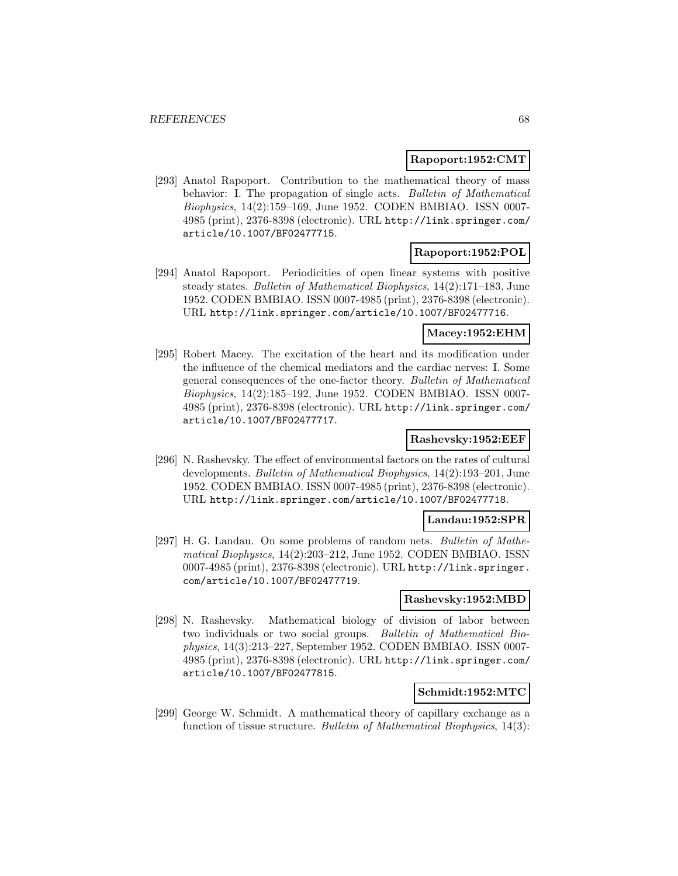#### **Rapoport:1952:CMT**

[293] Anatol Rapoport. Contribution to the mathematical theory of mass behavior: I. The propagation of single acts. Bulletin of Mathematical Biophysics, 14(2):159–169, June 1952. CODEN BMBIAO. ISSN 0007- 4985 (print), 2376-8398 (electronic). URL http://link.springer.com/ article/10.1007/BF02477715.

### **Rapoport:1952:POL**

[294] Anatol Rapoport. Periodicities of open linear systems with positive steady states. Bulletin of Mathematical Biophysics, 14(2):171–183, June 1952. CODEN BMBIAO. ISSN 0007-4985 (print), 2376-8398 (electronic). URL http://link.springer.com/article/10.1007/BF02477716.

## **Macey:1952:EHM**

[295] Robert Macey. The excitation of the heart and its modification under the influence of the chemical mediators and the cardiac nerves: I. Some general consequences of the one-factor theory. Bulletin of Mathematical Biophysics, 14(2):185–192, June 1952. CODEN BMBIAO. ISSN 0007- 4985 (print), 2376-8398 (electronic). URL http://link.springer.com/ article/10.1007/BF02477717.

## **Rashevsky:1952:EEF**

[296] N. Rashevsky. The effect of environmental factors on the rates of cultural developments. Bulletin of Mathematical Biophysics, 14(2):193–201, June 1952. CODEN BMBIAO. ISSN 0007-4985 (print), 2376-8398 (electronic). URL http://link.springer.com/article/10.1007/BF02477718.

#### **Landau:1952:SPR**

[297] H. G. Landau. On some problems of random nets. Bulletin of Mathematical Biophysics, 14(2):203–212, June 1952. CODEN BMBIAO. ISSN 0007-4985 (print), 2376-8398 (electronic). URL http://link.springer. com/article/10.1007/BF02477719.

### **Rashevsky:1952:MBD**

[298] N. Rashevsky. Mathematical biology of division of labor between two individuals or two social groups. Bulletin of Mathematical Biophysics, 14(3):213–227, September 1952. CODEN BMBIAO. ISSN 0007- 4985 (print), 2376-8398 (electronic). URL http://link.springer.com/ article/10.1007/BF02477815.

## **Schmidt:1952:MTC**

[299] George W. Schmidt. A mathematical theory of capillary exchange as a function of tissue structure. Bulletin of Mathematical Biophysics, 14(3):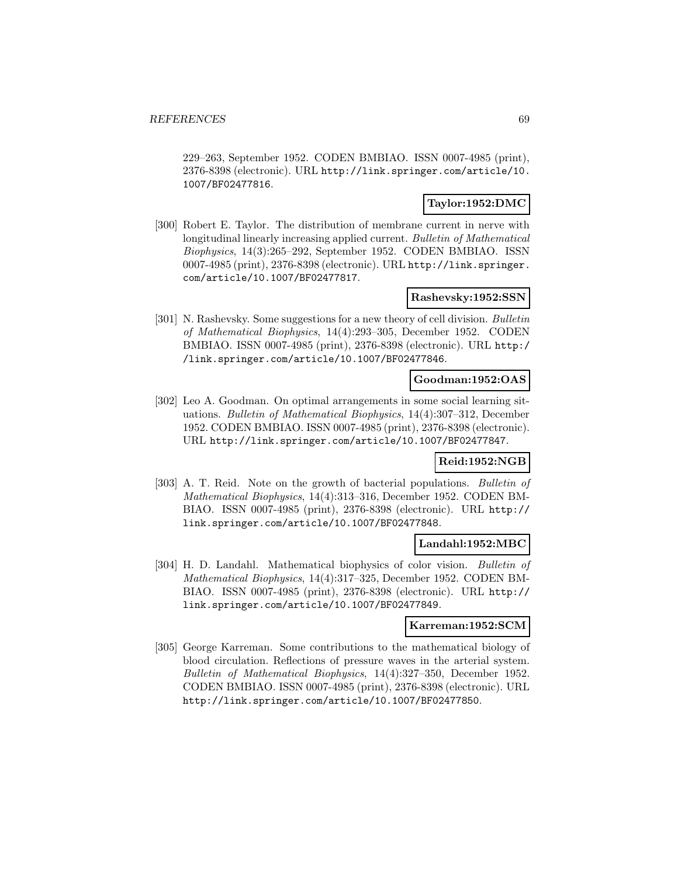229–263, September 1952. CODEN BMBIAO. ISSN 0007-4985 (print), 2376-8398 (electronic). URL http://link.springer.com/article/10. 1007/BF02477816.

### **Taylor:1952:DMC**

[300] Robert E. Taylor. The distribution of membrane current in nerve with longitudinal linearly increasing applied current. Bulletin of Mathematical Biophysics, 14(3):265–292, September 1952. CODEN BMBIAO. ISSN 0007-4985 (print), 2376-8398 (electronic). URL http://link.springer. com/article/10.1007/BF02477817.

## **Rashevsky:1952:SSN**

[301] N. Rashevsky. Some suggestions for a new theory of cell division. Bulletin of Mathematical Biophysics, 14(4):293–305, December 1952. CODEN BMBIAO. ISSN 0007-4985 (print), 2376-8398 (electronic). URL http:/ /link.springer.com/article/10.1007/BF02477846.

### **Goodman:1952:OAS**

[302] Leo A. Goodman. On optimal arrangements in some social learning situations. Bulletin of Mathematical Biophysics, 14(4):307–312, December 1952. CODEN BMBIAO. ISSN 0007-4985 (print), 2376-8398 (electronic). URL http://link.springer.com/article/10.1007/BF02477847.

### **Reid:1952:NGB**

[303] A. T. Reid. Note on the growth of bacterial populations. Bulletin of Mathematical Biophysics, 14(4):313–316, December 1952. CODEN BM-BIAO. ISSN 0007-4985 (print), 2376-8398 (electronic). URL http:// link.springer.com/article/10.1007/BF02477848.

#### **Landahl:1952:MBC**

[304] H. D. Landahl. Mathematical biophysics of color vision. Bulletin of Mathematical Biophysics, 14(4):317–325, December 1952. CODEN BM-BIAO. ISSN 0007-4985 (print), 2376-8398 (electronic). URL http:// link.springer.com/article/10.1007/BF02477849.

#### **Karreman:1952:SCM**

[305] George Karreman. Some contributions to the mathematical biology of blood circulation. Reflections of pressure waves in the arterial system. Bulletin of Mathematical Biophysics, 14(4):327–350, December 1952. CODEN BMBIAO. ISSN 0007-4985 (print), 2376-8398 (electronic). URL http://link.springer.com/article/10.1007/BF02477850.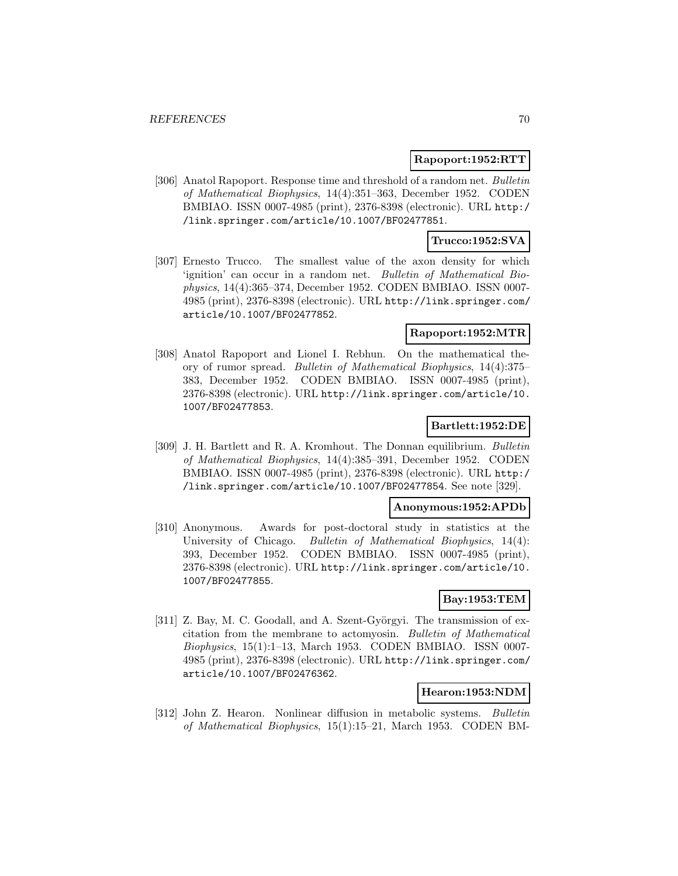#### **Rapoport:1952:RTT**

[306] Anatol Rapoport. Response time and threshold of a random net. Bulletin of Mathematical Biophysics, 14(4):351–363, December 1952. CODEN BMBIAO. ISSN 0007-4985 (print), 2376-8398 (electronic). URL http:/ /link.springer.com/article/10.1007/BF02477851.

### **Trucco:1952:SVA**

[307] Ernesto Trucco. The smallest value of the axon density for which 'ignition' can occur in a random net. Bulletin of Mathematical Biophysics, 14(4):365–374, December 1952. CODEN BMBIAO. ISSN 0007- 4985 (print), 2376-8398 (electronic). URL http://link.springer.com/ article/10.1007/BF02477852.

## **Rapoport:1952:MTR**

[308] Anatol Rapoport and Lionel I. Rebhun. On the mathematical theory of rumor spread. Bulletin of Mathematical Biophysics, 14(4):375– 383, December 1952. CODEN BMBIAO. ISSN 0007-4985 (print), 2376-8398 (electronic). URL http://link.springer.com/article/10. 1007/BF02477853.

## **Bartlett:1952:DE**

[309] J. H. Bartlett and R. A. Kromhout. The Donnan equilibrium. Bulletin of Mathematical Biophysics, 14(4):385–391, December 1952. CODEN BMBIAO. ISSN 0007-4985 (print), 2376-8398 (electronic). URL http:/ /link.springer.com/article/10.1007/BF02477854. See note [329].

#### **Anonymous:1952:APDb**

[310] Anonymous. Awards for post-doctoral study in statistics at the University of Chicago. Bulletin of Mathematical Biophysics, 14(4): 393, December 1952. CODEN BMBIAO. ISSN 0007-4985 (print), 2376-8398 (electronic). URL http://link.springer.com/article/10. 1007/BF02477855.

## **Bay:1953:TEM**

[311] Z. Bay, M. C. Goodall, and A. Szent-Györgyi. The transmission of excitation from the membrane to actomyosin. Bulletin of Mathematical Biophysics, 15(1):1–13, March 1953. CODEN BMBIAO. ISSN 0007- 4985 (print), 2376-8398 (electronic). URL http://link.springer.com/ article/10.1007/BF02476362.

## **Hearon:1953:NDM**

[312] John Z. Hearon. Nonlinear diffusion in metabolic systems. Bulletin of Mathematical Biophysics, 15(1):15–21, March 1953. CODEN BM-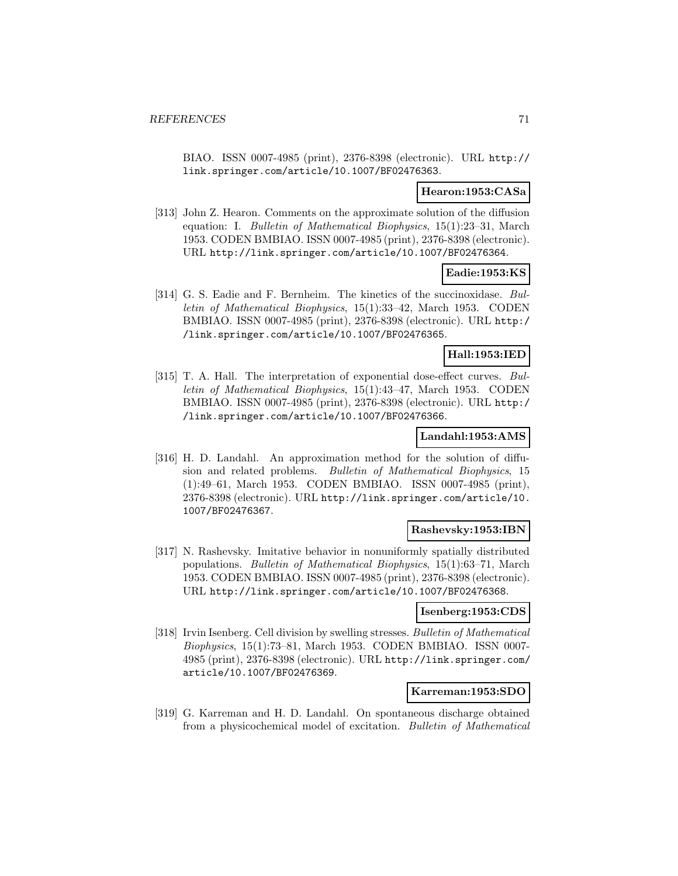BIAO. ISSN 0007-4985 (print), 2376-8398 (electronic). URL http:// link.springer.com/article/10.1007/BF02476363.

#### **Hearon:1953:CASa**

[313] John Z. Hearon. Comments on the approximate solution of the diffusion equation: I. Bulletin of Mathematical Biophysics, 15(1):23–31, March 1953. CODEN BMBIAO. ISSN 0007-4985 (print), 2376-8398 (electronic). URL http://link.springer.com/article/10.1007/BF02476364.

### **Eadie:1953:KS**

[314] G. S. Eadie and F. Bernheim. The kinetics of the succinoxidase. Bulletin of Mathematical Biophysics, 15(1):33–42, March 1953. CODEN BMBIAO. ISSN 0007-4985 (print), 2376-8398 (electronic). URL http:/ /link.springer.com/article/10.1007/BF02476365.

#### **Hall:1953:IED**

[315] T. A. Hall. The interpretation of exponential dose-effect curves. Bulletin of Mathematical Biophysics, 15(1):43–47, March 1953. CODEN BMBIAO. ISSN 0007-4985 (print), 2376-8398 (electronic). URL http:/ /link.springer.com/article/10.1007/BF02476366.

## **Landahl:1953:AMS**

[316] H. D. Landahl. An approximation method for the solution of diffusion and related problems. Bulletin of Mathematical Biophysics, 15 (1):49–61, March 1953. CODEN BMBIAO. ISSN 0007-4985 (print), 2376-8398 (electronic). URL http://link.springer.com/article/10. 1007/BF02476367.

### **Rashevsky:1953:IBN**

[317] N. Rashevsky. Imitative behavior in nonuniformly spatially distributed populations. Bulletin of Mathematical Biophysics, 15(1):63–71, March 1953. CODEN BMBIAO. ISSN 0007-4985 (print), 2376-8398 (electronic). URL http://link.springer.com/article/10.1007/BF02476368.

#### **Isenberg:1953:CDS**

[318] Irvin Isenberg. Cell division by swelling stresses. Bulletin of Mathematical Biophysics, 15(1):73–81, March 1953. CODEN BMBIAO. ISSN 0007- 4985 (print), 2376-8398 (electronic). URL http://link.springer.com/ article/10.1007/BF02476369.

### **Karreman:1953:SDO**

[319] G. Karreman and H. D. Landahl. On spontaneous discharge obtained from a physicochemical model of excitation. Bulletin of Mathematical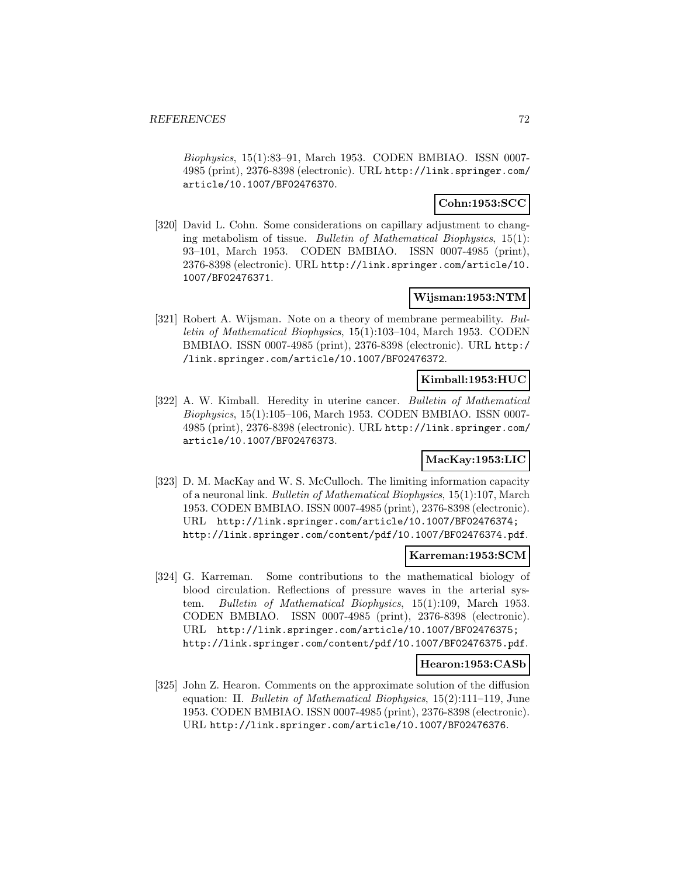Biophysics, 15(1):83–91, March 1953. CODEN BMBIAO. ISSN 0007- 4985 (print), 2376-8398 (electronic). URL http://link.springer.com/ article/10.1007/BF02476370.

## **Cohn:1953:SCC**

[320] David L. Cohn. Some considerations on capillary adjustment to changing metabolism of tissue. Bulletin of Mathematical Biophysics, 15(1): 93–101, March 1953. CODEN BMBIAO. ISSN 0007-4985 (print), 2376-8398 (electronic). URL http://link.springer.com/article/10. 1007/BF02476371.

## **Wijsman:1953:NTM**

[321] Robert A. Wijsman. Note on a theory of membrane permeability. Bulletin of Mathematical Biophysics, 15(1):103–104, March 1953. CODEN BMBIAO. ISSN 0007-4985 (print), 2376-8398 (electronic). URL http:/ /link.springer.com/article/10.1007/BF02476372.

#### **Kimball:1953:HUC**

[322] A. W. Kimball. Heredity in uterine cancer. Bulletin of Mathematical Biophysics, 15(1):105–106, March 1953. CODEN BMBIAO. ISSN 0007- 4985 (print), 2376-8398 (electronic). URL http://link.springer.com/ article/10.1007/BF02476373.

## **MacKay:1953:LIC**

[323] D. M. MacKay and W. S. McCulloch. The limiting information capacity of a neuronal link. Bulletin of Mathematical Biophysics, 15(1):107, March 1953. CODEN BMBIAO. ISSN 0007-4985 (print), 2376-8398 (electronic). URL http://link.springer.com/article/10.1007/BF02476374; http://link.springer.com/content/pdf/10.1007/BF02476374.pdf.

#### **Karreman:1953:SCM**

[324] G. Karreman. Some contributions to the mathematical biology of blood circulation. Reflections of pressure waves in the arterial system. Bulletin of Mathematical Biophysics, 15(1):109, March 1953. CODEN BMBIAO. ISSN 0007-4985 (print), 2376-8398 (electronic). URL http://link.springer.com/article/10.1007/BF02476375; http://link.springer.com/content/pdf/10.1007/BF02476375.pdf.

#### **Hearon:1953:CASb**

[325] John Z. Hearon. Comments on the approximate solution of the diffusion equation: II. Bulletin of Mathematical Biophysics, 15(2):111–119, June 1953. CODEN BMBIAO. ISSN 0007-4985 (print), 2376-8398 (electronic). URL http://link.springer.com/article/10.1007/BF02476376.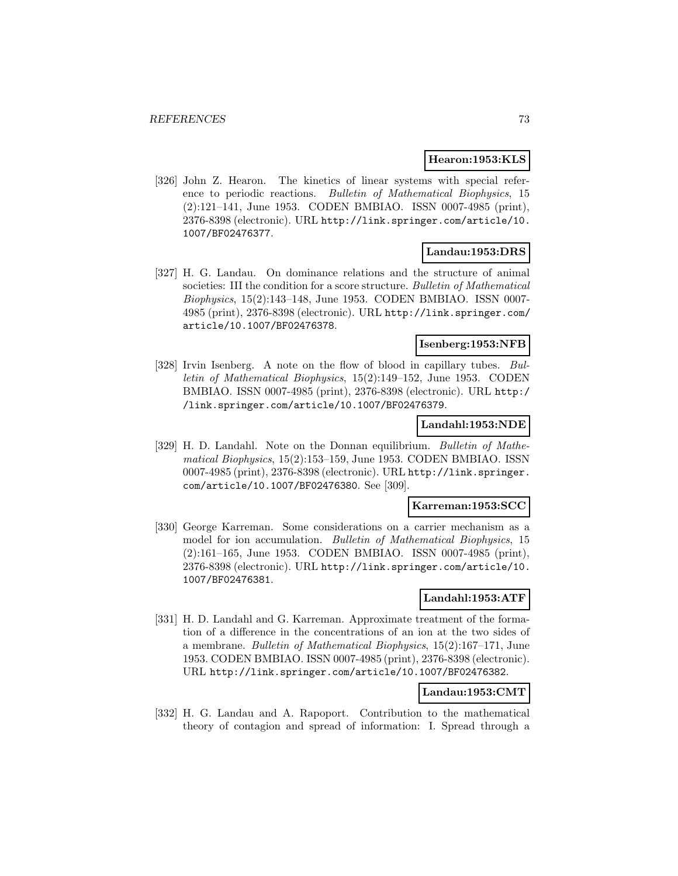### **Hearon:1953:KLS**

[326] John Z. Hearon. The kinetics of linear systems with special reference to periodic reactions. Bulletin of Mathematical Biophysics, 15 (2):121–141, June 1953. CODEN BMBIAO. ISSN 0007-4985 (print), 2376-8398 (electronic). URL http://link.springer.com/article/10. 1007/BF02476377.

#### **Landau:1953:DRS**

[327] H. G. Landau. On dominance relations and the structure of animal societies: III the condition for a score structure. Bulletin of Mathematical Biophysics, 15(2):143–148, June 1953. CODEN BMBIAO. ISSN 0007- 4985 (print), 2376-8398 (electronic). URL http://link.springer.com/ article/10.1007/BF02476378.

### **Isenberg:1953:NFB**

[328] Irvin Isenberg. A note on the flow of blood in capillary tubes. Bulletin of Mathematical Biophysics, 15(2):149–152, June 1953. CODEN BMBIAO. ISSN 0007-4985 (print), 2376-8398 (electronic). URL http:/ /link.springer.com/article/10.1007/BF02476379.

#### **Landahl:1953:NDE**

[329] H. D. Landahl. Note on the Donnan equilibrium. Bulletin of Mathematical Biophysics, 15(2):153–159, June 1953. CODEN BMBIAO. ISSN 0007-4985 (print), 2376-8398 (electronic). URL http://link.springer. com/article/10.1007/BF02476380. See [309].

## **Karreman:1953:SCC**

[330] George Karreman. Some considerations on a carrier mechanism as a model for ion accumulation. Bulletin of Mathematical Biophysics, 15 (2):161–165, June 1953. CODEN BMBIAO. ISSN 0007-4985 (print), 2376-8398 (electronic). URL http://link.springer.com/article/10. 1007/BF02476381.

#### **Landahl:1953:ATF**

[331] H. D. Landahl and G. Karreman. Approximate treatment of the formation of a difference in the concentrations of an ion at the two sides of a membrane. Bulletin of Mathematical Biophysics, 15(2):167–171, June 1953. CODEN BMBIAO. ISSN 0007-4985 (print), 2376-8398 (electronic). URL http://link.springer.com/article/10.1007/BF02476382.

# **Landau:1953:CMT**

[332] H. G. Landau and A. Rapoport. Contribution to the mathematical theory of contagion and spread of information: I. Spread through a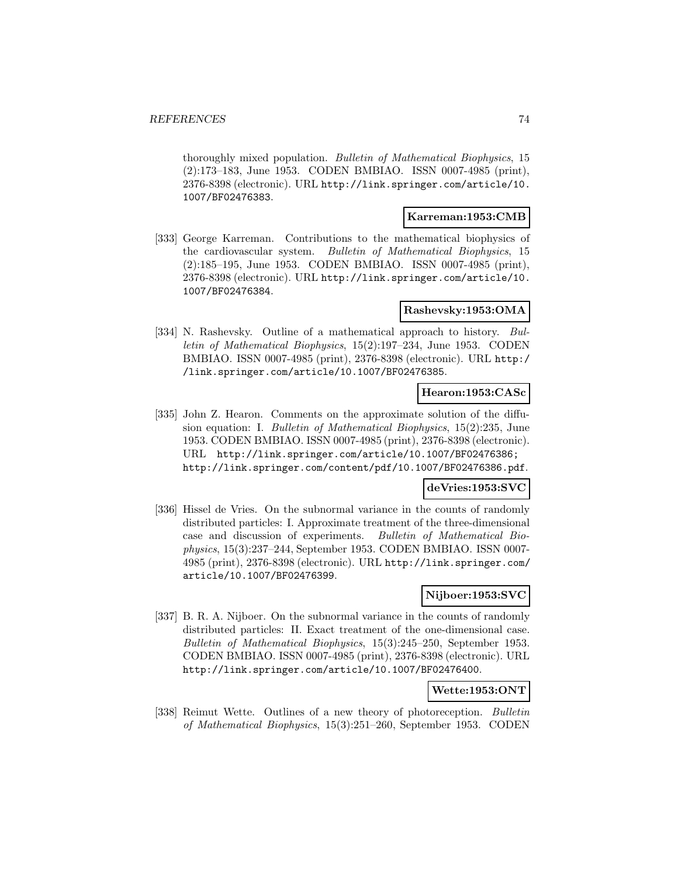thoroughly mixed population. Bulletin of Mathematical Biophysics, 15 (2):173–183, June 1953. CODEN BMBIAO. ISSN 0007-4985 (print), 2376-8398 (electronic). URL http://link.springer.com/article/10. 1007/BF02476383.

## **Karreman:1953:CMB**

[333] George Karreman. Contributions to the mathematical biophysics of the cardiovascular system. Bulletin of Mathematical Biophysics, 15 (2):185–195, June 1953. CODEN BMBIAO. ISSN 0007-4985 (print), 2376-8398 (electronic). URL http://link.springer.com/article/10. 1007/BF02476384.

## **Rashevsky:1953:OMA**

[334] N. Rashevsky. Outline of a mathematical approach to history. Bulletin of Mathematical Biophysics, 15(2):197–234, June 1953. CODEN BMBIAO. ISSN 0007-4985 (print), 2376-8398 (electronic). URL http:/ /link.springer.com/article/10.1007/BF02476385.

### **Hearon:1953:CASc**

[335] John Z. Hearon. Comments on the approximate solution of the diffusion equation: I. Bulletin of Mathematical Biophysics, 15(2):235, June 1953. CODEN BMBIAO. ISSN 0007-4985 (print), 2376-8398 (electronic). URL http://link.springer.com/article/10.1007/BF02476386; http://link.springer.com/content/pdf/10.1007/BF02476386.pdf.

### **deVries:1953:SVC**

[336] Hissel de Vries. On the subnormal variance in the counts of randomly distributed particles: I. Approximate treatment of the three-dimensional case and discussion of experiments. Bulletin of Mathematical Biophysics, 15(3):237–244, September 1953. CODEN BMBIAO. ISSN 0007- 4985 (print), 2376-8398 (electronic). URL http://link.springer.com/ article/10.1007/BF02476399.

#### **Nijboer:1953:SVC**

[337] B. R. A. Nijboer. On the subnormal variance in the counts of randomly distributed particles: II. Exact treatment of the one-dimensional case. Bulletin of Mathematical Biophysics, 15(3):245–250, September 1953. CODEN BMBIAO. ISSN 0007-4985 (print), 2376-8398 (electronic). URL http://link.springer.com/article/10.1007/BF02476400.

## **Wette:1953:ONT**

[338] Reimut Wette. Outlines of a new theory of photoreception. Bulletin of Mathematical Biophysics, 15(3):251–260, September 1953. CODEN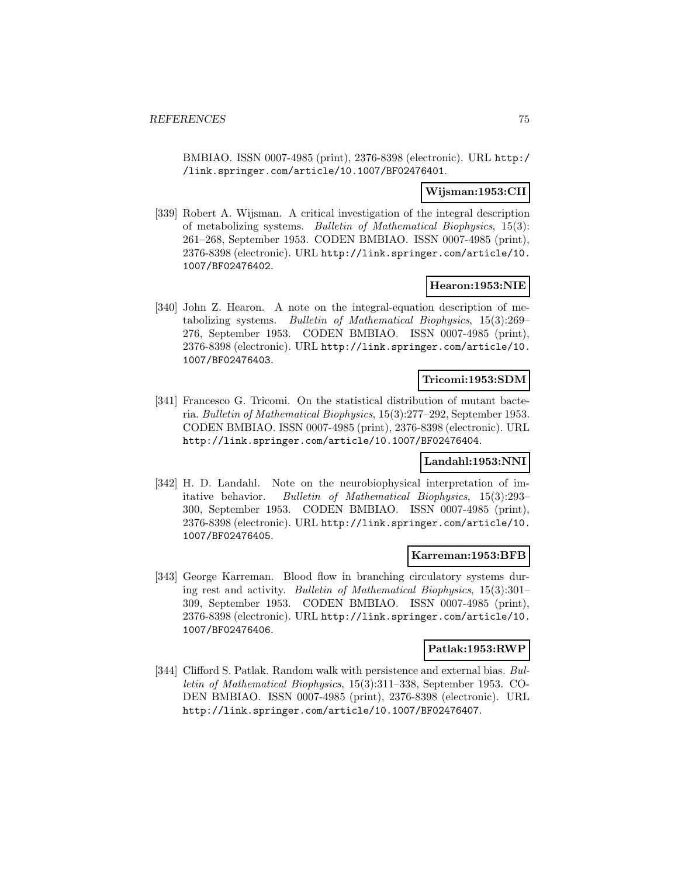BMBIAO. ISSN 0007-4985 (print), 2376-8398 (electronic). URL http:/ /link.springer.com/article/10.1007/BF02476401.

## **Wijsman:1953:CII**

[339] Robert A. Wijsman. A critical investigation of the integral description of metabolizing systems. Bulletin of Mathematical Biophysics, 15(3): 261–268, September 1953. CODEN BMBIAO. ISSN 0007-4985 (print), 2376-8398 (electronic). URL http://link.springer.com/article/10. 1007/BF02476402.

## **Hearon:1953:NIE**

[340] John Z. Hearon. A note on the integral-equation description of metabolizing systems. Bulletin of Mathematical Biophysics, 15(3):269– 276, September 1953. CODEN BMBIAO. ISSN 0007-4985 (print), 2376-8398 (electronic). URL http://link.springer.com/article/10. 1007/BF02476403.

### **Tricomi:1953:SDM**

[341] Francesco G. Tricomi. On the statistical distribution of mutant bacteria. Bulletin of Mathematical Biophysics, 15(3):277–292, September 1953. CODEN BMBIAO. ISSN 0007-4985 (print), 2376-8398 (electronic). URL http://link.springer.com/article/10.1007/BF02476404.

#### **Landahl:1953:NNI**

[342] H. D. Landahl. Note on the neurobiophysical interpretation of imitative behavior. Bulletin of Mathematical Biophysics, 15(3):293– 300, September 1953. CODEN BMBIAO. ISSN 0007-4985 (print), 2376-8398 (electronic). URL http://link.springer.com/article/10. 1007/BF02476405.

## **Karreman:1953:BFB**

[343] George Karreman. Blood flow in branching circulatory systems during rest and activity. Bulletin of Mathematical Biophysics, 15(3):301– 309, September 1953. CODEN BMBIAO. ISSN 0007-4985 (print), 2376-8398 (electronic). URL http://link.springer.com/article/10. 1007/BF02476406.

### **Patlak:1953:RWP**

[344] Clifford S. Patlak. Random walk with persistence and external bias. Bulletin of Mathematical Biophysics, 15(3):311–338, September 1953. CO-DEN BMBIAO. ISSN 0007-4985 (print), 2376-8398 (electronic). URL http://link.springer.com/article/10.1007/BF02476407.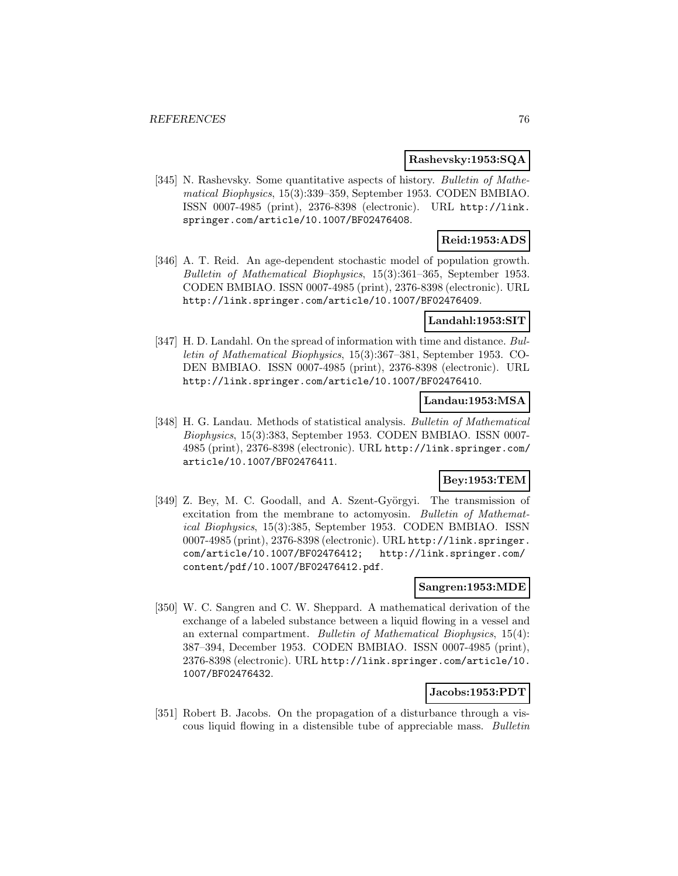#### **Rashevsky:1953:SQA**

[345] N. Rashevsky. Some quantitative aspects of history. Bulletin of Mathematical Biophysics, 15(3):339–359, September 1953. CODEN BMBIAO. ISSN 0007-4985 (print), 2376-8398 (electronic). URL http://link. springer.com/article/10.1007/BF02476408.

# **Reid:1953:ADS**

[346] A. T. Reid. An age-dependent stochastic model of population growth. Bulletin of Mathematical Biophysics, 15(3):361–365, September 1953. CODEN BMBIAO. ISSN 0007-4985 (print), 2376-8398 (electronic). URL http://link.springer.com/article/10.1007/BF02476409.

### **Landahl:1953:SIT**

[347] H. D. Landahl. On the spread of information with time and distance. Bulletin of Mathematical Biophysics, 15(3):367–381, September 1953. CO-DEN BMBIAO. ISSN 0007-4985 (print), 2376-8398 (electronic). URL http://link.springer.com/article/10.1007/BF02476410.

# **Landau:1953:MSA**

[348] H. G. Landau. Methods of statistical analysis. Bulletin of Mathematical Biophysics, 15(3):383, September 1953. CODEN BMBIAO. ISSN 0007- 4985 (print), 2376-8398 (electronic). URL http://link.springer.com/ article/10.1007/BF02476411.

# **Bey:1953:TEM**

[349] Z. Bey, M. C. Goodall, and A. Szent-Györgyi. The transmission of excitation from the membrane to actomyosin. Bulletin of Mathematical Biophysics, 15(3):385, September 1953. CODEN BMBIAO. ISSN 0007-4985 (print), 2376-8398 (electronic). URL http://link.springer. com/article/10.1007/BF02476412; http://link.springer.com/ content/pdf/10.1007/BF02476412.pdf.

# **Sangren:1953:MDE**

[350] W. C. Sangren and C. W. Sheppard. A mathematical derivation of the exchange of a labeled substance between a liquid flowing in a vessel and an external compartment. Bulletin of Mathematical Biophysics, 15(4): 387–394, December 1953. CODEN BMBIAO. ISSN 0007-4985 (print), 2376-8398 (electronic). URL http://link.springer.com/article/10. 1007/BF02476432.

# **Jacobs:1953:PDT**

[351] Robert B. Jacobs. On the propagation of a disturbance through a viscous liquid flowing in a distensible tube of appreciable mass. Bulletin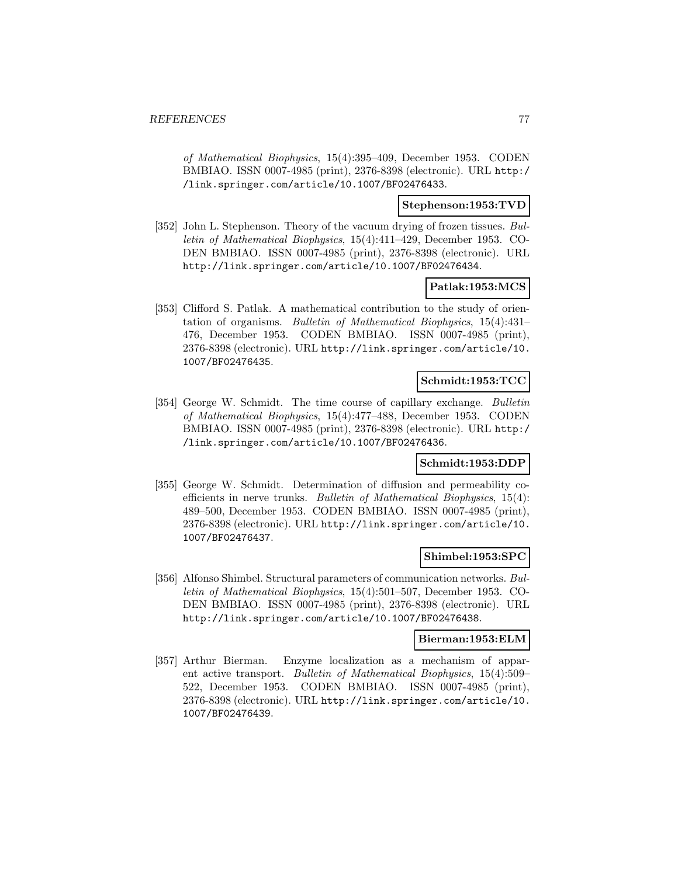of Mathematical Biophysics, 15(4):395–409, December 1953. CODEN BMBIAO. ISSN 0007-4985 (print), 2376-8398 (electronic). URL http:/ /link.springer.com/article/10.1007/BF02476433.

## **Stephenson:1953:TVD**

[352] John L. Stephenson. Theory of the vacuum drying of frozen tissues. Bulletin of Mathematical Biophysics, 15(4):411–429, December 1953. CO-DEN BMBIAO. ISSN 0007-4985 (print), 2376-8398 (electronic). URL http://link.springer.com/article/10.1007/BF02476434.

### **Patlak:1953:MCS**

[353] Clifford S. Patlak. A mathematical contribution to the study of orientation of organisms. Bulletin of Mathematical Biophysics, 15(4):431– 476, December 1953. CODEN BMBIAO. ISSN 0007-4985 (print), 2376-8398 (electronic). URL http://link.springer.com/article/10. 1007/BF02476435.

## **Schmidt:1953:TCC**

[354] George W. Schmidt. The time course of capillary exchange. Bulletin of Mathematical Biophysics, 15(4):477–488, December 1953. CODEN BMBIAO. ISSN 0007-4985 (print), 2376-8398 (electronic). URL http:/ /link.springer.com/article/10.1007/BF02476436.

### **Schmidt:1953:DDP**

[355] George W. Schmidt. Determination of diffusion and permeability coefficients in nerve trunks. Bulletin of Mathematical Biophysics, 15(4): 489–500, December 1953. CODEN BMBIAO. ISSN 0007-4985 (print), 2376-8398 (electronic). URL http://link.springer.com/article/10. 1007/BF02476437.

### **Shimbel:1953:SPC**

[356] Alfonso Shimbel. Structural parameters of communication networks. Bulletin of Mathematical Biophysics, 15(4):501–507, December 1953. CO-DEN BMBIAO. ISSN 0007-4985 (print), 2376-8398 (electronic). URL http://link.springer.com/article/10.1007/BF02476438.

## **Bierman:1953:ELM**

[357] Arthur Bierman. Enzyme localization as a mechanism of apparent active transport. Bulletin of Mathematical Biophysics, 15(4):509– 522, December 1953. CODEN BMBIAO. ISSN 0007-4985 (print), 2376-8398 (electronic). URL http://link.springer.com/article/10. 1007/BF02476439.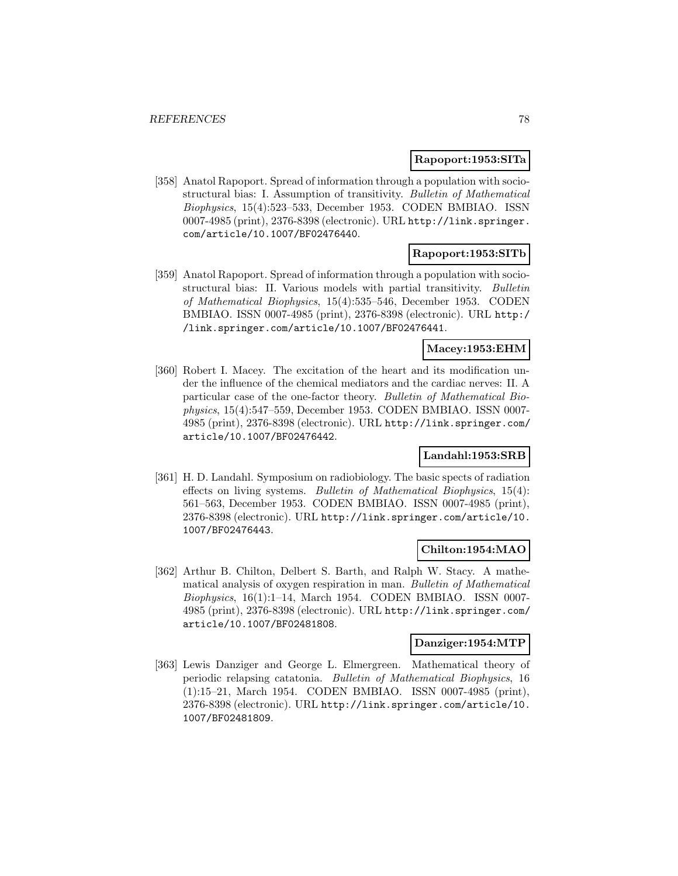## **Rapoport:1953:SITa**

[358] Anatol Rapoport. Spread of information through a population with sociostructural bias: I. Assumption of transitivity. Bulletin of Mathematical Biophysics, 15(4):523–533, December 1953. CODEN BMBIAO. ISSN 0007-4985 (print), 2376-8398 (electronic). URL http://link.springer. com/article/10.1007/BF02476440.

### **Rapoport:1953:SITb**

[359] Anatol Rapoport. Spread of information through a population with sociostructural bias: II. Various models with partial transitivity. Bulletin of Mathematical Biophysics, 15(4):535–546, December 1953. CODEN BMBIAO. ISSN 0007-4985 (print), 2376-8398 (electronic). URL http:/ /link.springer.com/article/10.1007/BF02476441.

### **Macey:1953:EHM**

[360] Robert I. Macey. The excitation of the heart and its modification under the influence of the chemical mediators and the cardiac nerves: II. A particular case of the one-factor theory. Bulletin of Mathematical Biophysics, 15(4):547–559, December 1953. CODEN BMBIAO. ISSN 0007- 4985 (print), 2376-8398 (electronic). URL http://link.springer.com/ article/10.1007/BF02476442.

# **Landahl:1953:SRB**

[361] H. D. Landahl. Symposium on radiobiology. The basic spects of radiation effects on living systems. Bulletin of Mathematical Biophysics, 15(4): 561–563, December 1953. CODEN BMBIAO. ISSN 0007-4985 (print), 2376-8398 (electronic). URL http://link.springer.com/article/10. 1007/BF02476443.

# **Chilton:1954:MAO**

[362] Arthur B. Chilton, Delbert S. Barth, and Ralph W. Stacy. A mathematical analysis of oxygen respiration in man. Bulletin of Mathematical  $Biophysics, 16(1):1-14, March 1954. CODEN BMBIAO. ISSN 0007-$ 4985 (print), 2376-8398 (electronic). URL http://link.springer.com/ article/10.1007/BF02481808.

# **Danziger:1954:MTP**

[363] Lewis Danziger and George L. Elmergreen. Mathematical theory of periodic relapsing catatonia. Bulletin of Mathematical Biophysics, 16 (1):15–21, March 1954. CODEN BMBIAO. ISSN 0007-4985 (print), 2376-8398 (electronic). URL http://link.springer.com/article/10. 1007/BF02481809.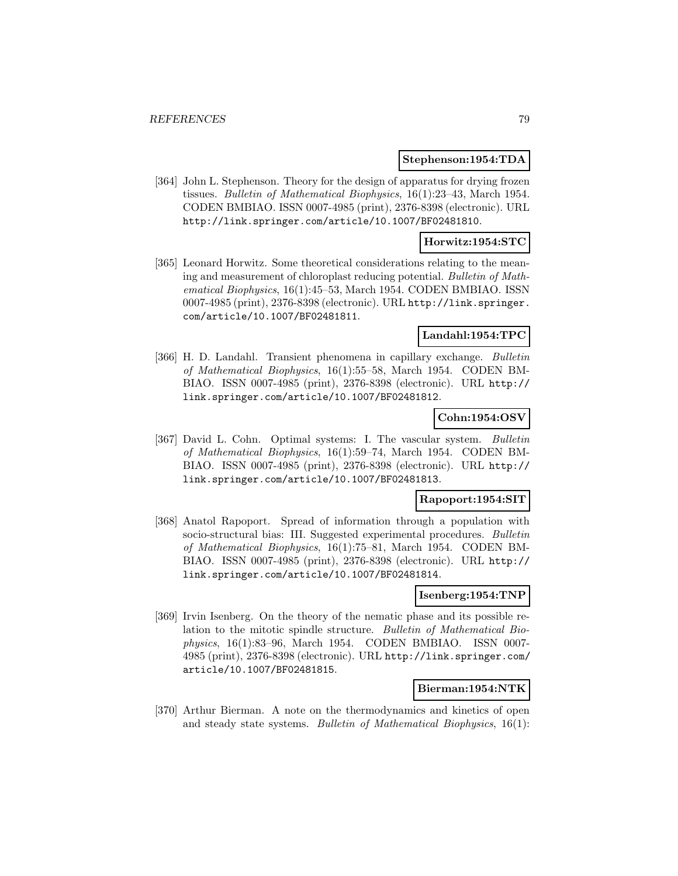#### **Stephenson:1954:TDA**

[364] John L. Stephenson. Theory for the design of apparatus for drying frozen tissues. Bulletin of Mathematical Biophysics, 16(1):23–43, March 1954. CODEN BMBIAO. ISSN 0007-4985 (print), 2376-8398 (electronic). URL http://link.springer.com/article/10.1007/BF02481810.

#### **Horwitz:1954:STC**

[365] Leonard Horwitz. Some theoretical considerations relating to the meaning and measurement of chloroplast reducing potential. Bulletin of Mathematical Biophysics, 16(1):45–53, March 1954. CODEN BMBIAO. ISSN 0007-4985 (print), 2376-8398 (electronic). URL http://link.springer. com/article/10.1007/BF02481811.

# **Landahl:1954:TPC**

[366] H. D. Landahl. Transient phenomena in capillary exchange. Bulletin of Mathematical Biophysics, 16(1):55–58, March 1954. CODEN BM-BIAO. ISSN 0007-4985 (print), 2376-8398 (electronic). URL http:// link.springer.com/article/10.1007/BF02481812.

# **Cohn:1954:OSV**

[367] David L. Cohn. Optimal systems: I. The vascular system. Bulletin of Mathematical Biophysics, 16(1):59–74, March 1954. CODEN BM-BIAO. ISSN 0007-4985 (print), 2376-8398 (electronic). URL http:// link.springer.com/article/10.1007/BF02481813.

# **Rapoport:1954:SIT**

[368] Anatol Rapoport. Spread of information through a population with socio-structural bias: III. Suggested experimental procedures. Bulletin of Mathematical Biophysics, 16(1):75–81, March 1954. CODEN BM-BIAO. ISSN 0007-4985 (print), 2376-8398 (electronic). URL http:// link.springer.com/article/10.1007/BF02481814.

#### **Isenberg:1954:TNP**

[369] Irvin Isenberg. On the theory of the nematic phase and its possible relation to the mitotic spindle structure. Bulletin of Mathematical Biophysics, 16(1):83–96, March 1954. CODEN BMBIAO. ISSN 0007- 4985 (print), 2376-8398 (electronic). URL http://link.springer.com/ article/10.1007/BF02481815.

#### **Bierman:1954:NTK**

[370] Arthur Bierman. A note on the thermodynamics and kinetics of open and steady state systems. Bulletin of Mathematical Biophysics, 16(1):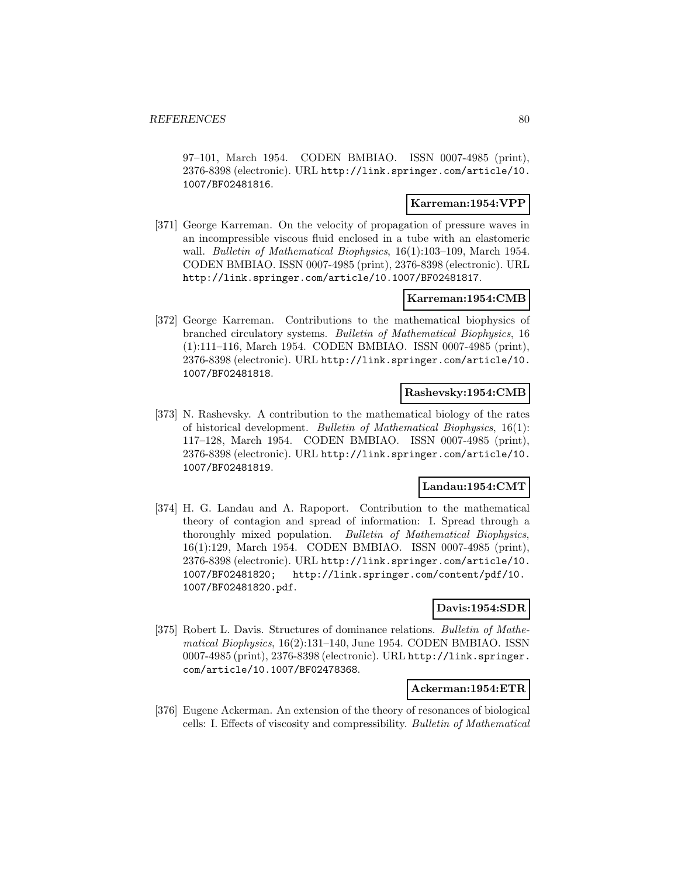97–101, March 1954. CODEN BMBIAO. ISSN 0007-4985 (print), 2376-8398 (electronic). URL http://link.springer.com/article/10. 1007/BF02481816.

## **Karreman:1954:VPP**

[371] George Karreman. On the velocity of propagation of pressure waves in an incompressible viscous fluid enclosed in a tube with an elastomeric wall. Bulletin of Mathematical Biophysics, 16(1):103-109, March 1954. CODEN BMBIAO. ISSN 0007-4985 (print), 2376-8398 (electronic). URL http://link.springer.com/article/10.1007/BF02481817.

### **Karreman:1954:CMB**

[372] George Karreman. Contributions to the mathematical biophysics of branched circulatory systems. Bulletin of Mathematical Biophysics, 16 (1):111–116, March 1954. CODEN BMBIAO. ISSN 0007-4985 (print), 2376-8398 (electronic). URL http://link.springer.com/article/10. 1007/BF02481818.

### **Rashevsky:1954:CMB**

[373] N. Rashevsky. A contribution to the mathematical biology of the rates of historical development. Bulletin of Mathematical Biophysics, 16(1): 117–128, March 1954. CODEN BMBIAO. ISSN 0007-4985 (print), 2376-8398 (electronic). URL http://link.springer.com/article/10. 1007/BF02481819.

# **Landau:1954:CMT**

[374] H. G. Landau and A. Rapoport. Contribution to the mathematical theory of contagion and spread of information: I. Spread through a thoroughly mixed population. Bulletin of Mathematical Biophysics, 16(1):129, March 1954. CODEN BMBIAO. ISSN 0007-4985 (print), 2376-8398 (electronic). URL http://link.springer.com/article/10. 1007/BF02481820; http://link.springer.com/content/pdf/10. 1007/BF02481820.pdf.

### **Davis:1954:SDR**

[375] Robert L. Davis. Structures of dominance relations. Bulletin of Mathematical Biophysics, 16(2):131–140, June 1954. CODEN BMBIAO. ISSN 0007-4985 (print), 2376-8398 (electronic). URL http://link.springer. com/article/10.1007/BF02478368.

#### **Ackerman:1954:ETR**

[376] Eugene Ackerman. An extension of the theory of resonances of biological cells: I. Effects of viscosity and compressibility. Bulletin of Mathematical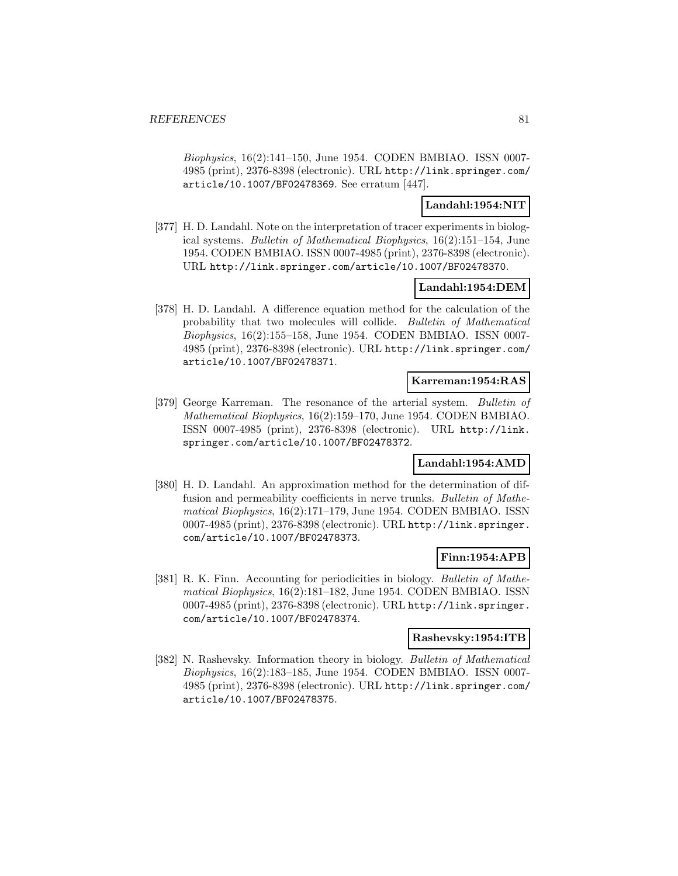Biophysics, 16(2):141–150, June 1954. CODEN BMBIAO. ISSN 0007- 4985 (print), 2376-8398 (electronic). URL http://link.springer.com/ article/10.1007/BF02478369. See erratum [447].

# **Landahl:1954:NIT**

[377] H. D. Landahl. Note on the interpretation of tracer experiments in biological systems. Bulletin of Mathematical Biophysics, 16(2):151–154, June 1954. CODEN BMBIAO. ISSN 0007-4985 (print), 2376-8398 (electronic). URL http://link.springer.com/article/10.1007/BF02478370.

## **Landahl:1954:DEM**

[378] H. D. Landahl. A difference equation method for the calculation of the probability that two molecules will collide. Bulletin of Mathematical Biophysics, 16(2):155–158, June 1954. CODEN BMBIAO. ISSN 0007- 4985 (print), 2376-8398 (electronic). URL http://link.springer.com/ article/10.1007/BF02478371.

## **Karreman:1954:RAS**

[379] George Karreman. The resonance of the arterial system. Bulletin of Mathematical Biophysics, 16(2):159–170, June 1954. CODEN BMBIAO. ISSN 0007-4985 (print), 2376-8398 (electronic). URL http://link. springer.com/article/10.1007/BF02478372.

### **Landahl:1954:AMD**

[380] H. D. Landahl. An approximation method for the determination of diffusion and permeability coefficients in nerve trunks. Bulletin of Mathematical Biophysics, 16(2):171–179, June 1954. CODEN BMBIAO. ISSN 0007-4985 (print), 2376-8398 (electronic). URL http://link.springer. com/article/10.1007/BF02478373.

### **Finn:1954:APB**

[381] R. K. Finn. Accounting for periodicities in biology. Bulletin of Mathematical Biophysics, 16(2):181–182, June 1954. CODEN BMBIAO. ISSN 0007-4985 (print), 2376-8398 (electronic). URL http://link.springer. com/article/10.1007/BF02478374.

# **Rashevsky:1954:ITB**

[382] N. Rashevsky. Information theory in biology. Bulletin of Mathematical Biophysics, 16(2):183–185, June 1954. CODEN BMBIAO. ISSN 0007- 4985 (print), 2376-8398 (electronic). URL http://link.springer.com/ article/10.1007/BF02478375.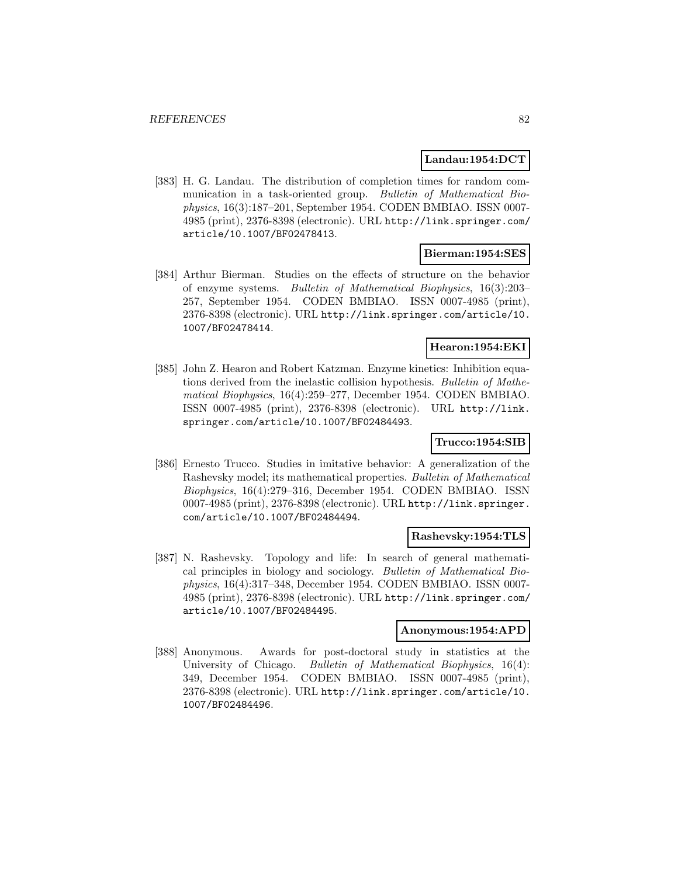#### **Landau:1954:DCT**

[383] H. G. Landau. The distribution of completion times for random communication in a task-oriented group. Bulletin of Mathematical Biophysics, 16(3):187–201, September 1954. CODEN BMBIAO. ISSN 0007- 4985 (print), 2376-8398 (electronic). URL http://link.springer.com/ article/10.1007/BF02478413.

### **Bierman:1954:SES**

[384] Arthur Bierman. Studies on the effects of structure on the behavior of enzyme systems. Bulletin of Mathematical Biophysics, 16(3):203– 257, September 1954. CODEN BMBIAO. ISSN 0007-4985 (print), 2376-8398 (electronic). URL http://link.springer.com/article/10. 1007/BF02478414.

# **Hearon:1954:EKI**

[385] John Z. Hearon and Robert Katzman. Enzyme kinetics: Inhibition equations derived from the inelastic collision hypothesis. Bulletin of Mathematical Biophysics, 16(4):259–277, December 1954. CODEN BMBIAO. ISSN 0007-4985 (print), 2376-8398 (electronic). URL http://link. springer.com/article/10.1007/BF02484493.

# **Trucco:1954:SIB**

[386] Ernesto Trucco. Studies in imitative behavior: A generalization of the Rashevsky model; its mathematical properties. Bulletin of Mathematical Biophysics, 16(4):279–316, December 1954. CODEN BMBIAO. ISSN 0007-4985 (print), 2376-8398 (electronic). URL http://link.springer. com/article/10.1007/BF02484494.

#### **Rashevsky:1954:TLS**

[387] N. Rashevsky. Topology and life: In search of general mathematical principles in biology and sociology. Bulletin of Mathematical Biophysics, 16(4):317–348, December 1954. CODEN BMBIAO. ISSN 0007- 4985 (print), 2376-8398 (electronic). URL http://link.springer.com/ article/10.1007/BF02484495.

#### **Anonymous:1954:APD**

[388] Anonymous. Awards for post-doctoral study in statistics at the University of Chicago. *Bulletin of Mathematical Biophysics*, 16(4): 349, December 1954. CODEN BMBIAO. ISSN 0007-4985 (print), 2376-8398 (electronic). URL http://link.springer.com/article/10. 1007/BF02484496.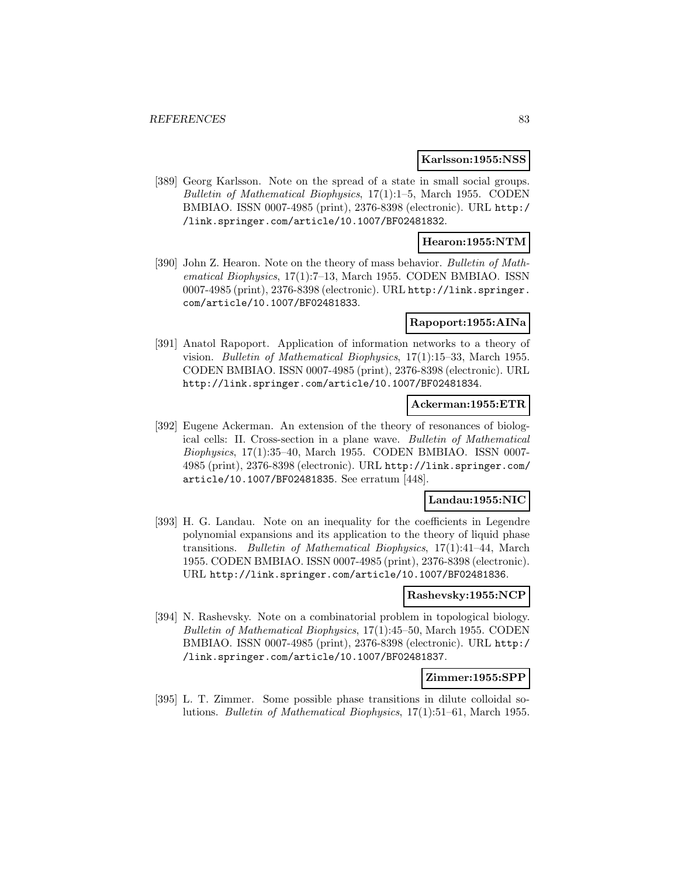#### **Karlsson:1955:NSS**

[389] Georg Karlsson. Note on the spread of a state in small social groups. Bulletin of Mathematical Biophysics, 17(1):1–5, March 1955. CODEN BMBIAO. ISSN 0007-4985 (print), 2376-8398 (electronic). URL http:/ /link.springer.com/article/10.1007/BF02481832.

## **Hearon:1955:NTM**

[390] John Z. Hearon. Note on the theory of mass behavior. Bulletin of Mathematical Biophysics, 17(1):7–13, March 1955. CODEN BMBIAO. ISSN 0007-4985 (print), 2376-8398 (electronic). URL http://link.springer. com/article/10.1007/BF02481833.

#### **Rapoport:1955:AINa**

[391] Anatol Rapoport. Application of information networks to a theory of vision. Bulletin of Mathematical Biophysics, 17(1):15–33, March 1955. CODEN BMBIAO. ISSN 0007-4985 (print), 2376-8398 (electronic). URL http://link.springer.com/article/10.1007/BF02481834.

### **Ackerman:1955:ETR**

[392] Eugene Ackerman. An extension of the theory of resonances of biological cells: II. Cross-section in a plane wave. Bulletin of Mathematical Biophysics, 17(1):35–40, March 1955. CODEN BMBIAO. ISSN 0007- 4985 (print), 2376-8398 (electronic). URL http://link.springer.com/ article/10.1007/BF02481835. See erratum [448].

## **Landau:1955:NIC**

[393] H. G. Landau. Note on an inequality for the coefficients in Legendre polynomial expansions and its application to the theory of liquid phase transitions. Bulletin of Mathematical Biophysics, 17(1):41–44, March 1955. CODEN BMBIAO. ISSN 0007-4985 (print), 2376-8398 (electronic). URL http://link.springer.com/article/10.1007/BF02481836.

#### **Rashevsky:1955:NCP**

[394] N. Rashevsky. Note on a combinatorial problem in topological biology. Bulletin of Mathematical Biophysics, 17(1):45–50, March 1955. CODEN BMBIAO. ISSN 0007-4985 (print), 2376-8398 (electronic). URL http:/ /link.springer.com/article/10.1007/BF02481837.

#### **Zimmer:1955:SPP**

[395] L. T. Zimmer. Some possible phase transitions in dilute colloidal solutions. Bulletin of Mathematical Biophysics, 17(1):51–61, March 1955.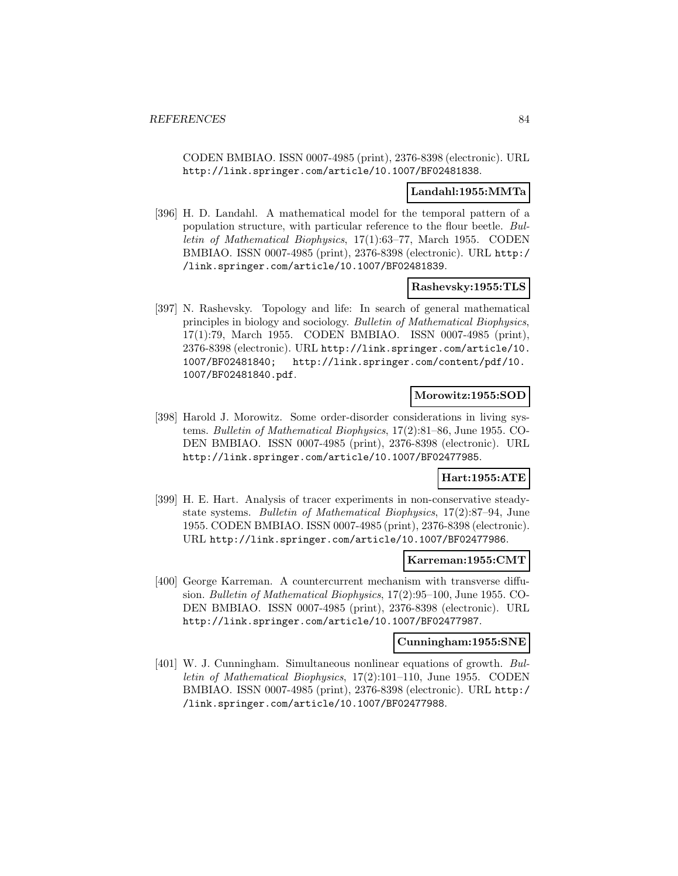CODEN BMBIAO. ISSN 0007-4985 (print), 2376-8398 (electronic). URL http://link.springer.com/article/10.1007/BF02481838.

#### **Landahl:1955:MMTa**

[396] H. D. Landahl. A mathematical model for the temporal pattern of a population structure, with particular reference to the flour beetle. Bulletin of Mathematical Biophysics, 17(1):63–77, March 1955. CODEN BMBIAO. ISSN 0007-4985 (print), 2376-8398 (electronic). URL http:/ /link.springer.com/article/10.1007/BF02481839.

## **Rashevsky:1955:TLS**

[397] N. Rashevsky. Topology and life: In search of general mathematical principles in biology and sociology. Bulletin of Mathematical Biophysics, 17(1):79, March 1955. CODEN BMBIAO. ISSN 0007-4985 (print), 2376-8398 (electronic). URL http://link.springer.com/article/10. 1007/BF02481840; http://link.springer.com/content/pdf/10. 1007/BF02481840.pdf.

# **Morowitz:1955:SOD**

[398] Harold J. Morowitz. Some order-disorder considerations in living systems. Bulletin of Mathematical Biophysics, 17(2):81–86, June 1955. CO-DEN BMBIAO. ISSN 0007-4985 (print), 2376-8398 (electronic). URL http://link.springer.com/article/10.1007/BF02477985.

### **Hart:1955:ATE**

[399] H. E. Hart. Analysis of tracer experiments in non-conservative steadystate systems. Bulletin of Mathematical Biophysics, 17(2):87–94, June 1955. CODEN BMBIAO. ISSN 0007-4985 (print), 2376-8398 (electronic). URL http://link.springer.com/article/10.1007/BF02477986.

#### **Karreman:1955:CMT**

[400] George Karreman. A countercurrent mechanism with transverse diffusion. Bulletin of Mathematical Biophysics, 17(2):95–100, June 1955. CO-DEN BMBIAO. ISSN 0007-4985 (print), 2376-8398 (electronic). URL http://link.springer.com/article/10.1007/BF02477987.

#### **Cunningham:1955:SNE**

[401] W. J. Cunningham. Simultaneous nonlinear equations of growth. Bulletin of Mathematical Biophysics, 17(2):101–110, June 1955. CODEN BMBIAO. ISSN 0007-4985 (print), 2376-8398 (electronic). URL http:/ /link.springer.com/article/10.1007/BF02477988.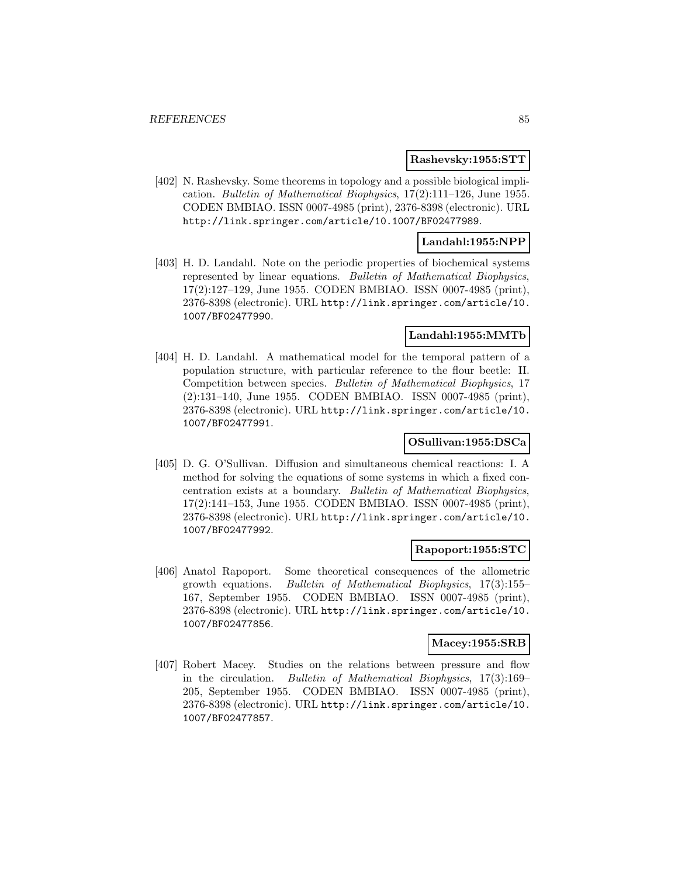#### **Rashevsky:1955:STT**

[402] N. Rashevsky. Some theorems in topology and a possible biological implication. Bulletin of Mathematical Biophysics, 17(2):111–126, June 1955. CODEN BMBIAO. ISSN 0007-4985 (print), 2376-8398 (electronic). URL http://link.springer.com/article/10.1007/BF02477989.

## **Landahl:1955:NPP**

[403] H. D. Landahl. Note on the periodic properties of biochemical systems represented by linear equations. Bulletin of Mathematical Biophysics, 17(2):127–129, June 1955. CODEN BMBIAO. ISSN 0007-4985 (print), 2376-8398 (electronic). URL http://link.springer.com/article/10. 1007/BF02477990.

## **Landahl:1955:MMTb**

[404] H. D. Landahl. A mathematical model for the temporal pattern of a population structure, with particular reference to the flour beetle: II. Competition between species. Bulletin of Mathematical Biophysics, 17 (2):131–140, June 1955. CODEN BMBIAO. ISSN 0007-4985 (print), 2376-8398 (electronic). URL http://link.springer.com/article/10. 1007/BF02477991.

# **OSullivan:1955:DSCa**

[405] D. G. O'Sullivan. Diffusion and simultaneous chemical reactions: I. A method for solving the equations of some systems in which a fixed concentration exists at a boundary. Bulletin of Mathematical Biophysics, 17(2):141–153, June 1955. CODEN BMBIAO. ISSN 0007-4985 (print), 2376-8398 (electronic). URL http://link.springer.com/article/10. 1007/BF02477992.

### **Rapoport:1955:STC**

[406] Anatol Rapoport. Some theoretical consequences of the allometric growth equations. Bulletin of Mathematical Biophysics, 17(3):155– 167, September 1955. CODEN BMBIAO. ISSN 0007-4985 (print), 2376-8398 (electronic). URL http://link.springer.com/article/10. 1007/BF02477856.

## **Macey:1955:SRB**

[407] Robert Macey. Studies on the relations between pressure and flow in the circulation. Bulletin of Mathematical Biophysics, 17(3):169– 205, September 1955. CODEN BMBIAO. ISSN 0007-4985 (print), 2376-8398 (electronic). URL http://link.springer.com/article/10. 1007/BF02477857.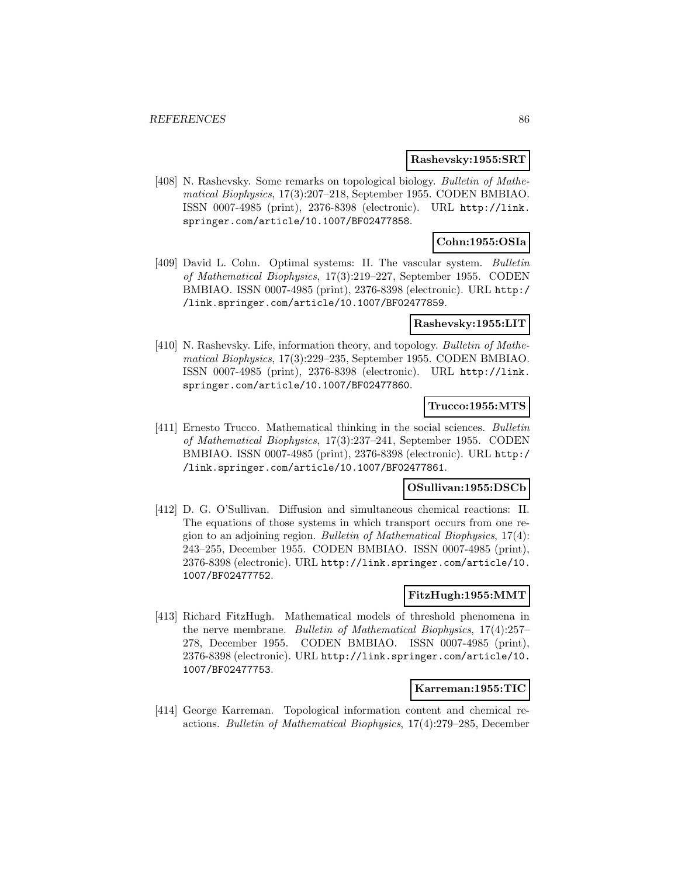#### **Rashevsky:1955:SRT**

[408] N. Rashevsky. Some remarks on topological biology. Bulletin of Mathematical Biophysics, 17(3):207–218, September 1955. CODEN BMBIAO. ISSN 0007-4985 (print), 2376-8398 (electronic). URL http://link. springer.com/article/10.1007/BF02477858.

# **Cohn:1955:OSIa**

[409] David L. Cohn. Optimal systems: II. The vascular system. Bulletin of Mathematical Biophysics, 17(3):219–227, September 1955. CODEN BMBIAO. ISSN 0007-4985 (print), 2376-8398 (electronic). URL http:/ /link.springer.com/article/10.1007/BF02477859.

### **Rashevsky:1955:LIT**

[410] N. Rashevsky. Life, information theory, and topology. Bulletin of Mathematical Biophysics, 17(3):229–235, September 1955. CODEN BMBIAO. ISSN 0007-4985 (print), 2376-8398 (electronic). URL http://link. springer.com/article/10.1007/BF02477860.

## **Trucco:1955:MTS**

[411] Ernesto Trucco. Mathematical thinking in the social sciences. Bulletin of Mathematical Biophysics, 17(3):237–241, September 1955. CODEN BMBIAO. ISSN 0007-4985 (print), 2376-8398 (electronic). URL http:/ /link.springer.com/article/10.1007/BF02477861.

### **OSullivan:1955:DSCb**

[412] D. G. O'Sullivan. Diffusion and simultaneous chemical reactions: II. The equations of those systems in which transport occurs from one region to an adjoining region. Bulletin of Mathematical Biophysics, 17(4): 243–255, December 1955. CODEN BMBIAO. ISSN 0007-4985 (print), 2376-8398 (electronic). URL http://link.springer.com/article/10. 1007/BF02477752.

### **FitzHugh:1955:MMT**

[413] Richard FitzHugh. Mathematical models of threshold phenomena in the nerve membrane. Bulletin of Mathematical Biophysics, 17(4):257– 278, December 1955. CODEN BMBIAO. ISSN 0007-4985 (print), 2376-8398 (electronic). URL http://link.springer.com/article/10. 1007/BF02477753.

### **Karreman:1955:TIC**

[414] George Karreman. Topological information content and chemical reactions. Bulletin of Mathematical Biophysics, 17(4):279–285, December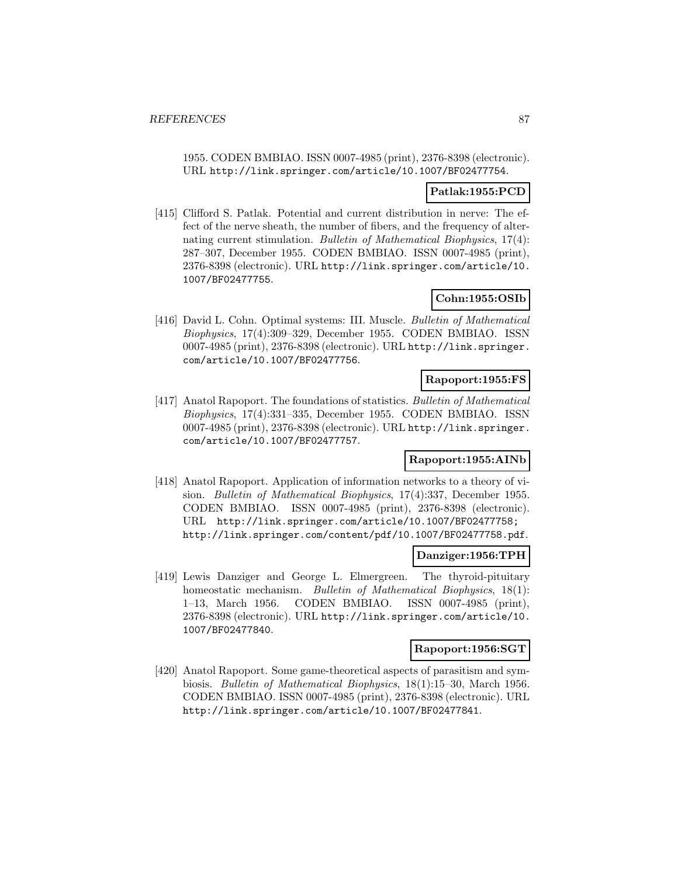1955. CODEN BMBIAO. ISSN 0007-4985 (print), 2376-8398 (electronic). URL http://link.springer.com/article/10.1007/BF02477754.

## **Patlak:1955:PCD**

[415] Clifford S. Patlak. Potential and current distribution in nerve: The effect of the nerve sheath, the number of fibers, and the frequency of alternating current stimulation. Bulletin of Mathematical Biophysics, 17(4): 287–307, December 1955. CODEN BMBIAO. ISSN 0007-4985 (print), 2376-8398 (electronic). URL http://link.springer.com/article/10. 1007/BF02477755.

# **Cohn:1955:OSIb**

[416] David L. Cohn. Optimal systems: III. Muscle. Bulletin of Mathematical Biophysics, 17(4):309–329, December 1955. CODEN BMBIAO. ISSN 0007-4985 (print), 2376-8398 (electronic). URL http://link.springer. com/article/10.1007/BF02477756.

## **Rapoport:1955:FS**

[417] Anatol Rapoport. The foundations of statistics. Bulletin of Mathematical Biophysics, 17(4):331–335, December 1955. CODEN BMBIAO. ISSN 0007-4985 (print), 2376-8398 (electronic). URL http://link.springer. com/article/10.1007/BF02477757.

# **Rapoport:1955:AINb**

[418] Anatol Rapoport. Application of information networks to a theory of vision. Bulletin of Mathematical Biophysics, 17(4):337, December 1955. CODEN BMBIAO. ISSN 0007-4985 (print), 2376-8398 (electronic). URL http://link.springer.com/article/10.1007/BF02477758; http://link.springer.com/content/pdf/10.1007/BF02477758.pdf.

### **Danziger:1956:TPH**

[419] Lewis Danziger and George L. Elmergreen. The thyroid-pituitary homeostatic mechanism. Bulletin of Mathematical Biophysics, 18(1): 1–13, March 1956. CODEN BMBIAO. ISSN 0007-4985 (print), 2376-8398 (electronic). URL http://link.springer.com/article/10. 1007/BF02477840.

### **Rapoport:1956:SGT**

[420] Anatol Rapoport. Some game-theoretical aspects of parasitism and symbiosis. Bulletin of Mathematical Biophysics, 18(1):15–30, March 1956. CODEN BMBIAO. ISSN 0007-4985 (print), 2376-8398 (electronic). URL http://link.springer.com/article/10.1007/BF02477841.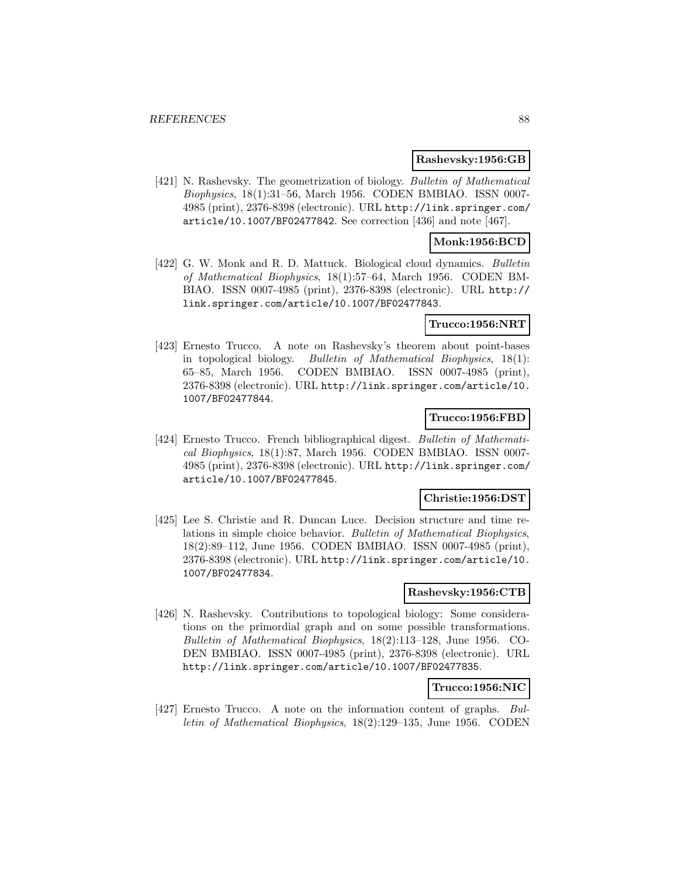#### **Rashevsky:1956:GB**

[421] N. Rashevsky. The geometrization of biology. Bulletin of Mathematical Biophysics, 18(1):31–56, March 1956. CODEN BMBIAO. ISSN 0007- 4985 (print), 2376-8398 (electronic). URL http://link.springer.com/ article/10.1007/BF02477842. See correction [436] and note [467].

## **Monk:1956:BCD**

[422] G. W. Monk and R. D. Mattuck. Biological cloud dynamics. Bulletin of Mathematical Biophysics, 18(1):57–64, March 1956. CODEN BM-BIAO. ISSN 0007-4985 (print), 2376-8398 (electronic). URL http:// link.springer.com/article/10.1007/BF02477843.

### **Trucco:1956:NRT**

[423] Ernesto Trucco. A note on Rashevsky's theorem about point-bases in topological biology. Bulletin of Mathematical Biophysics, 18(1): 65–85, March 1956. CODEN BMBIAO. ISSN 0007-4985 (print), 2376-8398 (electronic). URL http://link.springer.com/article/10. 1007/BF02477844.

## **Trucco:1956:FBD**

[424] Ernesto Trucco. French bibliographical digest. Bulletin of Mathematical Biophysics, 18(1):87, March 1956. CODEN BMBIAO. ISSN 0007- 4985 (print), 2376-8398 (electronic). URL http://link.springer.com/ article/10.1007/BF02477845.

### **Christie:1956:DST**

[425] Lee S. Christie and R. Duncan Luce. Decision structure and time relations in simple choice behavior. Bulletin of Mathematical Biophysics, 18(2):89–112, June 1956. CODEN BMBIAO. ISSN 0007-4985 (print), 2376-8398 (electronic). URL http://link.springer.com/article/10. 1007/BF02477834.

### **Rashevsky:1956:CTB**

[426] N. Rashevsky. Contributions to topological biology: Some considerations on the primordial graph and on some possible transformations. Bulletin of Mathematical Biophysics, 18(2):113–128, June 1956. CO-DEN BMBIAO. ISSN 0007-4985 (print), 2376-8398 (electronic). URL http://link.springer.com/article/10.1007/BF02477835.

## **Trucco:1956:NIC**

[427] Ernesto Trucco. A note on the information content of graphs. Bulletin of Mathematical Biophysics, 18(2):129–135, June 1956. CODEN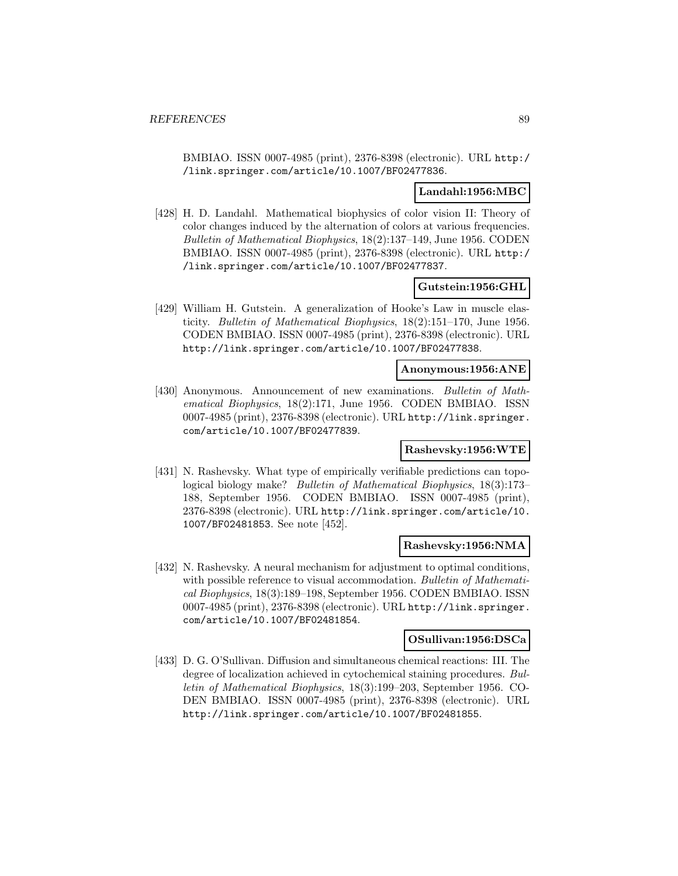BMBIAO. ISSN 0007-4985 (print), 2376-8398 (electronic). URL http:/ /link.springer.com/article/10.1007/BF02477836.

#### **Landahl:1956:MBC**

[428] H. D. Landahl. Mathematical biophysics of color vision II: Theory of color changes induced by the alternation of colors at various frequencies. Bulletin of Mathematical Biophysics, 18(2):137–149, June 1956. CODEN BMBIAO. ISSN 0007-4985 (print), 2376-8398 (electronic). URL http:/ /link.springer.com/article/10.1007/BF02477837.

## **Gutstein:1956:GHL**

[429] William H. Gutstein. A generalization of Hooke's Law in muscle elasticity. Bulletin of Mathematical Biophysics, 18(2):151–170, June 1956. CODEN BMBIAO. ISSN 0007-4985 (print), 2376-8398 (electronic). URL http://link.springer.com/article/10.1007/BF02477838.

## **Anonymous:1956:ANE**

[430] Anonymous. Announcement of new examinations. Bulletin of Mathematical Biophysics, 18(2):171, June 1956. CODEN BMBIAO. ISSN 0007-4985 (print), 2376-8398 (electronic). URL http://link.springer. com/article/10.1007/BF02477839.

## **Rashevsky:1956:WTE**

[431] N. Rashevsky. What type of empirically verifiable predictions can topological biology make? Bulletin of Mathematical Biophysics, 18(3):173– 188, September 1956. CODEN BMBIAO. ISSN 0007-4985 (print), 2376-8398 (electronic). URL http://link.springer.com/article/10. 1007/BF02481853. See note [452].

#### **Rashevsky:1956:NMA**

[432] N. Rashevsky. A neural mechanism for adjustment to optimal conditions, with possible reference to visual accommodation. Bulletin of Mathematical Biophysics, 18(3):189–198, September 1956. CODEN BMBIAO. ISSN 0007-4985 (print), 2376-8398 (electronic). URL http://link.springer. com/article/10.1007/BF02481854.

## **OSullivan:1956:DSCa**

[433] D. G. O'Sullivan. Diffusion and simultaneous chemical reactions: III. The degree of localization achieved in cytochemical staining procedures. Bulletin of Mathematical Biophysics, 18(3):199–203, September 1956. CO-DEN BMBIAO. ISSN 0007-4985 (print), 2376-8398 (electronic). URL http://link.springer.com/article/10.1007/BF02481855.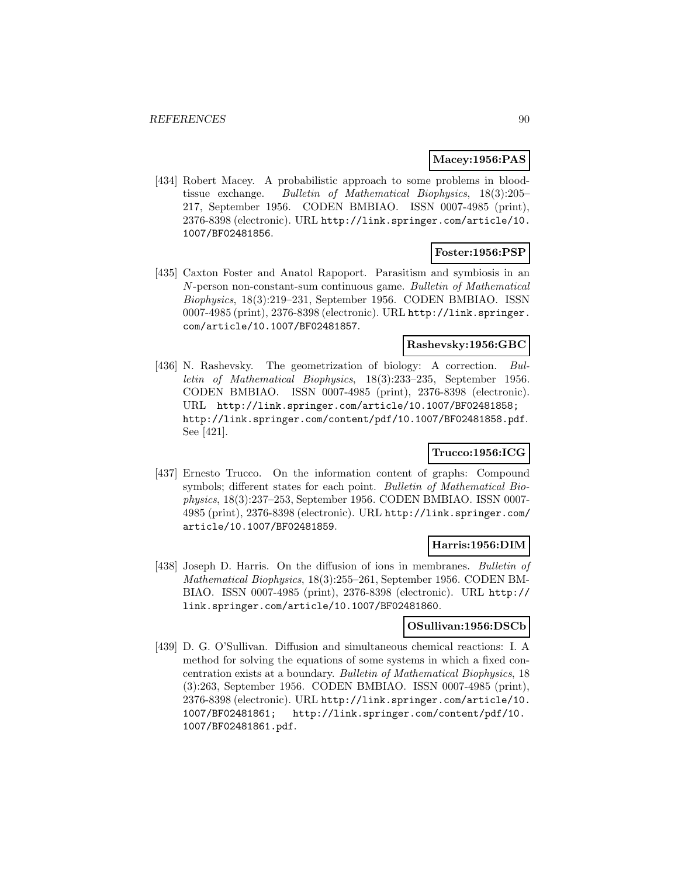## **Macey:1956:PAS**

[434] Robert Macey. A probabilistic approach to some problems in bloodtissue exchange. Bulletin of Mathematical Biophysics, 18(3):205– 217, September 1956. CODEN BMBIAO. ISSN 0007-4985 (print), 2376-8398 (electronic). URL http://link.springer.com/article/10. 1007/BF02481856.

## **Foster:1956:PSP**

[435] Caxton Foster and Anatol Rapoport. Parasitism and symbiosis in an N-person non-constant-sum continuous game. Bulletin of Mathematical Biophysics, 18(3):219–231, September 1956. CODEN BMBIAO. ISSN 0007-4985 (print), 2376-8398 (electronic). URL http://link.springer. com/article/10.1007/BF02481857.

# **Rashevsky:1956:GBC**

[436] N. Rashevsky. The geometrization of biology: A correction. Bulletin of Mathematical Biophysics, 18(3):233–235, September 1956. CODEN BMBIAO. ISSN 0007-4985 (print), 2376-8398 (electronic). URL http://link.springer.com/article/10.1007/BF02481858; http://link.springer.com/content/pdf/10.1007/BF02481858.pdf. See [421].

# **Trucco:1956:ICG**

[437] Ernesto Trucco. On the information content of graphs: Compound symbols; different states for each point. Bulletin of Mathematical Biophysics, 18(3):237–253, September 1956. CODEN BMBIAO. ISSN 0007- 4985 (print), 2376-8398 (electronic). URL http://link.springer.com/ article/10.1007/BF02481859.

### **Harris:1956:DIM**

[438] Joseph D. Harris. On the diffusion of ions in membranes. Bulletin of Mathematical Biophysics, 18(3):255–261, September 1956. CODEN BM-BIAO. ISSN 0007-4985 (print), 2376-8398 (electronic). URL http:// link.springer.com/article/10.1007/BF02481860.

## **OSullivan:1956:DSCb**

[439] D. G. O'Sullivan. Diffusion and simultaneous chemical reactions: I. A method for solving the equations of some systems in which a fixed concentration exists at a boundary. Bulletin of Mathematical Biophysics, 18 (3):263, September 1956. CODEN BMBIAO. ISSN 0007-4985 (print), 2376-8398 (electronic). URL http://link.springer.com/article/10. 1007/BF02481861; http://link.springer.com/content/pdf/10. 1007/BF02481861.pdf.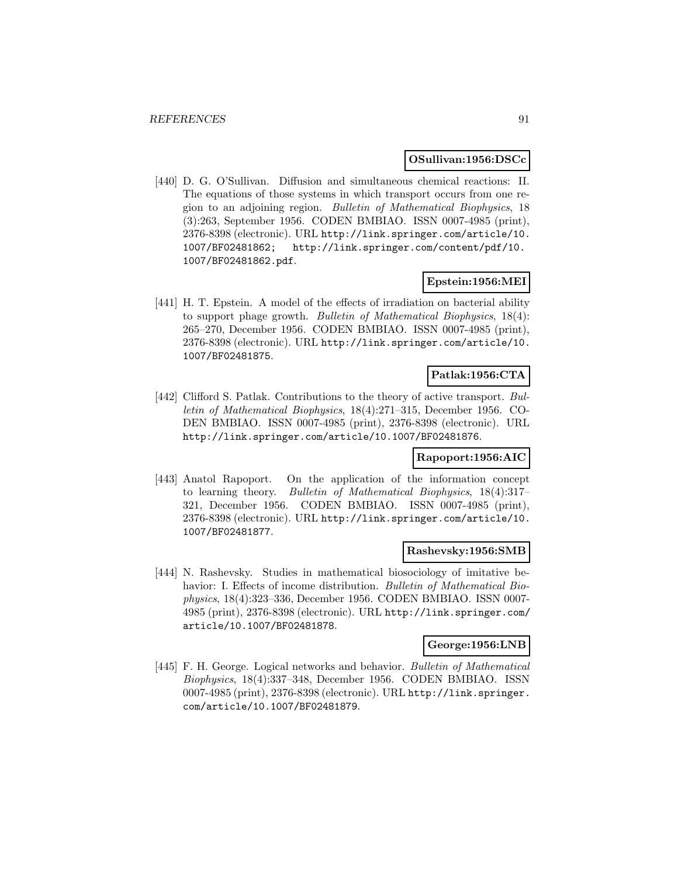#### **OSullivan:1956:DSCc**

[440] D. G. O'Sullivan. Diffusion and simultaneous chemical reactions: II. The equations of those systems in which transport occurs from one region to an adjoining region. Bulletin of Mathematical Biophysics, 18 (3):263, September 1956. CODEN BMBIAO. ISSN 0007-4985 (print), 2376-8398 (electronic). URL http://link.springer.com/article/10. 1007/BF02481862; http://link.springer.com/content/pdf/10. 1007/BF02481862.pdf.

#### **Epstein:1956:MEI**

[441] H. T. Epstein. A model of the effects of irradiation on bacterial ability to support phage growth. Bulletin of Mathematical Biophysics, 18(4): 265–270, December 1956. CODEN BMBIAO. ISSN 0007-4985 (print), 2376-8398 (electronic). URL http://link.springer.com/article/10. 1007/BF02481875.

# **Patlak:1956:CTA**

[442] Clifford S. Patlak. Contributions to the theory of active transport. Bulletin of Mathematical Biophysics, 18(4):271–315, December 1956. CO-DEN BMBIAO. ISSN 0007-4985 (print), 2376-8398 (electronic). URL http://link.springer.com/article/10.1007/BF02481876.

#### **Rapoport:1956:AIC**

[443] Anatol Rapoport. On the application of the information concept to learning theory. Bulletin of Mathematical Biophysics, 18(4):317– 321, December 1956. CODEN BMBIAO. ISSN 0007-4985 (print), 2376-8398 (electronic). URL http://link.springer.com/article/10. 1007/BF02481877.

### **Rashevsky:1956:SMB**

[444] N. Rashevsky. Studies in mathematical biosociology of imitative behavior: I. Effects of income distribution. *Bulletin of Mathematical Bio*physics, 18(4):323–336, December 1956. CODEN BMBIAO. ISSN 0007- 4985 (print), 2376-8398 (electronic). URL http://link.springer.com/ article/10.1007/BF02481878.

### **George:1956:LNB**

[445] F. H. George. Logical networks and behavior. Bulletin of Mathematical Biophysics, 18(4):337–348, December 1956. CODEN BMBIAO. ISSN 0007-4985 (print), 2376-8398 (electronic). URL http://link.springer. com/article/10.1007/BF02481879.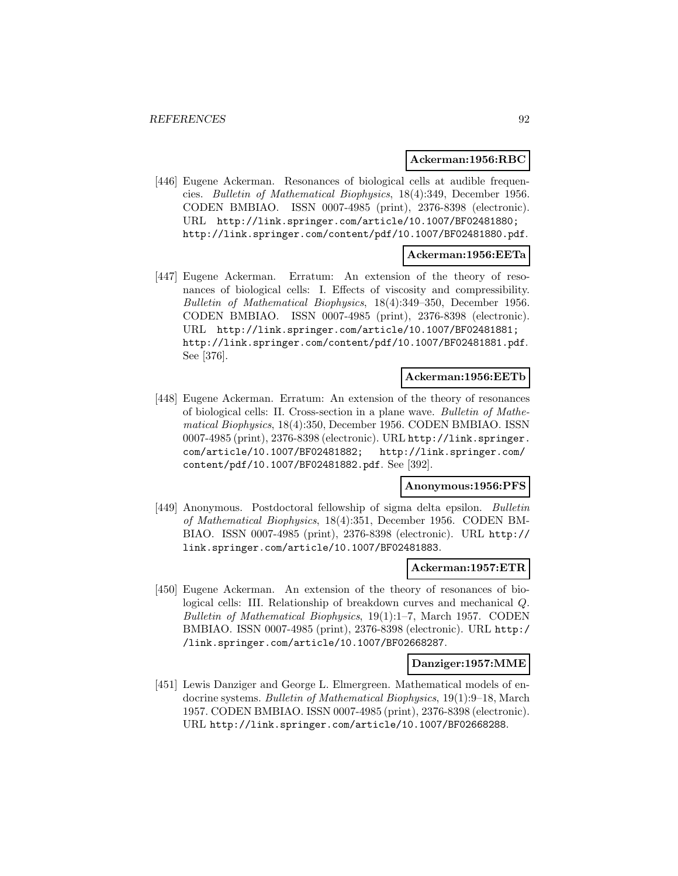#### **Ackerman:1956:RBC**

[446] Eugene Ackerman. Resonances of biological cells at audible frequencies. Bulletin of Mathematical Biophysics, 18(4):349, December 1956. CODEN BMBIAO. ISSN 0007-4985 (print), 2376-8398 (electronic). URL http://link.springer.com/article/10.1007/BF02481880; http://link.springer.com/content/pdf/10.1007/BF02481880.pdf.

#### **Ackerman:1956:EETa**

[447] Eugene Ackerman. Erratum: An extension of the theory of resonances of biological cells: I. Effects of viscosity and compressibility. Bulletin of Mathematical Biophysics, 18(4):349–350, December 1956. CODEN BMBIAO. ISSN 0007-4985 (print), 2376-8398 (electronic). URL http://link.springer.com/article/10.1007/BF02481881; http://link.springer.com/content/pdf/10.1007/BF02481881.pdf. See [376].

#### **Ackerman:1956:EETb**

[448] Eugene Ackerman. Erratum: An extension of the theory of resonances of biological cells: II. Cross-section in a plane wave. Bulletin of Mathematical Biophysics, 18(4):350, December 1956. CODEN BMBIAO. ISSN 0007-4985 (print), 2376-8398 (electronic). URL http://link.springer. com/article/10.1007/BF02481882; http://link.springer.com/ content/pdf/10.1007/BF02481882.pdf. See [392].

### **Anonymous:1956:PFS**

[449] Anonymous. Postdoctoral fellowship of sigma delta epsilon. Bulletin of Mathematical Biophysics, 18(4):351, December 1956. CODEN BM-BIAO. ISSN 0007-4985 (print), 2376-8398 (electronic). URL http:// link.springer.com/article/10.1007/BF02481883.

#### **Ackerman:1957:ETR**

[450] Eugene Ackerman. An extension of the theory of resonances of biological cells: III. Relationship of breakdown curves and mechanical Q. Bulletin of Mathematical Biophysics, 19(1):1–7, March 1957. CODEN BMBIAO. ISSN 0007-4985 (print), 2376-8398 (electronic). URL http:/ /link.springer.com/article/10.1007/BF02668287.

#### **Danziger:1957:MME**

[451] Lewis Danziger and George L. Elmergreen. Mathematical models of endocrine systems. Bulletin of Mathematical Biophysics, 19(1):9–18, March 1957. CODEN BMBIAO. ISSN 0007-4985 (print), 2376-8398 (electronic). URL http://link.springer.com/article/10.1007/BF02668288.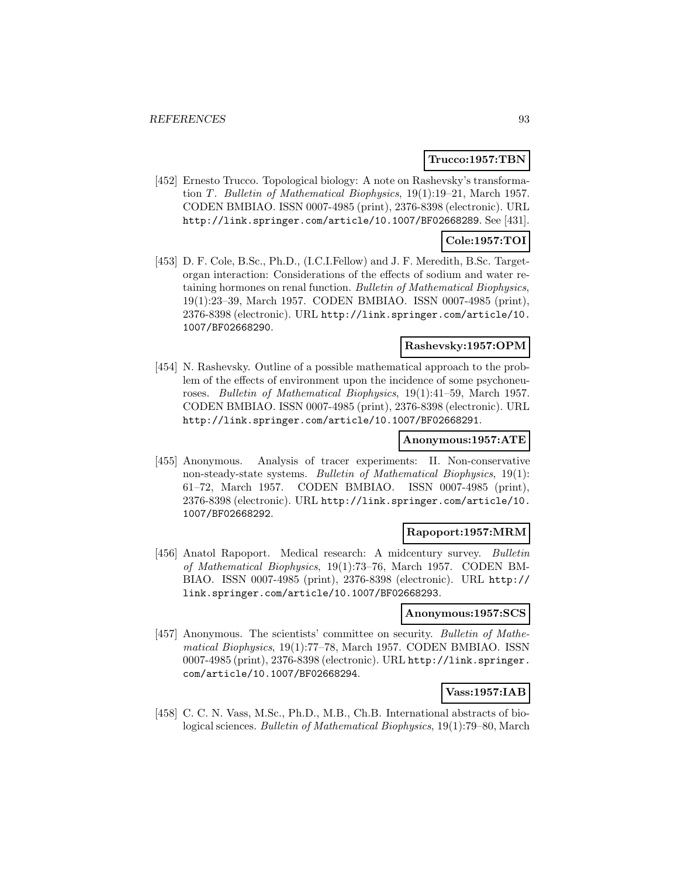#### **Trucco:1957:TBN**

[452] Ernesto Trucco. Topological biology: A note on Rashevsky's transformation T. Bulletin of Mathematical Biophysics,  $19(1):19-21$ , March 1957. CODEN BMBIAO. ISSN 0007-4985 (print), 2376-8398 (electronic). URL http://link.springer.com/article/10.1007/BF02668289. See [431].

## **Cole:1957:TOI**

[453] D. F. Cole, B.Sc., Ph.D., (I.C.I.Fellow) and J. F. Meredith, B.Sc. Targetorgan interaction: Considerations of the effects of sodium and water retaining hormones on renal function. Bulletin of Mathematical Biophysics, 19(1):23–39, March 1957. CODEN BMBIAO. ISSN 0007-4985 (print), 2376-8398 (electronic). URL http://link.springer.com/article/10. 1007/BF02668290.

## **Rashevsky:1957:OPM**

[454] N. Rashevsky. Outline of a possible mathematical approach to the problem of the effects of environment upon the incidence of some psychoneuroses. Bulletin of Mathematical Biophysics, 19(1):41–59, March 1957. CODEN BMBIAO. ISSN 0007-4985 (print), 2376-8398 (electronic). URL http://link.springer.com/article/10.1007/BF02668291.

# **Anonymous:1957:ATE**

[455] Anonymous. Analysis of tracer experiments: II. Non-conservative non-steady-state systems. Bulletin of Mathematical Biophysics, 19(1): 61–72, March 1957. CODEN BMBIAO. ISSN 0007-4985 (print), 2376-8398 (electronic). URL http://link.springer.com/article/10. 1007/BF02668292.

## **Rapoport:1957:MRM**

[456] Anatol Rapoport. Medical research: A midcentury survey. Bulletin of Mathematical Biophysics, 19(1):73–76, March 1957. CODEN BM-BIAO. ISSN 0007-4985 (print), 2376-8398 (electronic). URL http:// link.springer.com/article/10.1007/BF02668293.

#### **Anonymous:1957:SCS**

[457] Anonymous. The scientists' committee on security. Bulletin of Mathematical Biophysics, 19(1):77–78, March 1957. CODEN BMBIAO. ISSN 0007-4985 (print), 2376-8398 (electronic). URL http://link.springer. com/article/10.1007/BF02668294.

# **Vass:1957:IAB**

[458] C. C. N. Vass, M.Sc., Ph.D., M.B., Ch.B. International abstracts of biological sciences. Bulletin of Mathematical Biophysics, 19(1):79–80, March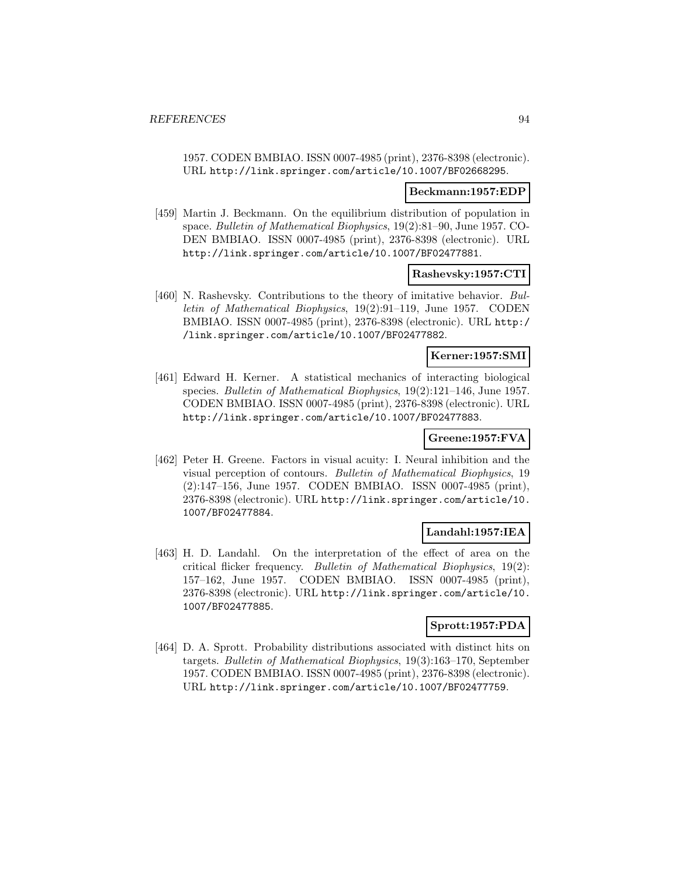1957. CODEN BMBIAO. ISSN 0007-4985 (print), 2376-8398 (electronic). URL http://link.springer.com/article/10.1007/BF02668295.

#### **Beckmann:1957:EDP**

[459] Martin J. Beckmann. On the equilibrium distribution of population in space. Bulletin of Mathematical Biophysics, 19(2):81–90, June 1957. CO-DEN BMBIAO. ISSN 0007-4985 (print), 2376-8398 (electronic). URL http://link.springer.com/article/10.1007/BF02477881.

#### **Rashevsky:1957:CTI**

[460] N. Rashevsky. Contributions to the theory of imitative behavior. Bulletin of Mathematical Biophysics, 19(2):91–119, June 1957. CODEN BMBIAO. ISSN 0007-4985 (print), 2376-8398 (electronic). URL http:/ /link.springer.com/article/10.1007/BF02477882.

## **Kerner:1957:SMI**

[461] Edward H. Kerner. A statistical mechanics of interacting biological species. Bulletin of Mathematical Biophysics, 19(2):121–146, June 1957. CODEN BMBIAO. ISSN 0007-4985 (print), 2376-8398 (electronic). URL http://link.springer.com/article/10.1007/BF02477883.

# **Greene:1957:FVA**

[462] Peter H. Greene. Factors in visual acuity: I. Neural inhibition and the visual perception of contours. Bulletin of Mathematical Biophysics, 19 (2):147–156, June 1957. CODEN BMBIAO. ISSN 0007-4985 (print), 2376-8398 (electronic). URL http://link.springer.com/article/10. 1007/BF02477884.

## **Landahl:1957:IEA**

[463] H. D. Landahl. On the interpretation of the effect of area on the critical flicker frequency. Bulletin of Mathematical Biophysics, 19(2): 157–162, June 1957. CODEN BMBIAO. ISSN 0007-4985 (print), 2376-8398 (electronic). URL http://link.springer.com/article/10. 1007/BF02477885.

# **Sprott:1957:PDA**

[464] D. A. Sprott. Probability distributions associated with distinct hits on targets. Bulletin of Mathematical Biophysics, 19(3):163–170, September 1957. CODEN BMBIAO. ISSN 0007-4985 (print), 2376-8398 (electronic). URL http://link.springer.com/article/10.1007/BF02477759.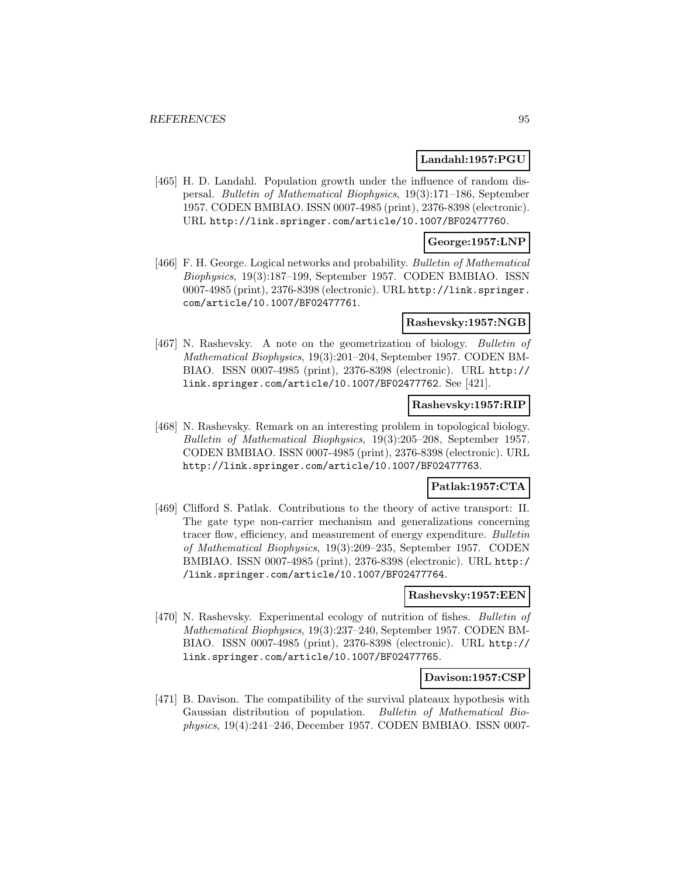## **Landahl:1957:PGU**

[465] H. D. Landahl. Population growth under the influence of random dispersal. Bulletin of Mathematical Biophysics, 19(3):171–186, September 1957. CODEN BMBIAO. ISSN 0007-4985 (print), 2376-8398 (electronic). URL http://link.springer.com/article/10.1007/BF02477760.

### **George:1957:LNP**

[466] F. H. George. Logical networks and probability. Bulletin of Mathematical Biophysics, 19(3):187–199, September 1957. CODEN BMBIAO. ISSN 0007-4985 (print), 2376-8398 (electronic). URL http://link.springer. com/article/10.1007/BF02477761.

### **Rashevsky:1957:NGB**

[467] N. Rashevsky. A note on the geometrization of biology. Bulletin of Mathematical Biophysics, 19(3):201–204, September 1957. CODEN BM-BIAO. ISSN 0007-4985 (print), 2376-8398 (electronic). URL http:// link.springer.com/article/10.1007/BF02477762. See [421].

# **Rashevsky:1957:RIP**

[468] N. Rashevsky. Remark on an interesting problem in topological biology. Bulletin of Mathematical Biophysics, 19(3):205–208, September 1957. CODEN BMBIAO. ISSN 0007-4985 (print), 2376-8398 (electronic). URL http://link.springer.com/article/10.1007/BF02477763.

# **Patlak:1957:CTA**

[469] Clifford S. Patlak. Contributions to the theory of active transport: II. The gate type non-carrier mechanism and generalizations concerning tracer flow, efficiency, and measurement of energy expenditure. Bulletin of Mathematical Biophysics, 19(3):209–235, September 1957. CODEN BMBIAO. ISSN 0007-4985 (print), 2376-8398 (electronic). URL http:/ /link.springer.com/article/10.1007/BF02477764.

#### **Rashevsky:1957:EEN**

[470] N. Rashevsky. Experimental ecology of nutrition of fishes. Bulletin of Mathematical Biophysics, 19(3):237–240, September 1957. CODEN BM-BIAO. ISSN 0007-4985 (print), 2376-8398 (electronic). URL http:// link.springer.com/article/10.1007/BF02477765.

### **Davison:1957:CSP**

[471] B. Davison. The compatibility of the survival plateaux hypothesis with Gaussian distribution of population. Bulletin of Mathematical Biophysics, 19(4):241–246, December 1957. CODEN BMBIAO. ISSN 0007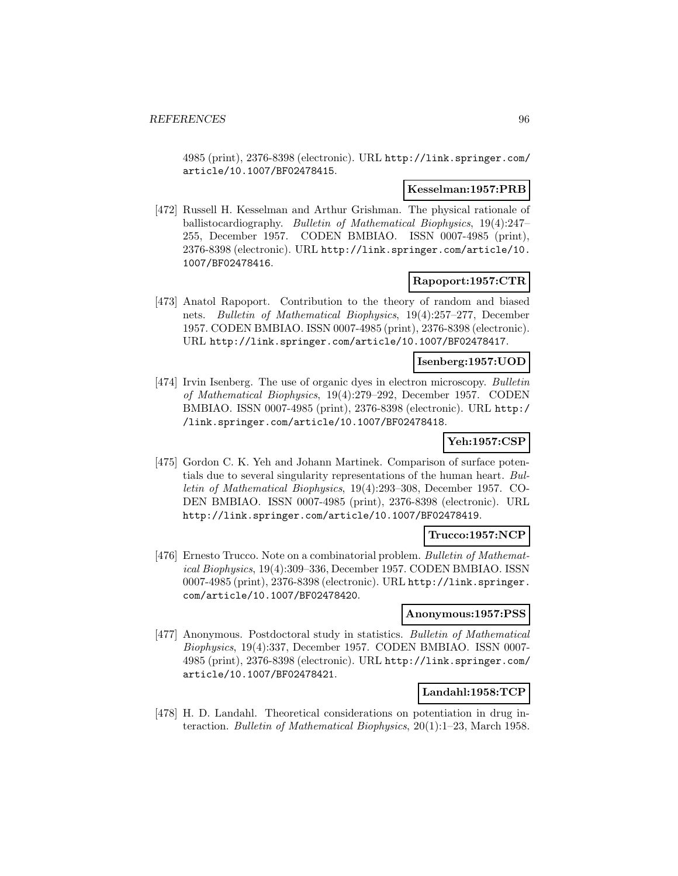4985 (print), 2376-8398 (electronic). URL http://link.springer.com/ article/10.1007/BF02478415.

#### **Kesselman:1957:PRB**

[472] Russell H. Kesselman and Arthur Grishman. The physical rationale of ballistocardiography. Bulletin of Mathematical Biophysics, 19(4):247– 255, December 1957. CODEN BMBIAO. ISSN 0007-4985 (print), 2376-8398 (electronic). URL http://link.springer.com/article/10. 1007/BF02478416.

## **Rapoport:1957:CTR**

[473] Anatol Rapoport. Contribution to the theory of random and biased nets. Bulletin of Mathematical Biophysics, 19(4):257–277, December 1957. CODEN BMBIAO. ISSN 0007-4985 (print), 2376-8398 (electronic). URL http://link.springer.com/article/10.1007/BF02478417.

## **Isenberg:1957:UOD**

[474] Irvin Isenberg. The use of organic dyes in electron microscopy. Bulletin of Mathematical Biophysics, 19(4):279–292, December 1957. CODEN BMBIAO. ISSN 0007-4985 (print), 2376-8398 (electronic). URL http:/ /link.springer.com/article/10.1007/BF02478418.

### **Yeh:1957:CSP**

[475] Gordon C. K. Yeh and Johann Martinek. Comparison of surface potentials due to several singularity representations of the human heart. Bulletin of Mathematical Biophysics, 19(4):293–308, December 1957. CO-DEN BMBIAO. ISSN 0007-4985 (print), 2376-8398 (electronic). URL http://link.springer.com/article/10.1007/BF02478419.

#### **Trucco:1957:NCP**

[476] Ernesto Trucco. Note on a combinatorial problem. Bulletin of Mathematical Biophysics, 19(4):309–336, December 1957. CODEN BMBIAO. ISSN 0007-4985 (print), 2376-8398 (electronic). URL http://link.springer. com/article/10.1007/BF02478420.

#### **Anonymous:1957:PSS**

[477] Anonymous. Postdoctoral study in statistics. Bulletin of Mathematical Biophysics, 19(4):337, December 1957. CODEN BMBIAO. ISSN 0007- 4985 (print), 2376-8398 (electronic). URL http://link.springer.com/ article/10.1007/BF02478421.

# **Landahl:1958:TCP**

[478] H. D. Landahl. Theoretical considerations on potentiation in drug interaction. Bulletin of Mathematical Biophysics, 20(1):1–23, March 1958.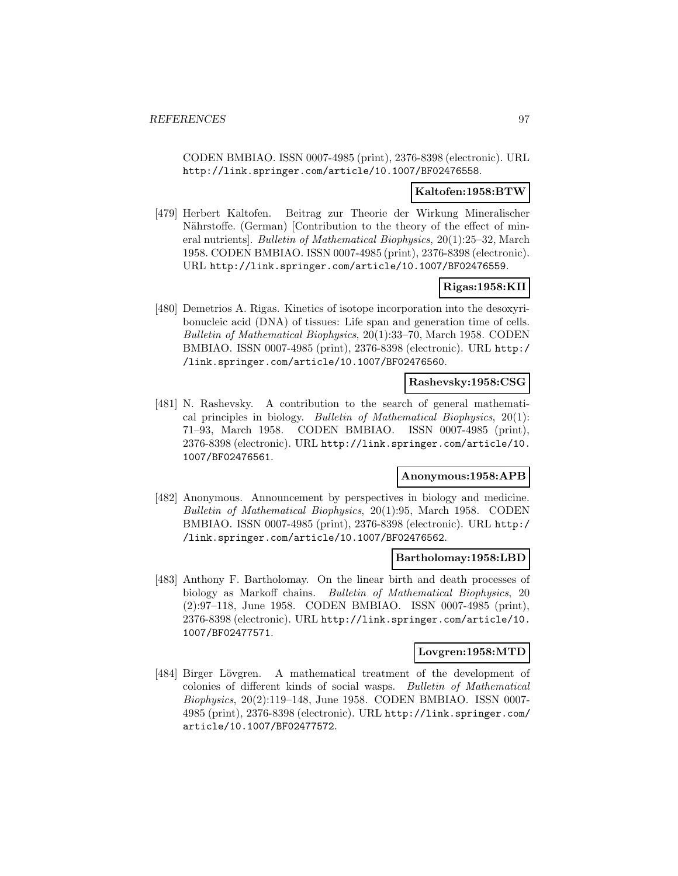CODEN BMBIAO. ISSN 0007-4985 (print), 2376-8398 (electronic). URL http://link.springer.com/article/10.1007/BF02476558.

#### **Kaltofen:1958:BTW**

[479] Herbert Kaltofen. Beitrag zur Theorie der Wirkung Mineralischer Nährstoffe. (German) [Contribution to the theory of the effect of mineral nutrients]. Bulletin of Mathematical Biophysics, 20(1):25–32, March 1958. CODEN BMBIAO. ISSN 0007-4985 (print), 2376-8398 (electronic). URL http://link.springer.com/article/10.1007/BF02476559.

# **Rigas:1958:KII**

[480] Demetrios A. Rigas. Kinetics of isotope incorporation into the desoxyribonucleic acid (DNA) of tissues: Life span and generation time of cells. Bulletin of Mathematical Biophysics, 20(1):33–70, March 1958. CODEN BMBIAO. ISSN 0007-4985 (print), 2376-8398 (electronic). URL http:/ /link.springer.com/article/10.1007/BF02476560.

## **Rashevsky:1958:CSG**

[481] N. Rashevsky. A contribution to the search of general mathematical principles in biology. Bulletin of Mathematical Biophysics,  $20(1)$ : 71–93, March 1958. CODEN BMBIAO. ISSN 0007-4985 (print), 2376-8398 (electronic). URL http://link.springer.com/article/10. 1007/BF02476561.

# **Anonymous:1958:APB**

[482] Anonymous. Announcement by perspectives in biology and medicine. Bulletin of Mathematical Biophysics, 20(1):95, March 1958. CODEN BMBIAO. ISSN 0007-4985 (print), 2376-8398 (electronic). URL http:/ /link.springer.com/article/10.1007/BF02476562.

#### **Bartholomay:1958:LBD**

[483] Anthony F. Bartholomay. On the linear birth and death processes of biology as Markoff chains. Bulletin of Mathematical Biophysics, 20 (2):97–118, June 1958. CODEN BMBIAO. ISSN 0007-4985 (print), 2376-8398 (electronic). URL http://link.springer.com/article/10. 1007/BF02477571.

### **Lovgren:1958:MTD**

[484] Birger Lövgren. A mathematical treatment of the development of colonies of different kinds of social wasps. Bulletin of Mathematical Biophysics, 20(2):119–148, June 1958. CODEN BMBIAO. ISSN 0007- 4985 (print), 2376-8398 (electronic). URL http://link.springer.com/ article/10.1007/BF02477572.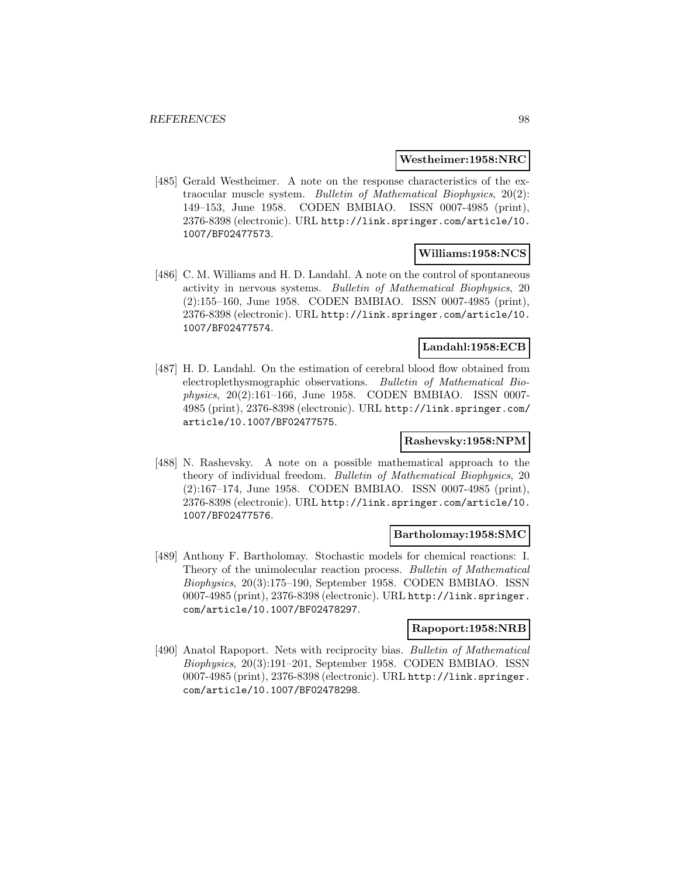#### **Westheimer:1958:NRC**

[485] Gerald Westheimer. A note on the response characteristics of the extraocular muscle system. Bulletin of Mathematical Biophysics, 20(2): 149–153, June 1958. CODEN BMBIAO. ISSN 0007-4985 (print), 2376-8398 (electronic). URL http://link.springer.com/article/10. 1007/BF02477573.

## **Williams:1958:NCS**

[486] C. M. Williams and H. D. Landahl. A note on the control of spontaneous activity in nervous systems. Bulletin of Mathematical Biophysics, 20 (2):155–160, June 1958. CODEN BMBIAO. ISSN 0007-4985 (print), 2376-8398 (electronic). URL http://link.springer.com/article/10. 1007/BF02477574.

# **Landahl:1958:ECB**

[487] H. D. Landahl. On the estimation of cerebral blood flow obtained from electroplethysmographic observations. Bulletin of Mathematical Biophysics, 20(2):161–166, June 1958. CODEN BMBIAO. ISSN 0007- 4985 (print), 2376-8398 (electronic). URL http://link.springer.com/ article/10.1007/BF02477575.

# **Rashevsky:1958:NPM**

[488] N. Rashevsky. A note on a possible mathematical approach to the theory of individual freedom. Bulletin of Mathematical Biophysics, 20 (2):167–174, June 1958. CODEN BMBIAO. ISSN 0007-4985 (print), 2376-8398 (electronic). URL http://link.springer.com/article/10. 1007/BF02477576.

## **Bartholomay:1958:SMC**

[489] Anthony F. Bartholomay. Stochastic models for chemical reactions: I. Theory of the unimolecular reaction process. Bulletin of Mathematical Biophysics, 20(3):175–190, September 1958. CODEN BMBIAO. ISSN 0007-4985 (print), 2376-8398 (electronic). URL http://link.springer. com/article/10.1007/BF02478297.

#### **Rapoport:1958:NRB**

[490] Anatol Rapoport. Nets with reciprocity bias. Bulletin of Mathematical Biophysics, 20(3):191–201, September 1958. CODEN BMBIAO. ISSN 0007-4985 (print), 2376-8398 (electronic). URL http://link.springer. com/article/10.1007/BF02478298.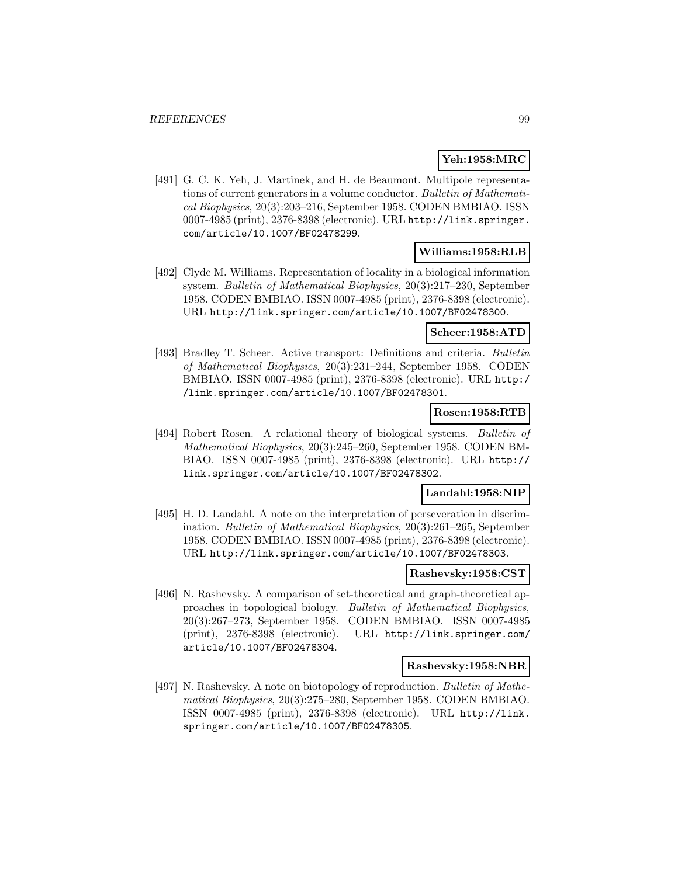# **Yeh:1958:MRC**

[491] G. C. K. Yeh, J. Martinek, and H. de Beaumont. Multipole representations of current generators in a volume conductor. Bulletin of Mathematical Biophysics, 20(3):203–216, September 1958. CODEN BMBIAO. ISSN 0007-4985 (print), 2376-8398 (electronic). URL http://link.springer. com/article/10.1007/BF02478299.

### **Williams:1958:RLB**

[492] Clyde M. Williams. Representation of locality in a biological information system. Bulletin of Mathematical Biophysics, 20(3):217–230, September 1958. CODEN BMBIAO. ISSN 0007-4985 (print), 2376-8398 (electronic). URL http://link.springer.com/article/10.1007/BF02478300.

## **Scheer:1958:ATD**

[493] Bradley T. Scheer. Active transport: Definitions and criteria. Bulletin of Mathematical Biophysics, 20(3):231–244, September 1958. CODEN BMBIAO. ISSN 0007-4985 (print), 2376-8398 (electronic). URL http:/ /link.springer.com/article/10.1007/BF02478301.

# **Rosen:1958:RTB**

[494] Robert Rosen. A relational theory of biological systems. Bulletin of Mathematical Biophysics, 20(3):245–260, September 1958. CODEN BM-BIAO. ISSN 0007-4985 (print), 2376-8398 (electronic). URL http:// link.springer.com/article/10.1007/BF02478302.

# **Landahl:1958:NIP**

[495] H. D. Landahl. A note on the interpretation of perseveration in discrimination. Bulletin of Mathematical Biophysics, 20(3):261–265, September 1958. CODEN BMBIAO. ISSN 0007-4985 (print), 2376-8398 (electronic). URL http://link.springer.com/article/10.1007/BF02478303.

#### **Rashevsky:1958:CST**

[496] N. Rashevsky. A comparison of set-theoretical and graph-theoretical approaches in topological biology. Bulletin of Mathematical Biophysics, 20(3):267–273, September 1958. CODEN BMBIAO. ISSN 0007-4985 (print), 2376-8398 (electronic). URL http://link.springer.com/ article/10.1007/BF02478304.

#### **Rashevsky:1958:NBR**

[497] N. Rashevsky. A note on biotopology of reproduction. Bulletin of Mathematical Biophysics, 20(3):275–280, September 1958. CODEN BMBIAO. ISSN 0007-4985 (print), 2376-8398 (electronic). URL http://link. springer.com/article/10.1007/BF02478305.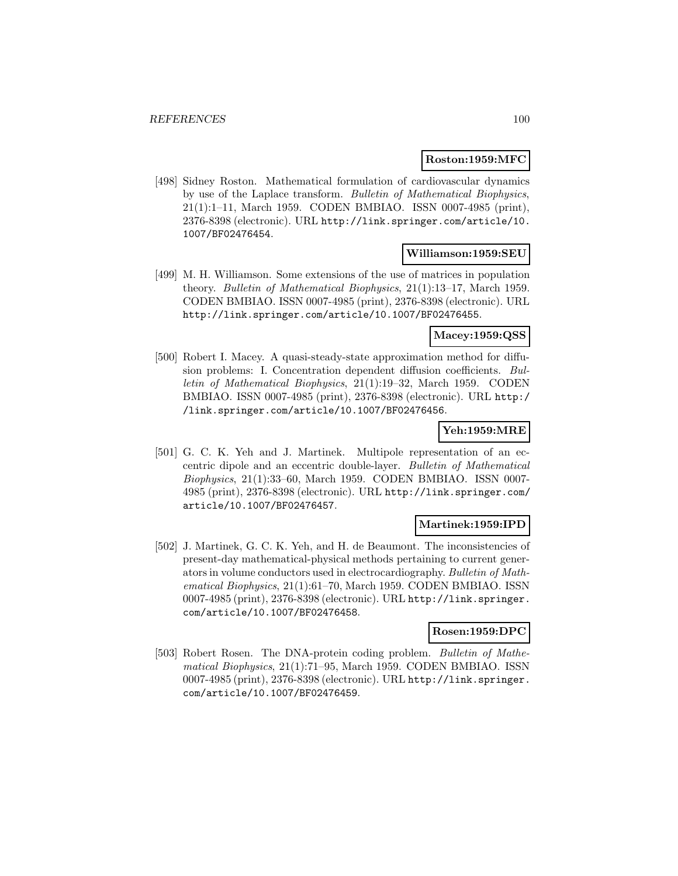### **Roston:1959:MFC**

[498] Sidney Roston. Mathematical formulation of cardiovascular dynamics by use of the Laplace transform. Bulletin of Mathematical Biophysics, 21(1):1–11, March 1959. CODEN BMBIAO. ISSN 0007-4985 (print), 2376-8398 (electronic). URL http://link.springer.com/article/10. 1007/BF02476454.

### **Williamson:1959:SEU**

[499] M. H. Williamson. Some extensions of the use of matrices in population theory. Bulletin of Mathematical Biophysics, 21(1):13–17, March 1959. CODEN BMBIAO. ISSN 0007-4985 (print), 2376-8398 (electronic). URL http://link.springer.com/article/10.1007/BF02476455.

## **Macey:1959:QSS**

[500] Robert I. Macey. A quasi-steady-state approximation method for diffusion problems: I. Concentration dependent diffusion coefficients. Bulletin of Mathematical Biophysics, 21(1):19–32, March 1959. CODEN BMBIAO. ISSN 0007-4985 (print), 2376-8398 (electronic). URL http:/ /link.springer.com/article/10.1007/BF02476456.

### **Yeh:1959:MRE**

[501] G. C. K. Yeh and J. Martinek. Multipole representation of an eccentric dipole and an eccentric double-layer. Bulletin of Mathematical Biophysics, 21(1):33–60, March 1959. CODEN BMBIAO. ISSN 0007- 4985 (print), 2376-8398 (electronic). URL http://link.springer.com/ article/10.1007/BF02476457.

### **Martinek:1959:IPD**

[502] J. Martinek, G. C. K. Yeh, and H. de Beaumont. The inconsistencies of present-day mathematical-physical methods pertaining to current generators in volume conductors used in electrocardiography. Bulletin of Mathematical Biophysics, 21(1):61–70, March 1959. CODEN BMBIAO. ISSN 0007-4985 (print), 2376-8398 (electronic). URL http://link.springer. com/article/10.1007/BF02476458.

### **Rosen:1959:DPC**

[503] Robert Rosen. The DNA-protein coding problem. Bulletin of Mathematical Biophysics, 21(1):71–95, March 1959. CODEN BMBIAO. ISSN 0007-4985 (print), 2376-8398 (electronic). URL http://link.springer. com/article/10.1007/BF02476459.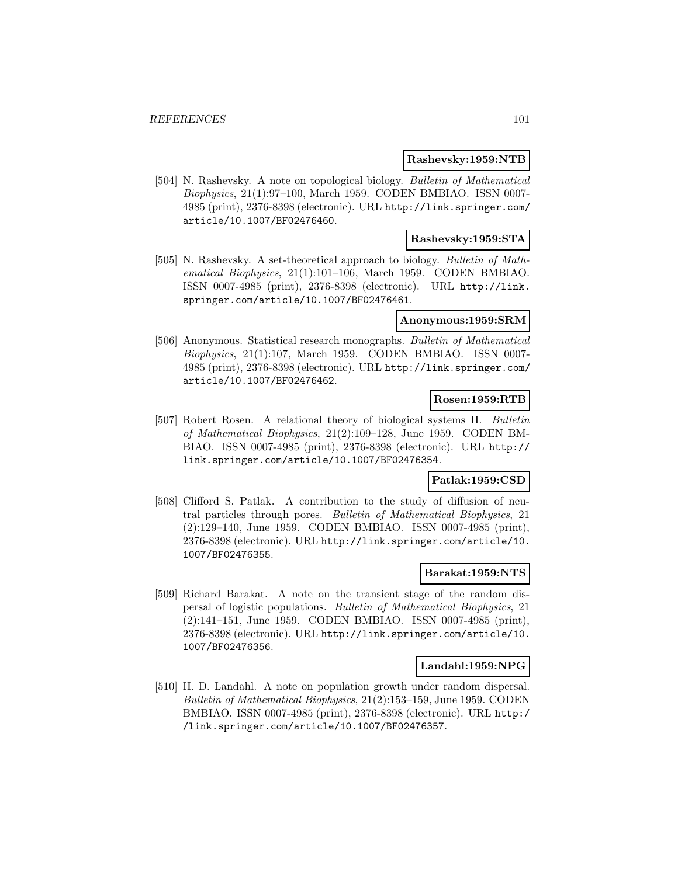### **Rashevsky:1959:NTB**

[504] N. Rashevsky. A note on topological biology. Bulletin of Mathematical Biophysics, 21(1):97–100, March 1959. CODEN BMBIAO. ISSN 0007- 4985 (print), 2376-8398 (electronic). URL http://link.springer.com/ article/10.1007/BF02476460.

## **Rashevsky:1959:STA**

[505] N. Rashevsky. A set-theoretical approach to biology. Bulletin of Mathematical Biophysics, 21(1):101–106, March 1959. CODEN BMBIAO. ISSN 0007-4985 (print), 2376-8398 (electronic). URL http://link. springer.com/article/10.1007/BF02476461.

### **Anonymous:1959:SRM**

[506] Anonymous. Statistical research monographs. Bulletin of Mathematical Biophysics, 21(1):107, March 1959. CODEN BMBIAO. ISSN 0007- 4985 (print), 2376-8398 (electronic). URL http://link.springer.com/ article/10.1007/BF02476462.

# **Rosen:1959:RTB**

[507] Robert Rosen. A relational theory of biological systems II. Bulletin of Mathematical Biophysics, 21(2):109–128, June 1959. CODEN BM-BIAO. ISSN 0007-4985 (print), 2376-8398 (electronic). URL http:// link.springer.com/article/10.1007/BF02476354.

# **Patlak:1959:CSD**

[508] Clifford S. Patlak. A contribution to the study of diffusion of neutral particles through pores. Bulletin of Mathematical Biophysics, 21 (2):129–140, June 1959. CODEN BMBIAO. ISSN 0007-4985 (print), 2376-8398 (electronic). URL http://link.springer.com/article/10. 1007/BF02476355.

#### **Barakat:1959:NTS**

[509] Richard Barakat. A note on the transient stage of the random dispersal of logistic populations. Bulletin of Mathematical Biophysics, 21 (2):141–151, June 1959. CODEN BMBIAO. ISSN 0007-4985 (print), 2376-8398 (electronic). URL http://link.springer.com/article/10. 1007/BF02476356.

### **Landahl:1959:NPG**

[510] H. D. Landahl. A note on population growth under random dispersal. Bulletin of Mathematical Biophysics, 21(2):153–159, June 1959. CODEN BMBIAO. ISSN 0007-4985 (print), 2376-8398 (electronic). URL http:/ /link.springer.com/article/10.1007/BF02476357.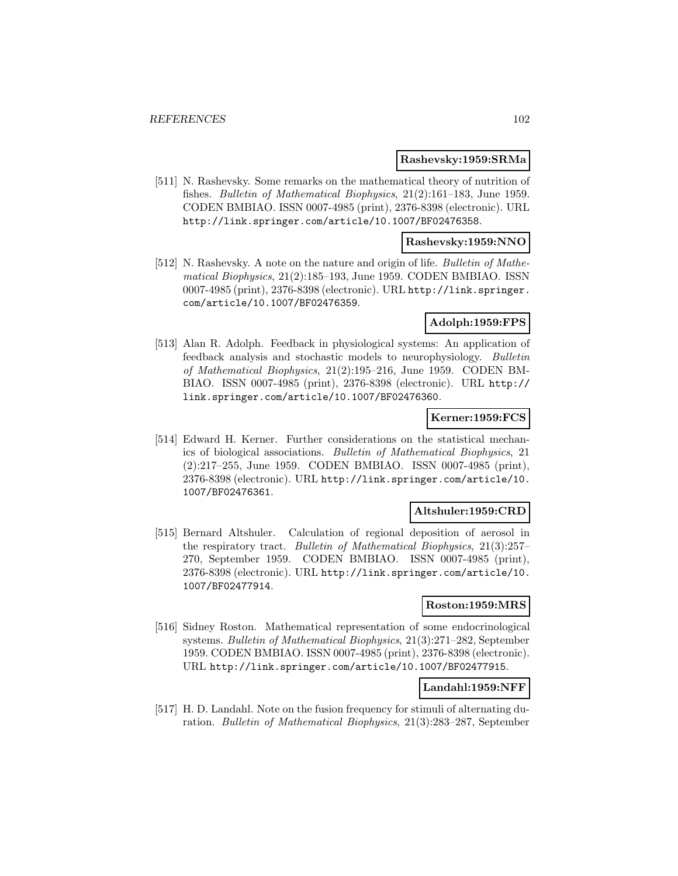## **Rashevsky:1959:SRMa**

[511] N. Rashevsky. Some remarks on the mathematical theory of nutrition of fishes. Bulletin of Mathematical Biophysics, 21(2):161–183, June 1959. CODEN BMBIAO. ISSN 0007-4985 (print), 2376-8398 (electronic). URL http://link.springer.com/article/10.1007/BF02476358.

## **Rashevsky:1959:NNO**

[512] N. Rashevsky. A note on the nature and origin of life. Bulletin of Mathematical Biophysics, 21(2):185–193, June 1959. CODEN BMBIAO. ISSN 0007-4985 (print), 2376-8398 (electronic). URL http://link.springer. com/article/10.1007/BF02476359.

## **Adolph:1959:FPS**

[513] Alan R. Adolph. Feedback in physiological systems: An application of feedback analysis and stochastic models to neurophysiology. Bulletin of Mathematical Biophysics, 21(2):195–216, June 1959. CODEN BM-BIAO. ISSN 0007-4985 (print), 2376-8398 (electronic). URL http:// link.springer.com/article/10.1007/BF02476360.

## **Kerner:1959:FCS**

[514] Edward H. Kerner. Further considerations on the statistical mechanics of biological associations. Bulletin of Mathematical Biophysics, 21 (2):217–255, June 1959. CODEN BMBIAO. ISSN 0007-4985 (print), 2376-8398 (electronic). URL http://link.springer.com/article/10. 1007/BF02476361.

# **Altshuler:1959:CRD**

[515] Bernard Altshuler. Calculation of regional deposition of aerosol in the respiratory tract. Bulletin of Mathematical Biophysics, 21(3):257– 270, September 1959. CODEN BMBIAO. ISSN 0007-4985 (print), 2376-8398 (electronic). URL http://link.springer.com/article/10. 1007/BF02477914.

### **Roston:1959:MRS**

[516] Sidney Roston. Mathematical representation of some endocrinological systems. Bulletin of Mathematical Biophysics, 21(3):271–282, September 1959. CODEN BMBIAO. ISSN 0007-4985 (print), 2376-8398 (electronic). URL http://link.springer.com/article/10.1007/BF02477915.

## **Landahl:1959:NFF**

[517] H. D. Landahl. Note on the fusion frequency for stimuli of alternating duration. Bulletin of Mathematical Biophysics, 21(3):283–287, September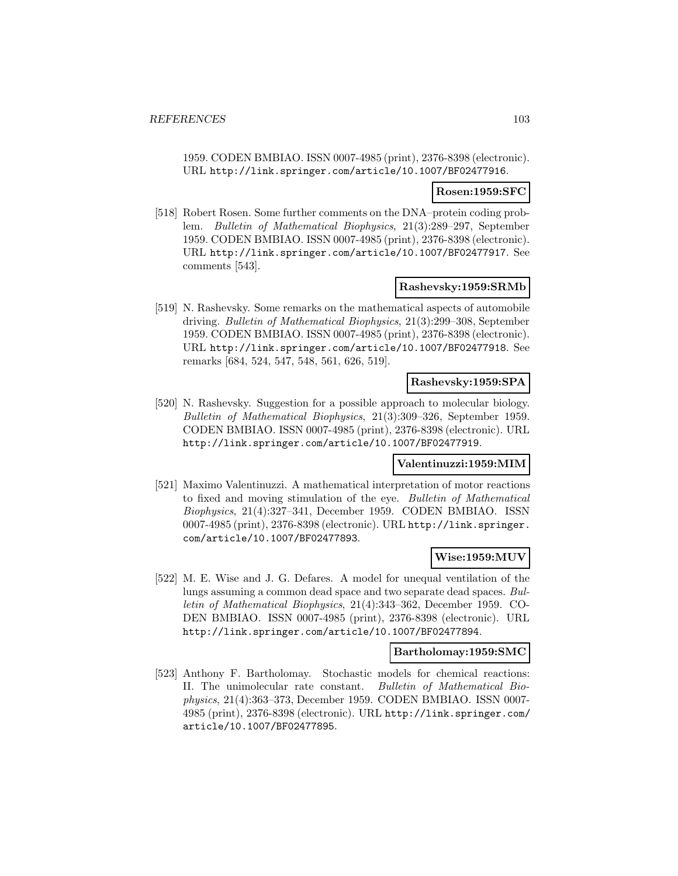1959. CODEN BMBIAO. ISSN 0007-4985 (print), 2376-8398 (electronic). URL http://link.springer.com/article/10.1007/BF02477916.

#### **Rosen:1959:SFC**

[518] Robert Rosen. Some further comments on the DNA–protein coding problem. Bulletin of Mathematical Biophysics, 21(3):289–297, September 1959. CODEN BMBIAO. ISSN 0007-4985 (print), 2376-8398 (electronic). URL http://link.springer.com/article/10.1007/BF02477917. See comments [543].

#### **Rashevsky:1959:SRMb**

[519] N. Rashevsky. Some remarks on the mathematical aspects of automobile driving. Bulletin of Mathematical Biophysics, 21(3):299–308, September 1959. CODEN BMBIAO. ISSN 0007-4985 (print), 2376-8398 (electronic). URL http://link.springer.com/article/10.1007/BF02477918. See remarks [684, 524, 547, 548, 561, 626, 519].

## **Rashevsky:1959:SPA**

[520] N. Rashevsky. Suggestion for a possible approach to molecular biology. Bulletin of Mathematical Biophysics, 21(3):309–326, September 1959. CODEN BMBIAO. ISSN 0007-4985 (print), 2376-8398 (electronic). URL http://link.springer.com/article/10.1007/BF02477919.

#### **Valentinuzzi:1959:MIM**

[521] Maximo Valentinuzzi. A mathematical interpretation of motor reactions to fixed and moving stimulation of the eye. Bulletin of Mathematical Biophysics, 21(4):327–341, December 1959. CODEN BMBIAO. ISSN 0007-4985 (print), 2376-8398 (electronic). URL http://link.springer. com/article/10.1007/BF02477893.

# **Wise:1959:MUV**

[522] M. E. Wise and J. G. Defares. A model for unequal ventilation of the lungs assuming a common dead space and two separate dead spaces. Bulletin of Mathematical Biophysics, 21(4):343–362, December 1959. CO-DEN BMBIAO. ISSN 0007-4985 (print), 2376-8398 (electronic). URL http://link.springer.com/article/10.1007/BF02477894.

### **Bartholomay:1959:SMC**

[523] Anthony F. Bartholomay. Stochastic models for chemical reactions: II. The unimolecular rate constant. Bulletin of Mathematical Biophysics, 21(4):363–373, December 1959. CODEN BMBIAO. ISSN 0007- 4985 (print), 2376-8398 (electronic). URL http://link.springer.com/ article/10.1007/BF02477895.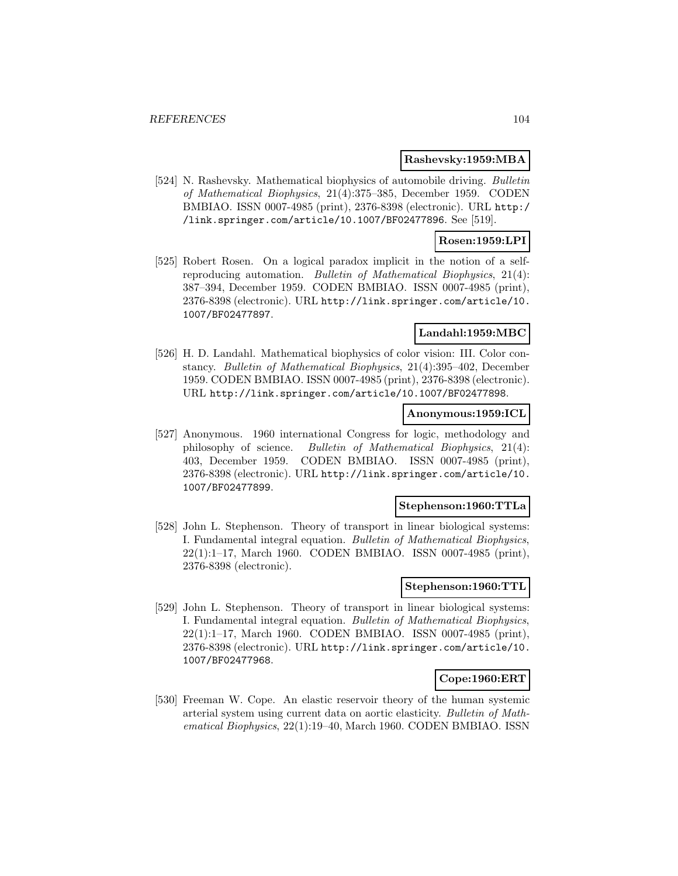## **Rashevsky:1959:MBA**

[524] N. Rashevsky. Mathematical biophysics of automobile driving. Bulletin of Mathematical Biophysics, 21(4):375–385, December 1959. CODEN BMBIAO. ISSN 0007-4985 (print), 2376-8398 (electronic). URL http:/ /link.springer.com/article/10.1007/BF02477896. See [519].

## **Rosen:1959:LPI**

[525] Robert Rosen. On a logical paradox implicit in the notion of a selfreproducing automation. Bulletin of Mathematical Biophysics, 21(4): 387–394, December 1959. CODEN BMBIAO. ISSN 0007-4985 (print), 2376-8398 (electronic). URL http://link.springer.com/article/10. 1007/BF02477897.

## **Landahl:1959:MBC**

[526] H. D. Landahl. Mathematical biophysics of color vision: III. Color constancy. Bulletin of Mathematical Biophysics, 21(4):395–402, December 1959. CODEN BMBIAO. ISSN 0007-4985 (print), 2376-8398 (electronic). URL http://link.springer.com/article/10.1007/BF02477898.

### **Anonymous:1959:ICL**

[527] Anonymous. 1960 international Congress for logic, methodology and philosophy of science. Bulletin of Mathematical Biophysics, 21(4): 403, December 1959. CODEN BMBIAO. ISSN 0007-4985 (print), 2376-8398 (electronic). URL http://link.springer.com/article/10. 1007/BF02477899.

#### **Stephenson:1960:TTLa**

[528] John L. Stephenson. Theory of transport in linear biological systems: I. Fundamental integral equation. Bulletin of Mathematical Biophysics, 22(1):1–17, March 1960. CODEN BMBIAO. ISSN 0007-4985 (print), 2376-8398 (electronic).

## **Stephenson:1960:TTL**

[529] John L. Stephenson. Theory of transport in linear biological systems: I. Fundamental integral equation. Bulletin of Mathematical Biophysics, 22(1):1–17, March 1960. CODEN BMBIAO. ISSN 0007-4985 (print), 2376-8398 (electronic). URL http://link.springer.com/article/10. 1007/BF02477968.

# **Cope:1960:ERT**

[530] Freeman W. Cope. An elastic reservoir theory of the human systemic arterial system using current data on aortic elasticity. Bulletin of Mathematical Biophysics, 22(1):19–40, March 1960. CODEN BMBIAO. ISSN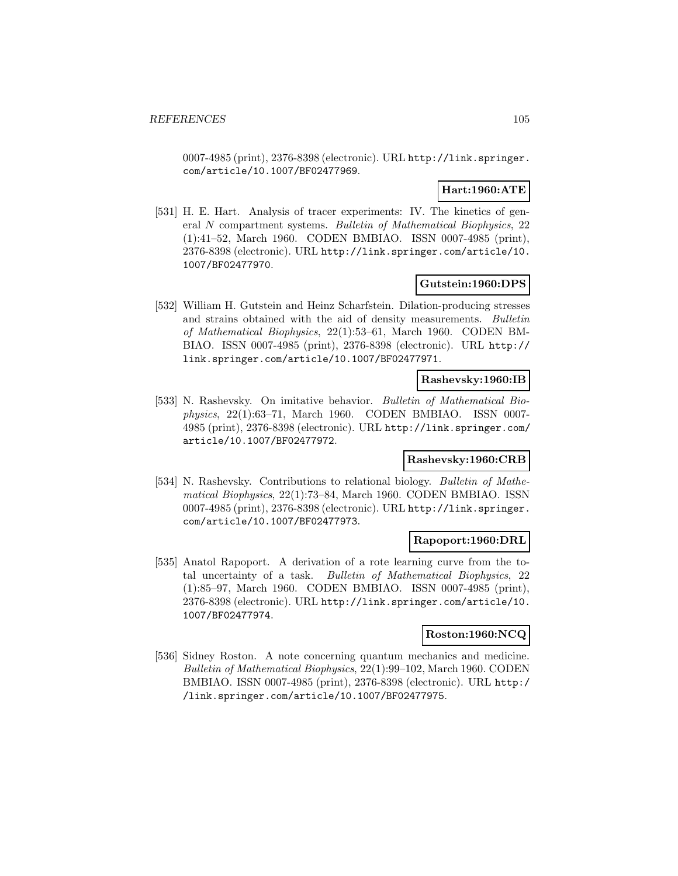0007-4985 (print), 2376-8398 (electronic). URL http://link.springer. com/article/10.1007/BF02477969.

## **Hart:1960:ATE**

[531] H. E. Hart. Analysis of tracer experiments: IV. The kinetics of general N compartment systems. Bulletin of Mathematical Biophysics, 22 (1):41–52, March 1960. CODEN BMBIAO. ISSN 0007-4985 (print), 2376-8398 (electronic). URL http://link.springer.com/article/10. 1007/BF02477970.

## **Gutstein:1960:DPS**

[532] William H. Gutstein and Heinz Scharfstein. Dilation-producing stresses and strains obtained with the aid of density measurements. Bulletin of Mathematical Biophysics, 22(1):53–61, March 1960. CODEN BM-BIAO. ISSN 0007-4985 (print), 2376-8398 (electronic). URL http:// link.springer.com/article/10.1007/BF02477971.

### **Rashevsky:1960:IB**

[533] N. Rashevsky. On imitative behavior. Bulletin of Mathematical Biophysics, 22(1):63–71, March 1960. CODEN BMBIAO. ISSN 0007- 4985 (print), 2376-8398 (electronic). URL http://link.springer.com/ article/10.1007/BF02477972.

# **Rashevsky:1960:CRB**

[534] N. Rashevsky. Contributions to relational biology. Bulletin of Mathematical Biophysics, 22(1):73–84, March 1960. CODEN BMBIAO. ISSN 0007-4985 (print), 2376-8398 (electronic). URL http://link.springer. com/article/10.1007/BF02477973.

# **Rapoport:1960:DRL**

[535] Anatol Rapoport. A derivation of a rote learning curve from the total uncertainty of a task. Bulletin of Mathematical Biophysics, 22 (1):85–97, March 1960. CODEN BMBIAO. ISSN 0007-4985 (print), 2376-8398 (electronic). URL http://link.springer.com/article/10. 1007/BF02477974.

#### **Roston:1960:NCQ**

[536] Sidney Roston. A note concerning quantum mechanics and medicine. Bulletin of Mathematical Biophysics, 22(1):99–102, March 1960. CODEN BMBIAO. ISSN 0007-4985 (print), 2376-8398 (electronic). URL http:/ /link.springer.com/article/10.1007/BF02477975.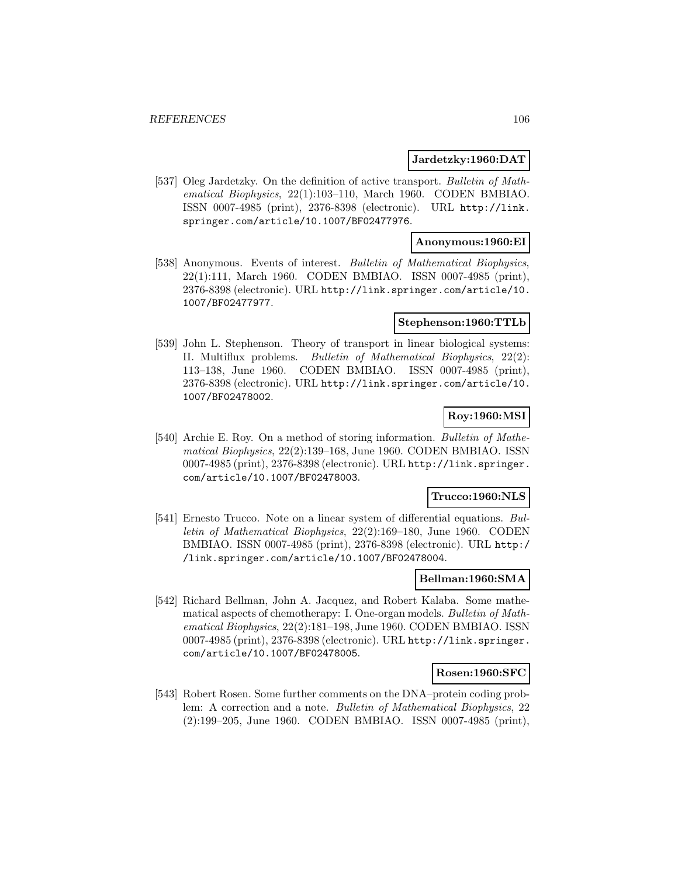#### **Jardetzky:1960:DAT**

[537] Oleg Jardetzky. On the definition of active transport. Bulletin of Mathematical Biophysics, 22(1):103–110, March 1960. CODEN BMBIAO. ISSN 0007-4985 (print), 2376-8398 (electronic). URL http://link. springer.com/article/10.1007/BF02477976.

## **Anonymous:1960:EI**

[538] Anonymous. Events of interest. Bulletin of Mathematical Biophysics, 22(1):111, March 1960. CODEN BMBIAO. ISSN 0007-4985 (print), 2376-8398 (electronic). URL http://link.springer.com/article/10. 1007/BF02477977.

#### **Stephenson:1960:TTLb**

[539] John L. Stephenson. Theory of transport in linear biological systems: II. Multiflux problems. Bulletin of Mathematical Biophysics, 22(2): 113–138, June 1960. CODEN BMBIAO. ISSN 0007-4985 (print), 2376-8398 (electronic). URL http://link.springer.com/article/10. 1007/BF02478002.

# **Roy:1960:MSI**

[540] Archie E. Roy. On a method of storing information. Bulletin of Mathematical Biophysics, 22(2):139–168, June 1960. CODEN BMBIAO. ISSN 0007-4985 (print), 2376-8398 (electronic). URL http://link.springer. com/article/10.1007/BF02478003.

# **Trucco:1960:NLS**

[541] Ernesto Trucco. Note on a linear system of differential equations. Bulletin of Mathematical Biophysics, 22(2):169–180, June 1960. CODEN BMBIAO. ISSN 0007-4985 (print), 2376-8398 (electronic). URL http:/ /link.springer.com/article/10.1007/BF02478004.

### **Bellman:1960:SMA**

[542] Richard Bellman, John A. Jacquez, and Robert Kalaba. Some mathematical aspects of chemotherapy: I. One-organ models. Bulletin of Mathematical Biophysics, 22(2):181–198, June 1960. CODEN BMBIAO. ISSN 0007-4985 (print), 2376-8398 (electronic). URL http://link.springer. com/article/10.1007/BF02478005.

### **Rosen:1960:SFC**

[543] Robert Rosen. Some further comments on the DNA–protein coding problem: A correction and a note. Bulletin of Mathematical Biophysics, 22 (2):199–205, June 1960. CODEN BMBIAO. ISSN 0007-4985 (print),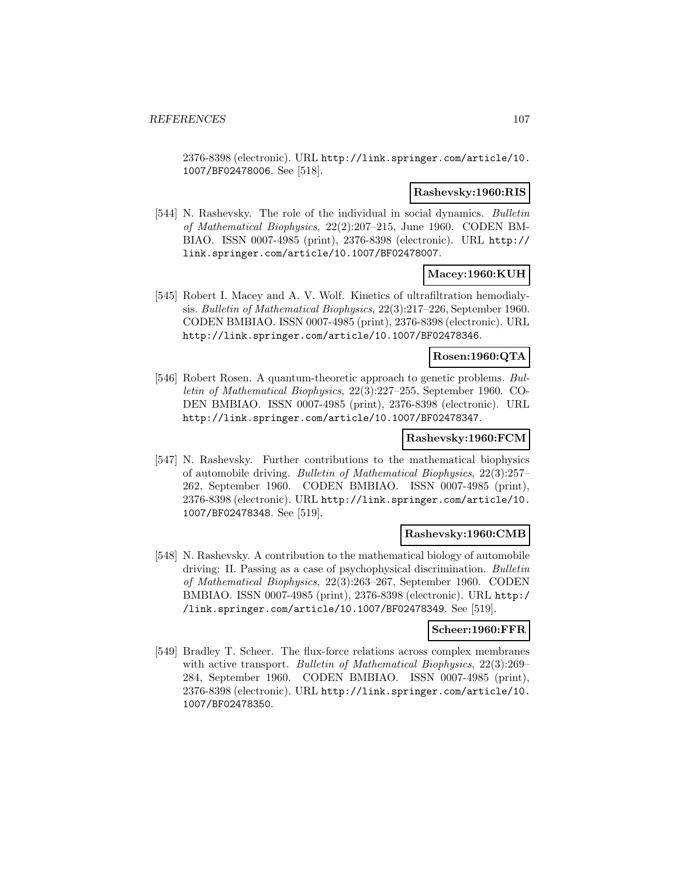2376-8398 (electronic). URL http://link.springer.com/article/10. 1007/BF02478006. See [518].

### **Rashevsky:1960:RIS**

[544] N. Rashevsky. The role of the individual in social dynamics. Bulletin of Mathematical Biophysics, 22(2):207–215, June 1960. CODEN BM-BIAO. ISSN 0007-4985 (print), 2376-8398 (electronic). URL http:// link.springer.com/article/10.1007/BF02478007.

# **Macey:1960:KUH**

[545] Robert I. Macey and A. V. Wolf. Kinetics of ultrafiltration hemodialysis. Bulletin of Mathematical Biophysics, 22(3):217–226, September 1960. CODEN BMBIAO. ISSN 0007-4985 (print), 2376-8398 (electronic). URL http://link.springer.com/article/10.1007/BF02478346.

# **Rosen:1960:QTA**

[546] Robert Rosen. A quantum-theoretic approach to genetic problems. Bulletin of Mathematical Biophysics, 22(3):227–255, September 1960. CO-DEN BMBIAO. ISSN 0007-4985 (print), 2376-8398 (electronic). URL http://link.springer.com/article/10.1007/BF02478347.

# **Rashevsky:1960:FCM**

[547] N. Rashevsky. Further contributions to the mathematical biophysics of automobile driving. Bulletin of Mathematical Biophysics, 22(3):257– 262, September 1960. CODEN BMBIAO. ISSN 0007-4985 (print), 2376-8398 (electronic). URL http://link.springer.com/article/10. 1007/BF02478348. See [519].

# **Rashevsky:1960:CMB**

[548] N. Rashevsky. A contribution to the mathematical biology of automobile driving: II. Passing as a case of psychophysical discrimination. Bulletin of Mathematical Biophysics, 22(3):263–267, September 1960. CODEN BMBIAO. ISSN 0007-4985 (print), 2376-8398 (electronic). URL http:/ /link.springer.com/article/10.1007/BF02478349. See [519].

# **Scheer:1960:FFR**

[549] Bradley T. Scheer. The flux-force relations across complex membranes with active transport. Bulletin of Mathematical Biophysics, 22(3):269– 284, September 1960. CODEN BMBIAO. ISSN 0007-4985 (print), 2376-8398 (electronic). URL http://link.springer.com/article/10. 1007/BF02478350.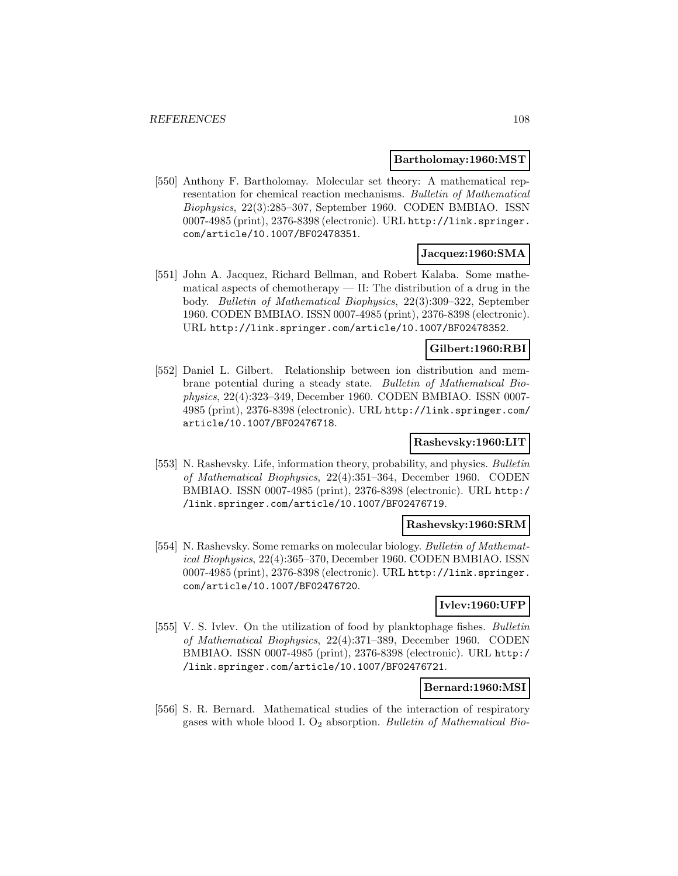#### **Bartholomay:1960:MST**

[550] Anthony F. Bartholomay. Molecular set theory: A mathematical representation for chemical reaction mechanisms. Bulletin of Mathematical Biophysics, 22(3):285–307, September 1960. CODEN BMBIAO. ISSN 0007-4985 (print), 2376-8398 (electronic). URL http://link.springer. com/article/10.1007/BF02478351.

## **Jacquez:1960:SMA**

[551] John A. Jacquez, Richard Bellman, and Robert Kalaba. Some mathematical aspects of chemotherapy — II: The distribution of a drug in the body. Bulletin of Mathematical Biophysics, 22(3):309–322, September 1960. CODEN BMBIAO. ISSN 0007-4985 (print), 2376-8398 (electronic). URL http://link.springer.com/article/10.1007/BF02478352.

#### **Gilbert:1960:RBI**

[552] Daniel L. Gilbert. Relationship between ion distribution and membrane potential during a steady state. Bulletin of Mathematical Biophysics, 22(4):323–349, December 1960. CODEN BMBIAO. ISSN 0007- 4985 (print), 2376-8398 (electronic). URL http://link.springer.com/ article/10.1007/BF02476718.

# **Rashevsky:1960:LIT**

[553] N. Rashevsky. Life, information theory, probability, and physics. Bulletin of Mathematical Biophysics, 22(4):351–364, December 1960. CODEN BMBIAO. ISSN 0007-4985 (print), 2376-8398 (electronic). URL http:/ /link.springer.com/article/10.1007/BF02476719.

#### **Rashevsky:1960:SRM**

[554] N. Rashevsky. Some remarks on molecular biology. Bulletin of Mathematical Biophysics, 22(4):365–370, December 1960. CODEN BMBIAO. ISSN 0007-4985 (print), 2376-8398 (electronic). URL http://link.springer. com/article/10.1007/BF02476720.

# **Ivlev:1960:UFP**

[555] V. S. Ivlev. On the utilization of food by planktophage fishes. Bulletin of Mathematical Biophysics, 22(4):371–389, December 1960. CODEN BMBIAO. ISSN 0007-4985 (print), 2376-8398 (electronic). URL http:/ /link.springer.com/article/10.1007/BF02476721.

## **Bernard:1960:MSI**

[556] S. R. Bernard. Mathematical studies of the interaction of respiratory gases with whole blood I.  $O_2$  absorption. Bulletin of Mathematical Bio-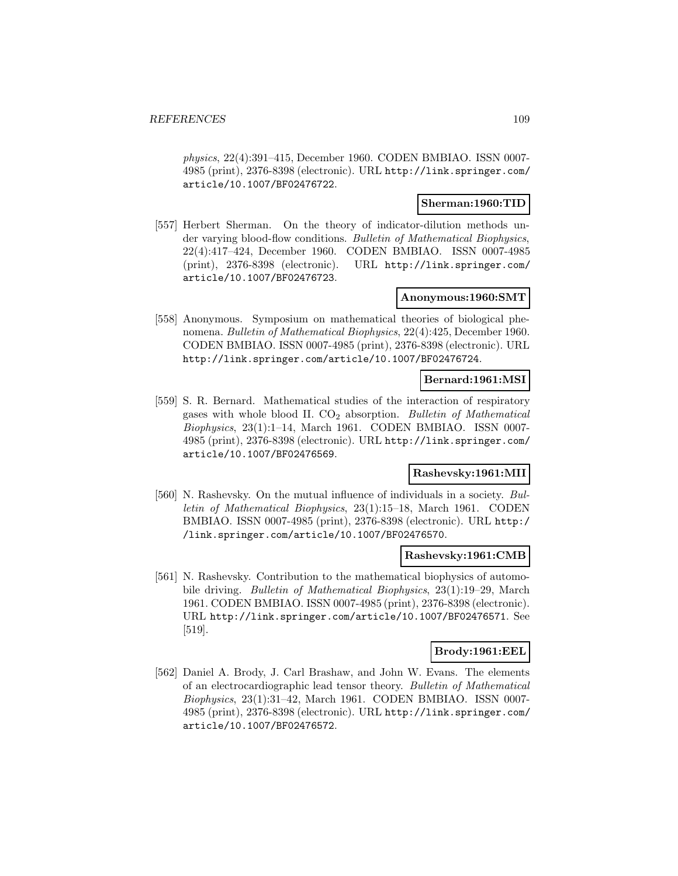physics, 22(4):391–415, December 1960. CODEN BMBIAO. ISSN 0007- 4985 (print), 2376-8398 (electronic). URL http://link.springer.com/ article/10.1007/BF02476722.

### **Sherman:1960:TID**

[557] Herbert Sherman. On the theory of indicator-dilution methods under varying blood-flow conditions. Bulletin of Mathematical Biophysics, 22(4):417–424, December 1960. CODEN BMBIAO. ISSN 0007-4985 (print), 2376-8398 (electronic). URL http://link.springer.com/ article/10.1007/BF02476723.

## **Anonymous:1960:SMT**

[558] Anonymous. Symposium on mathematical theories of biological phenomena. Bulletin of Mathematical Biophysics, 22(4):425, December 1960. CODEN BMBIAO. ISSN 0007-4985 (print), 2376-8398 (electronic). URL http://link.springer.com/article/10.1007/BF02476724.

### **Bernard:1961:MSI**

[559] S. R. Bernard. Mathematical studies of the interaction of respiratory gases with whole blood II.  $CO<sub>2</sub>$  absorption. Bulletin of Mathematical Biophysics, 23(1):1–14, March 1961. CODEN BMBIAO. ISSN 0007- 4985 (print), 2376-8398 (electronic). URL http://link.springer.com/ article/10.1007/BF02476569.

# **Rashevsky:1961:MII**

[560] N. Rashevsky. On the mutual influence of individuals in a society. Bulletin of Mathematical Biophysics, 23(1):15–18, March 1961. CODEN BMBIAO. ISSN 0007-4985 (print), 2376-8398 (electronic). URL http:/ /link.springer.com/article/10.1007/BF02476570.

#### **Rashevsky:1961:CMB**

[561] N. Rashevsky. Contribution to the mathematical biophysics of automobile driving. Bulletin of Mathematical Biophysics, 23(1):19–29, March 1961. CODEN BMBIAO. ISSN 0007-4985 (print), 2376-8398 (electronic). URL http://link.springer.com/article/10.1007/BF02476571. See [519].

#### **Brody:1961:EEL**

[562] Daniel A. Brody, J. Carl Brashaw, and John W. Evans. The elements of an electrocardiographic lead tensor theory. Bulletin of Mathematical Biophysics, 23(1):31–42, March 1961. CODEN BMBIAO. ISSN 0007- 4985 (print), 2376-8398 (electronic). URL http://link.springer.com/ article/10.1007/BF02476572.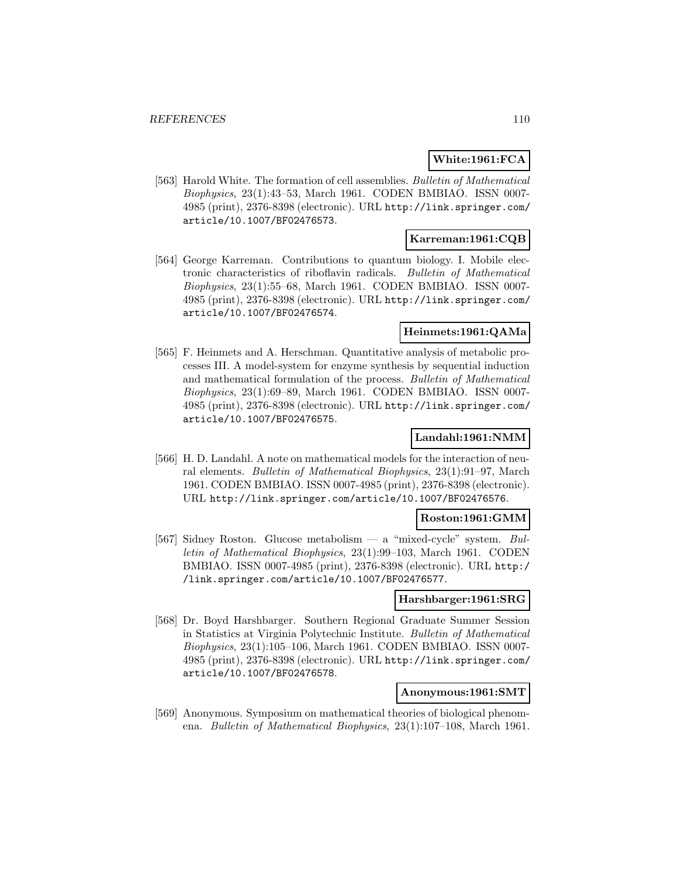# **White:1961:FCA**

[563] Harold White. The formation of cell assemblies. Bulletin of Mathematical Biophysics, 23(1):43–53, March 1961. CODEN BMBIAO. ISSN 0007- 4985 (print), 2376-8398 (electronic). URL http://link.springer.com/ article/10.1007/BF02476573.

# **Karreman:1961:CQB**

[564] George Karreman. Contributions to quantum biology. I. Mobile electronic characteristics of riboflavin radicals. Bulletin of Mathematical Biophysics, 23(1):55–68, March 1961. CODEN BMBIAO. ISSN 0007- 4985 (print), 2376-8398 (electronic). URL http://link.springer.com/ article/10.1007/BF02476574.

### **Heinmets:1961:QAMa**

[565] F. Heinmets and A. Herschman. Quantitative analysis of metabolic processes III. A model-system for enzyme synthesis by sequential induction and mathematical formulation of the process. Bulletin of Mathematical Biophysics, 23(1):69–89, March 1961. CODEN BMBIAO. ISSN 0007- 4985 (print), 2376-8398 (electronic). URL http://link.springer.com/ article/10.1007/BF02476575.

# **Landahl:1961:NMM**

[566] H. D. Landahl. A note on mathematical models for the interaction of neural elements. Bulletin of Mathematical Biophysics, 23(1):91–97, March 1961. CODEN BMBIAO. ISSN 0007-4985 (print), 2376-8398 (electronic). URL http://link.springer.com/article/10.1007/BF02476576.

#### **Roston:1961:GMM**

[567] Sidney Roston. Glucose metabolism — a "mixed-cycle" system. Bulletin of Mathematical Biophysics, 23(1):99–103, March 1961. CODEN BMBIAO. ISSN 0007-4985 (print), 2376-8398 (electronic). URL http:/ /link.springer.com/article/10.1007/BF02476577.

## **Harshbarger:1961:SRG**

[568] Dr. Boyd Harshbarger. Southern Regional Graduate Summer Session in Statistics at Virginia Polytechnic Institute. Bulletin of Mathematical Biophysics, 23(1):105–106, March 1961. CODEN BMBIAO. ISSN 0007- 4985 (print), 2376-8398 (electronic). URL http://link.springer.com/ article/10.1007/BF02476578.

### **Anonymous:1961:SMT**

[569] Anonymous. Symposium on mathematical theories of biological phenomena. Bulletin of Mathematical Biophysics, 23(1):107–108, March 1961.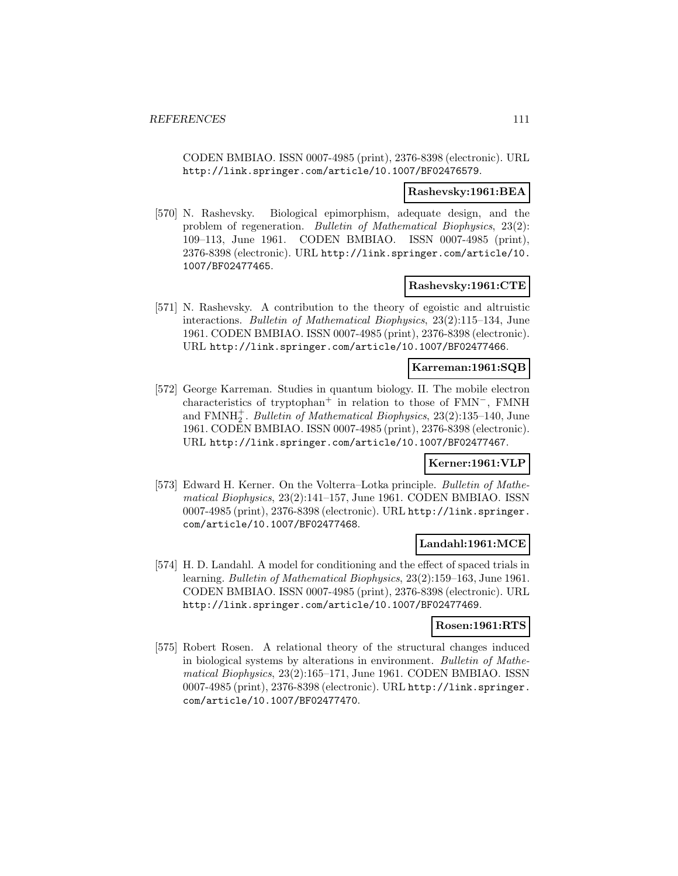CODEN BMBIAO. ISSN 0007-4985 (print), 2376-8398 (electronic). URL http://link.springer.com/article/10.1007/BF02476579.

#### **Rashevsky:1961:BEA**

[570] N. Rashevsky. Biological epimorphism, adequate design, and the problem of regeneration. Bulletin of Mathematical Biophysics, 23(2): 109–113, June 1961. CODEN BMBIAO. ISSN 0007-4985 (print), 2376-8398 (electronic). URL http://link.springer.com/article/10. 1007/BF02477465.

#### **Rashevsky:1961:CTE**

[571] N. Rashevsky. A contribution to the theory of egoistic and altruistic interactions. Bulletin of Mathematical Biophysics, 23(2):115–134, June 1961. CODEN BMBIAO. ISSN 0007-4985 (print), 2376-8398 (electronic). URL http://link.springer.com/article/10.1007/BF02477466.

#### **Karreman:1961:SQB**

[572] George Karreman. Studies in quantum biology. II. The mobile electron characteristics of tryptophan<sup>+</sup> in relation to those of FMN−, FMNH and  $\text{FMMH}_2^+$ . Bulletin of Mathematical Biophysics, 23(2):135–140, June 1961. CODEN BMBIAO. ISSN 0007-4985 (print), 2376-8398 (electronic). URL http://link.springer.com/article/10.1007/BF02477467.

#### **Kerner:1961:VLP**

[573] Edward H. Kerner. On the Volterra–Lotka principle. Bulletin of Mathematical Biophysics, 23(2):141–157, June 1961. CODEN BMBIAO. ISSN 0007-4985 (print), 2376-8398 (electronic). URL http://link.springer. com/article/10.1007/BF02477468.

### **Landahl:1961:MCE**

[574] H. D. Landahl. A model for conditioning and the effect of spaced trials in learning. Bulletin of Mathematical Biophysics, 23(2):159–163, June 1961. CODEN BMBIAO. ISSN 0007-4985 (print), 2376-8398 (electronic). URL http://link.springer.com/article/10.1007/BF02477469.

### **Rosen:1961:RTS**

[575] Robert Rosen. A relational theory of the structural changes induced in biological systems by alterations in environment. Bulletin of Mathematical Biophysics, 23(2):165–171, June 1961. CODEN BMBIAO. ISSN 0007-4985 (print), 2376-8398 (electronic). URL http://link.springer. com/article/10.1007/BF02477470.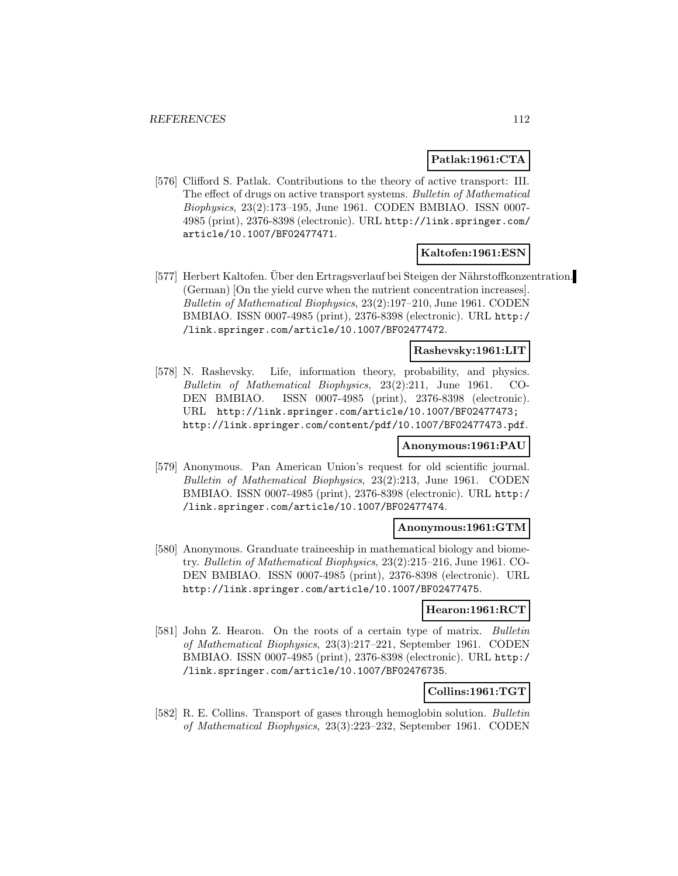#### **Patlak:1961:CTA**

[576] Clifford S. Patlak. Contributions to the theory of active transport: III. The effect of drugs on active transport systems. Bulletin of Mathematical Biophysics, 23(2):173–195, June 1961. CODEN BMBIAO. ISSN 0007- 4985 (print), 2376-8398 (electronic). URL http://link.springer.com/ article/10.1007/BF02477471.

#### **Kaltofen:1961:ESN**

[577] Herbert Kaltofen. Uber den Ertragsverlauf bei Steigen der Nährstoffkonzentration. (German) [On the yield curve when the nutrient concentration increases]. Bulletin of Mathematical Biophysics, 23(2):197–210, June 1961. CODEN BMBIAO. ISSN 0007-4985 (print), 2376-8398 (electronic). URL http:/ /link.springer.com/article/10.1007/BF02477472.

# **Rashevsky:1961:LIT**

[578] N. Rashevsky. Life, information theory, probability, and physics. Bulletin of Mathematical Biophysics, 23(2):211, June 1961. CO-DEN BMBIAO. ISSN 0007-4985 (print), 2376-8398 (electronic). URL http://link.springer.com/article/10.1007/BF02477473; http://link.springer.com/content/pdf/10.1007/BF02477473.pdf.

#### **Anonymous:1961:PAU**

[579] Anonymous. Pan American Union's request for old scientific journal. Bulletin of Mathematical Biophysics, 23(2):213, June 1961. CODEN BMBIAO. ISSN 0007-4985 (print), 2376-8398 (electronic). URL http:/ /link.springer.com/article/10.1007/BF02477474.

### **Anonymous:1961:GTM**

[580] Anonymous. Granduate traineeship in mathematical biology and biometry. Bulletin of Mathematical Biophysics, 23(2):215–216, June 1961. CO-DEN BMBIAO. ISSN 0007-4985 (print), 2376-8398 (electronic). URL http://link.springer.com/article/10.1007/BF02477475.

#### **Hearon:1961:RCT**

[581] John Z. Hearon. On the roots of a certain type of matrix. Bulletin of Mathematical Biophysics, 23(3):217–221, September 1961. CODEN BMBIAO. ISSN 0007-4985 (print), 2376-8398 (electronic). URL http:/ /link.springer.com/article/10.1007/BF02476735.

# **Collins:1961:TGT**

[582] R. E. Collins. Transport of gases through hemoglobin solution. Bulletin of Mathematical Biophysics, 23(3):223–232, September 1961. CODEN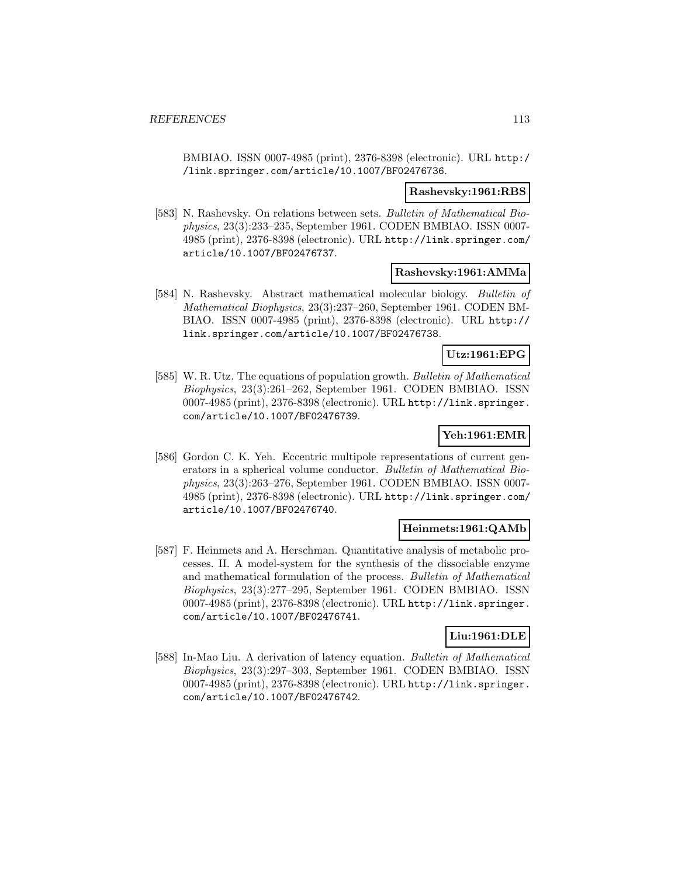BMBIAO. ISSN 0007-4985 (print), 2376-8398 (electronic). URL http:/ /link.springer.com/article/10.1007/BF02476736.

### **Rashevsky:1961:RBS**

[583] N. Rashevsky. On relations between sets. Bulletin of Mathematical Biophysics, 23(3):233–235, September 1961. CODEN BMBIAO. ISSN 0007- 4985 (print), 2376-8398 (electronic). URL http://link.springer.com/ article/10.1007/BF02476737.

#### **Rashevsky:1961:AMMa**

[584] N. Rashevsky. Abstract mathematical molecular biology. Bulletin of Mathematical Biophysics, 23(3):237–260, September 1961. CODEN BM-BIAO. ISSN 0007-4985 (print), 2376-8398 (electronic). URL http:// link.springer.com/article/10.1007/BF02476738.

# **Utz:1961:EPG**

[585] W. R. Utz. The equations of population growth. Bulletin of Mathematical Biophysics, 23(3):261–262, September 1961. CODEN BMBIAO. ISSN 0007-4985 (print), 2376-8398 (electronic). URL http://link.springer. com/article/10.1007/BF02476739.

## **Yeh:1961:EMR**

[586] Gordon C. K. Yeh. Eccentric multipole representations of current generators in a spherical volume conductor. Bulletin of Mathematical Biophysics, 23(3):263–276, September 1961. CODEN BMBIAO. ISSN 0007- 4985 (print), 2376-8398 (electronic). URL http://link.springer.com/ article/10.1007/BF02476740.

# **Heinmets:1961:QAMb**

[587] F. Heinmets and A. Herschman. Quantitative analysis of metabolic processes. II. A model-system for the synthesis of the dissociable enzyme and mathematical formulation of the process. Bulletin of Mathematical Biophysics, 23(3):277–295, September 1961. CODEN BMBIAO. ISSN 0007-4985 (print), 2376-8398 (electronic). URL http://link.springer. com/article/10.1007/BF02476741.

# **Liu:1961:DLE**

[588] In-Mao Liu. A derivation of latency equation. Bulletin of Mathematical Biophysics, 23(3):297–303, September 1961. CODEN BMBIAO. ISSN 0007-4985 (print), 2376-8398 (electronic). URL http://link.springer. com/article/10.1007/BF02476742.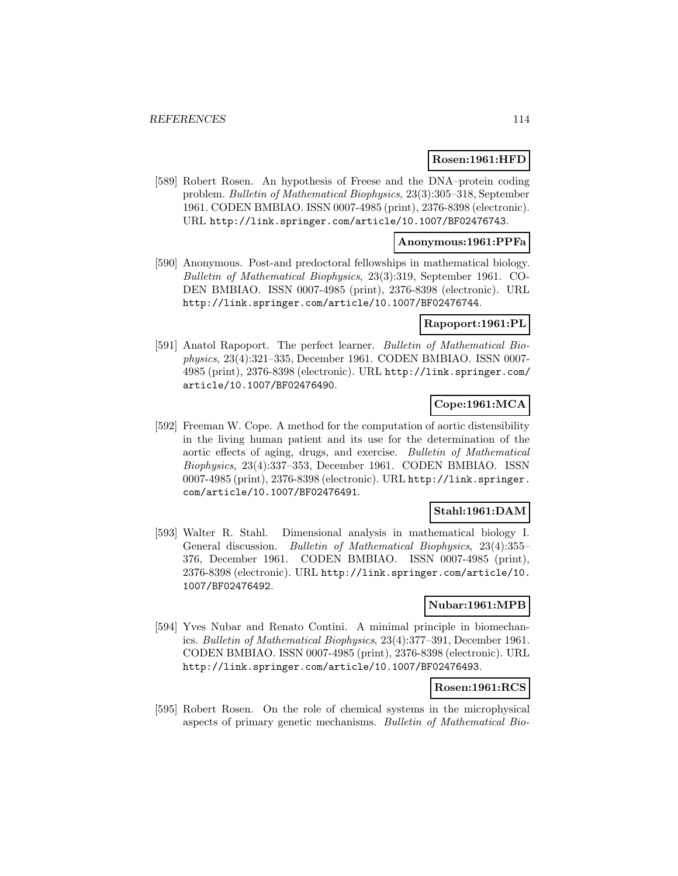#### **Rosen:1961:HFD**

[589] Robert Rosen. An hypothesis of Freese and the DNA–protein coding problem. Bulletin of Mathematical Biophysics, 23(3):305–318, September 1961. CODEN BMBIAO. ISSN 0007-4985 (print), 2376-8398 (electronic). URL http://link.springer.com/article/10.1007/BF02476743.

### **Anonymous:1961:PPFa**

[590] Anonymous. Post-and predoctoral fellowships in mathematical biology. Bulletin of Mathematical Biophysics, 23(3):319, September 1961. CO-DEN BMBIAO. ISSN 0007-4985 (print), 2376-8398 (electronic). URL http://link.springer.com/article/10.1007/BF02476744.

#### **Rapoport:1961:PL**

[591] Anatol Rapoport. The perfect learner. Bulletin of Mathematical Biophysics, 23(4):321–335, December 1961. CODEN BMBIAO. ISSN 0007- 4985 (print), 2376-8398 (electronic). URL http://link.springer.com/ article/10.1007/BF02476490.

# **Cope:1961:MCA**

[592] Freeman W. Cope. A method for the computation of aortic distensibility in the living human patient and its use for the determination of the aortic effects of aging, drugs, and exercise. Bulletin of Mathematical Biophysics, 23(4):337–353, December 1961. CODEN BMBIAO. ISSN 0007-4985 (print), 2376-8398 (electronic). URL http://link.springer. com/article/10.1007/BF02476491.

# **Stahl:1961:DAM**

[593] Walter R. Stahl. Dimensional analysis in mathematical biology I. General discussion. Bulletin of Mathematical Biophysics, 23(4):355– 376, December 1961. CODEN BMBIAO. ISSN 0007-4985 (print), 2376-8398 (electronic). URL http://link.springer.com/article/10. 1007/BF02476492.

#### **Nubar:1961:MPB**

[594] Yves Nubar and Renato Contini. A minimal principle in biomechanics. Bulletin of Mathematical Biophysics, 23(4):377–391, December 1961. CODEN BMBIAO. ISSN 0007-4985 (print), 2376-8398 (electronic). URL http://link.springer.com/article/10.1007/BF02476493.

### **Rosen:1961:RCS**

[595] Robert Rosen. On the role of chemical systems in the microphysical aspects of primary genetic mechanisms. Bulletin of Mathematical Bio-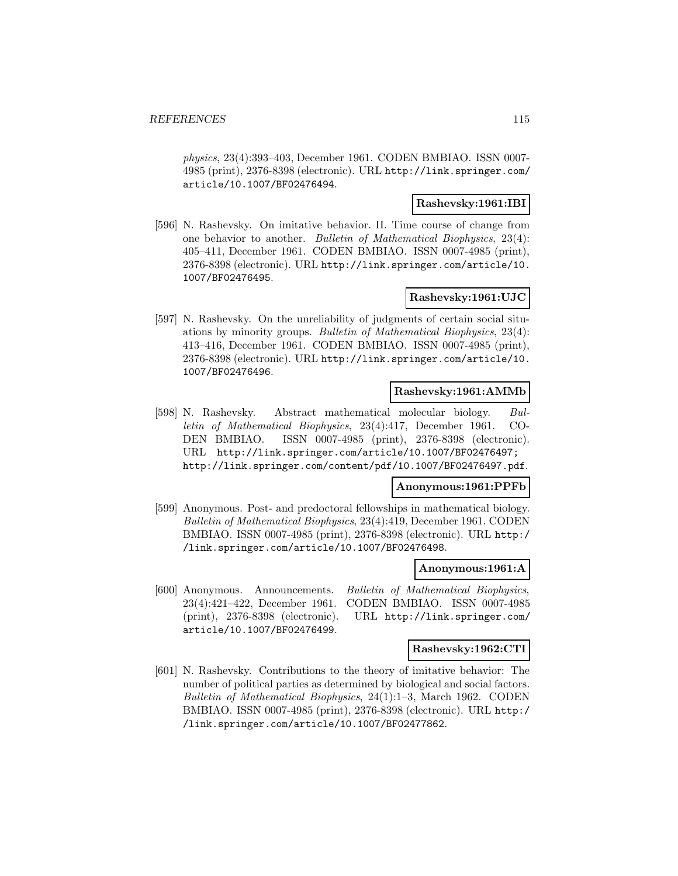physics, 23(4):393–403, December 1961. CODEN BMBIAO. ISSN 0007- 4985 (print), 2376-8398 (electronic). URL http://link.springer.com/ article/10.1007/BF02476494.

#### **Rashevsky:1961:IBI**

[596] N. Rashevsky. On imitative behavior. II. Time course of change from one behavior to another. Bulletin of Mathematical Biophysics, 23(4): 405–411, December 1961. CODEN BMBIAO. ISSN 0007-4985 (print), 2376-8398 (electronic). URL http://link.springer.com/article/10. 1007/BF02476495.

# **Rashevsky:1961:UJC**

[597] N. Rashevsky. On the unreliability of judgments of certain social situations by minority groups. Bulletin of Mathematical Biophysics, 23(4): 413–416, December 1961. CODEN BMBIAO. ISSN 0007-4985 (print), 2376-8398 (electronic). URL http://link.springer.com/article/10. 1007/BF02476496.

### **Rashevsky:1961:AMMb**

[598] N. Rashevsky. Abstract mathematical molecular biology. Bulletin of Mathematical Biophysics, 23(4):417, December 1961. CO-DEN BMBIAO. ISSN 0007-4985 (print), 2376-8398 (electronic). URL http://link.springer.com/article/10.1007/BF02476497; http://link.springer.com/content/pdf/10.1007/BF02476497.pdf.

#### **Anonymous:1961:PPFb**

[599] Anonymous. Post- and predoctoral fellowships in mathematical biology. Bulletin of Mathematical Biophysics, 23(4):419, December 1961. CODEN BMBIAO. ISSN 0007-4985 (print), 2376-8398 (electronic). URL http:/ /link.springer.com/article/10.1007/BF02476498.

#### **Anonymous:1961:A**

[600] Anonymous. Announcements. Bulletin of Mathematical Biophysics, 23(4):421–422, December 1961. CODEN BMBIAO. ISSN 0007-4985 (print), 2376-8398 (electronic). URL http://link.springer.com/ article/10.1007/BF02476499.

#### **Rashevsky:1962:CTI**

[601] N. Rashevsky. Contributions to the theory of imitative behavior: The number of political parties as determined by biological and social factors. Bulletin of Mathematical Biophysics, 24(1):1–3, March 1962. CODEN BMBIAO. ISSN 0007-4985 (print), 2376-8398 (electronic). URL http:/ /link.springer.com/article/10.1007/BF02477862.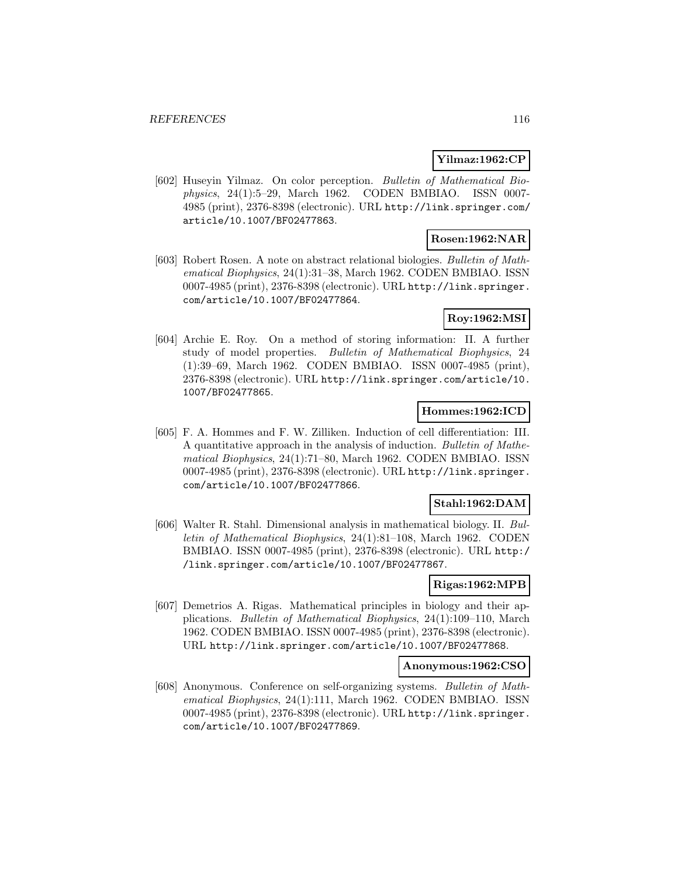## **Yilmaz:1962:CP**

[602] Huseyin Yilmaz. On color perception. Bulletin of Mathematical Biophysics, 24(1):5–29, March 1962. CODEN BMBIAO. ISSN 0007- 4985 (print), 2376-8398 (electronic). URL http://link.springer.com/ article/10.1007/BF02477863.

# **Rosen:1962:NAR**

[603] Robert Rosen. A note on abstract relational biologies. Bulletin of Mathematical Biophysics, 24(1):31–38, March 1962. CODEN BMBIAO. ISSN 0007-4985 (print), 2376-8398 (electronic). URL http://link.springer. com/article/10.1007/BF02477864.

### **Roy:1962:MSI**

[604] Archie E. Roy. On a method of storing information: II. A further study of model properties. Bulletin of Mathematical Biophysics, 24 (1):39–69, March 1962. CODEN BMBIAO. ISSN 0007-4985 (print), 2376-8398 (electronic). URL http://link.springer.com/article/10. 1007/BF02477865.

### **Hommes:1962:ICD**

[605] F. A. Hommes and F. W. Zilliken. Induction of cell differentiation: III. A quantitative approach in the analysis of induction. Bulletin of Mathematical Biophysics, 24(1):71–80, March 1962. CODEN BMBIAO. ISSN 0007-4985 (print), 2376-8398 (electronic). URL http://link.springer. com/article/10.1007/BF02477866.

### **Stahl:1962:DAM**

[606] Walter R. Stahl. Dimensional analysis in mathematical biology. II. Bulletin of Mathematical Biophysics, 24(1):81–108, March 1962. CODEN BMBIAO. ISSN 0007-4985 (print), 2376-8398 (electronic). URL http:/ /link.springer.com/article/10.1007/BF02477867.

### **Rigas:1962:MPB**

[607] Demetrios A. Rigas. Mathematical principles in biology and their applications. Bulletin of Mathematical Biophysics, 24(1):109–110, March 1962. CODEN BMBIAO. ISSN 0007-4985 (print), 2376-8398 (electronic). URL http://link.springer.com/article/10.1007/BF02477868.

#### **Anonymous:1962:CSO**

[608] Anonymous. Conference on self-organizing systems. Bulletin of Mathematical Biophysics, 24(1):111, March 1962. CODEN BMBIAO. ISSN 0007-4985 (print), 2376-8398 (electronic). URL http://link.springer. com/article/10.1007/BF02477869.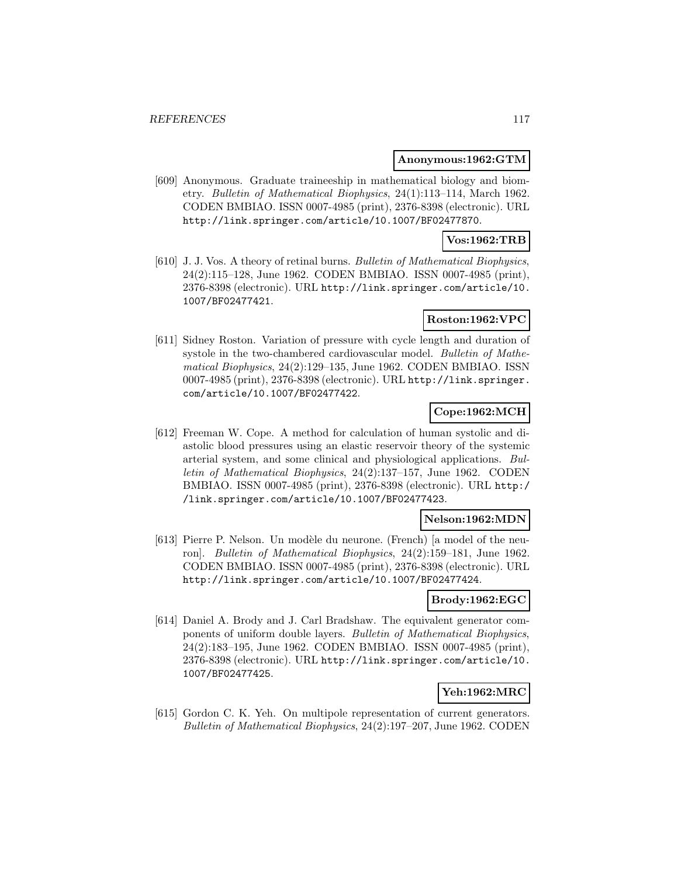#### **Anonymous:1962:GTM**

[609] Anonymous. Graduate traineeship in mathematical biology and biometry. Bulletin of Mathematical Biophysics, 24(1):113–114, March 1962. CODEN BMBIAO. ISSN 0007-4985 (print), 2376-8398 (electronic). URL http://link.springer.com/article/10.1007/BF02477870.

### **Vos:1962:TRB**

[610] J. J. Vos. A theory of retinal burns. Bulletin of Mathematical Biophysics, 24(2):115–128, June 1962. CODEN BMBIAO. ISSN 0007-4985 (print), 2376-8398 (electronic). URL http://link.springer.com/article/10. 1007/BF02477421.

# **Roston:1962:VPC**

[611] Sidney Roston. Variation of pressure with cycle length and duration of systole in the two-chambered cardiovascular model. Bulletin of Mathematical Biophysics, 24(2):129–135, June 1962. CODEN BMBIAO. ISSN 0007-4985 (print), 2376-8398 (electronic). URL http://link.springer. com/article/10.1007/BF02477422.

# **Cope:1962:MCH**

[612] Freeman W. Cope. A method for calculation of human systolic and diastolic blood pressures using an elastic reservoir theory of the systemic arterial system, and some clinical and physiological applications. Bulletin of Mathematical Biophysics, 24(2):137–157, June 1962. CODEN BMBIAO. ISSN 0007-4985 (print), 2376-8398 (electronic). URL http:/ /link.springer.com/article/10.1007/BF02477423.

#### **Nelson:1962:MDN**

[613] Pierre P. Nelson. Un modèle du neurone. (French) [a model of the neuron]. Bulletin of Mathematical Biophysics, 24(2):159–181, June 1962. CODEN BMBIAO. ISSN 0007-4985 (print), 2376-8398 (electronic). URL http://link.springer.com/article/10.1007/BF02477424.

## **Brody:1962:EGC**

[614] Daniel A. Brody and J. Carl Bradshaw. The equivalent generator components of uniform double layers. Bulletin of Mathematical Biophysics, 24(2):183–195, June 1962. CODEN BMBIAO. ISSN 0007-4985 (print), 2376-8398 (electronic). URL http://link.springer.com/article/10. 1007/BF02477425.

# **Yeh:1962:MRC**

[615] Gordon C. K. Yeh. On multipole representation of current generators. Bulletin of Mathematical Biophysics, 24(2):197–207, June 1962. CODEN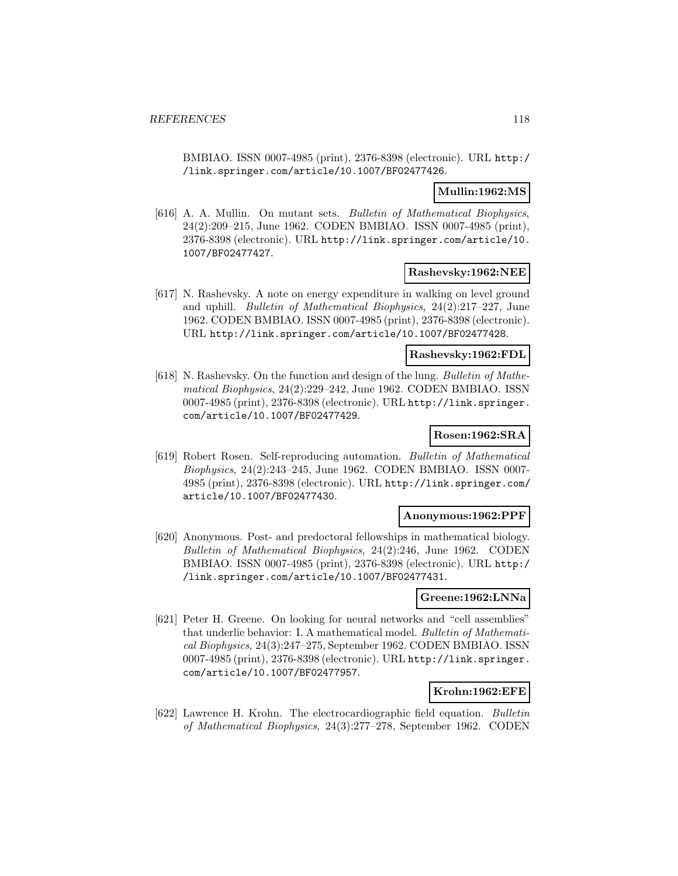BMBIAO. ISSN 0007-4985 (print), 2376-8398 (electronic). URL http:/ /link.springer.com/article/10.1007/BF02477426.

## **Mullin:1962:MS**

[616] A. A. Mullin. On mutant sets. Bulletin of Mathematical Biophysics, 24(2):209–215, June 1962. CODEN BMBIAO. ISSN 0007-4985 (print), 2376-8398 (electronic). URL http://link.springer.com/article/10. 1007/BF02477427.

#### **Rashevsky:1962:NEE**

[617] N. Rashevsky. A note on energy expenditure in walking on level ground and uphill. Bulletin of Mathematical Biophysics, 24(2):217–227, June 1962. CODEN BMBIAO. ISSN 0007-4985 (print), 2376-8398 (electronic). URL http://link.springer.com/article/10.1007/BF02477428.

### **Rashevsky:1962:FDL**

[618] N. Rashevsky. On the function and design of the lung. Bulletin of Mathematical Biophysics, 24(2):229–242, June 1962. CODEN BMBIAO. ISSN 0007-4985 (print), 2376-8398 (electronic). URL http://link.springer. com/article/10.1007/BF02477429.

# **Rosen:1962:SRA**

[619] Robert Rosen. Self-reproducing automation. Bulletin of Mathematical Biophysics, 24(2):243–245, June 1962. CODEN BMBIAO. ISSN 0007- 4985 (print), 2376-8398 (electronic). URL http://link.springer.com/ article/10.1007/BF02477430.

### **Anonymous:1962:PPF**

[620] Anonymous. Post- and predoctoral fellowships in mathematical biology. Bulletin of Mathematical Biophysics, 24(2):246, June 1962. CODEN BMBIAO. ISSN 0007-4985 (print), 2376-8398 (electronic). URL http:/ /link.springer.com/article/10.1007/BF02477431.

#### **Greene:1962:LNNa**

[621] Peter H. Greene. On looking for neural networks and "cell assemblies" that underlie behavior: I. A mathematical model. Bulletin of Mathematical Biophysics, 24(3):247–275, September 1962. CODEN BMBIAO. ISSN 0007-4985 (print), 2376-8398 (electronic). URL http://link.springer. com/article/10.1007/BF02477957.

# **Krohn:1962:EFE**

[622] Lawrence H. Krohn. The electrocardiographic field equation. Bulletin of Mathematical Biophysics, 24(3):277–278, September 1962. CODEN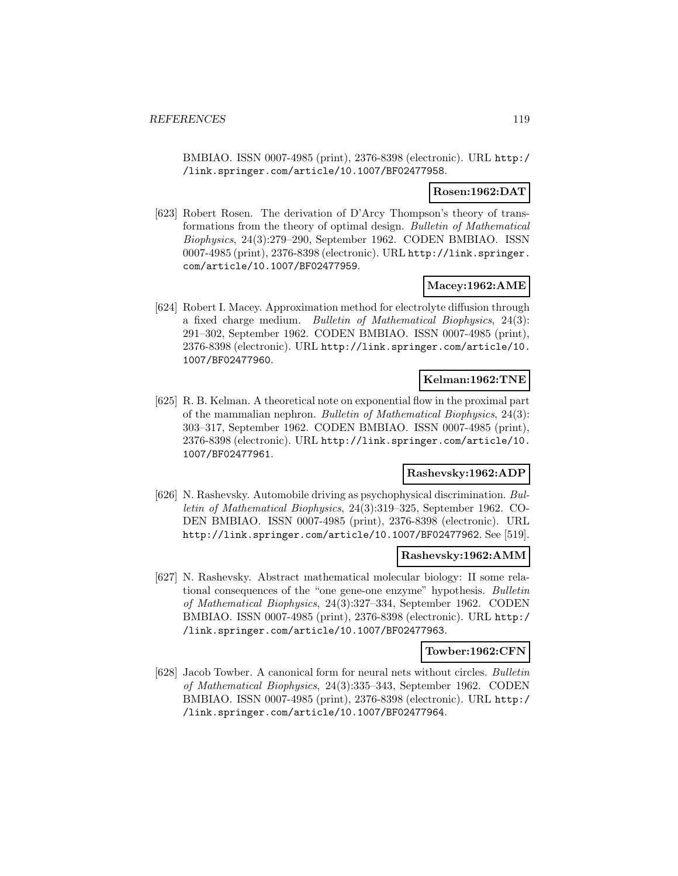BMBIAO. ISSN 0007-4985 (print), 2376-8398 (electronic). URL http:/ /link.springer.com/article/10.1007/BF02477958.

### **Rosen:1962:DAT**

[623] Robert Rosen. The derivation of D'Arcy Thompson's theory of transformations from the theory of optimal design. Bulletin of Mathematical Biophysics, 24(3):279–290, September 1962. CODEN BMBIAO. ISSN 0007-4985 (print), 2376-8398 (electronic). URL http://link.springer. com/article/10.1007/BF02477959.

### **Macey:1962:AME**

[624] Robert I. Macey. Approximation method for electrolyte diffusion through a fixed charge medium. Bulletin of Mathematical Biophysics, 24(3): 291–302, September 1962. CODEN BMBIAO. ISSN 0007-4985 (print), 2376-8398 (electronic). URL http://link.springer.com/article/10. 1007/BF02477960.

### **Kelman:1962:TNE**

[625] R. B. Kelman. A theoretical note on exponential flow in the proximal part of the mammalian nephron. Bulletin of Mathematical Biophysics, 24(3): 303–317, September 1962. CODEN BMBIAO. ISSN 0007-4985 (print), 2376-8398 (electronic). URL http://link.springer.com/article/10. 1007/BF02477961.

### **Rashevsky:1962:ADP**

[626] N. Rashevsky. Automobile driving as psychophysical discrimination. Bulletin of Mathematical Biophysics, 24(3):319–325, September 1962. CO-DEN BMBIAO. ISSN 0007-4985 (print), 2376-8398 (electronic). URL http://link.springer.com/article/10.1007/BF02477962. See [519].

#### **Rashevsky:1962:AMM**

[627] N. Rashevsky. Abstract mathematical molecular biology: II some relational consequences of the "one gene-one enzyme" hypothesis. Bulletin of Mathematical Biophysics, 24(3):327–334, September 1962. CODEN BMBIAO. ISSN 0007-4985 (print), 2376-8398 (electronic). URL http:/ /link.springer.com/article/10.1007/BF02477963.

### **Towber:1962:CFN**

[628] Jacob Towber. A canonical form for neural nets without circles. Bulletin of Mathematical Biophysics, 24(3):335–343, September 1962. CODEN BMBIAO. ISSN 0007-4985 (print), 2376-8398 (electronic). URL http:/ /link.springer.com/article/10.1007/BF02477964.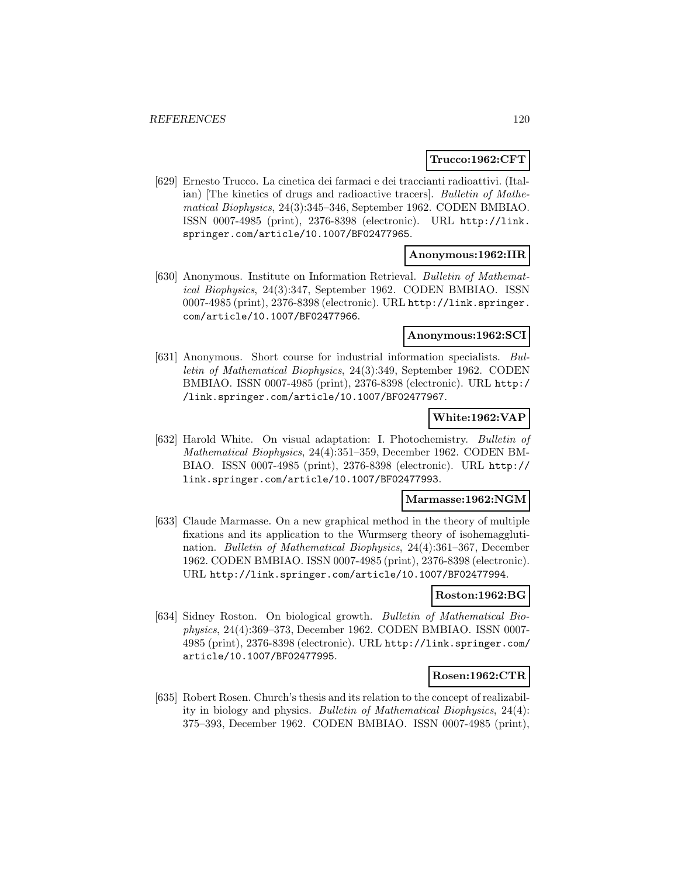#### **Trucco:1962:CFT**

[629] Ernesto Trucco. La cinetica dei farmaci e dei traccianti radioattivi. (Italian) [The kinetics of drugs and radioactive tracers]. Bulletin of Mathematical Biophysics, 24(3):345–346, September 1962. CODEN BMBIAO. ISSN 0007-4985 (print), 2376-8398 (electronic). URL http://link. springer.com/article/10.1007/BF02477965.

#### **Anonymous:1962:IIR**

[630] Anonymous. Institute on Information Retrieval. Bulletin of Mathematical Biophysics, 24(3):347, September 1962. CODEN BMBIAO. ISSN 0007-4985 (print), 2376-8398 (electronic). URL http://link.springer. com/article/10.1007/BF02477966.

### **Anonymous:1962:SCI**

[631] Anonymous. Short course for industrial information specialists. Bulletin of Mathematical Biophysics, 24(3):349, September 1962. CODEN BMBIAO. ISSN 0007-4985 (print), 2376-8398 (electronic). URL http:/ /link.springer.com/article/10.1007/BF02477967.

# **White:1962:VAP**

[632] Harold White. On visual adaptation: I. Photochemistry. Bulletin of Mathematical Biophysics, 24(4):351–359, December 1962. CODEN BM-BIAO. ISSN 0007-4985 (print), 2376-8398 (electronic). URL http:// link.springer.com/article/10.1007/BF02477993.

### **Marmasse:1962:NGM**

[633] Claude Marmasse. On a new graphical method in the theory of multiple fixations and its application to the Wurmserg theory of isohemagglutination. Bulletin of Mathematical Biophysics, 24(4):361–367, December 1962. CODEN BMBIAO. ISSN 0007-4985 (print), 2376-8398 (electronic). URL http://link.springer.com/article/10.1007/BF02477994.

#### **Roston:1962:BG**

[634] Sidney Roston. On biological growth. Bulletin of Mathematical Biophysics, 24(4):369–373, December 1962. CODEN BMBIAO. ISSN 0007- 4985 (print), 2376-8398 (electronic). URL http://link.springer.com/ article/10.1007/BF02477995.

# **Rosen:1962:CTR**

[635] Robert Rosen. Church's thesis and its relation to the concept of realizability in biology and physics. Bulletin of Mathematical Biophysics, 24(4): 375–393, December 1962. CODEN BMBIAO. ISSN 0007-4985 (print),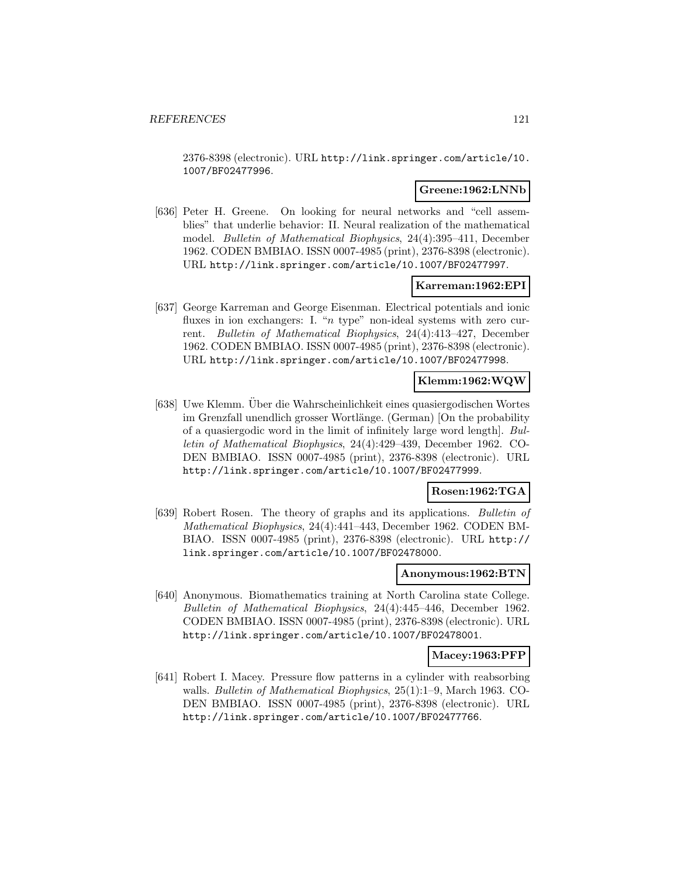2376-8398 (electronic). URL http://link.springer.com/article/10. 1007/BF02477996.

#### **Greene:1962:LNNb**

[636] Peter H. Greene. On looking for neural networks and "cell assemblies" that underlie behavior: II. Neural realization of the mathematical model. Bulletin of Mathematical Biophysics, 24(4):395–411, December 1962. CODEN BMBIAO. ISSN 0007-4985 (print), 2376-8398 (electronic). URL http://link.springer.com/article/10.1007/BF02477997.

#### **Karreman:1962:EPI**

[637] George Karreman and George Eisenman. Electrical potentials and ionic fluxes in ion exchangers: I. " $n$  type" non-ideal systems with zero current. Bulletin of Mathematical Biophysics, 24(4):413–427, December 1962. CODEN BMBIAO. ISSN 0007-4985 (print), 2376-8398 (electronic). URL http://link.springer.com/article/10.1007/BF02477998.

### **Klemm:1962:WQW**

[638] Uwe Klemm. Uber die Wahrscheinlichkeit eines quasiergodischen Wortes im Grenzfall unendlich grosser Wortlänge. (German) [On the probability of a quasiergodic word in the limit of infinitely large word length]. Bulletin of Mathematical Biophysics, 24(4):429–439, December 1962. CO-DEN BMBIAO. ISSN 0007-4985 (print), 2376-8398 (electronic). URL http://link.springer.com/article/10.1007/BF02477999.

# **Rosen:1962:TGA**

[639] Robert Rosen. The theory of graphs and its applications. Bulletin of Mathematical Biophysics, 24(4):441–443, December 1962. CODEN BM-BIAO. ISSN 0007-4985 (print), 2376-8398 (electronic). URL http:// link.springer.com/article/10.1007/BF02478000.

#### **Anonymous:1962:BTN**

[640] Anonymous. Biomathematics training at North Carolina state College. Bulletin of Mathematical Biophysics, 24(4):445–446, December 1962. CODEN BMBIAO. ISSN 0007-4985 (print), 2376-8398 (electronic). URL http://link.springer.com/article/10.1007/BF02478001.

#### **Macey:1963:PFP**

[641] Robert I. Macey. Pressure flow patterns in a cylinder with reabsorbing walls. Bulletin of Mathematical Biophysics, 25(1):1–9, March 1963. CO-DEN BMBIAO. ISSN 0007-4985 (print), 2376-8398 (electronic). URL http://link.springer.com/article/10.1007/BF02477766.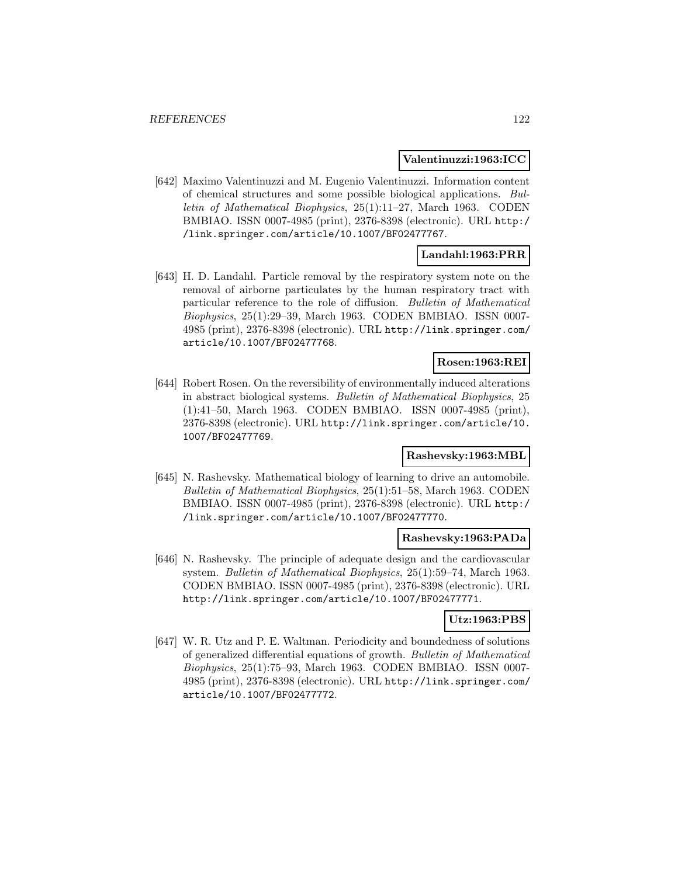#### **Valentinuzzi:1963:ICC**

[642] Maximo Valentinuzzi and M. Eugenio Valentinuzzi. Information content of chemical structures and some possible biological applications. Bulletin of Mathematical Biophysics, 25(1):11–27, March 1963. CODEN BMBIAO. ISSN 0007-4985 (print), 2376-8398 (electronic). URL http:/ /link.springer.com/article/10.1007/BF02477767.

# **Landahl:1963:PRR**

[643] H. D. Landahl. Particle removal by the respiratory system note on the removal of airborne particulates by the human respiratory tract with particular reference to the role of diffusion. Bulletin of Mathematical Biophysics, 25(1):29–39, March 1963. CODEN BMBIAO. ISSN 0007- 4985 (print), 2376-8398 (electronic). URL http://link.springer.com/ article/10.1007/BF02477768.

## **Rosen:1963:REI**

[644] Robert Rosen. On the reversibility of environmentally induced alterations in abstract biological systems. Bulletin of Mathematical Biophysics, 25 (1):41–50, March 1963. CODEN BMBIAO. ISSN 0007-4985 (print), 2376-8398 (electronic). URL http://link.springer.com/article/10. 1007/BF02477769.

# **Rashevsky:1963:MBL**

[645] N. Rashevsky. Mathematical biology of learning to drive an automobile. Bulletin of Mathematical Biophysics, 25(1):51–58, March 1963. CODEN BMBIAO. ISSN 0007-4985 (print), 2376-8398 (electronic). URL http:/ /link.springer.com/article/10.1007/BF02477770.

#### **Rashevsky:1963:PADa**

[646] N. Rashevsky. The principle of adequate design and the cardiovascular system. Bulletin of Mathematical Biophysics, 25(1):59–74, March 1963. CODEN BMBIAO. ISSN 0007-4985 (print), 2376-8398 (electronic). URL http://link.springer.com/article/10.1007/BF02477771.

# **Utz:1963:PBS**

[647] W. R. Utz and P. E. Waltman. Periodicity and boundedness of solutions of generalized differential equations of growth. Bulletin of Mathematical Biophysics, 25(1):75–93, March 1963. CODEN BMBIAO. ISSN 0007- 4985 (print), 2376-8398 (electronic). URL http://link.springer.com/ article/10.1007/BF02477772.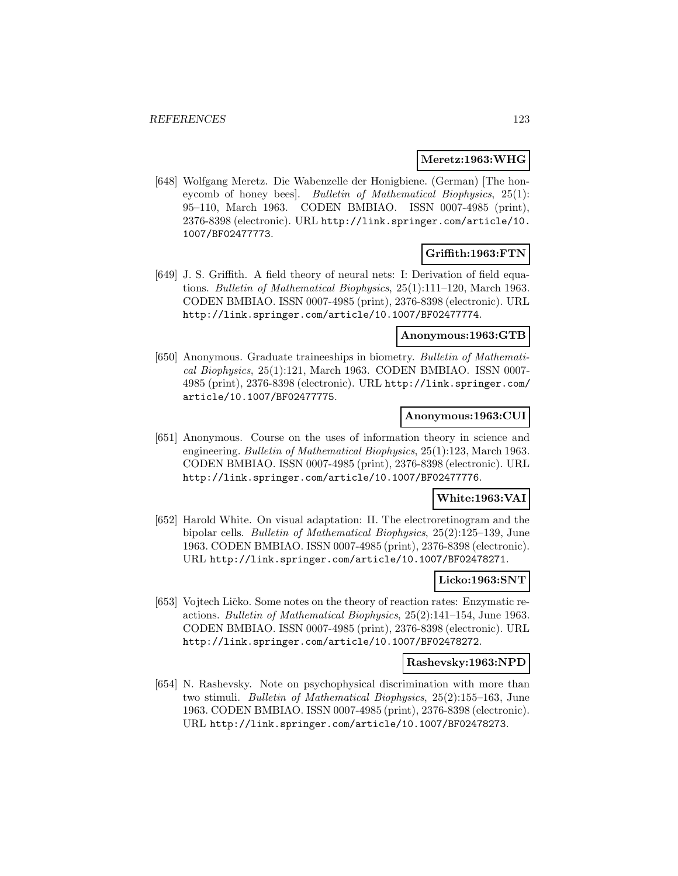### **Meretz:1963:WHG**

[648] Wolfgang Meretz. Die Wabenzelle der Honigbiene. (German) [The honeycomb of honey bees]. Bulletin of Mathematical Biophysics, 25(1): 95–110, March 1963. CODEN BMBIAO. ISSN 0007-4985 (print), 2376-8398 (electronic). URL http://link.springer.com/article/10. 1007/BF02477773.

# **Griffith:1963:FTN**

[649] J. S. Griffith. A field theory of neural nets: I: Derivation of field equations. Bulletin of Mathematical Biophysics, 25(1):111–120, March 1963. CODEN BMBIAO. ISSN 0007-4985 (print), 2376-8398 (electronic). URL http://link.springer.com/article/10.1007/BF02477774.

### **Anonymous:1963:GTB**

[650] Anonymous. Graduate traineeships in biometry. Bulletin of Mathematical Biophysics, 25(1):121, March 1963. CODEN BMBIAO. ISSN 0007- 4985 (print), 2376-8398 (electronic). URL http://link.springer.com/ article/10.1007/BF02477775.

#### **Anonymous:1963:CUI**

[651] Anonymous. Course on the uses of information theory in science and engineering. Bulletin of Mathematical Biophysics, 25(1):123, March 1963. CODEN BMBIAO. ISSN 0007-4985 (print), 2376-8398 (electronic). URL http://link.springer.com/article/10.1007/BF02477776.

#### **White:1963:VAI**

[652] Harold White. On visual adaptation: II. The electroretinogram and the bipolar cells. Bulletin of Mathematical Biophysics, 25(2):125–139, June 1963. CODEN BMBIAO. ISSN 0007-4985 (print), 2376-8398 (electronic). URL http://link.springer.com/article/10.1007/BF02478271.

#### **Licko:1963:SNT**

[653] Vojtech Ličko. Some notes on the theory of reaction rates: Enzymatic reactions. Bulletin of Mathematical Biophysics, 25(2):141–154, June 1963. CODEN BMBIAO. ISSN 0007-4985 (print), 2376-8398 (electronic). URL http://link.springer.com/article/10.1007/BF02478272.

#### **Rashevsky:1963:NPD**

[654] N. Rashevsky. Note on psychophysical discrimination with more than two stimuli. Bulletin of Mathematical Biophysics, 25(2):155–163, June 1963. CODEN BMBIAO. ISSN 0007-4985 (print), 2376-8398 (electronic). URL http://link.springer.com/article/10.1007/BF02478273.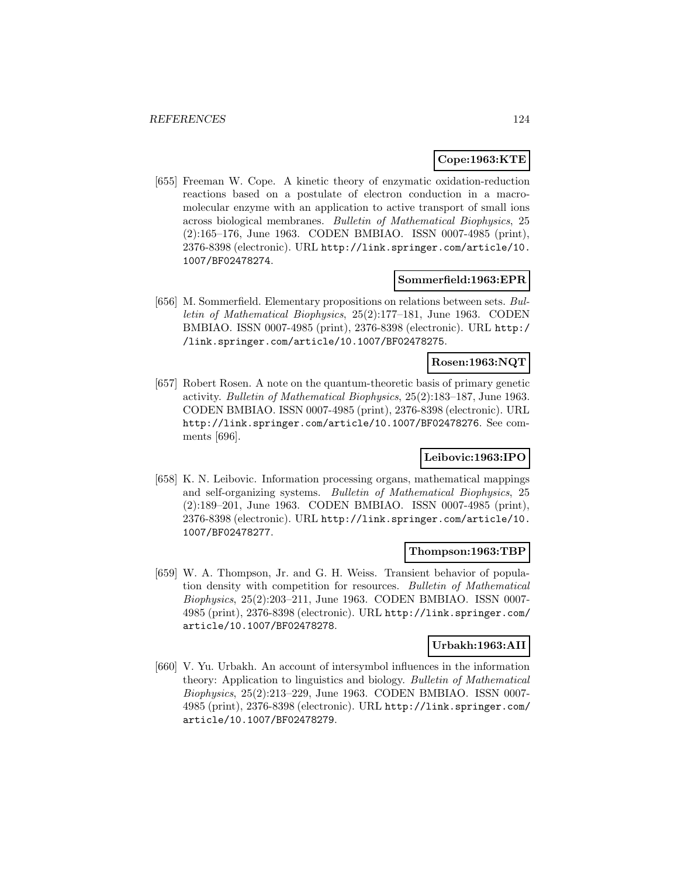### **Cope:1963:KTE**

[655] Freeman W. Cope. A kinetic theory of enzymatic oxidation-reduction reactions based on a postulate of electron conduction in a macromolecular enzyme with an application to active transport of small ions across biological membranes. Bulletin of Mathematical Biophysics, 25 (2):165–176, June 1963. CODEN BMBIAO. ISSN 0007-4985 (print), 2376-8398 (electronic). URL http://link.springer.com/article/10. 1007/BF02478274.

#### **Sommerfield:1963:EPR**

[656] M. Sommerfield. Elementary propositions on relations between sets. Bulletin of Mathematical Biophysics, 25(2):177–181, June 1963. CODEN BMBIAO. ISSN 0007-4985 (print), 2376-8398 (electronic). URL http:/ /link.springer.com/article/10.1007/BF02478275.

# **Rosen:1963:NQT**

[657] Robert Rosen. A note on the quantum-theoretic basis of primary genetic activity. Bulletin of Mathematical Biophysics, 25(2):183–187, June 1963. CODEN BMBIAO. ISSN 0007-4985 (print), 2376-8398 (electronic). URL http://link.springer.com/article/10.1007/BF02478276. See comments [696].

### **Leibovic:1963:IPO**

[658] K. N. Leibovic. Information processing organs, mathematical mappings and self-organizing systems. Bulletin of Mathematical Biophysics, 25 (2):189–201, June 1963. CODEN BMBIAO. ISSN 0007-4985 (print), 2376-8398 (electronic). URL http://link.springer.com/article/10. 1007/BF02478277.

### **Thompson:1963:TBP**

[659] W. A. Thompson, Jr. and G. H. Weiss. Transient behavior of population density with competition for resources. Bulletin of Mathematical Biophysics, 25(2):203–211, June 1963. CODEN BMBIAO. ISSN 0007- 4985 (print), 2376-8398 (electronic). URL http://link.springer.com/ article/10.1007/BF02478278.

#### **Urbakh:1963:AII**

[660] V. Yu. Urbakh. An account of intersymbol influences in the information theory: Application to linguistics and biology. Bulletin of Mathematical Biophysics, 25(2):213–229, June 1963. CODEN BMBIAO. ISSN 0007- 4985 (print), 2376-8398 (electronic). URL http://link.springer.com/ article/10.1007/BF02478279.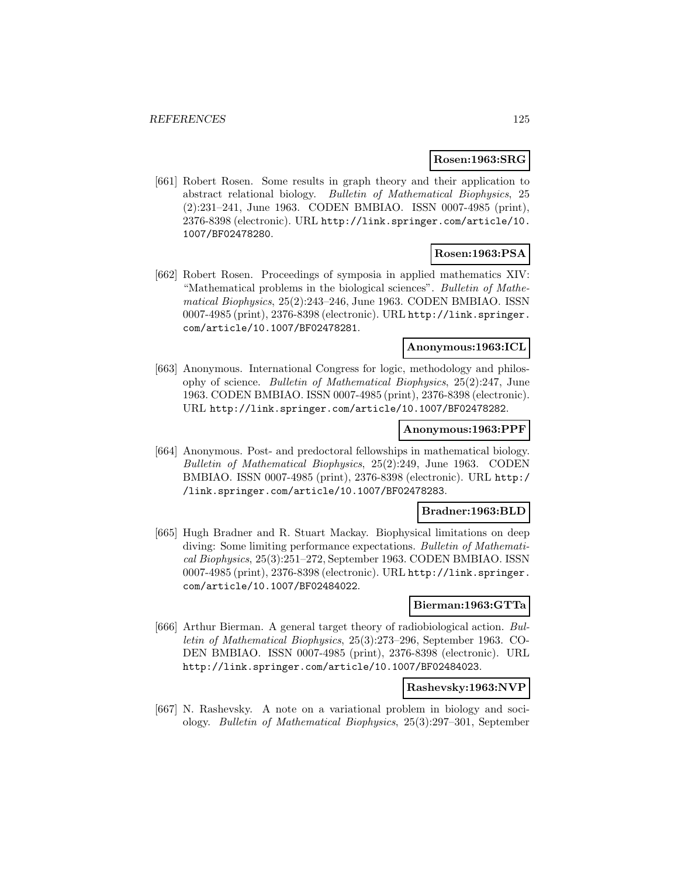### **Rosen:1963:SRG**

[661] Robert Rosen. Some results in graph theory and their application to abstract relational biology. Bulletin of Mathematical Biophysics, 25 (2):231–241, June 1963. CODEN BMBIAO. ISSN 0007-4985 (print), 2376-8398 (electronic). URL http://link.springer.com/article/10. 1007/BF02478280.

# **Rosen:1963:PSA**

[662] Robert Rosen. Proceedings of symposia in applied mathematics XIV: "Mathematical problems in the biological sciences". Bulletin of Mathematical Biophysics, 25(2):243–246, June 1963. CODEN BMBIAO. ISSN 0007-4985 (print), 2376-8398 (electronic). URL http://link.springer. com/article/10.1007/BF02478281.

## **Anonymous:1963:ICL**

[663] Anonymous. International Congress for logic, methodology and philosophy of science. Bulletin of Mathematical Biophysics, 25(2):247, June 1963. CODEN BMBIAO. ISSN 0007-4985 (print), 2376-8398 (electronic). URL http://link.springer.com/article/10.1007/BF02478282.

#### **Anonymous:1963:PPF**

[664] Anonymous. Post- and predoctoral fellowships in mathematical biology. Bulletin of Mathematical Biophysics, 25(2):249, June 1963. CODEN BMBIAO. ISSN 0007-4985 (print), 2376-8398 (electronic). URL http:/ /link.springer.com/article/10.1007/BF02478283.

### **Bradner:1963:BLD**

[665] Hugh Bradner and R. Stuart Mackay. Biophysical limitations on deep diving: Some limiting performance expectations. Bulletin of Mathematical Biophysics, 25(3):251–272, September 1963. CODEN BMBIAO. ISSN 0007-4985 (print), 2376-8398 (electronic). URL http://link.springer. com/article/10.1007/BF02484022.

#### **Bierman:1963:GTTa**

[666] Arthur Bierman. A general target theory of radiobiological action. Bulletin of Mathematical Biophysics, 25(3):273–296, September 1963. CO-DEN BMBIAO. ISSN 0007-4985 (print), 2376-8398 (electronic). URL http://link.springer.com/article/10.1007/BF02484023.

#### **Rashevsky:1963:NVP**

[667] N. Rashevsky. A note on a variational problem in biology and sociology. Bulletin of Mathematical Biophysics, 25(3):297–301, September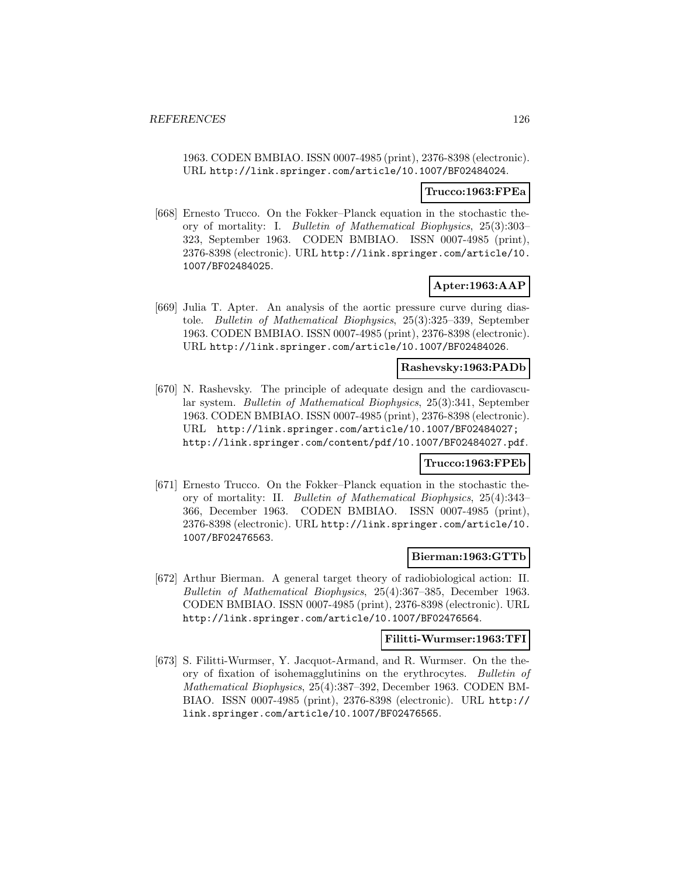1963. CODEN BMBIAO. ISSN 0007-4985 (print), 2376-8398 (electronic). URL http://link.springer.com/article/10.1007/BF02484024.

#### **Trucco:1963:FPEa**

[668] Ernesto Trucco. On the Fokker–Planck equation in the stochastic theory of mortality: I. Bulletin of Mathematical Biophysics, 25(3):303– 323, September 1963. CODEN BMBIAO. ISSN 0007-4985 (print), 2376-8398 (electronic). URL http://link.springer.com/article/10. 1007/BF02484025.

# **Apter:1963:AAP**

[669] Julia T. Apter. An analysis of the aortic pressure curve during diastole. Bulletin of Mathematical Biophysics, 25(3):325–339, September 1963. CODEN BMBIAO. ISSN 0007-4985 (print), 2376-8398 (electronic). URL http://link.springer.com/article/10.1007/BF02484026.

# **Rashevsky:1963:PADb**

[670] N. Rashevsky. The principle of adequate design and the cardiovascular system. Bulletin of Mathematical Biophysics, 25(3):341, September 1963. CODEN BMBIAO. ISSN 0007-4985 (print), 2376-8398 (electronic). URL http://link.springer.com/article/10.1007/BF02484027; http://link.springer.com/content/pdf/10.1007/BF02484027.pdf.

#### **Trucco:1963:FPEb**

[671] Ernesto Trucco. On the Fokker–Planck equation in the stochastic theory of mortality: II. Bulletin of Mathematical Biophysics, 25(4):343– 366, December 1963. CODEN BMBIAO. ISSN 0007-4985 (print), 2376-8398 (electronic). URL http://link.springer.com/article/10. 1007/BF02476563.

#### **Bierman:1963:GTTb**

[672] Arthur Bierman. A general target theory of radiobiological action: II. Bulletin of Mathematical Biophysics, 25(4):367–385, December 1963. CODEN BMBIAO. ISSN 0007-4985 (print), 2376-8398 (electronic). URL http://link.springer.com/article/10.1007/BF02476564.

#### **Filitti-Wurmser:1963:TFI**

[673] S. Filitti-Wurmser, Y. Jacquot-Armand, and R. Wurmser. On the theory of fixation of isohemagglutinins on the erythrocytes. Bulletin of Mathematical Biophysics, 25(4):387–392, December 1963. CODEN BM-BIAO. ISSN 0007-4985 (print), 2376-8398 (electronic). URL http:// link.springer.com/article/10.1007/BF02476565.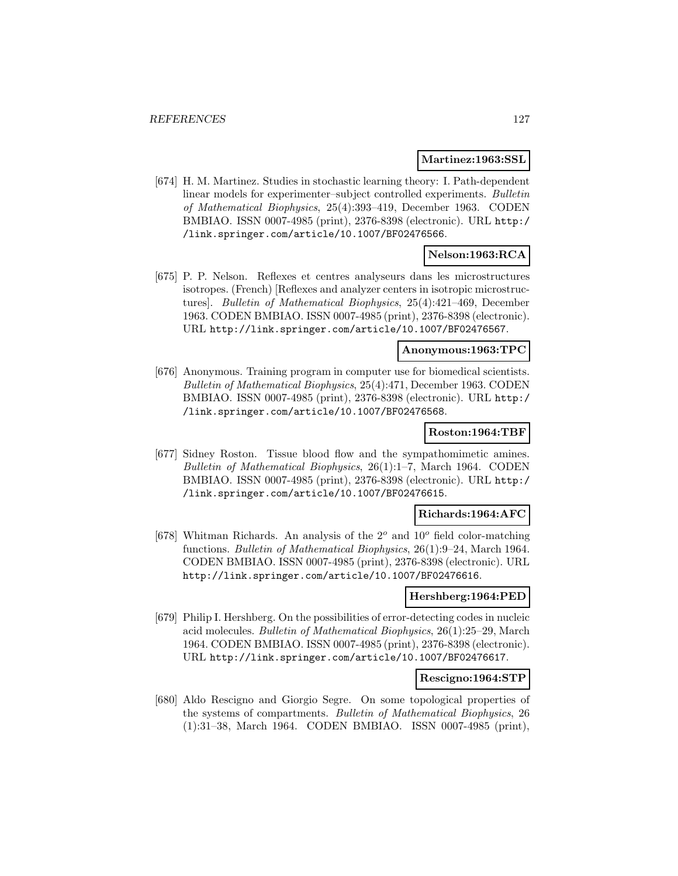#### **Martinez:1963:SSL**

[674] H. M. Martinez. Studies in stochastic learning theory: I. Path-dependent linear models for experimenter–subject controlled experiments. Bulletin of Mathematical Biophysics, 25(4):393–419, December 1963. CODEN BMBIAO. ISSN 0007-4985 (print), 2376-8398 (electronic). URL http:/ /link.springer.com/article/10.1007/BF02476566.

# **Nelson:1963:RCA**

[675] P. P. Nelson. Reflexes et centres analyseurs dans les microstructures isotropes. (French) [Reflexes and analyzer centers in isotropic microstructures]. Bulletin of Mathematical Biophysics, 25(4):421–469, December 1963. CODEN BMBIAO. ISSN 0007-4985 (print), 2376-8398 (electronic). URL http://link.springer.com/article/10.1007/BF02476567.

#### **Anonymous:1963:TPC**

[676] Anonymous. Training program in computer use for biomedical scientists. Bulletin of Mathematical Biophysics, 25(4):471, December 1963. CODEN BMBIAO. ISSN 0007-4985 (print), 2376-8398 (electronic). URL http:/ /link.springer.com/article/10.1007/BF02476568.

### **Roston:1964:TBF**

[677] Sidney Roston. Tissue blood flow and the sympathomimetic amines. Bulletin of Mathematical Biophysics, 26(1):1–7, March 1964. CODEN BMBIAO. ISSN 0007-4985 (print), 2376-8398 (electronic). URL http:/ /link.springer.com/article/10.1007/BF02476615.

### **Richards:1964:AFC**

[678] Whitman Richards. An analysis of the  $2^o$  and  $10^o$  field color-matching functions. Bulletin of Mathematical Biophysics, 26(1):9–24, March 1964. CODEN BMBIAO. ISSN 0007-4985 (print), 2376-8398 (electronic). URL http://link.springer.com/article/10.1007/BF02476616.

### **Hershberg:1964:PED**

[679] Philip I. Hershberg. On the possibilities of error-detecting codes in nucleic acid molecules. Bulletin of Mathematical Biophysics, 26(1):25–29, March 1964. CODEN BMBIAO. ISSN 0007-4985 (print), 2376-8398 (electronic). URL http://link.springer.com/article/10.1007/BF02476617.

### **Rescigno:1964:STP**

[680] Aldo Rescigno and Giorgio Segre. On some topological properties of the systems of compartments. Bulletin of Mathematical Biophysics, 26 (1):31–38, March 1964. CODEN BMBIAO. ISSN 0007-4985 (print),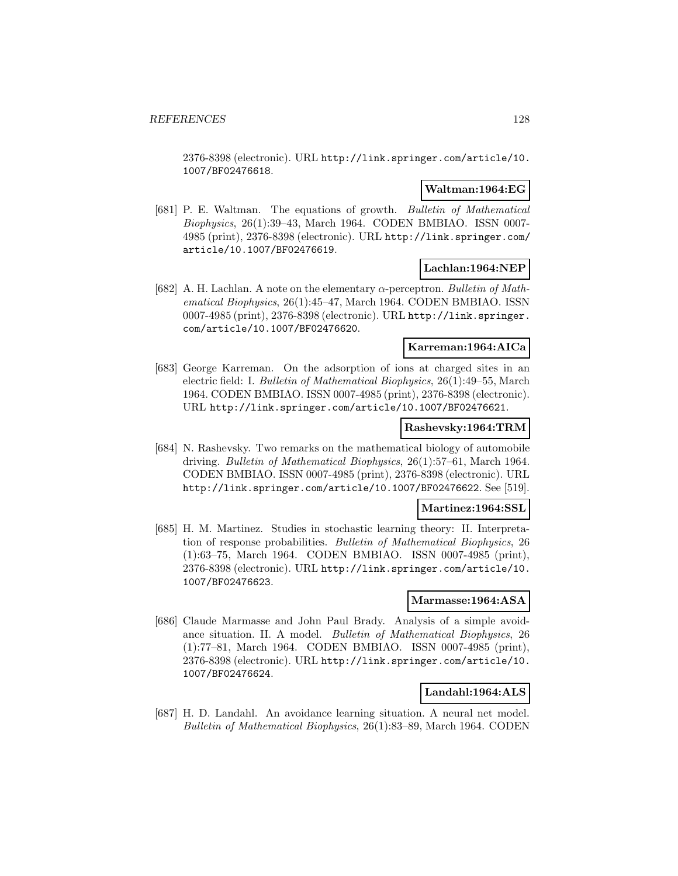2376-8398 (electronic). URL http://link.springer.com/article/10. 1007/BF02476618.

### **Waltman:1964:EG**

[681] P. E. Waltman. The equations of growth. Bulletin of Mathematical Biophysics, 26(1):39–43, March 1964. CODEN BMBIAO. ISSN 0007- 4985 (print), 2376-8398 (electronic). URL http://link.springer.com/ article/10.1007/BF02476619.

#### **Lachlan:1964:NEP**

[682] A. H. Lachlan. A note on the elementary  $\alpha$ -perceptron. Bulletin of Mathematical Biophysics, 26(1):45–47, March 1964. CODEN BMBIAO. ISSN 0007-4985 (print), 2376-8398 (electronic). URL http://link.springer. com/article/10.1007/BF02476620.

### **Karreman:1964:AICa**

[683] George Karreman. On the adsorption of ions at charged sites in an electric field: I. Bulletin of Mathematical Biophysics, 26(1):49–55, March 1964. CODEN BMBIAO. ISSN 0007-4985 (print), 2376-8398 (electronic). URL http://link.springer.com/article/10.1007/BF02476621.

#### **Rashevsky:1964:TRM**

[684] N. Rashevsky. Two remarks on the mathematical biology of automobile driving. Bulletin of Mathematical Biophysics, 26(1):57–61, March 1964. CODEN BMBIAO. ISSN 0007-4985 (print), 2376-8398 (electronic). URL http://link.springer.com/article/10.1007/BF02476622. See [519].

#### **Martinez:1964:SSL**

[685] H. M. Martinez. Studies in stochastic learning theory: II. Interpretation of response probabilities. Bulletin of Mathematical Biophysics, 26 (1):63–75, March 1964. CODEN BMBIAO. ISSN 0007-4985 (print), 2376-8398 (electronic). URL http://link.springer.com/article/10. 1007/BF02476623.

### **Marmasse:1964:ASA**

[686] Claude Marmasse and John Paul Brady. Analysis of a simple avoidance situation. II. A model. Bulletin of Mathematical Biophysics, 26 (1):77–81, March 1964. CODEN BMBIAO. ISSN 0007-4985 (print), 2376-8398 (electronic). URL http://link.springer.com/article/10. 1007/BF02476624.

# **Landahl:1964:ALS**

[687] H. D. Landahl. An avoidance learning situation. A neural net model. Bulletin of Mathematical Biophysics, 26(1):83–89, March 1964. CODEN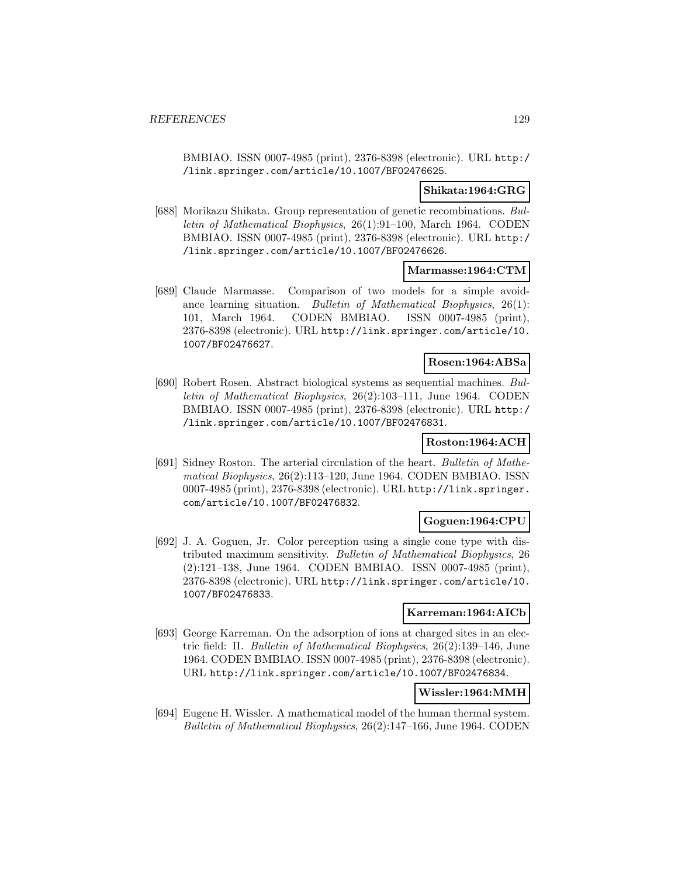BMBIAO. ISSN 0007-4985 (print), 2376-8398 (electronic). URL http:/ /link.springer.com/article/10.1007/BF02476625.

### **Shikata:1964:GRG**

[688] Morikazu Shikata. Group representation of genetic recombinations. Bulletin of Mathematical Biophysics, 26(1):91–100, March 1964. CODEN BMBIAO. ISSN 0007-4985 (print), 2376-8398 (electronic). URL http:/ /link.springer.com/article/10.1007/BF02476626.

#### **Marmasse:1964:CTM**

[689] Claude Marmasse. Comparison of two models for a simple avoidance learning situation. Bulletin of Mathematical Biophysics, 26(1): 101, March 1964. CODEN BMBIAO. ISSN 0007-4985 (print), 2376-8398 (electronic). URL http://link.springer.com/article/10. 1007/BF02476627.

# **Rosen:1964:ABSa**

[690] Robert Rosen. Abstract biological systems as sequential machines. Bulletin of Mathematical Biophysics, 26(2):103–111, June 1964. CODEN BMBIAO. ISSN 0007-4985 (print), 2376-8398 (electronic). URL http:/ /link.springer.com/article/10.1007/BF02476831.

#### **Roston:1964:ACH**

[691] Sidney Roston. The arterial circulation of the heart. Bulletin of Mathematical Biophysics, 26(2):113–120, June 1964. CODEN BMBIAO. ISSN 0007-4985 (print), 2376-8398 (electronic). URL http://link.springer. com/article/10.1007/BF02476832.

### **Goguen:1964:CPU**

[692] J. A. Goguen, Jr. Color perception using a single cone type with distributed maximum sensitivity. Bulletin of Mathematical Biophysics, 26 (2):121–138, June 1964. CODEN BMBIAO. ISSN 0007-4985 (print), 2376-8398 (electronic). URL http://link.springer.com/article/10. 1007/BF02476833.

#### **Karreman:1964:AICb**

[693] George Karreman. On the adsorption of ions at charged sites in an electric field: II. Bulletin of Mathematical Biophysics, 26(2):139–146, June 1964. CODEN BMBIAO. ISSN 0007-4985 (print), 2376-8398 (electronic). URL http://link.springer.com/article/10.1007/BF02476834.

### **Wissler:1964:MMH**

[694] Eugene H. Wissler. A mathematical model of the human thermal system. Bulletin of Mathematical Biophysics, 26(2):147–166, June 1964. CODEN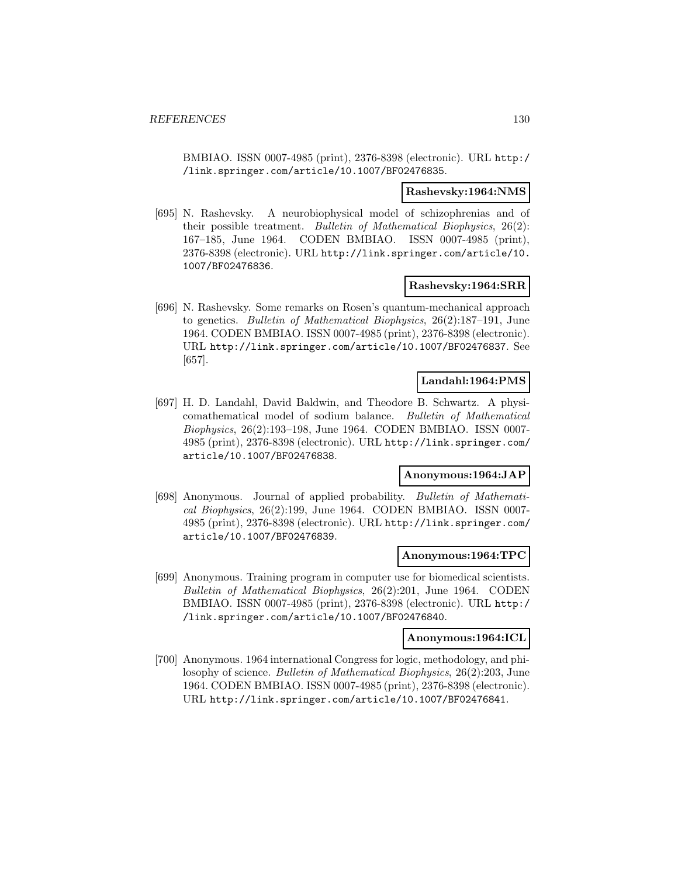BMBIAO. ISSN 0007-4985 (print), 2376-8398 (electronic). URL http:/ /link.springer.com/article/10.1007/BF02476835.

#### **Rashevsky:1964:NMS**

[695] N. Rashevsky. A neurobiophysical model of schizophrenias and of their possible treatment. Bulletin of Mathematical Biophysics, 26(2): 167–185, June 1964. CODEN BMBIAO. ISSN 0007-4985 (print), 2376-8398 (electronic). URL http://link.springer.com/article/10. 1007/BF02476836.

#### **Rashevsky:1964:SRR**

[696] N. Rashevsky. Some remarks on Rosen's quantum-mechanical approach to genetics. Bulletin of Mathematical Biophysics, 26(2):187–191, June 1964. CODEN BMBIAO. ISSN 0007-4985 (print), 2376-8398 (electronic). URL http://link.springer.com/article/10.1007/BF02476837. See [657].

## **Landahl:1964:PMS**

[697] H. D. Landahl, David Baldwin, and Theodore B. Schwartz. A physicomathematical model of sodium balance. Bulletin of Mathematical Biophysics, 26(2):193–198, June 1964. CODEN BMBIAO. ISSN 0007- 4985 (print), 2376-8398 (electronic). URL http://link.springer.com/ article/10.1007/BF02476838.

## **Anonymous:1964:JAP**

[698] Anonymous. Journal of applied probability. Bulletin of Mathematical Biophysics, 26(2):199, June 1964. CODEN BMBIAO. ISSN 0007- 4985 (print), 2376-8398 (electronic). URL http://link.springer.com/ article/10.1007/BF02476839.

#### **Anonymous:1964:TPC**

[699] Anonymous. Training program in computer use for biomedical scientists. Bulletin of Mathematical Biophysics, 26(2):201, June 1964. CODEN BMBIAO. ISSN 0007-4985 (print), 2376-8398 (electronic). URL http:/ /link.springer.com/article/10.1007/BF02476840.

### **Anonymous:1964:ICL**

[700] Anonymous. 1964 international Congress for logic, methodology, and philosophy of science. Bulletin of Mathematical Biophysics, 26(2):203, June 1964. CODEN BMBIAO. ISSN 0007-4985 (print), 2376-8398 (electronic). URL http://link.springer.com/article/10.1007/BF02476841.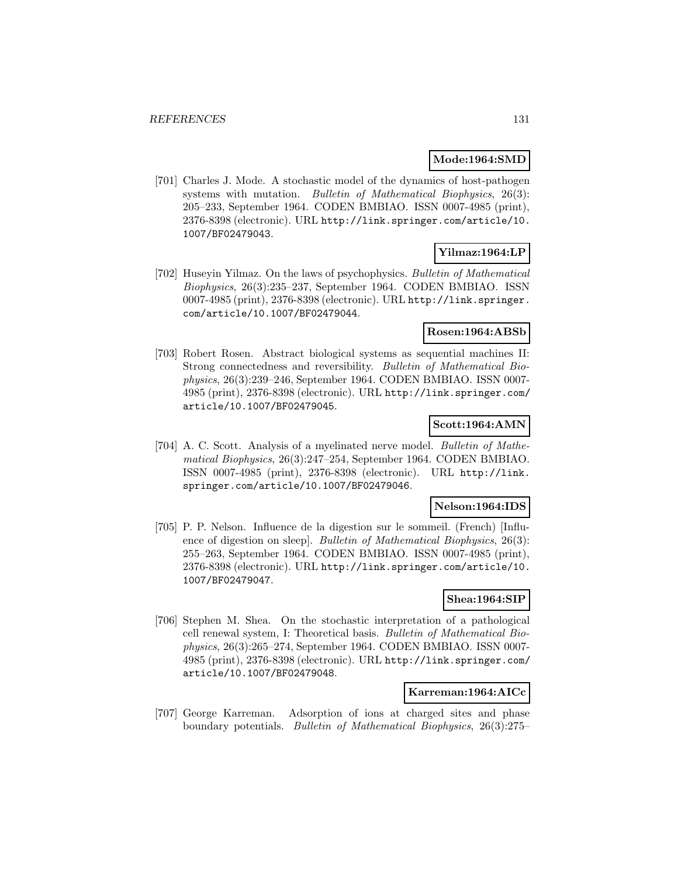#### **Mode:1964:SMD**

[701] Charles J. Mode. A stochastic model of the dynamics of host-pathogen systems with mutation. Bulletin of Mathematical Biophysics, 26(3): 205–233, September 1964. CODEN BMBIAO. ISSN 0007-4985 (print), 2376-8398 (electronic). URL http://link.springer.com/article/10. 1007/BF02479043.

# **Yilmaz:1964:LP**

[702] Huseyin Yilmaz. On the laws of psychophysics. Bulletin of Mathematical Biophysics, 26(3):235–237, September 1964. CODEN BMBIAO. ISSN 0007-4985 (print), 2376-8398 (electronic). URL http://link.springer. com/article/10.1007/BF02479044.

### **Rosen:1964:ABSb**

[703] Robert Rosen. Abstract biological systems as sequential machines II: Strong connectedness and reversibility. Bulletin of Mathematical Biophysics, 26(3):239–246, September 1964. CODEN BMBIAO. ISSN 0007- 4985 (print), 2376-8398 (electronic). URL http://link.springer.com/ article/10.1007/BF02479045.

### **Scott:1964:AMN**

[704] A. C. Scott. Analysis of a myelinated nerve model. Bulletin of Mathematical Biophysics, 26(3):247–254, September 1964. CODEN BMBIAO. ISSN 0007-4985 (print), 2376-8398 (electronic). URL http://link. springer.com/article/10.1007/BF02479046.

### **Nelson:1964:IDS**

[705] P. P. Nelson. Influence de la digestion sur le sommeil. (French) [Influence of digestion on sleep]. Bulletin of Mathematical Biophysics, 26(3): 255–263, September 1964. CODEN BMBIAO. ISSN 0007-4985 (print), 2376-8398 (electronic). URL http://link.springer.com/article/10. 1007/BF02479047.

### **Shea:1964:SIP**

[706] Stephen M. Shea. On the stochastic interpretation of a pathological cell renewal system, I: Theoretical basis. Bulletin of Mathematical Biophysics, 26(3):265–274, September 1964. CODEN BMBIAO. ISSN 0007- 4985 (print), 2376-8398 (electronic). URL http://link.springer.com/ article/10.1007/BF02479048.

### **Karreman:1964:AICc**

[707] George Karreman. Adsorption of ions at charged sites and phase boundary potentials. Bulletin of Mathematical Biophysics, 26(3):275–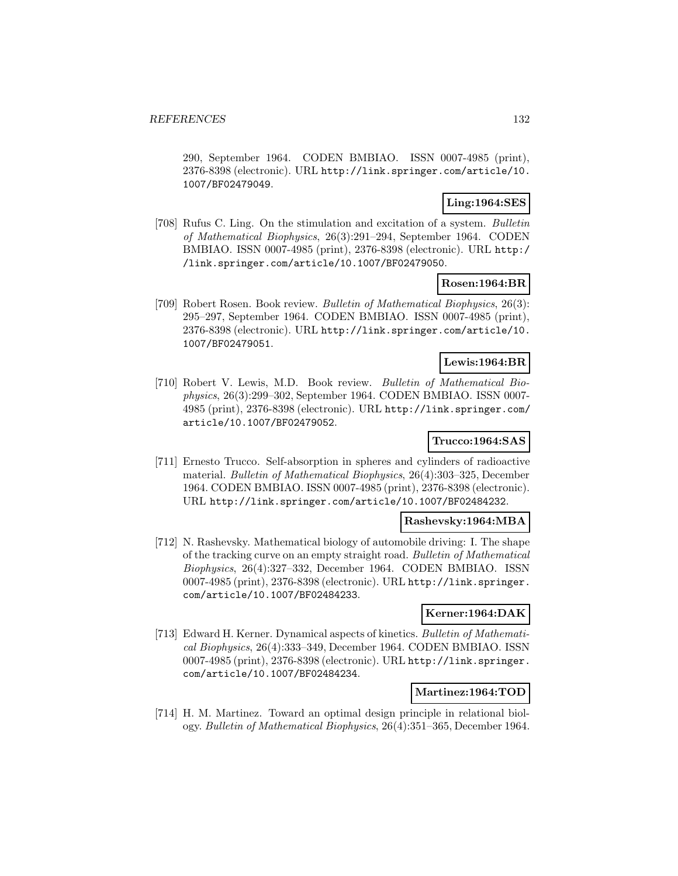290, September 1964. CODEN BMBIAO. ISSN 0007-4985 (print), 2376-8398 (electronic). URL http://link.springer.com/article/10. 1007/BF02479049.

# **Ling:1964:SES**

[708] Rufus C. Ling. On the stimulation and excitation of a system. Bulletin of Mathematical Biophysics, 26(3):291–294, September 1964. CODEN BMBIAO. ISSN 0007-4985 (print), 2376-8398 (electronic). URL http:/ /link.springer.com/article/10.1007/BF02479050.

### **Rosen:1964:BR**

[709] Robert Rosen. Book review. Bulletin of Mathematical Biophysics, 26(3): 295–297, September 1964. CODEN BMBIAO. ISSN 0007-4985 (print), 2376-8398 (electronic). URL http://link.springer.com/article/10. 1007/BF02479051.

# **Lewis:1964:BR**

[710] Robert V. Lewis, M.D. Book review. Bulletin of Mathematical Biophysics, 26(3):299–302, September 1964. CODEN BMBIAO. ISSN 0007- 4985 (print), 2376-8398 (electronic). URL http://link.springer.com/ article/10.1007/BF02479052.

# **Trucco:1964:SAS**

[711] Ernesto Trucco. Self-absorption in spheres and cylinders of radioactive material. Bulletin of Mathematical Biophysics, 26(4):303–325, December 1964. CODEN BMBIAO. ISSN 0007-4985 (print), 2376-8398 (electronic). URL http://link.springer.com/article/10.1007/BF02484232.

# **Rashevsky:1964:MBA**

[712] N. Rashevsky. Mathematical biology of automobile driving: I. The shape of the tracking curve on an empty straight road. Bulletin of Mathematical Biophysics, 26(4):327–332, December 1964. CODEN BMBIAO. ISSN 0007-4985 (print), 2376-8398 (electronic). URL http://link.springer. com/article/10.1007/BF02484233.

# **Kerner:1964:DAK**

[713] Edward H. Kerner. Dynamical aspects of kinetics. Bulletin of Mathematical Biophysics, 26(4):333–349, December 1964. CODEN BMBIAO. ISSN 0007-4985 (print), 2376-8398 (electronic). URL http://link.springer. com/article/10.1007/BF02484234.

### **Martinez:1964:TOD**

[714] H. M. Martinez. Toward an optimal design principle in relational biology. Bulletin of Mathematical Biophysics, 26(4):351–365, December 1964.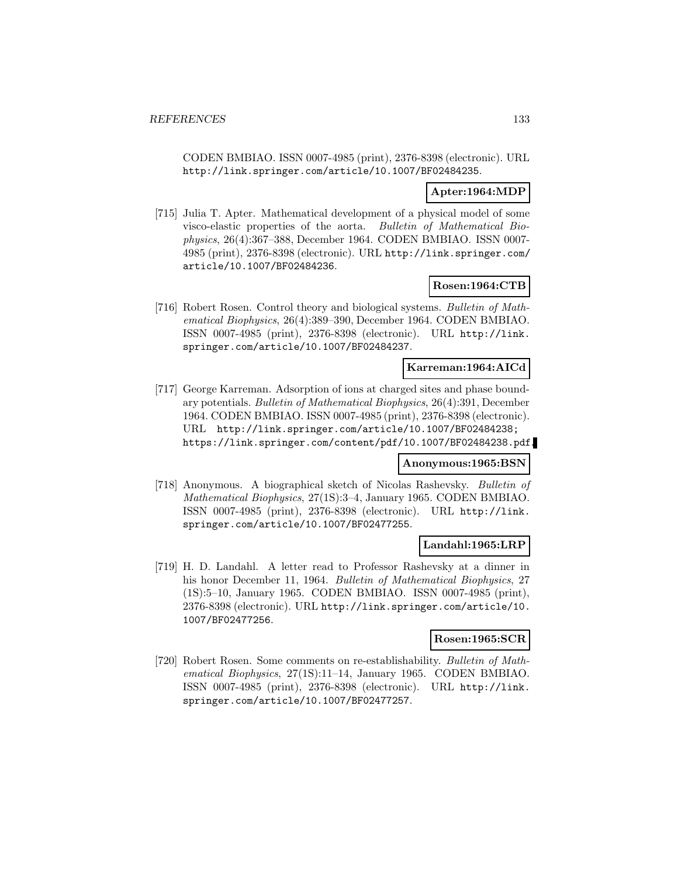CODEN BMBIAO. ISSN 0007-4985 (print), 2376-8398 (electronic). URL http://link.springer.com/article/10.1007/BF02484235.

# **Apter:1964:MDP**

[715] Julia T. Apter. Mathematical development of a physical model of some visco-elastic properties of the aorta. Bulletin of Mathematical Biophysics, 26(4):367–388, December 1964. CODEN BMBIAO. ISSN 0007- 4985 (print), 2376-8398 (electronic). URL http://link.springer.com/ article/10.1007/BF02484236.

### **Rosen:1964:CTB**

[716] Robert Rosen. Control theory and biological systems. Bulletin of Mathematical Biophysics, 26(4):389–390, December 1964. CODEN BMBIAO. ISSN 0007-4985 (print), 2376-8398 (electronic). URL http://link. springer.com/article/10.1007/BF02484237.

# **Karreman:1964:AICd**

[717] George Karreman. Adsorption of ions at charged sites and phase boundary potentials. Bulletin of Mathematical Biophysics, 26(4):391, December 1964. CODEN BMBIAO. ISSN 0007-4985 (print), 2376-8398 (electronic). URL http://link.springer.com/article/10.1007/BF02484238; https://link.springer.com/content/pdf/10.1007/BF02484238.pdf.

#### **Anonymous:1965:BSN**

[718] Anonymous. A biographical sketch of Nicolas Rashevsky. Bulletin of Mathematical Biophysics, 27(1S):3–4, January 1965. CODEN BMBIAO. ISSN 0007-4985 (print), 2376-8398 (electronic). URL http://link. springer.com/article/10.1007/BF02477255.

### **Landahl:1965:LRP**

[719] H. D. Landahl. A letter read to Professor Rashevsky at a dinner in his honor December 11, 1964. Bulletin of Mathematical Biophysics, 27 (1S):5–10, January 1965. CODEN BMBIAO. ISSN 0007-4985 (print), 2376-8398 (electronic). URL http://link.springer.com/article/10. 1007/BF02477256.

# **Rosen:1965:SCR**

[720] Robert Rosen. Some comments on re-establishability. Bulletin of Mathematical Biophysics, 27(1S):11–14, January 1965. CODEN BMBIAO. ISSN 0007-4985 (print), 2376-8398 (electronic). URL http://link. springer.com/article/10.1007/BF02477257.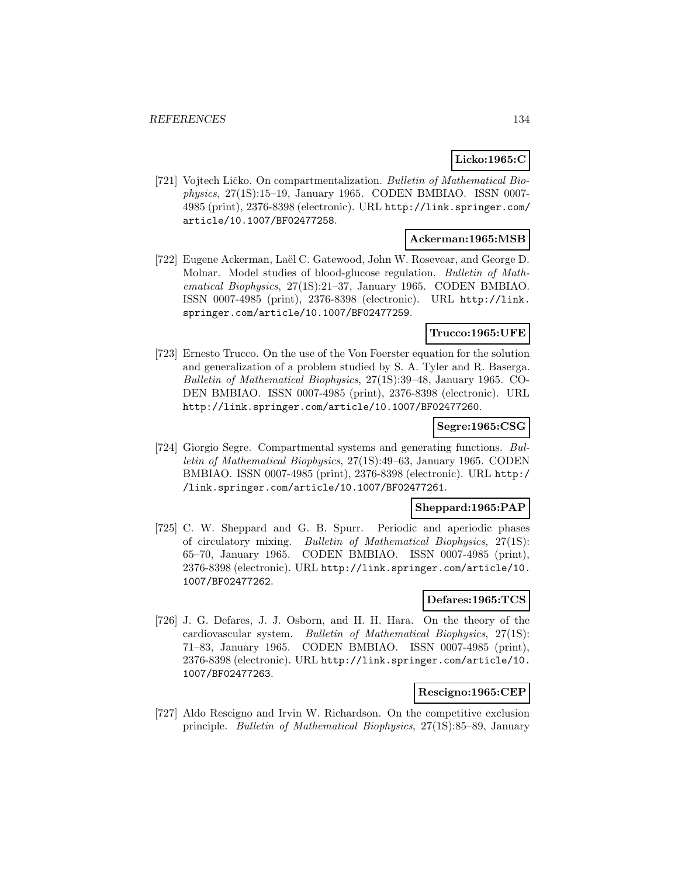# **Licko:1965:C**

[721] Vojtech Ličko. On compartmentalization. Bulletin of Mathematical Biophysics, 27(1S):15–19, January 1965. CODEN BMBIAO. ISSN 0007- 4985 (print), 2376-8398 (electronic). URL http://link.springer.com/ article/10.1007/BF02477258.

### **Ackerman:1965:MSB**

[722] Eugene Ackerman, Laël C. Gatewood, John W. Rosevear, and George D. Molnar. Model studies of blood-glucose regulation. Bulletin of Mathematical Biophysics, 27(1S):21–37, January 1965. CODEN BMBIAO. ISSN 0007-4985 (print), 2376-8398 (electronic). URL http://link. springer.com/article/10.1007/BF02477259.

# **Trucco:1965:UFE**

[723] Ernesto Trucco. On the use of the Von Foerster equation for the solution and generalization of a problem studied by S. A. Tyler and R. Baserga. Bulletin of Mathematical Biophysics, 27(1S):39–48, January 1965. CO-DEN BMBIAO. ISSN 0007-4985 (print), 2376-8398 (electronic). URL http://link.springer.com/article/10.1007/BF02477260.

# **Segre:1965:CSG**

[724] Giorgio Segre. Compartmental systems and generating functions. Bulletin of Mathematical Biophysics, 27(1S):49–63, January 1965. CODEN BMBIAO. ISSN 0007-4985 (print), 2376-8398 (electronic). URL http:/ /link.springer.com/article/10.1007/BF02477261.

#### **Sheppard:1965:PAP**

[725] C. W. Sheppard and G. B. Spurr. Periodic and aperiodic phases of circulatory mixing. Bulletin of Mathematical Biophysics, 27(1S): 65–70, January 1965. CODEN BMBIAO. ISSN 0007-4985 (print), 2376-8398 (electronic). URL http://link.springer.com/article/10. 1007/BF02477262.

### **Defares:1965:TCS**

[726] J. G. Defares, J. J. Osborn, and H. H. Hara. On the theory of the cardiovascular system. Bulletin of Mathematical Biophysics, 27(1S): 71–83, January 1965. CODEN BMBIAO. ISSN 0007-4985 (print), 2376-8398 (electronic). URL http://link.springer.com/article/10. 1007/BF02477263.

# **Rescigno:1965:CEP**

[727] Aldo Rescigno and Irvin W. Richardson. On the competitive exclusion principle. Bulletin of Mathematical Biophysics, 27(1S):85–89, January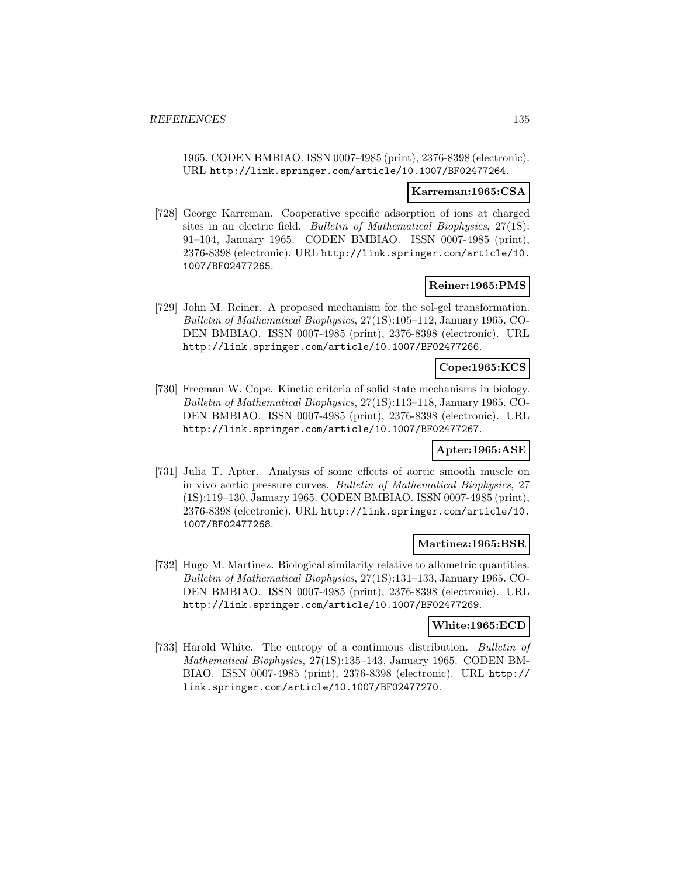1965. CODEN BMBIAO. ISSN 0007-4985 (print), 2376-8398 (electronic). URL http://link.springer.com/article/10.1007/BF02477264.

#### **Karreman:1965:CSA**

[728] George Karreman. Cooperative specific adsorption of ions at charged sites in an electric field. Bulletin of Mathematical Biophysics, 27(1S): 91–104, January 1965. CODEN BMBIAO. ISSN 0007-4985 (print), 2376-8398 (electronic). URL http://link.springer.com/article/10. 1007/BF02477265.

### **Reiner:1965:PMS**

[729] John M. Reiner. A proposed mechanism for the sol-gel transformation. Bulletin of Mathematical Biophysics, 27(1S):105–112, January 1965. CO-DEN BMBIAO. ISSN 0007-4985 (print), 2376-8398 (electronic). URL http://link.springer.com/article/10.1007/BF02477266.

### **Cope:1965:KCS**

[730] Freeman W. Cope. Kinetic criteria of solid state mechanisms in biology. Bulletin of Mathematical Biophysics, 27(1S):113–118, January 1965. CO-DEN BMBIAO. ISSN 0007-4985 (print), 2376-8398 (electronic). URL http://link.springer.com/article/10.1007/BF02477267.

### **Apter:1965:ASE**

[731] Julia T. Apter. Analysis of some effects of aortic smooth muscle on in vivo aortic pressure curves. Bulletin of Mathematical Biophysics, 27 (1S):119–130, January 1965. CODEN BMBIAO. ISSN 0007-4985 (print), 2376-8398 (electronic). URL http://link.springer.com/article/10. 1007/BF02477268.

### **Martinez:1965:BSR**

[732] Hugo M. Martinez. Biological similarity relative to allometric quantities. Bulletin of Mathematical Biophysics, 27(1S):131–133, January 1965. CO-DEN BMBIAO. ISSN 0007-4985 (print), 2376-8398 (electronic). URL http://link.springer.com/article/10.1007/BF02477269.

### **White:1965:ECD**

[733] Harold White. The entropy of a continuous distribution. Bulletin of Mathematical Biophysics, 27(1S):135–143, January 1965. CODEN BM-BIAO. ISSN 0007-4985 (print), 2376-8398 (electronic). URL http:// link.springer.com/article/10.1007/BF02477270.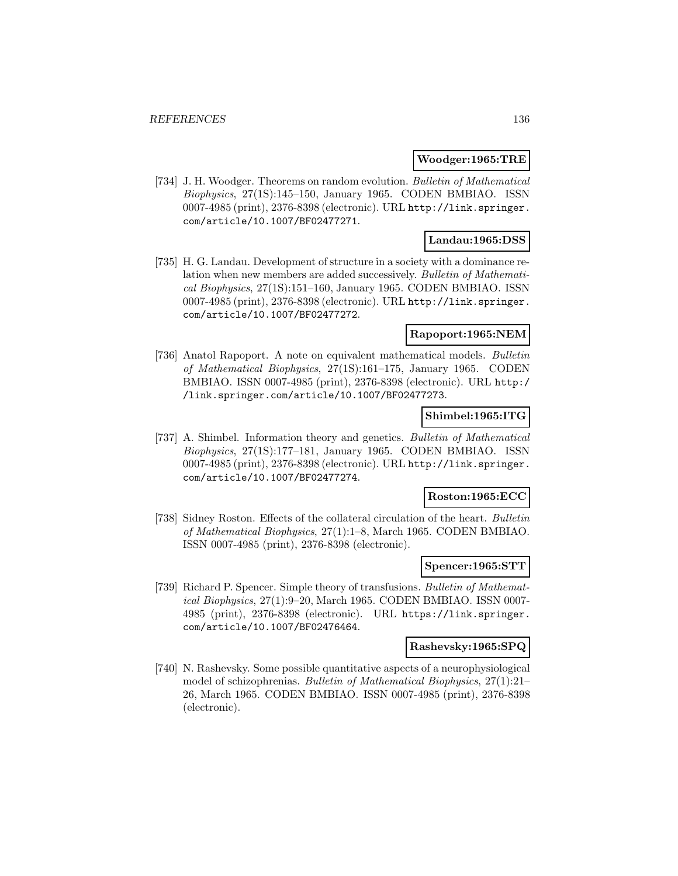#### **Woodger:1965:TRE**

[734] J. H. Woodger. Theorems on random evolution. Bulletin of Mathematical Biophysics, 27(1S):145–150, January 1965. CODEN BMBIAO. ISSN 0007-4985 (print), 2376-8398 (electronic). URL http://link.springer. com/article/10.1007/BF02477271.

### **Landau:1965:DSS**

[735] H. G. Landau. Development of structure in a society with a dominance relation when new members are added successively. Bulletin of Mathematical Biophysics, 27(1S):151–160, January 1965. CODEN BMBIAO. ISSN 0007-4985 (print), 2376-8398 (electronic). URL http://link.springer. com/article/10.1007/BF02477272.

# **Rapoport:1965:NEM**

[736] Anatol Rapoport. A note on equivalent mathematical models. Bulletin of Mathematical Biophysics, 27(1S):161–175, January 1965. CODEN BMBIAO. ISSN 0007-4985 (print), 2376-8398 (electronic). URL http:/ /link.springer.com/article/10.1007/BF02477273.

#### **Shimbel:1965:ITG**

[737] A. Shimbel. Information theory and genetics. Bulletin of Mathematical Biophysics, 27(1S):177–181, January 1965. CODEN BMBIAO. ISSN 0007-4985 (print), 2376-8398 (electronic). URL http://link.springer. com/article/10.1007/BF02477274.

# **Roston:1965:ECC**

[738] Sidney Roston. Effects of the collateral circulation of the heart. Bulletin of Mathematical Biophysics, 27(1):1–8, March 1965. CODEN BMBIAO. ISSN 0007-4985 (print), 2376-8398 (electronic).

#### **Spencer:1965:STT**

[739] Richard P. Spencer. Simple theory of transfusions. Bulletin of Mathematical Biophysics, 27(1):9–20, March 1965. CODEN BMBIAO. ISSN 0007- 4985 (print), 2376-8398 (electronic). URL https://link.springer. com/article/10.1007/BF02476464.

#### **Rashevsky:1965:SPQ**

[740] N. Rashevsky. Some possible quantitative aspects of a neurophysiological model of schizophrenias. Bulletin of Mathematical Biophysics, 27(1):21– 26, March 1965. CODEN BMBIAO. ISSN 0007-4985 (print), 2376-8398 (electronic).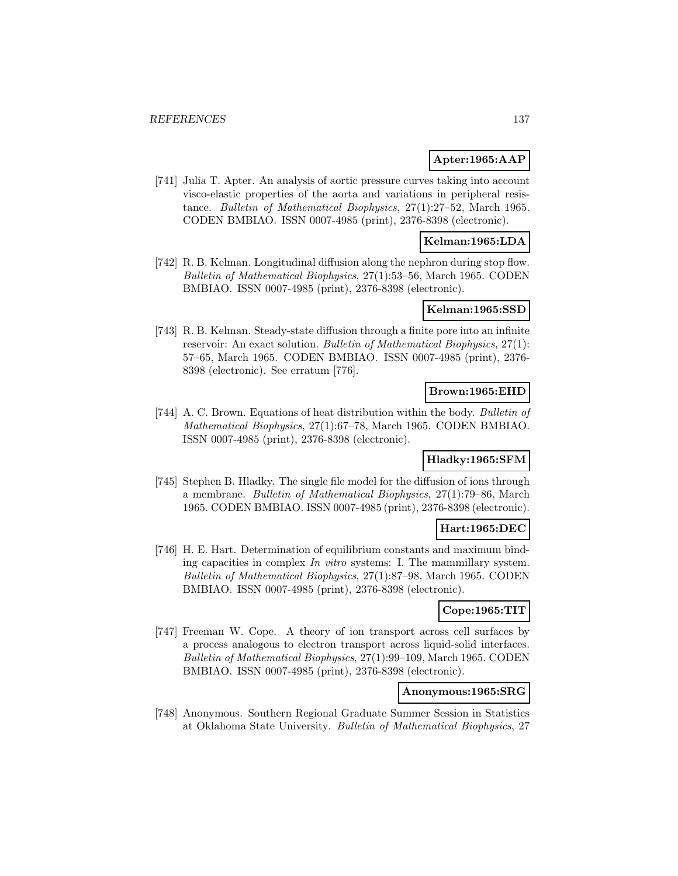# **Apter:1965:AAP**

[741] Julia T. Apter. An analysis of aortic pressure curves taking into account visco-elastic properties of the aorta and variations in peripheral resistance. Bulletin of Mathematical Biophysics, 27(1):27–52, March 1965. CODEN BMBIAO. ISSN 0007-4985 (print), 2376-8398 (electronic).

#### **Kelman:1965:LDA**

[742] R. B. Kelman. Longitudinal diffusion along the nephron during stop flow. Bulletin of Mathematical Biophysics, 27(1):53–56, March 1965. CODEN BMBIAO. ISSN 0007-4985 (print), 2376-8398 (electronic).

# **Kelman:1965:SSD**

[743] R. B. Kelman. Steady-state diffusion through a finite pore into an infinite reservoir: An exact solution. Bulletin of Mathematical Biophysics, 27(1): 57–65, March 1965. CODEN BMBIAO. ISSN 0007-4985 (print), 2376- 8398 (electronic). See erratum [776].

### **Brown:1965:EHD**

[744] A. C. Brown. Equations of heat distribution within the body. Bulletin of Mathematical Biophysics, 27(1):67–78, March 1965. CODEN BMBIAO. ISSN 0007-4985 (print), 2376-8398 (electronic).

# **Hladky:1965:SFM**

[745] Stephen B. Hladky. The single file model for the diffusion of ions through a membrane. Bulletin of Mathematical Biophysics, 27(1):79–86, March 1965. CODEN BMBIAO. ISSN 0007-4985 (print), 2376-8398 (electronic).

# **Hart:1965:DEC**

[746] H. E. Hart. Determination of equilibrium constants and maximum binding capacities in complex In vitro systems: I. The mammillary system. Bulletin of Mathematical Biophysics, 27(1):87–98, March 1965. CODEN BMBIAO. ISSN 0007-4985 (print), 2376-8398 (electronic).

#### **Cope:1965:TIT**

[747] Freeman W. Cope. A theory of ion transport across cell surfaces by a process analogous to electron transport across liquid-solid interfaces. Bulletin of Mathematical Biophysics, 27(1):99–109, March 1965. CODEN BMBIAO. ISSN 0007-4985 (print), 2376-8398 (electronic).

### **Anonymous:1965:SRG**

[748] Anonymous. Southern Regional Graduate Summer Session in Statistics at Oklahoma State University. Bulletin of Mathematical Biophysics, 27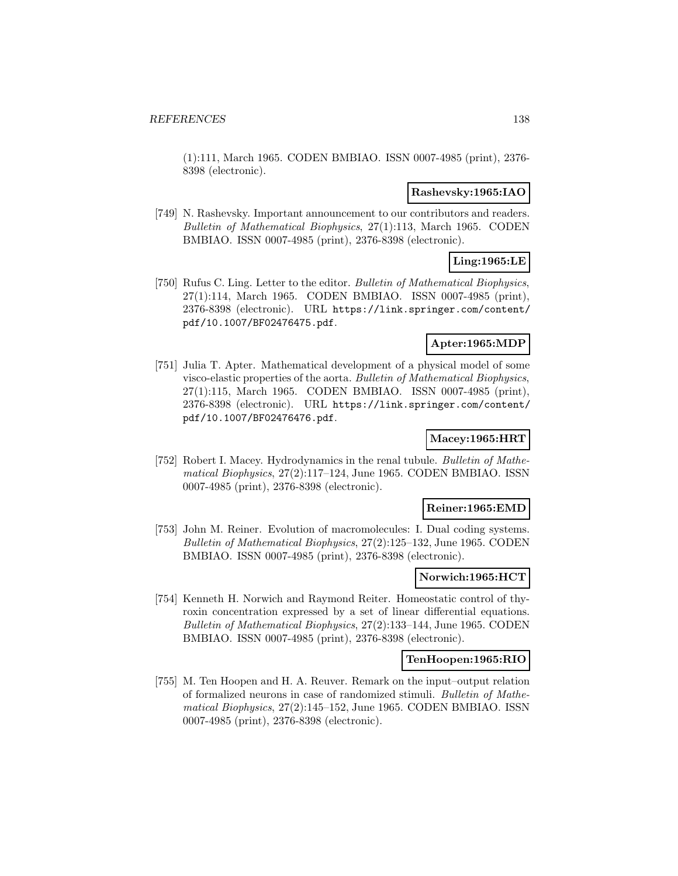(1):111, March 1965. CODEN BMBIAO. ISSN 0007-4985 (print), 2376- 8398 (electronic).

#### **Rashevsky:1965:IAO**

[749] N. Rashevsky. Important announcement to our contributors and readers. Bulletin of Mathematical Biophysics, 27(1):113, March 1965. CODEN BMBIAO. ISSN 0007-4985 (print), 2376-8398 (electronic).

# **Ling:1965:LE**

[750] Rufus C. Ling. Letter to the editor. Bulletin of Mathematical Biophysics, 27(1):114, March 1965. CODEN BMBIAO. ISSN 0007-4985 (print), 2376-8398 (electronic). URL https://link.springer.com/content/ pdf/10.1007/BF02476475.pdf.

#### **Apter:1965:MDP**

[751] Julia T. Apter. Mathematical development of a physical model of some visco-elastic properties of the aorta. Bulletin of Mathematical Biophysics, 27(1):115, March 1965. CODEN BMBIAO. ISSN 0007-4985 (print), 2376-8398 (electronic). URL https://link.springer.com/content/ pdf/10.1007/BF02476476.pdf.

# **Macey:1965:HRT**

[752] Robert I. Macey. Hydrodynamics in the renal tubule. Bulletin of Mathematical Biophysics, 27(2):117–124, June 1965. CODEN BMBIAO. ISSN 0007-4985 (print), 2376-8398 (electronic).

#### **Reiner:1965:EMD**

[753] John M. Reiner. Evolution of macromolecules: I. Dual coding systems. Bulletin of Mathematical Biophysics, 27(2):125–132, June 1965. CODEN BMBIAO. ISSN 0007-4985 (print), 2376-8398 (electronic).

#### **Norwich:1965:HCT**

[754] Kenneth H. Norwich and Raymond Reiter. Homeostatic control of thyroxin concentration expressed by a set of linear differential equations. Bulletin of Mathematical Biophysics, 27(2):133–144, June 1965. CODEN BMBIAO. ISSN 0007-4985 (print), 2376-8398 (electronic).

#### **TenHoopen:1965:RIO**

[755] M. Ten Hoopen and H. A. Reuver. Remark on the input–output relation of formalized neurons in case of randomized stimuli. Bulletin of Mathematical Biophysics, 27(2):145–152, June 1965. CODEN BMBIAO. ISSN 0007-4985 (print), 2376-8398 (electronic).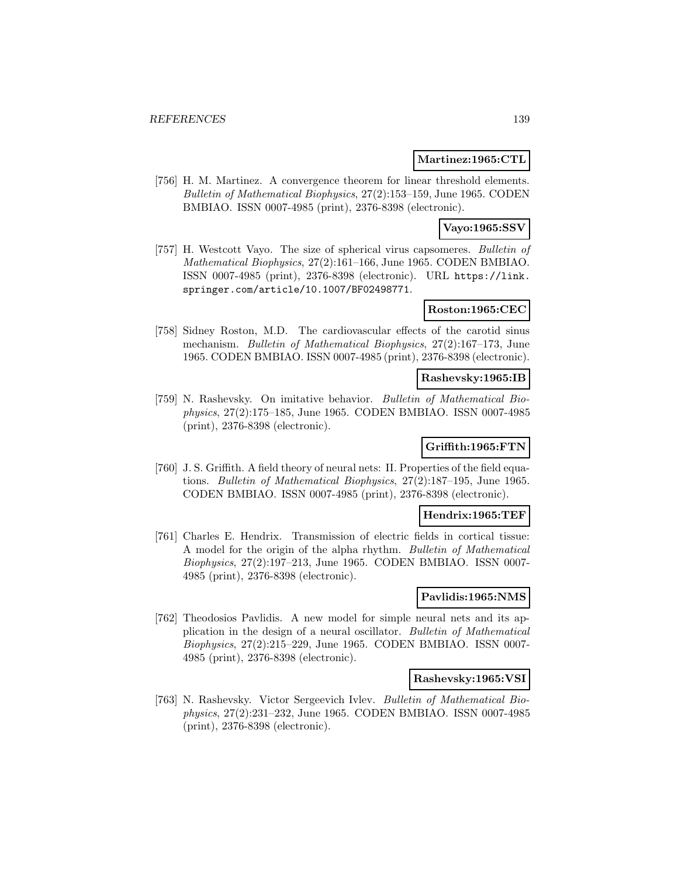#### **Martinez:1965:CTL**

[756] H. M. Martinez. A convergence theorem for linear threshold elements. Bulletin of Mathematical Biophysics, 27(2):153–159, June 1965. CODEN BMBIAO. ISSN 0007-4985 (print), 2376-8398 (electronic).

# **Vayo:1965:SSV**

[757] H. Westcott Vayo. The size of spherical virus capsomeres. Bulletin of Mathematical Biophysics, 27(2):161–166, June 1965. CODEN BMBIAO. ISSN 0007-4985 (print), 2376-8398 (electronic). URL https://link. springer.com/article/10.1007/BF02498771.

## **Roston:1965:CEC**

[758] Sidney Roston, M.D. The cardiovascular effects of the carotid sinus mechanism. Bulletin of Mathematical Biophysics, 27(2):167–173, June 1965. CODEN BMBIAO. ISSN 0007-4985 (print), 2376-8398 (electronic).

#### **Rashevsky:1965:IB**

[759] N. Rashevsky. On imitative behavior. Bulletin of Mathematical Biophysics, 27(2):175–185, June 1965. CODEN BMBIAO. ISSN 0007-4985 (print), 2376-8398 (electronic).

# **Griffith:1965:FTN**

[760] J. S. Griffith. A field theory of neural nets: II. Properties of the field equations. Bulletin of Mathematical Biophysics, 27(2):187–195, June 1965. CODEN BMBIAO. ISSN 0007-4985 (print), 2376-8398 (electronic).

### **Hendrix:1965:TEF**

[761] Charles E. Hendrix. Transmission of electric fields in cortical tissue: A model for the origin of the alpha rhythm. Bulletin of Mathematical Biophysics, 27(2):197–213, June 1965. CODEN BMBIAO. ISSN 0007- 4985 (print), 2376-8398 (electronic).

### **Pavlidis:1965:NMS**

[762] Theodosios Pavlidis. A new model for simple neural nets and its application in the design of a neural oscillator. Bulletin of Mathematical Biophysics, 27(2):215–229, June 1965. CODEN BMBIAO. ISSN 0007- 4985 (print), 2376-8398 (electronic).

### **Rashevsky:1965:VSI**

[763] N. Rashevsky. Victor Sergeevich Ivlev. Bulletin of Mathematical Biophysics, 27(2):231–232, June 1965. CODEN BMBIAO. ISSN 0007-4985 (print), 2376-8398 (electronic).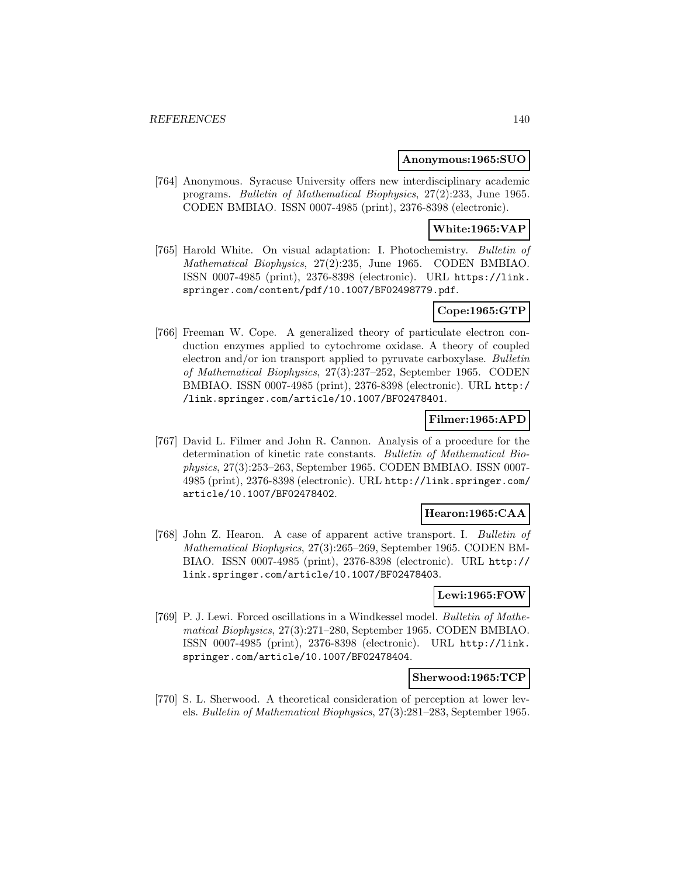#### **Anonymous:1965:SUO**

[764] Anonymous. Syracuse University offers new interdisciplinary academic programs. Bulletin of Mathematical Biophysics, 27(2):233, June 1965. CODEN BMBIAO. ISSN 0007-4985 (print), 2376-8398 (electronic).

# **White:1965:VAP**

[765] Harold White. On visual adaptation: I. Photochemistry. Bulletin of Mathematical Biophysics, 27(2):235, June 1965. CODEN BMBIAO. ISSN 0007-4985 (print), 2376-8398 (electronic). URL https://link. springer.com/content/pdf/10.1007/BF02498779.pdf.

# **Cope:1965:GTP**

[766] Freeman W. Cope. A generalized theory of particulate electron conduction enzymes applied to cytochrome oxidase. A theory of coupled electron and/or ion transport applied to pyruvate carboxylase. Bulletin of Mathematical Biophysics, 27(3):237–252, September 1965. CODEN BMBIAO. ISSN 0007-4985 (print), 2376-8398 (electronic). URL http:/ /link.springer.com/article/10.1007/BF02478401.

# **Filmer:1965:APD**

[767] David L. Filmer and John R. Cannon. Analysis of a procedure for the determination of kinetic rate constants. Bulletin of Mathematical Biophysics, 27(3):253–263, September 1965. CODEN BMBIAO. ISSN 0007- 4985 (print), 2376-8398 (electronic). URL http://link.springer.com/ article/10.1007/BF02478402.

#### **Hearon:1965:CAA**

[768] John Z. Hearon. A case of apparent active transport. I. Bulletin of Mathematical Biophysics, 27(3):265–269, September 1965. CODEN BM-BIAO. ISSN 0007-4985 (print), 2376-8398 (electronic). URL http:// link.springer.com/article/10.1007/BF02478403.

#### **Lewi:1965:FOW**

[769] P. J. Lewi. Forced oscillations in a Windkessel model. Bulletin of Mathematical Biophysics, 27(3):271–280, September 1965. CODEN BMBIAO. ISSN 0007-4985 (print), 2376-8398 (electronic). URL http://link. springer.com/article/10.1007/BF02478404.

#### **Sherwood:1965:TCP**

[770] S. L. Sherwood. A theoretical consideration of perception at lower levels. Bulletin of Mathematical Biophysics, 27(3):281–283, September 1965.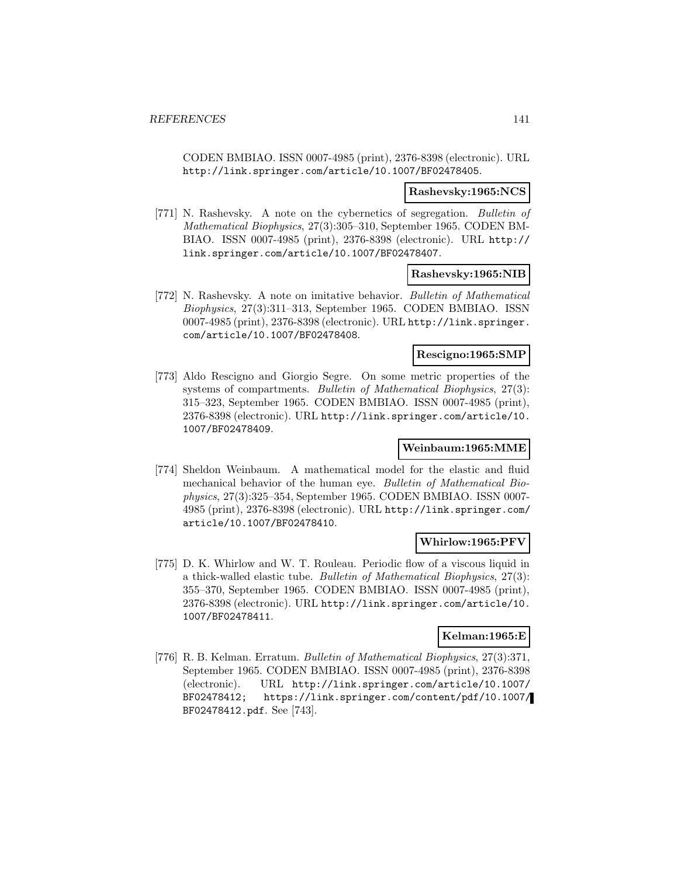CODEN BMBIAO. ISSN 0007-4985 (print), 2376-8398 (electronic). URL http://link.springer.com/article/10.1007/BF02478405.

#### **Rashevsky:1965:NCS**

[771] N. Rashevsky. A note on the cybernetics of segregation. Bulletin of Mathematical Biophysics, 27(3):305–310, September 1965. CODEN BM-BIAO. ISSN 0007-4985 (print), 2376-8398 (electronic). URL http:// link.springer.com/article/10.1007/BF02478407.

#### **Rashevsky:1965:NIB**

[772] N. Rashevsky. A note on imitative behavior. Bulletin of Mathematical Biophysics, 27(3):311–313, September 1965. CODEN BMBIAO. ISSN 0007-4985 (print), 2376-8398 (electronic). URL http://link.springer. com/article/10.1007/BF02478408.

#### **Rescigno:1965:SMP**

[773] Aldo Rescigno and Giorgio Segre. On some metric properties of the systems of compartments. Bulletin of Mathematical Biophysics, 27(3): 315–323, September 1965. CODEN BMBIAO. ISSN 0007-4985 (print), 2376-8398 (electronic). URL http://link.springer.com/article/10. 1007/BF02478409.

### **Weinbaum:1965:MME**

[774] Sheldon Weinbaum. A mathematical model for the elastic and fluid mechanical behavior of the human eye. Bulletin of Mathematical Biophysics, 27(3):325–354, September 1965. CODEN BMBIAO. ISSN 0007- 4985 (print), 2376-8398 (electronic). URL http://link.springer.com/ article/10.1007/BF02478410.

#### **Whirlow:1965:PFV**

[775] D. K. Whirlow and W. T. Rouleau. Periodic flow of a viscous liquid in a thick-walled elastic tube. Bulletin of Mathematical Biophysics, 27(3): 355–370, September 1965. CODEN BMBIAO. ISSN 0007-4985 (print), 2376-8398 (electronic). URL http://link.springer.com/article/10. 1007/BF02478411.

#### **Kelman:1965:E**

[776] R. B. Kelman. Erratum. Bulletin of Mathematical Biophysics, 27(3):371, September 1965. CODEN BMBIAO. ISSN 0007-4985 (print), 2376-8398 (electronic). URL http://link.springer.com/article/10.1007/ BF02478412; https://link.springer.com/content/pdf/10.1007/ BF02478412.pdf. See [743].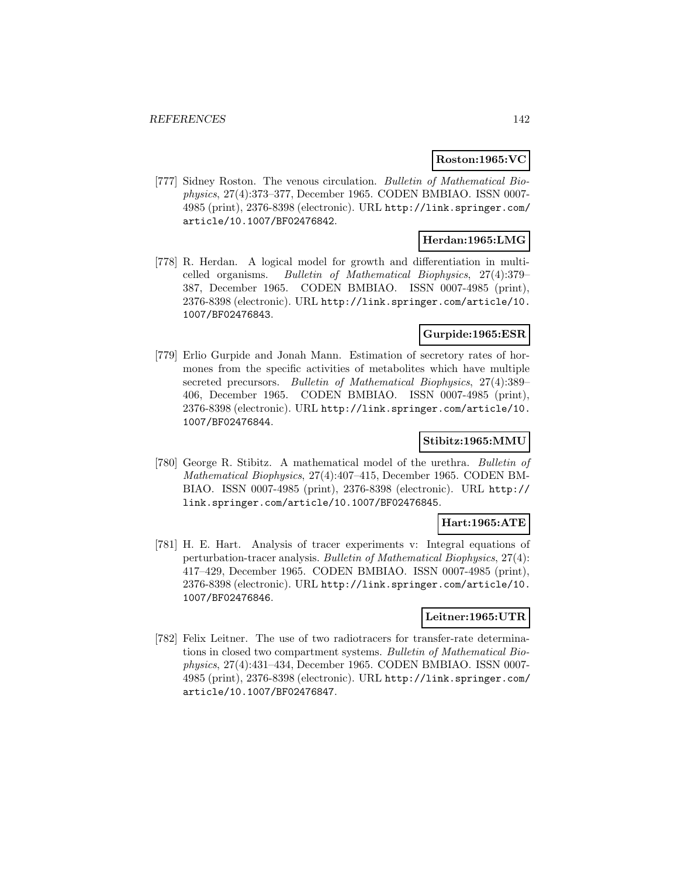### **Roston:1965:VC**

[777] Sidney Roston. The venous circulation. Bulletin of Mathematical Biophysics, 27(4):373–377, December 1965. CODEN BMBIAO. ISSN 0007- 4985 (print), 2376-8398 (electronic). URL http://link.springer.com/ article/10.1007/BF02476842.

# **Herdan:1965:LMG**

[778] R. Herdan. A logical model for growth and differentiation in multicelled organisms. Bulletin of Mathematical Biophysics, 27(4):379– 387, December 1965. CODEN BMBIAO. ISSN 0007-4985 (print), 2376-8398 (electronic). URL http://link.springer.com/article/10. 1007/BF02476843.

# **Gurpide:1965:ESR**

[779] Erlio Gurpide and Jonah Mann. Estimation of secretory rates of hormones from the specific activities of metabolites which have multiple secreted precursors. Bulletin of Mathematical Biophysics, 27(4):389– 406, December 1965. CODEN BMBIAO. ISSN 0007-4985 (print), 2376-8398 (electronic). URL http://link.springer.com/article/10. 1007/BF02476844.

## **Stibitz:1965:MMU**

[780] George R. Stibitz. A mathematical model of the urethra. Bulletin of Mathematical Biophysics, 27(4):407–415, December 1965. CODEN BM-BIAO. ISSN 0007-4985 (print), 2376-8398 (electronic). URL http:// link.springer.com/article/10.1007/BF02476845.

#### **Hart:1965:ATE**

[781] H. E. Hart. Analysis of tracer experiments v: Integral equations of perturbation-tracer analysis. Bulletin of Mathematical Biophysics, 27(4): 417–429, December 1965. CODEN BMBIAO. ISSN 0007-4985 (print), 2376-8398 (electronic). URL http://link.springer.com/article/10. 1007/BF02476846.

### **Leitner:1965:UTR**

[782] Felix Leitner. The use of two radiotracers for transfer-rate determinations in closed two compartment systems. Bulletin of Mathematical Biophysics, 27(4):431–434, December 1965. CODEN BMBIAO. ISSN 0007- 4985 (print), 2376-8398 (electronic). URL http://link.springer.com/ article/10.1007/BF02476847.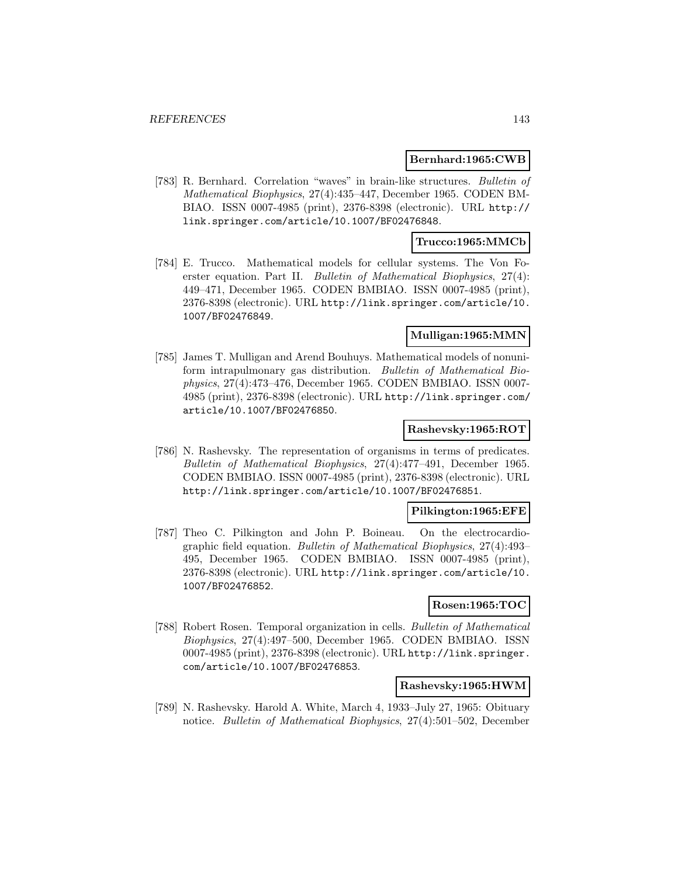#### **Bernhard:1965:CWB**

[783] R. Bernhard. Correlation "waves" in brain-like structures. Bulletin of Mathematical Biophysics, 27(4):435–447, December 1965. CODEN BM-BIAO. ISSN 0007-4985 (print), 2376-8398 (electronic). URL http:// link.springer.com/article/10.1007/BF02476848.

### **Trucco:1965:MMCb**

[784] E. Trucco. Mathematical models for cellular systems. The Von Foerster equation. Part II. Bulletin of Mathematical Biophysics, 27(4): 449–471, December 1965. CODEN BMBIAO. ISSN 0007-4985 (print), 2376-8398 (electronic). URL http://link.springer.com/article/10. 1007/BF02476849.

### **Mulligan:1965:MMN**

[785] James T. Mulligan and Arend Bouhuys. Mathematical models of nonuniform intrapulmonary gas distribution. Bulletin of Mathematical Biophysics, 27(4):473–476, December 1965. CODEN BMBIAO. ISSN 0007- 4985 (print), 2376-8398 (electronic). URL http://link.springer.com/ article/10.1007/BF02476850.

#### **Rashevsky:1965:ROT**

[786] N. Rashevsky. The representation of organisms in terms of predicates. Bulletin of Mathematical Biophysics, 27(4):477–491, December 1965. CODEN BMBIAO. ISSN 0007-4985 (print), 2376-8398 (electronic). URL http://link.springer.com/article/10.1007/BF02476851.

### **Pilkington:1965:EFE**

[787] Theo C. Pilkington and John P. Boineau. On the electrocardiographic field equation. Bulletin of Mathematical Biophysics, 27(4):493– 495, December 1965. CODEN BMBIAO. ISSN 0007-4985 (print), 2376-8398 (electronic). URL http://link.springer.com/article/10. 1007/BF02476852.

#### **Rosen:1965:TOC**

[788] Robert Rosen. Temporal organization in cells. Bulletin of Mathematical Biophysics, 27(4):497–500, December 1965. CODEN BMBIAO. ISSN 0007-4985 (print), 2376-8398 (electronic). URL http://link.springer. com/article/10.1007/BF02476853.

#### **Rashevsky:1965:HWM**

[789] N. Rashevsky. Harold A. White, March 4, 1933–July 27, 1965: Obituary notice. Bulletin of Mathematical Biophysics, 27(4):501–502, December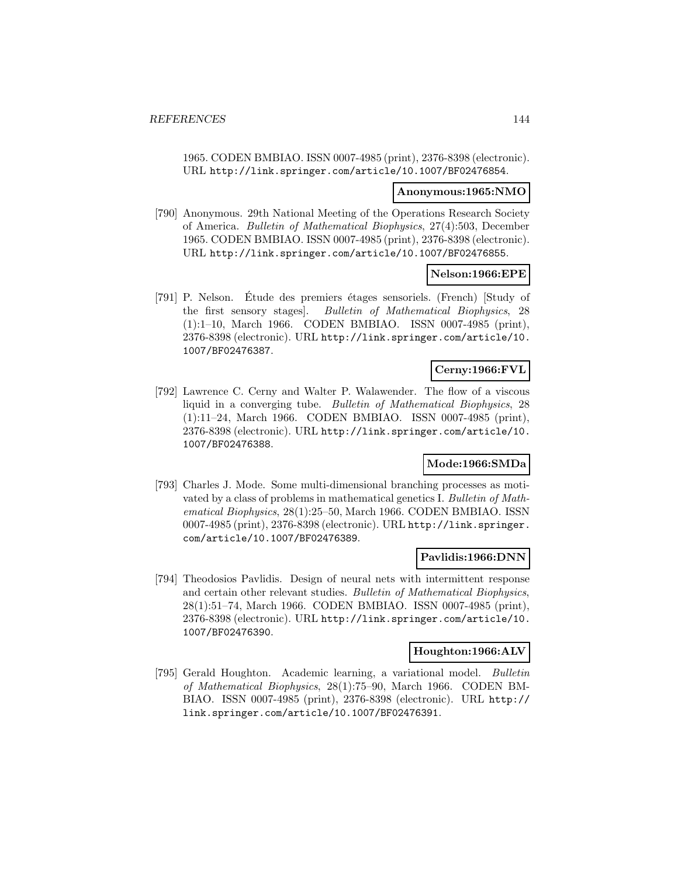1965. CODEN BMBIAO. ISSN 0007-4985 (print), 2376-8398 (electronic). URL http://link.springer.com/article/10.1007/BF02476854.

#### **Anonymous:1965:NMO**

[790] Anonymous. 29th National Meeting of the Operations Research Society of America. Bulletin of Mathematical Biophysics, 27(4):503, December 1965. CODEN BMBIAO. ISSN 0007-4985 (print), 2376-8398 (electronic). URL http://link.springer.com/article/10.1007/BF02476855.

### **Nelson:1966:EPE**

[791] P. Nelson. Étude des premiers étages sensoriels. (French) [Study of the first sensory stages]. Bulletin of Mathematical Biophysics, 28 (1):1–10, March 1966. CODEN BMBIAO. ISSN 0007-4985 (print), 2376-8398 (electronic). URL http://link.springer.com/article/10. 1007/BF02476387.

## **Cerny:1966:FVL**

[792] Lawrence C. Cerny and Walter P. Walawender. The flow of a viscous liquid in a converging tube. Bulletin of Mathematical Biophysics, 28 (1):11–24, March 1966. CODEN BMBIAO. ISSN 0007-4985 (print), 2376-8398 (electronic). URL http://link.springer.com/article/10. 1007/BF02476388.

#### **Mode:1966:SMDa**

[793] Charles J. Mode. Some multi-dimensional branching processes as motivated by a class of problems in mathematical genetics I. Bulletin of Mathematical Biophysics, 28(1):25–50, March 1966. CODEN BMBIAO. ISSN 0007-4985 (print), 2376-8398 (electronic). URL http://link.springer. com/article/10.1007/BF02476389.

#### **Pavlidis:1966:DNN**

[794] Theodosios Pavlidis. Design of neural nets with intermittent response and certain other relevant studies. Bulletin of Mathematical Biophysics, 28(1):51–74, March 1966. CODEN BMBIAO. ISSN 0007-4985 (print), 2376-8398 (electronic). URL http://link.springer.com/article/10. 1007/BF02476390.

### **Houghton:1966:ALV**

[795] Gerald Houghton. Academic learning, a variational model. Bulletin of Mathematical Biophysics, 28(1):75–90, March 1966. CODEN BM-BIAO. ISSN 0007-4985 (print), 2376-8398 (electronic). URL http:// link.springer.com/article/10.1007/BF02476391.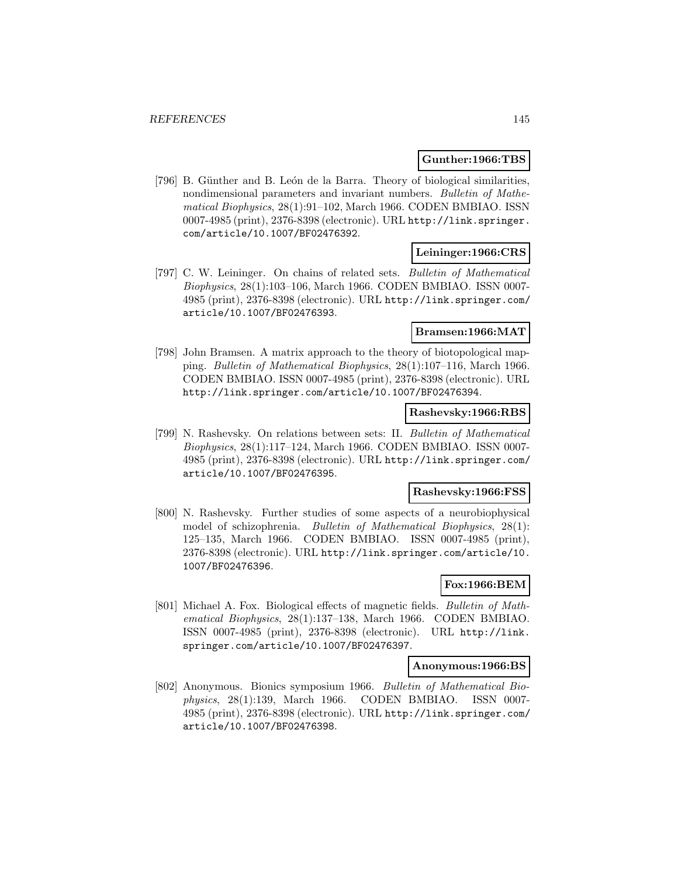### **Gunther:1966:TBS**

[796] B. Günther and B. León de la Barra. Theory of biological similarities, nondimensional parameters and invariant numbers. Bulletin of Mathematical Biophysics, 28(1):91–102, March 1966. CODEN BMBIAO. ISSN 0007-4985 (print), 2376-8398 (electronic). URL http://link.springer. com/article/10.1007/BF02476392.

### **Leininger:1966:CRS**

[797] C. W. Leininger. On chains of related sets. Bulletin of Mathematical Biophysics, 28(1):103–106, March 1966. CODEN BMBIAO. ISSN 0007- 4985 (print), 2376-8398 (electronic). URL http://link.springer.com/ article/10.1007/BF02476393.

### **Bramsen:1966:MAT**

[798] John Bramsen. A matrix approach to the theory of biotopological mapping. Bulletin of Mathematical Biophysics, 28(1):107–116, March 1966. CODEN BMBIAO. ISSN 0007-4985 (print), 2376-8398 (electronic). URL http://link.springer.com/article/10.1007/BF02476394.

### **Rashevsky:1966:RBS**

[799] N. Rashevsky. On relations between sets: II. Bulletin of Mathematical Biophysics, 28(1):117–124, March 1966. CODEN BMBIAO. ISSN 0007- 4985 (print), 2376-8398 (electronic). URL http://link.springer.com/ article/10.1007/BF02476395.

### **Rashevsky:1966:FSS**

[800] N. Rashevsky. Further studies of some aspects of a neurobiophysical model of schizophrenia. Bulletin of Mathematical Biophysics, 28(1): 125–135, March 1966. CODEN BMBIAO. ISSN 0007-4985 (print), 2376-8398 (electronic). URL http://link.springer.com/article/10. 1007/BF02476396.

## **Fox:1966:BEM**

[801] Michael A. Fox. Biological effects of magnetic fields. Bulletin of Mathematical Biophysics, 28(1):137–138, March 1966. CODEN BMBIAO. ISSN 0007-4985 (print), 2376-8398 (electronic). URL http://link. springer.com/article/10.1007/BF02476397.

#### **Anonymous:1966:BS**

[802] Anonymous. Bionics symposium 1966. Bulletin of Mathematical Biophysics, 28(1):139, March 1966. CODEN BMBIAO. ISSN 0007- 4985 (print), 2376-8398 (electronic). URL http://link.springer.com/ article/10.1007/BF02476398.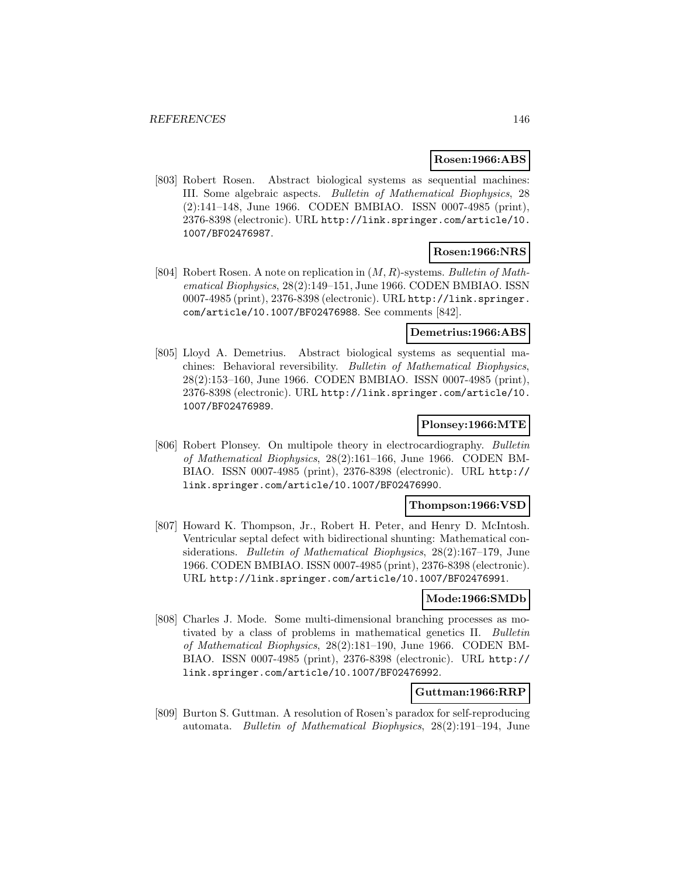### **Rosen:1966:ABS**

[803] Robert Rosen. Abstract biological systems as sequential machines: III. Some algebraic aspects. Bulletin of Mathematical Biophysics, 28 (2):141–148, June 1966. CODEN BMBIAO. ISSN 0007-4985 (print), 2376-8398 (electronic). URL http://link.springer.com/article/10. 1007/BF02476987.

# **Rosen:1966:NRS**

[804] Robert Rosen. A note on replication in  $(M, R)$ -systems. Bulletin of Mathematical Biophysics, 28(2):149–151, June 1966. CODEN BMBIAO. ISSN 0007-4985 (print), 2376-8398 (electronic). URL http://link.springer. com/article/10.1007/BF02476988. See comments [842].

## **Demetrius:1966:ABS**

[805] Lloyd A. Demetrius. Abstract biological systems as sequential machines: Behavioral reversibility. Bulletin of Mathematical Biophysics, 28(2):153–160, June 1966. CODEN BMBIAO. ISSN 0007-4985 (print), 2376-8398 (electronic). URL http://link.springer.com/article/10. 1007/BF02476989.

# **Plonsey:1966:MTE**

[806] Robert Plonsey. On multipole theory in electrocardiography. Bulletin of Mathematical Biophysics, 28(2):161–166, June 1966. CODEN BM-BIAO. ISSN 0007-4985 (print), 2376-8398 (electronic). URL http:// link.springer.com/article/10.1007/BF02476990.

### **Thompson:1966:VSD**

[807] Howard K. Thompson, Jr., Robert H. Peter, and Henry D. McIntosh. Ventricular septal defect with bidirectional shunting: Mathematical considerations. Bulletin of Mathematical Biophysics, 28(2):167–179, June 1966. CODEN BMBIAO. ISSN 0007-4985 (print), 2376-8398 (electronic). URL http://link.springer.com/article/10.1007/BF02476991.

#### **Mode:1966:SMDb**

[808] Charles J. Mode. Some multi-dimensional branching processes as motivated by a class of problems in mathematical genetics II. Bulletin of Mathematical Biophysics, 28(2):181–190, June 1966. CODEN BM-BIAO. ISSN 0007-4985 (print), 2376-8398 (electronic). URL http:// link.springer.com/article/10.1007/BF02476992.

### **Guttman:1966:RRP**

[809] Burton S. Guttman. A resolution of Rosen's paradox for self-reproducing automata. *Bulletin of Mathematical Biophysics*,  $28(2):191-194$ , June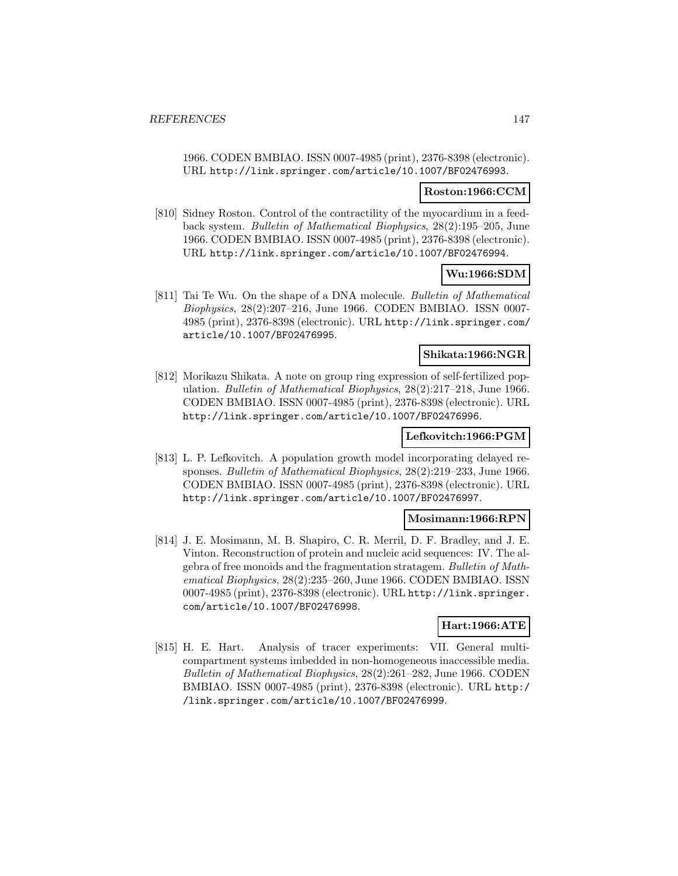1966. CODEN BMBIAO. ISSN 0007-4985 (print), 2376-8398 (electronic). URL http://link.springer.com/article/10.1007/BF02476993.

#### **Roston:1966:CCM**

[810] Sidney Roston. Control of the contractility of the myocardium in a feedback system. Bulletin of Mathematical Biophysics, 28(2):195–205, June 1966. CODEN BMBIAO. ISSN 0007-4985 (print), 2376-8398 (electronic). URL http://link.springer.com/article/10.1007/BF02476994.

### **Wu:1966:SDM**

[811] Tai Te Wu. On the shape of a DNA molecule. Bulletin of Mathematical Biophysics, 28(2):207–216, June 1966. CODEN BMBIAO. ISSN 0007- 4985 (print), 2376-8398 (electronic). URL http://link.springer.com/ article/10.1007/BF02476995.

#### **Shikata:1966:NGR**

[812] Morikazu Shikata. A note on group ring expression of self-fertilized population. Bulletin of Mathematical Biophysics, 28(2):217–218, June 1966. CODEN BMBIAO. ISSN 0007-4985 (print), 2376-8398 (electronic). URL http://link.springer.com/article/10.1007/BF02476996.

# **Lefkovitch:1966:PGM**

[813] L. P. Lefkovitch. A population growth model incorporating delayed responses. Bulletin of Mathematical Biophysics, 28(2):219–233, June 1966. CODEN BMBIAO. ISSN 0007-4985 (print), 2376-8398 (electronic). URL http://link.springer.com/article/10.1007/BF02476997.

#### **Mosimann:1966:RPN**

[814] J. E. Mosimann, M. B. Shapiro, C. R. Merril, D. F. Bradley, and J. E. Vinton. Reconstruction of protein and nucleic acid sequences: IV. The algebra of free monoids and the fragmentation stratagem. Bulletin of Mathematical Biophysics, 28(2):235–260, June 1966. CODEN BMBIAO. ISSN 0007-4985 (print), 2376-8398 (electronic). URL http://link.springer. com/article/10.1007/BF02476998.

# **Hart:1966:ATE**

[815] H. E. Hart. Analysis of tracer experiments: VII. General multicompartment systems imbedded in non-homogeneous inaccessible media. Bulletin of Mathematical Biophysics, 28(2):261–282, June 1966. CODEN BMBIAO. ISSN 0007-4985 (print), 2376-8398 (electronic). URL http:/ /link.springer.com/article/10.1007/BF02476999.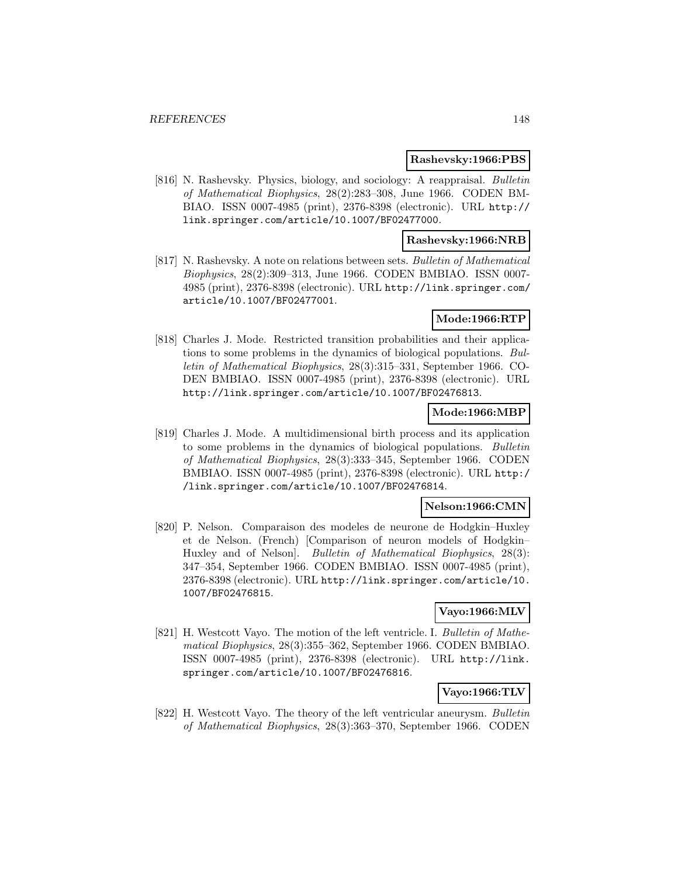#### **Rashevsky:1966:PBS**

[816] N. Rashevsky. Physics, biology, and sociology: A reappraisal. Bulletin of Mathematical Biophysics, 28(2):283–308, June 1966. CODEN BM-BIAO. ISSN 0007-4985 (print), 2376-8398 (electronic). URL http:// link.springer.com/article/10.1007/BF02477000.

### **Rashevsky:1966:NRB**

[817] N. Rashevsky. A note on relations between sets. Bulletin of Mathematical Biophysics, 28(2):309–313, June 1966. CODEN BMBIAO. ISSN 0007- 4985 (print), 2376-8398 (electronic). URL http://link.springer.com/ article/10.1007/BF02477001.

## **Mode:1966:RTP**

[818] Charles J. Mode. Restricted transition probabilities and their applications to some problems in the dynamics of biological populations. Bulletin of Mathematical Biophysics, 28(3):315–331, September 1966. CO-DEN BMBIAO. ISSN 0007-4985 (print), 2376-8398 (electronic). URL http://link.springer.com/article/10.1007/BF02476813.

## **Mode:1966:MBP**

[819] Charles J. Mode. A multidimensional birth process and its application to some problems in the dynamics of biological populations. Bulletin of Mathematical Biophysics, 28(3):333–345, September 1966. CODEN BMBIAO. ISSN 0007-4985 (print), 2376-8398 (electronic). URL http:/ /link.springer.com/article/10.1007/BF02476814.

## **Nelson:1966:CMN**

[820] P. Nelson. Comparaison des modeles de neurone de Hodgkin–Huxley et de Nelson. (French) [Comparison of neuron models of Hodgkin– Huxley and of Nelson]. Bulletin of Mathematical Biophysics, 28(3): 347–354, September 1966. CODEN BMBIAO. ISSN 0007-4985 (print), 2376-8398 (electronic). URL http://link.springer.com/article/10. 1007/BF02476815.

### **Vayo:1966:MLV**

[821] H. Westcott Vayo. The motion of the left ventricle. I. Bulletin of Mathematical Biophysics, 28(3):355–362, September 1966. CODEN BMBIAO. ISSN 0007-4985 (print), 2376-8398 (electronic). URL http://link. springer.com/article/10.1007/BF02476816.

# **Vayo:1966:TLV**

[822] H. Westcott Vayo. The theory of the left ventricular aneurysm. Bulletin of Mathematical Biophysics, 28(3):363–370, September 1966. CODEN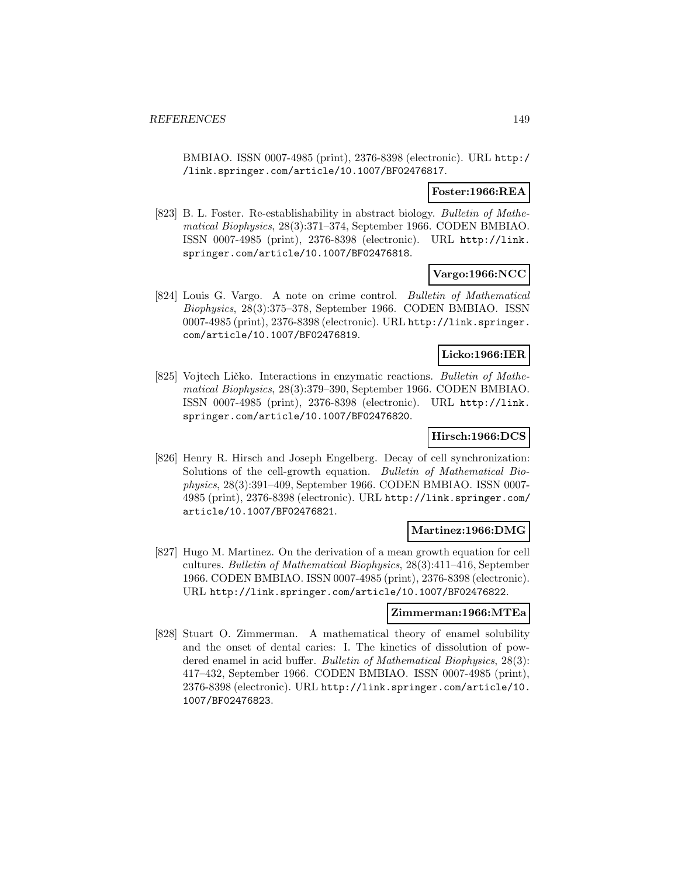BMBIAO. ISSN 0007-4985 (print), 2376-8398 (electronic). URL http:/ /link.springer.com/article/10.1007/BF02476817.

### **Foster:1966:REA**

[823] B. L. Foster. Re-establishability in abstract biology. Bulletin of Mathematical Biophysics, 28(3):371–374, September 1966. CODEN BMBIAO. ISSN 0007-4985 (print), 2376-8398 (electronic). URL http://link. springer.com/article/10.1007/BF02476818.

### **Vargo:1966:NCC**

[824] Louis G. Vargo. A note on crime control. Bulletin of Mathematical Biophysics, 28(3):375–378, September 1966. CODEN BMBIAO. ISSN 0007-4985 (print), 2376-8398 (electronic). URL http://link.springer. com/article/10.1007/BF02476819.

### **Licko:1966:IER**

[825] Vojtech Ličko. Interactions in enzymatic reactions. Bulletin of Mathematical Biophysics, 28(3):379–390, September 1966. CODEN BMBIAO. ISSN 0007-4985 (print), 2376-8398 (electronic). URL http://link. springer.com/article/10.1007/BF02476820.

## **Hirsch:1966:DCS**

[826] Henry R. Hirsch and Joseph Engelberg. Decay of cell synchronization: Solutions of the cell-growth equation. Bulletin of Mathematical Biophysics, 28(3):391–409, September 1966. CODEN BMBIAO. ISSN 0007- 4985 (print), 2376-8398 (electronic). URL http://link.springer.com/ article/10.1007/BF02476821.

### **Martinez:1966:DMG**

[827] Hugo M. Martinez. On the derivation of a mean growth equation for cell cultures. Bulletin of Mathematical Biophysics, 28(3):411–416, September 1966. CODEN BMBIAO. ISSN 0007-4985 (print), 2376-8398 (electronic). URL http://link.springer.com/article/10.1007/BF02476822.

### **Zimmerman:1966:MTEa**

[828] Stuart O. Zimmerman. A mathematical theory of enamel solubility and the onset of dental caries: I. The kinetics of dissolution of powdered enamel in acid buffer. Bulletin of Mathematical Biophysics, 28(3): 417–432, September 1966. CODEN BMBIAO. ISSN 0007-4985 (print), 2376-8398 (electronic). URL http://link.springer.com/article/10. 1007/BF02476823.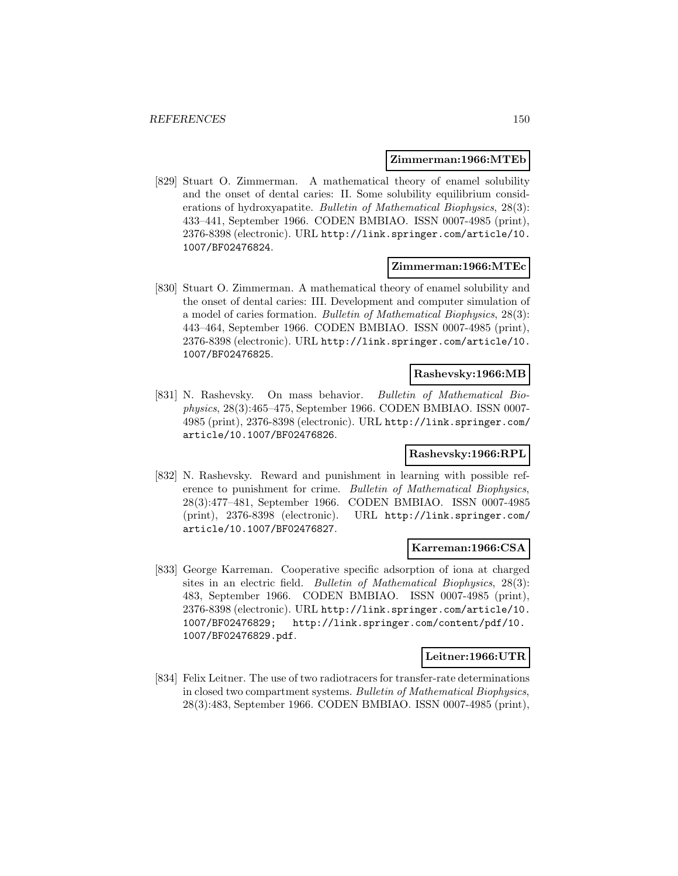#### **Zimmerman:1966:MTEb**

[829] Stuart O. Zimmerman. A mathematical theory of enamel solubility and the onset of dental caries: II. Some solubility equilibrium considerations of hydroxyapatite. Bulletin of Mathematical Biophysics, 28(3): 433–441, September 1966. CODEN BMBIAO. ISSN 0007-4985 (print), 2376-8398 (electronic). URL http://link.springer.com/article/10. 1007/BF02476824.

#### **Zimmerman:1966:MTEc**

[830] Stuart O. Zimmerman. A mathematical theory of enamel solubility and the onset of dental caries: III. Development and computer simulation of a model of caries formation. Bulletin of Mathematical Biophysics, 28(3): 443–464, September 1966. CODEN BMBIAO. ISSN 0007-4985 (print), 2376-8398 (electronic). URL http://link.springer.com/article/10. 1007/BF02476825.

### **Rashevsky:1966:MB**

[831] N. Rashevsky. On mass behavior. Bulletin of Mathematical Biophysics, 28(3):465–475, September 1966. CODEN BMBIAO. ISSN 0007- 4985 (print), 2376-8398 (electronic). URL http://link.springer.com/ article/10.1007/BF02476826.

### **Rashevsky:1966:RPL**

[832] N. Rashevsky. Reward and punishment in learning with possible reference to punishment for crime. Bulletin of Mathematical Biophysics, 28(3):477–481, September 1966. CODEN BMBIAO. ISSN 0007-4985 (print), 2376-8398 (electronic). URL http://link.springer.com/ article/10.1007/BF02476827.

### **Karreman:1966:CSA**

[833] George Karreman. Cooperative specific adsorption of iona at charged sites in an electric field. Bulletin of Mathematical Biophysics, 28(3): 483, September 1966. CODEN BMBIAO. ISSN 0007-4985 (print), 2376-8398 (electronic). URL http://link.springer.com/article/10. 1007/BF02476829; http://link.springer.com/content/pdf/10. 1007/BF02476829.pdf.

### **Leitner:1966:UTR**

[834] Felix Leitner. The use of two radiotracers for transfer-rate determinations in closed two compartment systems. Bulletin of Mathematical Biophysics, 28(3):483, September 1966. CODEN BMBIAO. ISSN 0007-4985 (print),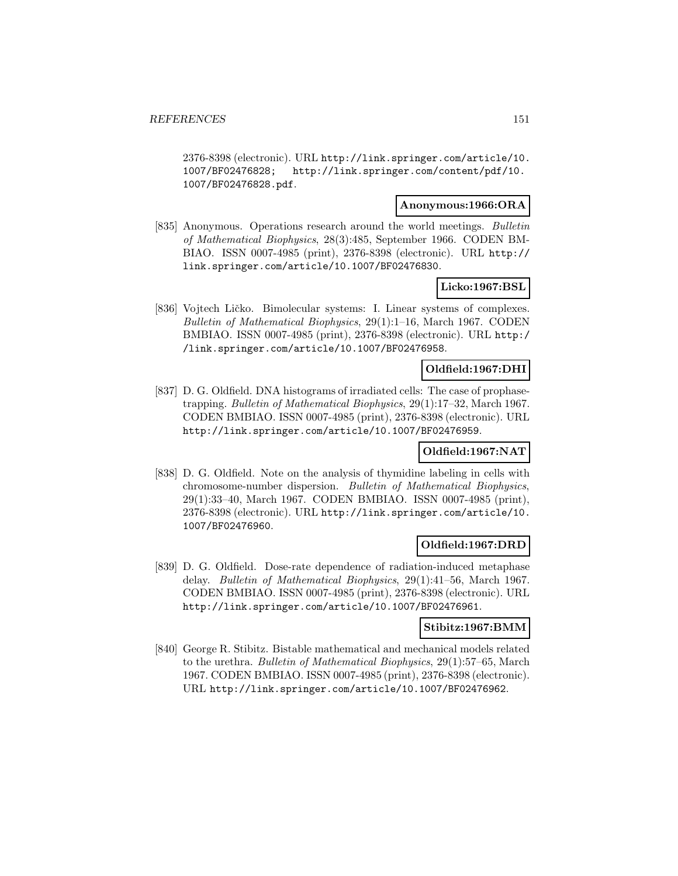2376-8398 (electronic). URL http://link.springer.com/article/10. 1007/BF02476828; http://link.springer.com/content/pdf/10. 1007/BF02476828.pdf.

### **Anonymous:1966:ORA**

[835] Anonymous. Operations research around the world meetings. Bulletin of Mathematical Biophysics, 28(3):485, September 1966. CODEN BM-BIAO. ISSN 0007-4985 (print), 2376-8398 (electronic). URL http:// link.springer.com/article/10.1007/BF02476830.

#### **Licko:1967:BSL**

[836] Vojtech Ličko. Bimolecular systems: I. Linear systems of complexes. Bulletin of Mathematical Biophysics, 29(1):1–16, March 1967. CODEN BMBIAO. ISSN 0007-4985 (print), 2376-8398 (electronic). URL http:/ /link.springer.com/article/10.1007/BF02476958.

#### **Oldfield:1967:DHI**

[837] D. G. Oldfield. DNA histograms of irradiated cells: The case of prophasetrapping. Bulletin of Mathematical Biophysics, 29(1):17–32, March 1967. CODEN BMBIAO. ISSN 0007-4985 (print), 2376-8398 (electronic). URL http://link.springer.com/article/10.1007/BF02476959.

### **Oldfield:1967:NAT**

[838] D. G. Oldfield. Note on the analysis of thymidine labeling in cells with chromosome-number dispersion. Bulletin of Mathematical Biophysics, 29(1):33–40, March 1967. CODEN BMBIAO. ISSN 0007-4985 (print), 2376-8398 (electronic). URL http://link.springer.com/article/10. 1007/BF02476960.

### **Oldfield:1967:DRD**

[839] D. G. Oldfield. Dose-rate dependence of radiation-induced metaphase delay. Bulletin of Mathematical Biophysics, 29(1):41–56, March 1967. CODEN BMBIAO. ISSN 0007-4985 (print), 2376-8398 (electronic). URL http://link.springer.com/article/10.1007/BF02476961.

#### **Stibitz:1967:BMM**

[840] George R. Stibitz. Bistable mathematical and mechanical models related to the urethra. Bulletin of Mathematical Biophysics, 29(1):57–65, March 1967. CODEN BMBIAO. ISSN 0007-4985 (print), 2376-8398 (electronic). URL http://link.springer.com/article/10.1007/BF02476962.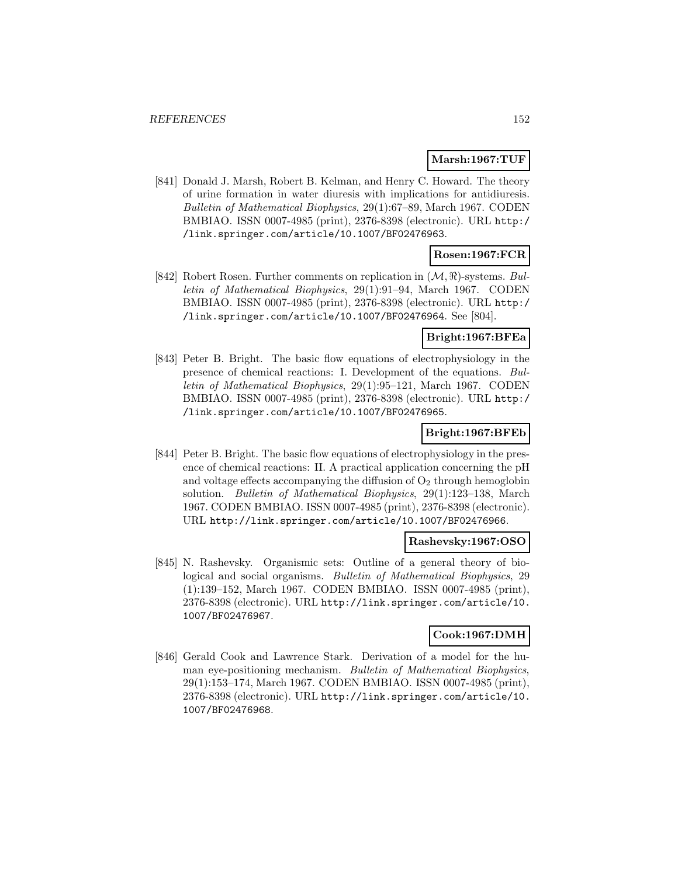#### **Marsh:1967:TUF**

[841] Donald J. Marsh, Robert B. Kelman, and Henry C. Howard. The theory of urine formation in water diuresis with implications for antidiuresis. Bulletin of Mathematical Biophysics, 29(1):67–89, March 1967. CODEN BMBIAO. ISSN 0007-4985 (print), 2376-8398 (electronic). URL http:/ /link.springer.com/article/10.1007/BF02476963.

# **Rosen:1967:FCR**

[842] Robert Rosen. Further comments on replication in  $(\mathcal{M}, \mathcal{R})$ -systems. Bulletin of Mathematical Biophysics, 29(1):91–94, March 1967. CODEN BMBIAO. ISSN 0007-4985 (print), 2376-8398 (electronic). URL http:/ /link.springer.com/article/10.1007/BF02476964. See [804].

#### **Bright:1967:BFEa**

[843] Peter B. Bright. The basic flow equations of electrophysiology in the presence of chemical reactions: I. Development of the equations. Bulletin of Mathematical Biophysics, 29(1):95–121, March 1967. CODEN BMBIAO. ISSN 0007-4985 (print), 2376-8398 (electronic). URL http:/ /link.springer.com/article/10.1007/BF02476965.

### **Bright:1967:BFEb**

[844] Peter B. Bright. The basic flow equations of electrophysiology in the presence of chemical reactions: II. A practical application concerning the pH and voltage effects accompanying the diffusion of  $O<sub>2</sub>$  through hemoglobin solution. Bulletin of Mathematical Biophysics, 29(1):123–138, March 1967. CODEN BMBIAO. ISSN 0007-4985 (print), 2376-8398 (electronic). URL http://link.springer.com/article/10.1007/BF02476966.

### **Rashevsky:1967:OSO**

[845] N. Rashevsky. Organismic sets: Outline of a general theory of biological and social organisms. Bulletin of Mathematical Biophysics, 29 (1):139–152, March 1967. CODEN BMBIAO. ISSN 0007-4985 (print), 2376-8398 (electronic). URL http://link.springer.com/article/10. 1007/BF02476967.

#### **Cook:1967:DMH**

[846] Gerald Cook and Lawrence Stark. Derivation of a model for the human eye-positioning mechanism. Bulletin of Mathematical Biophysics, 29(1):153–174, March 1967. CODEN BMBIAO. ISSN 0007-4985 (print), 2376-8398 (electronic). URL http://link.springer.com/article/10. 1007/BF02476968.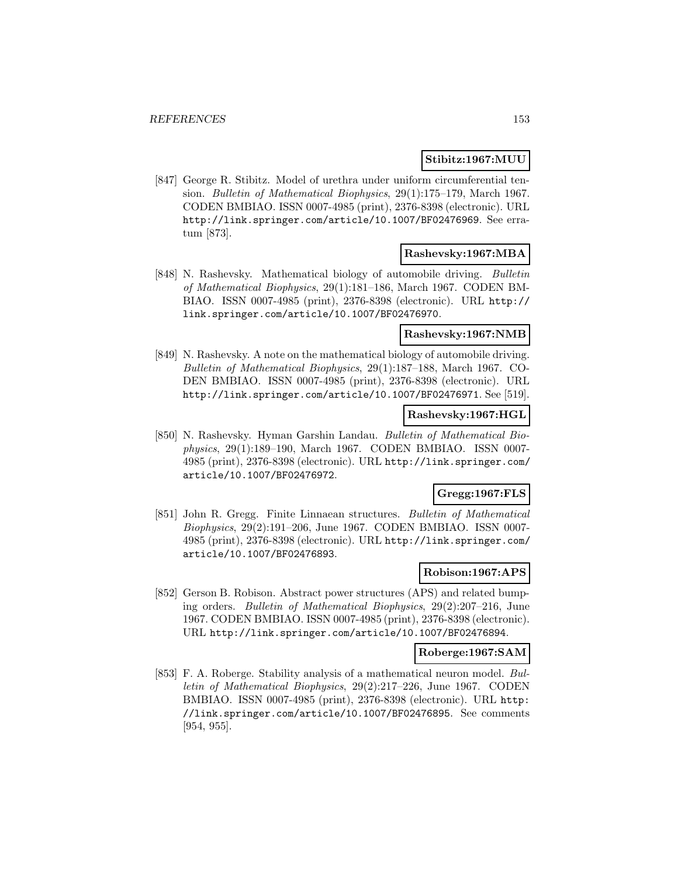### **Stibitz:1967:MUU**

[847] George R. Stibitz. Model of urethra under uniform circumferential tension. Bulletin of Mathematical Biophysics, 29(1):175–179, March 1967. CODEN BMBIAO. ISSN 0007-4985 (print), 2376-8398 (electronic). URL http://link.springer.com/article/10.1007/BF02476969. See erratum [873].

## **Rashevsky:1967:MBA**

[848] N. Rashevsky. Mathematical biology of automobile driving. Bulletin of Mathematical Biophysics, 29(1):181–186, March 1967. CODEN BM-BIAO. ISSN 0007-4985 (print), 2376-8398 (electronic). URL http:// link.springer.com/article/10.1007/BF02476970.

### **Rashevsky:1967:NMB**

[849] N. Rashevsky. A note on the mathematical biology of automobile driving. Bulletin of Mathematical Biophysics, 29(1):187–188, March 1967. CO-DEN BMBIAO. ISSN 0007-4985 (print), 2376-8398 (electronic). URL http://link.springer.com/article/10.1007/BF02476971. See [519].

### **Rashevsky:1967:HGL**

[850] N. Rashevsky. Hyman Garshin Landau. Bulletin of Mathematical Biophysics, 29(1):189–190, March 1967. CODEN BMBIAO. ISSN 0007- 4985 (print), 2376-8398 (electronic). URL http://link.springer.com/ article/10.1007/BF02476972.

# **Gregg:1967:FLS**

[851] John R. Gregg. Finite Linnaean structures. Bulletin of Mathematical Biophysics, 29(2):191–206, June 1967. CODEN BMBIAO. ISSN 0007- 4985 (print), 2376-8398 (electronic). URL http://link.springer.com/ article/10.1007/BF02476893.

### **Robison:1967:APS**

[852] Gerson B. Robison. Abstract power structures (APS) and related bumping orders. Bulletin of Mathematical Biophysics, 29(2):207–216, June 1967. CODEN BMBIAO. ISSN 0007-4985 (print), 2376-8398 (electronic). URL http://link.springer.com/article/10.1007/BF02476894.

#### **Roberge:1967:SAM**

[853] F. A. Roberge. Stability analysis of a mathematical neuron model. Bulletin of Mathematical Biophysics, 29(2):217–226, June 1967. CODEN BMBIAO. ISSN 0007-4985 (print), 2376-8398 (electronic). URL http: //link.springer.com/article/10.1007/BF02476895. See comments [954, 955].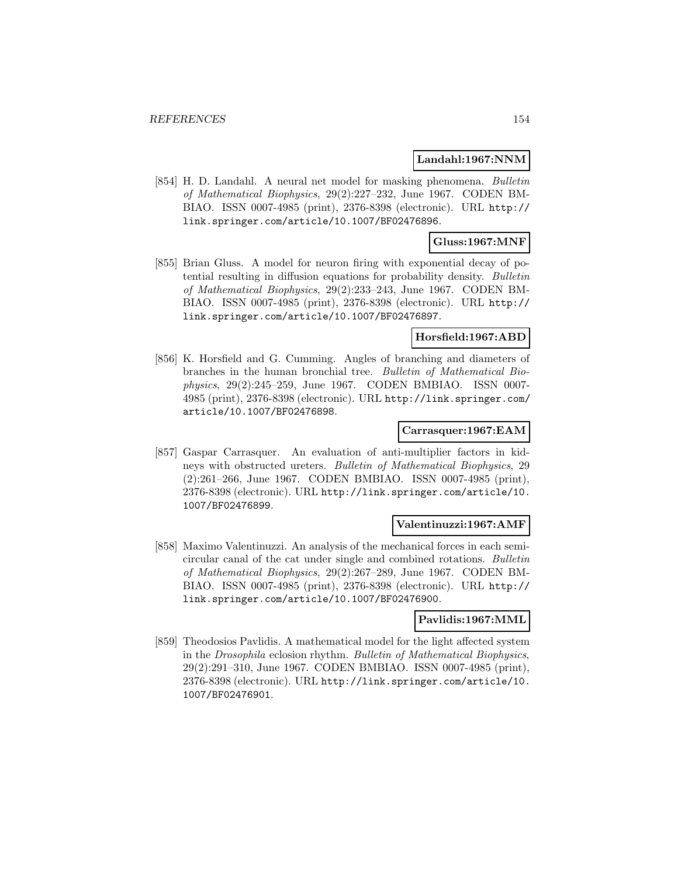### **Landahl:1967:NNM**

[854] H. D. Landahl. A neural net model for masking phenomena. Bulletin of Mathematical Biophysics, 29(2):227–232, June 1967. CODEN BM-BIAO. ISSN 0007-4985 (print), 2376-8398 (electronic). URL http:// link.springer.com/article/10.1007/BF02476896.

### **Gluss:1967:MNF**

[855] Brian Gluss. A model for neuron firing with exponential decay of potential resulting in diffusion equations for probability density. Bulletin of Mathematical Biophysics, 29(2):233–243, June 1967. CODEN BM-BIAO. ISSN 0007-4985 (print), 2376-8398 (electronic). URL http:// link.springer.com/article/10.1007/BF02476897.

## **Horsfield:1967:ABD**

[856] K. Horsfield and G. Cumming. Angles of branching and diameters of branches in the human bronchial tree. Bulletin of Mathematical Biophysics, 29(2):245–259, June 1967. CODEN BMBIAO. ISSN 0007- 4985 (print), 2376-8398 (electronic). URL http://link.springer.com/ article/10.1007/BF02476898.

#### **Carrasquer:1967:EAM**

[857] Gaspar Carrasquer. An evaluation of anti-multiplier factors in kidneys with obstructed ureters. Bulletin of Mathematical Biophysics, 29 (2):261–266, June 1967. CODEN BMBIAO. ISSN 0007-4985 (print), 2376-8398 (electronic). URL http://link.springer.com/article/10. 1007/BF02476899.

#### **Valentinuzzi:1967:AMF**

[858] Maximo Valentinuzzi. An analysis of the mechanical forces in each semicircular canal of the cat under single and combined rotations. Bulletin of Mathematical Biophysics, 29(2):267–289, June 1967. CODEN BM-BIAO. ISSN 0007-4985 (print), 2376-8398 (electronic). URL http:// link.springer.com/article/10.1007/BF02476900.

### **Pavlidis:1967:MML**

[859] Theodosios Pavlidis. A mathematical model for the light affected system in the Drosophila eclosion rhythm. Bulletin of Mathematical Biophysics, 29(2):291–310, June 1967. CODEN BMBIAO. ISSN 0007-4985 (print), 2376-8398 (electronic). URL http://link.springer.com/article/10. 1007/BF02476901.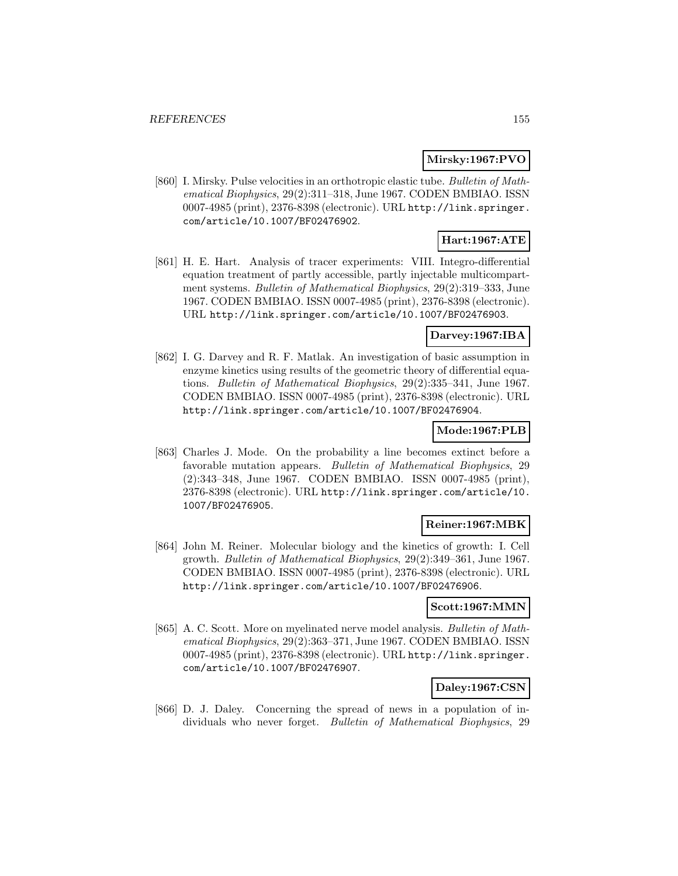### **Mirsky:1967:PVO**

[860] I. Mirsky. Pulse velocities in an orthotropic elastic tube. Bulletin of Mathematical Biophysics, 29(2):311–318, June 1967. CODEN BMBIAO. ISSN 0007-4985 (print), 2376-8398 (electronic). URL http://link.springer. com/article/10.1007/BF02476902.

# **Hart:1967:ATE**

[861] H. E. Hart. Analysis of tracer experiments: VIII. Integro-differential equation treatment of partly accessible, partly injectable multicompartment systems. Bulletin of Mathematical Biophysics, 29(2):319–333, June 1967. CODEN BMBIAO. ISSN 0007-4985 (print), 2376-8398 (electronic). URL http://link.springer.com/article/10.1007/BF02476903.

## **Darvey:1967:IBA**

[862] I. G. Darvey and R. F. Matlak. An investigation of basic assumption in enzyme kinetics using results of the geometric theory of differential equations. Bulletin of Mathematical Biophysics, 29(2):335–341, June 1967. CODEN BMBIAO. ISSN 0007-4985 (print), 2376-8398 (electronic). URL http://link.springer.com/article/10.1007/BF02476904.

### **Mode:1967:PLB**

[863] Charles J. Mode. On the probability a line becomes extinct before a favorable mutation appears. Bulletin of Mathematical Biophysics, 29 (2):343–348, June 1967. CODEN BMBIAO. ISSN 0007-4985 (print), 2376-8398 (electronic). URL http://link.springer.com/article/10. 1007/BF02476905.

### **Reiner:1967:MBK**

[864] John M. Reiner. Molecular biology and the kinetics of growth: I. Cell growth. Bulletin of Mathematical Biophysics, 29(2):349–361, June 1967. CODEN BMBIAO. ISSN 0007-4985 (print), 2376-8398 (electronic). URL http://link.springer.com/article/10.1007/BF02476906.

### **Scott:1967:MMN**

[865] A. C. Scott. More on myelinated nerve model analysis. Bulletin of Mathematical Biophysics, 29(2):363–371, June 1967. CODEN BMBIAO. ISSN 0007-4985 (print), 2376-8398 (electronic). URL http://link.springer. com/article/10.1007/BF02476907.

# **Daley:1967:CSN**

[866] D. J. Daley. Concerning the spread of news in a population of individuals who never forget. Bulletin of Mathematical Biophysics, 29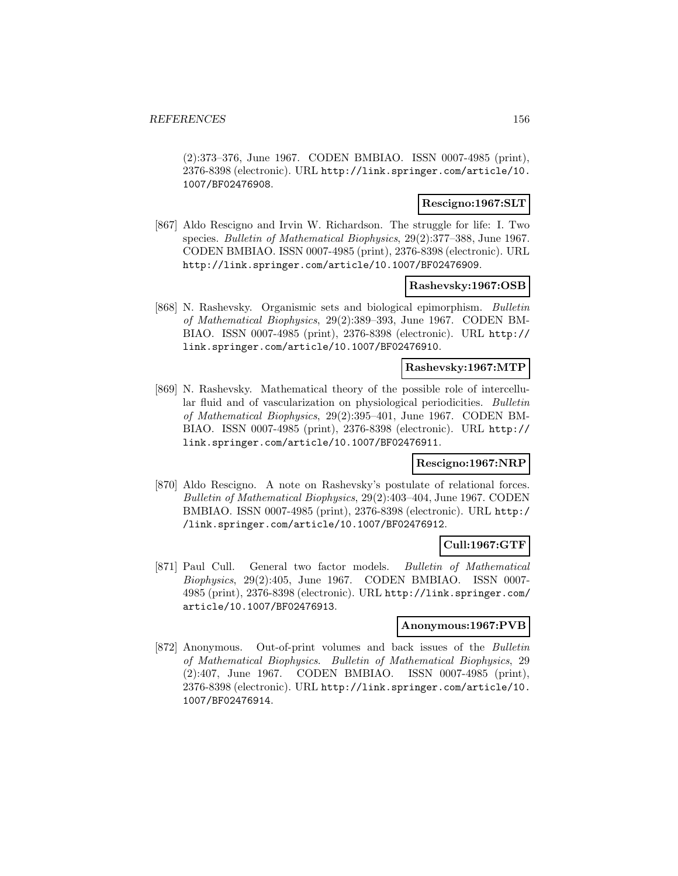(2):373–376, June 1967. CODEN BMBIAO. ISSN 0007-4985 (print), 2376-8398 (electronic). URL http://link.springer.com/article/10. 1007/BF02476908.

### **Rescigno:1967:SLT**

[867] Aldo Rescigno and Irvin W. Richardson. The struggle for life: I. Two species. Bulletin of Mathematical Biophysics, 29(2):377–388, June 1967. CODEN BMBIAO. ISSN 0007-4985 (print), 2376-8398 (electronic). URL http://link.springer.com/article/10.1007/BF02476909.

### **Rashevsky:1967:OSB**

[868] N. Rashevsky. Organismic sets and biological epimorphism. Bulletin of Mathematical Biophysics, 29(2):389–393, June 1967. CODEN BM-BIAO. ISSN 0007-4985 (print), 2376-8398 (electronic). URL http:// link.springer.com/article/10.1007/BF02476910.

# **Rashevsky:1967:MTP**

[869] N. Rashevsky. Mathematical theory of the possible role of intercellular fluid and of vascularization on physiological periodicities. Bulletin of Mathematical Biophysics, 29(2):395–401, June 1967. CODEN BM-BIAO. ISSN 0007-4985 (print), 2376-8398 (electronic). URL http:// link.springer.com/article/10.1007/BF02476911.

### **Rescigno:1967:NRP**

[870] Aldo Rescigno. A note on Rashevsky's postulate of relational forces. Bulletin of Mathematical Biophysics, 29(2):403–404, June 1967. CODEN BMBIAO. ISSN 0007-4985 (print), 2376-8398 (electronic). URL http:/ /link.springer.com/article/10.1007/BF02476912.

## **Cull:1967:GTF**

[871] Paul Cull. General two factor models. Bulletin of Mathematical Biophysics, 29(2):405, June 1967. CODEN BMBIAO. ISSN 0007- 4985 (print), 2376-8398 (electronic). URL http://link.springer.com/ article/10.1007/BF02476913.

### **Anonymous:1967:PVB**

[872] Anonymous. Out-of-print volumes and back issues of the Bulletin of Mathematical Biophysics. Bulletin of Mathematical Biophysics, 29 (2):407, June 1967. CODEN BMBIAO. ISSN 0007-4985 (print), 2376-8398 (electronic). URL http://link.springer.com/article/10. 1007/BF02476914.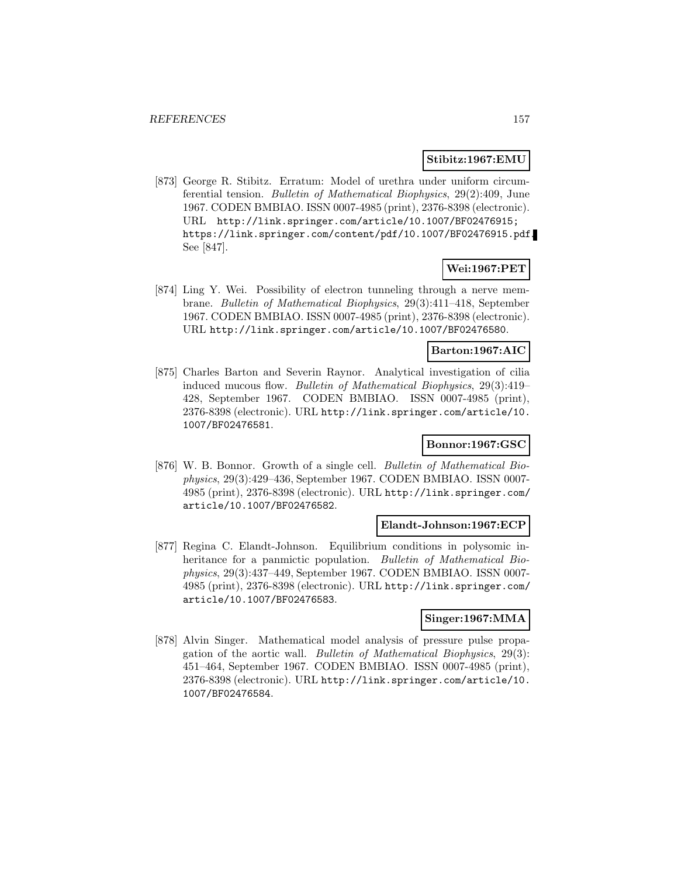### **Stibitz:1967:EMU**

[873] George R. Stibitz. Erratum: Model of urethra under uniform circumferential tension. Bulletin of Mathematical Biophysics, 29(2):409, June 1967. CODEN BMBIAO. ISSN 0007-4985 (print), 2376-8398 (electronic). URL http://link.springer.com/article/10.1007/BF02476915; https://link.springer.com/content/pdf/10.1007/BF02476915.pdf. See [847].

### **Wei:1967:PET**

[874] Ling Y. Wei. Possibility of electron tunneling through a nerve membrane. Bulletin of Mathematical Biophysics, 29(3):411–418, September 1967. CODEN BMBIAO. ISSN 0007-4985 (print), 2376-8398 (electronic). URL http://link.springer.com/article/10.1007/BF02476580.

### **Barton:1967:AIC**

[875] Charles Barton and Severin Raynor. Analytical investigation of cilia induced mucous flow. Bulletin of Mathematical Biophysics, 29(3):419– 428, September 1967. CODEN BMBIAO. ISSN 0007-4985 (print), 2376-8398 (electronic). URL http://link.springer.com/article/10. 1007/BF02476581.

### **Bonnor:1967:GSC**

[876] W. B. Bonnor. Growth of a single cell. Bulletin of Mathematical Biophysics, 29(3):429–436, September 1967. CODEN BMBIAO. ISSN 0007- 4985 (print), 2376-8398 (electronic). URL http://link.springer.com/ article/10.1007/BF02476582.

#### **Elandt-Johnson:1967:ECP**

[877] Regina C. Elandt-Johnson. Equilibrium conditions in polysomic inheritance for a panmictic population. Bulletin of Mathematical Biophysics, 29(3):437–449, September 1967. CODEN BMBIAO. ISSN 0007- 4985 (print), 2376-8398 (electronic). URL http://link.springer.com/ article/10.1007/BF02476583.

# **Singer:1967:MMA**

[878] Alvin Singer. Mathematical model analysis of pressure pulse propagation of the aortic wall. Bulletin of Mathematical Biophysics, 29(3): 451–464, September 1967. CODEN BMBIAO. ISSN 0007-4985 (print), 2376-8398 (electronic). URL http://link.springer.com/article/10. 1007/BF02476584.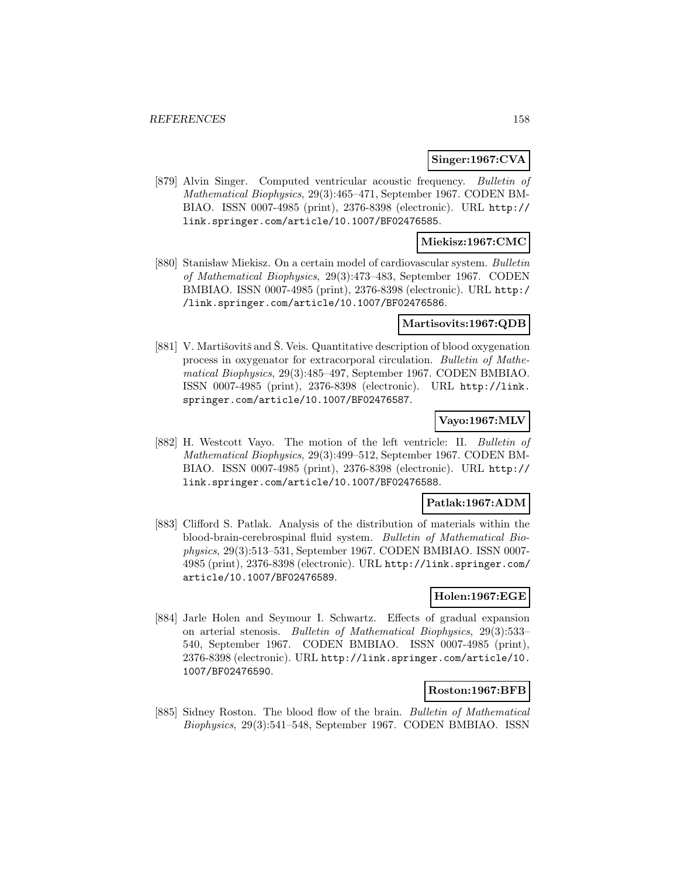### **Singer:1967:CVA**

[879] Alvin Singer. Computed ventricular acoustic frequency. Bulletin of Mathematical Biophysics, 29(3):465–471, September 1967. CODEN BM-BIAO. ISSN 0007-4985 (print), 2376-8398 (electronic). URL http:// link.springer.com/article/10.1007/BF02476585.

## **Miekisz:1967:CMC**

[880] Stanisław Miekisz. On a certain model of cardiovascular system. Bulletin of Mathematical Biophysics, 29(3):473–483, September 1967. CODEN BMBIAO. ISSN 0007-4985 (print), 2376-8398 (electronic). URL http:/ /link.springer.com/article/10.1007/BF02476586.

#### **Martisovits:1967:QDB**

[881] V. Martišovitš and Š. Veis. Quantitative description of blood oxygenation process in oxygenator for extracorporal circulation. Bulletin of Mathematical Biophysics, 29(3):485–497, September 1967. CODEN BMBIAO. ISSN 0007-4985 (print), 2376-8398 (electronic). URL http://link. springer.com/article/10.1007/BF02476587.

### **Vayo:1967:MLV**

[882] H. Westcott Vayo. The motion of the left ventricle: II. Bulletin of Mathematical Biophysics, 29(3):499–512, September 1967. CODEN BM-BIAO. ISSN 0007-4985 (print), 2376-8398 (electronic). URL http:// link.springer.com/article/10.1007/BF02476588.

### **Patlak:1967:ADM**

[883] Clifford S. Patlak. Analysis of the distribution of materials within the blood-brain-cerebrospinal fluid system. Bulletin of Mathematical Biophysics, 29(3):513–531, September 1967. CODEN BMBIAO. ISSN 0007- 4985 (print), 2376-8398 (electronic). URL http://link.springer.com/ article/10.1007/BF02476589.

# **Holen:1967:EGE**

[884] Jarle Holen and Seymour I. Schwartz. Effects of gradual expansion on arterial stenosis. Bulletin of Mathematical Biophysics, 29(3):533– 540, September 1967. CODEN BMBIAO. ISSN 0007-4985 (print), 2376-8398 (electronic). URL http://link.springer.com/article/10. 1007/BF02476590.

### **Roston:1967:BFB**

[885] Sidney Roston. The blood flow of the brain. Bulletin of Mathematical Biophysics, 29(3):541–548, September 1967. CODEN BMBIAO. ISSN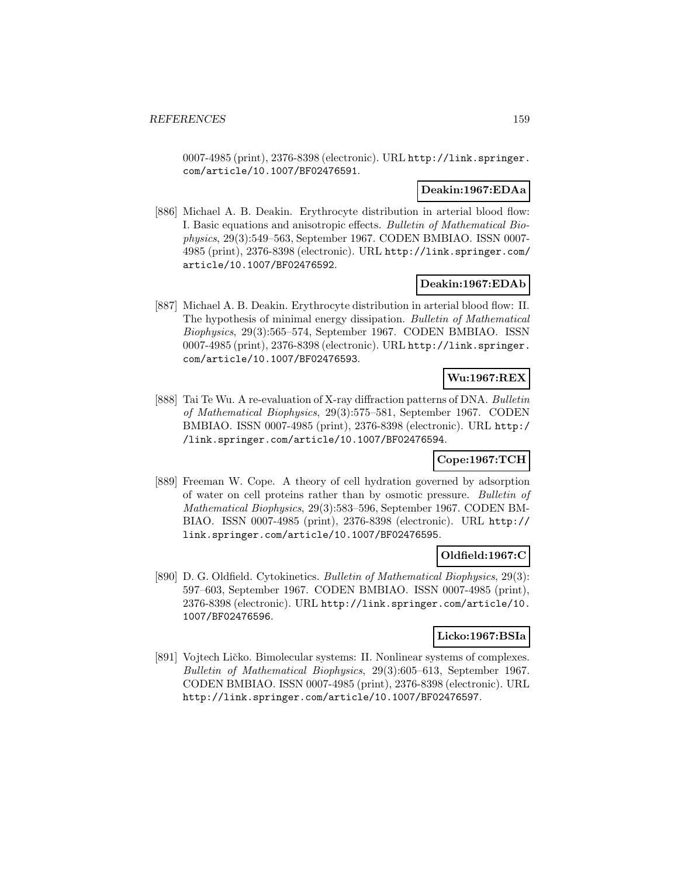0007-4985 (print), 2376-8398 (electronic). URL http://link.springer. com/article/10.1007/BF02476591.

## **Deakin:1967:EDAa**

[886] Michael A. B. Deakin. Erythrocyte distribution in arterial blood flow: I. Basic equations and anisotropic effects. Bulletin of Mathematical Biophysics, 29(3):549–563, September 1967. CODEN BMBIAO. ISSN 0007- 4985 (print), 2376-8398 (electronic). URL http://link.springer.com/ article/10.1007/BF02476592.

### **Deakin:1967:EDAb**

[887] Michael A. B. Deakin. Erythrocyte distribution in arterial blood flow: II. The hypothesis of minimal energy dissipation. Bulletin of Mathematical Biophysics, 29(3):565–574, September 1967. CODEN BMBIAO. ISSN 0007-4985 (print), 2376-8398 (electronic). URL http://link.springer. com/article/10.1007/BF02476593.

# **Wu:1967:REX**

[888] Tai Te Wu. A re-evaluation of X-ray diffraction patterns of DNA. Bulletin of Mathematical Biophysics, 29(3):575–581, September 1967. CODEN BMBIAO. ISSN 0007-4985 (print), 2376-8398 (electronic). URL http:/ /link.springer.com/article/10.1007/BF02476594.

# **Cope:1967:TCH**

[889] Freeman W. Cope. A theory of cell hydration governed by adsorption of water on cell proteins rather than by osmotic pressure. Bulletin of Mathematical Biophysics, 29(3):583–596, September 1967. CODEN BM-BIAO. ISSN 0007-4985 (print), 2376-8398 (electronic). URL http:// link.springer.com/article/10.1007/BF02476595.

# **Oldfield:1967:C**

[890] D. G. Oldfield. Cytokinetics. Bulletin of Mathematical Biophysics, 29(3): 597–603, September 1967. CODEN BMBIAO. ISSN 0007-4985 (print), 2376-8398 (electronic). URL http://link.springer.com/article/10. 1007/BF02476596.

### **Licko:1967:BSIa**

[891] Vojtech Ličko. Bimolecular systems: II. Nonlinear systems of complexes. Bulletin of Mathematical Biophysics, 29(3):605–613, September 1967. CODEN BMBIAO. ISSN 0007-4985 (print), 2376-8398 (electronic). URL http://link.springer.com/article/10.1007/BF02476597.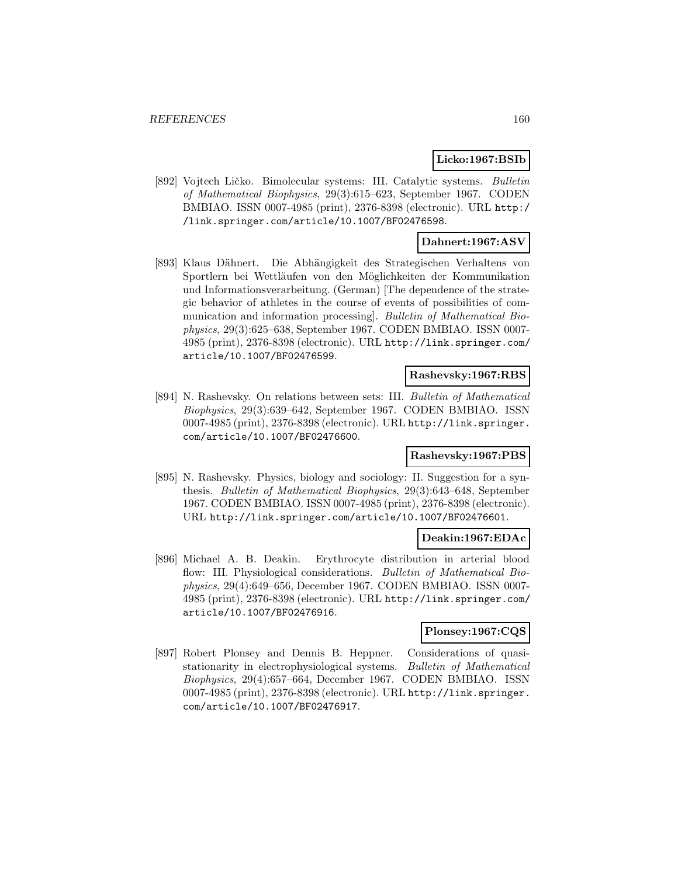### **Licko:1967:BSIb**

[892] Vojtech Ličko. Bimolecular systems: III. Catalytic systems. Bulletin of Mathematical Biophysics, 29(3):615–623, September 1967. CODEN BMBIAO. ISSN 0007-4985 (print), 2376-8398 (electronic). URL http:/ /link.springer.com/article/10.1007/BF02476598.

## **Dahnert:1967:ASV**

[893] Klaus Dähnert. Die Abhängigkeit des Strategischen Verhaltens von Sportlern bei Wettläufen von den Möglichkeiten der Kommunikation und Informationsverarbeitung. (German) [The dependence of the strategic behavior of athletes in the course of events of possibilities of communication and information processing]. Bulletin of Mathematical Biophysics, 29(3):625–638, September 1967. CODEN BMBIAO. ISSN 0007- 4985 (print), 2376-8398 (electronic). URL http://link.springer.com/ article/10.1007/BF02476599.

#### **Rashevsky:1967:RBS**

[894] N. Rashevsky. On relations between sets: III. Bulletin of Mathematical Biophysics, 29(3):639–642, September 1967. CODEN BMBIAO. ISSN 0007-4985 (print), 2376-8398 (electronic). URL http://link.springer. com/article/10.1007/BF02476600.

# **Rashevsky:1967:PBS**

[895] N. Rashevsky. Physics, biology and sociology: II. Suggestion for a synthesis. Bulletin of Mathematical Biophysics, 29(3):643–648, September 1967. CODEN BMBIAO. ISSN 0007-4985 (print), 2376-8398 (electronic). URL http://link.springer.com/article/10.1007/BF02476601.

### **Deakin:1967:EDAc**

[896] Michael A. B. Deakin. Erythrocyte distribution in arterial blood flow: III. Physiological considerations. Bulletin of Mathematical Biophysics, 29(4):649–656, December 1967. CODEN BMBIAO. ISSN 0007- 4985 (print), 2376-8398 (electronic). URL http://link.springer.com/ article/10.1007/BF02476916.

### **Plonsey:1967:CQS**

[897] Robert Plonsey and Dennis B. Heppner. Considerations of quasistationarity in electrophysiological systems. Bulletin of Mathematical Biophysics, 29(4):657–664, December 1967. CODEN BMBIAO. ISSN 0007-4985 (print), 2376-8398 (electronic). URL http://link.springer. com/article/10.1007/BF02476917.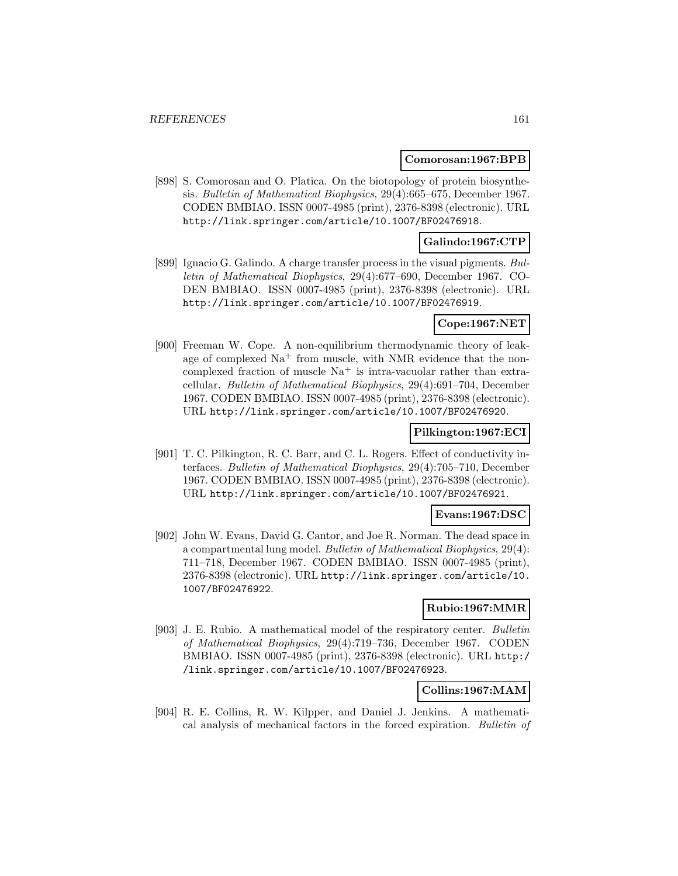#### **Comorosan:1967:BPB**

[898] S. Comorosan and O. Platica. On the biotopology of protein biosynthesis. Bulletin of Mathematical Biophysics, 29(4):665–675, December 1967. CODEN BMBIAO. ISSN 0007-4985 (print), 2376-8398 (electronic). URL http://link.springer.com/article/10.1007/BF02476918.

### **Galindo:1967:CTP**

[899] Ignacio G. Galindo. A charge transfer process in the visual pigments. Bulletin of Mathematical Biophysics, 29(4):677–690, December 1967. CO-DEN BMBIAO. ISSN 0007-4985 (print), 2376-8398 (electronic). URL http://link.springer.com/article/10.1007/BF02476919.

### **Cope:1967:NET**

[900] Freeman W. Cope. A non-equilibrium thermodynamic theory of leakage of complexed  $\mathrm{Na}^+$  from muscle, with NMR evidence that the noncomplexed fraction of muscle  $Na<sup>+</sup>$  is intra-vacuolar rather than extracellular. Bulletin of Mathematical Biophysics, 29(4):691–704, December 1967. CODEN BMBIAO. ISSN 0007-4985 (print), 2376-8398 (electronic). URL http://link.springer.com/article/10.1007/BF02476920.

#### **Pilkington:1967:ECI**

[901] T. C. Pilkington, R. C. Barr, and C. L. Rogers. Effect of conductivity interfaces. Bulletin of Mathematical Biophysics, 29(4):705–710, December 1967. CODEN BMBIAO. ISSN 0007-4985 (print), 2376-8398 (electronic). URL http://link.springer.com/article/10.1007/BF02476921.

### **Evans:1967:DSC**

[902] John W. Evans, David G. Cantor, and Joe R. Norman. The dead space in a compartmental lung model. Bulletin of Mathematical Biophysics, 29(4): 711–718, December 1967. CODEN BMBIAO. ISSN 0007-4985 (print), 2376-8398 (electronic). URL http://link.springer.com/article/10. 1007/BF02476922.

### **Rubio:1967:MMR**

[903] J. E. Rubio. A mathematical model of the respiratory center. Bulletin of Mathematical Biophysics, 29(4):719–736, December 1967. CODEN BMBIAO. ISSN 0007-4985 (print), 2376-8398 (electronic). URL http:/ /link.springer.com/article/10.1007/BF02476923.

### **Collins:1967:MAM**

[904] R. E. Collins, R. W. Kilpper, and Daniel J. Jenkins. A mathematical analysis of mechanical factors in the forced expiration. Bulletin of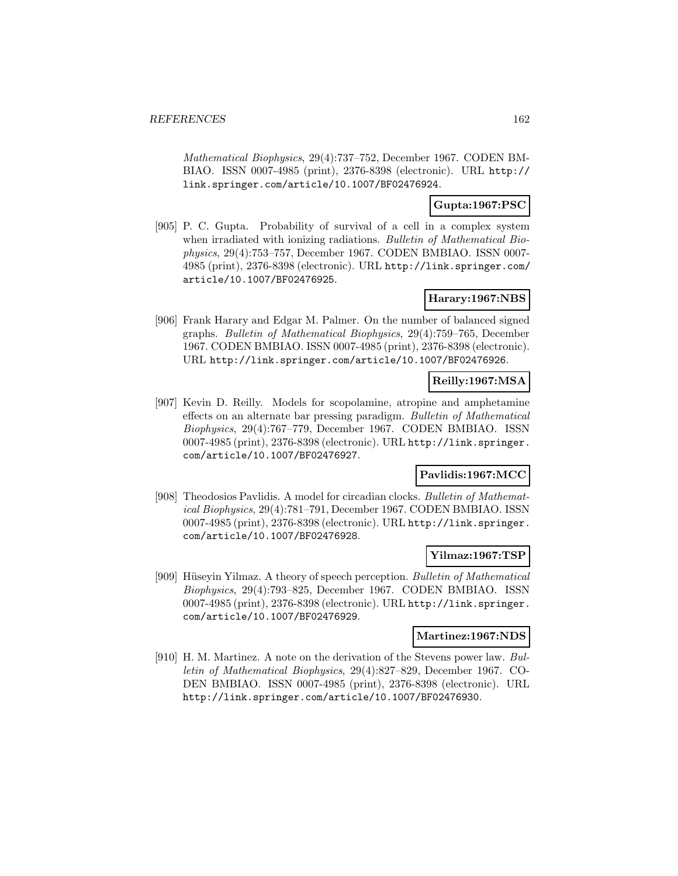Mathematical Biophysics, 29(4):737–752, December 1967. CODEN BM-BIAO. ISSN 0007-4985 (print), 2376-8398 (electronic). URL http:// link.springer.com/article/10.1007/BF02476924.

## **Gupta:1967:PSC**

[905] P. C. Gupta. Probability of survival of a cell in a complex system when irradiated with ionizing radiations. Bulletin of Mathematical Biophysics, 29(4):753–757, December 1967. CODEN BMBIAO. ISSN 0007- 4985 (print), 2376-8398 (electronic). URL http://link.springer.com/ article/10.1007/BF02476925.

### **Harary:1967:NBS**

[906] Frank Harary and Edgar M. Palmer. On the number of balanced signed graphs. Bulletin of Mathematical Biophysics, 29(4):759–765, December 1967. CODEN BMBIAO. ISSN 0007-4985 (print), 2376-8398 (electronic). URL http://link.springer.com/article/10.1007/BF02476926.

### **Reilly:1967:MSA**

[907] Kevin D. Reilly. Models for scopolamine, atropine and amphetamine effects on an alternate bar pressing paradigm. Bulletin of Mathematical Biophysics, 29(4):767–779, December 1967. CODEN BMBIAO. ISSN 0007-4985 (print), 2376-8398 (electronic). URL http://link.springer. com/article/10.1007/BF02476927.

# **Pavlidis:1967:MCC**

[908] Theodosios Pavlidis. A model for circadian clocks. Bulletin of Mathematical Biophysics, 29(4):781–791, December 1967. CODEN BMBIAO. ISSN 0007-4985 (print), 2376-8398 (electronic). URL http://link.springer. com/article/10.1007/BF02476928.

## **Yilmaz:1967:TSP**

[909] Hüseyin Yilmaz. A theory of speech perception. Bulletin of Mathematical Biophysics, 29(4):793–825, December 1967. CODEN BMBIAO. ISSN 0007-4985 (print), 2376-8398 (electronic). URL http://link.springer. com/article/10.1007/BF02476929.

### **Martinez:1967:NDS**

[910] H. M. Martinez. A note on the derivation of the Stevens power law. Bulletin of Mathematical Biophysics, 29(4):827–829, December 1967. CO-DEN BMBIAO. ISSN 0007-4985 (print), 2376-8398 (electronic). URL http://link.springer.com/article/10.1007/BF02476930.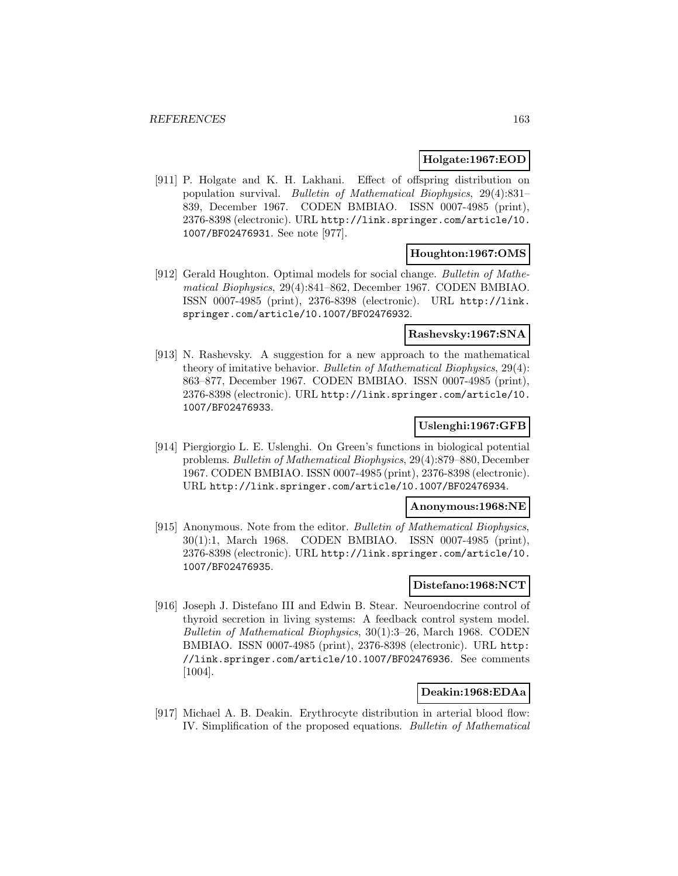### **Holgate:1967:EOD**

[911] P. Holgate and K. H. Lakhani. Effect of offspring distribution on population survival. Bulletin of Mathematical Biophysics, 29(4):831– 839, December 1967. CODEN BMBIAO. ISSN 0007-4985 (print), 2376-8398 (electronic). URL http://link.springer.com/article/10. 1007/BF02476931. See note [977].

### **Houghton:1967:OMS**

[912] Gerald Houghton. Optimal models for social change. Bulletin of Mathematical Biophysics, 29(4):841–862, December 1967. CODEN BMBIAO. ISSN 0007-4985 (print), 2376-8398 (electronic). URL http://link. springer.com/article/10.1007/BF02476932.

## **Rashevsky:1967:SNA**

[913] N. Rashevsky. A suggestion for a new approach to the mathematical theory of imitative behavior. Bulletin of Mathematical Biophysics, 29(4): 863–877, December 1967. CODEN BMBIAO. ISSN 0007-4985 (print), 2376-8398 (electronic). URL http://link.springer.com/article/10. 1007/BF02476933.

## **Uslenghi:1967:GFB**

[914] Piergiorgio L. E. Uslenghi. On Green's functions in biological potential problems. Bulletin of Mathematical Biophysics, 29(4):879–880, December 1967. CODEN BMBIAO. ISSN 0007-4985 (print), 2376-8398 (electronic). URL http://link.springer.com/article/10.1007/BF02476934.

#### **Anonymous:1968:NE**

[915] Anonymous. Note from the editor. Bulletin of Mathematical Biophysics, 30(1):1, March 1968. CODEN BMBIAO. ISSN 0007-4985 (print), 2376-8398 (electronic). URL http://link.springer.com/article/10. 1007/BF02476935.

## **Distefano:1968:NCT**

[916] Joseph J. Distefano III and Edwin B. Stear. Neuroendocrine control of thyroid secretion in living systems: A feedback control system model. Bulletin of Mathematical Biophysics, 30(1):3–26, March 1968. CODEN BMBIAO. ISSN 0007-4985 (print), 2376-8398 (electronic). URL http: //link.springer.com/article/10.1007/BF02476936. See comments [1004].

# **Deakin:1968:EDAa**

[917] Michael A. B. Deakin. Erythrocyte distribution in arterial blood flow: IV. Simplification of the proposed equations. Bulletin of Mathematical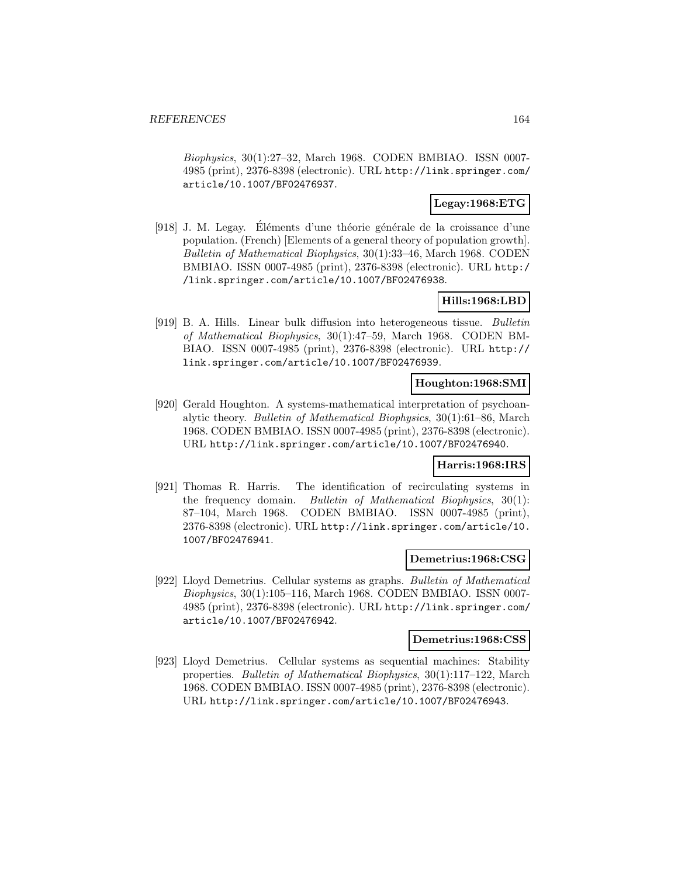Biophysics, 30(1):27–32, March 1968. CODEN BMBIAO. ISSN 0007- 4985 (print), 2376-8398 (electronic). URL http://link.springer.com/ article/10.1007/BF02476937.

### **Legay:1968:ETG**

[918] J. M. Legay. Eléments d'une théorie générale de la croissance d'une population. (French) [Elements of a general theory of population growth]. Bulletin of Mathematical Biophysics, 30(1):33–46, March 1968. CODEN BMBIAO. ISSN 0007-4985 (print), 2376-8398 (electronic). URL http:/ /link.springer.com/article/10.1007/BF02476938.

## **Hills:1968:LBD**

[919] B. A. Hills. Linear bulk diffusion into heterogeneous tissue. Bulletin of Mathematical Biophysics, 30(1):47–59, March 1968. CODEN BM-BIAO. ISSN 0007-4985 (print), 2376-8398 (electronic). URL http:// link.springer.com/article/10.1007/BF02476939.

### **Houghton:1968:SMI**

[920] Gerald Houghton. A systems-mathematical interpretation of psychoanalytic theory. Bulletin of Mathematical Biophysics, 30(1):61–86, March 1968. CODEN BMBIAO. ISSN 0007-4985 (print), 2376-8398 (electronic). URL http://link.springer.com/article/10.1007/BF02476940.

### **Harris:1968:IRS**

[921] Thomas R. Harris. The identification of recirculating systems in the frequency domain. Bulletin of Mathematical Biophysics, 30(1): 87–104, March 1968. CODEN BMBIAO. ISSN 0007-4985 (print), 2376-8398 (electronic). URL http://link.springer.com/article/10. 1007/BF02476941.

#### **Demetrius:1968:CSG**

[922] Lloyd Demetrius. Cellular systems as graphs. Bulletin of Mathematical Biophysics, 30(1):105–116, March 1968. CODEN BMBIAO. ISSN 0007- 4985 (print), 2376-8398 (electronic). URL http://link.springer.com/ article/10.1007/BF02476942.

### **Demetrius:1968:CSS**

[923] Lloyd Demetrius. Cellular systems as sequential machines: Stability properties. Bulletin of Mathematical Biophysics, 30(1):117–122, March 1968. CODEN BMBIAO. ISSN 0007-4985 (print), 2376-8398 (electronic). URL http://link.springer.com/article/10.1007/BF02476943.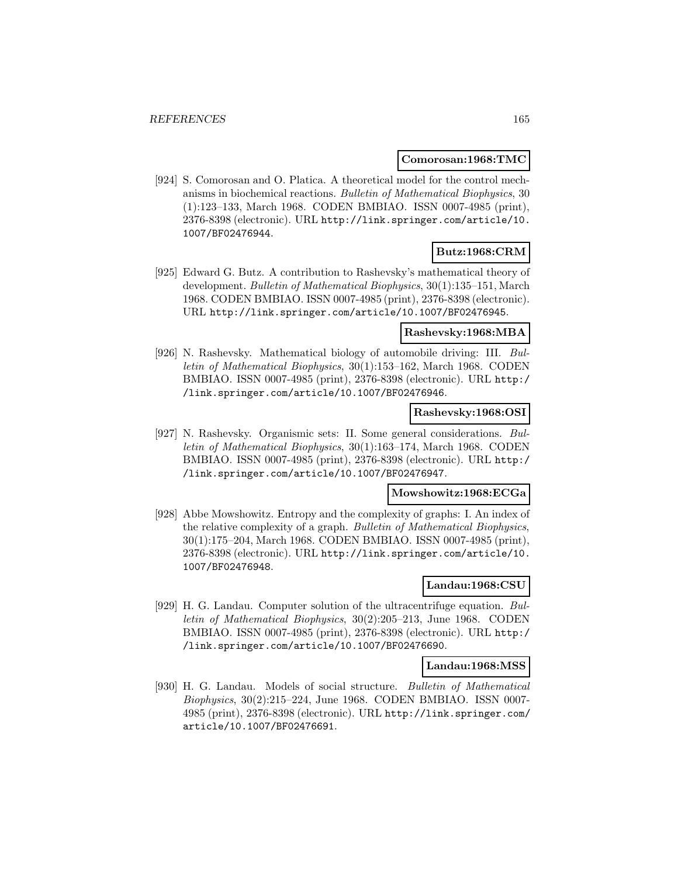#### **Comorosan:1968:TMC**

[924] S. Comorosan and O. Platica. A theoretical model for the control mechanisms in biochemical reactions. Bulletin of Mathematical Biophysics, 30 (1):123–133, March 1968. CODEN BMBIAO. ISSN 0007-4985 (print), 2376-8398 (electronic). URL http://link.springer.com/article/10. 1007/BF02476944.

# **Butz:1968:CRM**

[925] Edward G. Butz. A contribution to Rashevsky's mathematical theory of development. Bulletin of Mathematical Biophysics, 30(1):135–151, March 1968. CODEN BMBIAO. ISSN 0007-4985 (print), 2376-8398 (electronic). URL http://link.springer.com/article/10.1007/BF02476945.

### **Rashevsky:1968:MBA**

[926] N. Rashevsky. Mathematical biology of automobile driving: III. Bulletin of Mathematical Biophysics, 30(1):153–162, March 1968. CODEN BMBIAO. ISSN 0007-4985 (print), 2376-8398 (electronic). URL http:/ /link.springer.com/article/10.1007/BF02476946.

### **Rashevsky:1968:OSI**

[927] N. Rashevsky. Organismic sets: II. Some general considerations. Bulletin of Mathematical Biophysics, 30(1):163–174, March 1968. CODEN BMBIAO. ISSN 0007-4985 (print), 2376-8398 (electronic). URL http:/ /link.springer.com/article/10.1007/BF02476947.

## **Mowshowitz:1968:ECGa**

[928] Abbe Mowshowitz. Entropy and the complexity of graphs: I. An index of the relative complexity of a graph. Bulletin of Mathematical Biophysics, 30(1):175–204, March 1968. CODEN BMBIAO. ISSN 0007-4985 (print), 2376-8398 (electronic). URL http://link.springer.com/article/10. 1007/BF02476948.

### **Landau:1968:CSU**

[929] H. G. Landau. Computer solution of the ultracentrifuge equation. Bulletin of Mathematical Biophysics, 30(2):205–213, June 1968. CODEN BMBIAO. ISSN 0007-4985 (print), 2376-8398 (electronic). URL http:/ /link.springer.com/article/10.1007/BF02476690.

#### **Landau:1968:MSS**

[930] H. G. Landau. Models of social structure. Bulletin of Mathematical Biophysics, 30(2):215–224, June 1968. CODEN BMBIAO. ISSN 0007- 4985 (print), 2376-8398 (electronic). URL http://link.springer.com/ article/10.1007/BF02476691.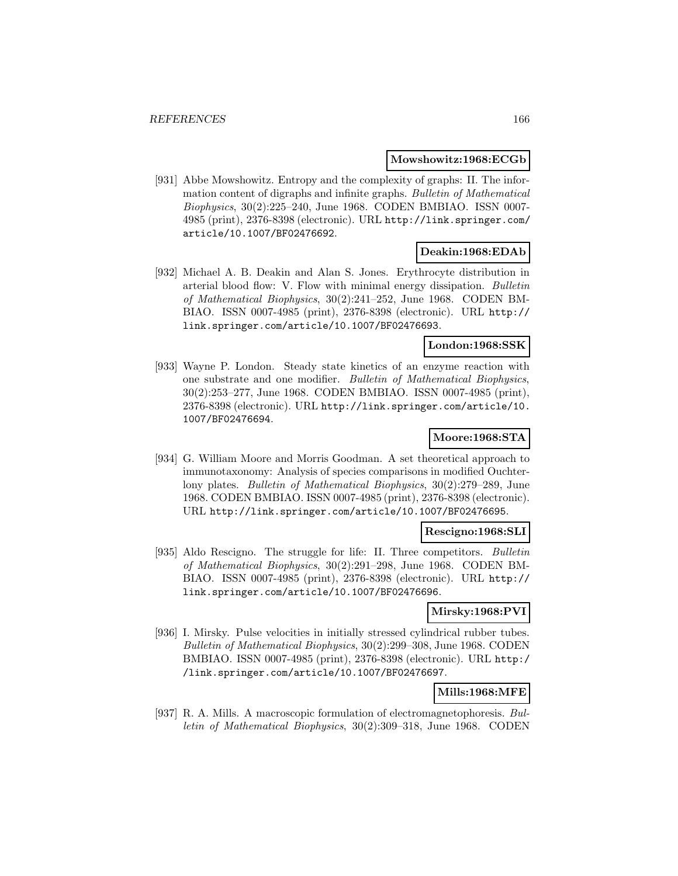#### **Mowshowitz:1968:ECGb**

[931] Abbe Mowshowitz. Entropy and the complexity of graphs: II. The information content of digraphs and infinite graphs. Bulletin of Mathematical Biophysics, 30(2):225–240, June 1968. CODEN BMBIAO. ISSN 0007- 4985 (print), 2376-8398 (electronic). URL http://link.springer.com/ article/10.1007/BF02476692.

# **Deakin:1968:EDAb**

[932] Michael A. B. Deakin and Alan S. Jones. Erythrocyte distribution in arterial blood flow: V. Flow with minimal energy dissipation. Bulletin of Mathematical Biophysics, 30(2):241–252, June 1968. CODEN BM-BIAO. ISSN 0007-4985 (print), 2376-8398 (electronic). URL http:// link.springer.com/article/10.1007/BF02476693.

# **London:1968:SSK**

[933] Wayne P. London. Steady state kinetics of an enzyme reaction with one substrate and one modifier. Bulletin of Mathematical Biophysics, 30(2):253–277, June 1968. CODEN BMBIAO. ISSN 0007-4985 (print), 2376-8398 (electronic). URL http://link.springer.com/article/10. 1007/BF02476694.

# **Moore:1968:STA**

[934] G. William Moore and Morris Goodman. A set theoretical approach to immunotaxonomy: Analysis of species comparisons in modified Ouchterlony plates. Bulletin of Mathematical Biophysics, 30(2):279–289, June 1968. CODEN BMBIAO. ISSN 0007-4985 (print), 2376-8398 (electronic). URL http://link.springer.com/article/10.1007/BF02476695.

### **Rescigno:1968:SLI**

[935] Aldo Rescigno. The struggle for life: II. Three competitors. Bulletin of Mathematical Biophysics, 30(2):291–298, June 1968. CODEN BM-BIAO. ISSN 0007-4985 (print), 2376-8398 (electronic). URL http:// link.springer.com/article/10.1007/BF02476696.

### **Mirsky:1968:PVI**

[936] I. Mirsky. Pulse velocities in initially stressed cylindrical rubber tubes. Bulletin of Mathematical Biophysics, 30(2):299–308, June 1968. CODEN BMBIAO. ISSN 0007-4985 (print), 2376-8398 (electronic). URL http:/ /link.springer.com/article/10.1007/BF02476697.

# **Mills:1968:MFE**

[937] R. A. Mills. A macroscopic formulation of electromagnetophoresis. Bulletin of Mathematical Biophysics, 30(2):309–318, June 1968. CODEN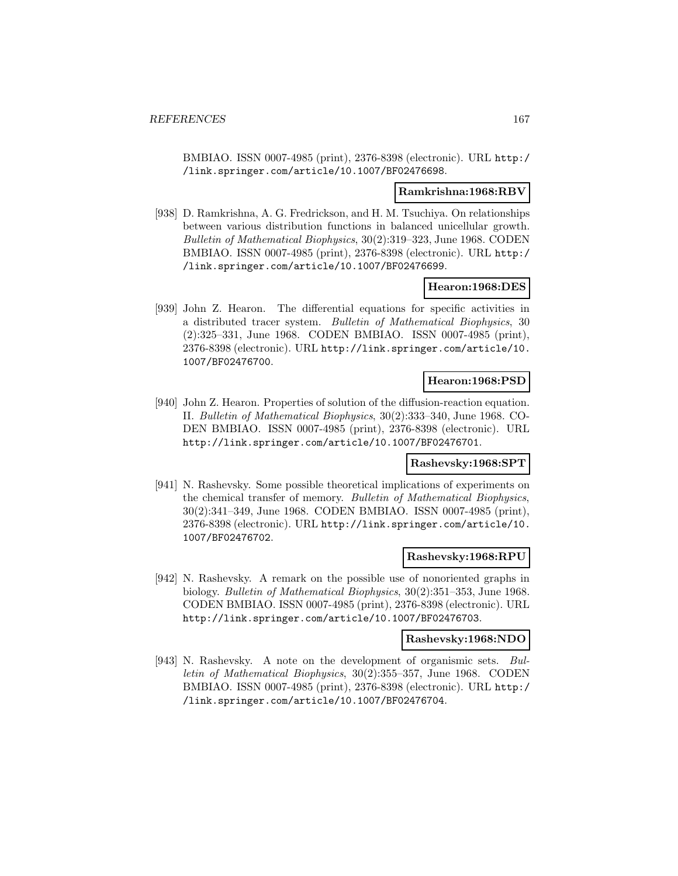BMBIAO. ISSN 0007-4985 (print), 2376-8398 (electronic). URL http:/ /link.springer.com/article/10.1007/BF02476698.

#### **Ramkrishna:1968:RBV**

[938] D. Ramkrishna, A. G. Fredrickson, and H. M. Tsuchiya. On relationships between various distribution functions in balanced unicellular growth. Bulletin of Mathematical Biophysics, 30(2):319–323, June 1968. CODEN BMBIAO. ISSN 0007-4985 (print), 2376-8398 (electronic). URL http:/ /link.springer.com/article/10.1007/BF02476699.

### **Hearon:1968:DES**

[939] John Z. Hearon. The differential equations for specific activities in a distributed tracer system. Bulletin of Mathematical Biophysics, 30 (2):325–331, June 1968. CODEN BMBIAO. ISSN 0007-4985 (print), 2376-8398 (electronic). URL http://link.springer.com/article/10. 1007/BF02476700.

### **Hearon:1968:PSD**

[940] John Z. Hearon. Properties of solution of the diffusion-reaction equation. II. Bulletin of Mathematical Biophysics, 30(2):333–340, June 1968. CO-DEN BMBIAO. ISSN 0007-4985 (print), 2376-8398 (electronic). URL http://link.springer.com/article/10.1007/BF02476701.

#### **Rashevsky:1968:SPT**

[941] N. Rashevsky. Some possible theoretical implications of experiments on the chemical transfer of memory. Bulletin of Mathematical Biophysics, 30(2):341–349, June 1968. CODEN BMBIAO. ISSN 0007-4985 (print), 2376-8398 (electronic). URL http://link.springer.com/article/10. 1007/BF02476702.

### **Rashevsky:1968:RPU**

[942] N. Rashevsky. A remark on the possible use of nonoriented graphs in biology. Bulletin of Mathematical Biophysics, 30(2):351–353, June 1968. CODEN BMBIAO. ISSN 0007-4985 (print), 2376-8398 (electronic). URL http://link.springer.com/article/10.1007/BF02476703.

### **Rashevsky:1968:NDO**

[943] N. Rashevsky. A note on the development of organismic sets. Bulletin of Mathematical Biophysics, 30(2):355–357, June 1968. CODEN BMBIAO. ISSN 0007-4985 (print), 2376-8398 (electronic). URL http:/ /link.springer.com/article/10.1007/BF02476704.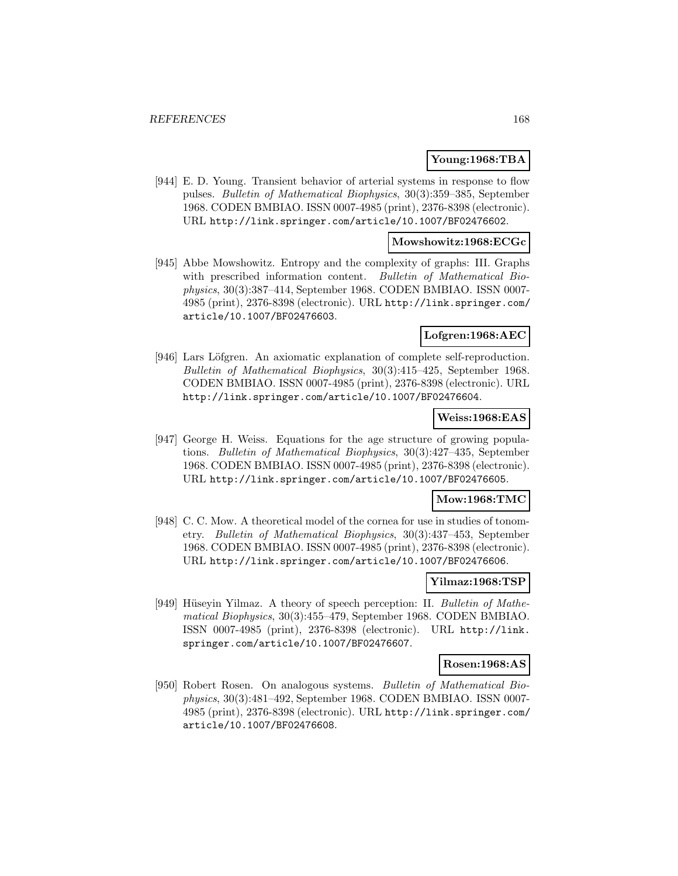#### **Young:1968:TBA**

[944] E. D. Young. Transient behavior of arterial systems in response to flow pulses. Bulletin of Mathematical Biophysics, 30(3):359–385, September 1968. CODEN BMBIAO. ISSN 0007-4985 (print), 2376-8398 (electronic). URL http://link.springer.com/article/10.1007/BF02476602.

### **Mowshowitz:1968:ECGc**

[945] Abbe Mowshowitz. Entropy and the complexity of graphs: III. Graphs with prescribed information content. Bulletin of Mathematical Biophysics, 30(3):387–414, September 1968. CODEN BMBIAO. ISSN 0007- 4985 (print), 2376-8398 (electronic). URL http://link.springer.com/ article/10.1007/BF02476603.

### **Lofgren:1968:AEC**

[946] Lars Löfgren. An axiomatic explanation of complete self-reproduction. Bulletin of Mathematical Biophysics, 30(3):415–425, September 1968. CODEN BMBIAO. ISSN 0007-4985 (print), 2376-8398 (electronic). URL http://link.springer.com/article/10.1007/BF02476604.

### **Weiss:1968:EAS**

[947] George H. Weiss. Equations for the age structure of growing populations. Bulletin of Mathematical Biophysics, 30(3):427–435, September 1968. CODEN BMBIAO. ISSN 0007-4985 (print), 2376-8398 (electronic). URL http://link.springer.com/article/10.1007/BF02476605.

#### **Mow:1968:TMC**

[948] C. C. Mow. A theoretical model of the cornea for use in studies of tonometry. Bulletin of Mathematical Biophysics, 30(3):437–453, September 1968. CODEN BMBIAO. ISSN 0007-4985 (print), 2376-8398 (electronic). URL http://link.springer.com/article/10.1007/BF02476606.

# **Yilmaz:1968:TSP**

[949] Hüseyin Yilmaz. A theory of speech perception: II. Bulletin of Mathematical Biophysics, 30(3):455–479, September 1968. CODEN BMBIAO. ISSN 0007-4985 (print), 2376-8398 (electronic). URL http://link. springer.com/article/10.1007/BF02476607.

### **Rosen:1968:AS**

[950] Robert Rosen. On analogous systems. Bulletin of Mathematical Biophysics, 30(3):481–492, September 1968. CODEN BMBIAO. ISSN 0007- 4985 (print), 2376-8398 (electronic). URL http://link.springer.com/ article/10.1007/BF02476608.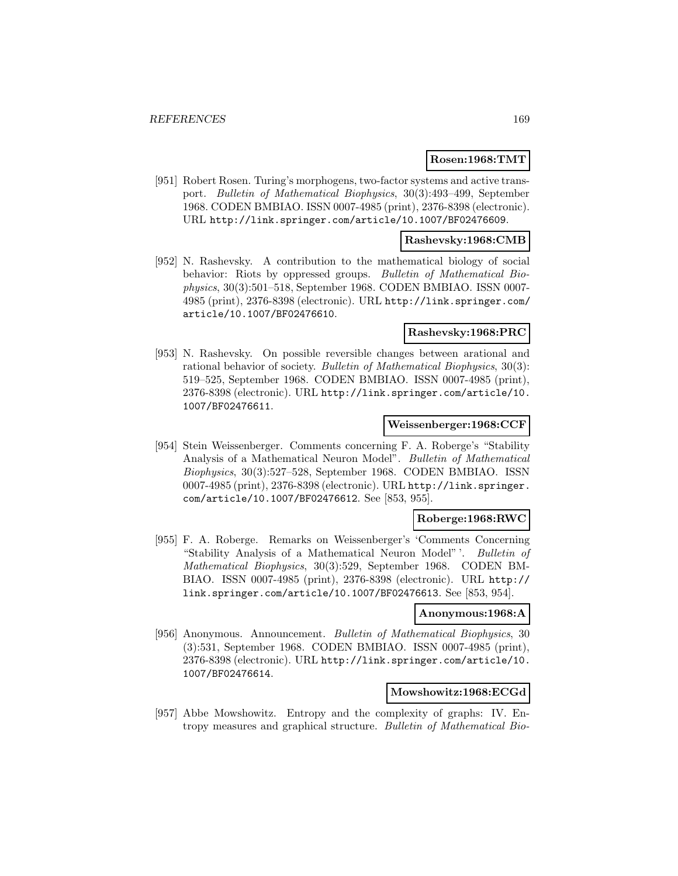### **Rosen:1968:TMT**

[951] Robert Rosen. Turing's morphogens, two-factor systems and active transport. Bulletin of Mathematical Biophysics, 30(3):493–499, September 1968. CODEN BMBIAO. ISSN 0007-4985 (print), 2376-8398 (electronic). URL http://link.springer.com/article/10.1007/BF02476609.

### **Rashevsky:1968:CMB**

[952] N. Rashevsky. A contribution to the mathematical biology of social behavior: Riots by oppressed groups. Bulletin of Mathematical Biophysics, 30(3):501–518, September 1968. CODEN BMBIAO. ISSN 0007- 4985 (print), 2376-8398 (electronic). URL http://link.springer.com/ article/10.1007/BF02476610.

### **Rashevsky:1968:PRC**

[953] N. Rashevsky. On possible reversible changes between arational and rational behavior of society. Bulletin of Mathematical Biophysics, 30(3): 519–525, September 1968. CODEN BMBIAO. ISSN 0007-4985 (print), 2376-8398 (electronic). URL http://link.springer.com/article/10. 1007/BF02476611.

### **Weissenberger:1968:CCF**

[954] Stein Weissenberger. Comments concerning F. A. Roberge's "Stability Analysis of a Mathematical Neuron Model". Bulletin of Mathematical Biophysics, 30(3):527–528, September 1968. CODEN BMBIAO. ISSN 0007-4985 (print), 2376-8398 (electronic). URL http://link.springer. com/article/10.1007/BF02476612. See [853, 955].

### **Roberge:1968:RWC**

[955] F. A. Roberge. Remarks on Weissenberger's 'Comments Concerning "Stability Analysis of a Mathematical Neuron Model" '. Bulletin of Mathematical Biophysics, 30(3):529, September 1968. CODEN BM-BIAO. ISSN 0007-4985 (print), 2376-8398 (electronic). URL http:// link.springer.com/article/10.1007/BF02476613. See [853, 954].

### **Anonymous:1968:A**

[956] Anonymous. Announcement. Bulletin of Mathematical Biophysics, 30 (3):531, September 1968. CODEN BMBIAO. ISSN 0007-4985 (print), 2376-8398 (electronic). URL http://link.springer.com/article/10. 1007/BF02476614.

# **Mowshowitz:1968:ECGd**

[957] Abbe Mowshowitz. Entropy and the complexity of graphs: IV. Entropy measures and graphical structure. Bulletin of Mathematical Bio-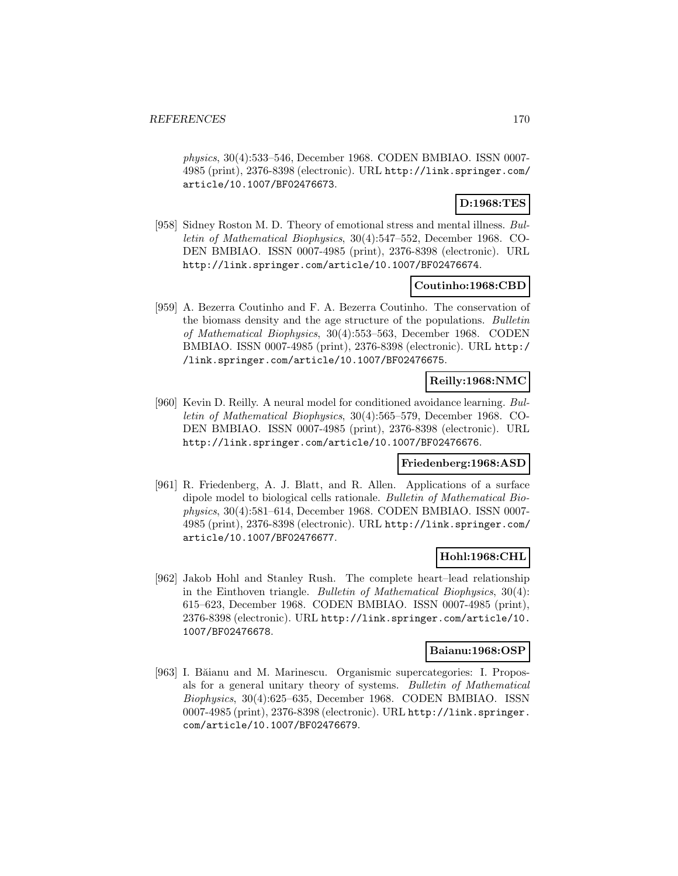physics, 30(4):533–546, December 1968. CODEN BMBIAO. ISSN 0007- 4985 (print), 2376-8398 (electronic). URL http://link.springer.com/ article/10.1007/BF02476673.

# **D:1968:TES**

[958] Sidney Roston M. D. Theory of emotional stress and mental illness. Bulletin of Mathematical Biophysics, 30(4):547–552, December 1968. CO-DEN BMBIAO. ISSN 0007-4985 (print), 2376-8398 (electronic). URL http://link.springer.com/article/10.1007/BF02476674.

## **Coutinho:1968:CBD**

[959] A. Bezerra Coutinho and F. A. Bezerra Coutinho. The conservation of the biomass density and the age structure of the populations. Bulletin of Mathematical Biophysics, 30(4):553–563, December 1968. CODEN BMBIAO. ISSN 0007-4985 (print), 2376-8398 (electronic). URL http:/ /link.springer.com/article/10.1007/BF02476675.

### **Reilly:1968:NMC**

[960] Kevin D. Reilly. A neural model for conditioned avoidance learning. Bulletin of Mathematical Biophysics, 30(4):565–579, December 1968. CO-DEN BMBIAO. ISSN 0007-4985 (print), 2376-8398 (electronic). URL http://link.springer.com/article/10.1007/BF02476676.

### **Friedenberg:1968:ASD**

[961] R. Friedenberg, A. J. Blatt, and R. Allen. Applications of a surface dipole model to biological cells rationale. Bulletin of Mathematical Biophysics, 30(4):581–614, December 1968. CODEN BMBIAO. ISSN 0007- 4985 (print), 2376-8398 (electronic). URL http://link.springer.com/ article/10.1007/BF02476677.

## **Hohl:1968:CHL**

[962] Jakob Hohl and Stanley Rush. The complete heart–lead relationship in the Einthoven triangle. Bulletin of Mathematical Biophysics, 30(4): 615–623, December 1968. CODEN BMBIAO. ISSN 0007-4985 (print), 2376-8398 (electronic). URL http://link.springer.com/article/10. 1007/BF02476678.

### **Baianu:1968:OSP**

[963] I. Băianu and M. Marinescu. Organismic supercategories: I. Proposals for a general unitary theory of systems. Bulletin of Mathematical Biophysics, 30(4):625–635, December 1968. CODEN BMBIAO. ISSN 0007-4985 (print), 2376-8398 (electronic). URL http://link.springer. com/article/10.1007/BF02476679.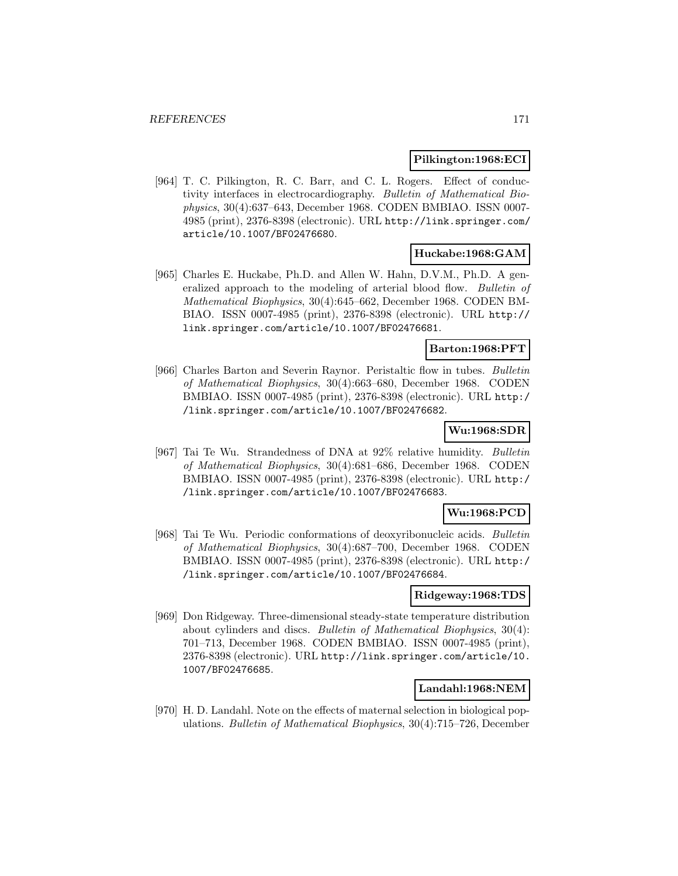#### **Pilkington:1968:ECI**

[964] T. C. Pilkington, R. C. Barr, and C. L. Rogers. Effect of conductivity interfaces in electrocardiography. Bulletin of Mathematical Biophysics, 30(4):637–643, December 1968. CODEN BMBIAO. ISSN 0007- 4985 (print), 2376-8398 (electronic). URL http://link.springer.com/ article/10.1007/BF02476680.

# **Huckabe:1968:GAM**

[965] Charles E. Huckabe, Ph.D. and Allen W. Hahn, D.V.M., Ph.D. A generalized approach to the modeling of arterial blood flow. Bulletin of Mathematical Biophysics, 30(4):645–662, December 1968. CODEN BM-BIAO. ISSN 0007-4985 (print), 2376-8398 (electronic). URL http:// link.springer.com/article/10.1007/BF02476681.

#### **Barton:1968:PFT**

[966] Charles Barton and Severin Raynor. Peristaltic flow in tubes. Bulletin of Mathematical Biophysics, 30(4):663–680, December 1968. CODEN BMBIAO. ISSN 0007-4985 (print), 2376-8398 (electronic). URL http:/ /link.springer.com/article/10.1007/BF02476682.

### **Wu:1968:SDR**

[967] Tai Te Wu. Strandedness of DNA at 92% relative humidity. Bulletin of Mathematical Biophysics, 30(4):681–686, December 1968. CODEN BMBIAO. ISSN 0007-4985 (print), 2376-8398 (electronic). URL http:/ /link.springer.com/article/10.1007/BF02476683.

## **Wu:1968:PCD**

[968] Tai Te Wu. Periodic conformations of deoxyribonucleic acids. Bulletin of Mathematical Biophysics, 30(4):687–700, December 1968. CODEN BMBIAO. ISSN 0007-4985 (print), 2376-8398 (electronic). URL http:/ /link.springer.com/article/10.1007/BF02476684.

#### **Ridgeway:1968:TDS**

[969] Don Ridgeway. Three-dimensional steady-state temperature distribution about cylinders and discs. Bulletin of Mathematical Biophysics, 30(4): 701–713, December 1968. CODEN BMBIAO. ISSN 0007-4985 (print), 2376-8398 (electronic). URL http://link.springer.com/article/10. 1007/BF02476685.

### **Landahl:1968:NEM**

[970] H. D. Landahl. Note on the effects of maternal selection in biological populations. Bulletin of Mathematical Biophysics, 30(4):715–726, December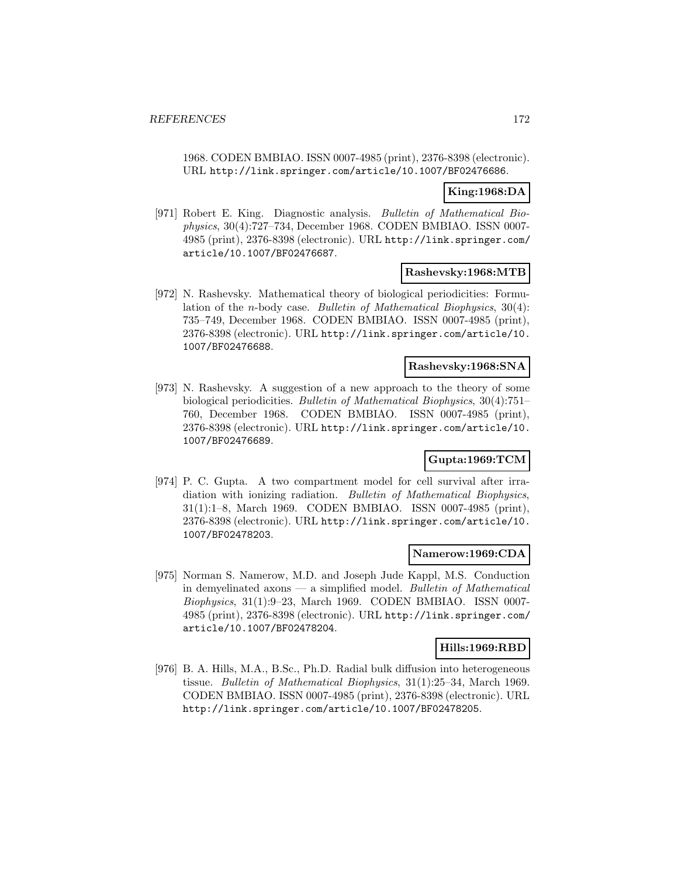1968. CODEN BMBIAO. ISSN 0007-4985 (print), 2376-8398 (electronic). URL http://link.springer.com/article/10.1007/BF02476686.

## **King:1968:DA**

[971] Robert E. King. Diagnostic analysis. Bulletin of Mathematical Biophysics, 30(4):727–734, December 1968. CODEN BMBIAO. ISSN 0007- 4985 (print), 2376-8398 (electronic). URL http://link.springer.com/ article/10.1007/BF02476687.

### **Rashevsky:1968:MTB**

[972] N. Rashevsky. Mathematical theory of biological periodicities: Formulation of the n-body case. Bulletin of Mathematical Biophysics, 30(4): 735–749, December 1968. CODEN BMBIAO. ISSN 0007-4985 (print), 2376-8398 (electronic). URL http://link.springer.com/article/10. 1007/BF02476688.

## **Rashevsky:1968:SNA**

[973] N. Rashevsky. A suggestion of a new approach to the theory of some biological periodicities. Bulletin of Mathematical Biophysics, 30(4):751– 760, December 1968. CODEN BMBIAO. ISSN 0007-4985 (print), 2376-8398 (electronic). URL http://link.springer.com/article/10. 1007/BF02476689.

# **Gupta:1969:TCM**

[974] P. C. Gupta. A two compartment model for cell survival after irradiation with ionizing radiation. Bulletin of Mathematical Biophysics, 31(1):1–8, March 1969. CODEN BMBIAO. ISSN 0007-4985 (print), 2376-8398 (electronic). URL http://link.springer.com/article/10. 1007/BF02478203.

#### **Namerow:1969:CDA**

[975] Norman S. Namerow, M.D. and Joseph Jude Kappl, M.S. Conduction in demyelinated axons  $-$  a simplified model. Bulletin of Mathematical Biophysics, 31(1):9–23, March 1969. CODEN BMBIAO. ISSN 0007- 4985 (print), 2376-8398 (electronic). URL http://link.springer.com/ article/10.1007/BF02478204.

#### **Hills:1969:RBD**

[976] B. A. Hills, M.A., B.Sc., Ph.D. Radial bulk diffusion into heterogeneous tissue. Bulletin of Mathematical Biophysics, 31(1):25–34, March 1969. CODEN BMBIAO. ISSN 0007-4985 (print), 2376-8398 (electronic). URL http://link.springer.com/article/10.1007/BF02478205.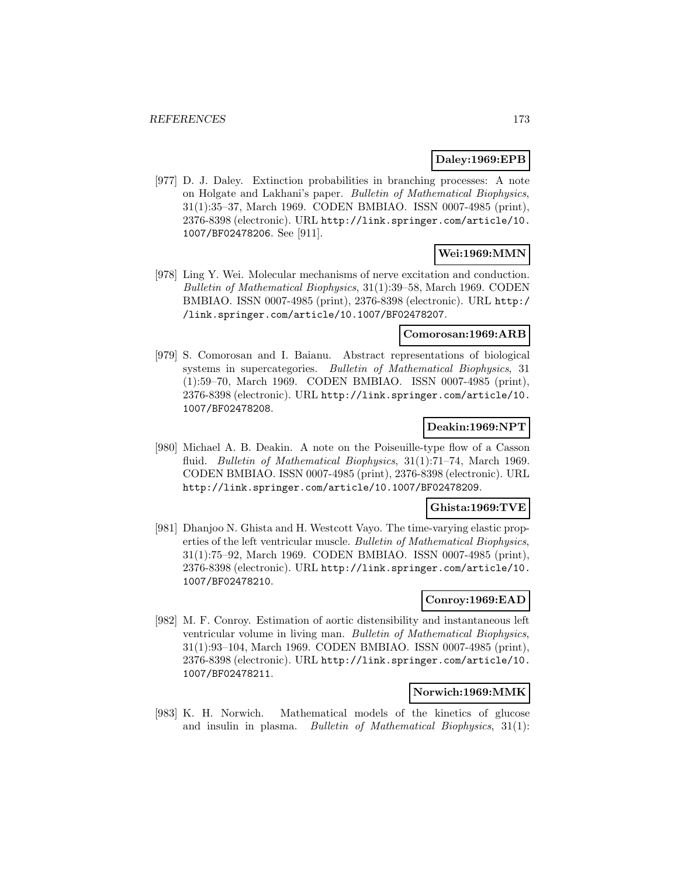## **Daley:1969:EPB**

[977] D. J. Daley. Extinction probabilities in branching processes: A note on Holgate and Lakhani's paper. Bulletin of Mathematical Biophysics, 31(1):35–37, March 1969. CODEN BMBIAO. ISSN 0007-4985 (print), 2376-8398 (electronic). URL http://link.springer.com/article/10. 1007/BF02478206. See [911].

## **Wei:1969:MMN**

[978] Ling Y. Wei. Molecular mechanisms of nerve excitation and conduction. Bulletin of Mathematical Biophysics, 31(1):39–58, March 1969. CODEN BMBIAO. ISSN 0007-4985 (print), 2376-8398 (electronic). URL http:/ /link.springer.com/article/10.1007/BF02478207.

#### **Comorosan:1969:ARB**

[979] S. Comorosan and I. Baianu. Abstract representations of biological systems in supercategories. Bulletin of Mathematical Biophysics, 31 (1):59–70, March 1969. CODEN BMBIAO. ISSN 0007-4985 (print), 2376-8398 (electronic). URL http://link.springer.com/article/10. 1007/BF02478208.

# **Deakin:1969:NPT**

[980] Michael A. B. Deakin. A note on the Poiseuille-type flow of a Casson fluid. *Bulletin of Mathematical Biophysics*, 31(1):71–74, March 1969. CODEN BMBIAO. ISSN 0007-4985 (print), 2376-8398 (electronic). URL http://link.springer.com/article/10.1007/BF02478209.

## **Ghista:1969:TVE**

[981] Dhanjoo N. Ghista and H. Westcott Vayo. The time-varying elastic properties of the left ventricular muscle. Bulletin of Mathematical Biophysics, 31(1):75–92, March 1969. CODEN BMBIAO. ISSN 0007-4985 (print), 2376-8398 (electronic). URL http://link.springer.com/article/10. 1007/BF02478210.

### **Conroy:1969:EAD**

[982] M. F. Conroy. Estimation of aortic distensibility and instantaneous left ventricular volume in living man. Bulletin of Mathematical Biophysics, 31(1):93–104, March 1969. CODEN BMBIAO. ISSN 0007-4985 (print), 2376-8398 (electronic). URL http://link.springer.com/article/10. 1007/BF02478211.

## **Norwich:1969:MMK**

[983] K. H. Norwich. Mathematical models of the kinetics of glucose and insulin in plasma. Bulletin of Mathematical Biophysics, 31(1):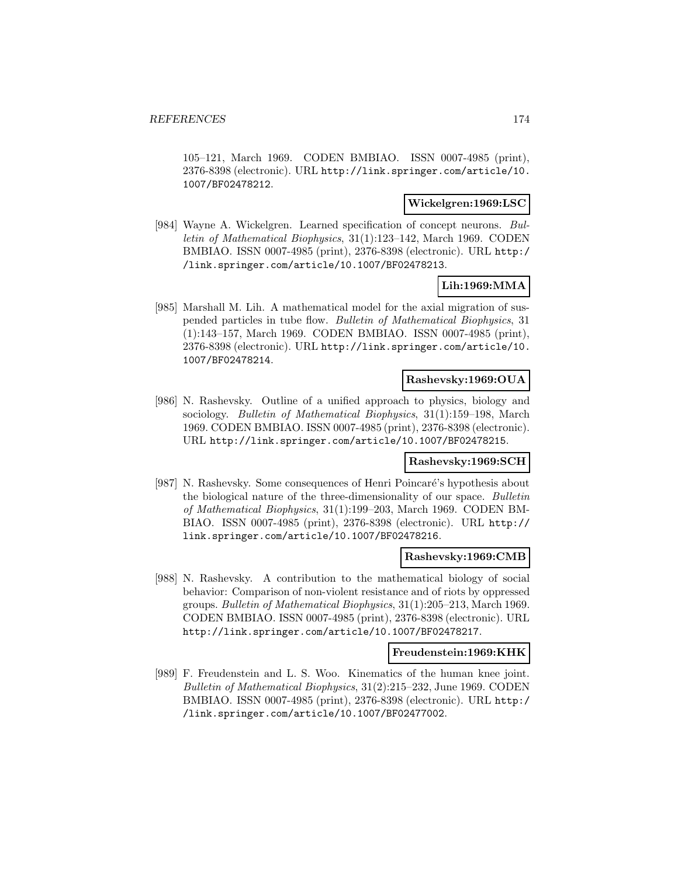105–121, March 1969. CODEN BMBIAO. ISSN 0007-4985 (print), 2376-8398 (electronic). URL http://link.springer.com/article/10. 1007/BF02478212.

#### **Wickelgren:1969:LSC**

[984] Wayne A. Wickelgren. Learned specification of concept neurons. Bulletin of Mathematical Biophysics, 31(1):123–142, March 1969. CODEN BMBIAO. ISSN 0007-4985 (print), 2376-8398 (electronic). URL http:/ /link.springer.com/article/10.1007/BF02478213.

## **Lih:1969:MMA**

[985] Marshall M. Lih. A mathematical model for the axial migration of suspended particles in tube flow. Bulletin of Mathematical Biophysics, 31 (1):143–157, March 1969. CODEN BMBIAO. ISSN 0007-4985 (print), 2376-8398 (electronic). URL http://link.springer.com/article/10. 1007/BF02478214.

### **Rashevsky:1969:OUA**

[986] N. Rashevsky. Outline of a unified approach to physics, biology and sociology. Bulletin of Mathematical Biophysics, 31(1):159–198, March 1969. CODEN BMBIAO. ISSN 0007-4985 (print), 2376-8398 (electronic). URL http://link.springer.com/article/10.1007/BF02478215.

### **Rashevsky:1969:SCH**

[987] N. Rashevsky. Some consequences of Henri Poincaré's hypothesis about the biological nature of the three-dimensionality of our space. Bulletin of Mathematical Biophysics, 31(1):199–203, March 1969. CODEN BM-BIAO. ISSN 0007-4985 (print), 2376-8398 (electronic). URL http:// link.springer.com/article/10.1007/BF02478216.

### **Rashevsky:1969:CMB**

[988] N. Rashevsky. A contribution to the mathematical biology of social behavior: Comparison of non-violent resistance and of riots by oppressed groups. Bulletin of Mathematical Biophysics, 31(1):205–213, March 1969. CODEN BMBIAO. ISSN 0007-4985 (print), 2376-8398 (electronic). URL http://link.springer.com/article/10.1007/BF02478217.

#### **Freudenstein:1969:KHK**

[989] F. Freudenstein and L. S. Woo. Kinematics of the human knee joint. Bulletin of Mathematical Biophysics, 31(2):215–232, June 1969. CODEN BMBIAO. ISSN 0007-4985 (print), 2376-8398 (electronic). URL http:/ /link.springer.com/article/10.1007/BF02477002.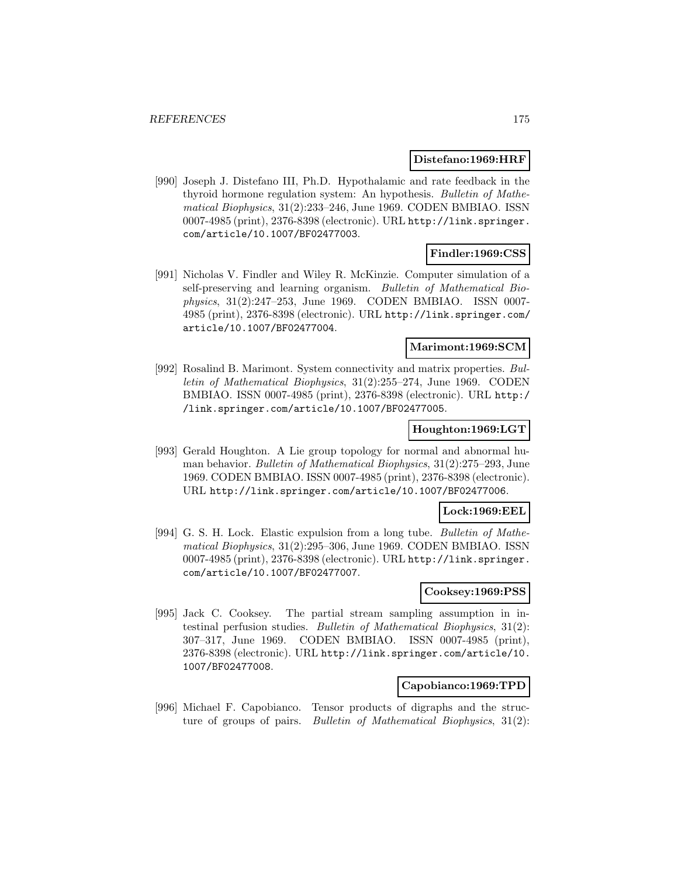#### **Distefano:1969:HRF**

[990] Joseph J. Distefano III, Ph.D. Hypothalamic and rate feedback in the thyroid hormone regulation system: An hypothesis. Bulletin of Mathematical Biophysics, 31(2):233–246, June 1969. CODEN BMBIAO. ISSN 0007-4985 (print), 2376-8398 (electronic). URL http://link.springer. com/article/10.1007/BF02477003.

## **Findler:1969:CSS**

[991] Nicholas V. Findler and Wiley R. McKinzie. Computer simulation of a self-preserving and learning organism. Bulletin of Mathematical Biophysics, 31(2):247–253, June 1969. CODEN BMBIAO. ISSN 0007- 4985 (print), 2376-8398 (electronic). URL http://link.springer.com/ article/10.1007/BF02477004.

### **Marimont:1969:SCM**

[992] Rosalind B. Marimont. System connectivity and matrix properties. Bulletin of Mathematical Biophysics, 31(2):255–274, June 1969. CODEN BMBIAO. ISSN 0007-4985 (print), 2376-8398 (electronic). URL http:/ /link.springer.com/article/10.1007/BF02477005.

### **Houghton:1969:LGT**

[993] Gerald Houghton. A Lie group topology for normal and abnormal human behavior. Bulletin of Mathematical Biophysics, 31(2):275–293, June 1969. CODEN BMBIAO. ISSN 0007-4985 (print), 2376-8398 (electronic). URL http://link.springer.com/article/10.1007/BF02477006.

# **Lock:1969:EEL**

[994] G. S. H. Lock. Elastic expulsion from a long tube. Bulletin of Mathematical Biophysics, 31(2):295–306, June 1969. CODEN BMBIAO. ISSN 0007-4985 (print), 2376-8398 (electronic). URL http://link.springer. com/article/10.1007/BF02477007.

#### **Cooksey:1969:PSS**

[995] Jack C. Cooksey. The partial stream sampling assumption in intestinal perfusion studies. Bulletin of Mathematical Biophysics, 31(2): 307–317, June 1969. CODEN BMBIAO. ISSN 0007-4985 (print), 2376-8398 (electronic). URL http://link.springer.com/article/10. 1007/BF02477008.

#### **Capobianco:1969:TPD**

[996] Michael F. Capobianco. Tensor products of digraphs and the structure of groups of pairs. Bulletin of Mathematical Biophysics, 31(2):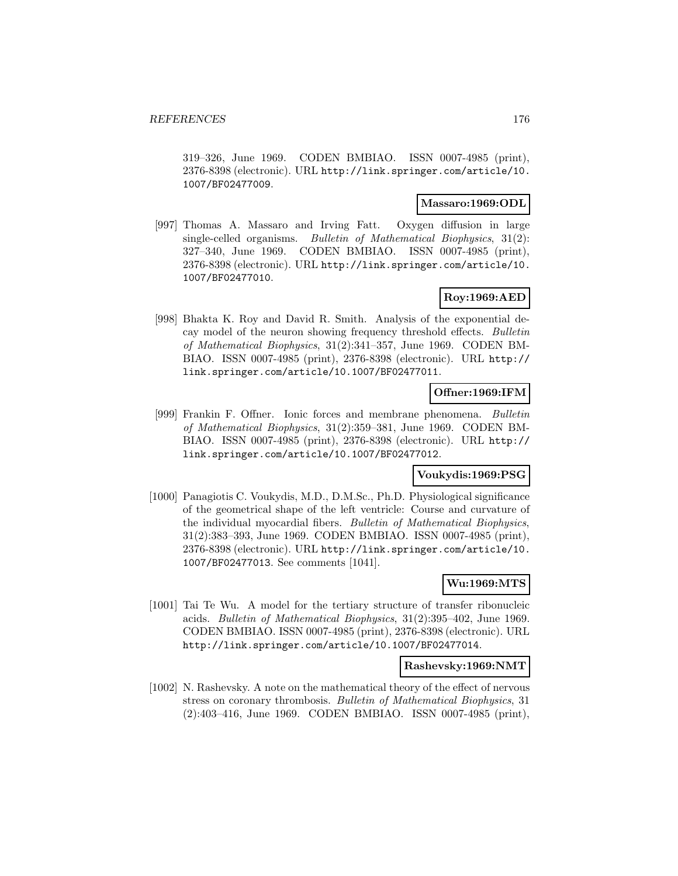319–326, June 1969. CODEN BMBIAO. ISSN 0007-4985 (print), 2376-8398 (electronic). URL http://link.springer.com/article/10. 1007/BF02477009.

#### **Massaro:1969:ODL**

[997] Thomas A. Massaro and Irving Fatt. Oxygen diffusion in large single-celled organisms. Bulletin of Mathematical Biophysics, 31(2): 327–340, June 1969. CODEN BMBIAO. ISSN 0007-4985 (print), 2376-8398 (electronic). URL http://link.springer.com/article/10. 1007/BF02477010.

## **Roy:1969:AED**

[998] Bhakta K. Roy and David R. Smith. Analysis of the exponential decay model of the neuron showing frequency threshold effects. Bulletin of Mathematical Biophysics, 31(2):341–357, June 1969. CODEN BM-BIAO. ISSN 0007-4985 (print), 2376-8398 (electronic). URL http:// link.springer.com/article/10.1007/BF02477011.

# **Offner:1969:IFM**

[999] Frankin F. Offner. Ionic forces and membrane phenomena. Bulletin of Mathematical Biophysics, 31(2):359–381, June 1969. CODEN BM-BIAO. ISSN 0007-4985 (print), 2376-8398 (electronic). URL http:// link.springer.com/article/10.1007/BF02477012.

## **Voukydis:1969:PSG**

[1000] Panagiotis C. Voukydis, M.D., D.M.Sc., Ph.D. Physiological significance of the geometrical shape of the left ventricle: Course and curvature of the individual myocardial fibers. Bulletin of Mathematical Biophysics, 31(2):383–393, June 1969. CODEN BMBIAO. ISSN 0007-4985 (print), 2376-8398 (electronic). URL http://link.springer.com/article/10. 1007/BF02477013. See comments [1041].

# **Wu:1969:MTS**

[1001] Tai Te Wu. A model for the tertiary structure of transfer ribonucleic acids. Bulletin of Mathematical Biophysics, 31(2):395–402, June 1969. CODEN BMBIAO. ISSN 0007-4985 (print), 2376-8398 (electronic). URL http://link.springer.com/article/10.1007/BF02477014.

### **Rashevsky:1969:NMT**

[1002] N. Rashevsky. A note on the mathematical theory of the effect of nervous stress on coronary thrombosis. Bulletin of Mathematical Biophysics, 31 (2):403–416, June 1969. CODEN BMBIAO. ISSN 0007-4985 (print),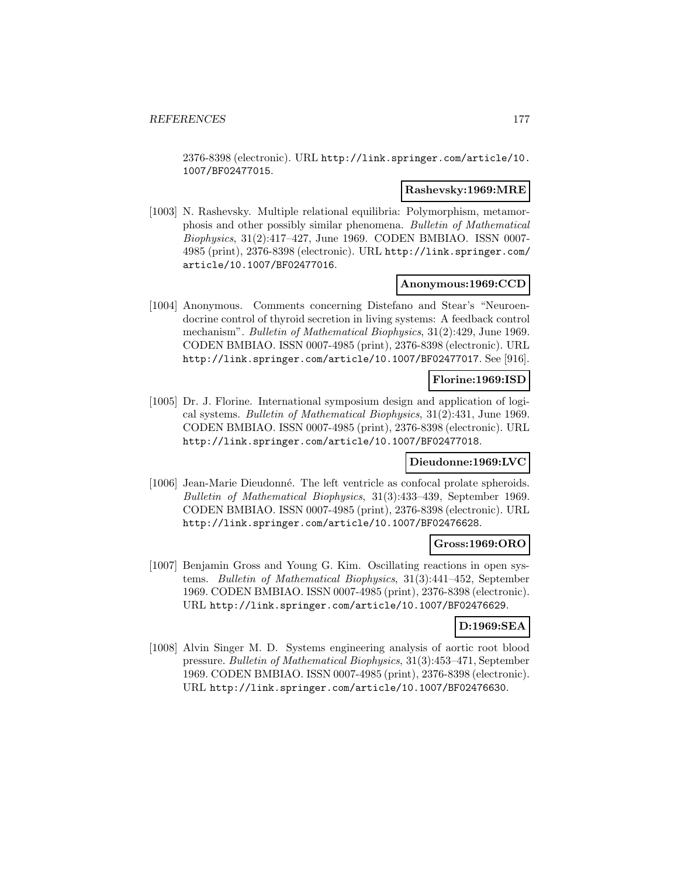2376-8398 (electronic). URL http://link.springer.com/article/10. 1007/BF02477015.

#### **Rashevsky:1969:MRE**

[1003] N. Rashevsky. Multiple relational equilibria: Polymorphism, metamorphosis and other possibly similar phenomena. Bulletin of Mathematical Biophysics, 31(2):417–427, June 1969. CODEN BMBIAO. ISSN 0007- 4985 (print), 2376-8398 (electronic). URL http://link.springer.com/ article/10.1007/BF02477016.

### **Anonymous:1969:CCD**

[1004] Anonymous. Comments concerning Distefano and Stear's "Neuroendocrine control of thyroid secretion in living systems: A feedback control mechanism". Bulletin of Mathematical Biophysics, 31(2):429, June 1969. CODEN BMBIAO. ISSN 0007-4985 (print), 2376-8398 (electronic). URL http://link.springer.com/article/10.1007/BF02477017. See [916].

### **Florine:1969:ISD**

[1005] Dr. J. Florine. International symposium design and application of logical systems. Bulletin of Mathematical Biophysics, 31(2):431, June 1969. CODEN BMBIAO. ISSN 0007-4985 (print), 2376-8398 (electronic). URL http://link.springer.com/article/10.1007/BF02477018.

#### **Dieudonne:1969:LVC**

[1006] Jean-Marie Dieudonn´e. The left ventricle as confocal prolate spheroids. Bulletin of Mathematical Biophysics, 31(3):433–439, September 1969. CODEN BMBIAO. ISSN 0007-4985 (print), 2376-8398 (electronic). URL http://link.springer.com/article/10.1007/BF02476628.

#### **Gross:1969:ORO**

[1007] Benjamin Gross and Young G. Kim. Oscillating reactions in open systems. Bulletin of Mathematical Biophysics, 31(3):441–452, September 1969. CODEN BMBIAO. ISSN 0007-4985 (print), 2376-8398 (electronic). URL http://link.springer.com/article/10.1007/BF02476629.

## **D:1969:SEA**

[1008] Alvin Singer M. D. Systems engineering analysis of aortic root blood pressure. Bulletin of Mathematical Biophysics, 31(3):453–471, September 1969. CODEN BMBIAO. ISSN 0007-4985 (print), 2376-8398 (electronic). URL http://link.springer.com/article/10.1007/BF02476630.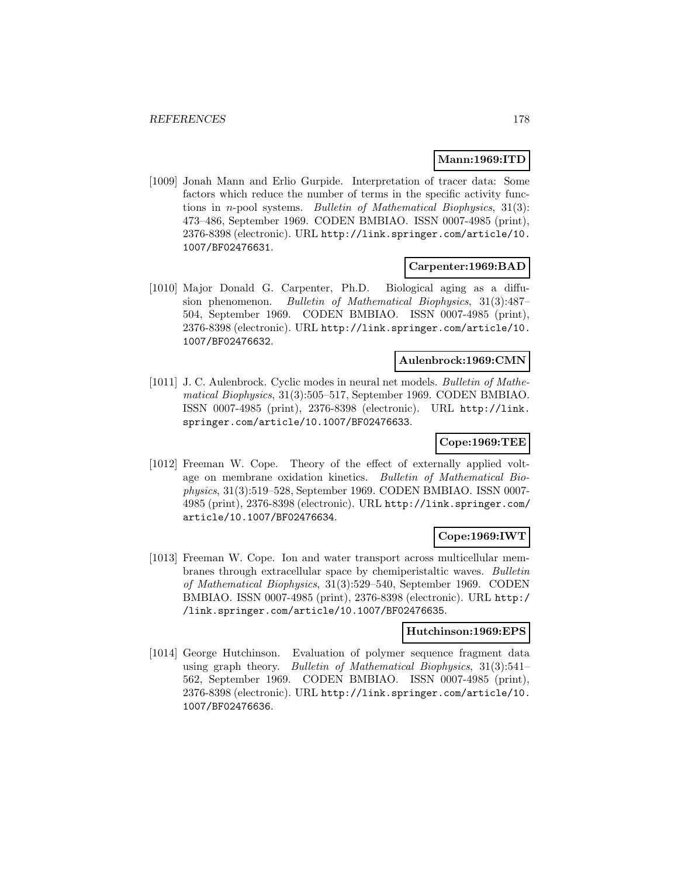### **Mann:1969:ITD**

[1009] Jonah Mann and Erlio Gurpide. Interpretation of tracer data: Some factors which reduce the number of terms in the specific activity functions in n-pool systems. Bulletin of Mathematical Biophysics, 31(3): 473–486, September 1969. CODEN BMBIAO. ISSN 0007-4985 (print), 2376-8398 (electronic). URL http://link.springer.com/article/10. 1007/BF02476631.

### **Carpenter:1969:BAD**

[1010] Major Donald G. Carpenter, Ph.D. Biological aging as a diffusion phenomenon. Bulletin of Mathematical Biophysics, 31(3):487– 504, September 1969. CODEN BMBIAO. ISSN 0007-4985 (print), 2376-8398 (electronic). URL http://link.springer.com/article/10. 1007/BF02476632.

#### **Aulenbrock:1969:CMN**

[1011] J. C. Aulenbrock. Cyclic modes in neural net models. Bulletin of Mathematical Biophysics, 31(3):505–517, September 1969. CODEN BMBIAO. ISSN 0007-4985 (print), 2376-8398 (electronic). URL http://link. springer.com/article/10.1007/BF02476633.

## **Cope:1969:TEE**

[1012] Freeman W. Cope. Theory of the effect of externally applied voltage on membrane oxidation kinetics. Bulletin of Mathematical Biophysics, 31(3):519–528, September 1969. CODEN BMBIAO. ISSN 0007- 4985 (print), 2376-8398 (electronic). URL http://link.springer.com/ article/10.1007/BF02476634.

## **Cope:1969:IWT**

[1013] Freeman W. Cope. Ion and water transport across multicellular membranes through extracellular space by chemiperistaltic waves. Bulletin of Mathematical Biophysics, 31(3):529–540, September 1969. CODEN BMBIAO. ISSN 0007-4985 (print), 2376-8398 (electronic). URL http:/ /link.springer.com/article/10.1007/BF02476635.

## **Hutchinson:1969:EPS**

[1014] George Hutchinson. Evaluation of polymer sequence fragment data using graph theory. Bulletin of Mathematical Biophysics, 31(3):541– 562, September 1969. CODEN BMBIAO. ISSN 0007-4985 (print), 2376-8398 (electronic). URL http://link.springer.com/article/10. 1007/BF02476636.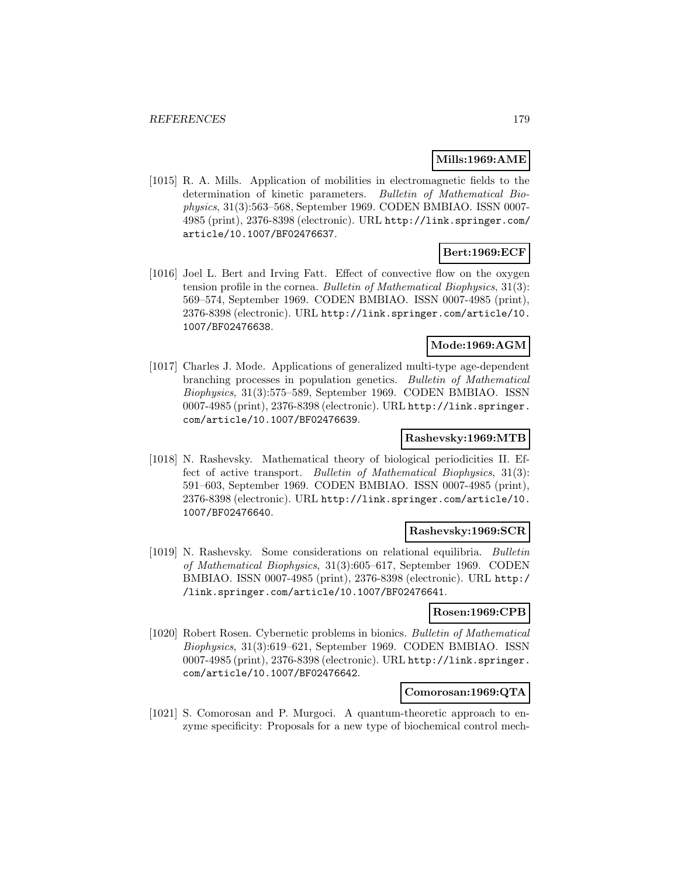## **Mills:1969:AME**

[1015] R. A. Mills. Application of mobilities in electromagnetic fields to the determination of kinetic parameters. Bulletin of Mathematical Biophysics, 31(3):563–568, September 1969. CODEN BMBIAO. ISSN 0007- 4985 (print), 2376-8398 (electronic). URL http://link.springer.com/ article/10.1007/BF02476637.

# **Bert:1969:ECF**

[1016] Joel L. Bert and Irving Fatt. Effect of convective flow on the oxygen tension profile in the cornea. Bulletin of Mathematical Biophysics, 31(3): 569–574, September 1969. CODEN BMBIAO. ISSN 0007-4985 (print), 2376-8398 (electronic). URL http://link.springer.com/article/10. 1007/BF02476638.

# **Mode:1969:AGM**

[1017] Charles J. Mode. Applications of generalized multi-type age-dependent branching processes in population genetics. Bulletin of Mathematical Biophysics, 31(3):575–589, September 1969. CODEN BMBIAO. ISSN 0007-4985 (print), 2376-8398 (electronic). URL http://link.springer. com/article/10.1007/BF02476639.

## **Rashevsky:1969:MTB**

[1018] N. Rashevsky. Mathematical theory of biological periodicities II. Effect of active transport. Bulletin of Mathematical Biophysics, 31(3): 591–603, September 1969. CODEN BMBIAO. ISSN 0007-4985 (print), 2376-8398 (electronic). URL http://link.springer.com/article/10. 1007/BF02476640.

### **Rashevsky:1969:SCR**

[1019] N. Rashevsky. Some considerations on relational equilibria. Bulletin of Mathematical Biophysics, 31(3):605–617, September 1969. CODEN BMBIAO. ISSN 0007-4985 (print), 2376-8398 (electronic). URL http:/ /link.springer.com/article/10.1007/BF02476641.

### **Rosen:1969:CPB**

[1020] Robert Rosen. Cybernetic problems in bionics. Bulletin of Mathematical Biophysics, 31(3):619–621, September 1969. CODEN BMBIAO. ISSN 0007-4985 (print), 2376-8398 (electronic). URL http://link.springer. com/article/10.1007/BF02476642.

## **Comorosan:1969:QTA**

[1021] S. Comorosan and P. Murgoci. A quantum-theoretic approach to enzyme specificity: Proposals for a new type of biochemical control mech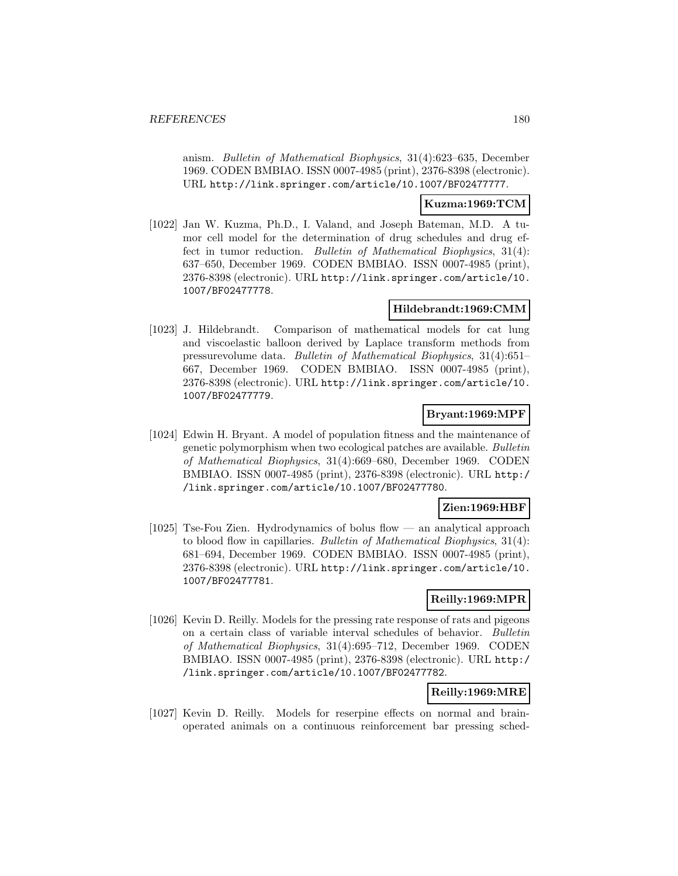anism. Bulletin of Mathematical Biophysics, 31(4):623–635, December 1969. CODEN BMBIAO. ISSN 0007-4985 (print), 2376-8398 (electronic). URL http://link.springer.com/article/10.1007/BF02477777.

### **Kuzma:1969:TCM**

[1022] Jan W. Kuzma, Ph.D., I. Valand, and Joseph Bateman, M.D. A tumor cell model for the determination of drug schedules and drug effect in tumor reduction. Bulletin of Mathematical Biophysics, 31(4): 637–650, December 1969. CODEN BMBIAO. ISSN 0007-4985 (print), 2376-8398 (electronic). URL http://link.springer.com/article/10. 1007/BF02477778.

## **Hildebrandt:1969:CMM**

[1023] J. Hildebrandt. Comparison of mathematical models for cat lung and viscoelastic balloon derived by Laplace transform methods from pressurevolume data. Bulletin of Mathematical Biophysics, 31(4):651– 667, December 1969. CODEN BMBIAO. ISSN 0007-4985 (print), 2376-8398 (electronic). URL http://link.springer.com/article/10. 1007/BF02477779.

### **Bryant:1969:MPF**

[1024] Edwin H. Bryant. A model of population fitness and the maintenance of genetic polymorphism when two ecological patches are available. Bulletin of Mathematical Biophysics, 31(4):669–680, December 1969. CODEN BMBIAO. ISSN 0007-4985 (print), 2376-8398 (electronic). URL http:/ /link.springer.com/article/10.1007/BF02477780.

### **Zien:1969:HBF**

[1025] Tse-Fou Zien. Hydrodynamics of bolus flow — an analytical approach to blood flow in capillaries. Bulletin of Mathematical Biophysics, 31(4): 681–694, December 1969. CODEN BMBIAO. ISSN 0007-4985 (print), 2376-8398 (electronic). URL http://link.springer.com/article/10. 1007/BF02477781.

### **Reilly:1969:MPR**

[1026] Kevin D. Reilly. Models for the pressing rate response of rats and pigeons on a certain class of variable interval schedules of behavior. Bulletin of Mathematical Biophysics, 31(4):695–712, December 1969. CODEN BMBIAO. ISSN 0007-4985 (print), 2376-8398 (electronic). URL http:/ /link.springer.com/article/10.1007/BF02477782.

# **Reilly:1969:MRE**

[1027] Kevin D. Reilly. Models for reserpine effects on normal and brainoperated animals on a continuous reinforcement bar pressing sched-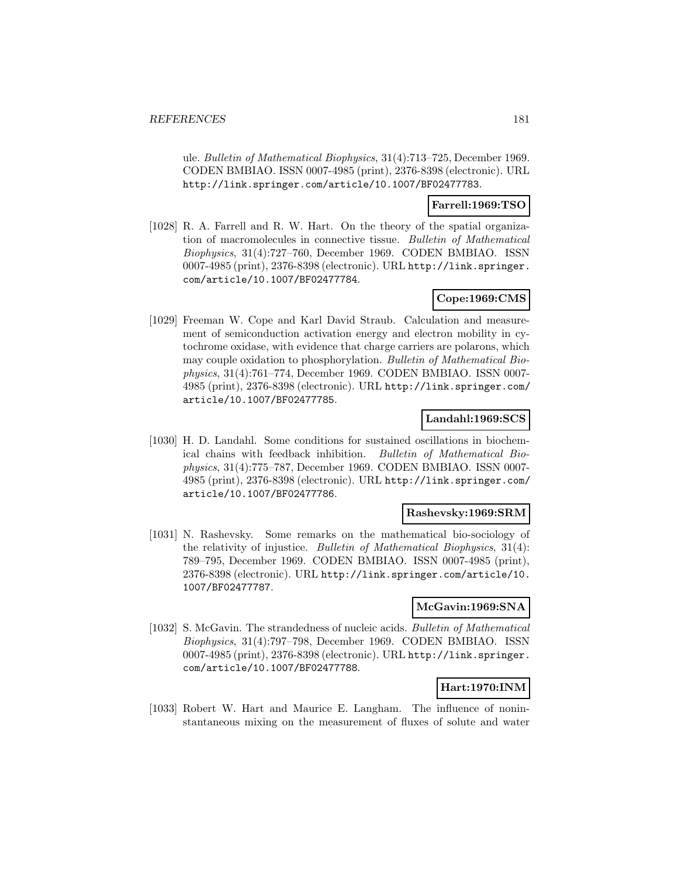ule. Bulletin of Mathematical Biophysics, 31(4):713–725, December 1969. CODEN BMBIAO. ISSN 0007-4985 (print), 2376-8398 (electronic). URL http://link.springer.com/article/10.1007/BF02477783.

### **Farrell:1969:TSO**

[1028] R. A. Farrell and R. W. Hart. On the theory of the spatial organization of macromolecules in connective tissue. Bulletin of Mathematical Biophysics, 31(4):727–760, December 1969. CODEN BMBIAO. ISSN 0007-4985 (print), 2376-8398 (electronic). URL http://link.springer. com/article/10.1007/BF02477784.

## **Cope:1969:CMS**

[1029] Freeman W. Cope and Karl David Straub. Calculation and measurement of semiconduction activation energy and electron mobility in cytochrome oxidase, with evidence that charge carriers are polarons, which may couple oxidation to phosphorylation. Bulletin of Mathematical Biophysics, 31(4):761–774, December 1969. CODEN BMBIAO. ISSN 0007- 4985 (print), 2376-8398 (electronic). URL http://link.springer.com/ article/10.1007/BF02477785.

#### **Landahl:1969:SCS**

[1030] H. D. Landahl. Some conditions for sustained oscillations in biochemical chains with feedback inhibition. Bulletin of Mathematical Biophysics, 31(4):775–787, December 1969. CODEN BMBIAO. ISSN 0007- 4985 (print), 2376-8398 (electronic). URL http://link.springer.com/ article/10.1007/BF02477786.

#### **Rashevsky:1969:SRM**

[1031] N. Rashevsky. Some remarks on the mathematical bio-sociology of the relativity of injustice. Bulletin of Mathematical Biophysics, 31(4): 789–795, December 1969. CODEN BMBIAO. ISSN 0007-4985 (print), 2376-8398 (electronic). URL http://link.springer.com/article/10. 1007/BF02477787.

## **McGavin:1969:SNA**

[1032] S. McGavin. The strandedness of nucleic acids. Bulletin of Mathematical Biophysics, 31(4):797–798, December 1969. CODEN BMBIAO. ISSN 0007-4985 (print), 2376-8398 (electronic). URL http://link.springer. com/article/10.1007/BF02477788.

### **Hart:1970:INM**

[1033] Robert W. Hart and Maurice E. Langham. The influence of noninstantaneous mixing on the measurement of fluxes of solute and water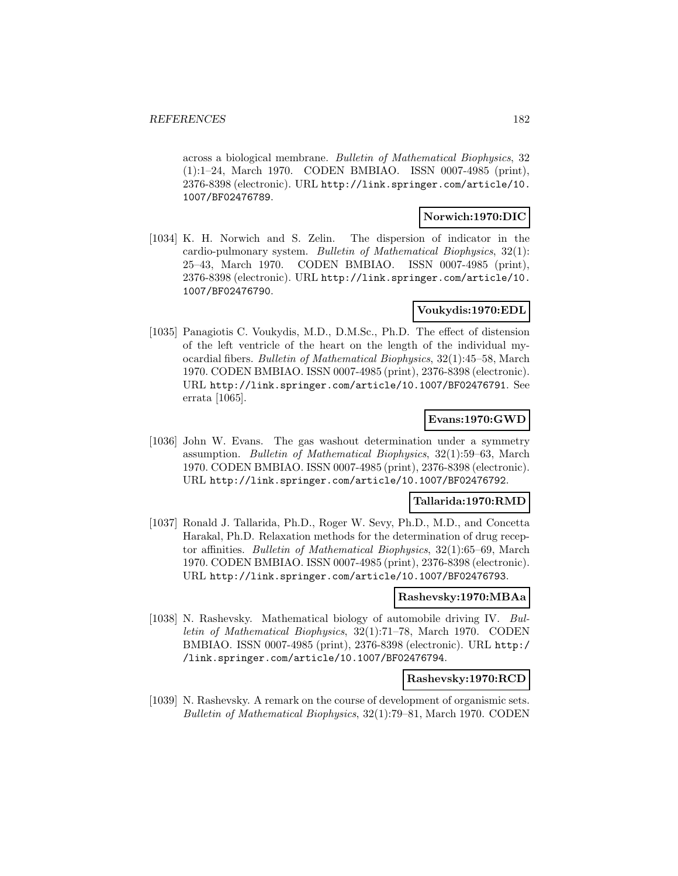across a biological membrane. Bulletin of Mathematical Biophysics, 32 (1):1–24, March 1970. CODEN BMBIAO. ISSN 0007-4985 (print), 2376-8398 (electronic). URL http://link.springer.com/article/10. 1007/BF02476789.

#### **Norwich:1970:DIC**

[1034] K. H. Norwich and S. Zelin. The dispersion of indicator in the cardio-pulmonary system. Bulletin of Mathematical Biophysics, 32(1): 25–43, March 1970. CODEN BMBIAO. ISSN 0007-4985 (print), 2376-8398 (electronic). URL http://link.springer.com/article/10. 1007/BF02476790.

# **Voukydis:1970:EDL**

[1035] Panagiotis C. Voukydis, M.D., D.M.Sc., Ph.D. The effect of distension of the left ventricle of the heart on the length of the individual myocardial fibers. Bulletin of Mathematical Biophysics, 32(1):45–58, March 1970. CODEN BMBIAO. ISSN 0007-4985 (print), 2376-8398 (electronic). URL http://link.springer.com/article/10.1007/BF02476791. See errata [1065].

## **Evans:1970:GWD**

[1036] John W. Evans. The gas washout determination under a symmetry assumption. Bulletin of Mathematical Biophysics, 32(1):59–63, March 1970. CODEN BMBIAO. ISSN 0007-4985 (print), 2376-8398 (electronic). URL http://link.springer.com/article/10.1007/BF02476792.

#### **Tallarida:1970:RMD**

[1037] Ronald J. Tallarida, Ph.D., Roger W. Sevy, Ph.D., M.D., and Concetta Harakal, Ph.D. Relaxation methods for the determination of drug receptor affinities. Bulletin of Mathematical Biophysics, 32(1):65–69, March 1970. CODEN BMBIAO. ISSN 0007-4985 (print), 2376-8398 (electronic). URL http://link.springer.com/article/10.1007/BF02476793.

#### **Rashevsky:1970:MBAa**

[1038] N. Rashevsky. Mathematical biology of automobile driving IV. Bulletin of Mathematical Biophysics, 32(1):71–78, March 1970. CODEN BMBIAO. ISSN 0007-4985 (print), 2376-8398 (electronic). URL http:/ /link.springer.com/article/10.1007/BF02476794.

#### **Rashevsky:1970:RCD**

[1039] N. Rashevsky. A remark on the course of development of organismic sets. Bulletin of Mathematical Biophysics, 32(1):79–81, March 1970. CODEN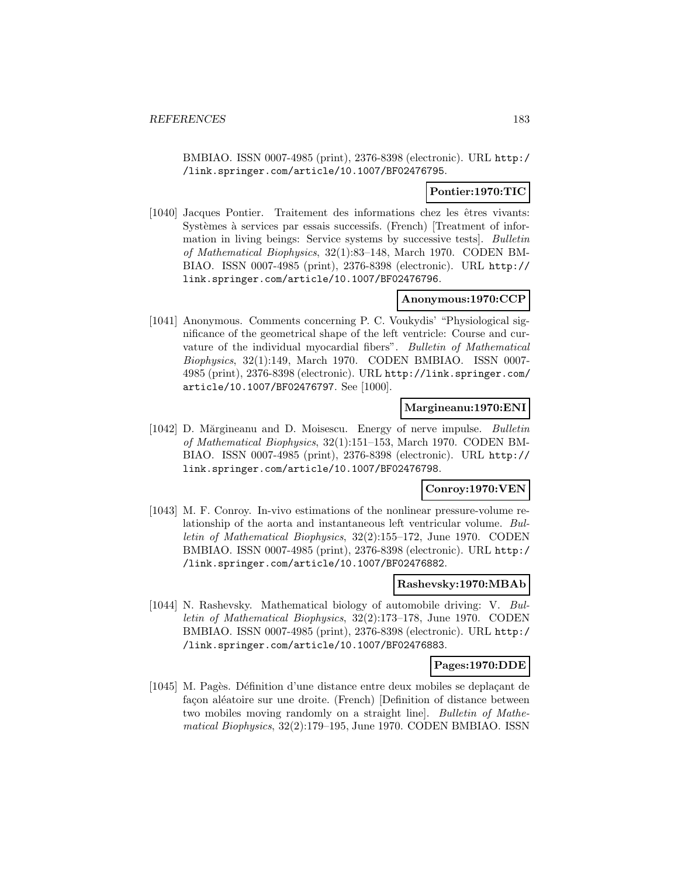BMBIAO. ISSN 0007-4985 (print), 2376-8398 (electronic). URL http:/ /link.springer.com/article/10.1007/BF02476795.

#### **Pontier:1970:TIC**

[1040] Jacques Pontier. Traitement des informations chez les êtres vivants: Systèmes à services par essais successifs. (French) [Treatment of information in living beings: Service systems by successive tests]. Bulletin of Mathematical Biophysics, 32(1):83–148, March 1970. CODEN BM-BIAO. ISSN 0007-4985 (print), 2376-8398 (electronic). URL http:// link.springer.com/article/10.1007/BF02476796.

#### **Anonymous:1970:CCP**

[1041] Anonymous. Comments concerning P. C. Voukydis' "Physiological significance of the geometrical shape of the left ventricle: Course and curvature of the individual myocardial fibers". Bulletin of Mathematical Biophysics, 32(1):149, March 1970. CODEN BMBIAO. ISSN 0007- 4985 (print), 2376-8398 (electronic). URL http://link.springer.com/ article/10.1007/BF02476797. See [1000].

#### **Margineanu:1970:ENI**

[1042] D. Mărgineanu and D. Moisescu. Energy of nerve impulse. *Bulletin* of Mathematical Biophysics, 32(1):151–153, March 1970. CODEN BM-BIAO. ISSN 0007-4985 (print), 2376-8398 (electronic). URL http:// link.springer.com/article/10.1007/BF02476798.

#### **Conroy:1970:VEN**

[1043] M. F. Conroy. In-vivo estimations of the nonlinear pressure-volume relationship of the aorta and instantaneous left ventricular volume. Bulletin of Mathematical Biophysics, 32(2):155–172, June 1970. CODEN BMBIAO. ISSN 0007-4985 (print), 2376-8398 (electronic). URL http:/ /link.springer.com/article/10.1007/BF02476882.

### **Rashevsky:1970:MBAb**

[1044] N. Rashevsky. Mathematical biology of automobile driving: V. Bulletin of Mathematical Biophysics, 32(2):173–178, June 1970. CODEN BMBIAO. ISSN 0007-4985 (print), 2376-8398 (electronic). URL http:/ /link.springer.com/article/10.1007/BF02476883.

#### **Pages:1970:DDE**

[1045] M. Pagès. Définition d'une distance entre deux mobiles se deplaçant de façon aléatoire sur une droite. (French) [Definition of distance between two mobiles moving randomly on a straight line]. Bulletin of Mathematical Biophysics, 32(2):179–195, June 1970. CODEN BMBIAO. ISSN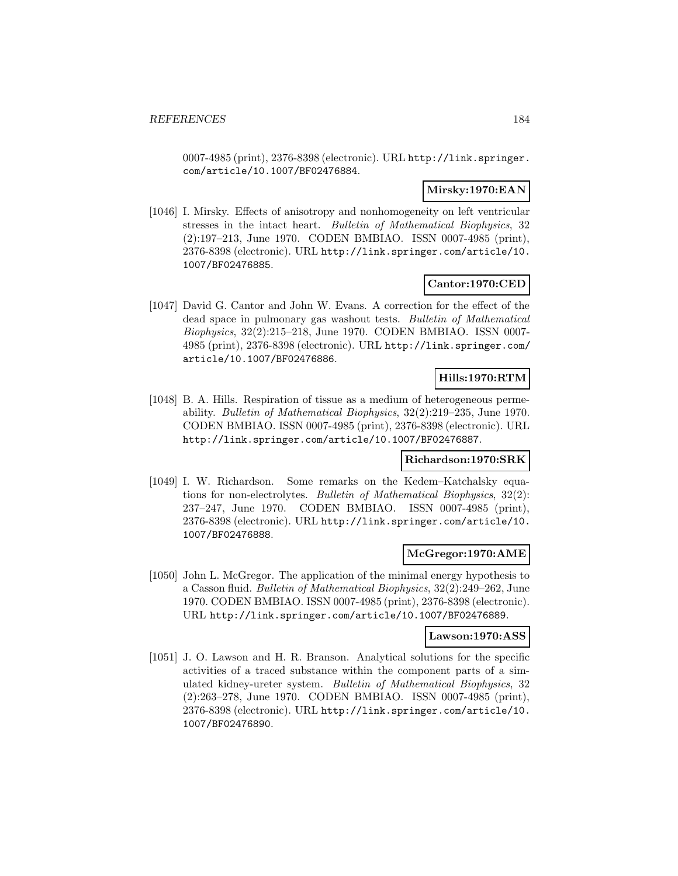0007-4985 (print), 2376-8398 (electronic). URL http://link.springer. com/article/10.1007/BF02476884.

### **Mirsky:1970:EAN**

[1046] I. Mirsky. Effects of anisotropy and nonhomogeneity on left ventricular stresses in the intact heart. Bulletin of Mathematical Biophysics, 32 (2):197–213, June 1970. CODEN BMBIAO. ISSN 0007-4985 (print), 2376-8398 (electronic). URL http://link.springer.com/article/10. 1007/BF02476885.

### **Cantor:1970:CED**

[1047] David G. Cantor and John W. Evans. A correction for the effect of the dead space in pulmonary gas washout tests. Bulletin of Mathematical Biophysics, 32(2):215–218, June 1970. CODEN BMBIAO. ISSN 0007- 4985 (print), 2376-8398 (electronic). URL http://link.springer.com/ article/10.1007/BF02476886.

# **Hills:1970:RTM**

[1048] B. A. Hills. Respiration of tissue as a medium of heterogeneous permeability. Bulletin of Mathematical Biophysics, 32(2):219–235, June 1970. CODEN BMBIAO. ISSN 0007-4985 (print), 2376-8398 (electronic). URL http://link.springer.com/article/10.1007/BF02476887.

#### **Richardson:1970:SRK**

[1049] I. W. Richardson. Some remarks on the Kedem–Katchalsky equations for non-electrolytes. Bulletin of Mathematical Biophysics, 32(2): 237–247, June 1970. CODEN BMBIAO. ISSN 0007-4985 (print), 2376-8398 (electronic). URL http://link.springer.com/article/10. 1007/BF02476888.

## **McGregor:1970:AME**

[1050] John L. McGregor. The application of the minimal energy hypothesis to a Casson fluid. Bulletin of Mathematical Biophysics, 32(2):249–262, June 1970. CODEN BMBIAO. ISSN 0007-4985 (print), 2376-8398 (electronic). URL http://link.springer.com/article/10.1007/BF02476889.

#### **Lawson:1970:ASS**

[1051] J. O. Lawson and H. R. Branson. Analytical solutions for the specific activities of a traced substance within the component parts of a simulated kidney-ureter system. Bulletin of Mathematical Biophysics, 32 (2):263–278, June 1970. CODEN BMBIAO. ISSN 0007-4985 (print), 2376-8398 (electronic). URL http://link.springer.com/article/10. 1007/BF02476890.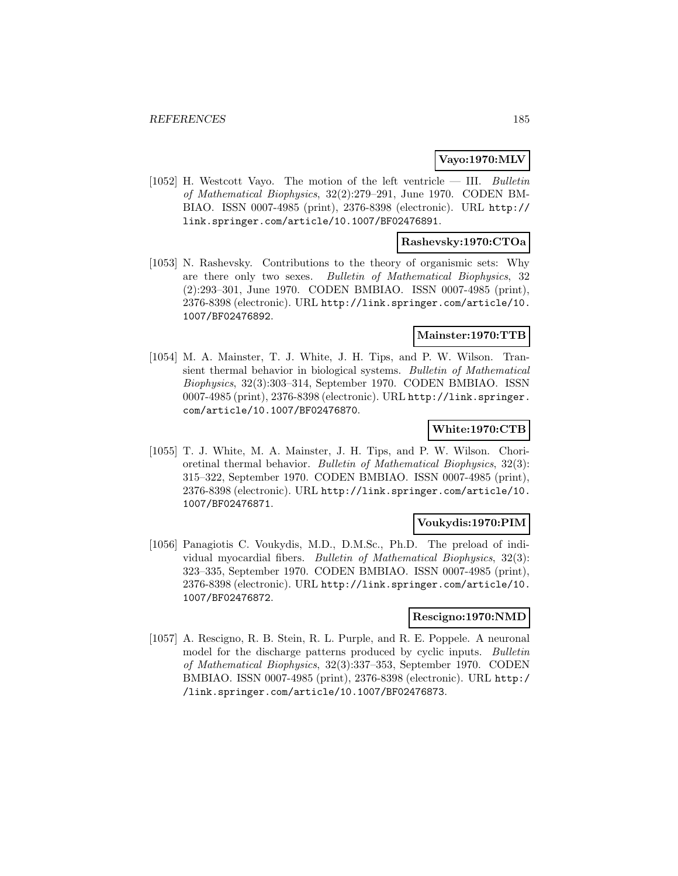#### **Vayo:1970:MLV**

[1052] H. Westcott Vayo. The motion of the left ventricle  $-$  III. Bulletin of Mathematical Biophysics, 32(2):279–291, June 1970. CODEN BM-BIAO. ISSN 0007-4985 (print), 2376-8398 (electronic). URL http:// link.springer.com/article/10.1007/BF02476891.

### **Rashevsky:1970:CTOa**

[1053] N. Rashevsky. Contributions to the theory of organismic sets: Why are there only two sexes. Bulletin of Mathematical Biophysics, 32 (2):293–301, June 1970. CODEN BMBIAO. ISSN 0007-4985 (print), 2376-8398 (electronic). URL http://link.springer.com/article/10. 1007/BF02476892.

### **Mainster:1970:TTB**

[1054] M. A. Mainster, T. J. White, J. H. Tips, and P. W. Wilson. Transient thermal behavior in biological systems. Bulletin of Mathematical Biophysics, 32(3):303–314, September 1970. CODEN BMBIAO. ISSN 0007-4985 (print), 2376-8398 (electronic). URL http://link.springer. com/article/10.1007/BF02476870.

## **White:1970:CTB**

[1055] T. J. White, M. A. Mainster, J. H. Tips, and P. W. Wilson. Chorioretinal thermal behavior. Bulletin of Mathematical Biophysics, 32(3): 315–322, September 1970. CODEN BMBIAO. ISSN 0007-4985 (print), 2376-8398 (electronic). URL http://link.springer.com/article/10. 1007/BF02476871.

## **Voukydis:1970:PIM**

[1056] Panagiotis C. Voukydis, M.D., D.M.Sc., Ph.D. The preload of individual myocardial fibers. Bulletin of Mathematical Biophysics, 32(3): 323–335, September 1970. CODEN BMBIAO. ISSN 0007-4985 (print), 2376-8398 (electronic). URL http://link.springer.com/article/10. 1007/BF02476872.

#### **Rescigno:1970:NMD**

[1057] A. Rescigno, R. B. Stein, R. L. Purple, and R. E. Poppele. A neuronal model for the discharge patterns produced by cyclic inputs. Bulletin of Mathematical Biophysics, 32(3):337–353, September 1970. CODEN BMBIAO. ISSN 0007-4985 (print), 2376-8398 (electronic). URL http:/ /link.springer.com/article/10.1007/BF02476873.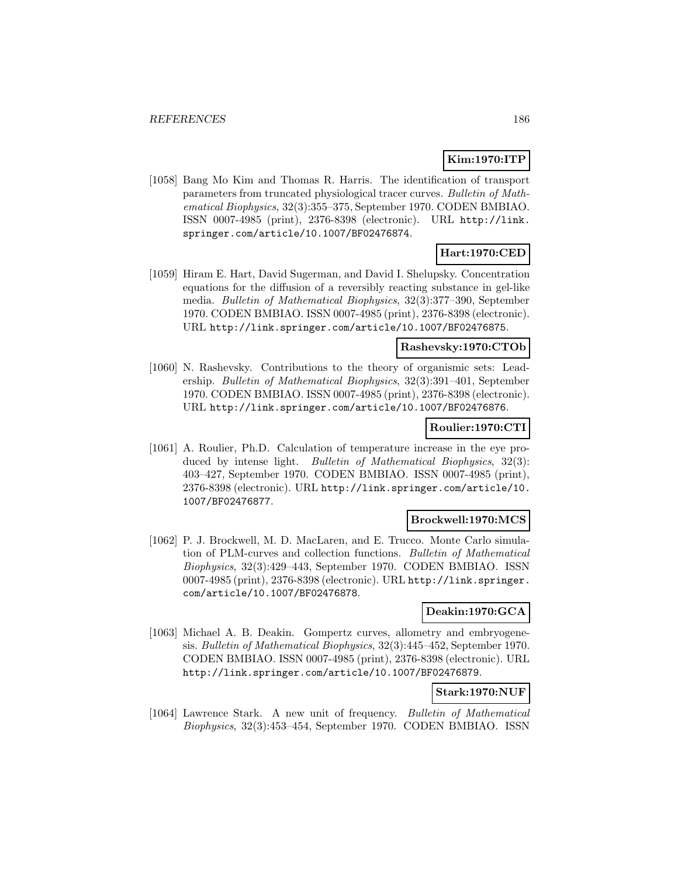# **Kim:1970:ITP**

[1058] Bang Mo Kim and Thomas R. Harris. The identification of transport parameters from truncated physiological tracer curves. Bulletin of Mathematical Biophysics, 32(3):355–375, September 1970. CODEN BMBIAO. ISSN 0007-4985 (print), 2376-8398 (electronic). URL http://link. springer.com/article/10.1007/BF02476874.

### **Hart:1970:CED**

[1059] Hiram E. Hart, David Sugerman, and David I. Shelupsky. Concentration equations for the diffusion of a reversibly reacting substance in gel-like media. Bulletin of Mathematical Biophysics, 32(3):377–390, September 1970. CODEN BMBIAO. ISSN 0007-4985 (print), 2376-8398 (electronic). URL http://link.springer.com/article/10.1007/BF02476875.

## **Rashevsky:1970:CTOb**

[1060] N. Rashevsky. Contributions to the theory of organismic sets: Leadership. Bulletin of Mathematical Biophysics, 32(3):391–401, September 1970. CODEN BMBIAO. ISSN 0007-4985 (print), 2376-8398 (electronic). URL http://link.springer.com/article/10.1007/BF02476876.

#### **Roulier:1970:CTI**

[1061] A. Roulier, Ph.D. Calculation of temperature increase in the eye produced by intense light. Bulletin of Mathematical Biophysics, 32(3): 403–427, September 1970. CODEN BMBIAO. ISSN 0007-4985 (print), 2376-8398 (electronic). URL http://link.springer.com/article/10. 1007/BF02476877.

#### **Brockwell:1970:MCS**

[1062] P. J. Brockwell, M. D. MacLaren, and E. Trucco. Monte Carlo simulation of PLM-curves and collection functions. Bulletin of Mathematical Biophysics, 32(3):429–443, September 1970. CODEN BMBIAO. ISSN 0007-4985 (print), 2376-8398 (electronic). URL http://link.springer. com/article/10.1007/BF02476878.

## **Deakin:1970:GCA**

[1063] Michael A. B. Deakin. Gompertz curves, allometry and embryogenesis. Bulletin of Mathematical Biophysics, 32(3):445–452, September 1970. CODEN BMBIAO. ISSN 0007-4985 (print), 2376-8398 (electronic). URL http://link.springer.com/article/10.1007/BF02476879.

## **Stark:1970:NUF**

[1064] Lawrence Stark. A new unit of frequency. Bulletin of Mathematical Biophysics, 32(3):453–454, September 1970. CODEN BMBIAO. ISSN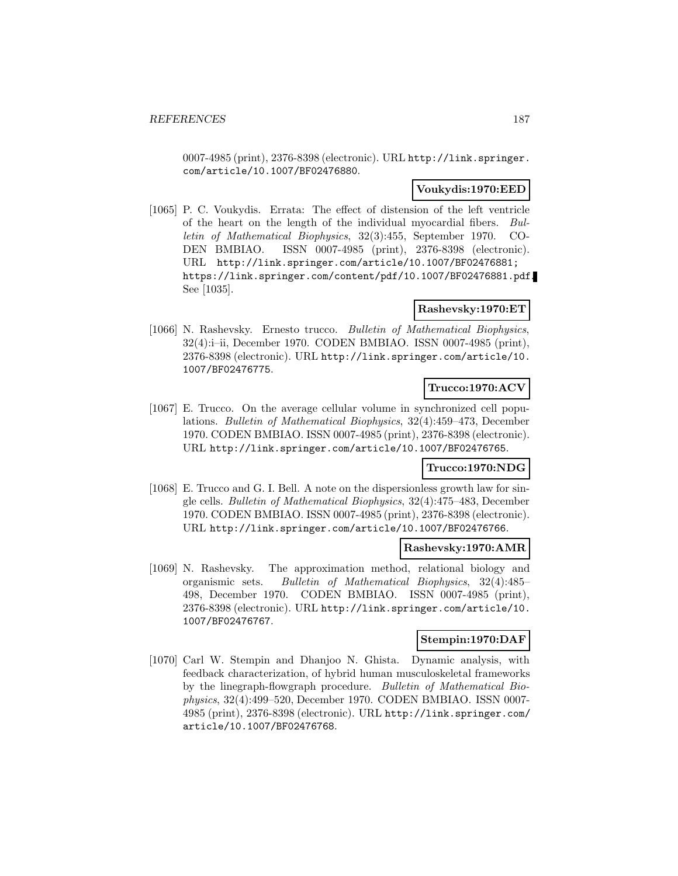0007-4985 (print), 2376-8398 (electronic). URL http://link.springer. com/article/10.1007/BF02476880.

#### **Voukydis:1970:EED**

[1065] P. C. Voukydis. Errata: The effect of distension of the left ventricle of the heart on the length of the individual myocardial fibers. Bulletin of Mathematical Biophysics, 32(3):455, September 1970. CO-DEN BMBIAO. ISSN 0007-4985 (print), 2376-8398 (electronic). URL http://link.springer.com/article/10.1007/BF02476881; https://link.springer.com/content/pdf/10.1007/BF02476881.pdf. See [1035].

### **Rashevsky:1970:ET**

[1066] N. Rashevsky. Ernesto trucco. Bulletin of Mathematical Biophysics, 32(4):i–ii, December 1970. CODEN BMBIAO. ISSN 0007-4985 (print), 2376-8398 (electronic). URL http://link.springer.com/article/10. 1007/BF02476775.

# **Trucco:1970:ACV**

[1067] E. Trucco. On the average cellular volume in synchronized cell populations. Bulletin of Mathematical Biophysics, 32(4):459–473, December 1970. CODEN BMBIAO. ISSN 0007-4985 (print), 2376-8398 (electronic). URL http://link.springer.com/article/10.1007/BF02476765.

#### **Trucco:1970:NDG**

[1068] E. Trucco and G. I. Bell. A note on the dispersionless growth law for single cells. Bulletin of Mathematical Biophysics, 32(4):475–483, December 1970. CODEN BMBIAO. ISSN 0007-4985 (print), 2376-8398 (electronic). URL http://link.springer.com/article/10.1007/BF02476766.

#### **Rashevsky:1970:AMR**

[1069] N. Rashevsky. The approximation method, relational biology and organismic sets. Bulletin of Mathematical Biophysics, 32(4):485– 498, December 1970. CODEN BMBIAO. ISSN 0007-4985 (print), 2376-8398 (electronic). URL http://link.springer.com/article/10. 1007/BF02476767.

# **Stempin:1970:DAF**

[1070] Carl W. Stempin and Dhanjoo N. Ghista. Dynamic analysis, with feedback characterization, of hybrid human musculoskeletal frameworks by the linegraph-flowgraph procedure. Bulletin of Mathematical Biophysics, 32(4):499–520, December 1970. CODEN BMBIAO. ISSN 0007- 4985 (print), 2376-8398 (electronic). URL http://link.springer.com/ article/10.1007/BF02476768.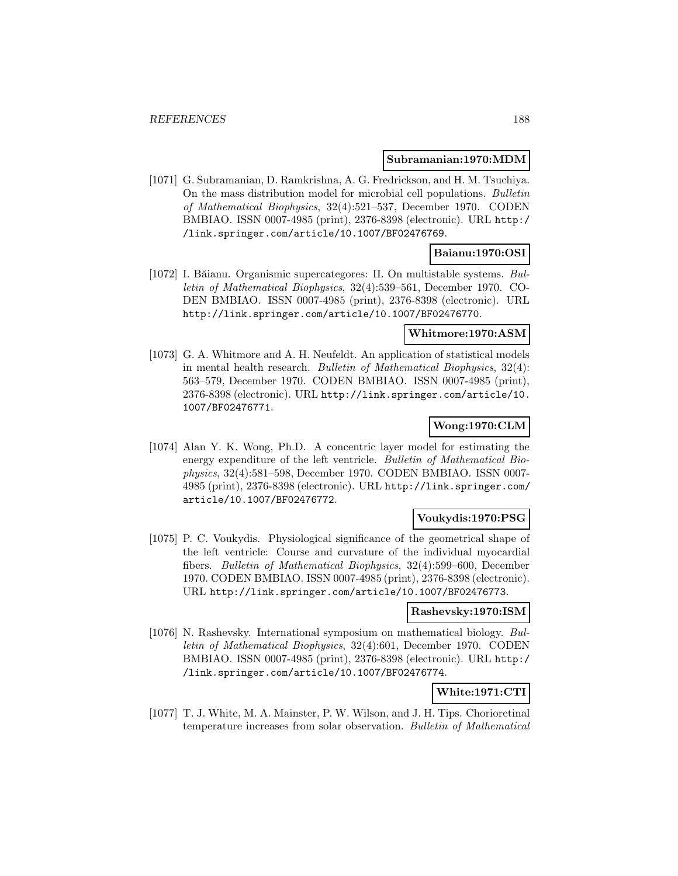#### **Subramanian:1970:MDM**

[1071] G. Subramanian, D. Ramkrishna, A. G. Fredrickson, and H. M. Tsuchiya. On the mass distribution model for microbial cell populations. Bulletin of Mathematical Biophysics, 32(4):521–537, December 1970. CODEN BMBIAO. ISSN 0007-4985 (print), 2376-8398 (electronic). URL http:/ /link.springer.com/article/10.1007/BF02476769.

# **Baianu:1970:OSI**

[1072] I. Băianu. Organismic supercategores: II. On multistable systems.  $Bul$ letin of Mathematical Biophysics, 32(4):539–561, December 1970. CO-DEN BMBIAO. ISSN 0007-4985 (print), 2376-8398 (electronic). URL http://link.springer.com/article/10.1007/BF02476770.

#### **Whitmore:1970:ASM**

[1073] G. A. Whitmore and A. H. Neufeldt. An application of statistical models in mental health research. Bulletin of Mathematical Biophysics, 32(4): 563–579, December 1970. CODEN BMBIAO. ISSN 0007-4985 (print), 2376-8398 (electronic). URL http://link.springer.com/article/10. 1007/BF02476771.

## **Wong:1970:CLM**

[1074] Alan Y. K. Wong, Ph.D. A concentric layer model for estimating the energy expenditure of the left ventricle. Bulletin of Mathematical Biophysics, 32(4):581–598, December 1970. CODEN BMBIAO. ISSN 0007- 4985 (print), 2376-8398 (electronic). URL http://link.springer.com/ article/10.1007/BF02476772.

#### **Voukydis:1970:PSG**

[1075] P. C. Voukydis. Physiological significance of the geometrical shape of the left ventricle: Course and curvature of the individual myocardial fibers. Bulletin of Mathematical Biophysics, 32(4):599–600, December 1970. CODEN BMBIAO. ISSN 0007-4985 (print), 2376-8398 (electronic). URL http://link.springer.com/article/10.1007/BF02476773.

#### **Rashevsky:1970:ISM**

[1076] N. Rashevsky. International symposium on mathematical biology. Bulletin of Mathematical Biophysics, 32(4):601, December 1970. CODEN BMBIAO. ISSN 0007-4985 (print), 2376-8398 (electronic). URL http:/ /link.springer.com/article/10.1007/BF02476774.

# **White:1971:CTI**

[1077] T. J. White, M. A. Mainster, P. W. Wilson, and J. H. Tips. Chorioretinal temperature increases from solar observation. Bulletin of Mathematical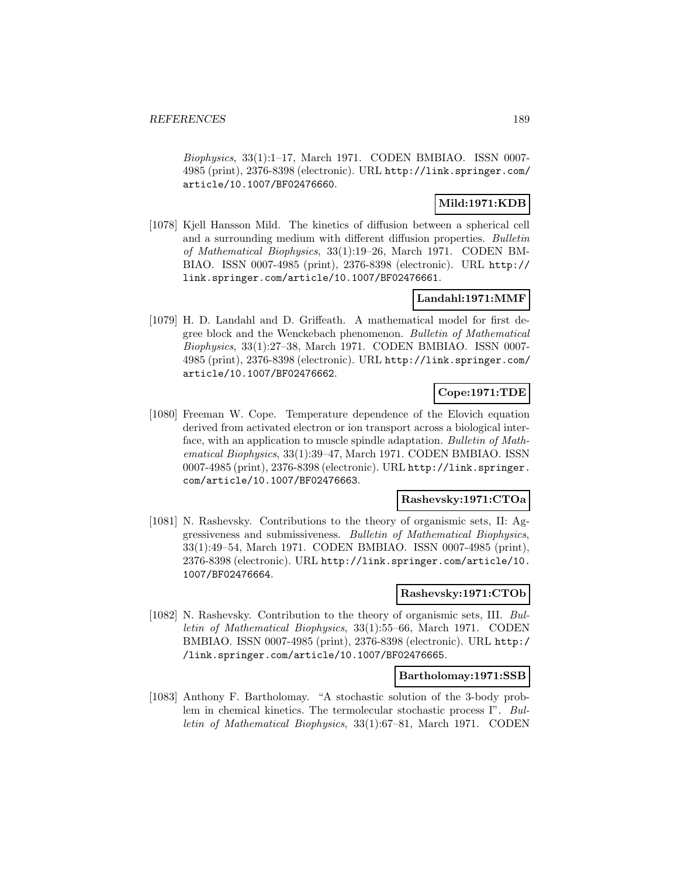Biophysics, 33(1):1–17, March 1971. CODEN BMBIAO. ISSN 0007- 4985 (print), 2376-8398 (electronic). URL http://link.springer.com/ article/10.1007/BF02476660.

# **Mild:1971:KDB**

[1078] Kjell Hansson Mild. The kinetics of diffusion between a spherical cell and a surrounding medium with different diffusion properties. Bulletin of Mathematical Biophysics, 33(1):19–26, March 1971. CODEN BM-BIAO. ISSN 0007-4985 (print), 2376-8398 (electronic). URL http:// link.springer.com/article/10.1007/BF02476661.

### **Landahl:1971:MMF**

[1079] H. D. Landahl and D. Griffeath. A mathematical model for first degree block and the Wenckebach phenomenon. Bulletin of Mathematical Biophysics, 33(1):27–38, March 1971. CODEN BMBIAO. ISSN 0007- 4985 (print), 2376-8398 (electronic). URL http://link.springer.com/ article/10.1007/BF02476662.

# **Cope:1971:TDE**

[1080] Freeman W. Cope. Temperature dependence of the Elovich equation derived from activated electron or ion transport across a biological interface, with an application to muscle spindle adaptation. Bulletin of Mathematical Biophysics, 33(1):39–47, March 1971. CODEN BMBIAO. ISSN 0007-4985 (print), 2376-8398 (electronic). URL http://link.springer. com/article/10.1007/BF02476663.

#### **Rashevsky:1971:CTOa**

[1081] N. Rashevsky. Contributions to the theory of organismic sets, II: Aggressiveness and submissiveness. Bulletin of Mathematical Biophysics, 33(1):49–54, March 1971. CODEN BMBIAO. ISSN 0007-4985 (print), 2376-8398 (electronic). URL http://link.springer.com/article/10. 1007/BF02476664.

#### **Rashevsky:1971:CTOb**

[1082] N. Rashevsky. Contribution to the theory of organismic sets, III. Bulletin of Mathematical Biophysics, 33(1):55–66, March 1971. CODEN BMBIAO. ISSN 0007-4985 (print), 2376-8398 (electronic). URL http:/ /link.springer.com/article/10.1007/BF02476665.

#### **Bartholomay:1971:SSB**

[1083] Anthony F. Bartholomay. "A stochastic solution of the 3-body problem in chemical kinetics. The termolecular stochastic process I". Bulletin of Mathematical Biophysics, 33(1):67–81, March 1971. CODEN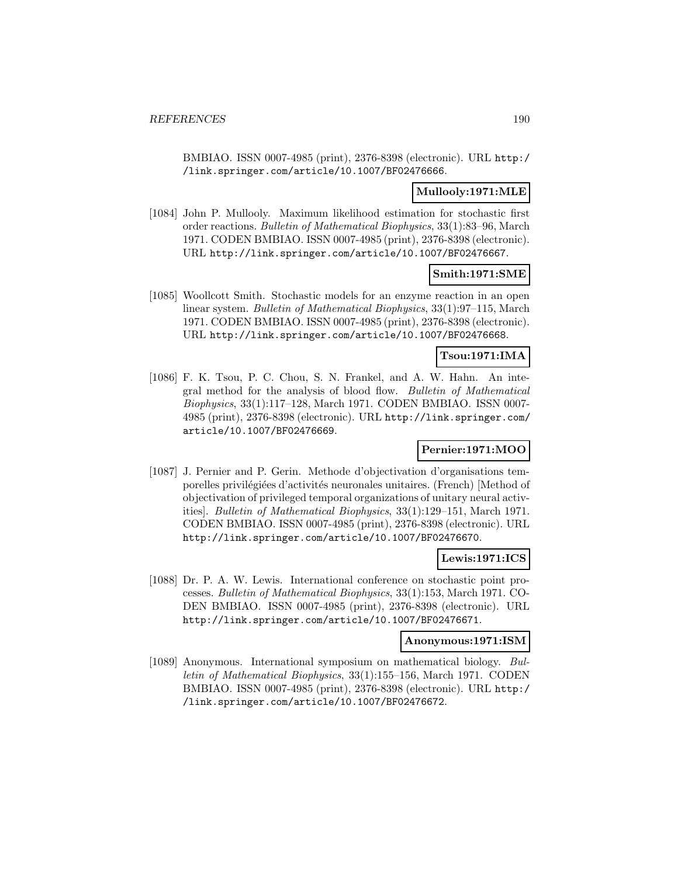BMBIAO. ISSN 0007-4985 (print), 2376-8398 (electronic). URL http:/ /link.springer.com/article/10.1007/BF02476666.

### **Mullooly:1971:MLE**

[1084] John P. Mullooly. Maximum likelihood estimation for stochastic first order reactions. Bulletin of Mathematical Biophysics, 33(1):83–96, March 1971. CODEN BMBIAO. ISSN 0007-4985 (print), 2376-8398 (electronic). URL http://link.springer.com/article/10.1007/BF02476667.

### **Smith:1971:SME**

[1085] Woollcott Smith. Stochastic models for an enzyme reaction in an open linear system. Bulletin of Mathematical Biophysics, 33(1):97–115, March 1971. CODEN BMBIAO. ISSN 0007-4985 (print), 2376-8398 (electronic). URL http://link.springer.com/article/10.1007/BF02476668.

### **Tsou:1971:IMA**

[1086] F. K. Tsou, P. C. Chou, S. N. Frankel, and A. W. Hahn. An integral method for the analysis of blood flow. Bulletin of Mathematical Biophysics, 33(1):117–128, March 1971. CODEN BMBIAO. ISSN 0007- 4985 (print), 2376-8398 (electronic). URL http://link.springer.com/ article/10.1007/BF02476669.

## **Pernier:1971:MOO**

[1087] J. Pernier and P. Gerin. Methode d'objectivation d'organisations temporelles privilégiées d'activités neuronales unitaires. (French) [Method of objectivation of privileged temporal organizations of unitary neural activities]. Bulletin of Mathematical Biophysics, 33(1):129–151, March 1971. CODEN BMBIAO. ISSN 0007-4985 (print), 2376-8398 (electronic). URL http://link.springer.com/article/10.1007/BF02476670.

#### **Lewis:1971:ICS**

[1088] Dr. P. A. W. Lewis. International conference on stochastic point processes. Bulletin of Mathematical Biophysics, 33(1):153, March 1971. CO-DEN BMBIAO. ISSN 0007-4985 (print), 2376-8398 (electronic). URL http://link.springer.com/article/10.1007/BF02476671.

#### **Anonymous:1971:ISM**

[1089] Anonymous. International symposium on mathematical biology. Bulletin of Mathematical Biophysics, 33(1):155–156, March 1971. CODEN BMBIAO. ISSN 0007-4985 (print), 2376-8398 (electronic). URL http:/ /link.springer.com/article/10.1007/BF02476672.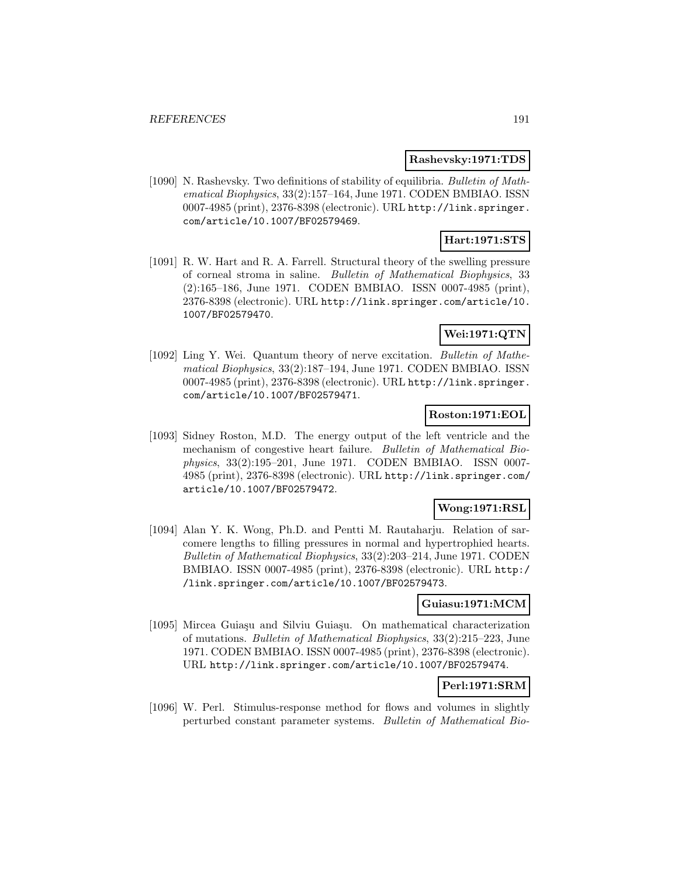#### **Rashevsky:1971:TDS**

[1090] N. Rashevsky. Two definitions of stability of equilibria. Bulletin of Mathematical Biophysics, 33(2):157–164, June 1971. CODEN BMBIAO. ISSN 0007-4985 (print), 2376-8398 (electronic). URL http://link.springer. com/article/10.1007/BF02579469.

# **Hart:1971:STS**

[1091] R. W. Hart and R. A. Farrell. Structural theory of the swelling pressure of corneal stroma in saline. Bulletin of Mathematical Biophysics, 33 (2):165–186, June 1971. CODEN BMBIAO. ISSN 0007-4985 (print), 2376-8398 (electronic). URL http://link.springer.com/article/10. 1007/BF02579470.

# **Wei:1971:QTN**

[1092] Ling Y. Wei. Quantum theory of nerve excitation. Bulletin of Mathematical Biophysics, 33(2):187–194, June 1971. CODEN BMBIAO. ISSN 0007-4985 (print), 2376-8398 (electronic). URL http://link.springer. com/article/10.1007/BF02579471.

### **Roston:1971:EOL**

[1093] Sidney Roston, M.D. The energy output of the left ventricle and the mechanism of congestive heart failure. Bulletin of Mathematical Biophysics, 33(2):195–201, June 1971. CODEN BMBIAO. ISSN 0007- 4985 (print), 2376-8398 (electronic). URL http://link.springer.com/ article/10.1007/BF02579472.

### **Wong:1971:RSL**

[1094] Alan Y. K. Wong, Ph.D. and Pentti M. Rautaharju. Relation of sarcomere lengths to filling pressures in normal and hypertrophied hearts. Bulletin of Mathematical Biophysics, 33(2):203–214, June 1971. CODEN BMBIAO. ISSN 0007-4985 (print), 2376-8398 (electronic). URL http:/ /link.springer.com/article/10.1007/BF02579473.

#### **Guiasu:1971:MCM**

[1095] Mircea Guiașu and Silviu Guiașu. On mathematical characterization of mutations. Bulletin of Mathematical Biophysics, 33(2):215–223, June 1971. CODEN BMBIAO. ISSN 0007-4985 (print), 2376-8398 (electronic). URL http://link.springer.com/article/10.1007/BF02579474.

## **Perl:1971:SRM**

[1096] W. Perl. Stimulus-response method for flows and volumes in slightly perturbed constant parameter systems. Bulletin of Mathematical Bio-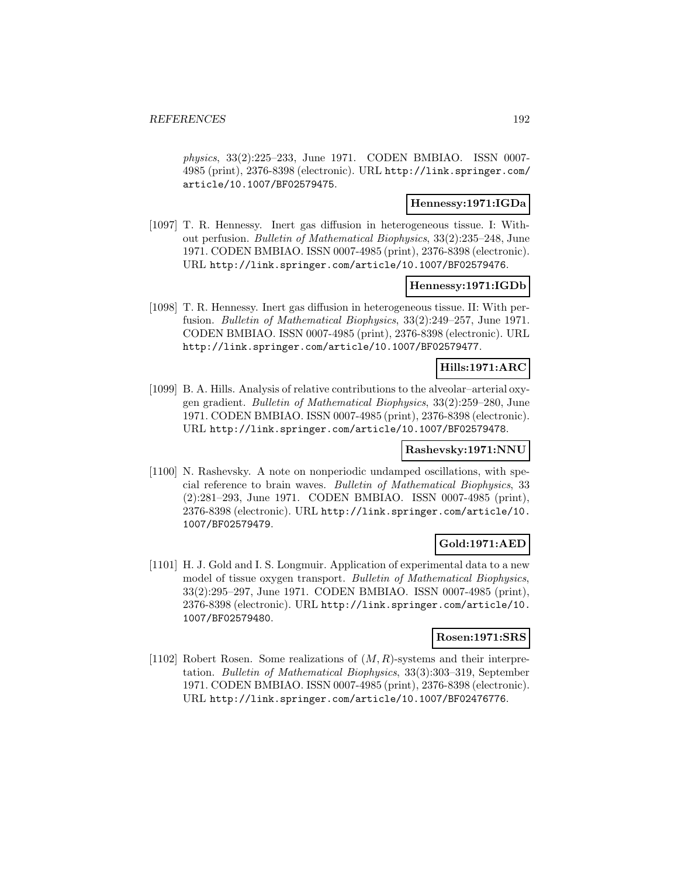physics, 33(2):225–233, June 1971. CODEN BMBIAO. ISSN 0007- 4985 (print), 2376-8398 (electronic). URL http://link.springer.com/ article/10.1007/BF02579475.

#### **Hennessy:1971:IGDa**

[1097] T. R. Hennessy. Inert gas diffusion in heterogeneous tissue. I: Without perfusion. Bulletin of Mathematical Biophysics, 33(2):235–248, June 1971. CODEN BMBIAO. ISSN 0007-4985 (print), 2376-8398 (electronic). URL http://link.springer.com/article/10.1007/BF02579476.

### **Hennessy:1971:IGDb**

[1098] T. R. Hennessy. Inert gas diffusion in heterogeneous tissue. II: With perfusion. Bulletin of Mathematical Biophysics, 33(2):249–257, June 1971. CODEN BMBIAO. ISSN 0007-4985 (print), 2376-8398 (electronic). URL http://link.springer.com/article/10.1007/BF02579477.

## **Hills:1971:ARC**

[1099] B. A. Hills. Analysis of relative contributions to the alveolar–arterial oxygen gradient. Bulletin of Mathematical Biophysics, 33(2):259–280, June 1971. CODEN BMBIAO. ISSN 0007-4985 (print), 2376-8398 (electronic). URL http://link.springer.com/article/10.1007/BF02579478.

#### **Rashevsky:1971:NNU**

[1100] N. Rashevsky. A note on nonperiodic undamped oscillations, with special reference to brain waves. Bulletin of Mathematical Biophysics, 33 (2):281–293, June 1971. CODEN BMBIAO. ISSN 0007-4985 (print), 2376-8398 (electronic). URL http://link.springer.com/article/10. 1007/BF02579479.

## **Gold:1971:AED**

[1101] H. J. Gold and I. S. Longmuir. Application of experimental data to a new model of tissue oxygen transport. Bulletin of Mathematical Biophysics, 33(2):295–297, June 1971. CODEN BMBIAO. ISSN 0007-4985 (print), 2376-8398 (electronic). URL http://link.springer.com/article/10. 1007/BF02579480.

# **Rosen:1971:SRS**

[1102] Robert Rosen. Some realizations of  $(M, R)$ -systems and their interpretation. Bulletin of Mathematical Biophysics, 33(3):303–319, September 1971. CODEN BMBIAO. ISSN 0007-4985 (print), 2376-8398 (electronic). URL http://link.springer.com/article/10.1007/BF02476776.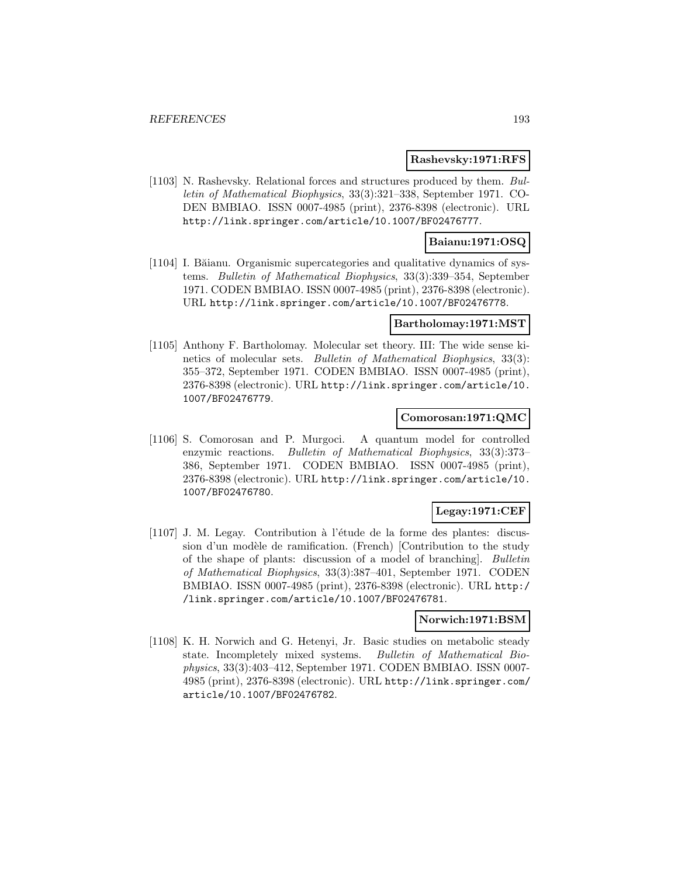#### **Rashevsky:1971:RFS**

[1103] N. Rashevsky. Relational forces and structures produced by them. Bulletin of Mathematical Biophysics, 33(3):321–338, September 1971. CO-DEN BMBIAO. ISSN 0007-4985 (print), 2376-8398 (electronic). URL http://link.springer.com/article/10.1007/BF02476777.

### **Baianu:1971:OSQ**

[1104] I. Băianu. Organismic supercategories and qualitative dynamics of systems. Bulletin of Mathematical Biophysics, 33(3):339–354, September 1971. CODEN BMBIAO. ISSN 0007-4985 (print), 2376-8398 (electronic). URL http://link.springer.com/article/10.1007/BF02476778.

#### **Bartholomay:1971:MST**

[1105] Anthony F. Bartholomay. Molecular set theory. III: The wide sense kinetics of molecular sets. Bulletin of Mathematical Biophysics, 33(3): 355–372, September 1971. CODEN BMBIAO. ISSN 0007-4985 (print), 2376-8398 (electronic). URL http://link.springer.com/article/10. 1007/BF02476779.

#### **Comorosan:1971:QMC**

[1106] S. Comorosan and P. Murgoci. A quantum model for controlled enzymic reactions. Bulletin of Mathematical Biophysics, 33(3):373– 386, September 1971. CODEN BMBIAO. ISSN 0007-4985 (print), 2376-8398 (electronic). URL http://link.springer.com/article/10. 1007/BF02476780.

## **Legay:1971:CEF**

 $[1107]$  J. M. Legay. Contribution à l'étude de la forme des plantes: discussion d'un modèle de ramification. (French) [Contribution to the study of the shape of plants: discussion of a model of branching]. Bulletin of Mathematical Biophysics, 33(3):387–401, September 1971. CODEN BMBIAO. ISSN 0007-4985 (print), 2376-8398 (electronic). URL http:/ /link.springer.com/article/10.1007/BF02476781.

### **Norwich:1971:BSM**

[1108] K. H. Norwich and G. Hetenyi, Jr. Basic studies on metabolic steady state. Incompletely mixed systems. Bulletin of Mathematical Biophysics, 33(3):403–412, September 1971. CODEN BMBIAO. ISSN 0007- 4985 (print), 2376-8398 (electronic). URL http://link.springer.com/ article/10.1007/BF02476782.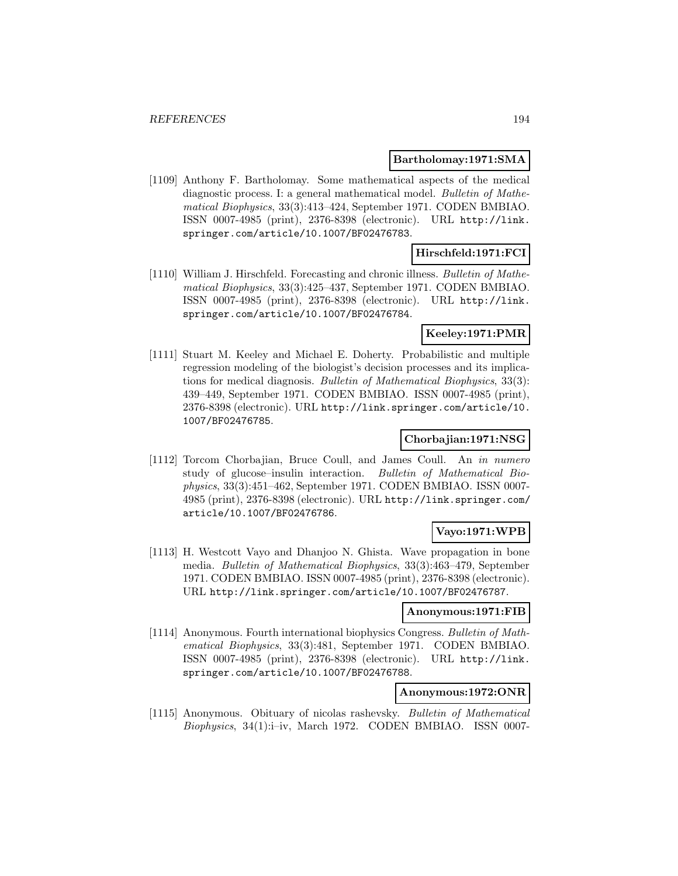#### **Bartholomay:1971:SMA**

[1109] Anthony F. Bartholomay. Some mathematical aspects of the medical diagnostic process. I: a general mathematical model. Bulletin of Mathematical Biophysics, 33(3):413–424, September 1971. CODEN BMBIAO. ISSN 0007-4985 (print), 2376-8398 (electronic). URL http://link. springer.com/article/10.1007/BF02476783.

### **Hirschfeld:1971:FCI**

[1110] William J. Hirschfeld. Forecasting and chronic illness. Bulletin of Mathematical Biophysics, 33(3):425–437, September 1971. CODEN BMBIAO. ISSN 0007-4985 (print), 2376-8398 (electronic). URL http://link. springer.com/article/10.1007/BF02476784.

## **Keeley:1971:PMR**

[1111] Stuart M. Keeley and Michael E. Doherty. Probabilistic and multiple regression modeling of the biologist's decision processes and its implications for medical diagnosis. Bulletin of Mathematical Biophysics, 33(3): 439–449, September 1971. CODEN BMBIAO. ISSN 0007-4985 (print), 2376-8398 (electronic). URL http://link.springer.com/article/10. 1007/BF02476785.

## **Chorbajian:1971:NSG**

[1112] Torcom Chorbajian, Bruce Coull, and James Coull. An in numero study of glucose–insulin interaction. Bulletin of Mathematical Biophysics, 33(3):451–462, September 1971. CODEN BMBIAO. ISSN 0007- 4985 (print), 2376-8398 (electronic). URL http://link.springer.com/ article/10.1007/BF02476786.

## **Vayo:1971:WPB**

[1113] H. Westcott Vayo and Dhanjoo N. Ghista. Wave propagation in bone media. Bulletin of Mathematical Biophysics, 33(3):463–479, September 1971. CODEN BMBIAO. ISSN 0007-4985 (print), 2376-8398 (electronic). URL http://link.springer.com/article/10.1007/BF02476787.

#### **Anonymous:1971:FIB**

[1114] Anonymous. Fourth international biophysics Congress. Bulletin of Mathematical Biophysics, 33(3):481, September 1971. CODEN BMBIAO. ISSN 0007-4985 (print), 2376-8398 (electronic). URL http://link. springer.com/article/10.1007/BF02476788.

### **Anonymous:1972:ONR**

[1115] Anonymous. Obituary of nicolas rashevsky. Bulletin of Mathematical  $Biophysics, 34(1):i–iv, March 1972. CODEN BMBIAO. ISSN 0007-$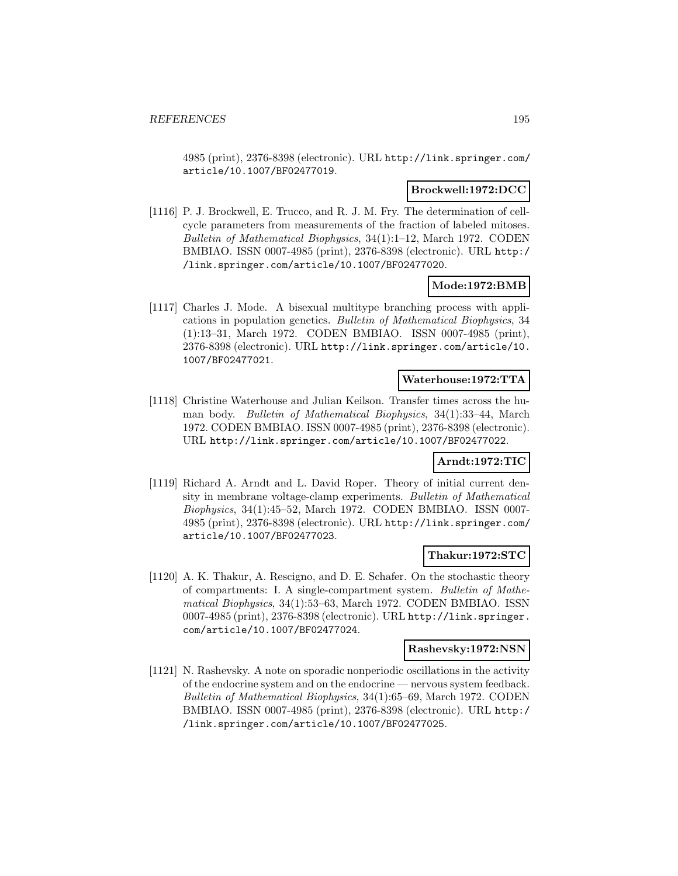4985 (print), 2376-8398 (electronic). URL http://link.springer.com/ article/10.1007/BF02477019.

### **Brockwell:1972:DCC**

[1116] P. J. Brockwell, E. Trucco, and R. J. M. Fry. The determination of cellcycle parameters from measurements of the fraction of labeled mitoses. Bulletin of Mathematical Biophysics, 34(1):1–12, March 1972. CODEN BMBIAO. ISSN 0007-4985 (print), 2376-8398 (electronic). URL http:/ /link.springer.com/article/10.1007/BF02477020.

#### **Mode:1972:BMB**

[1117] Charles J. Mode. A bisexual multitype branching process with applications in population genetics. Bulletin of Mathematical Biophysics, 34 (1):13–31, March 1972. CODEN BMBIAO. ISSN 0007-4985 (print), 2376-8398 (electronic). URL http://link.springer.com/article/10. 1007/BF02477021.

#### **Waterhouse:1972:TTA**

[1118] Christine Waterhouse and Julian Keilson. Transfer times across the human body. Bulletin of Mathematical Biophysics, 34(1):33–44, March 1972. CODEN BMBIAO. ISSN 0007-4985 (print), 2376-8398 (electronic). URL http://link.springer.com/article/10.1007/BF02477022.

#### **Arndt:1972:TIC**

[1119] Richard A. Arndt and L. David Roper. Theory of initial current density in membrane voltage-clamp experiments. Bulletin of Mathematical Biophysics, 34(1):45–52, March 1972. CODEN BMBIAO. ISSN 0007- 4985 (print), 2376-8398 (electronic). URL http://link.springer.com/ article/10.1007/BF02477023.

# **Thakur:1972:STC**

[1120] A. K. Thakur, A. Rescigno, and D. E. Schafer. On the stochastic theory of compartments: I. A single-compartment system. Bulletin of Mathematical Biophysics, 34(1):53–63, March 1972. CODEN BMBIAO. ISSN 0007-4985 (print), 2376-8398 (electronic). URL http://link.springer. com/article/10.1007/BF02477024.

#### **Rashevsky:1972:NSN**

[1121] N. Rashevsky. A note on sporadic nonperiodic oscillations in the activity of the endocrine system and on the endocrine — nervous system feedback. Bulletin of Mathematical Biophysics, 34(1):65–69, March 1972. CODEN BMBIAO. ISSN 0007-4985 (print), 2376-8398 (electronic). URL http:/ /link.springer.com/article/10.1007/BF02477025.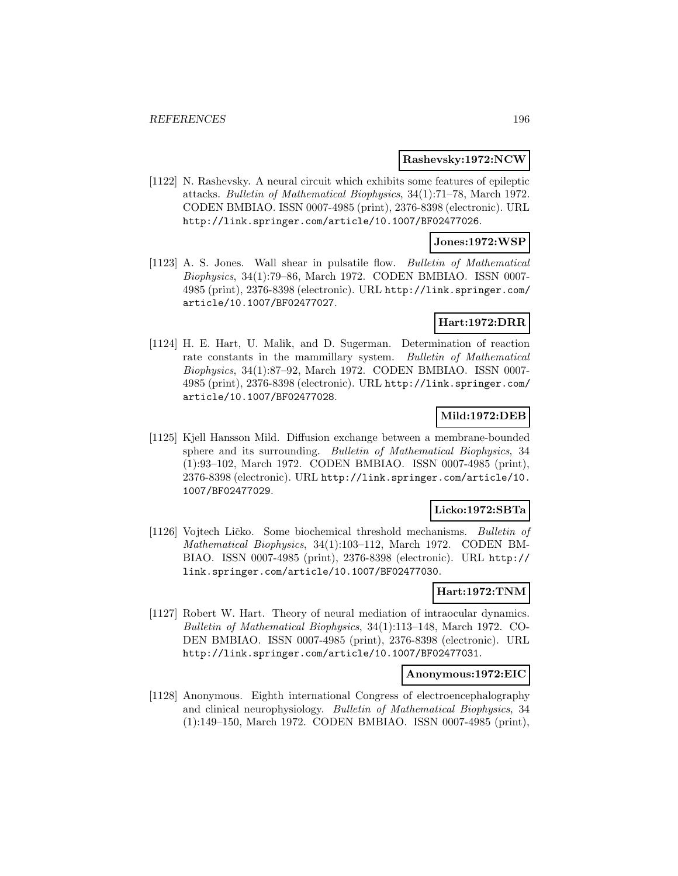#### **Rashevsky:1972:NCW**

[1122] N. Rashevsky. A neural circuit which exhibits some features of epileptic attacks. Bulletin of Mathematical Biophysics, 34(1):71–78, March 1972. CODEN BMBIAO. ISSN 0007-4985 (print), 2376-8398 (electronic). URL http://link.springer.com/article/10.1007/BF02477026.

#### **Jones:1972:WSP**

[1123] A. S. Jones. Wall shear in pulsatile flow. Bulletin of Mathematical Biophysics, 34(1):79–86, March 1972. CODEN BMBIAO. ISSN 0007- 4985 (print), 2376-8398 (electronic). URL http://link.springer.com/ article/10.1007/BF02477027.

### **Hart:1972:DRR**

[1124] H. E. Hart, U. Malik, and D. Sugerman. Determination of reaction rate constants in the mammillary system. Bulletin of Mathematical Biophysics, 34(1):87–92, March 1972. CODEN BMBIAO. ISSN 0007- 4985 (print), 2376-8398 (electronic). URL http://link.springer.com/ article/10.1007/BF02477028.

#### **Mild:1972:DEB**

[1125] Kjell Hansson Mild. Diffusion exchange between a membrane-bounded sphere and its surrounding. Bulletin of Mathematical Biophysics, 34 (1):93–102, March 1972. CODEN BMBIAO. ISSN 0007-4985 (print), 2376-8398 (electronic). URL http://link.springer.com/article/10. 1007/BF02477029.

## **Licko:1972:SBTa**

[1126] Vojtech Ličko. Some biochemical threshold mechanisms. Bulletin of Mathematical Biophysics, 34(1):103–112, March 1972. CODEN BM-BIAO. ISSN 0007-4985 (print), 2376-8398 (electronic). URL http:// link.springer.com/article/10.1007/BF02477030.

#### **Hart:1972:TNM**

[1127] Robert W. Hart. Theory of neural mediation of intraocular dynamics. Bulletin of Mathematical Biophysics, 34(1):113–148, March 1972. CO-DEN BMBIAO. ISSN 0007-4985 (print), 2376-8398 (electronic). URL http://link.springer.com/article/10.1007/BF02477031.

#### **Anonymous:1972:EIC**

[1128] Anonymous. Eighth international Congress of electroencephalography and clinical neurophysiology. Bulletin of Mathematical Biophysics, 34 (1):149–150, March 1972. CODEN BMBIAO. ISSN 0007-4985 (print),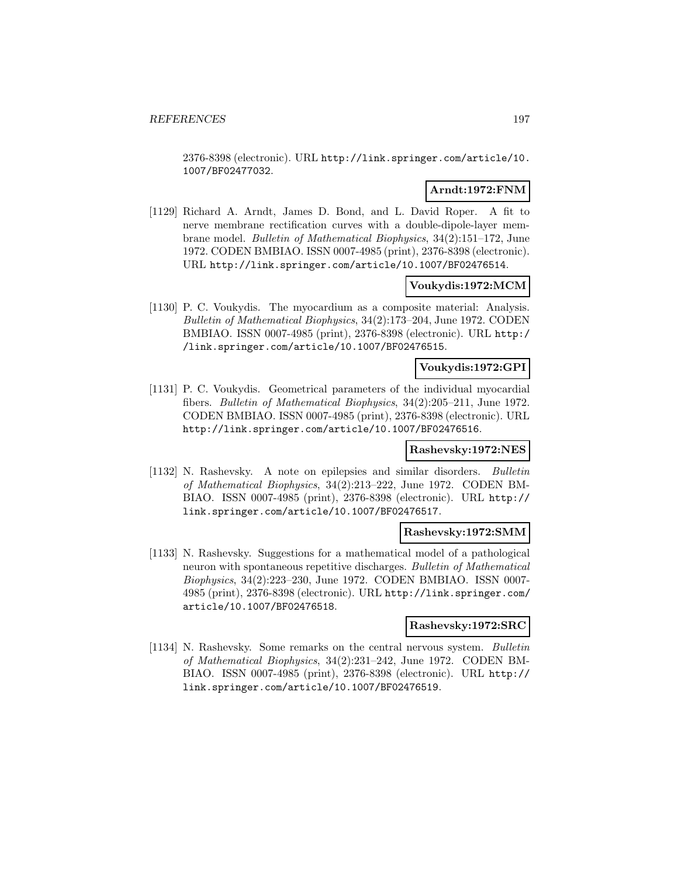2376-8398 (electronic). URL http://link.springer.com/article/10. 1007/BF02477032.

## **Arndt:1972:FNM**

[1129] Richard A. Arndt, James D. Bond, and L. David Roper. A fit to nerve membrane rectification curves with a double-dipole-layer membrane model. Bulletin of Mathematical Biophysics, 34(2):151–172, June 1972. CODEN BMBIAO. ISSN 0007-4985 (print), 2376-8398 (electronic). URL http://link.springer.com/article/10.1007/BF02476514.

### **Voukydis:1972:MCM**

[1130] P. C. Voukydis. The myocardium as a composite material: Analysis. Bulletin of Mathematical Biophysics, 34(2):173–204, June 1972. CODEN BMBIAO. ISSN 0007-4985 (print), 2376-8398 (electronic). URL http:/ /link.springer.com/article/10.1007/BF02476515.

### **Voukydis:1972:GPI**

[1131] P. C. Voukydis. Geometrical parameters of the individual myocardial fibers. Bulletin of Mathematical Biophysics, 34(2):205–211, June 1972. CODEN BMBIAO. ISSN 0007-4985 (print), 2376-8398 (electronic). URL http://link.springer.com/article/10.1007/BF02476516.

#### **Rashevsky:1972:NES**

[1132] N. Rashevsky. A note on epilepsies and similar disorders. Bulletin of Mathematical Biophysics, 34(2):213–222, June 1972. CODEN BM-BIAO. ISSN 0007-4985 (print), 2376-8398 (electronic). URL http:// link.springer.com/article/10.1007/BF02476517.

#### **Rashevsky:1972:SMM**

[1133] N. Rashevsky. Suggestions for a mathematical model of a pathological neuron with spontaneous repetitive discharges. Bulletin of Mathematical Biophysics, 34(2):223–230, June 1972. CODEN BMBIAO. ISSN 0007- 4985 (print), 2376-8398 (electronic). URL http://link.springer.com/ article/10.1007/BF02476518.

#### **Rashevsky:1972:SRC**

[1134] N. Rashevsky. Some remarks on the central nervous system. Bulletin of Mathematical Biophysics, 34(2):231–242, June 1972. CODEN BM-BIAO. ISSN 0007-4985 (print), 2376-8398 (electronic). URL http:// link.springer.com/article/10.1007/BF02476519.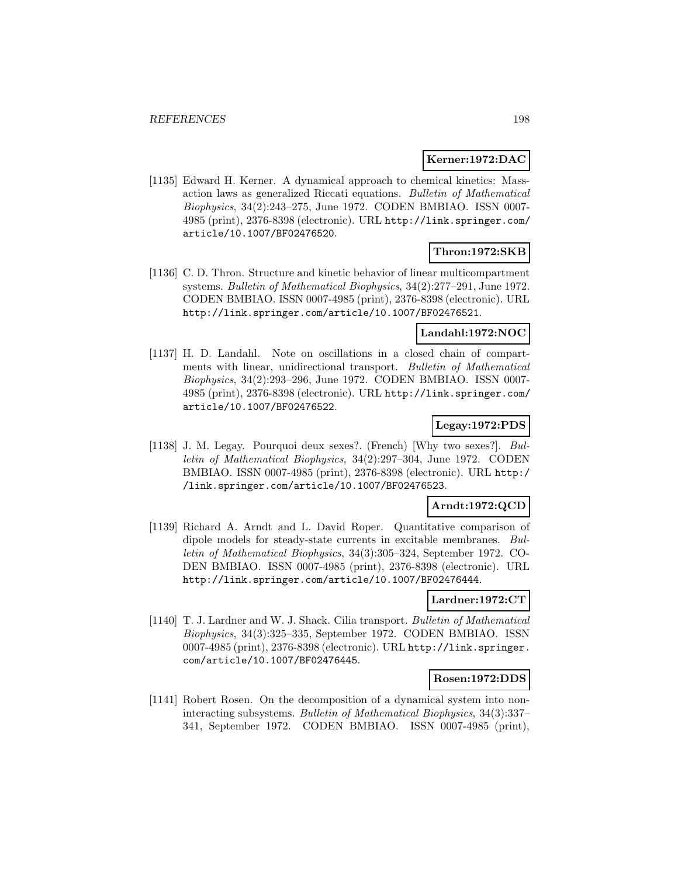### **Kerner:1972:DAC**

[1135] Edward H. Kerner. A dynamical approach to chemical kinetics: Massaction laws as generalized Riccati equations. Bulletin of Mathematical Biophysics, 34(2):243–275, June 1972. CODEN BMBIAO. ISSN 0007- 4985 (print), 2376-8398 (electronic). URL http://link.springer.com/ article/10.1007/BF02476520.

# **Thron:1972:SKB**

[1136] C. D. Thron. Structure and kinetic behavior of linear multicompartment systems. Bulletin of Mathematical Biophysics, 34(2):277–291, June 1972. CODEN BMBIAO. ISSN 0007-4985 (print), 2376-8398 (electronic). URL http://link.springer.com/article/10.1007/BF02476521.

## **Landahl:1972:NOC**

[1137] H. D. Landahl. Note on oscillations in a closed chain of compartments with linear, unidirectional transport. Bulletin of Mathematical Biophysics, 34(2):293–296, June 1972. CODEN BMBIAO. ISSN 0007- 4985 (print), 2376-8398 (electronic). URL http://link.springer.com/ article/10.1007/BF02476522.

## **Legay:1972:PDS**

[1138] J. M. Legay. Pourquoi deux sexes?. (French) [Why two sexes?]. Bulletin of Mathematical Biophysics, 34(2):297–304, June 1972. CODEN BMBIAO. ISSN 0007-4985 (print), 2376-8398 (electronic). URL http:/ /link.springer.com/article/10.1007/BF02476523.

## **Arndt:1972:QCD**

[1139] Richard A. Arndt and L. David Roper. Quantitative comparison of dipole models for steady-state currents in excitable membranes. Bulletin of Mathematical Biophysics, 34(3):305–324, September 1972. CO-DEN BMBIAO. ISSN 0007-4985 (print), 2376-8398 (electronic). URL http://link.springer.com/article/10.1007/BF02476444.

#### **Lardner:1972:CT**

[1140] T. J. Lardner and W. J. Shack. Cilia transport. Bulletin of Mathematical Biophysics, 34(3):325–335, September 1972. CODEN BMBIAO. ISSN 0007-4985 (print), 2376-8398 (electronic). URL http://link.springer. com/article/10.1007/BF02476445.

#### **Rosen:1972:DDS**

[1141] Robert Rosen. On the decomposition of a dynamical system into noninteracting subsystems. Bulletin of Mathematical Biophysics, 34(3):337– 341, September 1972. CODEN BMBIAO. ISSN 0007-4985 (print),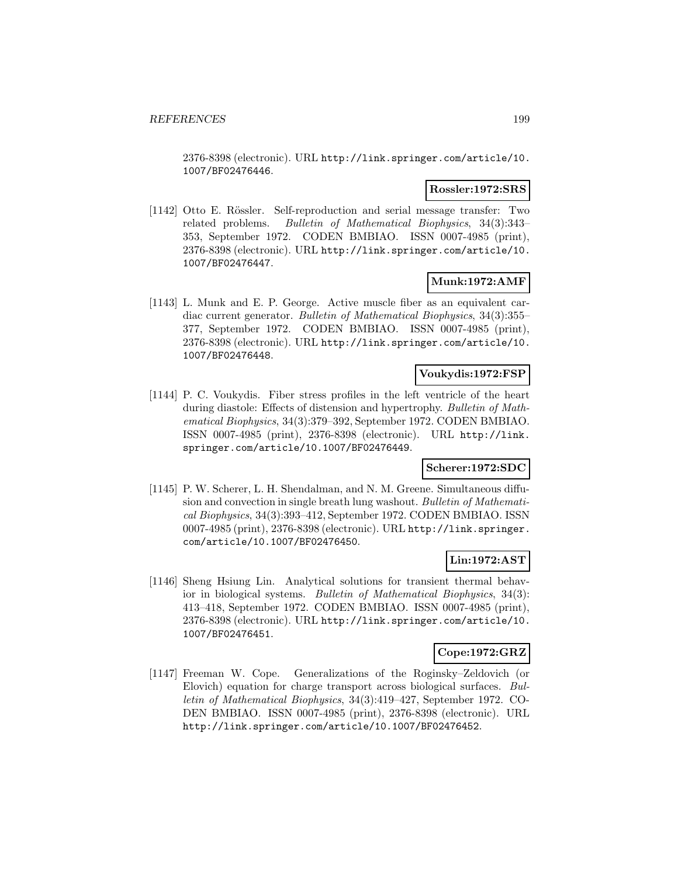2376-8398 (electronic). URL http://link.springer.com/article/10. 1007/BF02476446.

### **Rossler:1972:SRS**

[1142] Otto E. Rössler. Self-reproduction and serial message transfer: Two related problems. Bulletin of Mathematical Biophysics, 34(3):343– 353, September 1972. CODEN BMBIAO. ISSN 0007-4985 (print), 2376-8398 (electronic). URL http://link.springer.com/article/10. 1007/BF02476447.

## **Munk:1972:AMF**

[1143] L. Munk and E. P. George. Active muscle fiber as an equivalent cardiac current generator. Bulletin of Mathematical Biophysics, 34(3):355– 377, September 1972. CODEN BMBIAO. ISSN 0007-4985 (print), 2376-8398 (electronic). URL http://link.springer.com/article/10. 1007/BF02476448.

#### **Voukydis:1972:FSP**

[1144] P. C. Voukydis. Fiber stress profiles in the left ventricle of the heart during diastole: Effects of distension and hypertrophy. Bulletin of Mathematical Biophysics, 34(3):379–392, September 1972. CODEN BMBIAO. ISSN 0007-4985 (print), 2376-8398 (electronic). URL http://link. springer.com/article/10.1007/BF02476449.

### **Scherer:1972:SDC**

[1145] P. W. Scherer, L. H. Shendalman, and N. M. Greene. Simultaneous diffusion and convection in single breath lung washout. Bulletin of Mathematical Biophysics, 34(3):393–412, September 1972. CODEN BMBIAO. ISSN 0007-4985 (print), 2376-8398 (electronic). URL http://link.springer. com/article/10.1007/BF02476450.

## **Lin:1972:AST**

[1146] Sheng Hsiung Lin. Analytical solutions for transient thermal behavior in biological systems. Bulletin of Mathematical Biophysics, 34(3): 413–418, September 1972. CODEN BMBIAO. ISSN 0007-4985 (print), 2376-8398 (electronic). URL http://link.springer.com/article/10. 1007/BF02476451.

#### **Cope:1972:GRZ**

[1147] Freeman W. Cope. Generalizations of the Roginsky–Zeldovich (or Elovich) equation for charge transport across biological surfaces. Bulletin of Mathematical Biophysics, 34(3):419–427, September 1972. CO-DEN BMBIAO. ISSN 0007-4985 (print), 2376-8398 (electronic). URL http://link.springer.com/article/10.1007/BF02476452.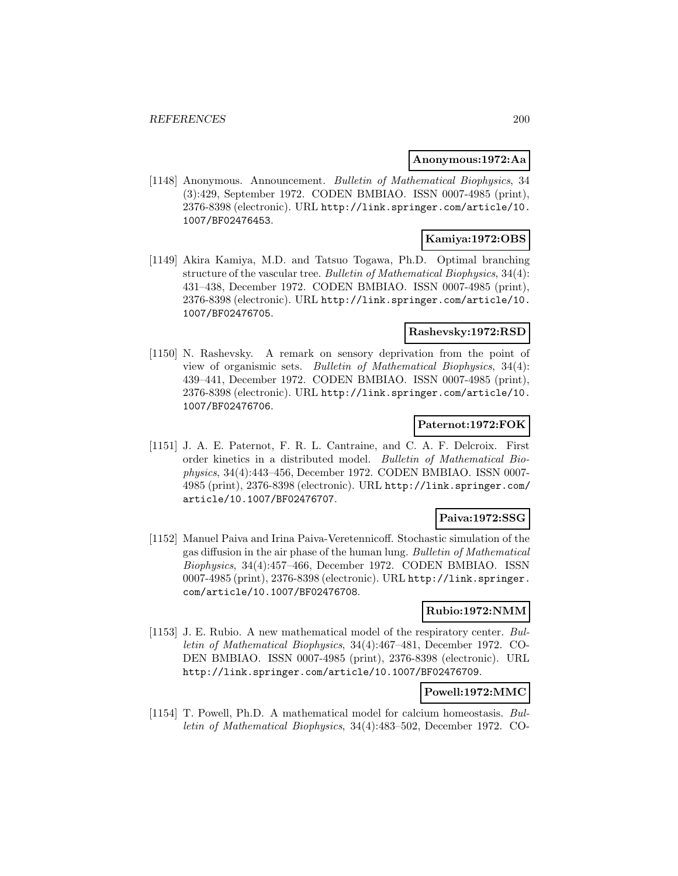#### **Anonymous:1972:Aa**

[1148] Anonymous. Announcement. Bulletin of Mathematical Biophysics, 34 (3):429, September 1972. CODEN BMBIAO. ISSN 0007-4985 (print), 2376-8398 (electronic). URL http://link.springer.com/article/10. 1007/BF02476453.

# **Kamiya:1972:OBS**

[1149] Akira Kamiya, M.D. and Tatsuo Togawa, Ph.D. Optimal branching structure of the vascular tree. Bulletin of Mathematical Biophysics, 34(4): 431–438, December 1972. CODEN BMBIAO. ISSN 0007-4985 (print), 2376-8398 (electronic). URL http://link.springer.com/article/10. 1007/BF02476705.

### **Rashevsky:1972:RSD**

[1150] N. Rashevsky. A remark on sensory deprivation from the point of view of organismic sets. Bulletin of Mathematical Biophysics, 34(4): 439–441, December 1972. CODEN BMBIAO. ISSN 0007-4985 (print), 2376-8398 (electronic). URL http://link.springer.com/article/10. 1007/BF02476706.

### **Paternot:1972:FOK**

[1151] J. A. E. Paternot, F. R. L. Cantraine, and C. A. F. Delcroix. First order kinetics in a distributed model. Bulletin of Mathematical Biophysics, 34(4):443–456, December 1972. CODEN BMBIAO. ISSN 0007- 4985 (print), 2376-8398 (electronic). URL http://link.springer.com/ article/10.1007/BF02476707.

## **Paiva:1972:SSG**

[1152] Manuel Paiva and Irina Paiva-Veretennicoff. Stochastic simulation of the gas diffusion in the air phase of the human lung. Bulletin of Mathematical Biophysics, 34(4):457–466, December 1972. CODEN BMBIAO. ISSN 0007-4985 (print), 2376-8398 (electronic). URL http://link.springer. com/article/10.1007/BF02476708.

## **Rubio:1972:NMM**

[1153] J. E. Rubio. A new mathematical model of the respiratory center. Bulletin of Mathematical Biophysics, 34(4):467–481, December 1972. CO-DEN BMBIAO. ISSN 0007-4985 (print), 2376-8398 (electronic). URL http://link.springer.com/article/10.1007/BF02476709.

## **Powell:1972:MMC**

[1154] T. Powell, Ph.D. A mathematical model for calcium homeostasis. Bulletin of Mathematical Biophysics, 34(4):483–502, December 1972. CO-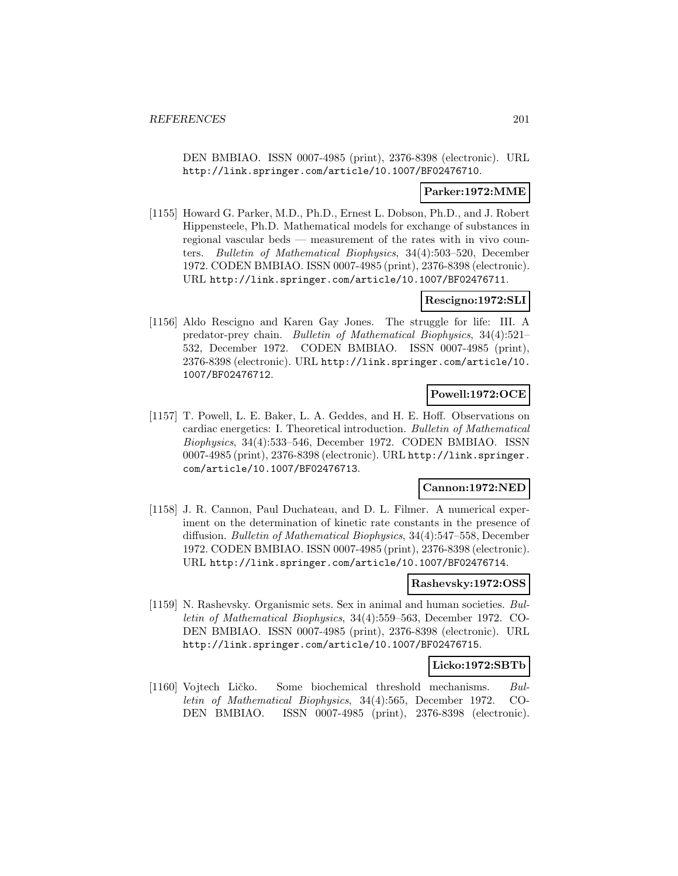DEN BMBIAO. ISSN 0007-4985 (print), 2376-8398 (electronic). URL http://link.springer.com/article/10.1007/BF02476710.

#### **Parker:1972:MME**

[1155] Howard G. Parker, M.D., Ph.D., Ernest L. Dobson, Ph.D., and J. Robert Hippensteele, Ph.D. Mathematical models for exchange of substances in regional vascular beds — measurement of the rates with in vivo counters. Bulletin of Mathematical Biophysics, 34(4):503–520, December 1972. CODEN BMBIAO. ISSN 0007-4985 (print), 2376-8398 (electronic). URL http://link.springer.com/article/10.1007/BF02476711.

#### **Rescigno:1972:SLI**

[1156] Aldo Rescigno and Karen Gay Jones. The struggle for life: III. A predator-prey chain. Bulletin of Mathematical Biophysics, 34(4):521– 532, December 1972. CODEN BMBIAO. ISSN 0007-4985 (print), 2376-8398 (electronic). URL http://link.springer.com/article/10. 1007/BF02476712.

### **Powell:1972:OCE**

[1157] T. Powell, L. E. Baker, L. A. Geddes, and H. E. Hoff. Observations on cardiac energetics: I. Theoretical introduction. Bulletin of Mathematical Biophysics, 34(4):533–546, December 1972. CODEN BMBIAO. ISSN 0007-4985 (print), 2376-8398 (electronic). URL http://link.springer. com/article/10.1007/BF02476713.

### **Cannon:1972:NED**

[1158] J. R. Cannon, Paul Duchateau, and D. L. Filmer. A numerical experiment on the determination of kinetic rate constants in the presence of diffusion. Bulletin of Mathematical Biophysics, 34(4):547–558, December 1972. CODEN BMBIAO. ISSN 0007-4985 (print), 2376-8398 (electronic). URL http://link.springer.com/article/10.1007/BF02476714.

#### **Rashevsky:1972:OSS**

[1159] N. Rashevsky. Organismic sets. Sex in animal and human societies. Bulletin of Mathematical Biophysics, 34(4):559–563, December 1972. CO-DEN BMBIAO. ISSN 0007-4985 (print), 2376-8398 (electronic). URL http://link.springer.com/article/10.1007/BF02476715.

#### **Licko:1972:SBTb**

[1160] Vojtech Ličko. Some biochemical threshold mechanisms. Bulletin of Mathematical Biophysics, 34(4):565, December 1972. CO-DEN BMBIAO. ISSN 0007-4985 (print), 2376-8398 (electronic).